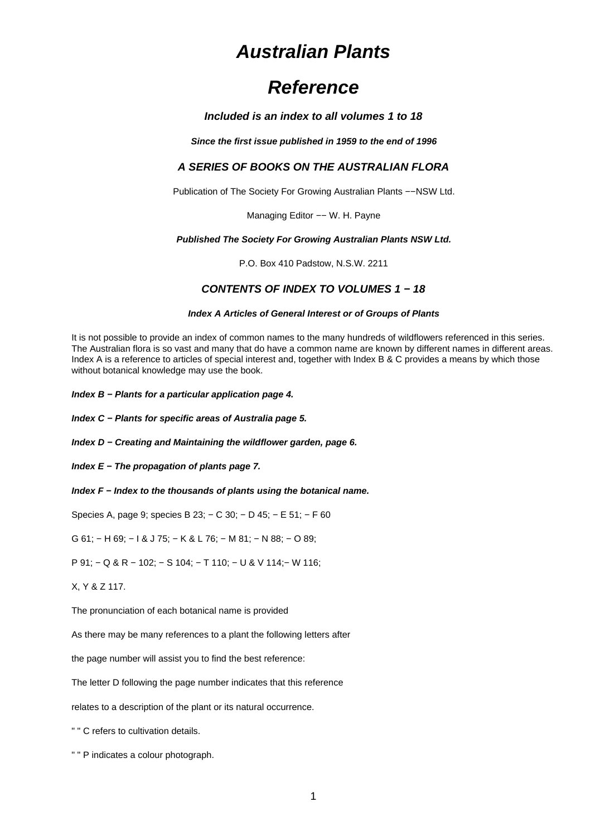# **Australian Plants**

# **Reference**

## **Included is an index to all volumes 1 to 18**

**Since the first issue published in 1959 to the end of 1996**

# **A SERIES OF BOOKS ON THE AUSTRALIAN FLORA**

Publication of The Society For Growing Australian Plants −−NSW Ltd.

Managing Editor -- W. H. Payne

#### **Published The Society For Growing Australian Plants NSW Ltd.**

P.O. Box 410 Padstow, N.S.W. 2211

# **CONTENTS OF INDEX TO VOLUMES 1 − 18**

#### **Index A Articles of General Interest or of Groups of Plants**

It is not possible to provide an index of common names to the many hundreds of wildflowers referenced in this series. The Australian flora is so vast and many that do have a common name are known by different names in different areas. Index A is a reference to articles of special interest and, together with Index B & C provides a means by which those without botanical knowledge may use the book.

**Index B − Plants for a particular application page 4.**

**Index C − Plants for specific areas of Australia page 5.**

**Index D − Creating and Maintaining the wildflower garden, page 6.**

**Index E − The propagation of plants page 7.**

**Index F − Index to the thousands of plants using the botanical name.**

Species A, page 9; species B 23; − C 30; − D 45; − E 51; − F 60

G 61; − H 69; − I & J 75; − K & L 76; − M 81; − N 88; − O 89;

P 91; − Q & R − 102; − S 104; − T 110; − U & V 114;− W 116;

X, Y & Z 117.

The pronunciation of each botanical name is provided

As there may be many references to a plant the following letters after

the page number will assist you to find the best reference:

The letter D following the page number indicates that this reference

relates to a description of the plant or its natural occurrence.

" " C refers to cultivation details.

" " P indicates a colour photograph.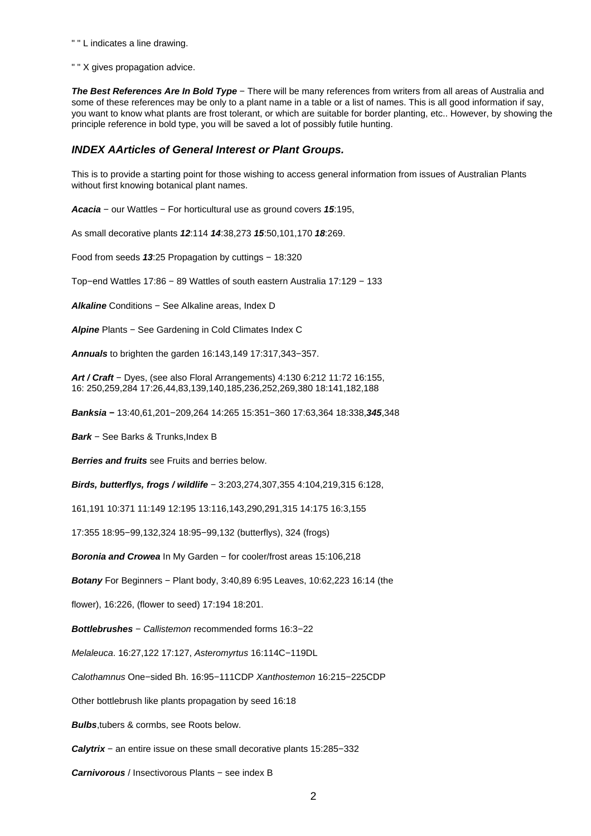" " L indicates a line drawing.

" " X gives propagation advice.

The Best References Are In Bold Type - There will be many references from writers from all areas of Australia and some of these references may be only to a plant name in a table or a list of names. This is all good information if say, you want to know what plants are frost tolerant, or which are suitable for border planting, etc.. However, by showing the principle reference in bold type, you will be saved a lot of possibly futile hunting.

## **INDEX AArticles of General Interest or Plant Groups.**

This is to provide a starting point for those wishing to access general information from issues of Australian Plants without first knowing botanical plant names.

**Acacia** − our Wattles − For horticultural use as ground covers **15**:195,

As small decorative plants **12**:114 **14**:38,273 **15**:50,101,170 **18**:269.

Food from seeds **13**:25 Propagation by cuttings − 18:320

Top−end Wattles 17:86 − 89 Wattles of south eastern Australia 17:129 − 133

**Alkaline** Conditions − See Alkaline areas, Index D

**Alpine** Plants − See Gardening in Cold Climates Index C

**Annuals** to brighten the garden 16:143,149 17:317,343−357.

**Art / Craft** − Dyes, (see also Floral Arrangements) 4:130 6:212 11:72 16:155, 16: 250,259,284 17:26,44,83,139,140,185,236,252,269,380 18:141,182,188

**Banksia −** 13:40,61,201−209,264 14:265 15:351−360 17:63,364 18:338,**345**,348

**Bark** − See Barks & Trunks,Index B

**Berries and fruits** see Fruits and berries below.

**Birds, butterflys, frogs / wildlife** − 3:203,274,307,355 4:104,219,315 6:128,

161,191 10:371 11:149 12:195 13:116,143,290,291,315 14:175 16:3,155

17:355 18:95−99,132,324 18:95−99,132 (butterflys), 324 (frogs)

**Boronia and Crowea** In My Garden – for cooler/frost areas 15:106,218

**Botany** For Beginners – Plant body, 3:40,89 6:95 Leaves, 10:62,223 16:14 (the

flower), 16:226, (flower to seed) 17:194 18:201.

**Bottlebrushes** − Callistemon recommended forms 16:3−22

Melaleuca. 16:27,122 17:127, Asteromyrtus 16:114C−119DL

Calothamnus One−sided Bh. 16:95−111CDP Xanthostemon 16:215−225CDP

Other bottlebrush like plants propagation by seed 16:18

**Bulbs**,tubers & cormbs, see Roots below.

**Calytrix** − an entire issue on these small decorative plants 15:285−332

**Carnivorous** / Insectivorous Plants − see index B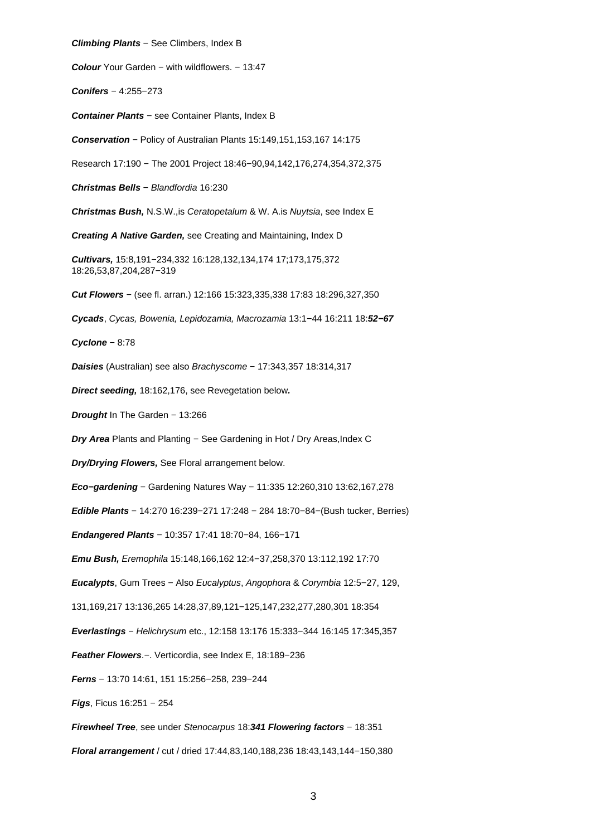**Climbing Plants** − See Climbers, Index B **Colour** Your Garden − with wildflowers. − 13:47 **Conifers** − 4:255−273 **Container Plants** − see Container Plants, Index B **Conservation** − Policy of Australian Plants 15:149,151,153,167 14:175 Research 17:190 − The 2001 Project 18:46−90,94,142,176,274,354,372,375 **Christmas Bells** − Blandfordia 16:230 **Christmas Bush,** N.S.W.,is Ceratopetalum & W. A.is Nuytsia, see Index E **Creating A Native Garden,** see Creating and Maintaining, Index D **Cultivars,** 15:8,191−234,332 16:128,132,134,174 17;173,175,372 18:26,53,87,204,287−319 **Cut Flowers** − (see fl. arran.) 12:166 15:323,335,338 17:83 18:296,327,350 **Cycads**, Cycas, Bowenia, Lepidozamia, Macrozamia 13:1−44 16:211 18:**52−67 Cyclone** − 8:78 **Daisies** (Australian) see also Brachyscome − 17:343,357 18:314,317 **Direct seeding,** 18:162,176, see Revegetation below**. Drought** In The Garden − 13:266 **Dry Area** Plants and Planting – See Gardening in Hot / Dry Areas, Index C **Dry/Drying Flowers,** See Floral arrangement below. **Eco−gardening** − Gardening Natures Way − 11:335 12:260,310 13:62,167,278 **Edible Plants** − 14:270 16:239−271 17:248 − 284 18:70−84−(Bush tucker, Berries) **Endangered Plants** − 10:357 17:41 18:70−84, 166−171 **Emu Bush,** Eremophila 15:148,166,162 12:4−37,258,370 13:112,192 17:70 **Eucalypts**, Gum Trees − Also Eucalyptus, Angophora & Corymbia 12:5−27, 129, 131,169,217 13:136,265 14:28,37,89,121−125,147,232,277,280,301 18:354 **Everlastings** − Helichrysum etc., 12:158 13:176 15:333−344 16:145 17:345,357 **Feather Flowers**.−. Verticordia, see Index E, 18:189−236 **Ferns** − 13:70 14:61, 151 15:256−258, 239−244 **Figs**, Ficus 16:251 − 254 **Firewheel Tree**, see under Stenocarpus 18:**341 Flowering factors** − 18:351 **Floral arrangement** / cut / dried 17:44,83,140,188,236 18:43,143,144−150,380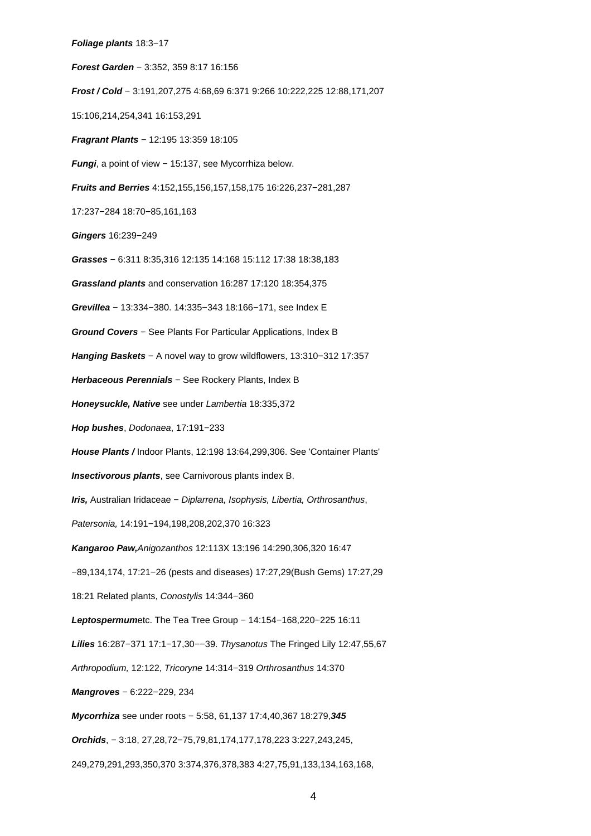#### **Foliage plants** 18:3−17

**Forest Garden** − 3:352, 359 8:17 16:156 **Frost / Cold** − 3:191,207,275 4:68,69 6:371 9:266 10:222,225 12:88,171,207 15:106,214,254,341 16:153,291 **Fragrant Plants** − 12:195 13:359 18:105 **Fungi**, a point of view − 15:137, see Mycorrhiza below. **Fruits and Berries** 4:152,155,156,157,158,175 16:226,237−281,287 17:237−284 18:70−85,161,163 **Gingers** 16:239−249 **Grasses** − 6:311 8:35,316 12:135 14:168 15:112 17:38 18:38,183 **Grassland plants** and conservation 16:287 17:120 18:354,375 **Grevillea** − 13:334−380. 14:335−343 18:166−171, see Index E **Ground Covers** − See Plants For Particular Applications, Index B **Hanging Baskets** − A novel way to grow wildflowers, 13:310−312 17:357 Herbaceous Perennials - See Rockery Plants, Index B **Honeysuckle, Native** see under Lambertia 18:335,372 **Hop bushes**, Dodonaea, 17:191−233 **House Plants /** Indoor Plants, 12:198 13:64,299,306. See 'Container Plants' **Insectivorous plants**, see Carnivorous plants index B. **Iris,** Australian Iridaceae − Diplarrena, Isophysis, Libertia, Orthrosanthus, Patersonia, 14:191−194,198,208,202,370 16:323 **Kangaroo Paw,**Anigozanthos 12:113X 13:196 14:290,306,320 16:47 −89,134,174, 17:21−26 (pests and diseases) 17:27,29(Bush Gems) 17:27,29 18:21 Related plants, Conostylis 14:344−360 **Leptospermum**etc. The Tea Tree Group − 14:154−168,220−225 16:11 **Lilies** 16:287−371 17:1−17,30−−39. Thysanotus The Fringed Lily 12:47,55,67 Arthropodium, 12:122, Tricoryne 14:314−319 Orthrosanthus 14:370 **Mangroves** − 6:222−229, 234 **Mycorrhiza** see under roots − 5:58, 61,137 17:4,40,367 18:279,**345 Orchids**, − 3:18, 27,28,72−75,79,81,174,177,178,223 3:227,243,245,

249,279,291,293,350,370 3:374,376,378,383 4:27,75,91,133,134,163,168,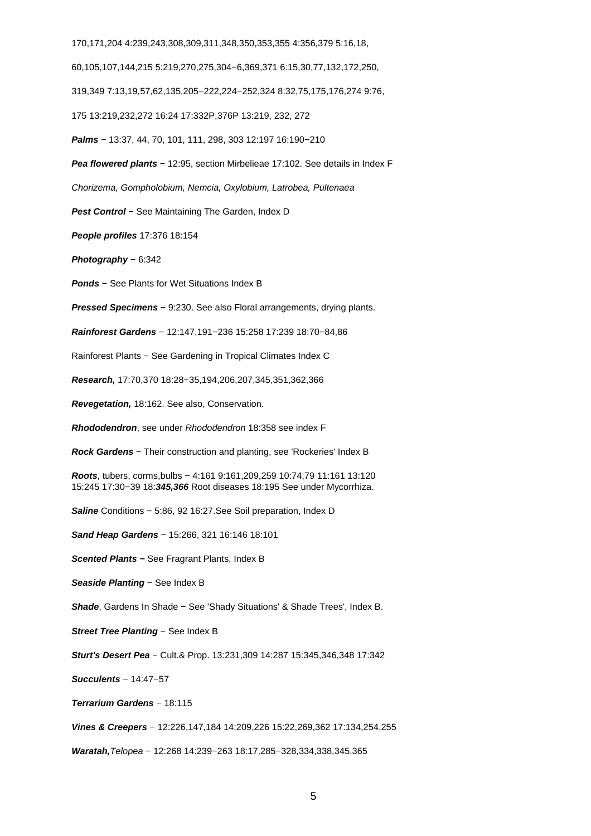170,171,204 4:239,243,308,309,311,348,350,353,355 4:356,379 5:16,18,

60,105,107,144,215 5:219,270,275,304−6,369,371 6:15,30,77,132,172,250,

319,349 7:13,19,57,62,135,205−222,224−252,324 8:32,75,175,176,274 9:76,

175 13:219,232,272 16:24 17:332P,376P 13:219, 232, 272

**Palms** − 13:37, 44, 70, 101, 111, 298, 303 12:197 16:190−210

**Pea flowered plants** − 12:95, section Mirbelieae 17:102. See details in Index F

Chorizema, Gompholobium, Nemcia, Oxylobium, Latrobea, Pultenaea

**Pest Control** − See Maintaining The Garden, Index D

**People profiles** 17:376 18:154

**Photography** − 6:342

**Ponds** − See Plants for Wet Situations Index B

**Pressed Specimens** − 9:230. See also Floral arrangements, drying plants.

**Rainforest Gardens** − 12:147,191−236 15:258 17:239 18:70−84,86

Rainforest Plants − See Gardening in Tropical Climates Index C

**Research,** 17:70,370 18:28−35,194,206,207,345,351,362,366

**Revegetation,** 18:162. See also, Conservation.

**Rhododendron**, see under Rhododendron 18:358 see index F

**Rock Gardens** − Their construction and planting, see 'Rockeries' Index B

**Roots**, tubers, corms,bulbs − 4:161 9:161,209,259 10:74,79 11:161 13:120 15:245 17:30−39 18:**345,366** Root diseases 18:195 See under Mycorrhiza.

**Saline** Conditions − 5:86, 92 16:27.See Soil preparation, Index D

**Sand Heap Gardens** − 15:266, 321 16:146 18:101

**Scented Plants −** See Fragrant Plants, Index B

Seaside Planting – See Index B

**Shade**, Gardens In Shade − See 'Shady Situations' & Shade Trees', Index B.

**Street Tree Planting** − See Index B

**Sturt's Desert Pea** − Cult.& Prop. 13:231,309 14:287 15:345,346,348 17:342

**Succulents** − 14:47−57

**Terrarium Gardens** − 18:115

**Vines & Creepers** − 12:226,147,184 14:209,226 15:22,269,362 17:134,254,255

**Waratah,**Telopea − 12:268 14:239−263 18:17,285−328,334,338,345.365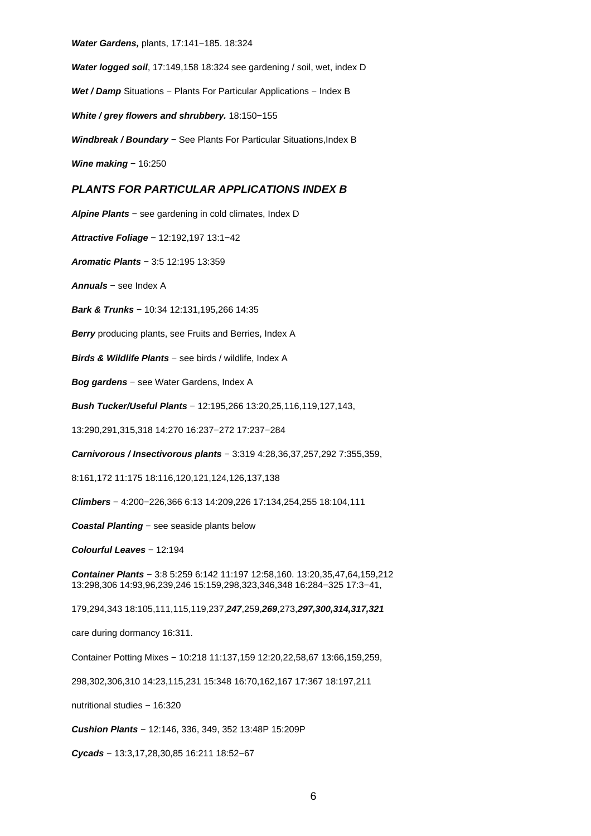**Water Gardens,** plants, 17:141−185. 18:324

**Water logged soil**, 17:149,158 18:324 see gardening / soil, wet, index D

Wet / Damp Situations – Plants For Particular Applications – Index B

**White / grey flowers and shrubbery.** 18:150−155

**Windbreak / Boundary** − See Plants For Particular Situations, Index B

**Wine making** – 16:250

## **PLANTS FOR PARTICULAR APPLICATIONS INDEX B**

**Alpine Plants** − see gardening in cold climates, Index D

**Attractive Foliage** − 12:192,197 13:1−42

**Aromatic Plants** − 3:5 12:195 13:359

**Annuals** − see Index A

**Bark & Trunks** − 10:34 12:131,195,266 14:35

**Berry** producing plants, see Fruits and Berries, Index A

**Birds & Wildlife Plants** − see birds / wildlife, Index A

**Bog gardens** − see Water Gardens, Index A

**Bush Tucker/Useful Plants** − 12:195,266 13:20,25,116,119,127,143,

13:290,291,315,318 14:270 16:237−272 17:237−284

**Carnivorous / Insectivorous plants** − 3:319 4:28,36,37,257,292 7:355,359,

8:161,172 11:175 18:116,120,121,124,126,137,138

**Climbers** − 4:200−226,366 6:13 14:209,226 17:134,254,255 18:104,111

**Coastal Planting** − see seaside plants below

**Colourful Leaves** − 12:194

**Container Plants** − 3:8 5:259 6:142 11:197 12:58,160. 13:20,35,47,64,159,212 13:298,306 14:93,96,239,246 15:159,298,323,346,348 16:284−325 17:3−41,

179,294,343 18:105,111,115,119,237,**247**,259,**269**,273,**297,300,314,317,321**

care during dormancy 16:311.

Container Potting Mixes − 10:218 11:137,159 12:20,22,58,67 13:66,159,259,

298,302,306,310 14:23,115,231 15:348 16:70,162,167 17:367 18:197,211

nutritional studies − 16:320

**Cushion Plants** − 12:146, 336, 349, 352 13:48P 15:209P

**Cycads** − 13:3,17,28,30,85 16:211 18:52−67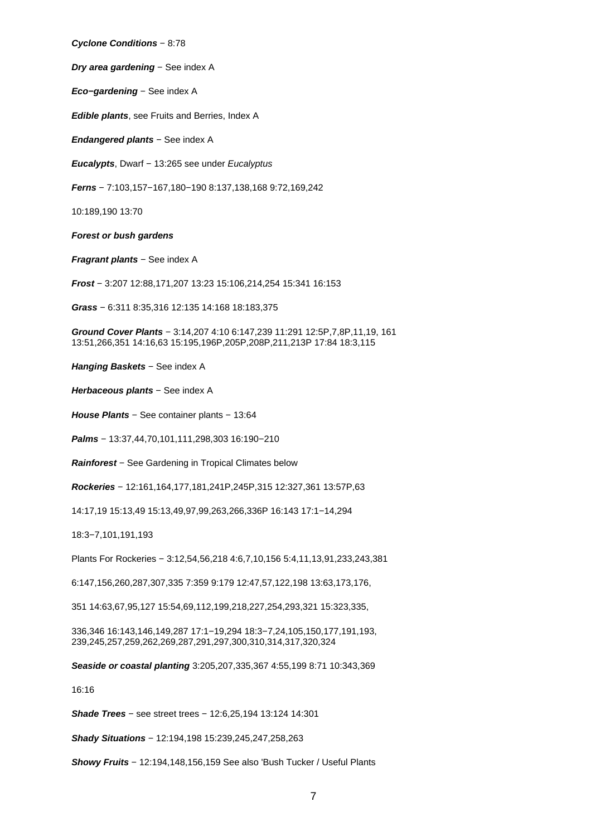**Cyclone Conditions** − 8:78

**Dry area gardening** – See index A

**Eco−gardening** − See index A

**Edible plants**, see Fruits and Berries, Index A

**Endangered plants** − See index A

**Eucalypts**, Dwarf − 13:265 see under Eucalyptus

**Ferns** − 7:103,157−167,180−190 8:137,138,168 9:72,169,242

10:189,190 13:70

**Forest or bush gardens**

**Fragrant plants** – See index A

**Frost** − 3:207 12:88,171,207 13:23 15:106,214,254 15:341 16:153

**Grass** − 6:311 8:35,316 12:135 14:168 18:183,375

**Ground Cover Plants** − 3:14,207 4:10 6:147,239 11:291 12:5P,7,8P,11,19, 161 13:51,266,351 14:16,63 15:195,196P,205P,208P,211,213P 17:84 18:3,115

**Hanging Baskets** – See index A

**Herbaceous plants** − See index A

**House Plants** − See container plants − 13:64

**Palms** − 13:37,44,70,101,111,298,303 16:190−210

**Rainforest** − See Gardening in Tropical Climates below

**Rockeries** − 12:161,164,177,181,241P,245P,315 12:327,361 13:57P,63

14:17,19 15:13,49 15:13,49,97,99,263,266,336P 16:143 17:1−14,294

18:3−7,101,191,193

Plants For Rockeries − 3:12,54,56,218 4:6,7,10,156 5:4,11,13,91,233,243,381

6:147,156,260,287,307,335 7:359 9:179 12:47,57,122,198 13:63,173,176,

351 14:63,67,95,127 15:54,69,112,199,218,227,254,293,321 15:323,335,

336,346 16:143,146,149,287 17:1−19,294 18:3−7,24,105,150,177,191,193, 239,245,257,259,262,269,287,291,297,300,310,314,317,320,324

**Seaside or coastal planting** 3:205,207,335,367 4:55,199 8:71 10:343,369

16:16

**Shade Trees** − see street trees − 12:6,25,194 13:124 14:301

**Shady Situations** − 12:194,198 15:239,245,247,258,263

**Showy Fruits** − 12:194,148,156,159 See also 'Bush Tucker / Useful Plants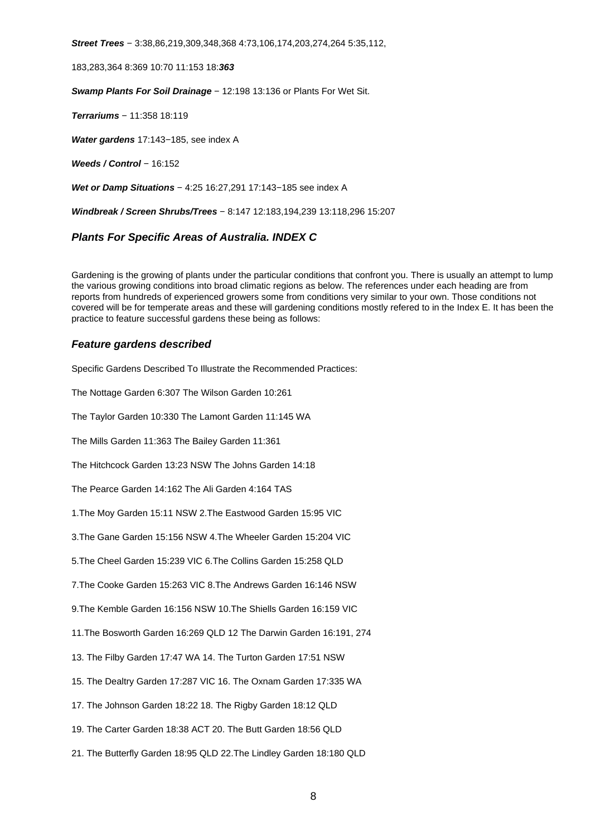**Street Trees** − 3:38,86,219,309,348,368 4:73,106,174,203,274,264 5:35,112,

183,283,364 8:369 10:70 11:153 18:**363**

**Swamp Plants For Soil Drainage** − 12:198 13:136 or Plants For Wet Sit.

**Terrariums** − 11:358 18:119

**Water gardens** 17:143−185, see index A

**Weeds / Control** − 16:152

**Wet or Damp Situations** – 4:25 16:27,291 17:143–185 see index A

**Windbreak / Screen Shrubs/Trees** − 8:147 12:183,194,239 13:118,296 15:207

## **Plants For Specific Areas of Australia. INDEX C**

Gardening is the growing of plants under the particular conditions that confront you. There is usually an attempt to lump the various growing conditions into broad climatic regions as below. The references under each heading are from reports from hundreds of experienced growers some from conditions very similar to your own. Those conditions not covered will be for temperate areas and these will gardening conditions mostly refered to in the Index E. It has been the practice to feature successful gardens these being as follows:

## **Feature gardens described**

Specific Gardens Described To Illustrate the Recommended Practices:

The Nottage Garden 6:307 The Wilson Garden 10:261

The Taylor Garden 10:330 The Lamont Garden 11:145 WA

The Mills Garden 11:363 The Bailey Garden 11:361

The Hitchcock Garden 13:23 NSW The Johns Garden 14:18

The Pearce Garden 14:162 The Ali Garden 4:164 TAS

1.The Moy Garden 15:11 NSW 2.The Eastwood Garden 15:95 VIC

3.The Gane Garden 15:156 NSW 4.The Wheeler Garden 15:204 VIC

5.The Cheel Garden 15:239 VIC 6.The Collins Garden 15:258 QLD

7.The Cooke Garden 15:263 VIC 8.The Andrews Garden 16:146 NSW

9.The Kemble Garden 16:156 NSW 10.The Shiells Garden 16:159 VIC

11.The Bosworth Garden 16:269 QLD 12 The Darwin Garden 16:191, 274

13. The Filby Garden 17:47 WA 14. The Turton Garden 17:51 NSW

15. The Dealtry Garden 17:287 VIC 16. The Oxnam Garden 17:335 WA

17. The Johnson Garden 18:22 18. The Rigby Garden 18:12 QLD

19. The Carter Garden 18:38 ACT 20. The Butt Garden 18:56 QLD

21. The Butterfly Garden 18:95 QLD 22.The Lindley Garden 18:180 QLD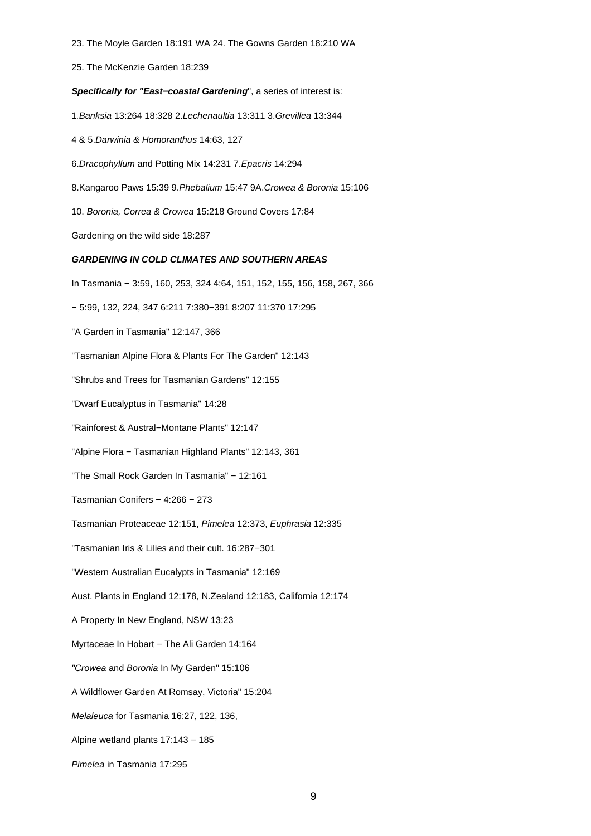23. The Moyle Garden 18:191 WA 24. The Gowns Garden 18:210 WA

25. The McKenzie Garden 18:239

## **Specifically for "East−coastal Gardening**", a series of interest is:

- 1.Banksia 13:264 18:328 2.Lechenaultia 13:311 3.Grevillea 13:344
- 4 & 5.Darwinia & Homoranthus 14:63, 127
- 6.Dracophyllum and Potting Mix 14:231 7.Epacris 14:294
- 8.Kangaroo Paws 15:39 9.Phebalium 15:47 9A.Crowea & Boronia 15:106
- 10. Boronia, Correa & Crowea 15:218 Ground Covers 17:84
- Gardening on the wild side 18:287

## **GARDENING IN COLD CLIMATES AND SOUTHERN AREAS**

- In Tasmania − 3:59, 160, 253, 324 4:64, 151, 152, 155, 156, 158, 267, 366
- − 5:99, 132, 224, 347 6:211 7:380−391 8:207 11:370 17:295
- "A Garden in Tasmania" 12:147, 366
- "Tasmanian Alpine Flora & Plants For The Garden" 12:143
- "Shrubs and Trees for Tasmanian Gardens" 12:155
- "Dwarf Eucalyptus in Tasmania" 14:28
- "Rainforest & Austral−Montane Plants" 12:147
- "Alpine Flora − Tasmanian Highland Plants" 12:143, 361
- "The Small Rock Garden In Tasmania" − 12:161
- Tasmanian Conifers − 4:266 − 273
- Tasmanian Proteaceae 12:151, Pimelea 12:373, Euphrasia 12:335
- "Tasmanian Iris & Lilies and their cult. 16:287−301
- "Western Australian Eucalypts in Tasmania" 12:169
- Aust. Plants in England 12:178, N.Zealand 12:183, California 12:174
- A Property In New England, NSW 13:23
- Myrtaceae In Hobart − The Ali Garden 14:164
- "Crowea and Boronia In My Garden" 15:106
- A Wildflower Garden At Romsay, Victoria" 15:204
- Melaleuca for Tasmania 16:27, 122, 136,
- Alpine wetland plants 17:143 − 185
- Pimelea in Tasmania 17:295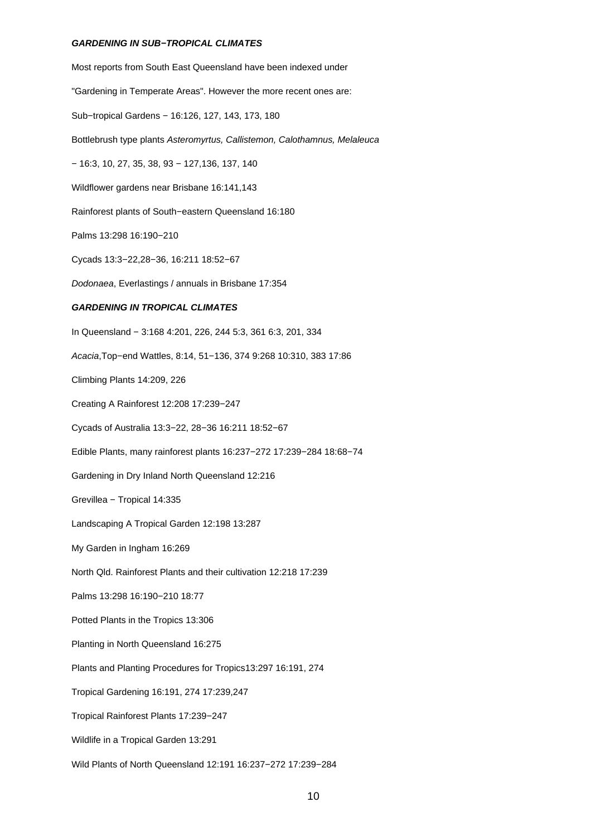#### **GARDENING IN SUB−TROPICAL CLIMATES**

Most reports from South East Queensland have been indexed under "Gardening in Temperate Areas". However the more recent ones are: Sub−tropical Gardens − 16:126, 127, 143, 173, 180 Bottlebrush type plants Asteromyrtus, Callistemon, Calothamnus, Melaleuca − 16:3, 10, 27, 35, 38, 93 − 127,136, 137, 140 Wildflower gardens near Brisbane 16:141,143 Rainforest plants of South−eastern Queensland 16:180 Palms 13:298 16:190−210 Cycads 13:3−22,28−36, 16:211 18:52−67 Dodonaea, Everlastings / annuals in Brisbane 17:354 **GARDENING IN TROPICAL CLIMATES** In Queensland − 3:168 4:201, 226, 244 5:3, 361 6:3, 201, 334 Acacia,Top−end Wattles, 8:14, 51−136, 374 9:268 10:310, 383 17:86 Climbing Plants 14:209, 226 Creating A Rainforest 12:208 17:239−247 Cycads of Australia 13:3−22, 28−36 16:211 18:52−67 Edible Plants, many rainforest plants 16:237−272 17:239−284 18:68−74 Gardening in Dry Inland North Queensland 12:216 Grevillea − Tropical 14:335 Landscaping A Tropical Garden 12:198 13:287 My Garden in Ingham 16:269 North Qld. Rainforest Plants and their cultivation 12:218 17:239 Palms 13:298 16:190−210 18:77 Potted Plants in the Tropics 13:306 Planting in North Queensland 16:275 Plants and Planting Procedures for Tropics13:297 16:191, 274 Tropical Gardening 16:191, 274 17:239,247 Tropical Rainforest Plants 17:239−247 Wildlife in a Tropical Garden 13:291 Wild Plants of North Queensland 12:191 16:237−272 17:239−284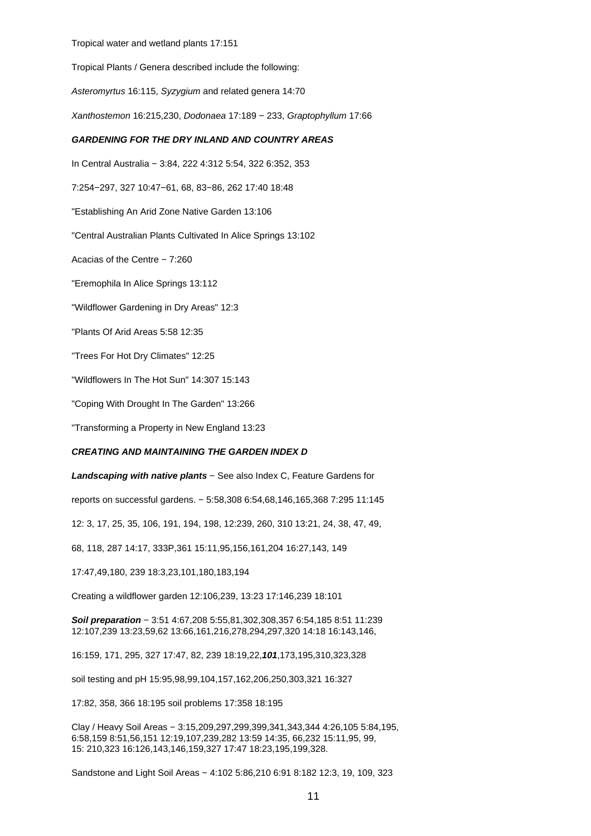#### Tropical water and wetland plants 17:151

Tropical Plants / Genera described include the following:

Asteromyrtus 16:115, Syzygium and related genera 14:70

Xanthostemon 16:215,230, Dodonaea 17:189 − 233, Graptophyllum 17:66

## **GARDENING FOR THE DRY INLAND AND COUNTRY AREAS**

In Central Australia − 3:84, 222 4:312 5:54, 322 6:352, 353

7:254−297, 327 10:47−61, 68, 83−86, 262 17:40 18:48

"Establishing An Arid Zone Native Garden 13:106

"Central Australian Plants Cultivated In Alice Springs 13:102

Acacias of the Centre − 7:260

"Eremophila In Alice Springs 13:112

"Wildflower Gardening in Dry Areas" 12:3

"Plants Of Arid Areas 5:58 12:35

"Trees For Hot Dry Climates" 12:25

"Wildflowers In The Hot Sun" 14:307 15:143

"Coping With Drought In The Garden" 13:266

"Transforming a Property in New England 13:23

## **CREATING AND MAINTAINING THE GARDEN INDEX D**

**Landscaping with native plants** − See also Index C, Feature Gardens for

reports on successful gardens. − 5:58,308 6:54,68,146,165,368 7:295 11:145

12: 3, 17, 25, 35, 106, 191, 194, 198, 12:239, 260, 310 13:21, 24, 38, 47, 49,

68, 118, 287 14:17, 333P,361 15:11,95,156,161,204 16:27,143, 149

17:47,49,180, 239 18:3,23,101,180,183,194

Creating a wildflower garden 12:106,239, 13:23 17:146,239 18:101

**Soil preparation** − 3:51 4:67,208 5:55,81,302,308,357 6:54,185 8:51 11:239 12:107,239 13:23,59,62 13:66,161,216,278,294,297,320 14:18 16:143,146,

16:159, 171, 295, 327 17:47, 82, 239 18:19,22,**101**,173,195,310,323,328

soil testing and pH 15:95,98,99,104,157,162,206,250,303,321 16:327

17:82, 358, 366 18:195 soil problems 17:358 18:195

Clay / Heavy Soil Areas − 3:15,209,297,299,399,341,343,344 4:26,105 5:84,195, 6:58,159 8:51,56,151 12:19,107,239,282 13:59 14:35, 66,232 15:11,95, 99, 15: 210,323 16:126,143,146,159,327 17:47 18:23,195,199,328.

Sandstone and Light Soil Areas − 4:102 5:86,210 6:91 8:182 12:3, 19, 109, 323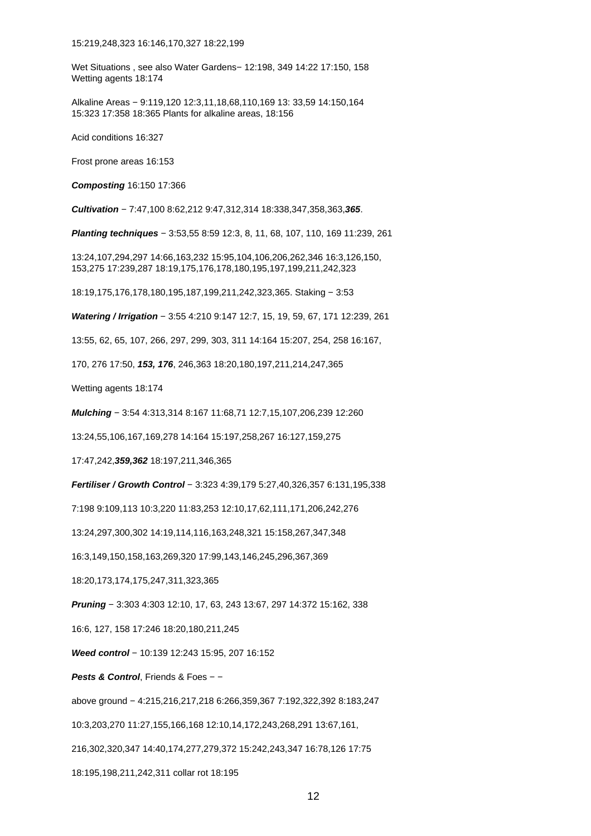Wet Situations , see also Water Gardens− 12:198, 349 14:22 17:150, 158 Wetting agents 18:174

Alkaline Areas − 9:119,120 12:3,11,18,68,110,169 13: 33,59 14:150,164 15:323 17:358 18:365 Plants for alkaline areas, 18:156

Acid conditions 16:327

Frost prone areas 16:153

**Composting** 16:150 17:366

**Cultivation** − 7:47,100 8:62,212 9:47,312,314 18:338,347,358,363,**365**.

**Planting techniques** − 3:53,55 8:59 12:3, 8, 11, 68, 107, 110, 169 11:239, 261

13:24,107,294,297 14:66,163,232 15:95,104,106,206,262,346 16:3,126,150, 153,275 17:239,287 18:19,175,176,178,180,195,197,199,211,242,323

18:19,175,176,178,180,195,187,199,211,242,323,365. Staking − 3:53

**Watering / Irrigation** − 3:55 4:210 9:147 12:7, 15, 19, 59, 67, 171 12:239, 261

13:55, 62, 65, 107, 266, 297, 299, 303, 311 14:164 15:207, 254, 258 16:167,

170, 276 17:50, **153, 176**, 246,363 18:20,180,197,211,214,247,365

Wetting agents 18:174

**Mulching** − 3:54 4:313,314 8:167 11:68,71 12:7,15,107,206,239 12:260

13:24,55,106,167,169,278 14:164 15:197,258,267 16:127,159,275

17:47,242,**359,362** 18:197,211,346,365

**Fertiliser / Growth Control** − 3:323 4:39,179 5:27,40,326,357 6:131,195,338

7:198 9:109,113 10:3,220 11:83,253 12:10,17,62,111,171,206,242,276

13:24,297,300,302 14:19,114,116,163,248,321 15:158,267,347,348

16:3,149,150,158,163,269,320 17:99,143,146,245,296,367,369

18:20,173,174,175,247,311,323,365

**Pruning** − 3:303 4:303 12:10, 17, 63, 243 13:67, 297 14:372 15:162, 338

16:6, 127, 158 17:246 18:20,180,211,245

**Weed control** − 10:139 12:243 15:95, 207 16:152

**Pests & Control**, Friends & Foes – −

above ground − 4:215,216,217,218 6:266,359,367 7:192,322,392 8:183,247

10:3,203,270 11:27,155,166,168 12:10,14,172,243,268,291 13:67,161,

216,302,320,347 14:40,174,277,279,372 15:242,243,347 16:78,126 17:75

18:195,198,211,242,311 collar rot 18:195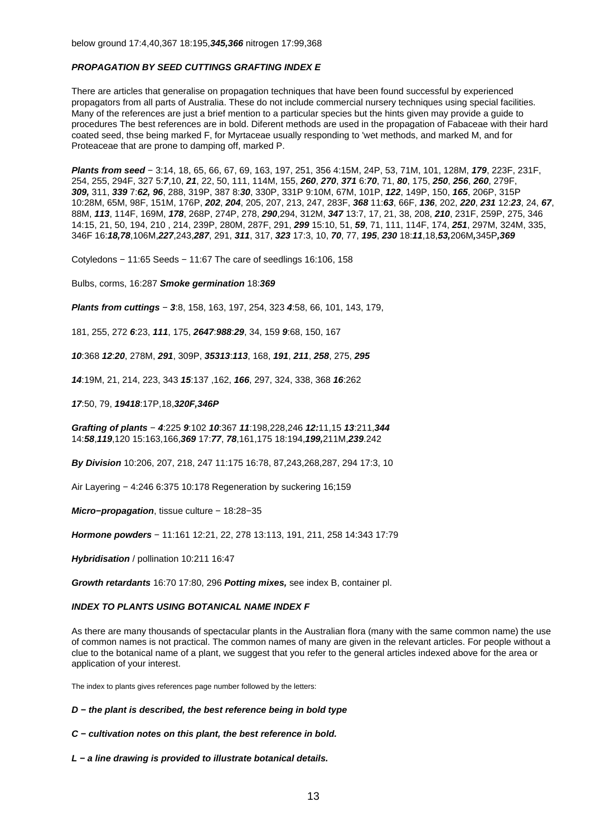## **PROPAGATION BY SEED CUTTINGS GRAFTING INDEX E**

There are articles that generalise on propagation techniques that have been found successful by experienced propagators from all parts of Australia. These do not include commercial nursery techniques using special facilities. Many of the references are just a brief mention to a particular species but the hints given may provide a guide to procedures The best references are in bold. Diferent methods are used in the propagation of Fabaceae with their hard coated seed, thse being marked F, for Myrtaceae usually responding to 'wet methods, and marked M, and for Proteaceae that are prone to damping off, marked P.

**Plants from seed** − 3:14, 18, 65, 66, 67, 69, 163, 197, 251, 356 4:15M, 24P, 53, 71M, 101, 128M, **179**, 223F, 231F, 254, 255, 294F, 327 5:**7**,10, **21**, 22, 50, 111, 114M, 155, **260**, **270**, **371** 6:**70**, 71, **80**, 175, **250**, **256**, **260**, 279F, **309,** 311, **339** 7:**62, 96**, 288, 319P, 387 8:**30**, 330P, 331P 9:10M, 67M, 101P, **122**, 149P, 150, **165**, 206P, 315P 10:28M, 65M, 98F, 151M, 176P, **202**, **204**, 205, 207, 213, 247, 283F, **368** 11:**63**, 66F, **136**, 202, **220**, **231** 12:**23**, 24, **67**, 88M, **113**, 114F, 169M, **178**, 268P, 274P, 278, **290**,294, 312M, **347** 13:7, 17, 21, 38, 208, **210**, 231F, 259P, 275, 346 14:15, 21, 50, 194, 210 , 214, 239P, 280M, 287F, 291, **299** 15:10, 51, **59**, 71, 111, 114F, 174, **251**, 297M, 324M, 335, 346F 16:**18,78**,106M,**227**,243,**287**, 291, **311**, 317, **323** 17:3, 10, **70**, 77, **195**, **230** 18:**11**,18,**53,**206M**,**345P**,369**

Cotyledons − 11:65 Seeds − 11:67 The care of seedlings 16:106, 158

Bulbs, corms, 16:287 **Smoke germination** 18:**369**

**Plants from cuttings** − **3**:8, 158, 163, 197, 254, 323 **4**:58, 66, 101, 143, 179,

181, 255, 272 **6**:23, **111**, 175, **2647**:**988**:**29**, 34, 159 **9**:68, 150, 167

**10**:368 **12**:**20**, 278M, **291**, 309P, **35313**:**113**, 168, **191**, **211**, **258**, 275, **295**

**14**:19M, 21, 214, 223, 343 **15**:137 ,162, **166**, 297, 324, 338, 368 **16**:262

**17**:50, 79, **19418**:17P,18,**320F,346P**

**Grafting of plants** − **4**:225 **9**:102 **10**:367 **11**:198,228,246 **12:**11,15 **13**:211,**344** 14:**58**,**119**,120 15:163,166,**369** 17:**77**, **78**,161,175 18:194,**199,**211M,**239**.242

**By Division** 10:206, 207, 218, 247 11:175 16:78, 87,243,268,287, 294 17:3, 10

Air Layering − 4:246 6:375 10:178 Regeneration by suckering 16;159

**Micro−propagation**, tissue culture − 18:28−35

**Hormone powders** − 11:161 12:21, 22, 278 13:113, 191, 211, 258 14:343 17:79

**Hybridisation** / pollination 10:211 16:47

**Growth retardants** 16:70 17:80, 296 **Potting mixes,** see index B, container pl.

### **INDEX TO PLANTS USING BOTANICAL NAME INDEX F**

As there are many thousands of spectacular plants in the Australian flora (many with the same common name) the use of common names is not practical. The common names of many are given in the relevant articles. For people without a clue to the botanical name of a plant, we suggest that you refer to the general articles indexed above for the area or application of your interest.

The index to plants gives references page number followed by the letters:

**D − the plant is described, the best reference being in bold type**

**C − cultivation notes on this plant, the best reference in bold.**

**L − a line drawing is provided to illustrate botanical details.**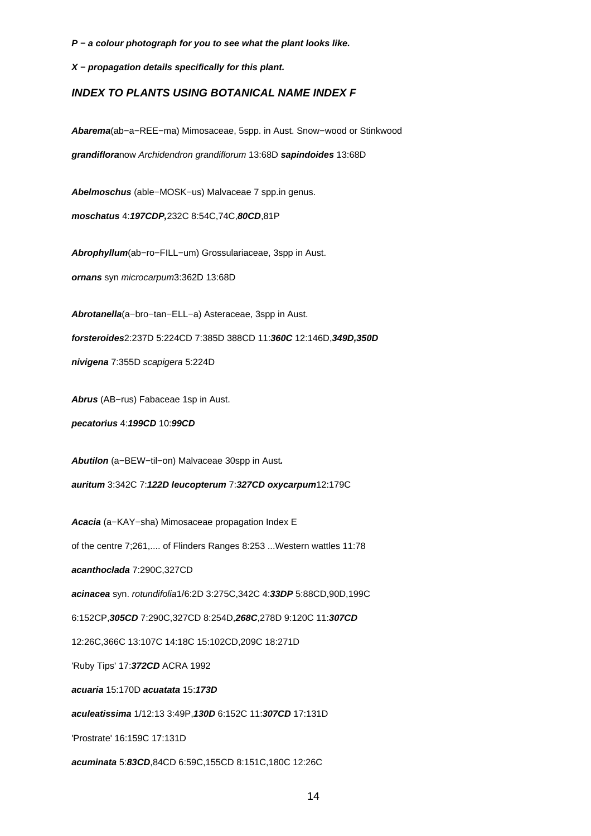**P − a colour photograph for you to see what the plant looks like.**

**X − propagation details specifically for this plant.**

# **INDEX TO PLANTS USING BOTANICAL NAME INDEX F**

**Abarema**(ab−a−REE−ma) Mimosaceae, 5spp. in Aust. Snow−wood or Stinkwood **grandiflora**now Archidendron grandiflorum 13:68D **sapindoides** 13:68D

**Abelmoschus** (able−MOSK−us) Malvaceae 7 spp.in genus.

**moschatus** 4:**197CDP,**232C 8:54C,74C,**80CD**,81P

**Abrophyllum**(ab−ro−FILL−um) Grossulariaceae, 3spp in Aust.

**ornans** syn microcarpum3:362D 13:68D

**Abrotanella**(a−bro−tan−ELL−a) Asteraceae, 3spp in Aust.

**forsteroides**2:237D 5:224CD 7:385D 388CD 11:**360C** 12:146D,**349D,350D**

**nivigena** 7:355D scapigera 5:224D

**Abrus** (AB−rus) Fabaceae 1sp in Aust.

**pecatorius** 4:**199CD** 10:**99CD**

**Abutilon** (a−BEW−til−on) Malvaceae 30spp in Aust**.**

**auritum** 3:342C 7:**122D leucopterum** 7:**327CD oxycarpum**12:179C

**Acacia** (a−KAY−sha) Mimosaceae propagation Index E

of the centre 7;261,.... of Flinders Ranges 8:253 ...Western wattles 11:78

**acanthoclada** 7:290C,327CD

**acinacea** syn. rotundifolia1/6:2D 3:275C,342C 4:**33DP** 5:88CD,90D,199C

6:152CP,**305CD** 7:290C,327CD 8:254D,**268C**,278D 9:120C 11:**307CD**

12:26C,366C 13:107C 14:18C 15:102CD,209C 18:271D

'Ruby Tips' 17:**372CD** ACRA 1992

**acuaria** 15:170D **acuatata** 15:**173D**

**aculeatissima** 1/12:13 3:49P,**130D** 6:152C 11:**307CD** 17:131D

'Prostrate' 16:159C 17:131D

**acuminata** 5:**83CD**,84CD 6:59C,155CD 8:151C,180C 12:26C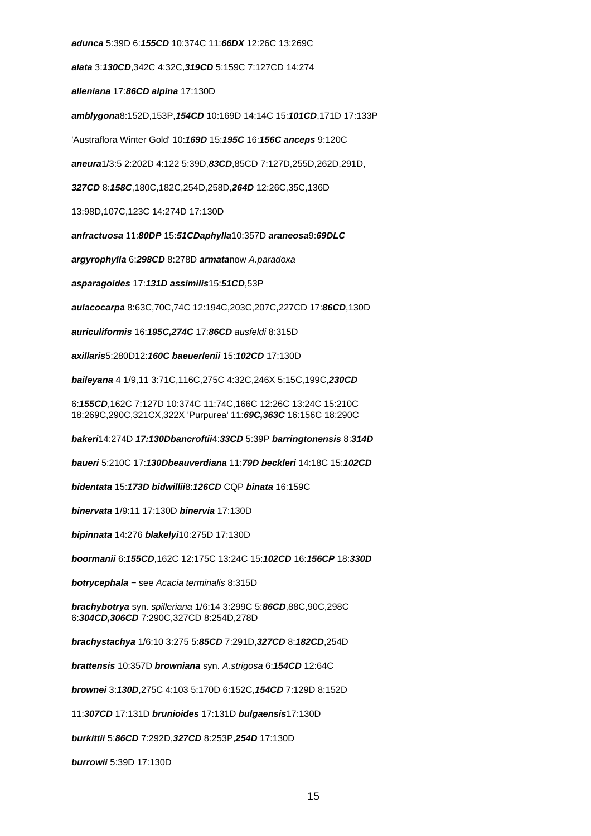**adunca** 5:39D 6:**155CD** 10:374C 11:**66DX** 12:26C 13:269C

**alata** 3:**130CD**,342C 4:32C,**319CD** 5:159C 7:127CD 14:274

**alleniana** 17:**86CD alpina** 17:130D

**amblygona**8:152D,153P,**154CD** 10:169D 14:14C 15:**101CD**,171D 17:133P

'Austraflora Winter Gold' 10:**169D** 15:**195C** 16:**156C anceps** 9:120C

**aneura**1/3:5 2:202D 4:122 5:39D,**83CD**,85CD 7:127D,255D,262D,291D,

**327CD** 8:**158C**,180C,182C,254D,258D,**264D** 12:26C,35C,136D

13:98D,107C,123C 14:274D 17:130D

**anfractuosa** 11:**80DP** 15:**51CDaphylla**10:357D **araneosa**9:**69DLC**

**argyrophylla** 6:**298CD** 8:278D **armata**now A.paradoxa

**asparagoides** 17:**131D assimilis**15:**51CD**,53P

**aulacocarpa** 8:63C,70C,74C 12:194C,203C,207C,227CD 17:**86CD**,130D

**auriculiformis** 16:**195C,274C** 17:**86CD** ausfeldi 8:315D

**axillaris**5:280D12:**160C baeuerlenii** 15:**102CD** 17:130D

**baileyana** 4 1/9,11 3:71C,116C,275C 4:32C,246X 5:15C,199C,**230CD**

6:**155CD**,162C 7:127D 10:374C 11:74C,166C 12:26C 13:24C 15:210C 18:269C,290C,321CX,322X 'Purpurea' 11:**69C,363C** 16:156C 18:290C

**bakeri**14:274D **17:130Dbancroftii**4:**33CD** 5:39P **barringtonensis** 8:**314D**

**baueri** 5:210C 17:**130Dbeauverdiana** 11:**79D beckleri** 14:18C 15:**102CD**

**bidentata** 15:**173D bidwillii**8:**126CD** CQP **binata** 16:159C

**binervata** 1/9:11 17:130D **binervia** 17:130D

**bipinnata** 14:276 **blakelyi**10:275D 17:130D

**boormanii** 6:**155CD**,162C 12:175C 13:24C 15:**102CD** 16:**156CP** 18:**330D**

**botrycephala** − see Acacia terminalis 8:315D

**brachybotrya** syn. spilleriana 1/6:14 3:299C 5:**86CD**,88C,90C,298C 6:**304CD,306CD** 7:290C,327CD 8:254D,278D

**brachystachya** 1/6:10 3:275 5:**85CD** 7:291D,**327CD** 8:**182CD**,254D

**brattensis** 10:357D **browniana** syn. A.strigosa 6:**154CD** 12:64C

**brownei** 3:**130D**,275C 4:103 5:170D 6:152C,**154CD** 7:129D 8:152D

11:**307CD** 17:131D **brunioides** 17:131D **bulgaensis**17:130D

**burkittii** 5:**86CD** 7:292D,**327CD** 8:253P,**254D** 17:130D

**burrowii** 5:39D 17:130D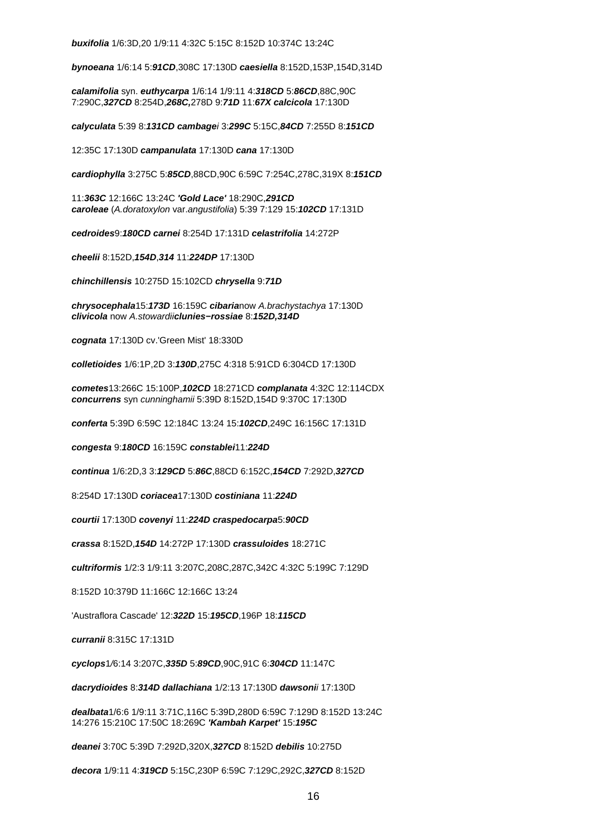**buxifolia** 1/6:3D,20 1/9:11 4:32C 5:15C 8:152D 10:374C 13:24C

**bynoeana** 1/6:14 5:**91CD**,308C 17:130D **caesiella** 8:152D,153P,154D,314D

**calamifolia** syn. **euthycarpa** 1/6:14 1/9:11 4:**318CD** 5:**86CD**,88C,90C 7:290C,**327CD** 8:254D,**268C,**278D 9:**71D** 11:**67X calcicola** 17:130D

**calyculata** 5:39 8:**131CD cambage**i 3:**299C** 5:15C,**84CD** 7:255D 8:**151CD**

12:35C 17:130D **campanulata** 17:130D **cana** 17:130D

**cardiophylla** 3:275C 5:**85CD**,88CD,90C 6:59C 7:254C,278C,319X 8:**151CD**

11:**363C** 12:166C 13:24C **'Gold Lace'** 18:290C,**291CD caroleae** (A.doratoxylon var.angustifolia) 5:39 7:129 15:**102CD** 17:131D

**cedroides**9:**180CD carnei** 8:254D 17:131D **celastrifolia** 14:272P

**cheelii** 8:152D,**154D**,**314** 11:**224DP** 17:130D

**chinchillensis** 10:275D 15:102CD **chrysella** 9:**71D**

**chrysocephala**15:**173D** 16:159C **cibaria**now A.brachystachya 17:130D **clivicola** now A.stowardii**clunies−rossiae** 8:**152D,314D**

**cognata** 17:130D cv.'Green Mist' 18:330D

**colletioides** 1/6:1P,2D 3:**130D**,275C 4:318 5:91CD 6:304CD 17:130D

**cometes**13:266C 15:100P,**102CD** 18:271CD **complanata** 4:32C 12:114CDX **concurrens** syn cunninghamii 5:39D 8:152D,154D 9:370C 17:130D

**conferta** 5:39D 6:59C 12:184C 13:24 15:**102CD**,249C 16:156C 17:131D

**congesta** 9:**180CD** 16:159C **constablei**11:**224D**

**continua** 1/6:2D,3 3:**129CD** 5:**86C**,88CD 6:152C,**154CD** 7:292D,**327CD**

8:254D 17:130D **coriacea**17:130D **costiniana** 11:**224D**

**courtii** 17:130D **covenyi** 11:**224D craspedocarpa**5:**90CD**

**crassa** 8:152D,**154D** 14:272P 17:130D **crassuloides** 18:271C

**cultriformis** 1/2:3 1/9:11 3:207C,208C,287C,342C 4:32C 5:199C 7:129D

8:152D 10:379D 11:166C 12:166C 13:24

'Austraflora Cascade' 12:**322D** 15:**195CD**,196P 18:**115CD**

**curranii** 8:315C 17:131D

**cyclops**1/6:14 3:207C,**335D** 5:**89CD**,90C,91C 6:**304CD** 11:147C

**dacrydioides** 8:**314D dallachiana** 1/2:13 17:130D **dawsoni**i 17:130D

**dealbata**1/6:6 1/9:11 3:71C,116C 5:39D,280D 6:59C 7:129D 8:152D 13:24C 14:276 15:210C 17:50C 18:269C **'Kambah Karpet'** 15:**195C**

**deanei** 3:70C 5:39D 7:292D,320X,**327CD** 8:152D **debilis** 10:275D

**decora** 1/9:11 4:**319CD** 5:15C,230P 6:59C 7:129C,292C,**327CD** 8:152D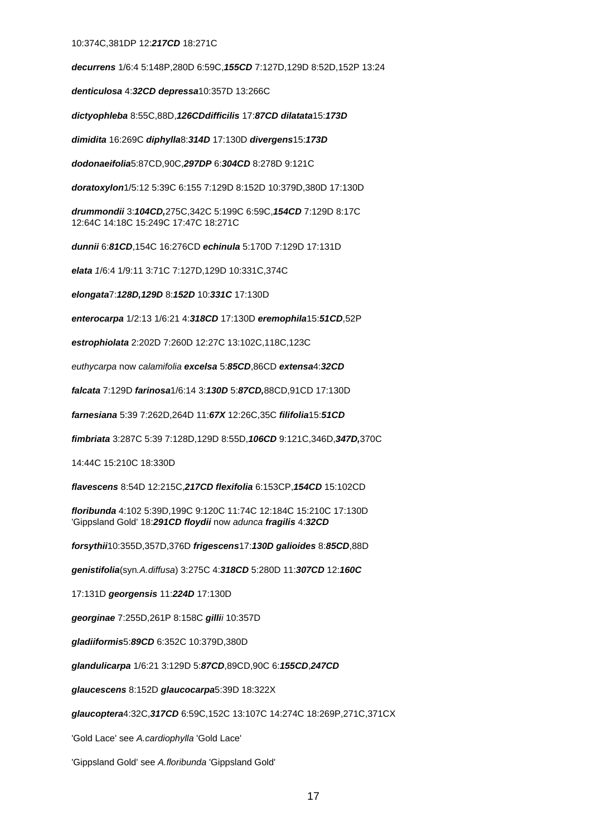#### 10:374C,381DP 12:**217CD** 18:271C

**decurrens** 1/6:4 5:148P,280D 6:59C,**155CD** 7:127D,129D 8:52D,152P 13:24

**denticulosa** 4:**32CD depressa**10:357D 13:266C

**dictyophleba** 8:55C,88D,**126CDdifficilis** 17:**87CD dilatata**15:**173D**

**dimidita** 16:269C **diphylla**8:**314D** 17:130D **divergens**15:**173D**

**dodonaeifolia**5:87CD,90C,**297DP** 6:**304CD** 8:278D 9:121C

**doratoxylon**1/5:12 5:39C 6:155 7:129D 8:152D 10:379D,380D 17:130D

**drummondii** 3:**104CD,**275C,342C 5:199C 6:59C,**154CD** 7:129D 8:17C 12:64C 14:18C 15:249C 17:47C 18:271C

**dunnii** 6:**81CD**,154C 16:276CD **echinula** 5:170D 7:129D 17:131D

**elata** 1/6:4 1/9:11 3:71C 7:127D,129D 10:331C,374C

**elongata**7:**128D,129D** 8:**152D** 10:**331C** 17:130D

**enterocarpa** 1/2:13 1/6:21 4:**318CD** 17:130D **eremophila**15:**51CD**,52P

**estrophiolata** 2:202D 7:260D 12:27C 13:102C,118C,123C

euthycarpa now calamifolia **excelsa** 5:**85CD**,86CD **extensa**4:**32CD**

**falcata** 7:129D **farinosa**1/6:14 3:**130D** 5:**87CD,**88CD,91CD 17:130D

**farnesiana** 5:39 7:262D,264D 11:**67X** 12:26C,35C **filifolia**15:**51CD**

**fimbriata** 3:287C 5:39 7:128D,129D 8:55D,**106CD** 9:121C,346D,**347D,**370C

14:44C 15:210C 18:330D

**flavescens** 8:54D 12:215C,**217CD flexifolia** 6:153CP,**154CD** 15:102CD

**floribunda** 4:102 5:39D,199C 9:120C 11:74C 12:184C 15:210C 17:130D 'Gippsland Gold' 18:**291CD floydii** now adunca **fragilis** 4:**32CD**

**forsythii**10:355D,357D,376D **frigescens**17:**130D galioides** 8:**85CD**,88D

**genistifolia**(syn.A.diffusa) 3:275C 4:**318CD** 5:280D 11:**307CD** 12:**160C**

17:131D **georgensis** 11:**224D** 17:130D

**georginae** 7:255D,261P 8:158C **gilli**i 10:357D

**gladiiformis**5:**89CD** 6:352C 10:379D,380D

**glandulicarpa** 1/6:21 3:129D 5:**87CD**,89CD,90C 6:**155CD**,**247CD**

**glaucescens** 8:152D **glaucocarpa**5:39D 18:322X

**glaucoptera**4:32C,**317CD** 6:59C,152C 13:107C 14:274C 18:269P,271C,371CX

'Gold Lace' see A.cardiophylla 'Gold Lace'

'Gippsland Gold' see A.floribunda 'Gippsland Gold'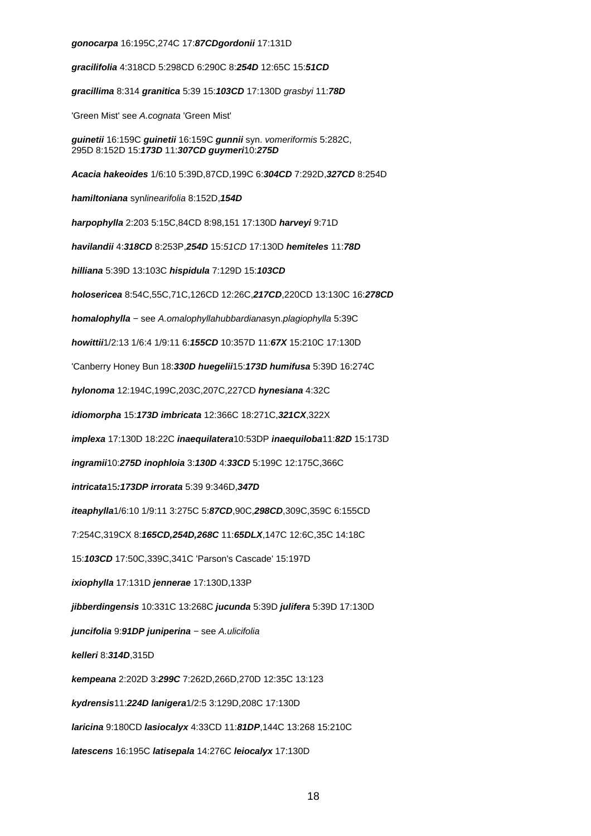**gonocarpa** 16:195C,274C 17:**87CDgordonii** 17:131D

**gracilifolia** 4:318CD 5:298CD 6:290C 8:**254D** 12:65C 15:**51CD**

**gracillima** 8:314 **granitica** 5:39 15:**103CD** 17:130D grasbyi 11:**78D**

'Green Mist' see A.cognata 'Green Mist'

**guinetii** 16:159C **guinetii** 16:159C **gunnii** syn. vomeriformis 5:282C, 295D 8:152D 15:**173D** 11:**307CD guymeri**10:**275D**

**Acacia hakeoides** 1/6:10 5:39D,87CD,199C 6:**304CD** 7:292D,**327CD** 8:254D

**hamiltoniana** synlinearifolia 8:152D,**154D**

**harpophylla** 2:203 5:15C,84CD 8:98,151 17:130D **harveyi** 9:71D

**havilandii** 4:**318CD** 8:253P,**254D** 15:51CD 17:130D **hemiteles** 11:**78D**

**hilliana** 5:39D 13:103C **hispidula** 7:129D 15:**103CD**

**holosericea** 8:54C,55C,71C,126CD 12:26C,**217CD**,220CD 13:130C 16:**278CD**

**homalophylla** − see A.omalophyllahubbardianasyn.plagiophylla 5:39C

**howittii**1/2:13 1/6:4 1/9:11 6:**155CD** 10:357D 11:**67X** 15:210C 17:130D

'Canberry Honey Bun 18:**330D huegelii**15:**173D humifusa** 5:39D 16:274C

**hylonoma** 12:194C,199C,203C,207C,227CD **hynesiana** 4:32C

**idiomorpha** 15:**173D imbricata** 12:366C 18:271C,**321CX**,322X

**implexa** 17:130D 18:22C **inaequilatera**10:53DP **inaequiloba**11:**82D** 15:173D

**ingramii**10:**275D inophloia** 3:**130D** 4:**33CD** 5:199C 12:175C,366C

**intricata**15**:173DP irrorata** 5:39 9:346D,**347D**

**iteaphylla**1/6:10 1/9:11 3:275C 5:**87CD**,90C,**298CD**,309C,359C 6:155CD

7:254C,319CX 8:**165CD,254D,268C** 11:**65DLX**,147C 12:6C,35C 14:18C

15:**103CD** 17:50C,339C,341C 'Parson's Cascade' 15:197D

**ixiophylla** 17:131D **jennerae** 17:130D,133P

**jibberdingensis** 10:331C 13:268C **jucunda** 5:39D **julifera** 5:39D 17:130D

**juncifolia** 9:**91DP juniperina** − see A.ulicifolia

**kelleri** 8:**314D**,315D

**kempeana** 2:202D 3:**299C** 7:262D,266D,270D 12:35C 13:123

**kydrensis**11:**224D lanigera**1/2:5 3:129D,208C 17:130D

**laricina** 9:180CD **lasiocalyx** 4:33CD 11:**81DP**,144C 13:268 15:210C

**latescens** 16:195C **latisepala** 14:276C **leiocalyx** 17:130D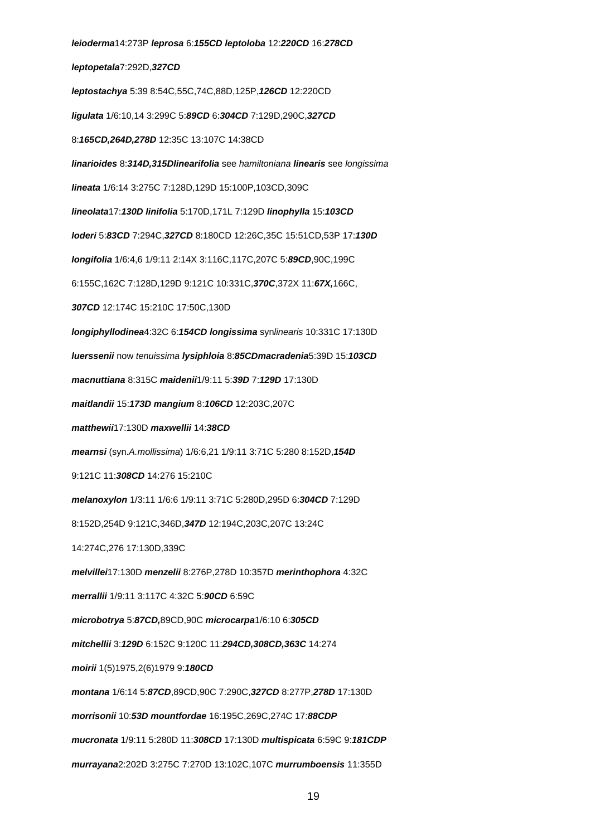**leioderma**14:273P **leprosa** 6:**155CD leptoloba** 12:**220CD** 16:**278CD leptopetala**7:292D,**327CD leptostachya** 5:39 8:54C,55C,74C,88D,125P,**126CD** 12:220CD **ligulata** 1/6:10,14 3:299C 5:**89CD** 6:**304CD** 7:129D,290C,**327CD** 8:**165CD,264D,278D** 12:35C 13:107C 14:38CD **linarioides** 8:**314D,315Dlinearifolia** see hamiltoniana **linearis** see longissima **lineata** 1/6:14 3:275C 7:128D,129D 15:100P,103CD,309C **lineolata**17:**130D linifolia** 5:170D,171L 7:129D **linophylla** 15:**103CD loderi** 5:**83CD** 7:294C,**327CD** 8:180CD 12:26C,35C 15:51CD,53P 17:**130D longifolia** 1/6:4,6 1/9:11 2:14X 3:116C,117C,207C 5:**89CD**,90C,199C 6:155C,162C 7:128D,129D 9:121C 10:331C,**370C**,372X 11:**67X,**166C, **307CD** 12:174C 15:210C 17:50C,130D **longiphyllodinea**4:32C 6:**154CD longissima** synlinearis 10:331C 17:130D **luerssenii** now tenuissima **lysiphloia** 8:**85CDmacradenia**5:39D 15:**103CD macnuttiana** 8:315C **maidenii**1/9:11 5:**39D** 7:**129D** 17:130D **maitlandii** 15:**173D mangium** 8:**106CD** 12:203C,207C **matthewii**17:130D **maxwellii** 14:**38CD mearnsi** (syn.A.mollissima) 1/6:6,21 1/9:11 3:71C 5:280 8:152D,**154D** 9:121C 11:**308CD** 14:276 15:210C **melanoxylon** 1/3:11 1/6:6 1/9:11 3:71C 5:280D,295D 6:**304CD** 7:129D 8:152D,254D 9:121C,346D,**347D** 12:194C,203C,207C 13:24C 14:274C,276 17:130D,339C **melvillei**17:130D **menzelii** 8:276P,278D 10:357D **merinthophora** 4:32C **merrallii** 1/9:11 3:117C 4:32C 5:**90CD** 6:59C **microbotrya** 5:**87CD,**89CD,90C **microcarpa**1/6:10 6:**305CD mitchellii** 3:**129D** 6:152C 9:120C 11:**294CD,308CD,363C** 14:274 **moirii** 1(5)1975,2(6)1979 9:**180CD montana** 1/6:14 5:**87CD**,89CD,90C 7:290C,**327CD** 8:277P,**278D** 17:130D **morrisonii** 10:**53D mountfordae** 16:195C,269C,274C 17:**88CDP mucronata** 1/9:11 5:280D 11:**308CD** 17:130D **multispicata** 6:59C 9:**181CDP murrayana**2:202D 3:275C 7:270D 13:102C,107C **murrumboensis** 11:355D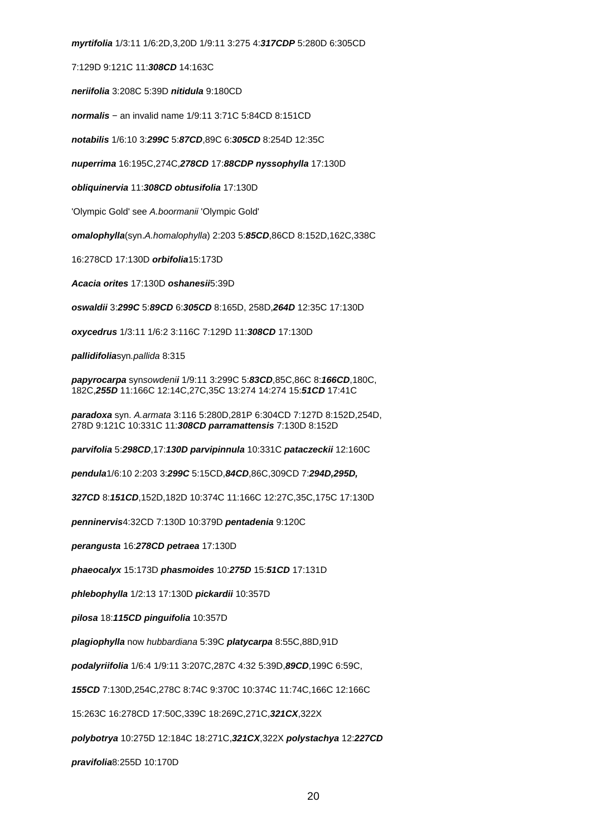**myrtifolia** 1/3:11 1/6:2D,3,20D 1/9:11 3:275 4:**317CDP** 5:280D 6:305CD

7:129D 9:121C 11:**308CD** 14:163C

**neriifolia** 3:208C 5:39D **nitidula** 9:180CD

**normalis** − an invalid name 1/9:11 3:71C 5:84CD 8:151CD

**notabilis** 1/6:10 3:**299C** 5:**87CD**,89C 6:**305CD** 8:254D 12:35C

**nuperrima** 16:195C,274C,**278CD** 17:**88CDP nyssophylla** 17:130D

**obliquinervia** 11:**308CD obtusifolia** 17:130D

'Olympic Gold' see A.boormanii 'Olympic Gold'

**omalophylla**(syn.A.homalophylla) 2:203 5:**85CD**,86CD 8:152D,162C,338C

16:278CD 17:130D **orbifolia**15:173D

**Acacia orites** 17:130D **oshanesii**5:39D

**oswaldii** 3:**299C** 5:**89CD** 6:**305CD** 8:165D, 258D,**264D** 12:35C 17:130D

**oxycedrus** 1/3:11 1/6:2 3:116C 7:129D 11:**308CD** 17:130D

**pallidifolia**syn.pallida 8:315

**papyrocarpa** synsowdeni**i** 1/9:11 3:299C 5:**83CD**,85C,86C 8:**166CD**,180C, 182C,**255D** 11:166C 12:14C,27C,35C 13:274 14:274 15:**51CD** 17:41C

**paradoxa** syn. A.armata 3:116 5:280D,281P 6:304CD 7:127D 8:152D,254D, 278D 9:121C 10:331C 11:**308CD parramattensis** 7:130D 8:152D

**parvifolia** 5:**298CD**,17:**130D parvipinnula** 10:331C **pataczeckii** 12:160C

**pendula**1/6:10 2:203 3:**299C** 5:15CD,**84CD**,86C,309CD 7:**294D,295D,**

**327CD** 8:**151CD**,152D,182D 10:374C 11:166C 12:27C,35C,175C 17:130D

**penninervis**4:32CD 7:130D 10:379D **pentadenia** 9:120C

**perangusta** 16:**278CD petraea** 17:130D

**phaeocalyx** 15:173D **phasmoides** 10:**275D** 15:**51CD** 17:131D

**phlebophylla** 1/2:13 17:130D **pickardii** 10:357D

**pilosa** 18:**115CD pinguifolia** 10:357D

**plagiophylla** now hubbardiana 5:39C **platycarpa** 8:55C,88D,91D

**podalyriifolia** 1/6:4 1/9:11 3:207C,287C 4:32 5:39D,**89CD**,199C 6:59C,

**155CD** 7:130D,254C,278C 8:74C 9:370C 10:374C 11:74C,166C 12:166C

15:263C 16:278CD 17:50C,339C 18:269C,271C,**321CX**,322X

**polybotrya** 10:275D 12:184C 18:271C,**321CX**,322X **polystachya** 12:**227CD**

**pravifolia**8:255D 10:170D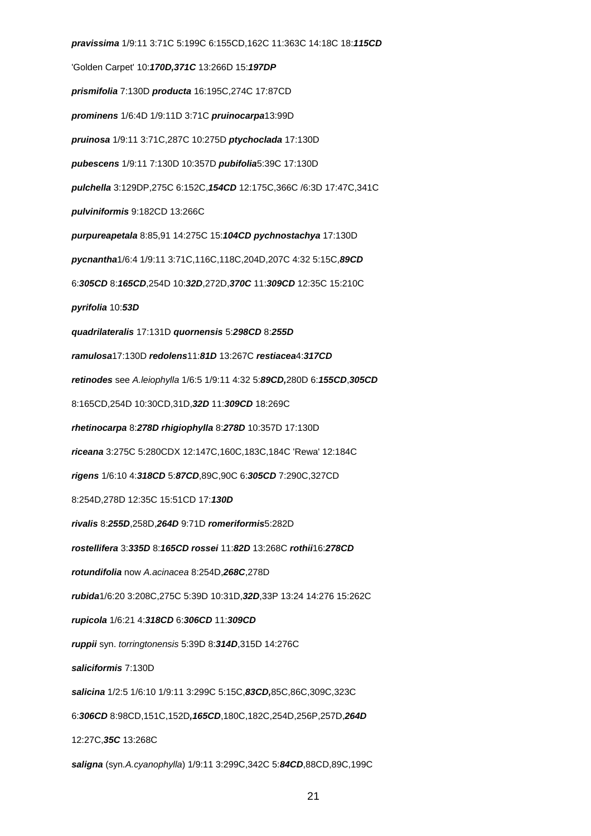**pravissima** 1/9:11 3:71C 5:199C 6:155CD,162C 11:363C 14:18C 18:**115CD** 'Golden Carpet' 10:**170D,371C** 13:266D 15:**197DP prismifolia** 7:130D **producta** 16:195C,274C 17:87CD **prominens** 1/6:4D 1/9:11D 3:71C **pruinocarpa**13:99D **pruinosa** 1/9:11 3:71C,287C 10:275D **ptychoclada** 17:130D **pubescens** 1/9:11 7:130D 10:357D **pubifolia**5:39C 17:130D **pulchella** 3:129DP,275C 6:152C,**154CD** 12:175C,366C /6:3D 17:47C,341C **pulviniformis** 9:182CD 13:266C **purpureapetala** 8:85,91 14:275C 15:**104CD pychnostachya** 17:130D **pycnantha**1/6:4 1/9:11 3:71C,116C,118C,204D,207C 4:32 5:15C,**89CD** 6:**305CD** 8:**165CD**,254D 10:**32D**,272D,**370C** 11:**309CD** 12:35C 15:210C **pyrifolia** 10:**53D quadrilateralis** 17:131D **quornensis** 5:**298CD** 8:**255D ramulosa**17:130D **redolens**11:**81D** 13:267C **restiacea**4:**317CD retinodes** see A.leiophylla 1/6:5 1/9:11 4:32 5:**89CD,**280D 6:**155CD**,**305CD** 8:165CD,254D 10:30CD,31D,**32D** 11:**309CD** 18:269C **rhetinocarpa** 8:**278D rhigiophylla** 8:**278D** 10:357D 17:130D **riceana** 3:275C 5:280CDX 12:147C,160C,183C,184C 'Rewa' 12:184C **rigens** 1/6:10 4:**318CD** 5:**87CD**,89C,90C 6:**305CD** 7:290C,327CD 8:254D,278D 12:35C 15:51CD 17:**130D rivalis** 8:**255D**,258D,**264D** 9:71D **romeriformis**5:282D **rostellifera** 3:**335D** 8:**165CD rossei** 11:**82D** 13:268C **rothii**16:**278CD rotundifolia** now A.acinacea 8:254D,**268C**,278D **rubida**1/6:20 3:208C,275C 5:39D 10:31D,**32D**,33P 13:24 14:276 15:262C **rupicola** 1/6:21 4:**318CD** 6:**306CD** 11:**309CD ruppii** syn. torringtonensis 5:39D 8:**314D**,315D 14:276C **saliciformis** 7:130D **salicina** 1/2:5 1/6:10 1/9:11 3:299C 5:15C,**83CD,**85C,86C,309C,323C 6:**306CD** 8:98CD,151C,152D**,165CD**,180C,182C,254D,256P,257D,**264D** 12:27C,**35C** 13:268C **saligna** (syn.A.cyanophylla) 1/9:11 3:299C,342C 5:**84CD**,88CD,89C,199C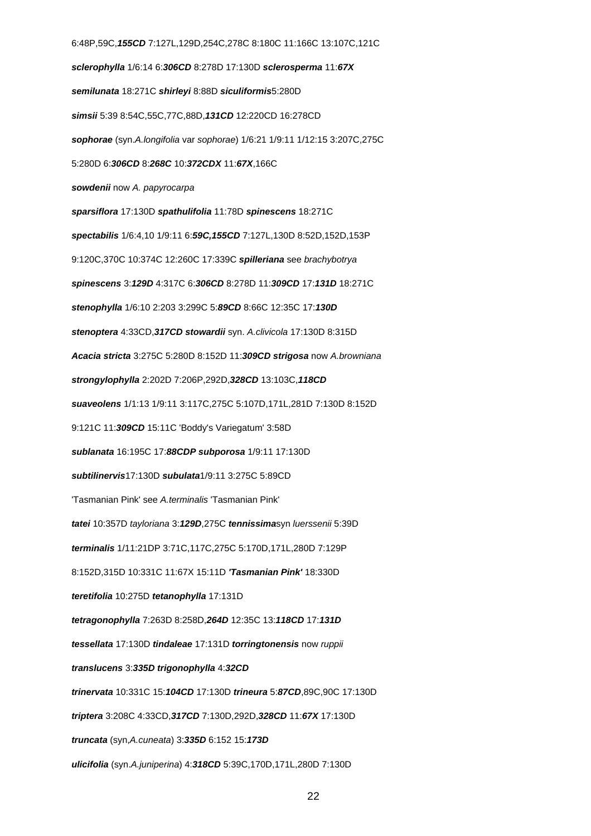6:48P,59C,**155CD** 7:127L,129D,254C,278C 8:180C 11:166C 13:107C,121C **sclerophylla** 1/6:14 6:**306CD** 8:278D 17:130D **sclerosperma** 11:**67X semilunata** 18:271C **shirleyi** 8:88D **siculiformis**5:280D **simsii** 5:39 8:54C,55C,77C,88D,**131CD** 12:220CD 16:278CD **sophorae** (syn.A.longifolia var sophorae) 1/6:21 1/9:11 1/12:15 3:207C,275C 5:280D 6:**306CD** 8:**268C** 10:**372CDX** 11:**67X**,166C **sowdenii** now A. papyrocarpa **sparsiflora** 17:130D **spathulifolia** 11:78D **spinescens** 18:271C **spectabilis** 1/6:4,10 1/9:11 6:**59C,155CD** 7:127L,130D 8:52D,152D,153P 9:120C,370C 10:374C 12:260C 17:339C **spilleriana** see brachybotrya **spinescens** 3:**129D** 4:317C 6:**306CD** 8:278D 11:**309CD** 17:**131D** 18:271C **stenophylla** 1/6:10 2:203 3:299C 5:**89CD** 8:66C 12:35C 17:**130D stenoptera** 4:33CD,**317CD stowardii** syn. A.clivicola 17:130D 8:315D **Acacia stricta** 3:275C 5:280D 8:152D 11:**309CD strigosa** now A.browniana **strongylophylla** 2:202D 7:206P,292D,**328CD** 13:103C,**118CD suaveolens** 1/1:13 1/9:11 3:117C,275C 5:107D,171L,281D 7:130D 8:152D 9:121C 11:**309CD** 15:11C 'Boddy's Variegatum' 3:58D **sublanata** 16:195C 17:**88CDP subporosa** 1/9:11 17:130D **subtilinervis**17:130D **subulata**1/9:11 3:275C 5:89CD 'Tasmanian Pink' see A.terminalis 'Tasmanian Pink' **tatei** 10:357D tayloriana 3:**129D**,275C **tennissima**syn luerssenii 5:39D **terminalis** 1/11:21DP 3:71C,117C,275C 5:170D,171L,280D 7:129P 8:152D,315D 10:331C 11:67X 15:11D **'Tasmanian Pink'** 18:330D **teretifolia** 10:275D **tetanophylla** 17:131D **tetragonophylla** 7:263D 8:258D,**264D** 12:35C 13:**118CD** 17:**131D tessellata** 17:130D **tindaleae** 17:131D **torringtonensis** now ruppii **translucens** 3:**335D trigonophylla** 4:**32CD trinervata** 10:331C 15:**104CD** 17:130D **trineura** 5:**87CD**,89C,90C 17:130D **triptera** 3:208C 4:33CD,**317CD** 7:130D,292D,**328CD** 11:**67X** 17:130D **truncata** (syn,A.cuneata) 3:**335D** 6:152 15:**173D ulicifolia** (syn.A.juniperina) 4:**318CD** 5:39C,170D,171L,280D 7:130D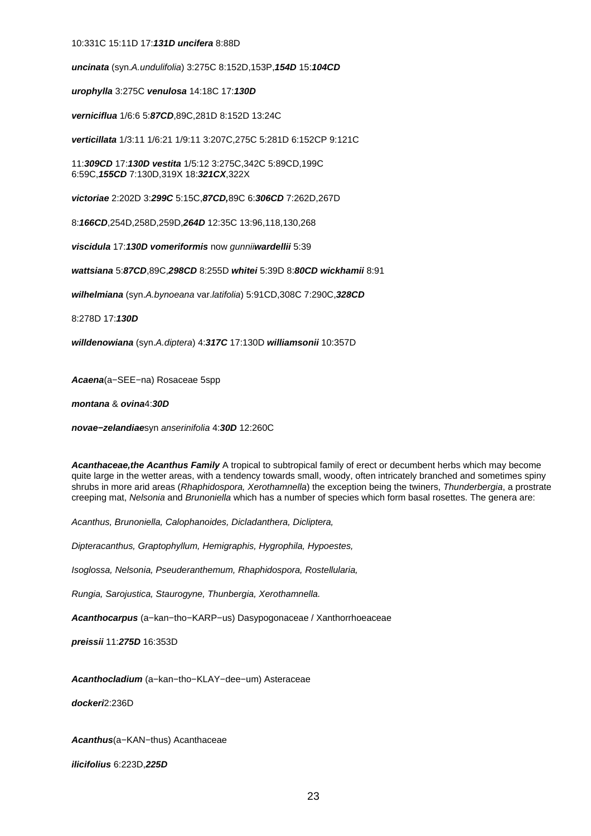### 10:331C 15:11D 17:**131D uncifera** 8:88D

**uncinata** (syn.A.undulifolia) 3:275C 8:152D,153P,**154D** 15:**104CD**

**urophylla** 3:275C **venulosa** 14:18C 17:**130D**

**verniciflua** 1/6:6 5:**87CD**,89C,281D 8:152D 13:24C

**verticillata** 1/3:11 1/6:21 1/9:11 3:207C,275C 5:281D 6:152CP 9:121C

11:**309CD** 17:**130D vestita** 1/5:12 3:275C,342C 5:89CD,199C 6:59C,**155CD** 7:130D,319X 18:**321CX**,322X

**victoriae** 2:202D 3:**299C** 5:15C,**87CD,**89C 6:**306CD** 7:262D,267D

8:**166CD**,254D,258D,259D,**264D** 12:35C 13:96,118,130,268

**viscidula** 17:**130D vomeriformis** now gunnii**wardellii** 5:39

**wattsiana** 5:**87CD**,89C,**298CD** 8:255D **whitei** 5:39D 8:**80CD wickhamii** 8:91

**wilhelmiana** (syn.A.bynoeana var.latifolia) 5:91CD,308C 7:290C,**328CD**

8:278D 17:**130D**

**willdenowiana** (syn.A.diptera) 4:**317C** 17:130D **williamsonii** 10:357D

**Acaena**(a−SEE−na) Rosaceae 5spp

**montana** & **ovina**4:**30D**

**novae−zelandiae**syn anserinifolia 4:**30D** 12:260C

**Acanthaceae,the Acanthus Family** A tropical to subtropical family of erect or decumbent herbs which may become quite large in the wetter areas, with a tendency towards small, woody, often intricately branched and sometimes spiny shrubs in more arid areas (Rhaphidospora, Xerothamnella) the exception being the twiners, Thunderbergia, a prostrate creeping mat, Nelsonia and Brunoniella which has a number of species which form basal rosettes. The genera are:

Acanthus, Brunoniella, Calophanoides, Dicladanthera, Dicliptera,

Dipteracanthus, Graptophyllum, Hemigraphis, Hygrophila, Hypoestes,

Isoglossa, Nelsonia, Pseuderanthemum, Rhaphidospora, Rostellularia,

Rungia, Sarojustica, Staurogyne, Thunbergia, Xerothamnella.

**Acanthocarpus** (a−kan−tho−KARP−us) Dasypogonaceae / Xanthorrhoeaceae

**preissii** 11:**275D** 16:353D

**Acanthocladium** (a−kan−tho−KLAY−dee−um) Asteraceae

**dockeri**2:236D

**Acanthus**(a−KAN−thus) Acanthaceae

**ilicifolius** 6:223D,**225D**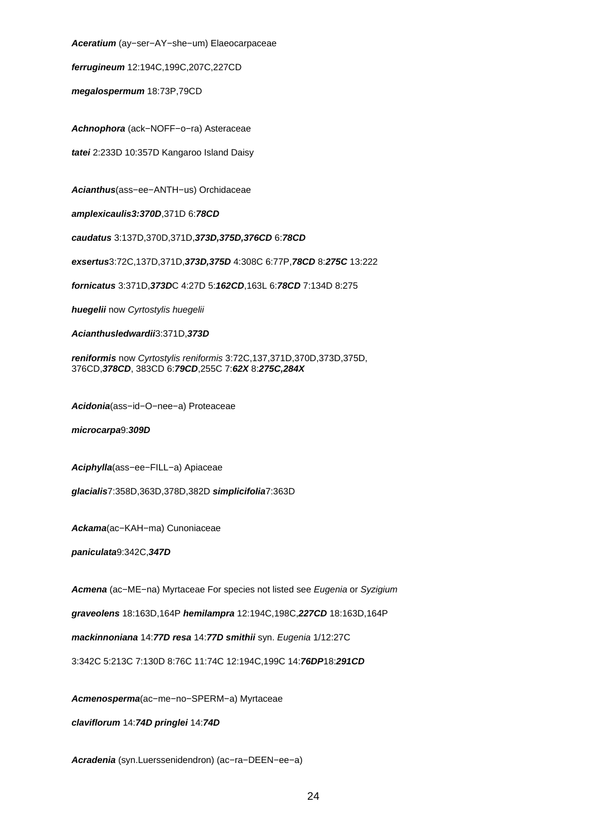**Aceratium** (ay−ser−AY−she−um) Elaeocarpaceae

**ferrugineum** 12:194C,199C,207C,227CD

**megalospermum** 18:73P,79CD

**Achnophora** (ack−NOFF−o−ra) Asteraceae

**tatei** 2:233D 10:357D Kangaroo Island Daisy

**Acianthus**(ass−ee−ANTH−us) Orchidaceae

**amplexicaulis3:370D**,371D 6:**78CD**

**caudatus** 3:137D,370D,371D,**373D,375D,376CD** 6:**78CD**

**exsertus**3:72C,137D,371D,**373D,375D** 4:308C 6:77P,**78CD** 8:**275C** 13:222

**fornicatus** 3:371D,**373D**C 4:27D 5:**162CD**,163L 6:**78CD** 7:134D 8:275

**huegelii** now Cyrtostylis huegelii

**Acianthusledwardii**3:371D,**373D**

**reniformis** now Cyrtostylis reniformis 3:72C,137,371D,370D,373D,375D, 376CD,**378CD**, 383CD 6:**79CD**,255C 7:**62X** 8:**275C,284X**

**Acidonia**(ass−id−O−nee−a) Proteaceae

**microcarpa**9:**309D**

**Aciphylla**(ass−ee−FILL−a) Apiaceae

**glacialis**7:358D,363D,378D,382D **simplicifolia**7:363D

**Ackama**(ac−KAH−ma) Cunoniaceae

**paniculata**9:342C,**347D**

**Acmena** (ac−ME−na) Myrtaceae For species not listed see Eugenia or Syzigium

**graveolens** 18:163D,164P **hemilampra** 12:194C,198C,**227CD** 18:163D,164P

**mackinnoniana** 14:**77D resa** 14:**77D smithii** syn. Eugenia 1/12:27C

3:342C 5:213C 7:130D 8:76C 11:74C 12:194C,199C 14:**76DP**18:**291CD**

**Acmenosperma**(ac−me−no−SPERM−a) Myrtaceae

**claviflorum** 14:**74D pringlei** 14:**74D**

**Acradenia** (syn.Luerssenidendron) (ac−ra−DEEN−ee−a)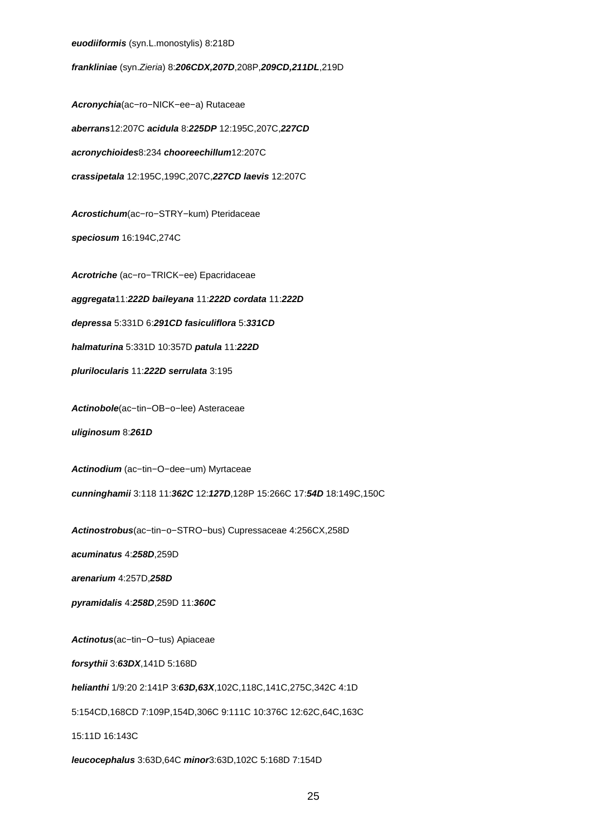#### **euodiiformis** (syn.L.monostylis) 8:218D

**frankliniae** (syn.Zieria) 8:**206CDX,207D**,208P,**209CD,211DL**,219D

**Acronychia**(ac−ro−NICK−ee−a) Rutaceae **aberrans**12:207C **acidula** 8:**225DP** 12:195C,207C,**227CD acronychioides**8:234 **chooreechillum**12:207C **crassipetala** 12:195C,199C,207C,**227CD laevis** 12:207C

**Acrostichum**(ac−ro−STRY−kum) Pteridaceae

**speciosum** 16:194C,274C

**Acrotriche** (ac−ro−TRICK−ee) Epacridaceae

**aggregata**11:**222D baileyana** 11:**222D cordata** 11:**222D**

**depressa** 5:331D 6:**291CD fasiculiflora** 5:**331CD**

**halmaturina** 5:331D 10:357D **patula** 11:**222D**

**plurilocularis** 11:**222D serrulata** 3:195

**Actinobole**(ac−tin−OB−o−lee) Asteraceae

**uliginosum** 8:**261D**

**Actinodium** (ac−tin−O−dee−um) Myrtaceae

**cunninghamii** 3:118 11:**362C** 12:**127D**,128P 15:266C 17:**54D** 18:149C,150C

**Actinostrobus**(ac−tin−o−STRO−bus) Cupressaceae 4:256CX,258D

**acuminatus** 4:**258D**,259D

**arenarium** 4:257D,**258D**

**pyramidalis** 4:**258D**,259D 11:**360C**

**Actinotus**(ac−tin−O−tus) Apiaceae

**forsythii** 3:**63DX**,141D 5:168D

**helianthi** 1/9:20 2:141P 3:**63D,63X**,102C,118C,141C,275C,342C 4:1D

5:154CD,168CD 7:109P,154D,306C 9:111C 10:376C 12:62C,64C,163C

15:11D 16:143C

**leucocephalus** 3:63D,64C **minor**3:63D,102C 5:168D 7:154D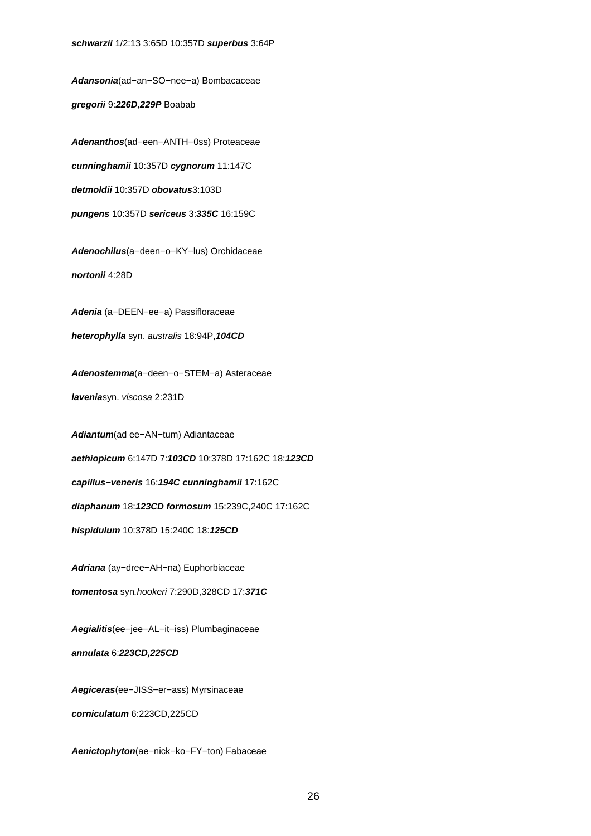**Adansonia**(ad−an−SO−nee−a) Bombacaceae **gregorii** 9:**226D,229P** Boabab

**Adenanthos**(ad−een−ANTH−0ss) Proteaceae **cunninghamii** 10:357D **cygnorum** 11:147C **detmoldii** 10:357D **obovatus**3:103D **pungens** 10:357D **sericeus** 3:**335C** 16:159C

**Adenochilus**(a−deen−o−KY−lus) Orchidaceae **nortonii** 4:28D

**Adenia** (a−DEEN−ee−a) Passifloraceae

**heterophylla** syn. australis 18:94P,**104CD**

**Adenostemma**(a−deen−o−STEM−a) Asteraceae

**lavenia**syn. viscosa 2:231D

**Adiantum**(ad ee−AN−tum) Adiantaceae

**aethiopicum** 6:147D 7:**103CD** 10:378D 17:162C 18:**123CD**

**capillus−veneris** 16:**194C cunninghamii** 17:162C

**diaphanum** 18:**123CD formosum** 15:239C,240C 17:162C

**hispidulum** 10:378D 15:240C 18:**125CD**

**Adriana** (ay−dree−AH−na) Euphorbiaceae

**tomentosa** syn.hookeri 7:290D,328CD 17:**371C**

**Aegialitis**(ee−jee−AL−it−iss) Plumbaginaceae

**annulata** 6:**223CD,225CD**

**Aegiceras**(ee−JISS−er−ass) Myrsinaceae **corniculatum** 6:223CD,225CD

**Aenictophyton**(ae−nick−ko−FY−ton) Fabaceae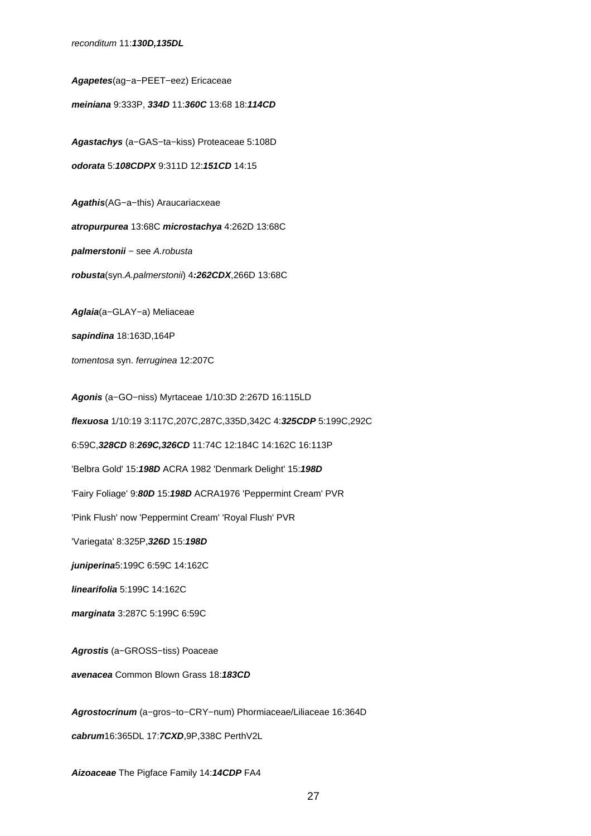reconditum 11:**130D,135DL**

**Agapetes**(ag−a−PEET−eez) Ericaceae **meiniana** 9:333P, **334D** 11:**360C** 13:68 18:**114CD Agastachys** (a−GAS−ta−kiss) Proteaceae 5:108D **odorata** 5:**108CDPX** 9:311D 12:**151CD** 14:15 **Agathis**(AG−a−this) Araucariacxeae **atropurpurea** 13:68C **microstachya** 4:262D 13:68C **palmerstonii** − see A.robusta **robusta**(syn.A.palmerstonii) 4**:262CDX**,266D 13:68C **Aglaia**(a−GLAY−a) Meliaceae **sapindina** 18:163D,164P tomentosa syn. ferruginea 12:207C **Agonis** (a−GO−niss) Myrtaceae 1/10:3D 2:267D 16:115LD **flexuosa** 1/10:19 3:117C,207C,287C,335D,342C 4:**325CDP** 5:199C,292C 6:59C,**328CD** 8:**269C,326CD** 11:74C 12:184C 14:162C 16:113P 'Belbra Gold' 15:**198D** ACRA 1982 'Denmark Delight' 15:**198D** 'Fairy Foliage' 9:**80D** 15:**198D** ACRA1976 'Peppermint Cream' PVR 'Pink Flush' now 'Peppermint Cream' 'Royal Flush' PVR 'Variegata' 8:325P,**326D** 15:**198D juniperina**5:199C 6:59C 14:162C **linearifolia** 5:199C 14:162C **marginata** 3:287C 5:199C 6:59C **Agrostis** (a−GROSS−tiss) Poaceae **avenacea** Common Blown Grass 18:**183CD Agrostocrinum** (a−gros−to−CRY−num) Phormiaceae/Liliaceae 16:364D **cabrum**16:365DL 17:**7CXD**,9P,338C PerthV2L

**Aizoaceae** The Pigface Family 14:**14CDP** FA4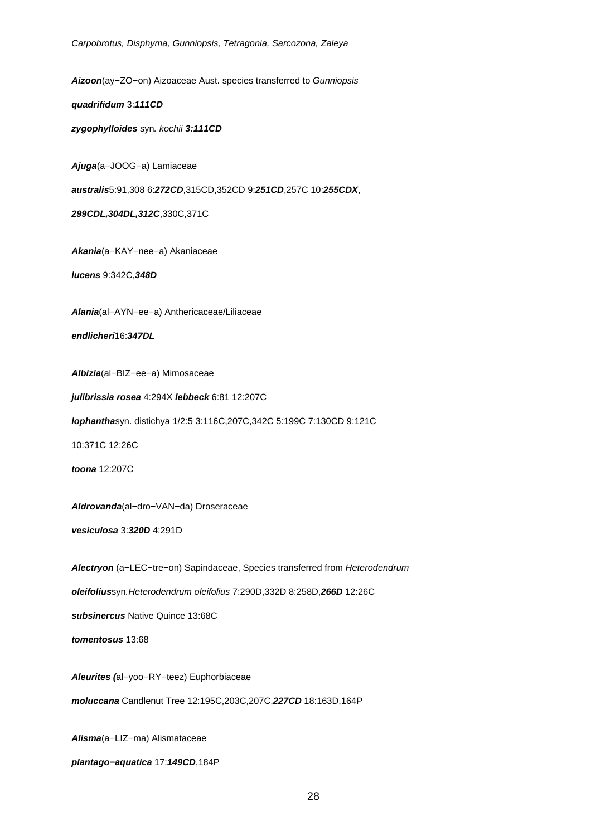**Aizoon**(ay−ZO−on) Aizoaceae Aust. species transferred to Gunniopsis

**quadrifidum** 3:**111CD**

**zygophylloides** syn. kochii **3:111CD**

**Ajuga**(a−JOOG−a) Lamiaceae

**australis**5:91,308 6:**272CD**,315CD,352CD 9:**251CD**,257C 10:**255CDX**,

**299CDL,304DL,312C**,330C,371C

**Akania**(a−KAY−nee−a) Akaniaceae

**lucens** 9:342C,**348D**

**Alania**(al−AYN−ee−a) Anthericaceae/Liliaceae

**endlicheri**16:**347DL**

**Albizia**(al−BIZ−ee−a) Mimosaceae

**julibrissia rosea** 4:294X **lebbeck** 6:81 12:207C

**lophantha**syn. distichya 1/2:5 3:116C,207C,342C 5:199C 7:130CD 9:121C

10:371C 12:26C

**toona** 12:207C

**Aldrovanda**(al−dro−VAN−da) Droseraceae

**vesiculosa** 3:**320D** 4:291D

**Alectryon** (a−LEC−tre−on) Sapindaceae, Species transferred from Heterodendrum

**oleifolius**syn.Heterodendrum oleifolius 7:290D,332D 8:258D,**266D** 12:26C

**subsinercus** Native Quince 13:68C

**tomentosus** 13:68

**Aleurites (**al−yoo−RY−teez) Euphorbiaceae

**moluccana** Candlenut Tree 12:195C,203C,207C,**227CD** 18:163D,164P

**Alisma**(a−LIZ−ma) Alismataceae

**plantago−aquatica** 17:**149CD**,184P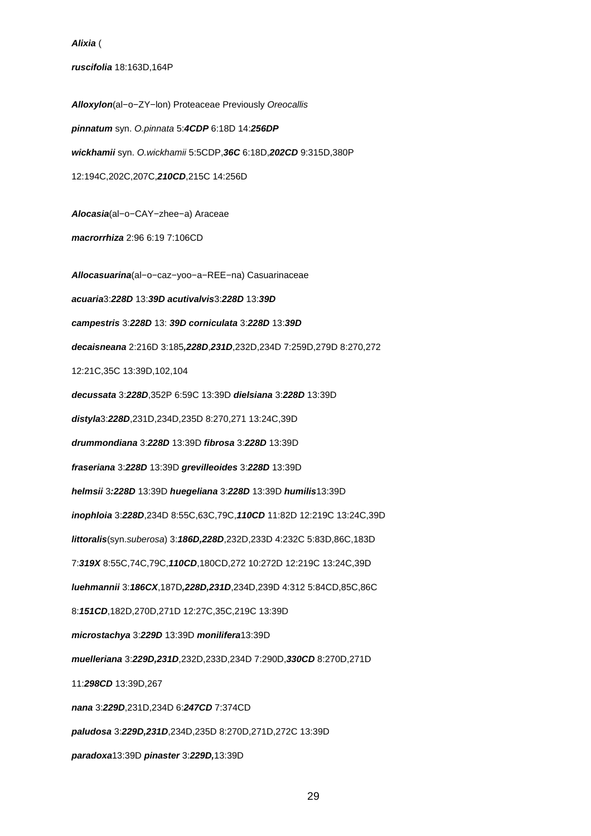#### **Alixia** (

#### **ruscifolia** 18:163D,164P

**Alloxylon**(al−o−ZY−lon) Proteaceae Previously Oreocallis **pinnatum** syn. O.pinnata 5:**4CDP** 6:18D 14:**256DP wickhamii** syn. O.wickhamii 5:5CDP,**36C** 6:18D,**202CD** 9:315D,380P 12:194C,202C,207C,**210CD**,215C 14:256D **Alocasia**(al−o−CAY−zhee−a) Araceae **macrorrhiza** 2:96 6:19 7:106CD **Allocasuarina**(al−o−caz−yoo−a−REE−na) Casuarinaceae **acuaria**3:**228D** 13:**39D acutivalvis**3:**228D** 13:**39D campestris** 3:**228D** 13: **39D corniculata** 3:**228D** 13:**39D decaisneana** 2:216D 3:185**,228D**,**231D**,232D,234D 7:259D,279D 8:270,272 12:21C,35C 13:39D,102,104 **decussata** 3:**228D**,352P 6:59C 13:39D **dielsiana** 3:**228D** 13:39D **distyla**3:**228D**,231D,234D,235D 8:270,271 13:24C,39D **drummondiana** 3:**228D** 13:39D **fibrosa** 3:**228D** 13:39D **fraseriana** 3:**228D** 13:39D **grevilleoides** 3:**228D** 13:39D **helmsii** 3**:228D** 13:39D **huegeliana** 3:**228D** 13:39D **humilis**13:39D **inophloia** 3:**228D**,234D 8:55C,63C,79C,**110CD** 11:82D 12:219C 13:24C,39D **littoralis**(syn.suberosa) 3:**186D,228D**,232D,233D 4:232C 5:83D,86C,183D 7:**319X** 8:55C,74C,79C,**110CD**,180CD,272 10:272D 12:219C 13:24C,39D **luehmannii** 3:**186CX**,187D**,228D,231D**,234D,239D 4:312 5:84CD,85C,86C 8:**151CD**,182D,270D,271D 12:27C,35C,219C 13:39D **microstachya** 3:**229D** 13:39D **monilifera**13:39D **muelleriana** 3:**229D,231D**,232D,233D,234D 7:290D,**330CD** 8:270D,271D 11:**298CD** 13:39D,267 **nana** 3:**229D**,231D,234D 6:**247CD** 7:374CD **paludosa** 3:**229D,231D**,234D,235D 8:270D,271D,272C 13:39D **paradoxa**13:39D **pinaster** 3:**229D,**13:39D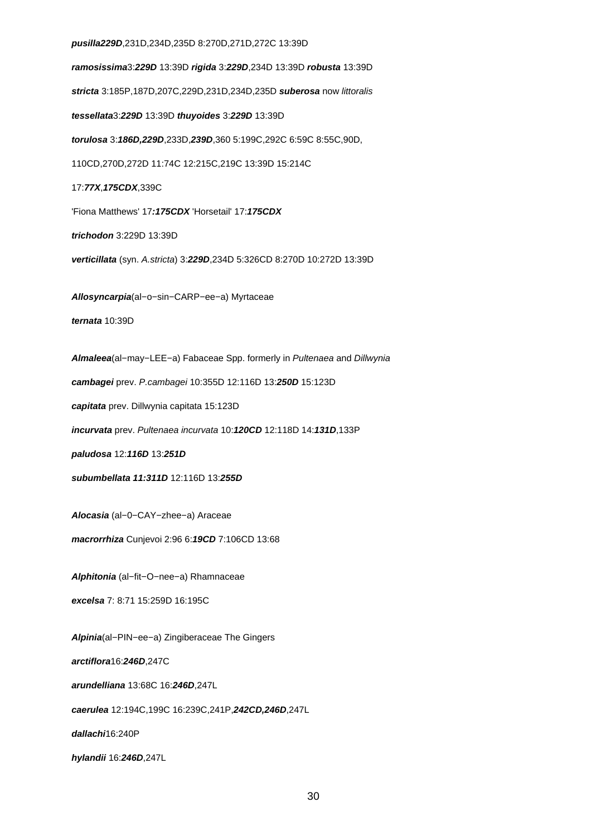#### **pusilla229D**,231D,234D,235D 8:270D,271D,272C 13:39D

**ramosissima**3:**229D** 13:39D **rigida** 3:**229D**,234D 13:39D **robusta** 13:39D **stricta** 3:185P,187D,207C,229D,231D,234D,235D **suberosa** now littoralis **tessellata**3:**229D** 13:39D **thuyoides** 3:**229D** 13:39D **torulosa** 3:**186D,229D**,233D,**239D**,360 5:199C,292C 6:59C 8:55C,90D, 110CD,270D,272D 11:74C 12:215C,219C 13:39D 15:214C 17:**77X**,**175CDX**,339C 'Fiona Matthews' 17**:175CDX** 'Horsetail' 17:**175CDX trichodon** 3:229D 13:39D **verticillata** (syn. A.stricta) 3:**229D**,234D 5:326CD 8:270D 10:272D 13:39D **Allosyncarpia**(al−o−sin−CARP−ee−a) Myrtaceae **ternata** 10:39D **Almaleea**(al−may−LEE−a) Fabaceae Spp. formerly in Pultenaea and Dillwynia **cambagei** prev. P.cambagei 10:355D 12:116D 13:**250D** 15:123D **capitata** prev. Dillwynia capitata 15:123D **incurvata** prev. Pultenaea incurvata 10:**120CD** 12:118D 14:**131D**,133P **paludosa** 12:**116D** 13:**251D subumbellata 11:311D** 12:116D 13:**255D Alocasia** (al−0−CAY−zhee−a) Araceae **macrorrhiza** Cunjevoi 2:96 6:**19CD** 7:106CD 13:68 **Alphitonia** (al−fit−O−nee−a) Rhamnaceae **excelsa** 7: 8:71 15:259D 16:195C **Alpinia**(al−PIN−ee−a) Zingiberaceae The Gingers **arctiflora**16:**246D**,247C **arundelliana** 13:68C 16:**246D**,247L **caerulea** 12:194C,199C 16:239C,241P,**242CD,246D**,247L **dallachi**16:240P **hylandii** 16:**246D**,247L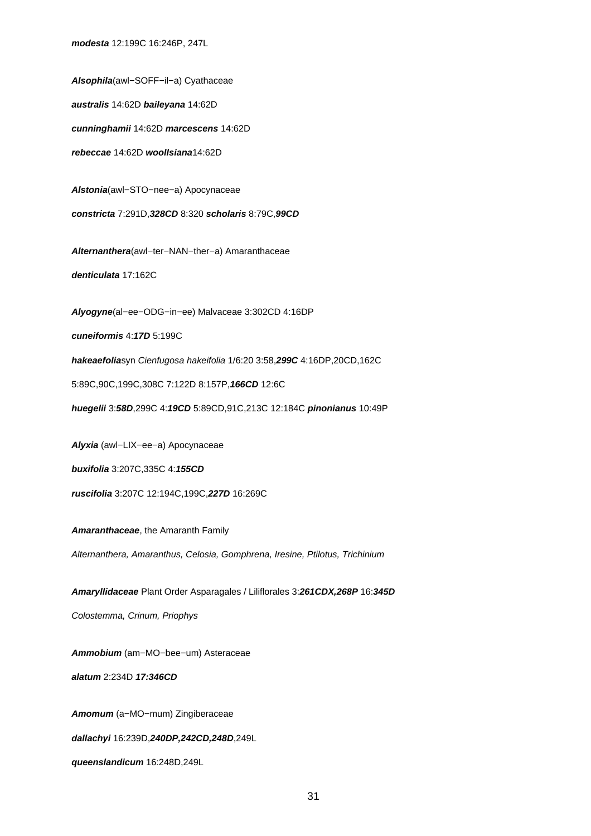**modesta** 12:199C 16:246P, 247L

**Alsophila**(awl−SOFF−il−a) Cyathaceae **australis** 14:62D **baileyana** 14:62D **cunninghamii** 14:62D **marcescens** 14:62D **rebeccae** 14:62D **woollsiana**14:62D **Alstonia**(awl−STO−nee−a) Apocynaceae **constricta** 7:291D,**328CD** 8:320 **scholaris** 8:79C,**99CD Alternanthera**(awl−ter−NAN−ther−a) Amaranthaceae **denticulata** 17:162C **Alyogyne**(al−ee−ODG−in−ee) Malvaceae 3:302CD 4:16DP **cuneiformis** 4:**17D** 5:199C **hakeaefolia**syn Cienfugosa hakeifolia 1/6:20 3:58,**299C** 4:16DP,20CD,162C 5:89C,90C,199C,308C 7:122D 8:157P,**166CD** 12:6C **huegelii** 3:**58D**,299C 4:**19CD** 5:89CD,91C,213C 12:184C **pinonianus** 10:49P **Alyxia** (awl−LIX−ee−a) Apocynaceae **buxifolia** 3:207C,335C 4:**155CD ruscifolia** 3:207C 12:194C,199C,**227D** 16:269C **Amaranthaceae**, the Amaranth Family Alternanthera, Amaranthus, Celosia, Gomphrena, Iresine, Ptilotus, Trichinium **Amaryllidaceae** Plant Order Asparagales / Liliflorales 3:**261CDX,268P** 16:**345D** Colostemma, Crinum, Priophys

**Ammobium** (am−MO−bee−um) Asteraceae

**alatum** 2:234D **17:346CD**

**Amomum** (a−MO−mum) Zingiberaceae

**dallachyi** 16:239D,**240DP,242CD,248D**,249L

**queenslandicum** 16:248D,249L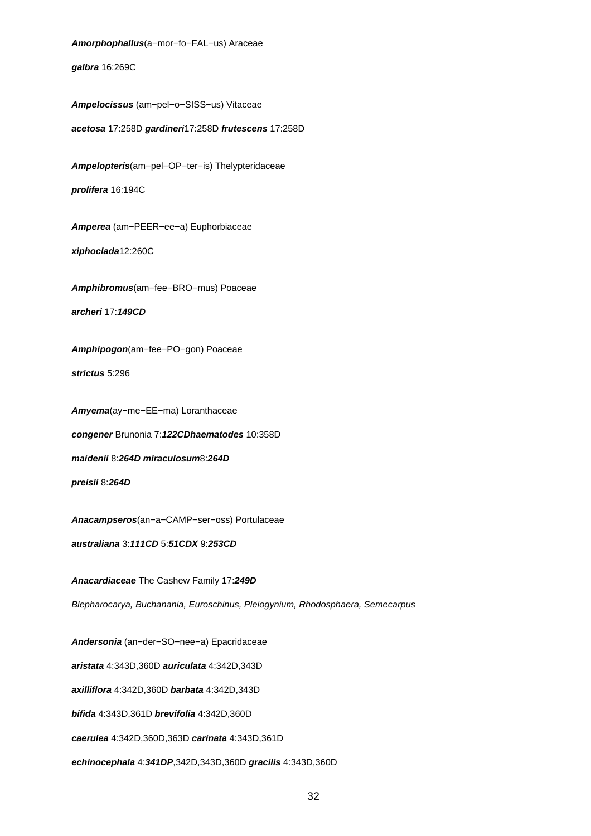**Amorphophallus**(a−mor−fo−FAL−us) Araceae

**galbra** 16:269C

**Ampelocissus** (am−pel−o−SISS−us) Vitaceae

**acetosa** 17:258D **gardineri**17:258D **frutescens** 17:258D

**Ampelopteris**(am−pel−OP−ter−is) Thelypteridaceae **prolifera** 16:194C

**Amperea** (am−PEER−ee−a) Euphorbiaceae

**xiphoclada**12:260C

**Amphibromus**(am−fee−BRO−mus) Poaceae

**archeri** 17:**149CD**

**Amphipogon**(am−fee−PO−gon) Poaceae

**strictus** 5:296

**Amyema**(ay−me−EE−ma) Loranthaceae **congener** Brunonia 7:**122CDhaematodes** 10:358D **maidenii** 8:**264D miraculosum**8:**264D**

**preisii** 8:**264D**

**Anacampseros**(an−a−CAMP−ser−oss) Portulaceae

**australiana** 3:**111CD** 5:**51CDX** 9:**253CD**

**Anacardiaceae** The Cashew Family 17:**249D**

Blepharocarya, Buchanania, Euroschinus, Pleiogynium, Rhodosphaera, Semecarpus

**Andersonia** (an−der−SO−nee−a) Epacridaceae

**aristata** 4:343D,360D **auriculata** 4:342D,343D

**axilliflora** 4:342D,360D **barbata** 4:342D,343D

**bifida** 4:343D,361D **brevifolia** 4:342D,360D

**caerulea** 4:342D,360D,363D **carinata** 4:343D,361D

**echinocephala** 4:**341DP**,342D,343D,360D **gracilis** 4:343D,360D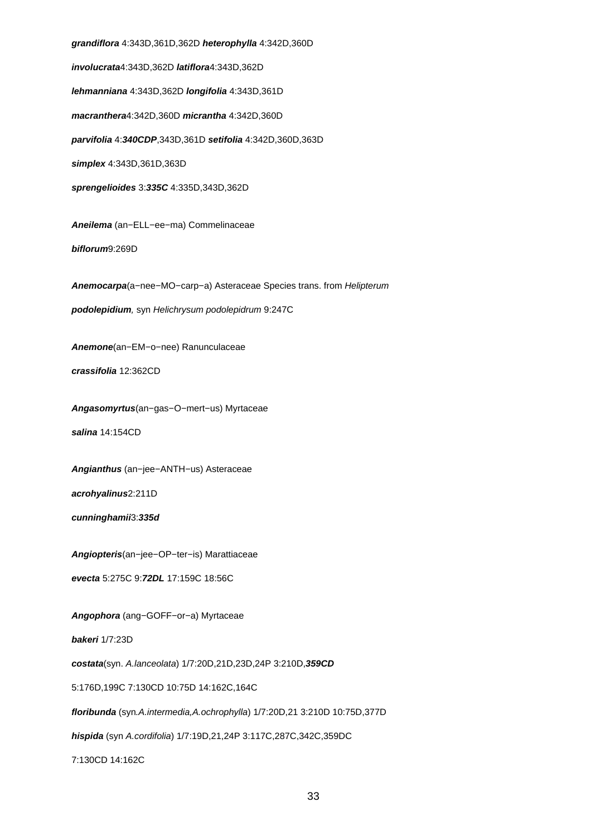**grandiflora** 4:343D,361D,362D **heterophylla** 4:342D,360D **involucrata**4:343D,362D **latiflora**4:343D,362D **lehmanniana** 4:343D,362D **longifolia** 4:343D,361D **macranthera**4:342D,360D **micrantha** 4:342D,360D **parvifolia** 4:**340CDP**,343D,361D **setifolia** 4:342D,360D,363D **simplex** 4:343D,361D,363D **sprengelioides** 3:**335C** 4:335D,343D,362D **Aneilema** (an−ELL−ee−ma) Commelinaceae **biflorum**9:269D **Anemocarpa**(a−nee−MO−carp−a) Asteraceae Species trans. from Helipterum **podolepidium**, syn Helichrysum podolepidrum 9:247C **Anemone**(an−EM−o−nee) Ranunculaceae **crassifolia** 12:362CD **Angasomyrtus**(an−gas−O−mert−us) Myrtaceae **salina** 14:154CD **Angianthus** (an−jee−ANTH−us) Asteraceae **acrohyalinus**2:211D **cunninghamii**3:**335d Angiopteris**(an−jee−OP−ter−is) Marattiaceae **evecta** 5:275C 9:**72DL** 17:159C 18:56C **Angophora** (ang−GOFF−or−a) Myrtaceae **bakeri** 1/7:23D **costata**(syn. A.lanceolata) 1/7:20D,21D,23D,24P 3:210D,**359CD** 5:176D,199C 7:130CD 10:75D 14:162C,164C **floribunda** (syn.A.intermedia,A.ochrophylla) 1/7:20D,21 3:210D 10:75D,377D **hispida** (syn A.cordifolia) 1/7:19D,21,24P 3:117C,287C,342C,359DC 7:130CD 14:162C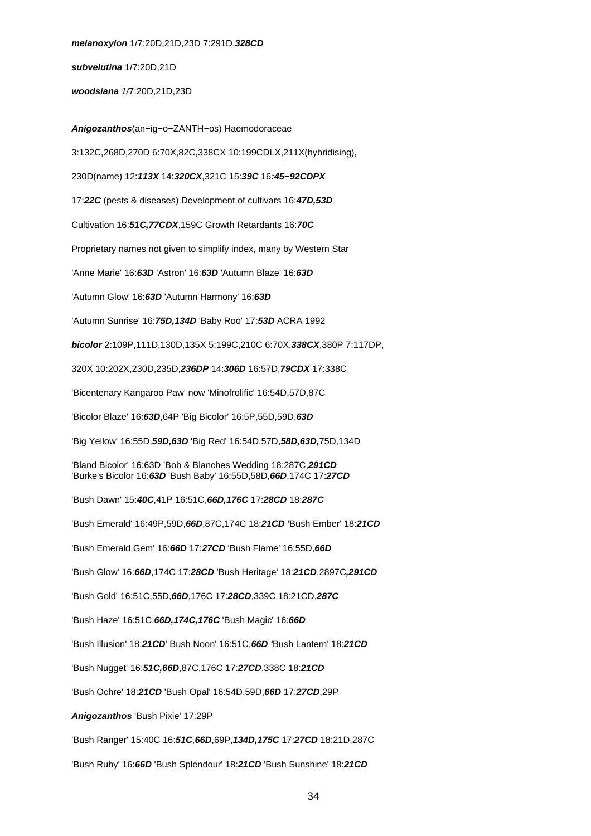**melanoxylon** 1/7:20D,21D,23D 7:291D,**328CD**

**subvelutina** 1/7:20D,21D

**woodsiana** 1/7:20D,21D,23D

**Anigozanthos**(an−ig−o−ZANTH−os) Haemodoraceae 3:132C,268D,270D 6:70X,82C,338CX 10:199CDLX,211X(hybridising), 230D(name) 12:**113X** 14:**320CX**,321C 15:**39C** 16**:45−92CDPX** 17:**22C** (pests & diseases) Development of cultivars 16:**47D,53D** Cultivation 16:**51C,77CDX**,159C Growth Retardants 16:**70C** Proprietary names not given to simplify index, many by Western Star 'Anne Marie' 16:**63D** 'Astron' 16:**63D** 'Autumn Blaze' 16:**63D** 'Autumn Glow' 16:**63D** 'Autumn Harmony' 16:**63D** 'Autumn Sunrise' 16:**75D,134D** 'Baby Roo' 17:**53D** ACRA 1992 **bicolor** 2:109P,111D,130D,135X 5:199C,210C 6:70X,**338CX**,380P 7:117DP, 320X 10:202X,230D,235D,**236DP** 14:**306D** 16:57D,**79CDX** 17:338C 'Bicentenary Kangaroo Paw' now 'Minofrolific' 16:54D,57D,87C 'Bicolor Blaze' 16:**63D**,64P 'Big Bicolor' 16:5P,55D,59D,**63D** 'Big Yellow' 16:55D,**59D,63D** 'Big Red' 16:54D,57D,**58D,63D,**75D,134D 'Bland Bicolor' 16:63D 'Bob & Blanches Wedding 18:287C,**291CD**  'Burke's Bicolor 16:**63D** 'Bush Baby' 16:55D,58D,**66D**,174C 17:**27CD** 'Bush Dawn' 15:**40C**,41P 16:51C,**66D,176C** 17:**28CD** 18:**287C** 'Bush Emerald' 16:49P,59D,**66D**,87C,174C 18:**21CD '**Bush Ember' 18:**21CD** 'Bush Emerald Gem' 16:**66D** 17:**27CD** 'Bush Flame' 16:55D,**66D** 'Bush Glow' 16:**66D**,174C 17:**28CD** 'Bush Heritage' 18:**21CD**,2897C**,291CD** 'Bush Gold' 16:51C,55D,**66D**,176C 17:**28CD**,339C 18:21CD,**287C** 'Bush Haze' 16:51C,**66D,174C,176C** 'Bush Magic' 16:**66D** 'Bush Illusion' 18:**21CD**' Bush Noon' 16:51C,**66D '**Bush Lantern' 18:**21CD** 'Bush Nugget' 16:**51C,66D**,87C,176C 17:**27CD**,338C 18:**21CD** 'Bush Ochre' 18:**21CD** 'Bush Opal' 16:54D,59D,**66D** 17:**27CD**,29P **Anigozanthos** 'Bush Pixie' 17:29P 'Bush Ranger' 15:40C 16:**51C**,**66D**,69P,**134D,175C** 17:**27CD** 18:21D,287C 'Bush Ruby' 16:**66D** 'Bush Splendour' 18:**21CD** 'Bush Sunshine' 18:**21CD**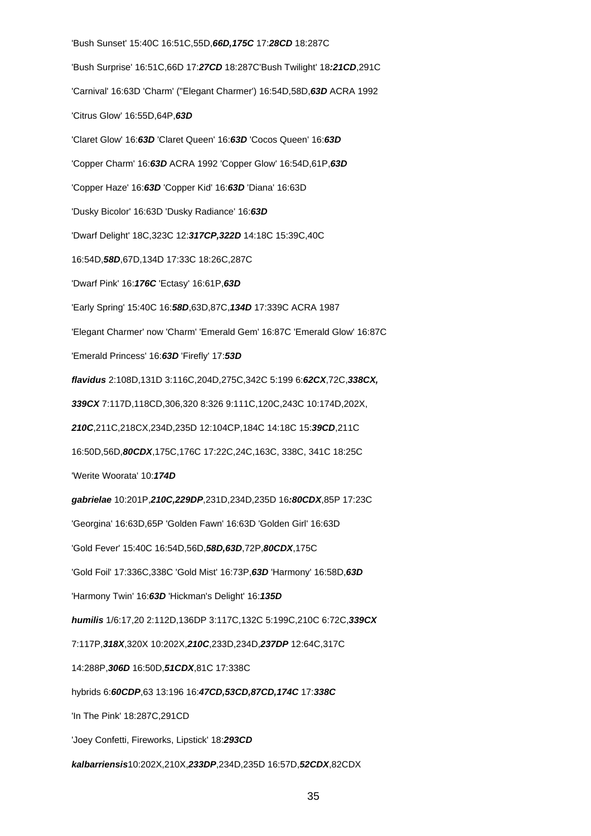'Bush Sunset' 15:40C 16:51C,55D,**66D,175C** 17:**28CD** 18:287C 'Bush Surprise' 16:51C,66D 17:**27CD** 18:287C'Bush Twilight' 18**:21CD**,291C 'Carnival' 16:63D 'Charm' ("Elegant Charmer') 16:54D,58D,**63D** ACRA 1992 'Citrus Glow' 16:55D,64P,**63D** 'Claret Glow' 16:**63D** 'Claret Queen' 16:**63D** 'Cocos Queen' 16:**63D** 'Copper Charm' 16:**63D** ACRA 1992 'Copper Glow' 16:54D,61P,**63D** 'Copper Haze' 16:**63D** 'Copper Kid' 16:**63D** 'Diana' 16:63D 'Dusky Bicolor' 16:63D 'Dusky Radiance' 16:**63D** 'Dwarf Delight' 18C,323C 12:**317CP,322D** 14:18C 15:39C,40C 16:54D,**58D**,67D,134D 17:33C 18:26C,287C 'Dwarf Pink' 16:**176C** 'Ectasy' 16:61P,**63D** 'Early Spring' 15:40C 16:**58D**,63D,87C,**134D** 17:339C ACRA 1987 'Elegant Charmer' now 'Charm' 'Emerald Gem' 16:87C 'Emerald Glow' 16:87C 'Emerald Princess' 16:**63D** 'Firefly' 17:**53D flavidus** 2:108D,131D 3:116C,204D,275C,342C 5:199 6:**62CX**,72C,**338CX, 339CX** 7:117D,118CD,306,320 8:326 9:111C,120C,243C 10:174D,202X, **210C**,211C,218CX,234D,235D 12:104CP,184C 14:18C 15:**39CD**,211C 16:50D,56D,**80CDX**,175C,176C 17:22C,24C,163C, 338C, 341C 18:25C 'Werite Woorata' 10:**174D gabrielae** 10:201P,**210C,229DP**,231D,234D,235D 16**:80CDX**,85P 17:23C 'Georgina' 16:63D,65P 'Golden Fawn' 16:63D 'Golden Girl' 16:63D 'Gold Fever' 15:40C 16:54D,56D,**58D,63D**,72P,**80CDX**,175C 'Gold Foil' 17:336C,338C 'Gold Mist' 16:73P,**63D** 'Harmony' 16:58D,**63D** 'Harmony Twin' 16:**63D** 'Hickman's Delight' 16:**135D humilis** 1/6:17,20 2:112D,136DP 3:117C,132C 5:199C,210C 6:72C,**339CX** 7:117P,**318X**,320X 10:202X,**210C**,233D,234D,**237DP** 12:64C,317C 14:288P,**306D** 16:50D,**51CDX**,81C 17:338C hybrids 6:**60CDP**,63 13:196 16:**47CD,53CD,87CD,174C** 17:**338C** 'In The Pink' 18:287C,291CD 'Joey Confetti, Fireworks, Lipstick' 18:**293CD kalbarriensis**10:202X,210X,**233DP**,234D,235D 16:57D,**52CDX**,82CDX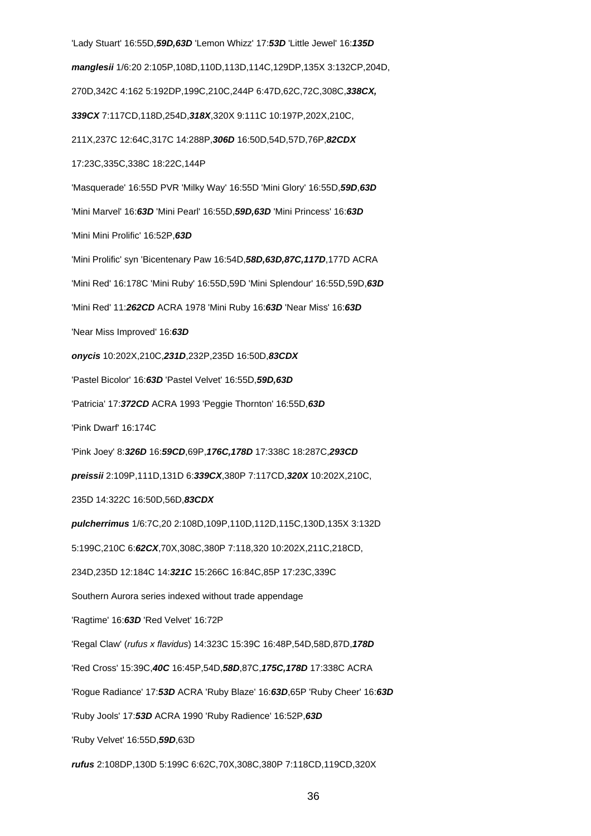'Lady Stuart' 16:55D,**59D,63D** 'Lemon Whizz' 17:**53D** 'Little Jewel' 16:**135D manglesii** 1/6:20 2:105P,108D,110D,113D,114C,129DP,135X 3:132CP,204D, 270D,342C 4:162 5:192DP,199C,210C,244P 6:47D,62C,72C,308C,**338CX, 339CX** 7:117CD,118D,254D,**318X**,320X 9:111C 10:197P,202X,210C, 211X,237C 12:64C,317C 14:288P,**306D** 16:50D,54D,57D,76P,**82CDX** 17:23C,335C,338C 18:22C,144P 'Masquerade' 16:55D PVR 'Milky Way' 16:55D 'Mini Glory' 16:55D,**59D**,**63D** 'Mini Marvel' 16:**63D** 'Mini Pearl' 16:55D,**59D,63D** 'Mini Princess' 16:**63D** 'Mini Mini Prolific' 16:52P,**63D** 'Mini Prolific' syn 'Bicentenary Paw 16:54D,**58D,63D,87C,117D**,177D ACRA 'Mini Red' 16:178C 'Mini Ruby' 16:55D,59D 'Mini Splendour' 16:55D,59D,**63D** 'Mini Red' 11:**262CD** ACRA 1978 'Mini Ruby 16:**63D** 'Near Miss' 16:**63D** 'Near Miss Improved' 16:**63D onycis** 10:202X,210C,**231D**,232P,235D 16:50D,**83CDX** 'Pastel Bicolor' 16:**63D** 'Pastel Velvet' 16:55D,**59D,63D** 'Patricia' 17:**372CD** ACRA 1993 'Peggie Thornton' 16:55D,**63D** 'Pink Dwarf' 16:174C 'Pink Joey' 8:**326D** 16:**59CD**,69P,**176C,178D** 17:338C 18:287C,**293CD preissii** 2:109P,111D,131D 6:**339CX**,380P 7:117CD,**320X** 10:202X,210C, 235D 14:322C 16:50D,56D,**83CDX pulcherrimus** 1/6:7C,20 2:108D,109P,110D,112D,115C,130D,135X 3:132D 5:199C,210C 6:**62CX**,70X,308C,380P 7:118,320 10:202X,211C,218CD, 234D,235D 12:184C 14:**321C** 15:266C 16:84C,85P 17:23C,339C Southern Aurora series indexed without trade appendage 'Ragtime' 16:**63D** 'Red Velvet' 16:72P 'Regal Claw' (rufus x flavidus) 14:323C 15:39C 16:48P,54D,58D,87D,**178D** 'Red Cross' 15:39C,**40C** 16:45P,54D,**58D**,87C,**175C,178D** 17:338C ACRA 'Rogue Radiance' 17:**53D** ACRA 'Ruby Blaze' 16:**63D**,65P 'Ruby Cheer' 16:**63D** 'Ruby Jools' 17:**53D** ACRA 1990 'Ruby Radience' 16:52P,**63D** 'Ruby Velvet' 16:55D,**59D**,63D **rufus** 2:108DP,130D 5:199C 6:62C,70X,308C,380P 7:118CD,119CD,320X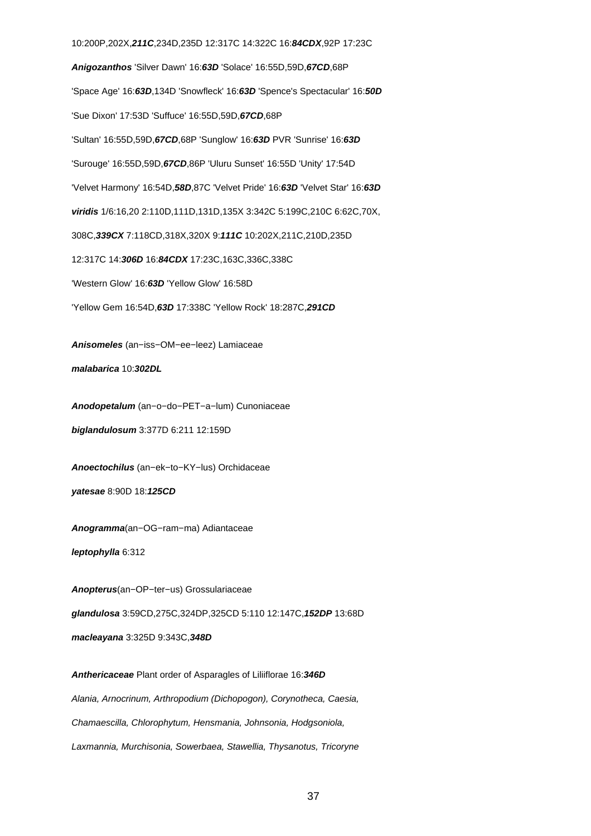**Anigozanthos** 'Silver Dawn' 16:**63D** 'Solace' 16:55D,59D,**67CD**,68P 'Space Age' 16:**63D**,134D 'Snowfleck' 16:**63D** 'Spence's Spectacular' 16:**50D** 'Sue Dixon' 17:53D 'Suffuce' 16:55D,59D,**67CD**,68P 'Sultan' 16:55D,59D,**67CD**,68P 'Sunglow' 16:**63D** PVR 'Sunrise' 16:**63D** 'Surouge' 16:55D,59D,**67CD**,86P 'Uluru Sunset' 16:55D 'Unity' 17:54D 'Velvet Harmony' 16:54D,**58D**,87C 'Velvet Pride' 16:**63D** 'Velvet Star' 16:**63D viridis** 1/6:16,20 2:110D,111D,131D,135X 3:342C 5:199C,210C 6:62C,70X, 308C,**339CX** 7:118CD,318X,320X 9:**111C** 10:202X,211C,210D,235D 12:317C 14:**306D** 16:**84CDX** 17:23C,163C,336C,338C 'Western Glow' 16:**63D** 'Yellow Glow' 16:58D 'Yellow Gem 16:54D,**63D** 17:338C 'Yellow Rock' 18:287C,**291CD Anisomeles** (an−iss−OM−ee−leez) Lamiaceae **malabarica** 10:**302DL**

10:200P,202X,**211C**,234D,235D 12:317C 14:322C 16:**84CDX**,92P 17:23C

**Anodopetalum** (an−o−do−PET−a−lum) Cunoniaceae **biglandulosum** 3:377D 6:211 12:159D

**Anoectochilus** (an−ek−to−KY−lus) Orchidaceae **yatesae** 8:90D 18:**125CD**

**Anogramma**(an−OG−ram−ma) Adiantaceae **leptophylla** 6:312

**Anopterus**(an−OP−ter−us) Grossulariaceae

**glandulosa** 3:59CD,275C,324DP,325CD 5:110 12:147C,**152DP** 13:68D

**macleayana** 3:325D 9:343C,**348D**

**Anthericaceae** Plant order of Asparagles of Liliiflorae 16:**346D** Alania, Arnocrinum, Arthropodium (Dichopogon), Corynotheca, Caesia, Chamaescilla, Chlorophytum, Hensmania, Johnsonia, Hodgsoniola, Laxmannia, Murchisonia, Sowerbaea, Stawellia, Thysanotus, Tricoryne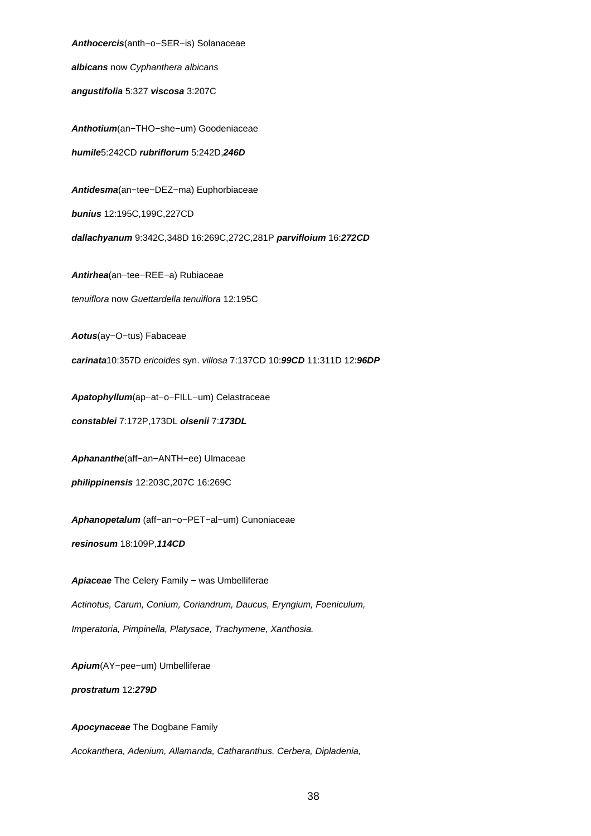**Anthocercis**(anth−o−SER−is) Solanaceae

**albicans** now Cyphanthera albicans

**angustifolia** 5:327 **viscosa** 3:207C

**Anthotium**(an−THO−she−um) Goodeniaceae **humile**5:242CD **rubriflorum** 5:242D,**246D**

**Antidesma**(an−tee−DEZ−ma) Euphorbiaceae

**bunius** 12:195C,199C,227CD

**dallachyanum** 9:342C,348D 16:269C,272C,281P **parvifloium** 16:**272CD**

**Antirhea**(an−tee−REE−a) Rubiaceae

tenuiflora now Guettardella tenuiflora 12:195C

**Aotus**(ay−O−tus) Fabaceae

**carinata**10:357D ericoides syn. villosa 7:137CD 10:**99CD** 11:311D 12:**96DP**

**Apatophyllum**(ap−at−o−FILL−um) Celastraceae **constablei** 7:172P,173DL **olsenii** 7:**173DL**

**Aphananthe**(aff−an−ANTH−ee) Ulmaceae

**philippinensis** 12:203C,207C 16:269C

**Aphanopetalum** (aff−an−o−PET−al−um) Cunoniaceae

**resinosum** 18:109P,**114CD**

Apiaceae The Celery Family - was Umbelliferae Actinotus, Carum, Conium, Coriandrum, Daucus, Eryngium, Foeniculum, Imperatoria, Pimpinella, Platysace, Trachymene, Xanthosia.

**Apium**(AY−pee−um) Umbelliferae

**prostratum** 12:**279D**

**Apocynaceae** The Dogbane Family

Acokanthera, Adenium, Allamanda, Catharanthus. Cerbera, Dipladenia,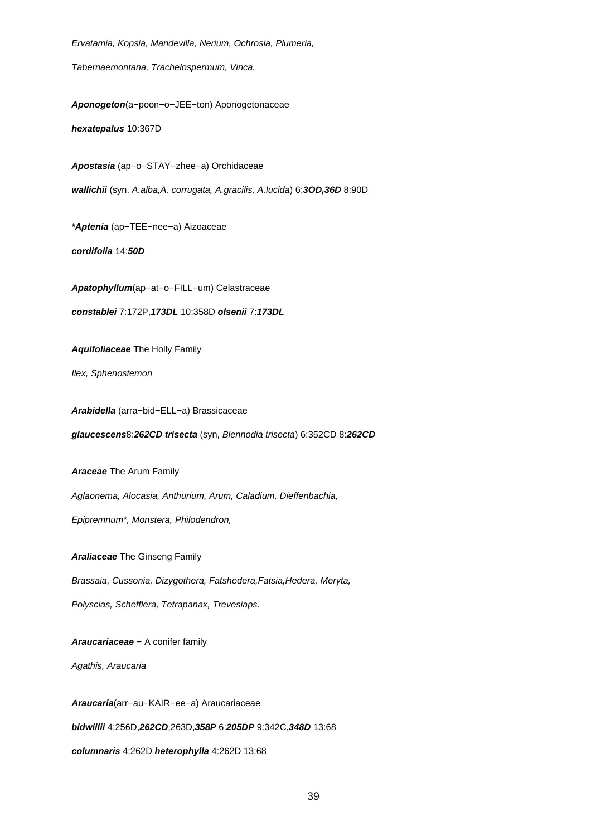Ervatamia, Kopsia, Mandevilla, Nerium, Ochrosia, Plumeria, Tabernaemontana, Trachelospermum, Vinca. **Aponogeton**(a−poon−o−JEE−ton) Aponogetonaceae **hexatepalus** 10:367D **Apostasia** (ap−o−STAY−zhee−a) Orchidaceae **wallichii** (syn. A.alba,A. corrugata, A.gracilis, A.lucida) 6:**3OD,36D** 8:90D **\*Aptenia** (ap−TEE−nee−a) Aizoaceae **cordifolia** 14:**50D Apatophyllum**(ap−at−o−FILL−um) Celastraceae **constablei** 7:172P,**173DL** 10:358D **olsenii** 7:**173DL Aquifoliaceae** The Holly Family Ilex, Sphenostemon **Arabidella** (arra−bid−ELL−a) Brassicaceae **glaucescens**8:**262CD trisecta** (syn, Blennodia trisecta) 6:352CD 8:**262CD Araceae** The Arum Family Aglaonema, Alocasia, Anthurium, Arum, Caladium, Dieffenbachia, Epipremnum\*, Monstera, Philodendron, **Araliaceae** The Ginseng Family Brassaia, Cussonia, Dizygothera, Fatshedera,Fatsia,Hedera, Meryta, Polyscias, Schefflera, Tetrapanax, Trevesiaps. **Araucariaceae** − A conifer family Agathis, Araucaria **Araucaria**(arr−au−KAIR−ee−a) Araucariaceae

**bidwillii** 4:256D,**262CD**,263D,**358P** 6:**205DP** 9:342C,**348D** 13:68

**columnaris** 4:262D **heterophylla** 4:262D 13:68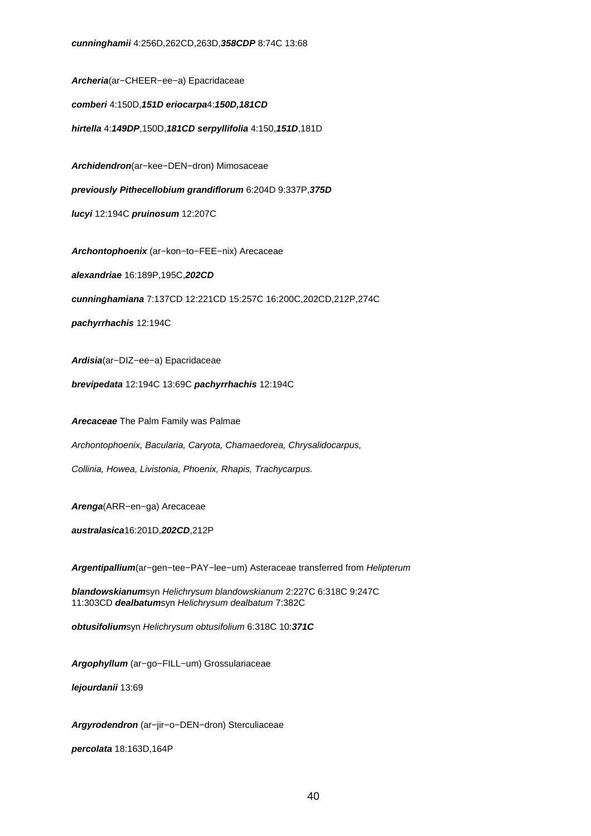**Archeria**(ar−CHEER−ee−a) Epacridaceae **comberi** 4:150D,**151D eriocarpa**4:**150D,181CD hirtella** 4:**149DP**,150D,**181CD serpyllifolia** 4:150,**151D**,181D

**Archidendron**(ar−kee−DEN−dron) Mimosaceae

**previously Pithecellobium grandiflorum** 6:204D 9:337P,**375D**

**lucyi** 12:194C **pruinosum** 12:207C

**Archontophoenix** (ar−kon−to−FEE−nix) Arecaceae

**alexandriae** 16:189P,195C,**202CD**

**cunninghamiana** 7:137CD 12:221CD 15:257C 16:200C,202CD,212P,274C

**pachyrrhachis** 12:194C

**Ardisia**(ar−DIZ−ee−a) Epacridaceae

**brevipedata** 12:194C 13:69C **pachyrrhachis** 12:194C

**Arecaceae** The Palm Family was Palmae

Archontophoenix, Bacularia, Caryota, Chamaedorea, Chrysalidocarpus,

Collinia, Howea, Livistonia, Phoenix, Rhapis, Trachycarpus.

**Arenga**(ARR−en−ga) Arecaceae

**australasica**16:201D,**202CD**,212P

**Argentipallium**(ar−gen−tee−PAY−lee−um) Asteraceae transferred from Helipterum

**blandowskianum**syn Helichrysum blandowskianum 2:227C 6:318C 9:247C 11:303CD **dealbatum**syn Helichrysum dealbatum 7:382C

**obtusifolium**syn Helichrysum obtusifolium 6:318C 10:**371C**

**Argophyllum** (ar−go−FILL−um) Grossulariaceae

**lejourdanii** 13:69

**Argyrodendron** (ar−jir−o−DEN−dron) Sterculiaceae

**percolata** 18:163D,164P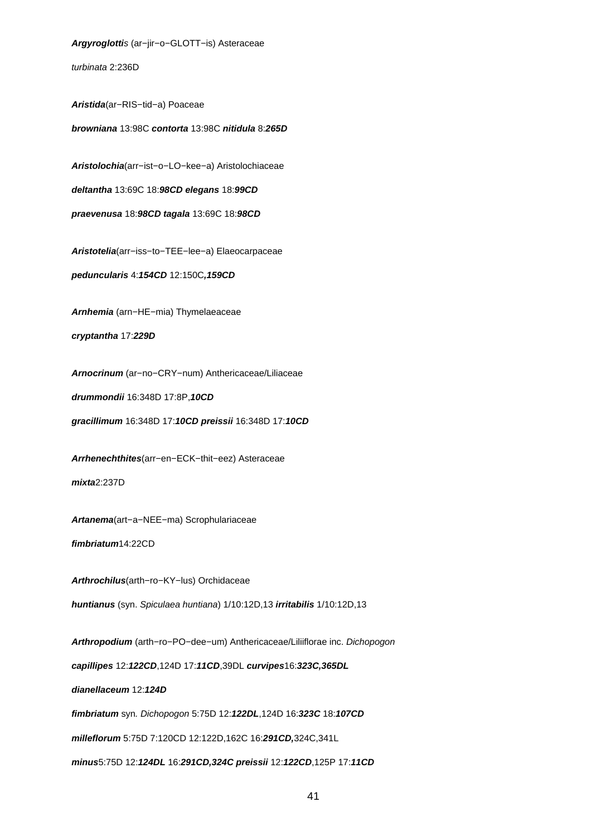**Argyroglotti**s (ar−jir−o−GLOTT−is) Asteraceae turbinata 2:236D **Aristida**(ar−RIS−tid−a) Poaceae **browniana** 13:98C **contorta** 13:98C **nitidula** 8:**265D Aristolochia**(arr−ist−o−LO−kee−a) Aristolochiaceae **deltantha** 13:69C 18:**98CD elegans** 18:**99CD praevenusa** 18:**98CD tagala** 13:69C 18:**98CD Aristotelia**(arr−iss−to−TEE−lee−a) Elaeocarpaceae **peduncularis** 4:**154CD** 12:150C**,159CD Arnhemia** (arn−HE−mia) Thymelaeaceae **cryptantha** 17:**229D Arnocrinum** (ar−no−CRY−num) Anthericaceae/Liliaceae **drummondii** 16:348D 17:8P,**10CD gracillimum** 16:348D 17:**10CD preissii** 16:348D 17:**10CD Arrhenechthites**(arr−en−ECK−thit−eez) Asteraceae **mixta**2:237D **Artanema**(art−a−NEE−ma) Scrophulariaceae **fimbriatum**14:22CD **Arthrochilus**(arth−ro−KY−lus) Orchidaceae **huntianus** (syn. Spiculaea huntiana) 1/10:12D,13 **irritabilis** 1/10:12D,13 **Arthropodium** (arth−ro−PO−dee−um) Anthericaceae/Liliiflorae inc. Dichopogon **capillipes** 12:**122CD**,124D 17:**11CD**,39DL **curvipes**16:**323C,365DL dianellaceum** 12:**124D fimbriatum** syn. Dichopogon 5:75D 12:**122DL**,124D 16:**323C** 18:**107CD milleflorum** 5:75D 7:120CD 12:122D,162C 16:**291CD,**324C,341L

**minus**5:75D 12:**124DL** 16:**291CD,324C preissii** 12:**122CD**,125P 17:**11CD**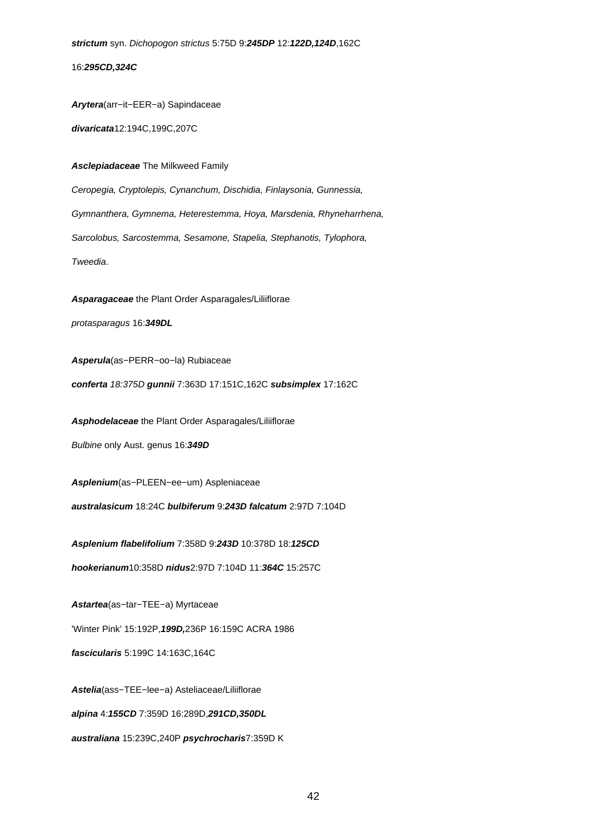**strictum** syn. Dichopogon strictus 5:75D 9:**245DP** 12:**122D,124D**,162C

16:**295CD,324C**

**Arytera**(arr−it−EER−a) Sapindaceae

**divaricata**12:194C,199C,207C

**Asclepiadaceae** The Milkweed Family

Ceropegia, Cryptolepis, Cynanchum, Dischidia, Finlaysonia, Gunnessia, Gymnanthera, Gymnema, Heterestemma, Hoya, Marsdenia, Rhyneharrhena, Sarcolobus, Sarcostemma, Sesamone, Stapelia, Stephanotis, Tylophora, Tweedia.

**Asparagaceae** the Plant Order Asparagales/Liliiflorae protasparagus 16:**349DL**

**Asperula**(as−PERR−oo−la) Rubiaceae

**conferta** 18:375D **gunnii** 7:363D 17:151C,162C **subsimplex** 17:162C

**Asphodelaceae** the Plant Order Asparagales/Liliiflorae

Bulbine only Aust. genus 16:**349D**

**Asplenium**(as−PLEEN−ee−um) Aspleniaceae

**australasicum** 18:24C **bulbiferum** 9:**243D falcatum** 2:97D 7:104D

**Asplenium flabelifolium** 7:358D 9:**243D** 10:378D 18:**125CD**

**hookerianum**10:358D **nidus**2:97D 7:104D 11:**364C** 15:257C

**Astartea**(as−tar−TEE−a) Myrtaceae

'Winter Pink' 15:192P,**199D,**236P 16:159C ACRA 1986

**fascicularis** 5:199C 14:163C,164C

**Astelia**(ass−TEE−lee−a) Asteliaceae/Liliiflorae **alpina** 4:**155CD** 7:359D 16:289D,**291CD,350DL australiana** 15:239C,240P **psychrocharis**7:359D K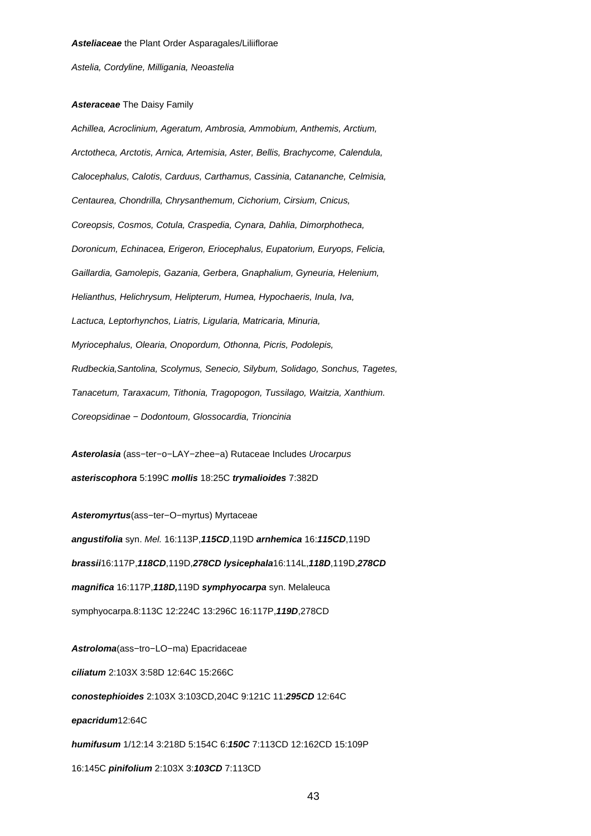Astelia, Cordyline, Milligania, Neoastelia

#### **Asteraceae** The Daisy Family

Achillea, Acroclinium, Ageratum, Ambrosia, Ammobium, Anthemis, Arctium, Arctotheca, Arctotis, Arnica, Artemisia, Aster, Bellis, Brachycome, Calendula, Calocephalus, Calotis, Carduus, Carthamus, Cassinia, Catananche, Celmisia, Centaurea, Chondrilla, Chrysanthemum, Cichorium, Cirsium, Cnicus, Coreopsis, Cosmos, Cotula, Craspedia, Cynara, Dahlia, Dimorphotheca, Doronicum, Echinacea, Erigeron, Eriocephalus, Eupatorium, Euryops, Felicia, Gaillardia, Gamolepis, Gazania, Gerbera, Gnaphalium, Gyneuria, Helenium, Helianthus, Helichrysum, Helipterum, Humea, Hypochaeris, Inula, Iva, Lactuca, Leptorhynchos, Liatris, Ligularia, Matricaria, Minuria, Myriocephalus, Olearia, Onopordum, Othonna, Picris, Podolepis, Rudbeckia,Santolina, Scolymus, Senecio, Silybum, Solidago, Sonchus, Tagetes, Tanacetum, Taraxacum, Tithonia, Tragopogon, Tussilago, Waitzia, Xanthium. Coreopsidinae − Dodontoum, Glossocardia, Trioncinia

**Asterolasia** (ass−ter−o−LAY−zhee−a) Rutaceae Includes Urocarpus **asteriscophora** 5:199C **mollis** 18:25C **trymalioides** 7:382D

**Asteromyrtus**(ass−ter−O−myrtus) Myrtaceae

**angustifolia** syn. Mel. 16:113P,**115CD**,119D **arnhemica** 16:**115CD**,119D **brassii**16:117P,**118CD**,119D,**278CD lysicephala**16:114L,**118D**,119D,**278CD magnifica** 16:117P,**118D,**119D **symphyocarpa** syn. Melaleuca symphyocarpa.8:113C 12:224C 13:296C 16:117P,**119D**,278CD

**Astroloma**(ass−tro−LO−ma) Epacridaceae **ciliatum** 2:103X 3:58D 12:64C 15:266C **conostephioides** 2:103X 3:103CD,204C 9:121C 11:**295CD** 12:64C **epacridum**12:64C **humifusum** 1/12:14 3:218D 5:154C 6:**150C** 7:113CD 12:162CD 15:109P 16:145C **pinifolium** 2:103X 3:**103CD** 7:113CD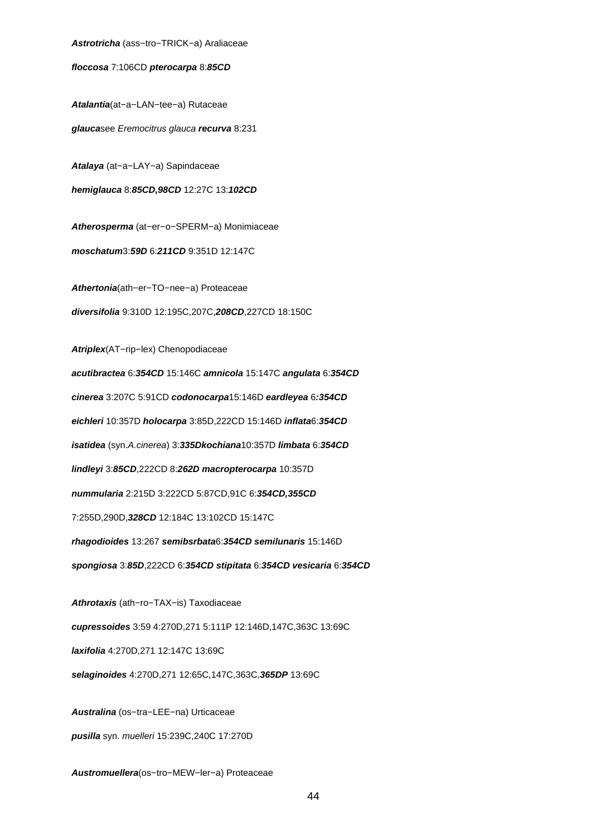**Astrotricha** (ass−tro−TRICK−a) Araliaceae

**floccosa** 7:106CD **pterocarpa** 8:**85CD**

**Atalantia**(at−a−LAN−tee−a) Rutaceae

**glauca**see Eremocitrus glauca **recurva** 8:231

**Atalaya** (at−a−LAY−a) Sapindaceae

**hemiglauca** 8:**85CD,98CD** 12:27C 13:**102CD**

**Atherosperma** (at−er−o−SPERM−a) Monimiaceae **moschatum**3:**59D** 6:**211CD** 9:351D 12:147C

**Athertonia**(ath−er−TO−nee−a) Proteaceae **diversifolia** 9:310D 12:195C,207C,**208CD**,227CD 18:150C

**Atriplex**(AT−rip−lex) Chenopodiaceae **acutibractea** 6:**354CD** 15:146C **amnicola** 15:147C **angulata** 6:**354CD cinerea** 3:207C 5:91CD **codonocarpa**15:146D **eardleyea** 6**:354CD eichleri** 10:357D **holocarpa** 3:85D,222CD 15:146D **inflata**6:**354CD isatidea** (syn.A.cinerea) 3:**335Dkochiana**10:357D **limbata** 6:**354CD lindleyi** 3:**85CD**,222CD 8:**262D macropterocarpa** 10:357D **nummularia** 2:215D 3:222CD 5:87CD,91C 6:**354CD,355CD** 7:255D,290D,**328CD** 12:184C 13:102CD 15:147C **rhagodioides** 13:267 **semibsrbata**6:**354CD semilunaris** 15:146D **spongiosa** 3:**85D**,222CD 6:**354CD stipitata** 6:**354CD vesicaria** 6:**354CD Athrotaxis** (ath−ro−TAX−is) Taxodiaceae **cupressoides** 3:59 4:270D,271 5:111P 12:146D,147C,363C 13:69C **laxifolia** 4:270D,271 12:147C 13:69C

**selaginoides** 4:270D,271 12:65C,147C,363C,**365DP** 13:69C

**Australina** (os−tra−LEE−na) Urticaceae

**pusilla** syn. muelleri 15:239C,240C 17:270D

**Austromuellera**(os−tro−MEW−ler−a) Proteaceae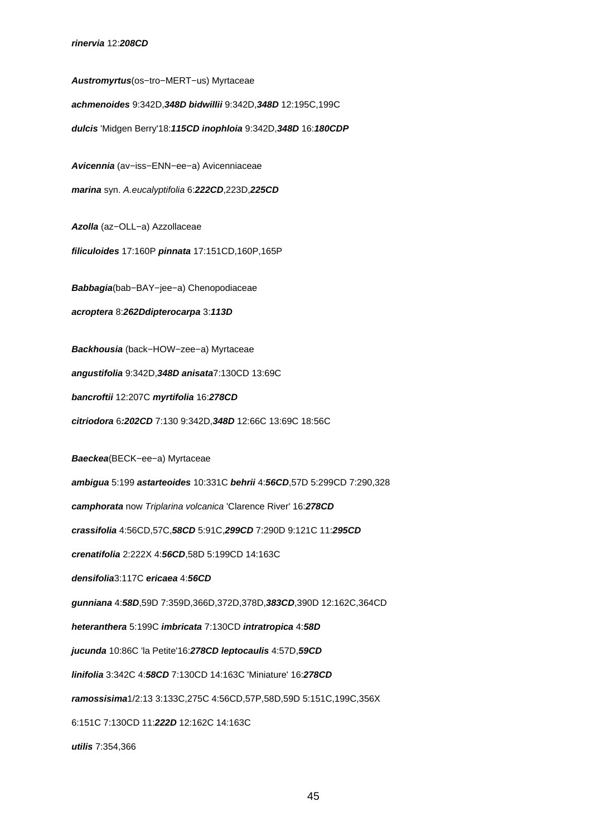**Austromyrtus**(os−tro−MERT−us) Myrtaceae **achmenoides** 9:342D,**348D bidwillii** 9:342D,**348D** 12:195C,199C **dulcis** 'Midgen Berry'18:**115CD inophloia** 9:342D,**348D** 16:**180CDP Avicennia** (av−iss−ENN−ee−a) Avicenniaceae **marina** syn. A.eucalyptifolia 6:**222CD**,223D,**225CD Azolla** (az−OLL−a) Azzollaceae **filiculoides** 17:160P **pinnata** 17:151CD,160P,165P **Babbagia**(bab−BAY−jee−a) Chenopodiaceae **acroptera** 8:**262Ddipterocarpa** 3:**113D Backhousia** (back−HOW−zee−a) Myrtaceae **angustifolia** 9:342D,**348D anisata**7:130CD 13:69C **bancroftii** 12:207C **myrtifolia** 16:**278CD citriodora** 6**:202CD** 7:130 9:342D,**348D** 12:66C 13:69C 18:56C **Baeckea**(BECK−ee−a) Myrtaceae **ambigua** 5:199 **astarteoides** 10:331C **behrii** 4:**56CD**,57D 5:299CD 7:290,328 **camphorata** now Triplarina volcanica 'Clarence River' 16:**278CD crassifolia** 4:56CD,57C,**58CD** 5:91C,**299CD** 7:290D 9:121C 11:**295CD crenatifolia** 2:222X 4:**56CD**,58D 5:199CD 14:163C **densifolia**3:117C **ericaea** 4:**56CD gunniana** 4:**58D**,59D 7:359D,366D,372D,378D,**383CD**,390D 12:162C,364CD **heteranthera** 5:199C **imbricata** 7:130CD **intratropica** 4:**58D jucunda** 10:86C 'la Petite'16:**278CD leptocaulis** 4:57D,**59CD linifolia** 3:342C 4:**58CD** 7:130CD 14:163C 'Miniature' 16:**278CD ramossisima**1/2:13 3:133C,275C 4:56CD,57P,58D,59D 5:151C,199C,356X 6:151C 7:130CD 11:**222D** 12:162C 14:163C **utilis** 7:354,366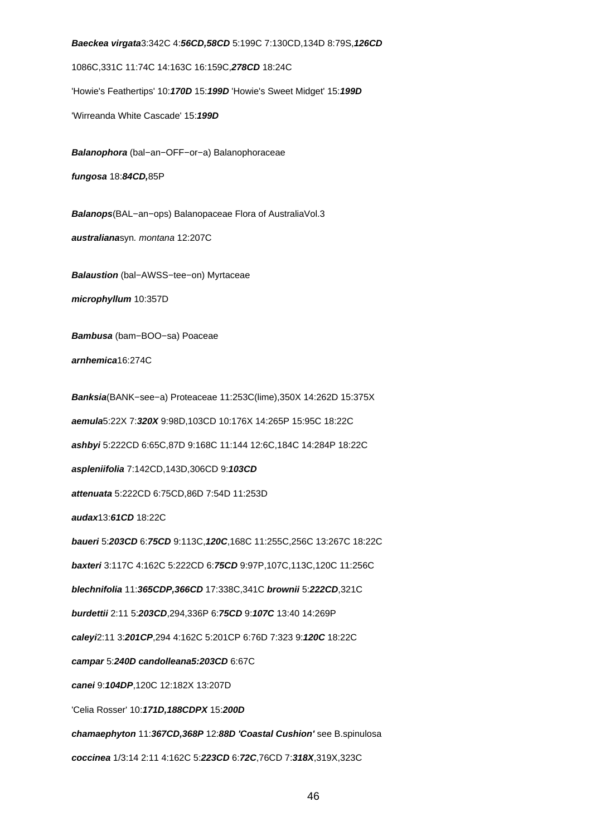**Baeckea virgata**3:342C 4:**56CD,58CD** 5:199C 7:130CD,134D 8:79S,**126CD**

1086C,331C 11:74C 14:163C 16:159C,**278CD** 18:24C

'Howie's Feathertips' 10:**170D** 15:**199D** 'Howie's Sweet Midget' 15:**199D**

'Wirreanda White Cascade' 15:**199D**

**Balanophora** (bal−an−OFF−or−a) Balanophoraceae

**fungosa** 18:**84CD,**85P

**Balanops**(BAL−an−ops) Balanopaceae Flora of AustraliaVol.3 **australiana**syn. montana 12:207C

**Balaustion** (bal−AWSS−tee−on) Myrtaceae **microphyllum** 10:357D

**Bambusa** (bam−BOO−sa) Poaceae

**arnhemica**16:274C

**Banksia**(BANK−see−a) Proteaceae 11:253C(lime),350X 14:262D 15:375X **aemula**5:22X 7:**320X** 9:98D,103CD 10:176X 14:265P 15:95C 18:22C **ashbyi** 5:222CD 6:65C,87D 9:168C 11:144 12:6C,184C 14:284P 18:22C **aspleniifolia** 7:142CD,143D,306CD 9:**103CD attenuata** 5:222CD 6:75CD,86D 7:54D 11:253D **audax**13:**61CD** 18:22C **baueri** 5:**203CD** 6:**75CD** 9:113C,**120C**,168C 11:255C,256C 13:267C 18:22C **baxteri** 3:117C 4:162C 5:222CD 6:**75CD** 9:97P,107C,113C,120C 11:256C **blechnifolia** 11:**365CDP,366CD** 17:338C,341C **brownii** 5:**222CD**,321C **burdettii** 2:11 5:**203CD**,294,336P 6:**75CD** 9:**107C** 13:40 14:269P **caleyi**2:11 3:**201CP**,294 4:162C 5:201CP 6:76D 7:323 9:**120C** 18:22C **campar** 5:**240D candolleana5:203CD** 6:67C **canei** 9:**104DP**,120C 12:182X 13:207D 'Celia Rosser' 10:**171D,188CDPX** 15:**200D chamaephyton** 11:**367CD,368P** 12:**88D 'Coastal Cushion'** see B.spinulosa

**coccinea** 1/3:14 2:11 4:162C 5:**223CD** 6:**72C**,76CD 7:**318X**,319X,323C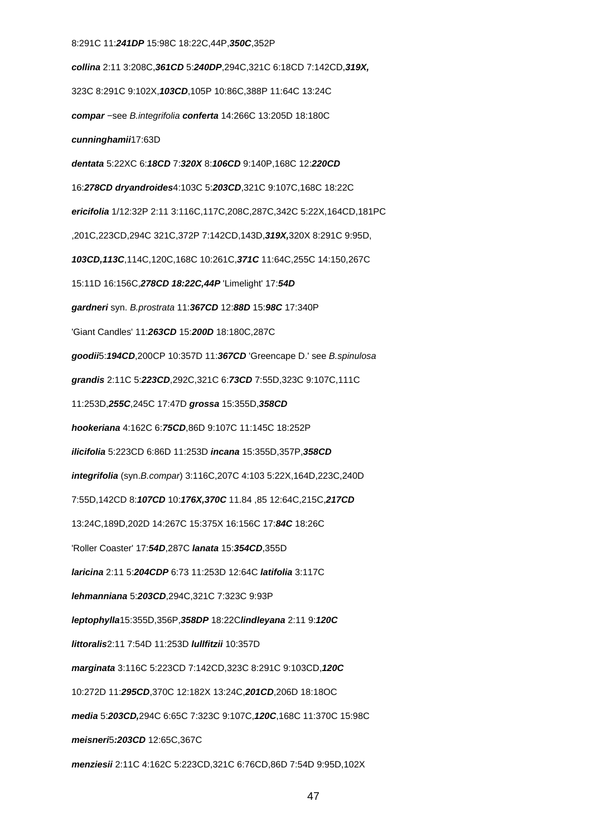#### 8:291C 11:**241DP** 15:98C 18:22C,44P,**350C**,352P

**collina** 2:11 3:208C,**361CD** 5:**240DP**,294C,321C 6:18CD 7:142CD,**319X,** 323C 8:291C 9:102X,**103CD**,105P 10:86C,388P 11:64C 13:24C **compar** −see B.integrifolia **conferta** 14:266C 13:205D 18:180C **cunninghamii**17:63D **dentata** 5:22XC 6:**18CD** 7:**320X** 8:**106CD** 9:140P,168C 12:**220CD** 16:**278CD dryandroides**4:103C 5:**203CD**,321C 9:107C,168C 18:22C **ericifolia** 1/12:32P 2:11 3:116C,117C,208C,287C,342C 5:22X,164CD,181PC ,201C,223CD,294C 321C,372P 7:142CD,143D,**319X,**320X 8:291C 9:95D, **103CD,113C**,114C,120C,168C 10:261C,**371C** 11:64C,255C 14:150,267C 15:11D 16:156C,**278CD 18:22C,44P** 'Limelight' 17:**54D gardneri** syn. B.prostrata 11:**367CD** 12:**88D** 15:**98C** 17:340P 'Giant Candles' 11:**263CD** 15:**200D** 18:180C,287C **goodii**5:**194CD**,200CP 10:357D 11:**367CD** 'Greencape D.' see B.spinulosa **grandis** 2:11C 5:**223CD**,292C,321C 6:**73CD** 7:55D,323C 9:107C,111C 11:253D,**255C**,245C 17:47D **grossa** 15:355D,**358CD hookeriana** 4:162C 6:**75CD**,86D 9:107C 11:145C 18:252P **ilicifolia** 5:223CD 6:86D 11:253D **incana** 15:355D,357P,**358CD integrifolia** (syn.B.compar) 3:116C,207C 4:103 5:22X,164D,223C,240D 7:55D,142CD 8:**107CD** 10:**176X,370C** 11.84 ,85 12:64C,215C,**217CD** 13:24C,189D,202D 14:267C 15:375X 16:156C 17:**84C** 18:26C 'Roller Coaster' 17:**54D**,287C **lanata** 15:**354CD**,355D **laricina** 2:11 5:**204CDP** 6:73 11:253D 12:64C **latifolia** 3:117C **lehmanniana** 5:**203CD**,294C,321C 7:323C 9:93P **leptophylla**15:355D,356P,**358DP** 18:22C**lindleyana** 2:11 9:**120C littoralis**2:11 7:54D 11:253D **lullfitzii** 10:357D **marginata** 3:116C 5:223CD 7:142CD,323C 8:291C 9:103CD,**120C** 10:272D 11:**295CD**,370C 12:182X 13:24C,**201CD**,206D 18:18OC **media** 5:**203CD,**294C 6:65C 7:323C 9:107C,**120C**,168C 11:370C 15:98C **meisneri**5**:203CD** 12:65C,367C **menziesii** 2:11C 4:162C 5:223CD,321C 6:76CD,86D 7:54D 9:95D,102X

47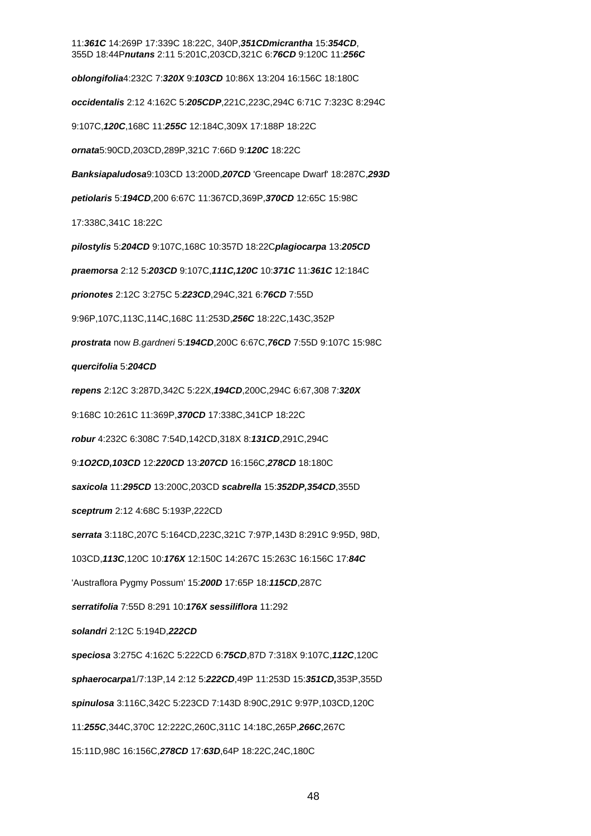# 11:**361C** 14:269P 17:339C 18:22C, 340P,**351CDmicrantha** 15:**354CD**, 355D 18:44P**nutans** 2:11 5:201C,203CD,321C 6:**76CD** 9:120C 11:**256C oblongifolia**4:232C 7:**320X** 9:**103CD** 10:86X 13:204 16:156C 18:180C **occidentalis** 2:12 4:162C 5:**205CDP**,221C,223C,294C 6:71C 7:323C 8:294C 9:107C,**120C**,168C 11:**255C** 12:184C,309X 17:188P 18:22C **ornata**5:90CD,203CD,289P,321C 7:66D 9:**120C** 18:22C **Banksiapaludosa**9:103CD 13:200D,**207CD** 'Greencape Dwarf' 18:287C,**293D petiolaris** 5:**194CD**,200 6:67C 11:367CD,369P,**370CD** 12:65C 15:98C 17:338C,341C 18:22C **pilostylis** 5:**204CD** 9:107C,168C 10:357D 18:22C**plagiocarpa** 13:**205CD praemorsa** 2:12 5:**203CD** 9:107C,**111C,120C** 10:**371C** 11:**361C** 12:184C **prionotes** 2:12C 3:275C 5:**223CD**,294C,321 6:**76CD** 7:55D 9:96P,107C,113C,114C,168C 11:253D,**256C** 18:22C,143C,352P **prostrata** now B.gardneri 5:**194CD**,200C 6:67C,**76CD** 7:55D 9:107C 15:98C **quercifolia** 5:**204CD repens** 2:12C 3:287D,342C 5:22X,**194CD**,200C,294C 6:67,308 7:**320X** 9:168C 10:261C 11:369P,**370CD** 17:338C,341CP 18:22C **robur** 4:232C 6:308C 7:54D,142CD,318X 8:**131CD**,291C,294C 9:**1O2CD,103CD** 12:**220CD** 13:**207CD** 16:156C,**278CD** 18:180C **saxicola** 11:**295CD** 13:200C,203CD **scabrella** 15:**352DP,354CD**,355D **sceptrum** 2:12 4:68C 5:193P,222CD **serrata** 3:118C,207C 5:164CD,223C,321C 7:97P,143D 8:291C 9:95D, 98D, 103CD,**113C**,120C 10:**176X** 12:150C 14:267C 15:263C 16:156C 17:**84C** 'Austraflora Pygmy Possum' 15:**200D** 17:65P 18:**115CD**,287C **serratifolia** 7:55D 8:291 10:**176X sessiliflora** 11:292 **solandri** 2:12C 5:194D,**222CD speciosa** 3:275C 4:162C 5:222CD 6:**75CD**,87D 7:318X 9:107C,**112C**,120C **sphaerocarpa**1/7:13P,14 2:12 5:**222CD**,49P 11:253D 15:**351CD,**353P,355D **spinulosa** 3:116C,342C 5:223CD 7:143D 8:90C,291C 9:97P,103CD,120C 11:**255C**,344C,370C 12:222C,260C,311C 14:18C,265P,**266C**,267C 15:11D,98C 16:156C,**278CD** 17:**63D**,64P 18:22C,24C,180C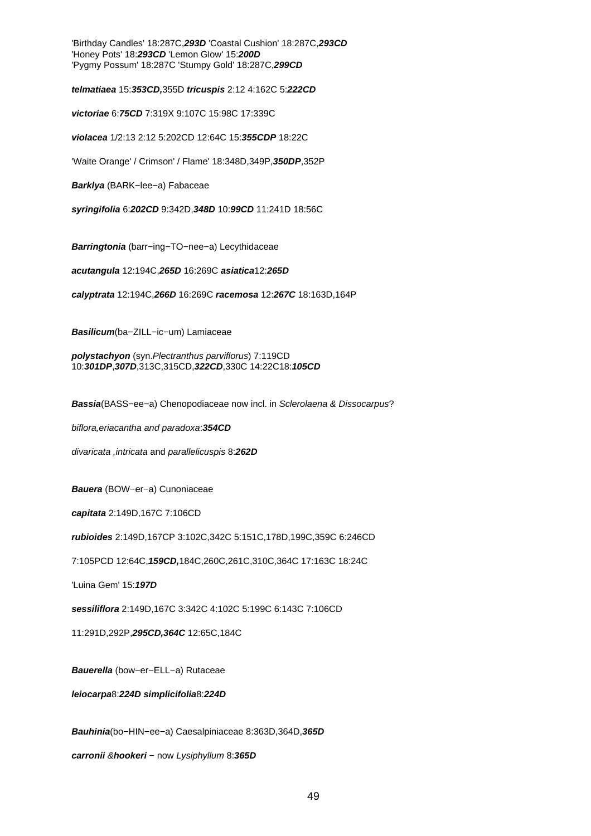'Birthday Candles' 18:287C,**293D** 'Coastal Cushion' 18:287C,**293CD**  'Honey Pots' 18:**293CD** 'Lemon Glow' 15:**200D** 'Pygmy Possum' 18:287C 'Stumpy Gold' 18:287C,**299CD**

**telmatiaea** 15:**353CD,**355D **tricuspis** 2:12 4:162C 5:**222CD**

**victoriae** 6:**75CD** 7:319X 9:107C 15:98C 17:339C

**violacea** 1/2:13 2:12 5:202CD 12:64C 15:**355CDP** 18:22C

'Waite Orange' / Crimson' / Flame' 18:348D,349P,**350DP**,352P

**Barklya** (BARK−lee−a) Fabaceae

**syringifolia** 6:**202CD** 9:342D,**348D** 10:**99CD** 11:241D 18:56C

**Barringtonia** (barr−ing−TO−nee−a) Lecythidaceae

**acutangula** 12:194C,**265D** 16:269C **asiatica**12:**265D**

**calyptrata** 12:194C,**266D** 16:269C **racemosa** 12:**267C** 18:163D,164P

**Basilicum**(ba−ZILL−ic−um) Lamiaceae

**polystachyon** (syn.Plectranthus parviflorus) 7:119CD 10:**301DP**,**307D**,313C,315CD,**322CD**,330C 14:22C18:**105CD**

**Bassia**(BASS−ee−a) Chenopodiaceae now incl. in Sclerolaena & Dissocarpus?

biflora,eriacantha and paradoxa:**354CD**

divaricata ,intricata and parallelicuspis 8:**262D**

**Bauera** (BOW−er−a) Cunoniaceae

**capitata** 2:149D,167C 7:106CD

**rubioides** 2:149D,167CP 3:102C,342C 5:151C,178D,199C,359C 6:246CD

7:105PCD 12:64C,**159CD,**184C,260C,261C,310C,364C 17:163C 18:24C

'Luina Gem' 15:**197D**

**sessiliflora** 2:149D,167C 3:342C 4:102C 5:199C 6:143C 7:106CD

11:291D,292P,**295CD,364C** 12:65C,184C

**Bauerella** (bow−er−ELL−a) Rutaceae

**leiocarpa**8:**224D simplicifolia**8:**224D**

**Bauhinia**(bo−HIN−ee−a) Caesalpiniaceae 8:363D,364D,**365D**

**carronii** &**hookeri** − now Lysiphyllum 8:**365D**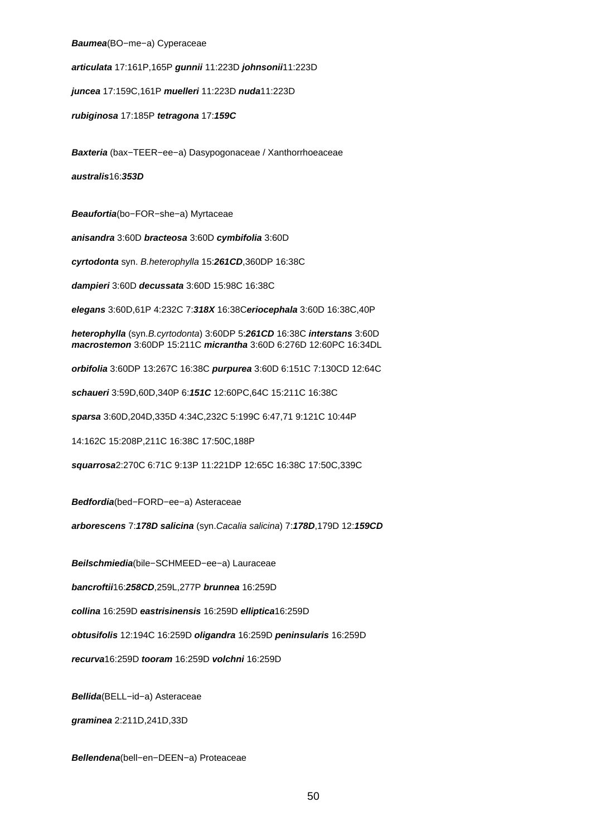**Baumea**(BO−me−a) Cyperaceae

**articulata** 17:161P,165P **gunnii** 11:223D **johnsonii**11:223D

**juncea** 17:159C,161P **muelleri** 11:223D **nuda**11:223D

**rubiginosa** 17:185P **tetragona** 17:**159C**

**Baxteria** (bax−TEER−ee−a) Dasypogonaceae / Xanthorrhoeaceae

**australis**16:**353D**

**Beaufortia**(bo−FOR−she−a) Myrtaceae

**anisandra** 3:60D **bracteosa** 3:60D **cymbifolia** 3:60D

**cyrtodonta** syn. B.heterophylla 15:**261CD**,360DP 16:38C

**dampieri** 3:60D **decussata** 3:60D 15:98C 16:38C

**elegans** 3:60D,61P 4:232C 7:**318X** 16:38C**eriocephala** 3:60D 16:38C,40P

**heterophylla** (syn.B.cyrtodonta) 3:60DP 5:**261CD** 16:38C **interstans** 3:60D **macrostemon** 3:60DP 15:211C **micrantha** 3:60D 6:276D 12:60PC 16:34DL

**orbifolia** 3:60DP 13:267C 16:38C **purpurea** 3:60D 6:151C 7:130CD 12:64C

**schaueri** 3:59D,60D,340P 6:**151C** 12:60PC,64C 15:211C 16:38C

**sparsa** 3:60D,204D,335D 4:34C,232C 5:199C 6:47,71 9:121C 10:44P

14:162C 15:208P,211C 16:38C 17:50C,188P

**squarrosa**2:270C 6:71C 9:13P 11:221DP 12:65C 16:38C 17:50C,339C

**Bedfordia**(bed−FORD−ee−a) Asteraceae

**arborescens** 7:**178D salicina** (syn.Cacalia salicina) 7:**178D**,179D 12:**159CD**

**Beilschmiedia**(bile−SCHMEED−ee−a) Lauraceae

**bancroftii**16:**258CD**,259L,277P **brunnea** 16:259D

**collina** 16:259D **eastrisinensis** 16:259D **elliptica**16:259D

**obtusifolis** 12:194C 16:259D **oligandra** 16:259D **peninsularis** 16:259D

**recurva**16:259D **tooram** 16:259D **volchni** 16:259D

**Bellida**(BELL−id−a) Asteraceae

**graminea** 2:211D,241D,33D

**Bellendena**(bell−en−DEEN−a) Proteaceae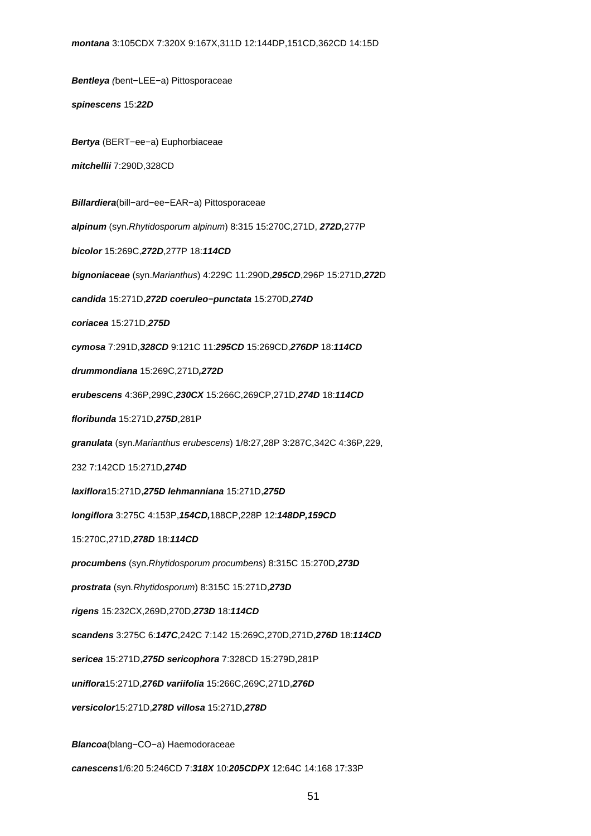**Bentleya** (bent−LEE−a) Pittosporaceae **spinescens** 15:**22D Bertya** (BERT−ee−a) Euphorbiaceae **mitchellii** 7:290D,328CD **Billardiera**(bill−ard−ee−EAR−a) Pittosporaceae **alpinum** (syn.Rhytidosporum alpinum) 8:315 15:270C,271D, **272D,**277P **bicolor** 15:269C,**272D**,277P 18:**114CD bignoniaceae** (syn.Marianthus) 4:229C 11:290D,**295CD**,296P 15:271D,**272**D **candida** 15:271D,**272D coeruleo−punctata** 15:270D,**274D coriacea** 15:271D,**275D cymosa** 7:291D,**328CD** 9:121C 11:**295CD** 15:269CD,**276DP** 18:**114CD drummondiana** 15:269C,271D**,272D erubescens** 4:36P,299C,**230CX** 15:266C,269CP,271D,**274D** 18:**114CD floribunda** 15:271D,**275D**,281P **granulata** (syn.Marianthus erubescens) 1/8:27,28P 3:287C,342C 4:36P,229, 232 7:142CD 15:271D,**274D laxiflora**15:271D,**275D lehmanniana** 15:271D,**275D longiflora** 3:275C 4:153P,**154CD,**188CP,228P 12:**148DP,159CD** 15:270C,271D,**278D** 18:**114CD procumbens** (syn.Rhytidosporum procumbens) 8:315C 15:270D,**273D**

**prostrata** (syn.Rhytidosporum) 8:315C 15:271D,**273D**

**rigens** 15:232CX,269D,270D,**273D** 18:**114CD**

**scandens** 3:275C 6:**147C**,242C 7:142 15:269C,270D,271D,**276D** 18:**114CD**

**sericea** 15:271D,**275D sericophora** 7:328CD 15:279D,281P

**uniflora**15:271D,**276D variifolia** 15:266C,269C,271D,**276D**

**versicolor**15:271D,**278D villosa** 15:271D,**278D**

**Blancoa**(blang−CO−a) Haemodoraceae

**canescens**1/6:20 5:246CD 7:**318X** 10:**205CDPX** 12:64C 14:168 17:33P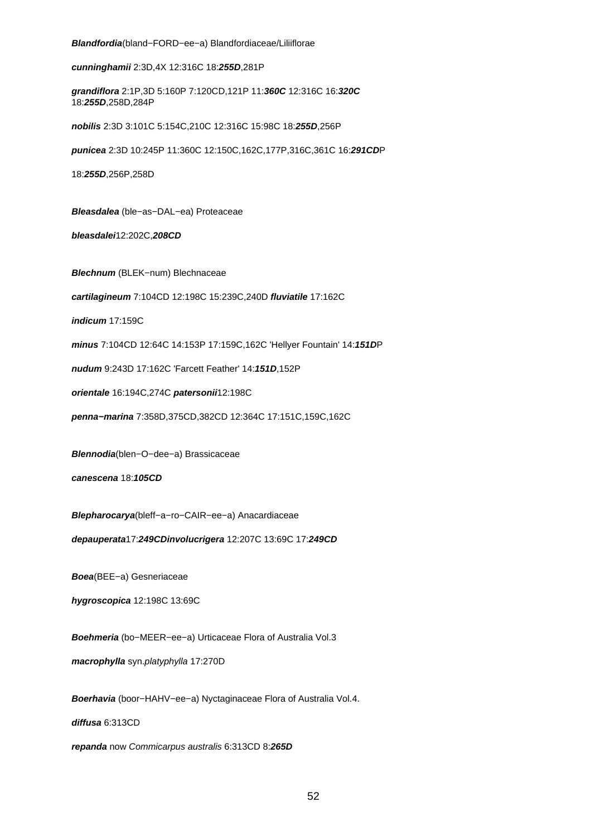## **Blandfordia**(bland−FORD−ee−a) Blandfordiaceae/Liliiflorae

**cunninghamii** 2:3D,4X 12:316C 18:**255D**,281P

**grandiflora** 2:1P,3D 5:160P 7:120CD,121P 11:**360C** 12:316C 16:**320C** 18:**255D**,258D,284P

**nobilis** 2:3D 3:101C 5:154C,210C 12:316C 15:98C 18:**255D**,256P

**punicea** 2:3D 10:245P 11:360C 12:150C,162C,177P,316C,361C 16:**291CD**P

18:**255D**,256P,258D

**Bleasdalea** (ble−as−DAL−ea) Proteaceae

**bleasdalei**12:202C,**208CD**

**Blechnum** (BLEK−num) Blechnaceae

**cartilagineum** 7:104CD 12:198C 15:239C,240D **fluviatile** 17:162C

**indicum** 17:159C

**minus** 7:104CD 12:64C 14:153P 17:159C,162C 'Hellyer Fountain' 14:**151D**P

**nudum** 9:243D 17:162C 'Farcett Feather' 14:**151D**,152P

**orientale** 16:194C,274C **patersonii**12:198C

**penna−marina** 7:358D,375CD,382CD 12:364C 17:151C,159C,162C

**Blennodia**(blen−O−dee−a) Brassicaceae

**canescena** 18:**105CD**

**Blepharocarya**(bleff−a−ro−CAIR−ee−a) Anacardiaceae

**depauperata**17:**249CDinvolucrigera** 12:207C 13:69C 17:**249CD**

**Boea**(BEE−a) Gesneriaceae

**hygroscopica** 12:198C 13:69C

**Boehmeria** (bo−MEER−ee−a) Urticaceae Flora of Australia Vol.3

**macrophylla** syn.platyphylla 17:270D

**Boerhavia** (boor−HAHV−ee−a) Nyctaginaceae Flora of Australia Vol.4.

**diffusa** 6:313CD

**repanda** now Commicarpus australis 6:313CD 8:**265D**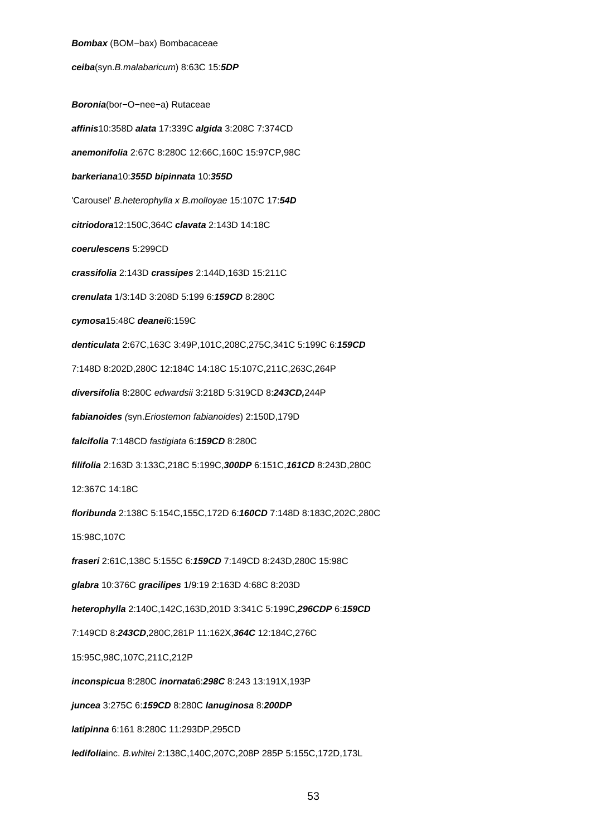## **Bombax** (BOM−bax) Bombacaceae

**ceiba**(syn.B.malabaricum) 8:63C 15:**5DP**

**Boronia**(bor−O−nee−a) Rutaceae **affinis**10:358D **alata** 17:339C **algida** 3:208C 7:374CD **anemonifolia** 2:67C 8:280C 12:66C,160C 15:97CP,98C **barkeriana**10:**355D bipinnata** 10:**355D** 'Carousel' B.heterophylla x B.molloyae 15:107C 17:**54D citriodora**12:150C,364C **clavata** 2:143D 14:18C **coerulescens** 5:299CD **crassifolia** 2:143D **crassipes** 2:144D,163D 15:211C **crenulata** 1/3:14D 3:208D 5:199 6:**159CD** 8:280C **cymosa**15:48C **deanei**6:159C **denticulata** 2:67C,163C 3:49P,101C,208C,275C,341C 5:199C 6:**159CD** 7:148D 8:202D,280C 12:184C 14:18C 15:107C,211C,263C,264P **diversifolia** 8:280C edwardsii 3:218D 5:319CD 8:**243CD,**244P **fabianoides** (syn.Eriostemon fabianoides) 2:150D,179D **falcifolia** 7:148CD fastigiata 6:**159CD** 8:280C **filifolia** 2:163D 3:133C,218C 5:199C,**300DP** 6:151C,**161CD** 8:243D,280C 12:367C 14:18C **floribunda** 2:138C 5:154C,155C,172D 6:**160CD** 7:148D 8:183C,202C,280C 15:98C,107C **fraseri** 2:61C,138C 5:155C 6:**159CD** 7:149CD 8:243D,280C 15:98C **glabra** 10:376C **gracilipes** 1/9:19 2:163D 4:68C 8:203D **heterophylla** 2:140C,142C,163D,201D 3:341C 5:199C,**296CDP** 6:**159CD** 7:149CD 8:**243CD**,280C,281P 11:162X,**364C** 12:184C,276C 15:95C,98C,107C,211C,212P **inconspicua** 8:280C **inornata**6:**298C** 8:243 13:191X,193P **juncea** 3:275C 6:**159CD** 8:280C **lanuginosa** 8:**200DP latipinna** 6:161 8:280C 11:293DP,295CD **ledifolia**inc. B.whitei 2:138C,140C,207C,208P 285P 5:155C,172D,173L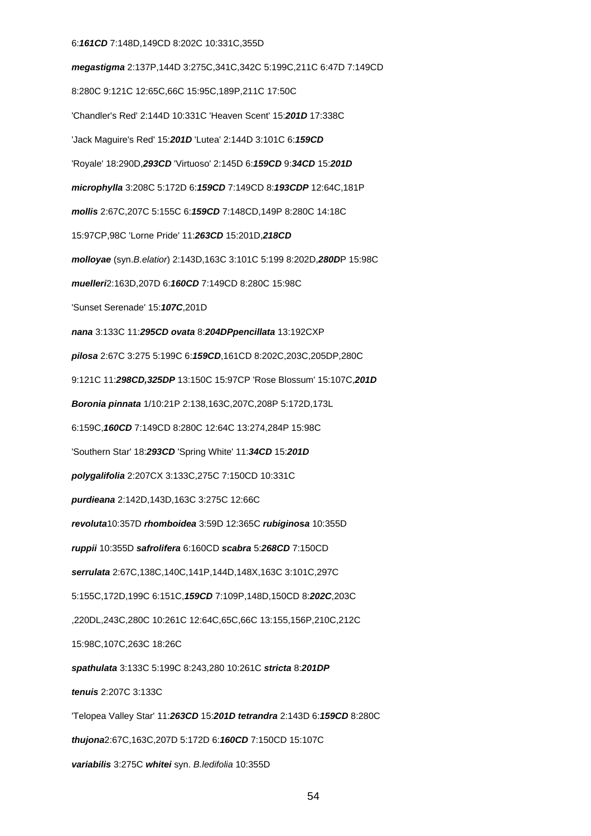#### 6:**161CD** 7:148D,149CD 8:202C 10:331C,355D

**megastigma** 2:137P,144D 3:275C,341C,342C 5:199C,211C 6:47D 7:149CD 8:280C 9:121C 12:65C,66C 15:95C,189P,211C 17:50C 'Chandler's Red' 2:144D 10:331C 'Heaven Scent' 15:**201D** 17:338C 'Jack Maguire's Red' 15:**201D** 'Lutea' 2:144D 3:101C 6:**159CD** 'Royale' 18:290D,**293CD** 'Virtuoso' 2:145D 6:**159CD** 9:**34CD** 15:**201D microphylla** 3:208C 5:172D 6:**159CD** 7:149CD 8:**193CDP** 12:64C,181P **mollis** 2:67C,207C 5:155C 6:**159CD** 7:148CD,149P 8:280C 14:18C 15:97CP,98C 'Lorne Pride' 11:**263CD** 15:201D,**218CD molloyae** (syn.B.elatior) 2:143D,163C 3:101C 5:199 8:202D,**280D**P 15:98C **muelleri**2:163D,207D 6:**160CD** 7:149CD 8:280C 15:98C 'Sunset Serenade' 15:**107C**,201D **nana** 3:133C 11:**295CD ovata** 8:**204DPpencillata** 13:192CXP **pilosa** 2:67C 3:275 5:199C 6:**159CD**,161CD 8:202C,203C,205DP,280C 9:121C 11:**298CD,325DP** 13:150C 15:97CP 'Rose Blossum' 15:107C,**201D Boronia pinnata** 1/10:21P 2:138,163C,207C,208P 5:172D,173L 6:159C,**160CD** 7:149CD 8:280C 12:64C 13:274,284P 15:98C 'Southern Star' 18:**293CD** 'Spring White' 11:**34CD** 15:**201D polygalifolia** 2:207CX 3:133C,275C 7:150CD 10:331C **purdieana** 2:142D,143D,163C 3:275C 12:66C **revoluta**10:357D **rhomboidea** 3:59D 12:365C **rubiginosa** 10:355D **ruppii** 10:355D **safrolifera** 6:160CD **scabra** 5:**268CD** 7:150CD **serrulata** 2:67C,138C,140C,141P,144D,148X,163C 3:101C,297C 5:155C,172D,199C 6:151C,**159CD** 7:109P,148D,150CD 8:**202C**,203C ,220DL,243C,280C 10:261C 12:64C,65C,66C 13:155,156P,210C,212C 15:98C,107C,263C 18:26C **spathulata** 3:133C 5:199C 8:243,280 10:261C **stricta** 8:**201DP tenuis** 2:207C 3:133C 'Telopea Valley Star' 11:**263CD** 15:**201D tetrandra** 2:143D 6:**159CD** 8:280C **thujona**2:67C,163C,207D 5:172D 6:**160CD** 7:150CD 15:107C **variabilis** 3:275C **whitei** syn. B.ledifolia 10:355D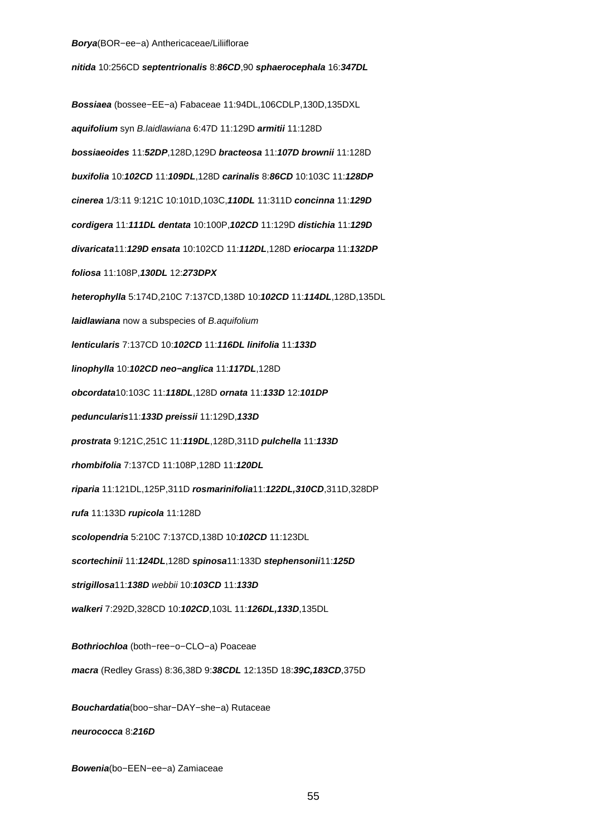**nitida** 10:256CD **septentrionalis** 8:**86CD**,90 **sphaerocephala** 16:**347DL Bossiaea** (bossee−EE−a) Fabaceae 11:94DL,106CDLP,130D,135DXL **aquifolium** syn B.laidlawiana 6:47D 11:129D **armitii** 11:128D **bossiaeoides** 11:**52DP**,128D,129D **bracteosa** 11:**107D brownii** 11:128D **buxifolia** 10:**102CD** 11:**109DL**,128D **carinalis** 8:**86CD** 10:103C 11:**128DP cinerea** 1/3:11 9:121C 10:101D,103C,**110DL** 11:311D **concinna** 11:**129D cordigera** 11:**111DL dentata** 10:100P,**102CD** 11:129D **distichia** 11:**129D divaricata**11:**129D ensata** 10:102CD 11:**112DL**,128D **eriocarpa** 11:**132DP foliosa** 11:108P,**130DL** 12:**273DPX heterophylla** 5:174D,210C 7:137CD,138D 10:**102CD** 11:**114DL**,128D,135DL **laidlawiana** now a subspecies of B.aquifolium **lenticularis** 7:137CD 10:**102CD** 11:**116DL linifolia** 11:**133D linophylla** 10:**102CD neo−anglica** 11:**117DL**,128D **obcordata**10:103C 11:**118DL**,128D **ornata** 11:**133D** 12:**101DP peduncularis**11:**133D preissii** 11:129D,**133D prostrata** 9:121C,251C 11:**119DL**,128D,311D **pulchella** 11:**133D rhombifolia** 7:137CD 11:108P,128D 11:**120DL riparia** 11:121DL,125P,311D **rosmarinifolia**11:**122DL,310CD**,311D,328DP **rufa** 11:133D **rupicola** 11:128D **scolopendria** 5:210C 7:137CD,138D 10:**102CD** 11:123DL **scortechinii** 11:**124DL**,128D **spinosa**11:133D **stephensonii**11:**125D strigillosa**11:**138D** webbii 10:**103CD** 11:**133D walkeri** 7:292D,328CD 10:**102CD**,103L 11:**126DL,133D**,135DL **Bothriochloa** (both−ree−o−CLO−a) Poaceae **macra** (Redley Grass) 8:36,38D 9:**38CDL** 12:135D 18:**39C,183CD**,375D

**Bouchardatia**(boo−shar−DAY−she−a) Rutaceae **neurococca** 8:**216D**

**Bowenia**(bo−EEN−ee−a) Zamiaceae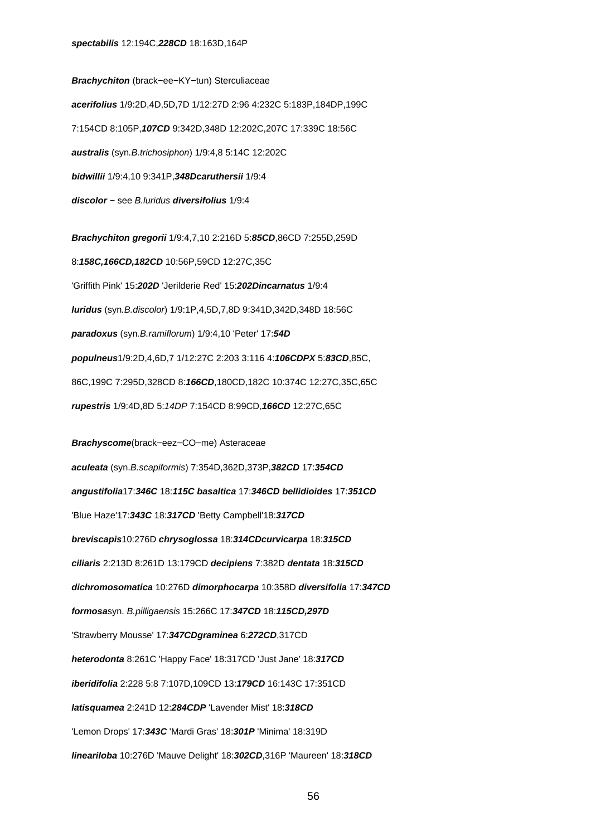**Brachychiton** (brack−ee−KY−tun) Sterculiaceae **acerifolius** 1/9:2D,4D,5D,7D 1/12:27D 2:96 4:232C 5:183P,184DP,199C 7:154CD 8:105P,**107CD** 9:342D,348D 12:202C,207C 17:339C 18:56C **australis** (syn.B.trichosiphon) 1/9:4,8 5:14C 12:202C **bidwillii** 1/9:4,10 9:341P,**348Dcaruthersii** 1/9:4 **discolor** − see B.luridus **diversifolius** 1/9:4

**Brachychiton gregorii** 1/9:4,7,10 2:216D 5:**85CD**,86CD 7:255D,259D 8:**158C,166CD,182CD** 10:56P,59CD 12:27C,35C 'Griffith Pink' 15:**202D** 'Jerilderie Red' 15:**202Dincarnatus** 1/9:4 **luridus** (syn.B.discolor) 1/9:1P,4,5D,7,8D 9:341D,342D,348D 18:56C **paradoxus** (syn.B.ramiflorum) 1/9:4,10 'Peter' 17:**54D populneus**1/9:2D,4,6D,7 1/12:27C 2:203 3:116 4:**106CDPX** 5:**83CD**,85C, 86C,199C 7:295D,328CD 8:**166CD**,180CD,182C 10:374C 12:27C,35C,65C **rupestris** 1/9:4D,8D 5:14DP 7:154CD 8:99CD,**166CD** 12:27C,65C

**Brachyscome**(brack−eez−CO−me) Asteraceae **aculeata** (syn.B.scapiformis) 7:354D,362D,373P,**382CD** 17:**354CD angustifolia**17:**346C** 18:**115C basaltica** 17:**346CD bellidioides** 17:**351CD** 'Blue Haze'17:**343C** 18:**317CD** 'Betty Campbell'18:**317CD breviscapis**10:276D **chrysoglossa** 18:**314CDcurvicarpa** 18:**315CD ciliaris** 2:213D 8:261D 13:179CD **decipiens** 7:382D **dentata** 18:**315CD dichromosomatica** 10:276D **dimorphocarpa** 10:358D **diversifolia** 17:**347CD formosa**syn. B.pilligaensis 15:266C 17:**347CD** 18:**115CD,297D** 'Strawberry Mousse' 17:**347CDgraminea** 6:**272CD**,317CD **heterodonta** 8:261C 'Happy Face' 18:317CD 'Just Jane' 18:**317CD iberidifolia** 2:228 5:8 7:107D,109CD 13:**179CD** 16:143C 17:351CD **latisquamea** 2:241D 12:**284CDP** 'Lavender Mist' 18:**318CD** 'Lemon Drops' 17:**343C** 'Mardi Gras' 18:**301P** 'Minima' 18:319D **lineariloba** 10:276D 'Mauve Delight' 18:**302CD**,316P 'Maureen' 18:**318CD**

56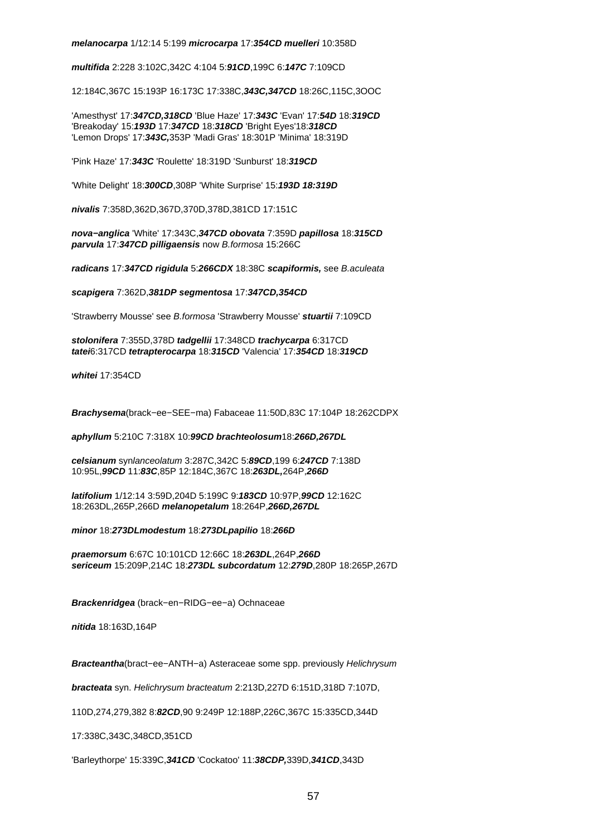## **melanocarpa** 1/12:14 5:199 **microcarpa** 17:**354CD muelleri** 10:358D

**multifida** 2:228 3:102C,342C 4:104 5:**91CD**,199C 6:**147C** 7:109CD

12:184C,367C 15:193P 16:173C 17:338C,**343C,347CD** 18:26C,115C,3OOC

'Amesthyst' 17:**347CD,318CD** 'Blue Haze' 17:**343C** 'Evan' 17:**54D** 18:**319CD** 'Breakoday' 15:**193D** 17:**347CD** 18:**318CD** 'Bright Eyes'18:**318CD** 'Lemon Drops' 17:**343C,**353P 'Madi Gras' 18:301P 'Minima' 18:319D

'Pink Haze' 17:**343C** 'Roulette' 18:319D 'Sunburst' 18:**319CD**

'White Delight' 18:**300CD**,308P 'White Surprise' 15:**193D 18:319D**

**nivalis** 7:358D,362D,367D,370D,378D,381CD 17:151C

**nova−anglica** 'White' 17:343C,**347CD obovata** 7:359D **papillosa** 18:**315CD parvula** 17:**347CD pilligaensis** now B.formosa 15:266C

**radicans** 17:**347CD rigidula** 5:**266CDX** 18:38C **scapiformis,** see B.aculeata

**scapigera** 7:362D,**381DP segmentosa** 17:**347CD,354CD**

'Strawberry Mousse' see B.formosa 'Strawberry Mousse' **stuartii** 7:109CD

**stolonifera** 7:355D,378D **tadgellii** 17:348CD **trachycarpa** 6:317CD **tatei**6:317CD **tetrapterocarpa** 18:**315CD** 'Valencia' 17:**354CD** 18:**319CD**

**whitei** 17:354CD

**Brachysema**(brack−ee−SEE−ma) Fabaceae 11:50D,83C 17:104P 18:262CDPX

**aphyllum** 5:210C 7:318X 10:**99CD brachteolosum**18:**266D,267DL**

**celsianum** synlanceolatum 3:287C,342C 5:**89CD**,199 6:**247CD** 7:138D 10:95L,**99CD** 11:**83C**,85P 12:184C,367C 18:**263DL,**264P,**266D**

**latifolium** 1/12:14 3:59D,204D 5:199C 9:**183CD** 10:97P,**99CD** 12:162C 18:263DL,265P,266D **melanopetalum** 18:264P,**266D,267DL**

**minor** 18:**273DLmodestum** 18:**273DLpapilio** 18:**266D**

**praemorsum** 6:67C 10:101CD 12:66C 18:**263DL**,264P,**266D sericeum** 15:209P,214C 18:**273DL subcordatum** 12:**279D**,280P 18:265P,267D

**Brackenridgea** (brack−en−RIDG−ee−a) Ochnaceae

**nitida** 18:163D,164P

**Bracteantha**(bract−ee−ANTH−a) Asteraceae some spp. previously Helichrysum

**bracteata** syn. Helichrysum bracteatum 2:213D,227D 6:151D,318D 7:107D,

110D,274,279,382 8:**82CD**,90 9:249P 12:188P,226C,367C 15:335CD,344D

17:338C,343C,348CD,351CD

'Barleythorpe' 15:339C,**341CD** 'Cockatoo' 11:**38CDP,**339D,**341CD**,343D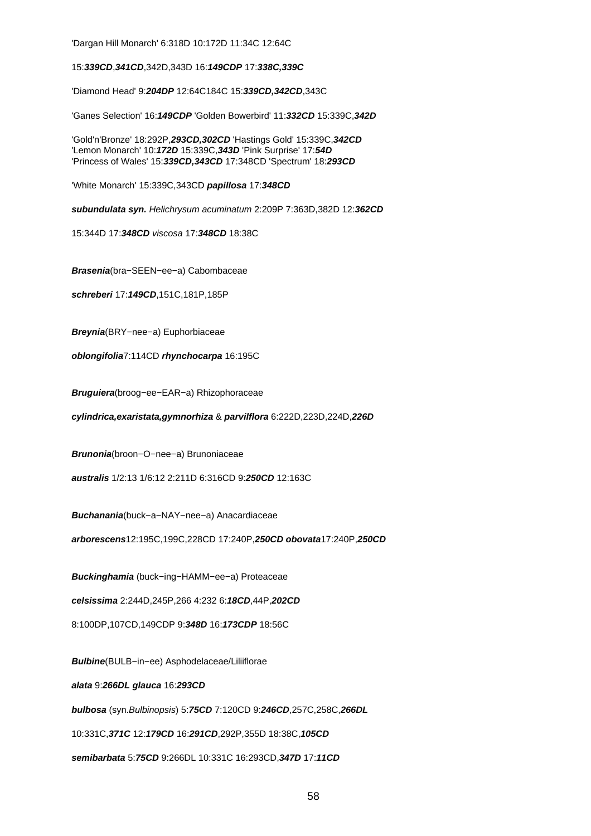'Dargan Hill Monarch' 6:318D 10:172D 11:34C 12:64C

15:**339CD**,**341CD**,342D,343D 16:**149CDP** 17:**338C,339C**

'Diamond Head' 9:**204DP** 12:64C184C 15:**339CD,342CD**,343C

'Ganes Selection' 16:**149CDP** 'Golden Bowerbird' 11:**332CD** 15:339C,**342D**

'Gold'n'Bronze' 18:292P,**293CD,302CD** 'Hastings Gold' 15:339C,**342CD** 'Lemon Monarch' 10:**172D** 15:339C,**343D** 'Pink Surprise' 17:**54D** 'Princess of Wales' 15:**339CD,343CD** 17:348CD 'Spectrum' 18:**293CD**

'White Monarch' 15:339C,343CD **papillosa** 17:**348CD**

**subundulata syn.** Helichrysum acuminatum 2:209P 7:363D,382D 12:**362CD**

15:344D 17:**348CD** viscosa 17:**348CD** 18:38C

**Brasenia**(bra−SEEN−ee−a) Cabombaceae

**schreberi** 17:**149CD**,151C,181P,185P

**Breynia**(BRY−nee−a) Euphorbiaceae

**oblongifolia**7:114CD **rhynchocarpa** 16:195C

**Bruguiera**(broog−ee−EAR−a) Rhizophoraceae

**cylindrica,exaristata,gymnorhiza** & **parvilflora** 6:222D,223D,224D,**226D**

**Brunonia**(broon−O−nee−a) Brunoniaceae

**australis** 1/2:13 1/6:12 2:211D 6:316CD 9:**250CD** 12:163C

**Buchanania**(buck−a−NAY−nee−a) Anacardiaceae

**arborescens**12:195C,199C,228CD 17:240P,**250CD obovata**17:240P,**250CD**

**Buckinghamia** (buck−ing−HAMM−ee−a) Proteaceae

**celsissima** 2:244D,245P,266 4:232 6:**18CD**,44P,**202CD**

8:100DP,107CD,149CDP 9:**348D** 16:**173CDP** 18:56C

**Bulbine**(BULB−in−ee) Asphodelaceae/Liliiflorae

**alata** 9:**266DL glauca** 16:**293CD**

**bulbosa** (syn.Bulbinopsis) 5:**75CD** 7:120CD 9:**246CD**,257C,258C,**266DL**

10:331C,**371C** 12:**179CD** 16:**291CD**,292P,355D 18:38C,**105CD**

**semibarbata** 5:**75CD** 9:266DL 10:331C 16:293CD,**347D** 17:**11CD**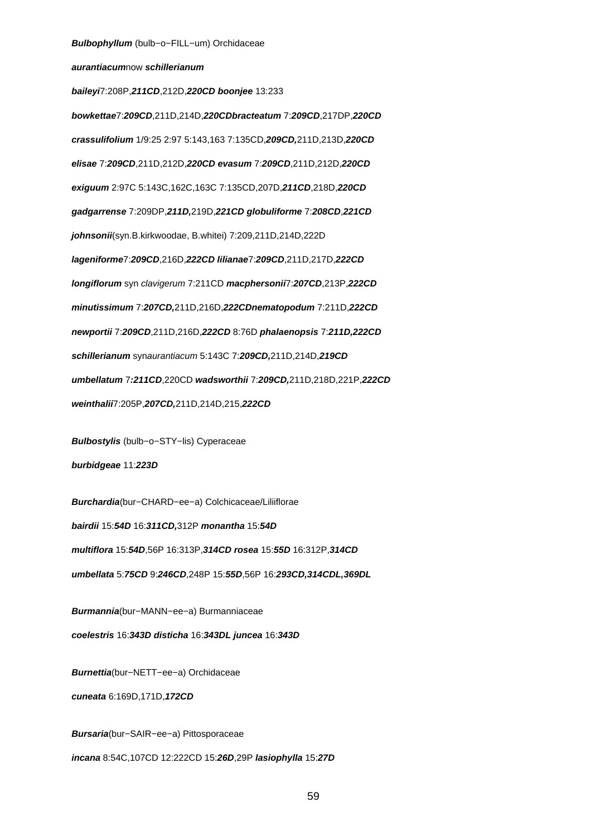## **aurantiacum**now **schillerianum**

**baileyi**7:208P,**211CD**,212D,**220CD boonjee** 13:233 **bowkettae**7:**209CD**,211D,214D,**220CDbracteatum** 7:**209CD**,217DP,**220CD crassulifolium** 1/9:25 2:97 5:143,163 7:135CD,**209CD,**211D,213D,**220CD elisae** 7:**209CD**,211D,212D,**220CD evasum** 7:**209CD**,211D,212D,**220CD exiguum** 2:97C 5:143C,162C,163C 7:135CD,207D,**211CD**,218D,**220CD gadgarrense** 7:209DP,**211D,**219D,**221CD globuliforme** 7:**208CD**,**221CD johnsonii**(syn.B.kirkwoodae, B.whitei) 7:209,211D,214D,222D **lageniforme**7:**209CD**,216D,**222CD lilianae**7:**209CD**,211D,217D,**222CD longiflorum** syn clavigerum 7:211CD **macphersonii**7:**207CD**,213P,**222CD minutissimum** 7:**207CD,**211D,216D,**222CDnematopodum** 7:211D,**222CD newportii** 7:**209CD**,211D,216D,**222CD** 8:76D **phalaenopsis** 7:**211D,222CD schillerianum** synaurantiacum 5:143C 7:**209CD,**211D,214D,**219CD umbellatum** 7**:211CD**,220CD **wadsworthii** 7:**209CD,**211D,218D,221P,**222CD weinthalii**7:205P,**207CD,**211D,214D,215,**222CD**

**Bulbostylis** (bulb−o−STY−lis) Cyperaceae

**burbidgeae** 11:**223D**

**Burchardia**(bur−CHARD−ee−a) Colchicaceae/Liliiflorae **bairdii** 15:**54D** 16:**311CD,**312P **monantha** 15:**54D multiflora** 15:**54D**,56P 16:313P,**314CD rosea** 15:**55D** 16:312P,**314CD umbellata** 5:**75CD** 9:**246CD**,248P 15:**55D**,56P 16:**293CD,314CDL,369DL**

**Burmannia**(bur−MANN−ee−a) Burmanniaceae **coelestris** 16:**343D disticha** 16:**343DL juncea** 16:**343D**

**Burnettia**(bur−NETT−ee−a) Orchidaceae

**cuneata** 6:169D,171D,**172CD**

**Bursaria**(bur−SAIR−ee−a) Pittosporaceae **incana** 8:54C,107CD 12:222CD 15:**26D**,29P **lasiophylla** 15:**27D**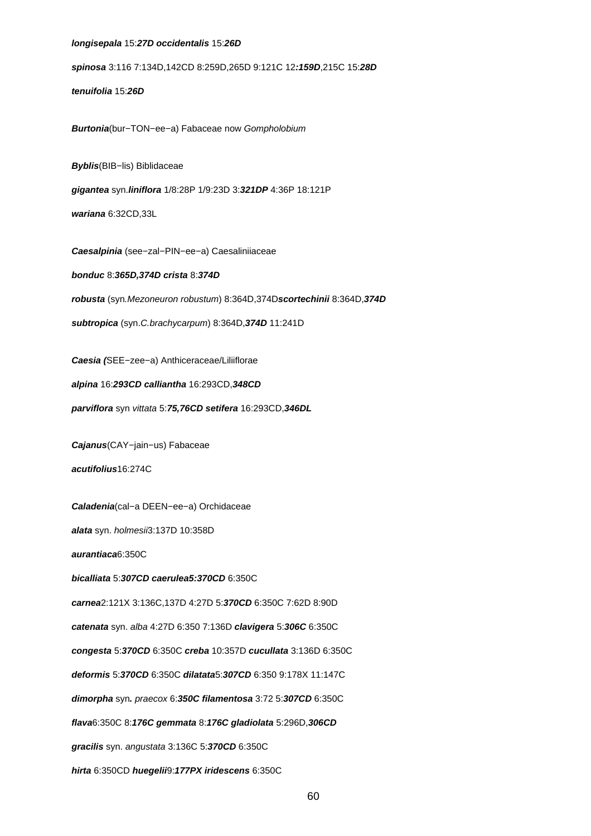## **longisepala** 15:**27D occidentalis** 15:**26D**

**spinosa** 3:116 7:134D,142CD 8:259D,265D 9:121C 12**:159D**,215C 15:**28D**

**tenuifolia** 15:**26D**

**Burtonia**(bur−TON−ee−a) Fabaceae now Gompholobium

**Byblis**(BIB−lis) Biblidaceae

**gigantea** syn.**liniflora** 1/8:28P 1/9:23D 3:**321DP** 4:36P 18:121P

**wariana** 6:32CD,33L

**Caesalpinia** (see−zal−PIN−ee−a) Caesaliniiaceae

**bonduc** 8:**365D,374D crista** 8:**374D robusta** (syn.Mezoneuron robustum) 8:364D,374D**scortechinii** 8:364D,**374D**

**subtropica** (syn.C.brachycarpum) 8:364D,**374D** 11:241D

**Caesia (**SEE−zee−a) Anthiceraceae/Liliiflorae

**alpina** 16:**293CD calliantha** 16:293CD,**348CD**

**parviflora** syn vittata 5:**75,76CD setifera** 16:293CD,**346DL**

**Cajanus**(CAY−jain−us) Fabaceae

**acutifolius**16:274C

**Caladenia**(cal−a DEEN−ee−a) Orchidaceae

**alata** syn. holmesii3:137D 10:358D

**aurantiaca**6:350C

**bicalliata** 5:**307CD caerulea5:370CD** 6:350C

**carnea**2:121X 3:136C,137D 4:27D 5:**370CD** 6:350C 7:62D 8:90D

**catenata** syn. alba 4:27D 6:350 7:136D **clavigera** 5:**306C** 6:350C

**congesta** 5:**370CD** 6:350C **creba** 10:357D **cucullata** 3:136D 6:350C

**deformis** 5:**370CD** 6:350C **dilatata**5:**307CD** 6:350 9:178X 11:147C

**dimorpha** syn**.** praecox 6:**350C filamentosa** 3:72 5:**307CD** 6:350C

**flava**6:350C 8:**176C gemmata** 8:**176C gladiolata** 5:296D,**306CD**

**gracilis** syn. angustata 3:136C 5:**370CD** 6:350C

**hirta** 6:350CD **huegelii**9:**177PX iridescens** 6:350C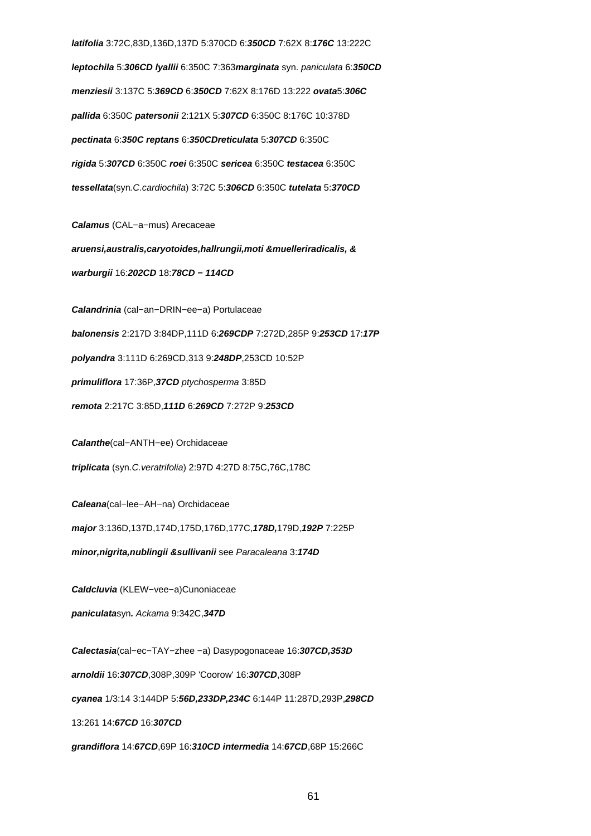**latifolia** 3:72C,83D,136D,137D 5:370CD 6:**350CD** 7:62X 8:**176C** 13:222C **leptochila** 5:**306CD lyallii** 6:350C 7:363**marginata** syn. paniculata 6:**350CD menziesii** 3:137C 5:**369CD** 6:**350CD** 7:62X 8:176D 13:222 **ovata**5:**306C pallida** 6:350C **patersonii** 2:121X 5:**307CD** 6:350C 8:176C 10:378D **pectinata** 6:**350C reptans** 6:**350CDreticulata** 5:**307CD** 6:350C **rigida** 5:**307CD** 6:350C **roei** 6:350C **sericea** 6:350C **testacea** 6:350C **tessellata**(syn.C.cardiochila) 3:72C 5:**306CD** 6:350C **tutelata** 5:**370CD**

**Calamus** (CAL−a−mus) Arecaceae

**aruensi,australis,caryotoides,hallrungii,moti &muelleriradicalis, & warburgii** 16:**202CD** 18:**78CD − 114CD**

**Calandrinia** (cal−an−DRIN−ee−a) Portulaceae

**balonensis** 2:217D 3:84DP,111D 6:**269CDP** 7:272D,285P 9:**253CD** 17:**17P**

**polyandra** 3:111D 6:269CD,313 9:**248DP**,253CD 10:52P

**primuliflora** 17:36P,**37CD** ptychosperma 3:85D

**remota** 2:217C 3:85D,**111D** 6:**269CD** 7:272P 9:**253CD**

**Calanthe**(cal−ANTH−ee) Orchidaceae

**triplicata** (syn.C.veratrifolia) 2:97D 4:27D 8:75C,76C,178C

**Caleana**(cal−lee−AH−na) Orchidaceae

**major** 3:136D,137D,174D,175D,176D,177C,**178D,**179D,**192P** 7:225P

**minor,nigrita,nublingii &sullivanii** see Paracaleana 3:**174D**

**Caldcluvia** (KLEW−vee−a)Cunoniaceae

**paniculata**syn**.** Ackama 9:342C,**347D**

**Calectasia**(cal−ec−TAY−zhee −a) Dasypogonaceae 16:**307CD,353D**

**arnoldii** 16:**307CD**,308P,309P 'Coorow' 16:**307CD**,308P

**cyanea** 1/3:14 3:144DP 5:**56D,233DP,234C** 6:144P 11:287D,293P,**298CD**

13:261 14:**67CD** 16:**307CD**

**grandiflora** 14:**67CD**,69P 16:**310CD intermedia** 14:**67CD**,68P 15:266C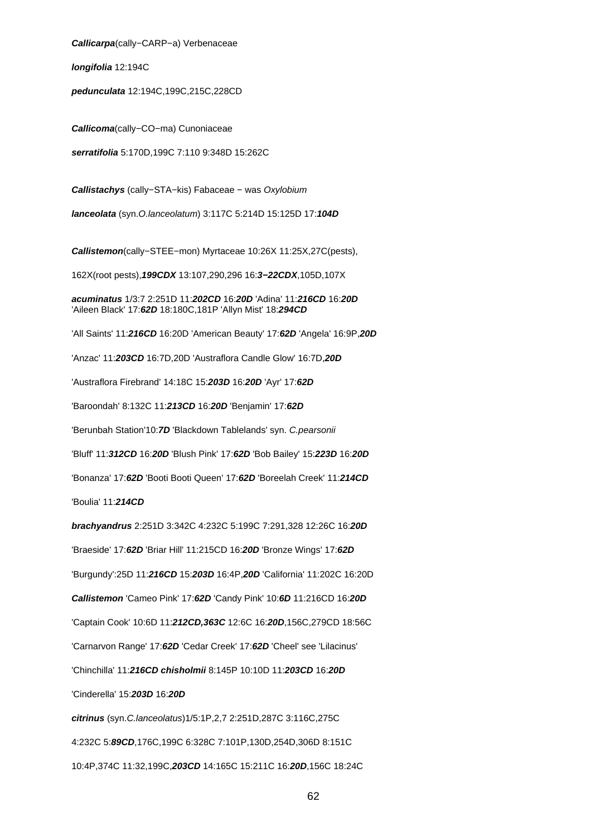**Callicarpa**(cally−CARP−a) Verbenaceae

**longifolia** 12:194C

**pedunculata** 12:194C,199C,215C,228CD

**Callicoma**(cally−CO−ma) Cunoniaceae

**serratifolia** 5:170D,199C 7:110 9:348D 15:262C

**Callistachys** (cally−STA−kis) Fabaceae − was Oxylobium

**lanceolata** (syn.O.lanceolatum) 3:117C 5:214D 15:125D 17:**104D**

**Callistemon**(cally−STEE−mon) Myrtaceae 10:26X 11:25X,27C(pests),

162X(root pests),**199CDX** 13:107,290,296 16:**3−22CDX**,105D,107X

**acuminatus** 1/3:7 2:251D 11:**202CD** 16:**20D** 'Adina' 11:**216CD** 16:**20D** 'Aileen Black' 17:**62D** 18:180C,181P 'Allyn Mist' 18:**294CD**

'All Saints' 11:**216CD** 16:20D 'American Beauty' 17:**62D** 'Angela' 16:9P,**20D**

'Anzac' 11:**203CD** 16:7D,20D 'Austraflora Candle Glow' 16:7D,**20D**

'Austraflora Firebrand' 14:18C 15:**203D** 16:**20D** 'Ayr' 17:**62D**

'Baroondah' 8:132C 11:**213CD** 16:**20D** 'Benjamin' 17:**62D**

'Berunbah Station'10:**7D** 'Blackdown Tablelands' syn. C.pearsonii

'Bluff' 11:**312CD** 16:**20D** 'Blush Pink' 17:**62D** 'Bob Bailey' 15:**223D** 16:**20D**

'Bonanza' 17:**62D** 'Booti Booti Queen' 17:**62D** 'Boreelah Creek' 11:**214CD**

'Boulia' 11:**214CD**

**brachyandrus** 2:251D 3:342C 4:232C 5:199C 7:291,328 12:26C 16:**20D**

'Braeside' 17:**62D** 'Briar Hill' 11:215CD 16:**20D** 'Bronze Wings' 17:**62D**

'Burgundy':25D 11:**216CD** 15:**203D** 16:4P,**20D** 'California' 11:202C 16:20D

**Callistemon** 'Cameo Pink' 17:**62D** 'Candy Pink' 10:**6D** 11:216CD 16:**20D**

'Captain Cook' 10:6D 11:**212CD,363C** 12:6C 16:**20D**,156C,279CD 18:56C

'Carnarvon Range' 17:**62D** 'Cedar Creek' 17:**62D** 'Cheel' see 'Lilacinus'

'Chinchilla' 11:**216CD chisholmii** 8:145P 10:10D 11:**203CD** 16:**20D**

'Cinderella' 15:**203D** 16:**20D**

**citrinus** (syn.C.lanceolatus)1/5:1P,2,7 2:251D,287C 3:116C,275C 4:232C 5:**89CD**,176C,199C 6:328C 7:101P,130D,254D,306D 8:151C 10:4P,374C 11:32,199C,**203CD** 14:165C 15:211C 16:**20D**,156C 18:24C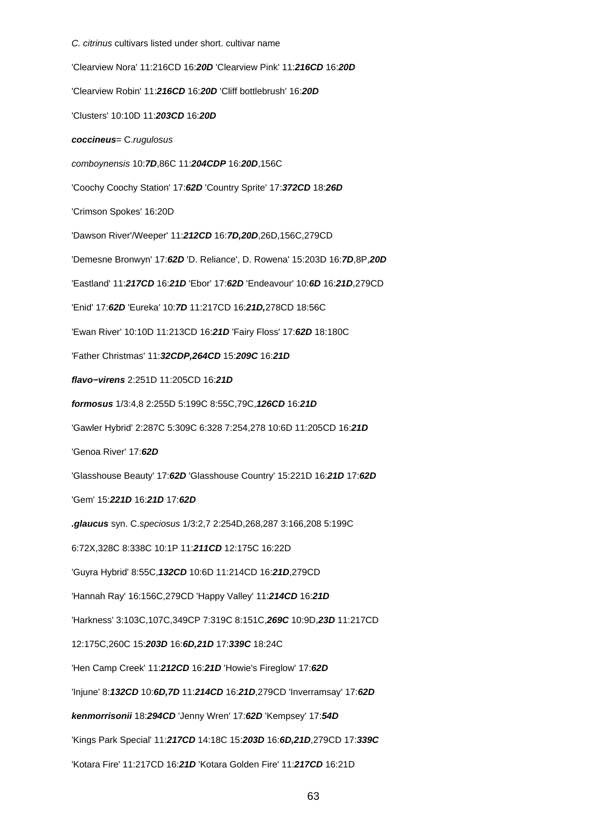#### C. citrinus cultivars listed under short. cultivar name

'Clearview Nora' 11:216CD 16:**20D** 'Clearview Pink' 11:**216CD** 16:**20D** 'Clearview Robin' 11:**216CD** 16:**20D** 'Cliff bottlebrush' 16:**20D** 'Clusters' 10:10D 11:**203CD** 16:**20D coccineus**= C.rugulosus comboynensis 10:**7D**,86C 11:**204CDP** 16:**20D**,156C 'Coochy Coochy Station' 17:**62D** 'Country Sprite' 17:**372CD** 18:**26D** 'Crimson Spokes' 16:20D 'Dawson River'/Weeper' 11:**212CD** 16:**7D,20D**,26D,156C,279CD 'Demesne Bronwyn' 17:**62D** 'D. Reliance', D. Rowena' 15:203D 16:**7D**,8P,**20D** 'Eastland' 11:**217CD** 16:**21D** 'Ebor' 17:**62D** 'Endeavour' 10:**6D** 16:**21D**,279CD 'Enid' 17:**62D** 'Eureka' 10:**7D** 11:217CD 16:**21D,**278CD 18:56C 'Ewan River' 10:10D 11:213CD 16:**21D** 'Fairy Floss' 17:**62D** 18:180C 'Father Christmas' 11:**32CDP,264CD** 15:**209C** 16:**21D flavo−virens** 2:251D 11:205CD 16:**21D formosus** 1/3:4,8 2:255D 5:199C 8:55C,79C,**126CD** 16:**21D** 'Gawler Hybrid' 2:287C 5:309C 6:328 7:254,278 10:6D 11:205CD 16:**21D** 'Genoa River' 17:**62D** 'Glasshouse Beauty' 17:**62D** 'Glasshouse Country' 15:221D 16:**21D** 17:**62D** 'Gem' 15:**221D** 16:**21D** 17:**62D .glaucus** syn. C.speciosus 1/3:2,7 2:254D,268,287 3:166,208 5:199C 6:72X,328C 8:338C 10:1P 11:**211CD** 12:175C 16:22D 'Guyra Hybrid' 8:55C,**132CD** 10:6D 11:214CD 16:**21D**,279CD 'Hannah Ray' 16:156C,279CD 'Happy Valley' 11:**214CD** 16:**21D** 'Harkness' 3:103C,107C,349CP 7:319C 8:151C,**269C** 10:9D,**23D** 11:217CD 12:175C,260C 15:**203D** 16:**6D,21D** 17:**339C** 18:24C 'Hen Camp Creek' 11:**212CD** 16:**21D** 'Howie's Fireglow' 17:**62D** 'Injune' 8:**132CD** 10:**6D,7D** 11:**214CD** 16:**21D**,279CD 'Inverramsay' 17:**62D kenmorrisonii** 18:**294CD** 'Jenny Wren' 17:**62D** 'Kempsey' 17:**54D** 'Kings Park Special' 11:**217CD** 14:18C 15:**203D** 16:**6D,21D**,279CD 17:**339C** 'Kotara Fire' 11:217CD 16:**21D** 'Kotara Golden Fire' 11:**217CD** 16:21D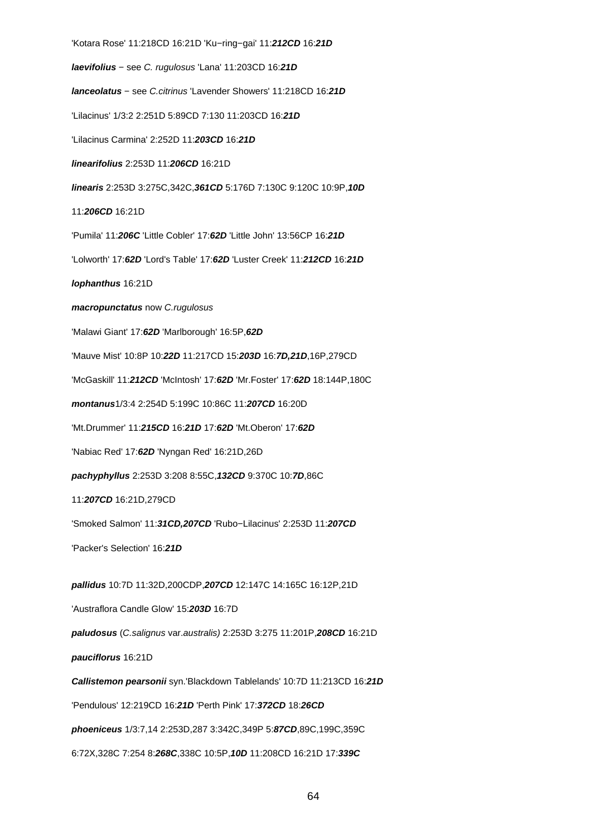'Kotara Rose' 11:218CD 16:21D 'Ku−ring−gai' 11:**212CD** 16:**21D laevifolius** − see C. rugulosus 'Lana' 11:203CD 16:**21D lanceolatus** − see C.citrinus 'Lavender Showers' 11:218CD 16:**21D** 'Lilacinus' 1/3:2 2:251D 5:89CD 7:130 11:203CD 16:**21D** 'Lilacinus Carmina' 2:252D 11:**203CD** 16:**21D linearifolius** 2:253D 11:**206CD** 16:21D **linearis** 2:253D 3:275C,342C,**361CD** 5:176D 7:130C 9:120C 10:9P,**10D** 11:**206CD** 16:21D 'Pumila' 11:**206C** 'Little Cobler' 17:**62D** 'Little John' 13:56CP 16:**21D** 'Lolworth' 17:**62D** 'Lord's Table' 17:**62D** 'Luster Creek' 11:**212CD** 16:**21D lophanthus** 16:21D **macropunctatus** now C.rugulosus 'Malawi Giant' 17:**62D** 'Marlborough' 16:5P,**62D** 'Mauve Mist' 10:8P 10:**22D** 11:217CD 15:**203D** 16:**7D,21D**,16P,279CD 'McGaskill' 11:**212CD** 'McIntosh' 17:**62D** 'Mr.Foster' 17:**62D** 18:144P,180C **montanus**1/3:4 2:254D 5:199C 10:86C 11:**207CD** 16:20D 'Mt.Drummer' 11:**215CD** 16:**21D** 17:**62D** 'Mt.Oberon' 17:**62D** 'Nabiac Red' 17:**62D** 'Nyngan Red' 16:21D,26D **pachyphyllus** 2:253D 3:208 8:55C,**132CD** 9:370C 10:**7D**,86C 11:**207CD** 16:21D,279CD 'Smoked Salmon' 11:**31CD,207CD** 'Rubo−Lilacinus' 2:253D 11:**207CD** 'Packer's Selection' 16:**21D pallidus** 10:7D 11:32D,200CDP,**207CD** 12:147C 14:165C 16:12P,21D 'Austraflora Candle Glow' 15:**203D** 16:7D **paludosus** (C.salignus var.australis) 2:253D 3:275 11:201P,**208CD** 16:21D **pauciflorus** 16:21D **Callistemon pearsonii** syn.'Blackdown Tablelands' 10:7D 11:213CD 16:**21D** 'Pendulous' 12:219CD 16:**21D** 'Perth Pink' 17:**372CD** 18:**26CD phoeniceus** 1/3:7,14 2:253D,287 3:342C,349P 5:**87CD**,89C,199C,359C 6:72X,328C 7:254 8:**268C**,338C 10:5P,**10D** 11:208CD 16:21D 17:**339C**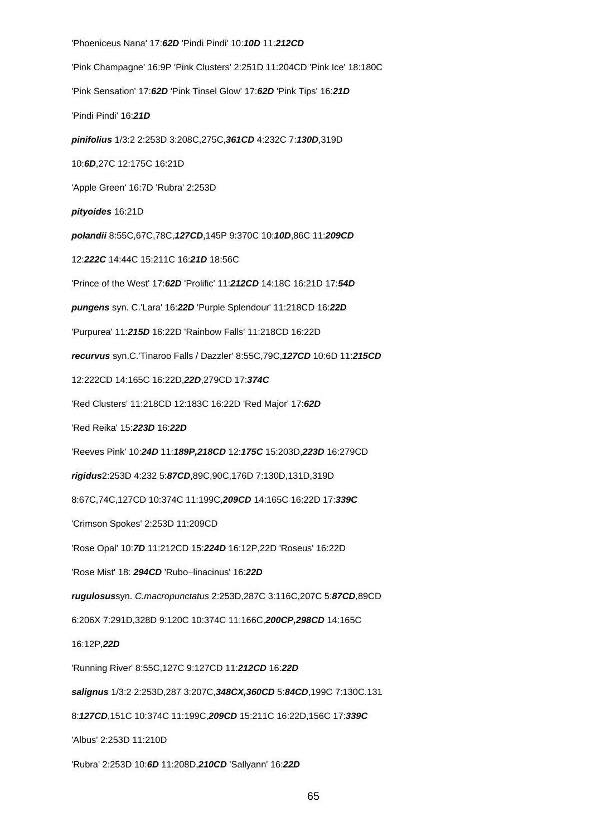'Phoeniceus Nana' 17:**62D** 'Pindi Pindi' 10:**10D** 11:**212CD** 'Pink Champagne' 16:9P 'Pink Clusters' 2:251D 11:204CD 'Pink Ice' 18:180C 'Pink Sensation' 17:**62D** 'Pink Tinsel Glow' 17:**62D** 'Pink Tips' 16:**21D** 'Pindi Pindi' 16:**21D pinifolius** 1/3:2 2:253D 3:208C,275C,**361CD** 4:232C 7:**130D**,319D 10:**6D**,27C 12:175C 16:21D 'Apple Green' 16:7D 'Rubra' 2:253D **pityoides** 16:21D **polandii** 8:55C,67C,78C,**127CD**,145P 9:370C 10:**10D**,86C 11:**209CD** 12:**222C** 14:44C 15:211C 16:**21D** 18:56C 'Prince of the West' 17:**62D** 'Prolific' 11:**212CD** 14:18C 16:21D 17:**54D pungens** syn. C.'Lara' 16:**22D** 'Purple Splendour' 11:218CD 16:**22D** 'Purpurea' 11:**215D** 16:22D 'Rainbow Falls' 11:218CD 16:22D **recurvus** syn.C.'Tinaroo Falls / Dazzler' 8:55C,79C,**127CD** 10:6D 11:**215CD** 12:222CD 14:165C 16:22D,**22D**,279CD 17:**374C** 'Red Clusters' 11:218CD 12:183C 16:22D 'Red Major' 17:**62D** 'Red Reika' 15:**223D** 16:**22D** 'Reeves Pink' 10:**24D** 11:**189P,218CD** 12:**175C** 15:203D,**223D** 16:279CD **rigidus**2:253D 4:232 5:**87CD**,89C,90C,176D 7:130D,131D,319D 8:67C,74C,127CD 10:374C 11:199C,**209CD** 14:165C 16:22D 17:**339C** 'Crimson Spokes' 2:253D 11:209CD 'Rose Opal' 10:**7D** 11:212CD 15:**224D** 16:12P,22D 'Roseus' 16:22D 'Rose Mist' 18: **294CD** 'Rubo−linacinus' 16:**22D rugulosus**syn. C.macropunctatus 2:253D,287C 3:116C,207C 5:**87CD**,89CD 6:206X 7:291D,328D 9:120C 10:374C 11:166C,**200CP,298CD** 14:165C 16:12P,**22D** 'Running River' 8:55C,127C 9:127CD 11:**212CD** 16:**22D salignus** 1/3:2 2:253D,287 3:207C,**348CX,360CD** 5:**84CD**,199C 7:130C.131 8:**127CD**,151C 10:374C 11:199C,**209CD** 15:211C 16:22D,156C 17:**339C** 'Albus' 2:253D 11:210D 'Rubra' 2:253D 10:**6D** 11:208D,**210CD** 'Sallyann' 16:**22D**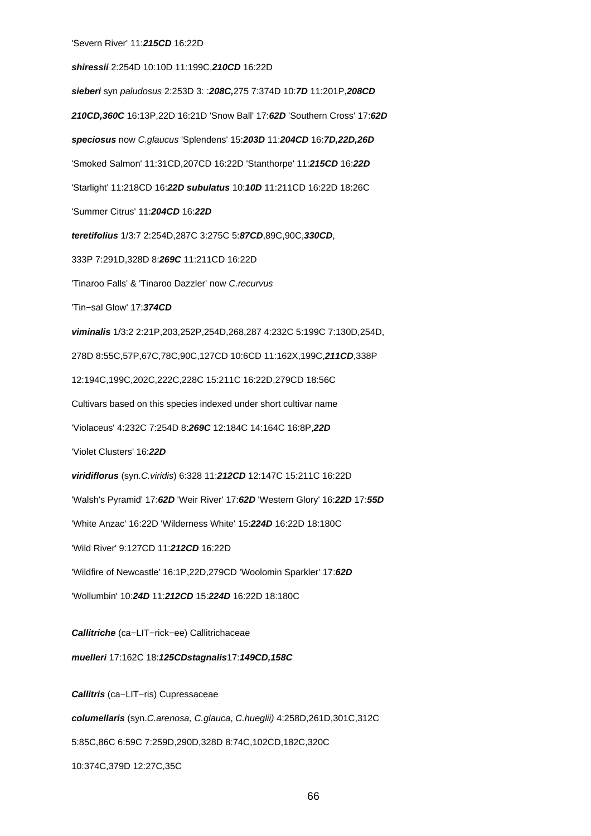**shiressii** 2:254D 10:10D 11:199C,**210CD** 16:22D **sieberi** syn paludosus 2:253D 3: :**208C,**275 7:374D 10:**7D** 11:201P,**208CD 210CD,360C** 16:13P,22D 16:21D 'Snow Ball' 17:**62D** 'Southern Cross' 17:**62D speciosus** now C.glaucus 'Splendens' 15:**203D** 11:**204CD** 16:**7D,22D,26D** 'Smoked Salmon' 11:31CD,207CD 16:22D 'Stanthorpe' 11:**215CD** 16:**22D** 'Starlight' 11:218CD 16:**22D subulatus** 10:**10D** 11:211CD 16:22D 18:26C 'Summer Citrus' 11:**204CD** 16:**22D teretifolius** 1/3:7 2:254D,287C 3:275C 5:**87CD**,89C,90C,**330CD**, 333P 7:291D,328D 8:**269C** 11:211CD 16:22D 'Tinaroo Falls' & 'Tinaroo Dazzler' now C.recurvus 'Tin−sal Glow' 17:**374CD viminalis** 1/3:2 2:21P,203,252P,254D,268,287 4:232C 5:199C 7:130D,254D, 278D 8:55C,57P,67C,78C,90C,127CD 10:6CD 11:162X,199C,**211CD**,338P 12:194C,199C,202C,222C,228C 15:211C 16:22D,279CD 18:56C Cultivars based on this species indexed under short cultivar name 'Violaceus' 4:232C 7:254D 8:**269C** 12:184C 14:164C 16:8P,**22D** 'Violet Clusters' 16:**22D viridiflorus** (syn.C.viridis) 6:328 11:**212CD** 12:147C 15:211C 16:22D 'Walsh's Pyramid' 17:**62D** 'Weir River' 17:**62D** 'Western Glory' 16:**22D** 17:**55D** 'White Anzac' 16:22D 'Wilderness White' 15:**224D** 16:22D 18:180C 'Wild River' 9:127CD 11:**212CD** 16:22D 'Wildfire of Newcastle' 16:1P,22D,279CD 'Woolomin Sparkler' 17:**62D** 'Wollumbin' 10:**24D** 11:**212CD** 15:**224D** 16:22D 18:180C **Callitriche** (ca−LIT−rick−ee) Callitrichaceae

**muelleri** 17:162C 18:**125CDstagnalis**17:**149CD,158C**

**Callitris** (ca−LIT−ris) Cupressaceae **columellaris** (syn.C.arenosa, C.glauca, C.hueglii) 4:258D,261D,301C,312C 5:85C,86C 6:59C 7:259D,290D,328D 8:74C,102CD,182C,320C 10:374C,379D 12:27C,35C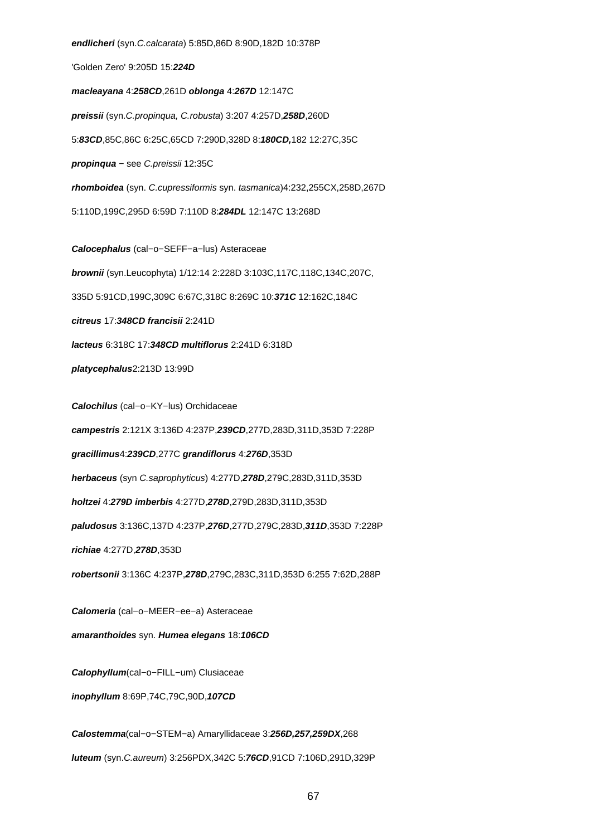**endlicheri** (syn.C.calcarata) 5:85D,86D 8:90D,182D 10:378P 'Golden Zero' 9:205D 15:**224D macleayana** 4:**258CD**,261D **oblonga** 4:**267D** 12:147C **preissii** (syn.C.propinqua, C.robusta) 3:207 4:257D,**258D**,260D 5:**83CD**,85C,86C 6:25C,65CD 7:290D,328D 8:**180CD,**182 12:27C,35C **propinqua** − see C.preissii 12:35C **rhomboidea** (syn. C.cupressiformis syn. tasmanica)4:232,255CX,258D,267D 5:110D,199C,295D 6:59D 7:110D 8:**284DL** 12:147C 13:268D **Calocephalus** (cal−o−SEFF−a−lus) Asteraceae **brownii** (syn.Leucophyta) 1/12:14 2:228D 3:103C,117C,118C,134C,207C, 335D 5:91CD,199C,309C 6:67C,318C 8:269C 10:**371C** 12:162C,184C **citreus** 17:**348CD francisii** 2:241D **lacteus** 6:318C 17:**348CD multiflorus** 2:241D 6:318D **platycephalus**2:213D 13:99D **Calochilus** (cal−o−KY−lus) Orchidaceae **campestris** 2:121X 3:136D 4:237P,**239CD**,277D,283D,311D,353D 7:228P **gracillimus**4:**239CD**,277C **grandiflorus** 4:**276D**,353D **herbaceus** (syn C.saprophyticus) 4:277D,**278D**,279C,283D,311D,353D **holtzei** 4:**279D imberbis** 4:277D,**278D**,279D,283D,311D,353D **paludosus** 3:136C,137D 4:237P,**276D**,277D,279C,283D,**311D**,353D 7:228P **richiae** 4:277D,**278D**,353D **robertsonii** 3:136C 4:237P,**278D**,279C,283C,311D,353D 6:255 7:62D,288P **Calomeria** (cal−o−MEER−ee−a) Asteraceae **amaranthoides** syn. **Humea elegans** 18:**106CD Calophyllum**(cal−o−FILL−um) Clusiaceae **inophyllum** 8:69P,74C,79C,90D,**107CD Calostemma**(cal−o−STEM−a) Amaryllidaceae 3:**256D,257,259DX**,268

**luteum** (syn.C.aureum) 3:256PDX,342C 5:**76CD**,91CD 7:106D,291D,329P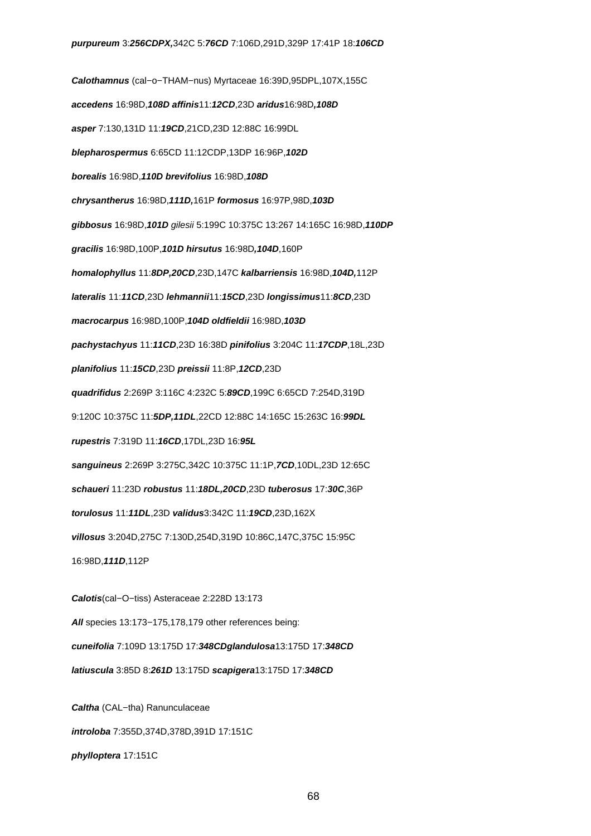**Calothamnus** (cal−o−THAM−nus) Myrtaceae 16:39D,95DPL,107X,155C **accedens** 16:98D,**108D affinis**11:**12CD**,23D **aridus**16:98D**,108D asper** 7:130,131D 11:**19CD**,21CD,23D 12:88C 16:99DL **blepharospermus** 6:65CD 11:12CDP,13DP 16:96P,**102D borealis** 16:98D,**110D brevifolius** 16:98D,**108D chrysantherus** 16:98D,**111D,**161P **formosus** 16:97P,98D,**103D gibbosus** 16:98D,**101D** gilesii 5:199C 10:375C 13:267 14:165C 16:98D,**110DP gracilis** 16:98D,100P,**101D hirsutus** 16:98D**,104D**,160P **homalophyllus** 11:**8DP,20CD**,23D,147C **kalbarriensis** 16:98D,**104D,**112P **lateralis** 11:**11CD**,23D **lehmannii**11:**15CD**,23D **longissimus**11:**8CD**,23D **macrocarpus** 16:98D,100P,**104D oldfieldii** 16:98D,**103D pachystachyus** 11:**11CD**,23D 16:38D **pinifolius** 3:204C 11:**17CDP**,18L,23D **planifolius** 11:**15CD**,23D **preissii** 11:8P,**12CD**,23D **quadrifidus** 2:269P 3:116C 4:232C 5:**89CD**,199C 6:65CD 7:254D,319D 9:120C 10:375C 11:**5DP,11DL**,22CD 12:88C 14:165C 15:263C 16:**99DL rupestris** 7:319D 11:**16CD**,17DL,23D 16:**95L sanguineus** 2:269P 3:275C,342C 10:375C 11:1P,**7CD**,10DL,23D 12:65C **schaueri** 11:23D **robustus** 11:**18DL,20CD**,23D **tuberosus** 17:**30C**,36P **torulosus** 11:**11DL**,23D **validus**3:342C 11:**19CD**,23D,162X **villosus** 3:204D,275C 7:130D,254D,319D 10:86C,147C,375C 15:95C 16:98D,**111D**,112P **Calotis**(cal−O−tiss) Asteraceae 2:228D 13:173 **All** species 13:173−175,178,179 other references being:

**cuneifolia** 7:109D 13:175D 17:**348CDglandulosa**13:175D 17:**348CD**

**latiuscula** 3:85D 8:**261D** 13:175D **scapigera**13:175D 17:**348CD**

**Caltha** (CAL−tha) Ranunculaceae **introloba** 7:355D,374D,378D,391D 17:151C **phylloptera** 17:151C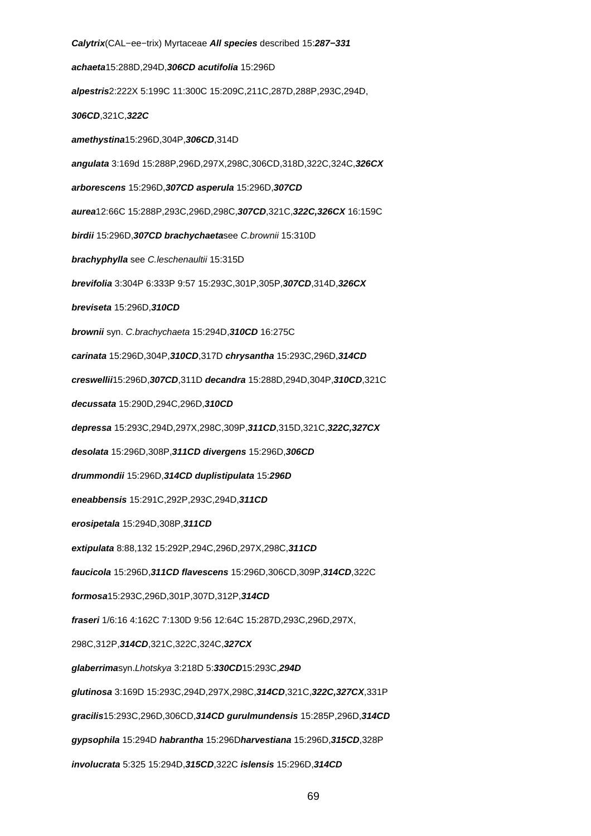**Calytrix**(CAL−ee−trix) Myrtaceae **All species** described 15:**287−331 achaeta**15:288D,294D,**306CD acutifolia** 15:296D **alpestris**2:222X 5:199C 11:300C 15:209C,211C,287D,288P,293C,294D, **306CD**,321C,**322C amethystina**15:296D,304P,**306CD**,314D **angulata** 3:169d 15:288P,296D,297X,298C,306CD,318D,322C,324C,**326CX arborescens** 15:296D,**307CD asperula** 15:296D,**307CD aurea**12:66C 15:288P,293C,296D,298C,**307CD**,321C,**322C,326CX** 16:159C **birdii** 15:296D,**307CD brachychaeta**see C.brownii 15:310D **brachyphylla** see C.leschenaultii 15:315D **brevifolia** 3:304P 6:333P 9:57 15:293C,301P,305P,**307CD**,314D,**326CX breviseta** 15:296D,**310CD brownii** syn. C.brachychaeta 15:294D,**310CD** 16:275C **carinata** 15:296D,304P,**310CD**,317D **chrysantha** 15:293C,296D,**314CD creswellii**15:296D,**307CD**,311D **decandra** 15:288D,294D,304P,**310CD**,321C **decussata** 15:290D,294C,296D,**310CD depressa** 15:293C,294D,297X,298C,309P,**311CD**,315D,321C,**322C,327CX desolata** 15:296D,308P,**311CD divergens** 15:296D,**306CD drummondii** 15:296D,**314CD duplistipulata** 15:**296D eneabbensis** 15:291C,292P,293C,294D,**311CD erosipetala** 15:294D,308P,**311CD extipulata** 8:88,132 15:292P,294C,296D,297X,298C,**311CD faucicola** 15:296D,**311CD flavescens** 15:296D,306CD,309P,**314CD**,322C **formosa**15:293C,296D,301P,307D,312P,**314CD fraseri** 1/6:16 4:162C 7:130D 9:56 12:64C 15:287D,293C,296D,297X, 298C,312P,**314CD**,321C,322C,324C,**327CX glaberrima**syn.Lhotskya 3:218D 5:**330CD**15:293C,**294D glutinosa** 3:169D 15:293C,294D,297X,298C,**314CD**,321C,**322C,327CX**,331P **gracilis**15:293C,296D,306CD,**314CD gurulmundensis** 15:285P,296D,**314CD gypsophila** 15:294D **habrantha** 15:296D**harvestiana** 15:296D,**315CD**,328P **involucrata** 5:325 15:294D,**315CD**,322C **islensis** 15:296D,**314CD**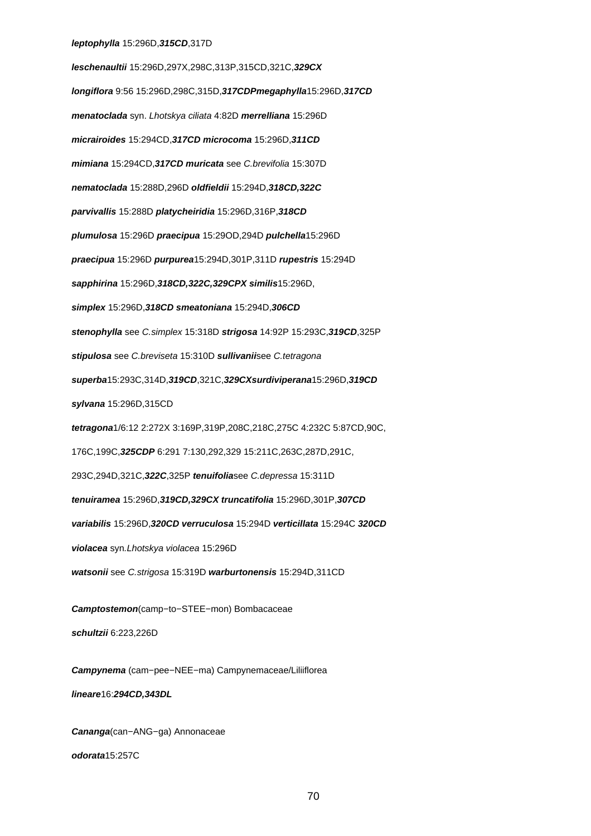## **leptophylla** 15:296D,**315CD**,317D

**leschenaultii** 15:296D,297X,298C,313P,315CD,321C,**329CX longiflora** 9:56 15:296D,298C,315D,**317CDPmegaphylla**15:296D,**317CD menatoclada** syn. Lhotskya ciliata 4:82D **merrelliana** 15:296D **micrairoides** 15:294CD,**317CD microcoma** 15:296D,**311CD mimiana** 15:294CD,**317CD muricata** see C.brevifolia 15:307D **nematoclada** 15:288D,296D **oldfieldii** 15:294D,**318CD,322C parvivallis** 15:288D **platycheiridia** 15:296D,316P,**318CD plumulosa** 15:296D **praecipua** 15:29OD,294D **pulchella**15:296D **praecipua** 15:296D **purpurea**15:294D,301P,311D **rupestris** 15:294D **sapphirina** 15:296D,**318CD,322C,329CPX similis**15:296D, **simplex** 15:296D,**318CD smeatoniana** 15:294D,**306CD stenophylla** see C.simplex 15:318D **strigosa** 14:92P 15:293C,**319CD**,325P **stipulosa** see C.breviseta 15:310D **sullivanii**see C.tetragona **superba**15:293C,314D,**319CD**,321C,**329CXsurdiviperana**15:296D,**319CD sylvana** 15:296D,315CD **tetragona**1/6:12 2:272X 3:169P,319P,208C,218C,275C 4:232C 5:87CD,90C, 176C,199C,**325CDP** 6:291 7:130,292,329 15:211C,263C,287D,291C, 293C,294D,321C,**322C**,325P **tenuifolia**see C.depressa 15:311D **tenuiramea** 15:296D,**319CD,329CX truncatifolia** 15:296D,301P,**307CD variabilis** 15:296D,**320CD verruculosa** 15:294D **verticillata** 15:294C **320CD violacea** syn.Lhotskya violacea 15:296D **watsonii** see C.strigosa 15:319D **warburtonensis** 15:294D,311CD **Camptostemon**(camp−to−STEE−mon) Bombacaceae **schultzii** 6:223,226D **Campynema** (cam−pee−NEE−ma) Campynemaceae/Liliiflorea

**lineare**16:**294CD,343DL**

**Cananga**(can−ANG−ga) Annonaceae **odorata**15:257C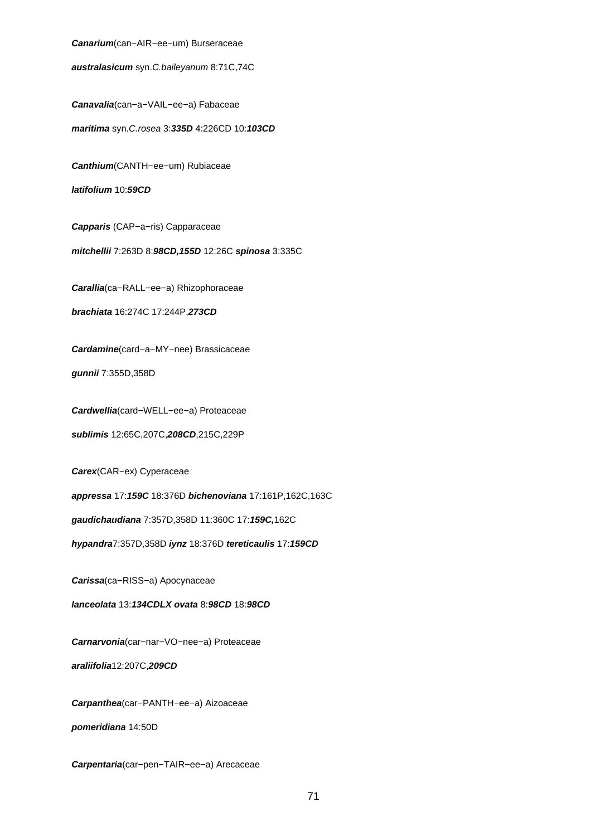**Canarium**(can−AIR−ee−um) Burseraceae

**australasicum** syn.C.baileyanum 8:71C,74C

**Canavalia**(can−a−VAIL−ee−a) Fabaceae

**maritima** syn.C.rosea 3:**335D** 4:226CD 10:**103CD**

**Canthium**(CANTH−ee−um) Rubiaceae

**latifolium** 10:**59CD**

**Capparis** (CAP−a−ris) Capparaceae

**mitchellii** 7:263D 8:**98CD,155D** 12:26C **spinosa** 3:335C

**Carallia**(ca−RALL−ee−a) Rhizophoraceae

**brachiata** 16:274C 17:244P,**273CD**

**Cardamine**(card−a−MY−nee) Brassicaceae

**gunnii** 7:355D,358D

**Cardwellia**(card−WELL−ee−a) Proteaceae

**sublimis** 12:65C,207C,**208CD**,215C,229P

**Carex**(CAR−ex) Cyperaceae

**appressa** 17:**159C** 18:376D **bichenoviana** 17:161P,162C,163C

**gaudichaudiana** 7:357D,358D 11:360C 17:**159C,**162C

**hypandra**7:357D,358D **iynz** 18:376D **tereticaulis** 17:**159CD**

**Carissa**(ca−RISS−a) Apocynaceae

**lanceolata** 13:**134CDLX ovata** 8:**98CD** 18:**98CD**

**Carnarvonia**(car−nar−VO−nee−a) Proteaceae

**araliifolia**12:207C,**209CD**

**Carpanthea**(car−PANTH−ee−a) Aizoaceae

**pomeridiana** 14:50D

**Carpentaria**(car−pen−TAIR−ee−a) Arecaceae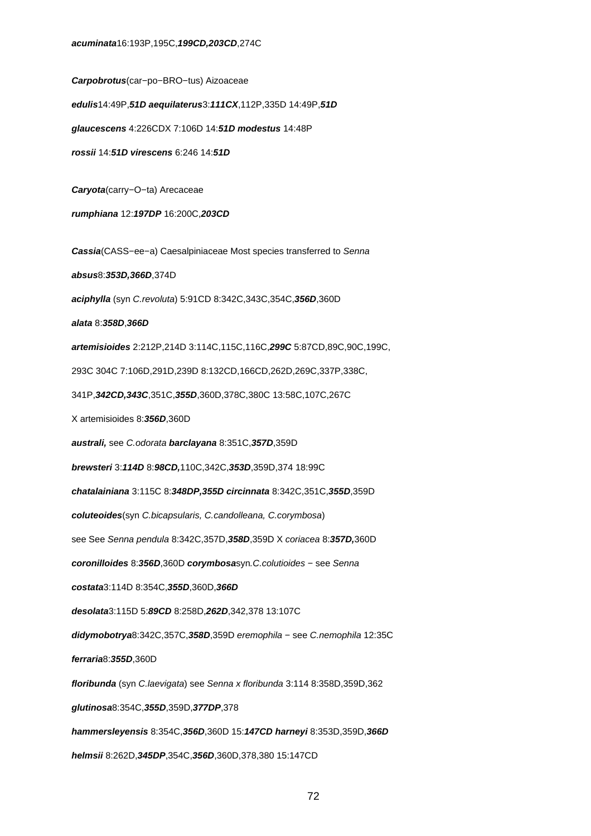**Carpobrotus**(car−po−BRO−tus) Aizoaceae **edulis**14:49P,**51D aequilaterus**3:**111CX**,112P,335D 14:49P,**51D glaucescens** 4:226CDX 7:106D 14:**51D modestus** 14:48P **rossii** 14:**51D virescens** 6:246 14:**51D Caryota**(carry−O−ta) Arecaceae **rumphiana** 12:**197DP** 16:200C,**203CD Cassia**(CASS−ee−a) Caesalpiniaceae Most species transferred to Senna **absus**8:**353D,366D**,374D **aciphylla** (syn C.revoluta) 5:91CD 8:342C,343C,354C,**356D**,360D **alata** 8:**358D**,**366D artemisioides** 2:212P,214D 3:114C,115C,116C,**299C** 5:87CD,89C,90C,199C, 293C 304C 7:106D,291D,239D 8:132CD,166CD,262D,269C,337P,338C, 341P,**342CD,343C**,351C,**355D**,360D,378C,380C 13:58C,107C,267C X artemisioides 8:**356D**,360D **australi,** see C.odorata **barclayana** 8:351C,**357D**,359D **brewsteri** 3:**114D** 8:**98CD,**110C,342C,**353D**,359D,374 18:99C **chatalainiana** 3:115C 8:**348DP,355D circinnata** 8:342C,351C,**355D**,359D **coluteoides**(syn C.bicapsularis, C.candolleana, C.corymbosa) see See Senna pendula 8:342C,357D,**358D**,359D X coriacea 8:**357D,**360D **coronilloides** 8:**356D**,360D **corymbosa**syn.C.colutioides − see Senna **costata**3:114D 8:354C,**355D**,360D,**366D desolata**3:115D 5:**89CD** 8:258D,**262D**,342,378 13:107C **didymobotrya**8:342C,357C,**358D**,359D eremophila − see C.nemophila 12:35C **ferraria**8:**355D**,360D **floribunda** (syn C.laevigata) see Senna x floribunda 3:114 8:358D,359D,362 **glutinosa**8:354C,**355D**,359D,**377DP**,378 **hammersleyensis** 8:354C,**356D**,360D 15:**147CD harneyi** 8:353D,359D,**366D helmsii** 8:262D,**345DP**,354C,**356D**,360D,378,380 15:147CD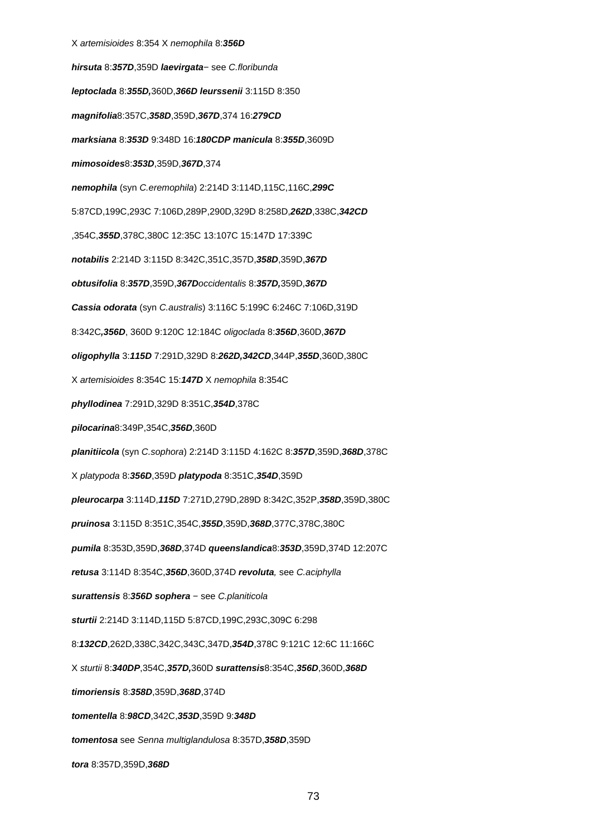# X artemisioides 8:354 X nemophila 8:**356D hirsuta** 8:**357D**,359D **laevirgata**− see C.floribunda **leptoclada** 8:**355D,**360D,**366D leurssenii** 3:115D 8:350 **magnifolia**8:357C,**358D**,359D,**367D**,374 16:**279CD marksiana** 8:**353D** 9:348D 16:**180CDP manicula** 8:**355D**,3609D **mimosoides**8:**353D**,359D,**367D**,374 **nemophila** (syn C.eremophila) 2:214D 3:114D,115C,116C,**299C** 5:87CD,199C,293C 7:106D,289P,290D,329D 8:258D,**262D**,338C,**342CD** ,354C,**355D**,378C,380C 12:35C 13:107C 15:147D 17:339C **notabilis** 2:214D 3:115D 8:342C,351C,357D,**358D**,359D,**367D obtusifolia** 8:**357D**,359D,**367D**occidentalis 8:**357D,**359D,**367D Cassia odorata** (syn C.australis) 3:116C 5:199C 6:246C 7:106D,319D 8:342C**,356D**, 360D 9:120C 12:184C oligoclada 8:**356D**,360D,**367D oligophylla** 3:**115D** 7:291D,329D 8:**262D,342CD**,344P,**355D**,360D,380C X artemisioides 8:354C 15:**147D** X nemophila 8:354C **phyllodinea** 7:291D,329D 8:351C,**354D**,378C **pilocarina**8:349P,354C,**356D**,360D **planitiicola** (syn C.sophora) 2:214D 3:115D 4:162C 8:**357D**,359D,**368D**,378C X platypoda 8:**356D**,359D **platypoda** 8:351C,**354D**,359D **pleurocarpa** 3:114D,**115D** 7:271D,279D,289D 8:342C,352P,**358D**,359D,380C **pruinosa** 3:115D 8:351C,354C,**355D**,359D,**368D**,377C,378C,380C **pumila** 8:353D,359D,**368D**,374D **queenslandica**8:**353D**,359D,374D 12:207C **retusa** 3:114D 8:354C,**356D**,360D,374D **revoluta**, see C.aciphylla **surattensis** 8:**356D sophera** − see C.planiticola **sturtii** 2:214D 3:114D,115D 5:87CD,199C,293C,309C 6:298 8:**132CD**,262D,338C,342C,343C,347D,**354D**,378C 9:121C 12:6C 11:166C X sturtii 8:**340DP**,354C,**357D,**360D **surattensis**8:354C,**356D**,360D,**368D timoriensis** 8:**358D**,359D,**368D**,374D **tomentella** 8:**98CD**,342C,**353D**,359D 9:**348D tomentosa** see Senna multiglandulosa 8:357D,**358D**,359D **tora** 8:357D,359D,**368D**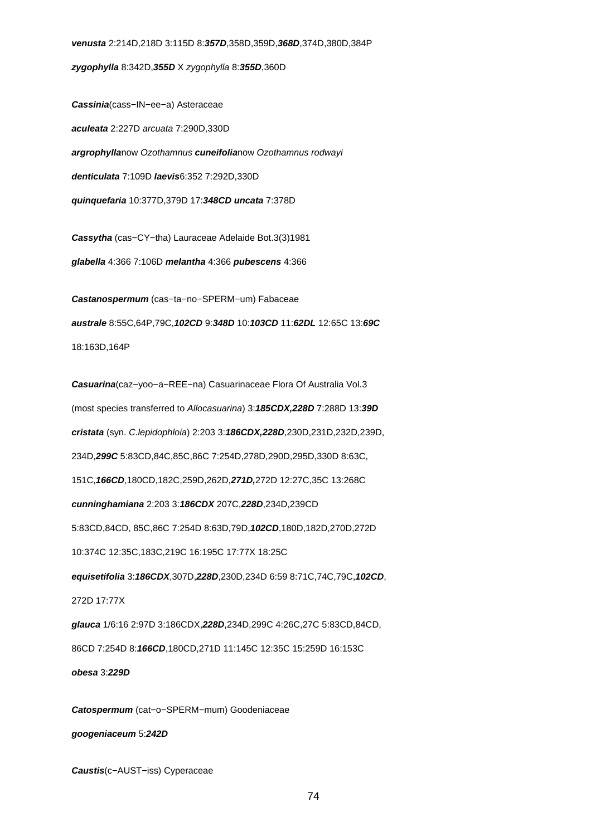**zygophylla** 8:342D,**355D** X zygophylla 8:**355D**,360D

**Cassinia**(cass−IN−ee−a) Asteraceae **aculeata** 2:227D arcuata 7:290D,330D **argrophylla**now Ozothamnus **cuneifolia**now Ozothamnus rodwayi **denticulata** 7:109D **laevis**6:352 7:292D,330D **quinquefaria** 10:377D,379D 17:**348CD uncata** 7:378D

**Cassytha** (cas−CY−tha) Lauraceae Adelaide Bot.3(3)1981 **glabella** 4:366 7:106D **melantha** 4:366 **pubescens** 4:366

**Castanospermum** (cas−ta−no−SPERM−um) Fabaceae **australe** 8:55C,64P,79C,**102CD** 9:**348D** 10:**103CD** 11:**62DL** 12:65C 13:**69C** 18:163D,164P

**Casuarina**(caz−yoo−a−REE−na) Casuarinaceae Flora Of Australia Vol.3 (most species transferred to Allocasuarina) 3:**185CDX,228D** 7:288D 13:**39D cristata** (syn. C.lepidophloia) 2:203 3:**186CDX,228D**,230D,231D,232D,239D, 234D,**299C** 5:83CD,84C,85C,86C 7:254D,278D,290D,295D,330D 8:63C, 151C,**166CD**,180CD,182C,259D,262D,**271D,**272D 12:27C,35C 13:268C **cunninghamiana** 2:203 3:**186CDX** 207C,**228D**,234D,239CD 5:83CD,84CD, 85C,86C 7:254D 8:63D,79D,**102CD**,180D,182D,270D,272D 10:374C 12:35C,183C,219C 16:195C 17:77X 18:25C **equisetifolia** 3:**186CDX**,307D,**228D**,230D,234D 6:59 8:71C,74C,79C,**102CD**, 272D 17:77X **glauca** 1/6:16 2:97D 3:186CDX,**228D**,234D,299C 4:26C,27C 5:83CD,84CD, 86CD 7:254D 8:**166CD**,180CD,271D 11:145C 12:35C 15:259D 16:153C **obesa** 3:**229D**

**Catospermum** (cat−o−SPERM−mum) Goodeniaceae **googeniaceum** 5:**242D**

**Caustis**(c−AUST−iss) Cyperaceae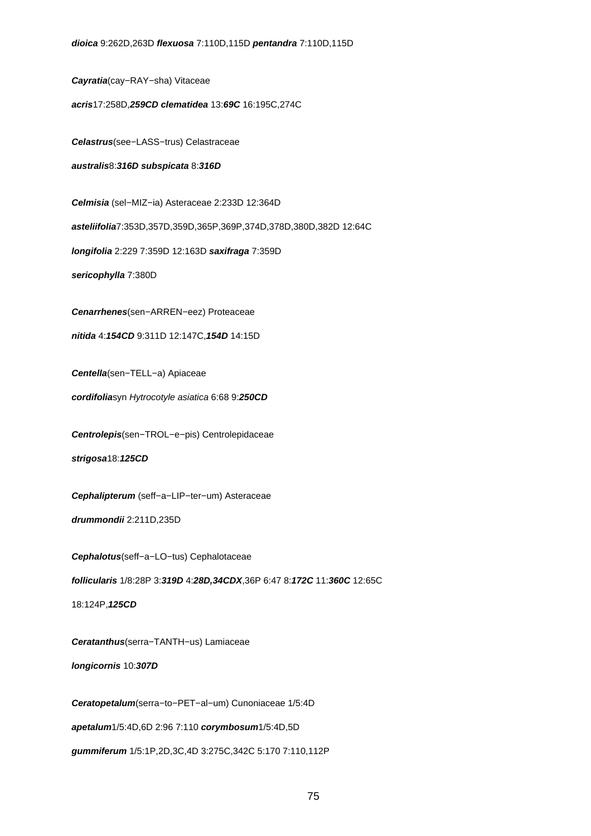**Cayratia**(cay−RAY−sha) Vitaceae

**acris**17:258D,**259CD clematidea** 13:**69C** 16:195C,274C

**Celastrus**(see−LASS−trus) Celastraceae

**australis**8:**316D subspicata** 8:**316D**

**Celmisia** (sel−MIZ−ia) Asteraceae 2:233D 12:364D

**asteliifolia**7:353D,357D,359D,365P,369P,374D,378D,380D,382D 12:64C

**longifolia** 2:229 7:359D 12:163D **saxifraga** 7:359D

**sericophylla** 7:380D

**Cenarrhenes**(sen−ARREN−eez) Proteaceae

**nitida** 4:**154CD** 9:311D 12:147C,**154D** 14:15D

**Centella**(sen−TELL−a) Apiaceae

**cordifolia**syn Hytrocotyle asiatica 6:68 9:**250CD**

**Centrolepis**(sen−TROL−e−pis) Centrolepidaceae

**strigosa**18:**125CD**

**Cephalipterum** (seff−a−LIP−ter−um) Asteraceae

**drummondii** 2:211D,235D

**Cephalotus**(seff−a−LO−tus) Cephalotaceae

**follicularis** 1/8:28P 3:**319D** 4:**28D,34CDX**,36P 6:47 8:**172C** 11:**360C** 12:65C

18:124P,**125CD**

**Ceratanthus**(serra−TANTH−us) Lamiaceae

**longicornis** 10:**307D**

**Ceratopetalum**(serra−to−PET−al−um) Cunoniaceae 1/5:4D **apetalum**1/5:4D,6D 2:96 7:110 **corymbosum**1/5:4D,5D **gummiferum** 1/5:1P,2D,3C,4D 3:275C,342C 5:170 7:110,112P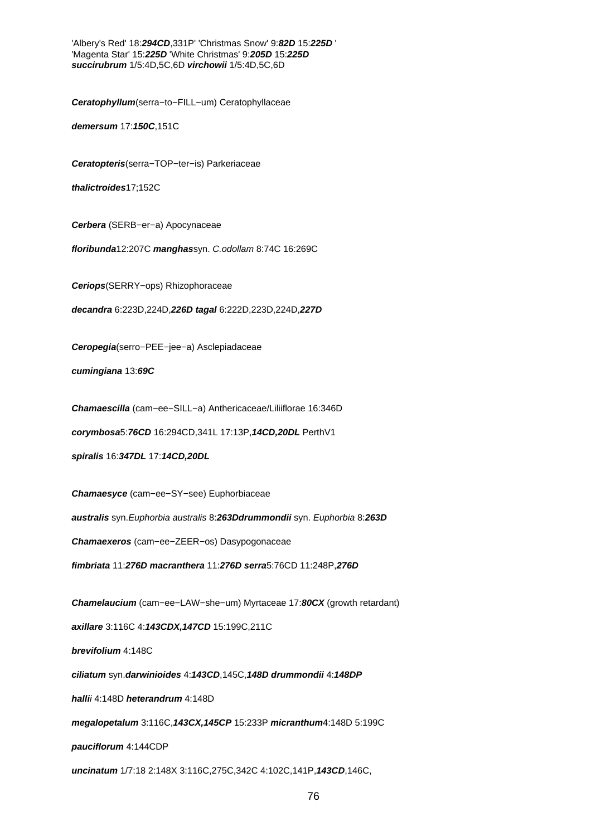'Albery's Red' 18:**294CD**,331P' 'Christmas Snow' 9:**82D** 15:**225D** ' 'Magenta Star' 15:**225D** 'White Christmas' 9:**205D** 15:**225D succirubrum** 1/5:4D,5C,6D **virchowii** 1/5:4D,5C,6D

**Ceratophyllum**(serra−to−FILL−um) Ceratophyllaceae

**demersum** 17:**150C**,151C

**Ceratopteris**(serra−TOP−ter−is) Parkeriaceae

**thalictroides**17;152C

**Cerbera** (SERB−er−a) Apocynaceae

**floribunda**12:207C **manghas**syn. C.odollam 8:74C 16:269C

**Ceriops**(SERRY−ops) Rhizophoraceae

**decandra** 6:223D,224D,**226D tagal** 6:222D,223D,224D,**227D**

**Ceropegia**(serro−PEE−jee−a) Asclepiadaceae

**cumingiana** 13:**69C**

**Chamaescilla** (cam−ee−SILL−a) Anthericaceae/Liliiflorae 16:346D

**corymbosa**5:**76CD** 16:294CD,341L 17:13P,**14CD,20DL** PerthV1

**spiralis** 16:**347DL** 17:**14CD,20DL**

**Chamaesyce** (cam−ee−SY−see) Euphorbiaceae

**australis** syn.Euphorbia australis 8:**263Ddrummondii** syn. Euphorbia 8:**263D**

**Chamaexeros** (cam−ee−ZEER−os) Dasypogonaceae

**fimbriata** 11:**276D macranthera** 11:**276D serra**5:76CD 11:248P,**276D**

**Chamelaucium** (cam−ee−LAW−she−um) Myrtaceae 17:**80CX** (growth retardant) **axillare** 3:116C 4:**143CDX,147CD** 15:199C,211C **brevifolium** 4:148C **ciliatum** syn.**darwinioides** 4:**143CD**,145C,**148D drummondii** 4:**148DP halli**i 4:148D **heterandrum** 4:148D **megalopetalum** 3:116C,**143CX,145CP** 15:233P **micranthum**4:148D 5:199C **pauciflorum** 4:144CDP **uncinatum** 1/7:18 2:148X 3:116C,275C,342C 4:102C,141P,**143CD**,146C,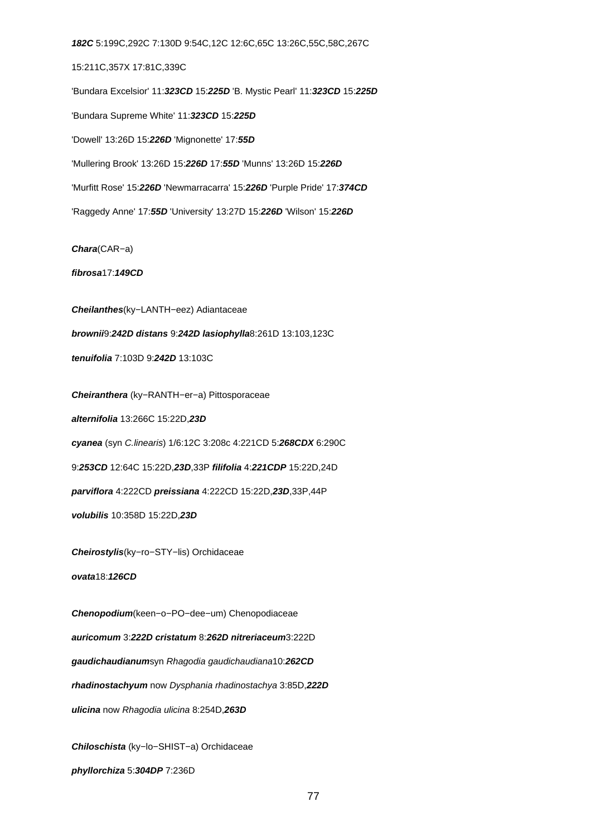**182C** 5:199C,292C 7:130D 9:54C,12C 12:6C,65C 13:26C,55C,58C,267C 15:211C,357X 17:81C,339C 'Bundara Excelsior' 11:**323CD** 15:**225D** 'B. Mystic Pearl' 11:**323CD** 15:**225D** 'Bundara Supreme White' 11:**323CD** 15:**225D** 'Dowell' 13:26D 15:**226D** 'Mignonette' 17:**55D** 'Mullering Brook' 13:26D 15:**226D** 17:**55D** 'Munns' 13:26D 15:**226D** 'Murfitt Rose' 15:**226D** 'Newmarracarra' 15:**226D** 'Purple Pride' 17:**374CD** 'Raggedy Anne' 17:**55D** 'University' 13:27D 15:**226D** 'Wilson' 15:**226D Chara**(CAR−a)

**fibrosa**17:**149CD**

**Cheilanthes**(ky−LANTH−eez) Adiantaceae **brownii**9:**242D distans** 9:**242D lasiophylla**8:261D 13:103,123C **tenuifolia** 7:103D 9:**242D** 13:103C

**Cheiranthera** (ky−RANTH−er−a) Pittosporaceae **alternifolia** 13:266C 15:22D,**23D cyanea** (syn C.linearis) 1/6:12C 3:208c 4:221CD 5:**268CDX** 6:290C 9:**253CD** 12:64C 15:22D,**23D**,33P **filifolia** 4:**221CDP** 15:22D,24D **parviflora** 4:222CD **preissiana** 4:222CD 15:22D,**23D**,33P,44P **volubilis** 10:358D 15:22D,**23D**

**Cheirostylis**(ky−ro−STY−lis) Orchidaceae

**ovata**18:**126CD**

**Chenopodium**(keen−o−PO−dee−um) Chenopodiaceae **auricomum** 3:**222D cristatum** 8:**262D nitreriaceum**3:222D **gaudichaudianum**syn Rhagodia gaudichaudiana10:**262CD rhadinostachyum** now Dysphania rhadinostachya 3:85D,**222D ulicina** now Rhagodia ulicina 8:254D,**263D**

**Chiloschista** (ky−lo−SHIST−a) Orchidaceae **phyllorchiza** 5:**304DP** 7:236D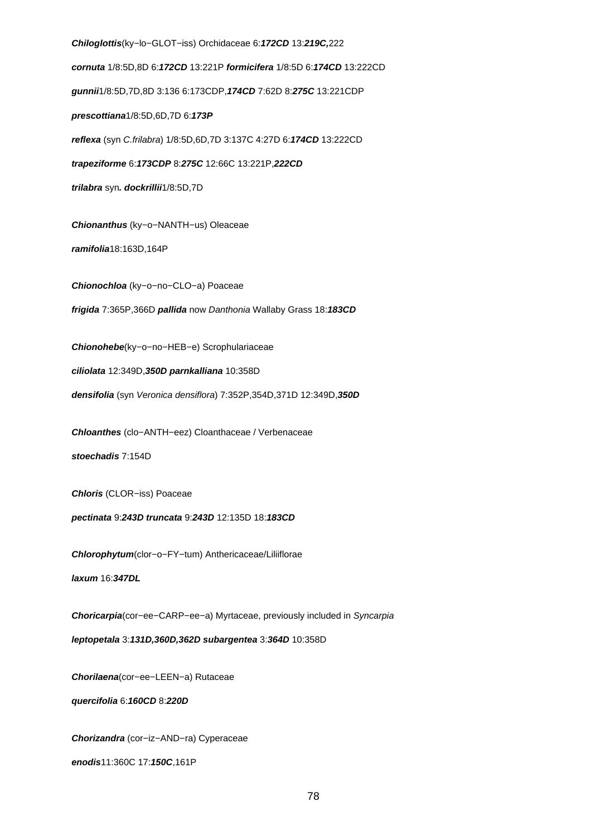**Chiloglottis**(ky−lo−GLOT−iss) Orchidaceae 6:**172CD** 13:**219C,**222 **cornuta** 1/8:5D,8D 6:**172CD** 13:221P **formicifera** 1/8:5D 6:**174CD** 13:222CD **gunnii**1/8:5D,7D,8D 3:136 6:173CDP,**174CD** 7:62D 8:**275C** 13:221CDP **prescottiana**1/8:5D,6D,7D 6:**173P reflexa** (syn C.frilabra) 1/8:5D,6D,7D 3:137C 4:27D 6:**174CD** 13:222CD **trapeziforme** 6:**173CDP** 8:**275C** 12:66C 13:221P,**222CD trilabra** syn**. dockrillii**1/8:5D,7D **Chionanthus** (ky−o−NANTH−us) Oleaceae **ramifolia**18:163D,164P **Chionochloa** (ky−o−no−CLO−a) Poaceae **frigida** 7:365P,366D **pallida** now Danthonia Wallaby Grass 18:**183CD Chionohebe**(ky−o−no−HEB−e) Scrophulariaceae **ciliolata** 12:349D,**350D parnkalliana** 10:358D **densifolia** (syn Veronica densiflora) 7:352P,354D,371D 12:349D,**350D Chloanthes** (clo−ANTH−eez) Cloanthaceae / Verbenaceae **stoechadis** 7:154D **Chloris** (CLOR−iss) Poaceae **pectinata** 9:**243D truncata** 9:**243D** 12:135D 18:**183CD Chlorophytum**(clor−o−FY−tum) Anthericaceae/Liliiflorae **laxum** 16:**347DL Choricarpia**(cor−ee−CARP−ee−a) Myrtaceae, previously included in Syncarpia **leptopetala** 3:**131D,360D,362D subargentea** 3:**364D** 10:358D **Chorilaena**(cor−ee−LEEN−a) Rutaceae **quercifolia** 6:**160CD** 8:**220D Chorizandra** (cor−iz−AND−ra) Cyperaceae

**enodis**11:360C 17:**150C**,161P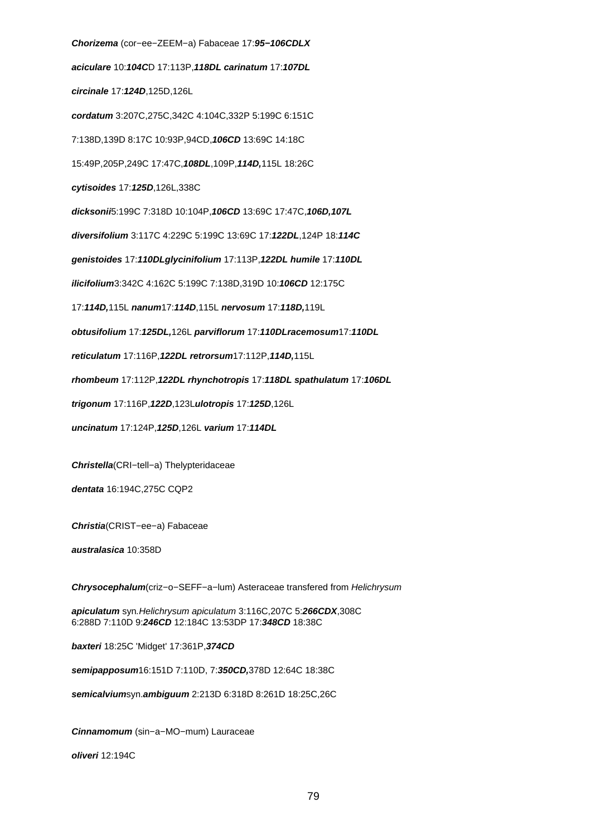**Chorizema** (cor−ee−ZEEM−a) Fabaceae 17:**95−106CDLX aciculare** 10:**104C**D 17:113P,**118DL carinatum** 17:**107DL circinale** 17:**124D**,125D,126L **cordatum** 3:207C,275C,342C 4:104C,332P 5:199C 6:151C 7:138D,139D 8:17C 10:93P,94CD,**106CD** 13:69C 14:18C 15:49P,205P,249C 17:47C,**108DL**,109P,**114D,**115L 18:26C **cytisoides** 17:**125D**,126L,338C **dicksonii**5:199C 7:318D 10:104P,**106CD** 13:69C 17:47C,**106D,107L diversifolium** 3:117C 4:229C 5:199C 13:69C 17:**122DL**,124P 18:**114C genistoides** 17:**110DLglycinifolium** 17:113P,**122DL humile** 17:**110DL ilicifolium**3:342C 4:162C 5:199C 7:138D,319D 10:**106CD** 12:175C 17:**114D,**115L **nanum**17:**114D**,115L **nervosum** 17:**118D,**119L **obtusifolium** 17:**125DL,**126L **parviflorum** 17:**110DLracemosum**17:**110DL reticulatum** 17:116P,**122DL retrorsum**17:112P,**114D,**115L **rhombeum** 17:112P,**122DL rhynchotropis** 17:**118DL spathulatum** 17:**106DL trigonum** 17:116P,**122D**,123L**ulotropis** 17:**125D**,126L **uncinatum** 17:124P,**125D**,126L **varium** 17:**114DL Christella**(CRI−tell−a) Thelypteridaceae **dentata** 16:194C,275C CQP2 **Christia**(CRIST−ee−a) Fabaceae **australasica** 10:358D **Chrysocephalum**(criz−o−SEFF−a−lum) Asteraceae transfered from Helichrysum **apiculatum** syn.Helichrysum apiculatum 3:116C,207C 5:**266CDX**,308C 6:288D 7:110D 9:**246CD** 12:184C 13:53DP 17:**348CD** 18:38C

**baxteri** 18:25C 'Midget' 17:361P,**374CD**

**semipapposum**16:151D 7:110D, 7:**350CD,**378D 12:64C 18:38C

**semicalvium**syn.**ambiguum** 2:213D 6:318D 8:261D 18:25C,26C

**Cinnamomum** (sin−a−MO−mum) Lauraceae

**oliveri** 12:194C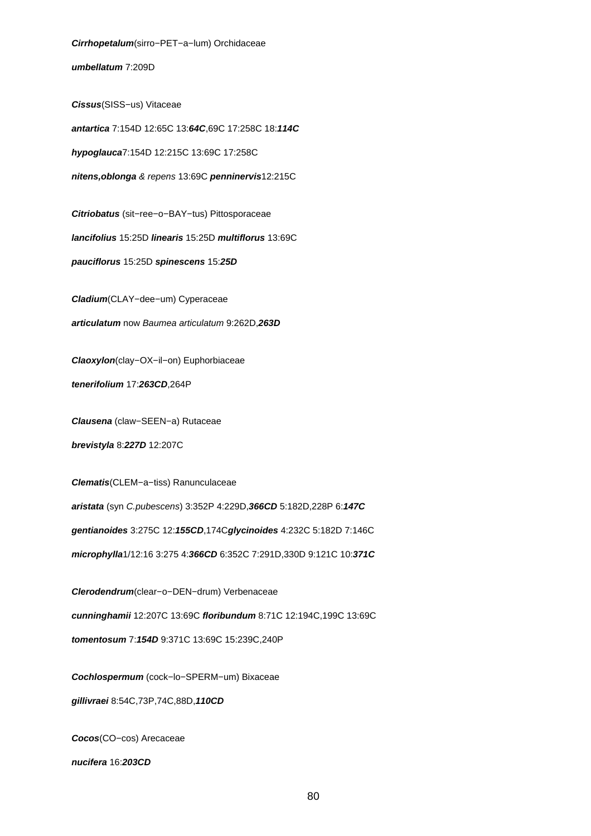**umbellatum** 7:209D **Cissus**(SISS−us) Vitaceae **antartica** 7:154D 12:65C 13:**64C**,69C 17:258C 18:**114C hypoglauca**7:154D 12:215C 13:69C 17:258C **nitens,oblonga** & repens 13:69C **penninervis**12:215C **Citriobatus** (sit−ree−o−BAY−tus) Pittosporaceae **lancifolius** 15:25D **linearis** 15:25D **multiflorus** 13:69C **pauciflorus** 15:25D **spinescens** 15:**25D Cladium**(CLAY−dee−um) Cyperaceae **articulatum** now Baumea articulatum 9:262D,**263D Claoxylon**(clay−OX−il−on) Euphorbiaceae **tenerifolium** 17:**263CD**,264P **Clausena** (claw−SEEN−a) Rutaceae **brevistyla** 8:**227D** 12:207C **Clematis**(CLEM−a−tiss) Ranunculaceae **aristata** (syn C.pubescens) 3:352P 4:229D,**366CD** 5:182D,228P 6:**147C gentianoides** 3:275C 12:**155CD**,174C**glycinoides** 4:232C 5:182D 7:146C **microphylla**1/12:16 3:275 4:**366CD** 6:352C 7:291D,330D 9:121C 10:**371C Clerodendrum**(clear−o−DEN−drum) Verbenaceae **cunninghamii** 12:207C 13:69C **floribundum** 8:71C 12:194C,199C 13:69C **tomentosum** 7:**154D** 9:371C 13:69C 15:239C,240P **Cochlospermum** (cock−lo−SPERM−um) Bixaceae **gillivraei** 8:54C,73P,74C,88D,**110CD Cocos**(CO−cos) Arecaceae

**Cirrhopetalum**(sirro−PET−a−lum) Orchidaceae

**nucifera** 16:**203CD**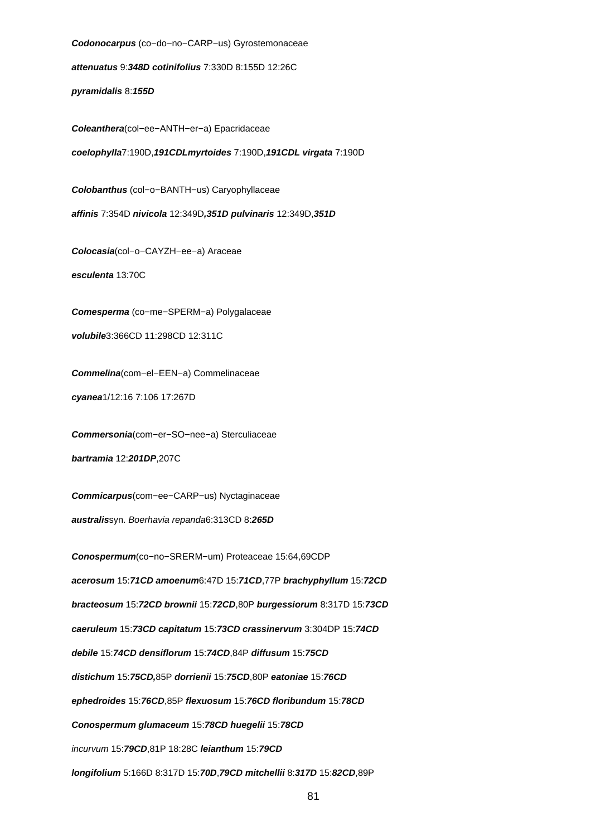**Codonocarpus** (co−do−no−CARP−us) Gyrostemonaceae **attenuatus** 9:**348D cotinifolius** 7:330D 8:155D 12:26C **pyramidalis** 8:**155D Coleanthera**(col−ee−ANTH−er−a) Epacridaceae **coelophylla**7:190D,**191CDLmyrtoides** 7:190D,**191CDL virgata** 7:190D **Colobanthus** (col−o−BANTH−us) Caryophyllaceae **affinis** 7:354D **nivicola** 12:349D**,351D pulvinaris** 12:349D,**351D Colocasia**(col−o−CAYZH−ee−a) Araceae **esculenta** 13:70C **Comesperma** (co−me−SPERM−a) Polygalaceae **volubile**3:366CD 11:298CD 12:311C **Commelina**(com−el−EEN−a) Commelinaceae **cyanea**1/12:16 7:106 17:267D **Commersonia**(com−er−SO−nee−a) Sterculiaceae **bartramia** 12:**201DP**,207C **Commicarpus**(com−ee−CARP−us) Nyctaginaceae **australis**syn. Boerhavia repanda6:313CD 8:**265D Conospermum**(co−no−SRERM−um) Proteaceae 15:64,69CDP **acerosum** 15:**71CD amoenum**6:47D 15:**71CD**,77P **brachyphyllum** 15:**72CD bracteosum** 15:**72CD brownii** 15:**72CD**,80P **burgessiorum** 8:317D 15:**73CD caeruleum** 15:**73CD capitatum** 15:**73CD crassinervum** 3:304DP 15:**74CD debile** 15:**74CD densiflorum** 15:**74CD**,84P **diffusum** 15:**75CD distichum** 15:**75CD,**85P **dorrienii** 15:**75CD**,80P **eatoniae** 15:**76CD ephedroides** 15:**76CD**,85P **flexuosum** 15:**76CD floribundum** 15:**78CD Conospermum glumaceum** 15:**78CD huegelii** 15:**78CD** incurvum 15:**79CD**,81P 18:28C **leianthum** 15:**79CD**

**longifolium** 5:166D 8:317D 15:**70D**,**79CD mitchellii** 8:**317D** 15:**82CD**,89P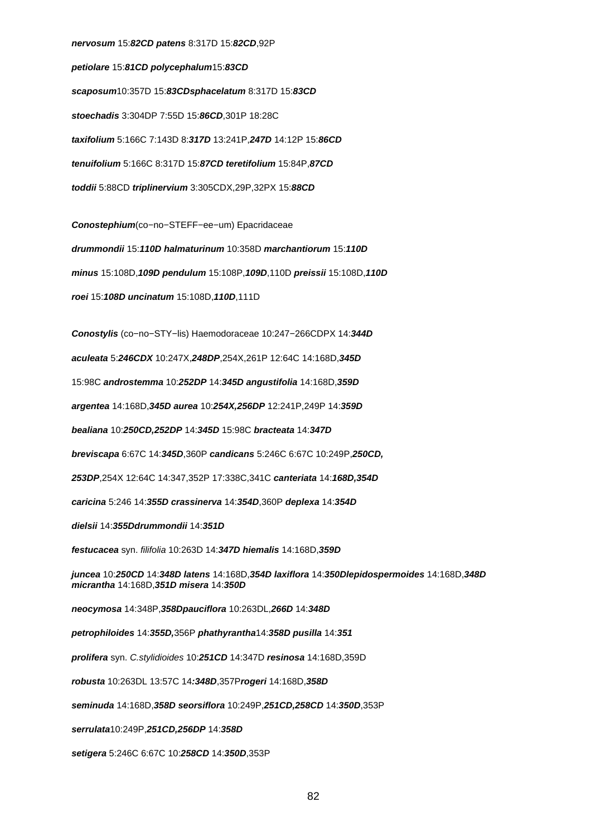**nervosum** 15:**82CD patens** 8:317D 15:**82CD**,92P **petiolare** 15:**81CD polycephalum**15:**83CD scaposum**10:357D 15:**83CDsphacelatum** 8:317D 15:**83CD stoechadis** 3:304DP 7:55D 15:**86CD**,301P 18:28C **taxifolium** 5:166C 7:143D 8:**317D** 13:241P,**247D** 14:12P 15:**86CD tenuifolium** 5:166C 8:317D 15:**87CD teretifolium** 15:84P,**87CD toddii** 5:88CD **triplinervium** 3:305CDX,29P,32PX 15:**88CD**

**Conostephium**(co−no−STEFF−ee−um) Epacridaceae **drummondii** 15:**110D halmaturinum** 10:358D **marchantiorum** 15:**110D minus** 15:108D,**109D pendulum** 15:108P,**109D**,110D **preissii** 15:108D,**110D roei** 15:**108D uncinatum** 15:108D,**110D**,111D

**Conostylis** (co−no−STY−lis) Haemodoraceae 10:247−266CDPX 14:**344D aculeata** 5:**246CDX** 10:247X,**248DP**,254X,261P 12:64C 14:168D,**345D** 15:98C **androstemma** 10:**252DP** 14:**345D angustifolia** 14:168D,**359D argentea** 14:168D,**345D aurea** 10:**254X,256DP** 12:241P,249P 14:**359D bealiana** 10:**250CD,252DP** 14:**345D** 15:98C **bracteata** 14:**347D breviscapa** 6:67C 14:**345D**,360P **candicans** 5:246C 6:67C 10:249P,**250CD, 253DP**,254X 12:64C 14:347,352P 17:338C,341C **canteriata** 14:**168D,354D caricina** 5:246 14:**355D crassinerva** 14:**354D**,360P **deplexa** 14:**354D dielsii** 14:**355Ddrummondii** 14:**351D festucacea** syn. filifolia 10:263D 14:**347D hiemalis** 14:168D,**359D juncea** 10:**250CD** 14:**348D latens** 14:168D,**354D laxiflora** 14:**350Dlepidospermoides** 14:168D,**348D micrantha** 14:168D,**351D misera** 14:**350D neocymosa** 14:348P,**358Dpauciflora** 10:263DL,**266D** 14:**348D petrophiloides** 14:**355D,**356P **phathyrantha**14:**358D pusilla** 14:**351 prolifera** syn. C.stylidioides 10:**251CD** 14:347D **resinosa** 14:168D,359D **robusta** 10:263DL 13:57C 14**:348D**,357P**rogeri** 14:168D,**358D seminuda** 14:168D,**358D seorsiflora** 10:249P,**251CD,258CD** 14:**350D**,353P **serrulata**10:249P,**251CD,256DP** 14:**358D setigera** 5:246C 6:67C 10:**258CD** 14:**350D**,353P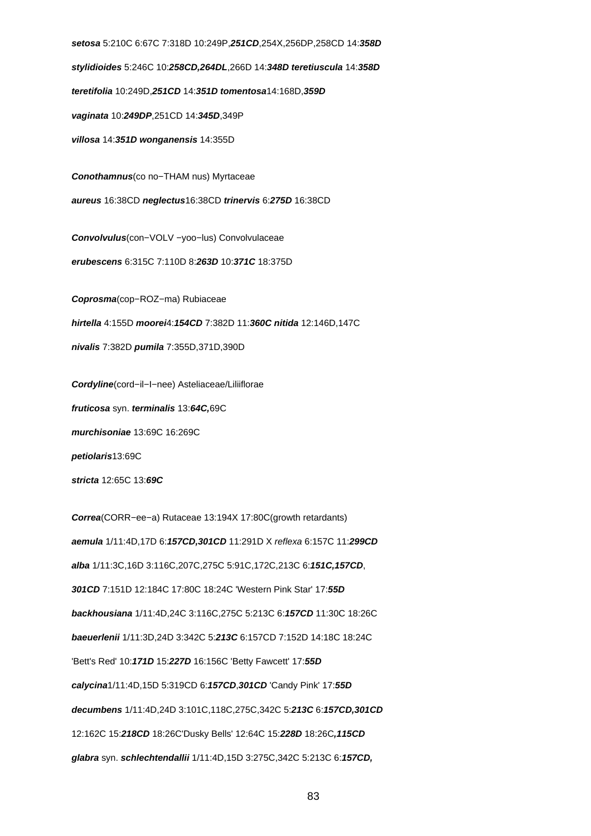**setosa** 5:210C 6:67C 7:318D 10:249P,**251CD**,254X,256DP,258CD 14:**358D stylidioides** 5:246C 10:**258CD,264DL**,266D 14:**348D teretiuscula** 14:**358D teretifolia** 10:249D,**251CD** 14:**351D tomentosa**14:168D,**359D vaginata** 10:**249DP**,251CD 14:**345D**,349P **villosa** 14:**351D wonganensis** 14:355D **Conothamnus**(co no−THAM nus) Myrtaceae **aureus** 16:38CD **neglectus**16:38CD **trinervis** 6:**275D** 16:38CD **Convolvulus**(con−VOLV −yoo−lus) Convolvulaceae **erubescens** 6:315C 7:110D 8:**263D** 10:**371C** 18:375D **Coprosma**(cop−ROZ−ma) Rubiaceae **hirtella** 4:155D **moorei**4:**154CD** 7:382D 11:**360C nitida** 12:146D,147C **nivalis** 7:382D **pumila** 7:355D,371D,390D **Cordyline**(cord−il−I−nee) Asteliaceae/Liliiflorae **fruticosa** syn. **terminalis** 13:**64C,**69C **murchisoniae** 13:69C 16:269C **petiolaris**13:69C **stricta** 12:65C 13:**69C Correa**(CORR−ee−a) Rutaceae 13:194X 17:80C(growth retardants)

**aemula** 1/11:4D,17D 6:**157CD,301CD** 11:291D X reflexa 6:157C 11:**299CD alba** 1/11:3C,16D 3:116C,207C,275C 5:91C,172C,213C 6:**151C,157CD**, **301CD** 7:151D 12:184C 17:80C 18:24C 'Western Pink Star' 17:**55D backhousiana** 1/11:4D,24C 3:116C,275C 5:213C 6:**157CD** 11:30C 18:26C **baeuerlenii** 1/11:3D,24D 3:342C 5:**213C** 6:157CD 7:152D 14:18C 18:24C 'Bett's Red' 10:**171D** 15:**227D** 16:156C 'Betty Fawcett' 17:**55D calycina**1/11:4D,15D 5:319CD 6:**157CD**,**301CD** 'Candy Pink' 17:**55D decumbens** 1/11:4D,24D 3:101C,118C,275C,342C 5:**213C** 6:**157CD,301CD** 12:162C 15:**218CD** 18:26C'Dusky Bells' 12:64C 15:**228D** 18:26C**,115CD glabra** syn. **schlechtendallii** 1/11:4D,15D 3:275C,342C 5:213C 6:**157CD,**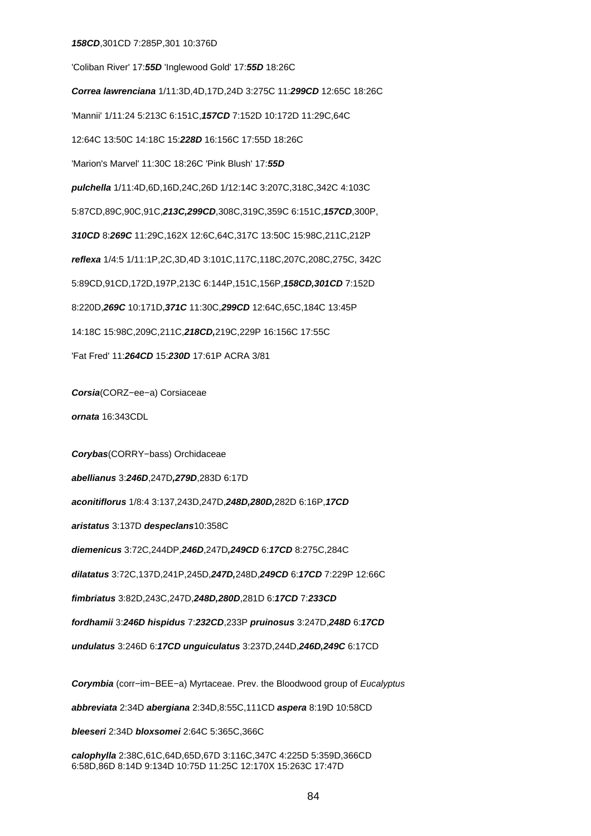#### **158CD**,301CD 7:285P,301 10:376D

'Coliban River' 17:**55D** 'Inglewood Gold' 17:**55D** 18:26C **Correa lawrenciana** 1/11:3D,4D,17D,24D 3:275C 11:**299CD** 12:65C 18:26C 'Mannii' 1/11:24 5:213C 6:151C,**157CD** 7:152D 10:172D 11:29C,64C 12:64C 13:50C 14:18C 15:**228D** 16:156C 17:55D 18:26C 'Marion's Marvel' 11:30C 18:26C 'Pink Blush' 17:**55D pulchella** 1/11:4D,6D,16D,24C,26D 1/12:14C 3:207C,318C,342C 4:103C 5:87CD,89C,90C,91C,**213C,299CD**,308C,319C,359C 6:151C,**157CD**,300P, **310CD** 8:**269C** 11:29C,162X 12:6C,64C,317C 13:50C 15:98C,211C,212P **reflexa** 1/4:5 1/11:1P,2C,3D,4D 3:101C,117C,118C,207C,208C,275C, 342C 5:89CD,91CD,172D,197P,213C 6:144P,151C,156P,**158CD,301CD** 7:152D 8:220D,**269C** 10:171D,**371C** 11:30C,**299CD** 12:64C,65C,184C 13:45P 14:18C 15:98C,209C,211C,**218CD,**219C,229P 16:156C 17:55C 'Fat Fred' 11:**264CD** 15:**230D** 17:61P ACRA 3/81

**Corsia**(CORZ−ee−a) Corsiaceae

**ornata** 16:343CDL

**Corybas**(CORRY−bass) Orchidaceae

**abellianus** 3:**246D**,247D**,279D**,283D 6:17D

**aconitiflorus** 1/8:4 3:137,243D,247D,**248D,280D,**282D 6:16P,**17CD**

**aristatus** 3:137D **despeclans**10:358C

**diemenicus** 3:72C,244DP,**246D**,247D**,249CD** 6:**17CD** 8:275C,284C

**dilatatus** 3:72C,137D,241P,245D,**247D,**248D,**249CD** 6:**17CD** 7:229P 12:66C

**fimbriatus** 3:82D,243C,247D,**248D,280D**,281D 6:**17CD** 7:**233CD**

**fordhamii** 3:**246D hispidus** 7:**232CD**,233P **pruinosus** 3:247D,**248D** 6:**17CD**

**undulatus** 3:246D 6:**17CD unguiculatus** 3:237D,244D,**246D,249C** 6:17CD

**Corymbia** (corr−im−BEE−a) Myrtaceae. Prev. the Bloodwood group of Eucalyptus

**abbreviata** 2:34D **abergiana** 2:34D,8:55C,111CD **aspera** 8:19D 10:58CD

**bleeseri** 2:34D **bloxsomei** 2:64C 5:365C,366C

**calophylla** 2:38C,61C,64D,65D,67D 3:116C,347C 4:225D 5:359D,366CD 6:58D,86D 8:14D 9:134D 10:75D 11:25C 12:170X 15:263C 17:47D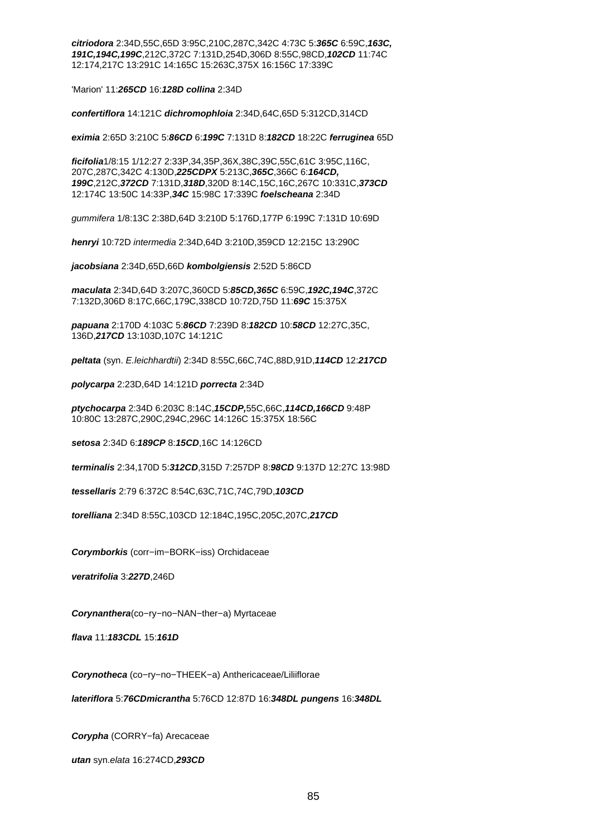**citriodora** 2:34D,55C,65D 3:95C,210C,287C,342C 4:73C 5:**365C** 6:59C,**163C, 191C,194C,199C**,212C,372C 7:131D,254D,306D 8:55C,98CD,**102CD** 11:74C 12:174,217C 13:291C 14:165C 15:263C,375X 16:156C 17:339C

'Marion' 11:**265CD** 16:**128D collina** 2:34D

**confertiflora** 14:121C **dichromophloia** 2:34D,64C,65D 5:312CD,314CD

**eximia** 2:65D 3:210C 5:**86CD** 6:**199C** 7:131D 8:**182CD** 18:22C **ferruginea** 65D

**ficifolia**1/8:15 1/12:27 2:33P,34,35P,36X,38C,39C,55C,61C 3:95C,116C, 207C,287C,342C 4:130D,**225CDPX** 5:213C,**365C**,366C 6:**164CD, 199C**,212C,**372CD** 7:131D,**318D**,320D 8:14C,15C,16C,267C 10:331C,**373CD** 12:174C 13:50C 14:33P,**34C** 15:98C 17:339C **foelscheana** 2:34D

gummifera 1/8:13C 2:38D,64D 3:210D 5:176D,177P 6:199C 7:131D 10:69D

**henryi** 10:72D intermedia 2:34D,64D 3:210D,359CD 12:215C 13:290C

**jacobsiana** 2:34D,65D,66D **kombolgiensis** 2:52D 5:86CD

**maculata** 2:34D,64D 3:207C,360CD 5:**85CD,365C** 6:59C,**192C,194C**,372C 7:132D,306D 8:17C,66C,179C,338CD 10:72D,75D 11:**69C** 15:375X

**papuana** 2:170D 4:103C 5:**86CD** 7:239D 8:**182CD** 10:**58CD** 12:27C,35C, 136D,**217CD** 13:103D,107C 14:121C

**peltata** (syn. E.leichhardtii) 2:34D 8:55C,66C,74C,88D,91D,**114CD** 12:**217CD**

**polycarpa** 2:23D,64D 14:121D **porrecta** 2:34D

**ptychocarpa** 2:34D 6:203C 8:14C,**15CDP,**55C,66C,**114CD,166CD** 9:48P 10:80C 13:287C,290C,294C,296C 14:126C 15:375X 18:56C

**setosa** 2:34D 6:**189CP** 8:**15CD**,16C 14:126CD

**terminalis** 2:34,170D 5:**312CD**,315D 7:257DP 8:**98CD** 9:137D 12:27C 13:98D

**tessellaris** 2:79 6:372C 8:54C,63C,71C,74C,79D,**103CD**

**torelliana** 2:34D 8:55C,103CD 12:184C,195C,205C,207C,**217CD**

**Corymborkis** (corr−im−BORK−iss) Orchidaceae

**veratrifolia** 3:**227D**,246D

**Corynanthera**(co−ry−no−NAN−ther−a) Myrtaceae

**flava** 11:**183CDL** 15:**161D**

**Corynotheca** (co−ry−no−THEEK−a) Anthericaceae/Liliiflorae

**lateriflora** 5:**76CDmicrantha** 5:76CD 12:87D 16:**348DL pungens** 16:**348DL**

**Corypha** (CORRY−fa) Arecaceae

**utan** syn.elata 16:274CD,**293CD**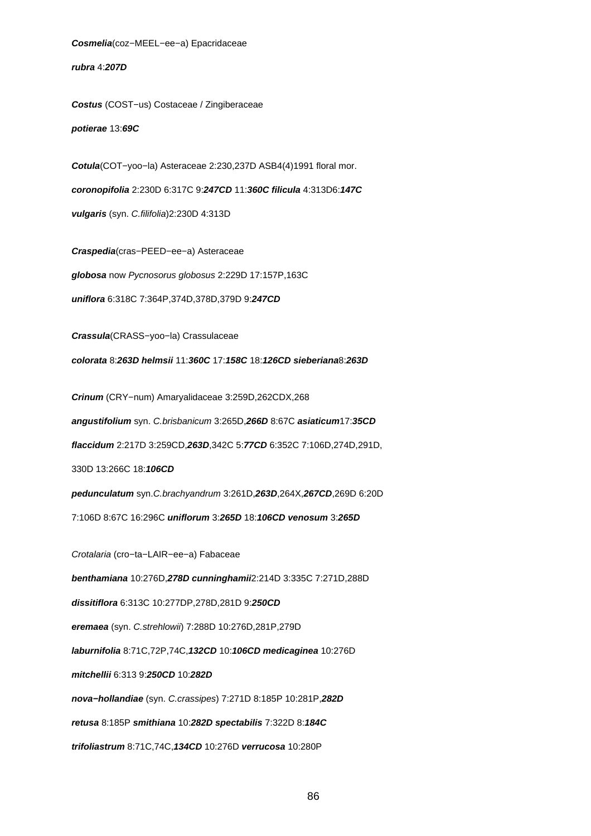**Cosmelia**(coz−MEEL−ee−a) Epacridaceae

**rubra** 4:**207D**

**Costus** (COST−us) Costaceae / Zingiberaceae

**potierae** 13:**69C**

**Cotula**(COT−yoo−la) Asteraceae 2:230,237D ASB4(4)1991 floral mor. **coronopifolia** 2:230D 6:317C 9:**247CD** 11:**360C filicula** 4:313D6:**147C vulgaris** (syn. C.filifolia)2:230D 4:313D

**Craspedia**(cras−PEED−ee−a) Asteraceae **globosa** now Pycnosorus globosus 2:229D 17:157P,163C **uniflora** 6:318C 7:364P,374D,378D,379D 9:**247CD**

**Crassula**(CRASS−yoo−la) Crassulaceae

**colorata** 8:**263D helmsii** 11:**360C** 17:**158C** 18:**126CD sieberiana**8:**263D**

**Crinum** (CRY−num) Amaryalidaceae 3:259D,262CDX,268

**angustifolium** syn. C.brisbanicum 3:265D,**266D** 8:67C **asiaticum**17:**35CD**

**flaccidum** 2:217D 3:259CD,**263D**,342C 5:**77CD** 6:352C 7:106D,274D,291D,

330D 13:266C 18:**106CD**

**pedunculatum** syn.C.brachyandrum 3:261D,**263D**,264X,**267CD**,269D 6:20D

7:106D 8:67C 16:296C **uniflorum** 3:**265D** 18:**106CD venosum** 3:**265D**

Crotalaria (cro−ta−LAIR−ee−a) Fabaceae

**benthamiana** 10:276D,**278D cunninghamii**2:214D 3:335C 7:271D,288D

**dissitiflora** 6:313C 10:277DP,278D,281D 9:**250CD**

**eremaea** (syn. C.strehlowii) 7:288D 10:276D,281P,279D

**laburnifolia** 8:71C,72P,74C,**132CD** 10:**106CD medicaginea** 10:276D

**mitchellii** 6:313 9:**250CD** 10:**282D**

**nova−hollandiae** (syn. C.crassipes) 7:271D 8:185P 10:281P,**282D**

**retusa** 8:185P **smithiana** 10:**282D spectabilis** 7:322D 8:**184C**

**trifoliastrum** 8:71C,74C,**134CD** 10:276D **verrucosa** 10:280P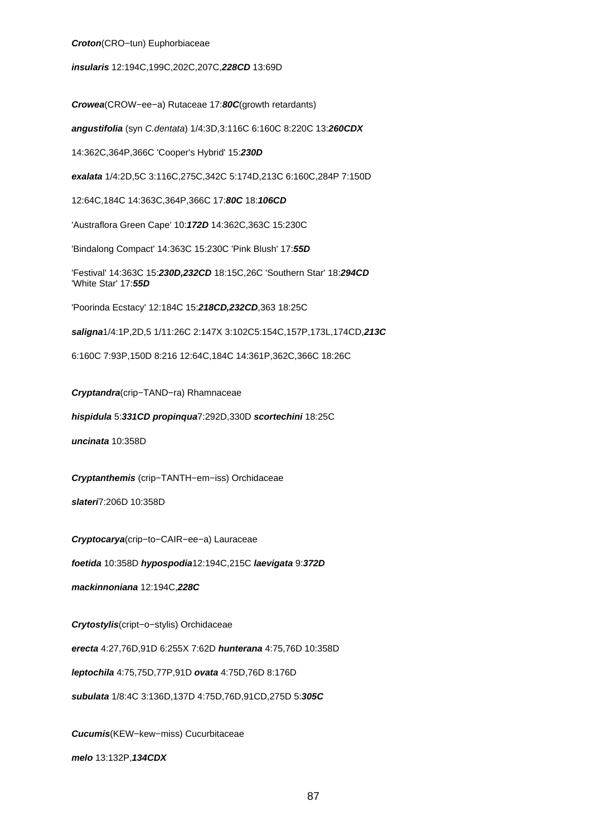#### **Croton**(CRO−tun) Euphorbiaceae

## **insularis** 12:194C,199C,202C,207C,**228CD** 13:69D

**Crowea**(CROW−ee−a) Rutaceae 17:**80C**(growth retardants) **angustifolia** (syn C.dentata) 1/4:3D,3:116C 6:160C 8:220C 13:**260CDX** 14:362C,364P,366C 'Cooper's Hybrid' 15:**230D exalata** 1/4:2D,5C 3:116C,275C,342C 5:174D,213C 6:160C,284P 7:150D 12:64C,184C 14:363C,364P,366C 17:**80C** 18:**106CD** 'Austraflora Green Cape' 10:**172D** 14:362C,363C 15:230C 'Bindalong Compact' 14:363C 15:230C 'Pink Blush' 17:**55D** 'Festival' 14:363C 15:**230D,232CD** 18:15C,26C 'Southern Star' 18:**294CD** 'White Star' 17:**55D** 'Poorinda Ecstacy' 12:184C 15:**218CD,232CD**,363 18:25C **saligna**1/4:1P,2D,5 1/11:26C 2:147X 3:102C5:154C,157P,173L,174CD,**213C**

**Cryptandra**(crip−TAND−ra) Rhamnaceae

**hispidula** 5:**331CD propinqua**7:292D,330D **scortechini** 18:25C

6:160C 7:93P,150D 8:216 12:64C,184C 14:361P,362C,366C 18:26C

**uncinata** 10:358D

**Cryptanthemis** (crip−TANTH−em−iss) Orchidaceae

**slateri**7:206D 10:358D

**Cryptocarya**(crip−to−CAIR−ee−a) Lauraceae

**foetida** 10:358D **hypospodia**12:194C,215C **laevigata** 9:**372D**

**mackinnoniana** 12:194C,**228C**

**Crytostylis**(cript−o−stylis) Orchidaceae

**erecta** 4:27,76D,91D 6:255X 7:62D **hunterana** 4:75,76D 10:358D

**leptochila** 4:75,75D,77P,91D **ovata** 4:75D,76D 8:176D

**subulata** 1/8:4C 3:136D,137D 4:75D,76D,91CD,275D 5:**305C**

**Cucumis**(KEW−kew−miss) Cucurbitaceae **melo** 13:132P,**134CDX**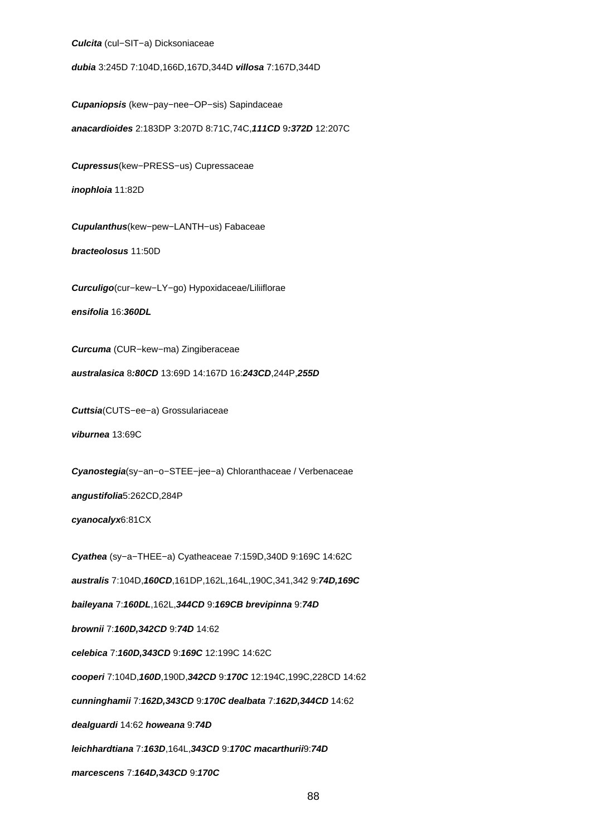**Culcita** (cul−SIT−a) Dicksoniaceae

**dubia** 3:245D 7:104D,166D,167D,344D **villosa** 7:167D,344D

**Cupaniopsis** (kew−pay−nee−OP−sis) Sapindaceae

**anacardioides** 2:183DP 3:207D 8:71C,74C,**111CD** 9**:372D** 12:207C

**Cupressus**(kew−PRESS−us) Cupressaceae

**inophloia** 11:82D

**Cupulanthus**(kew−pew−LANTH−us) Fabaceae

**bracteolosus** 11:50D

**Curculigo**(cur−kew−LY−go) Hypoxidaceae/Liliiflorae

**ensifolia** 16:**360DL**

**Curcuma** (CUR−kew−ma) Zingiberaceae

**australasica** 8**:80CD** 13:69D 14:167D 16:**243CD**,244P,**255D**

**Cuttsia**(CUTS−ee−a) Grossulariaceae **viburnea** 13:69C

**Cyanostegia**(sy−an−o−STEE−jee−a) Chloranthaceae / Verbenaceae

**angustifolia**5:262CD,284P

**cyanocalyx**6:81CX

**Cyathea** (sy−a−THEE−a) Cyatheaceae 7:159D,340D 9:169C 14:62C

**australis** 7:104D,**160CD**,161DP,162L,164L,190C,341,342 9:**74D,169C**

**baileyana** 7:**160DL**,162L,**344CD** 9:**169CB brevipinna** 9:**74D**

**brownii** 7:**160D,342CD** 9:**74D** 14:62

**celebica** 7:**160D,343CD** 9:**169C** 12:199C 14:62C

**cooperi** 7:104D,**160D**,190D,**342CD** 9:**170C** 12:194C,199C,228CD 14:62

**cunninghamii** 7:**162D,343CD** 9:**170C dealbata** 7:**162D,344CD** 14:62

**dealguardi** 14:62 **howeana** 9:**74D**

**leichhardtiana** 7:**163D**,164L,**343CD** 9:**170C macarthurii**9:**74D**

**marcescens** 7:**164D,343CD** 9:**170C**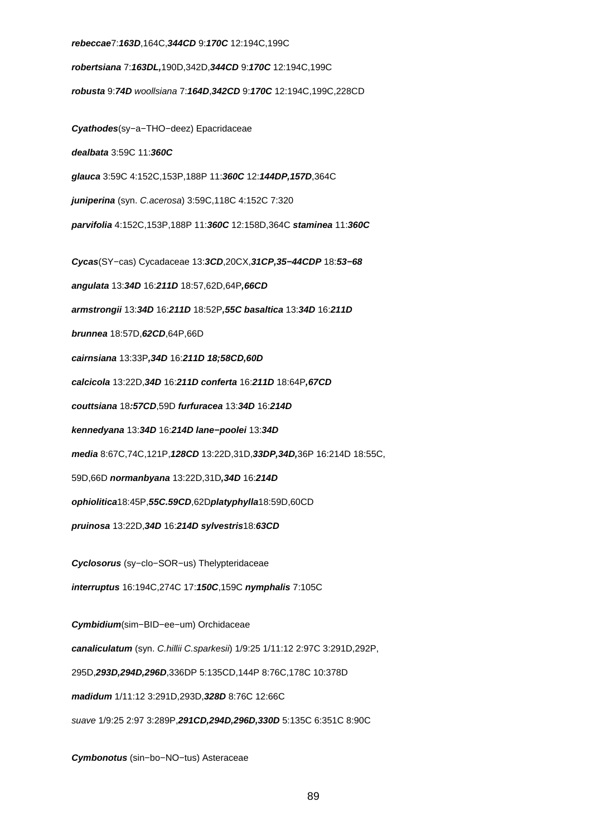# **rebeccae**7:**163D**,164C,**344CD** 9:**170C** 12:194C,199C **robertsiana** 7:**163DL,**190D,342D,**344CD** 9:**170C** 12:194C,199C **robusta** 9:**74D** woollsiana 7:**164D**,**342CD** 9:**170C** 12:194C,199C,228CD **Cyathodes**(sy−a−THO−deez) Epacridaceae **dealbata** 3:59C 11:**360C glauca** 3:59C 4:152C,153P,188P 11:**360C** 12:**144DP,157D**,364C **juniperina** (syn. C.acerosa) 3:59C,118C 4:152C 7:320 **parvifolia** 4:152C,153P,188P 11:**360C** 12:158D,364C **staminea** 11:**360C Cycas**(SY−cas) Cycadaceae 13:**3CD**,20CX,**31CP,35−44CDP** 18:**53−68 angulata** 13:**34D** 16:**211D** 18:57,62D,64P**,66CD armstrongii** 13:**34D** 16:**211D** 18:52P**,55C basaltica** 13:**34D** 16:**211D brunnea** 18:57D,**62CD**,64P,66D **cairnsiana** 13:33P**,34D** 16:**211D 18;58CD,60D calcicola** 13:22D,**34D** 16:**211D conferta** 16:**211D** 18:64P**,67CD couttsiana** 18**:57CD**,59D **furfuracea** 13:**34D** 16:**214D kennedyana** 13:**34D** 16:**214D lane−poolei** 13:**34D media** 8:67C,74C,121P,**128CD** 13:22D,31D,**33DP,34D,**36P 16:214D 18:55C, 59D,66D **normanbyana** 13:22D,31D**,34D** 16:**214D ophiolitica**18:45P,**55C.59CD**,62D**platyphylla**18:59D,60CD **pruinosa** 13:22D,**34D** 16:**214D sylvestris**18:**63CD Cyclosorus** (sy−clo−SOR−us) Thelypteridaceae **interruptus** 16:194C,274C 17:**150C**,159C **nymphalis** 7:105C **Cymbidium**(sim−BID−ee−um) Orchidaceae **canaliculatum** (syn. C.hillii C.sparkesii) 1/9:25 1/11:12 2:97C 3:291D,292P, 295D,**293D,294D,296D**,336DP 5:135CD,144P 8:76C,178C 10:378D **madidum** 1/11:12 3:291D,293D,**328D** 8:76C 12:66C suave 1/9:25 2:97 3:289P,**291CD,294D,296D,330D** 5:135C 6:351C 8:90C

**Cymbonotus** (sin−bo−NO−tus) Asteraceae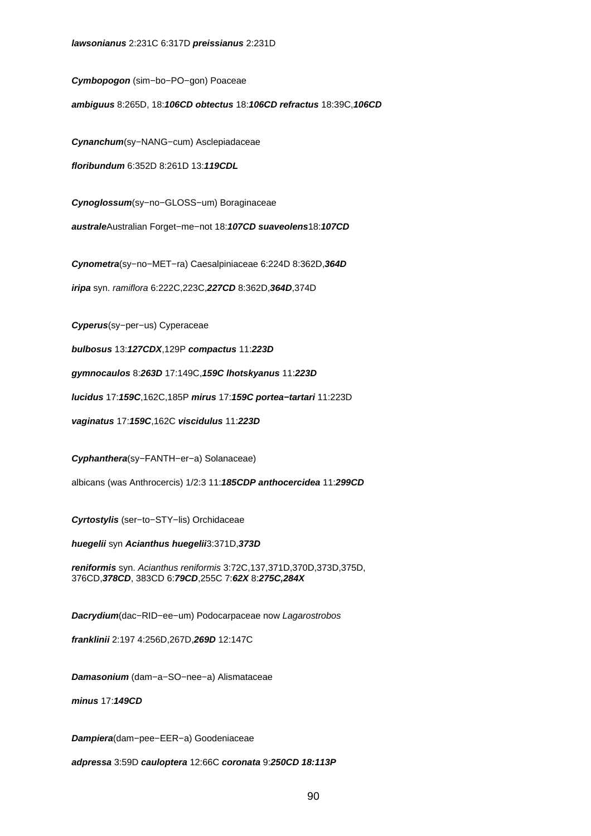**Cymbopogon** (sim−bo−PO−gon) Poaceae

**ambiguus** 8:265D, 18:**106CD obtectus** 18:**106CD refractus** 18:39C,**106CD**

**Cynanchum**(sy−NANG−cum) Asclepiadaceae

**floribundum** 6:352D 8:261D 13:**119CDL**

**Cynoglossum**(sy−no−GLOSS−um) Boraginaceae

**australe**Australian Forget−me−not 18:**107CD suaveolens**18:**107CD**

**Cynometra**(sy−no−MET−ra) Caesalpiniaceae 6:224D 8:362D,**364D**

**iripa** syn. ramiflora 6:222C,223C,**227CD** 8:362D,**364D**,374D

**Cyperus**(sy−per−us) Cyperaceae

**bulbosus** 13:**127CDX**,129P **compactus** 11:**223D**

**gymnocaulos** 8:**263D** 17:149C,**159C lhotskyanus** 11:**223D**

**lucidus** 17:**159C**,162C,185P **mirus** 17:**159C portea−tartari** 11:223D

**vaginatus** 17:**159C**,162C **viscidulus** 11:**223D**

**Cyphanthera**(sy−FANTH−er−a) Solanaceae)

albicans (was Anthrocercis) 1/2:3 11:**185CDP anthocercidea** 11:**299CD**

**Cyrtostylis** (ser−to−STY−lis) Orchidaceae

**huegelii** syn **Acianthus huegelii**3:371D,**373D**

**reniformis** syn. Acianthus reniformis 3:72C,137,371D,370D,373D,375D, 376CD,**378CD**, 383CD 6:**79CD**,255C 7:**62X** 8:**275C,284X**

**Dacrydium**(dac−RID−ee−um) Podocarpaceae now Lagarostrobos

**franklinii** 2:197 4:256D,267D,**269D** 12:147C

**Damasonium** (dam−a−SO−nee−a) Alismataceae

**minus** 17:**149CD**

**Dampiera**(dam−pee−EER−a) Goodeniaceae

**adpressa** 3:59D **cauloptera** 12:66C **coronata** 9:**250CD 18:113P**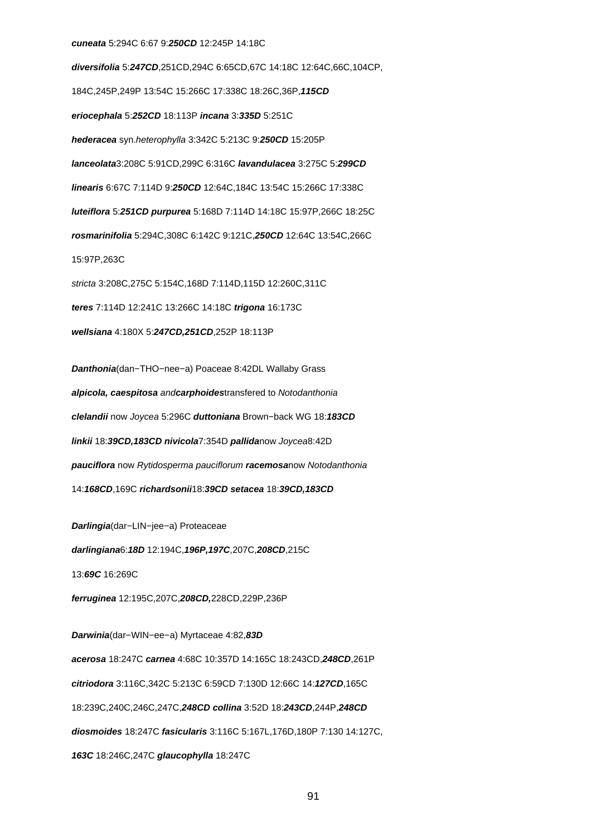#### **cuneata** 5:294C 6:67 9:**250CD** 12:245P 14:18C

**diversifolia** 5:**247CD**,251CD,294C 6:65CD,67C 14:18C 12:64C,66C,104CP, 184C,245P,249P 13:54C 15:266C 17:338C 18:26C,36P,**115CD eriocephala** 5:**252CD** 18:113P **incana** 3:**335D** 5:251C **hederacea** syn.heterophylla 3:342C 5:213C 9:**250CD** 15:205P **lanceolata**3:208C 5:91CD,299C 6:316C **lavandulacea** 3:275C 5:**299CD linearis** 6:67C 7:114D 9:**250CD** 12:64C,184C 13:54C 15:266C 17:338C **luteiflora** 5:**251CD purpurea** 5:168D 7:114D 14:18C 15:97P,266C 18:25C **rosmarinifolia** 5:294C,308C 6:142C 9:121C,**250CD** 12:64C 13:54C,266C 15:97P,263C stricta 3:208C,275C 5:154C,168D 7:114D,115D 12:260C,311C **teres** 7:114D 12:241C 13:266C 14:18C **trigona** 16:173C **wellsiana** 4:180X 5:**247CD,251CD**,252P 18:113P

**Danthonia**(dan−THO−nee−a) Poaceae 8:42DL Wallaby Grass **alpicola, caespitosa** and**carphoides**transfered to Notodanthonia **clelandii** now Joycea 5:296C **duttoniana** Brown−back WG 18:**183CD linkii** 18:**39CD,183CD nivicola**7:354D **pallida**now Joycea8:42D **pauciflora** now Rytidosperma pauciflorum **racemosa**now Notodanthonia 14:**168CD**,169C **richardsonii**18:**39CD setacea** 18:**39CD,183CD**

**Darlingia**(dar−LIN−jee−a) Proteaceae **darlingiana**6:**18D** 12:194C,**196P,197C**,207C,**208CD**,215C 13:**69C** 16:269C

**ferruginea** 12:195C,207C,**208CD,**228CD,229P,236P

**Darwinia**(dar−WIN−ee−a) Myrtaceae 4:82,**83D acerosa** 18:247C **carnea** 4:68C 10:357D 14:165C 18:243CD,**248CD**,261P **citriodora** 3:116C,342C 5:213C 6:59CD 7:130D 12:66C 14:**127CD**,165C 18:239C,240C,246C,247C,**248CD collina** 3:52D 18:**243CD**,244P,**248CD diosmoides** 18:247C **fasicularis** 3:116C 5:167L,176D,180P 7:130 14:127C, **163C** 18:246C,247C **glaucophylla** 18:247C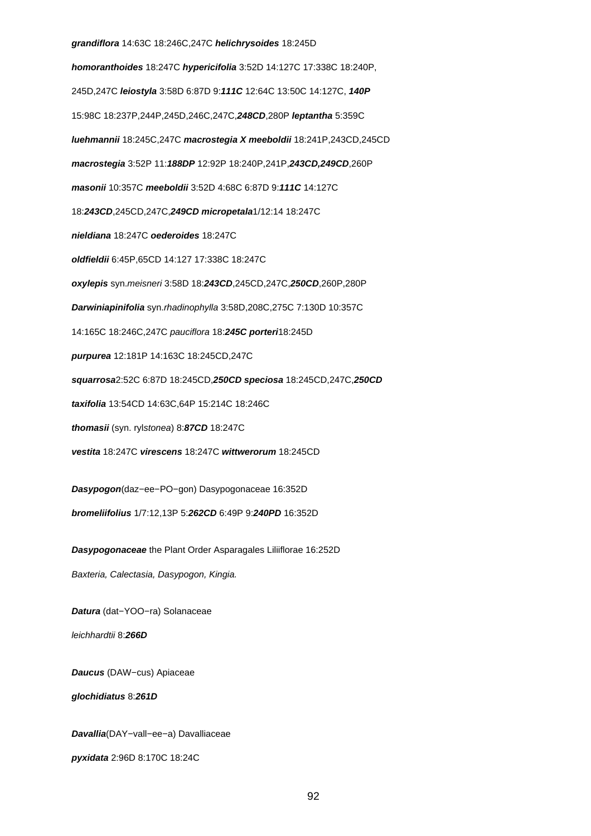#### **grandiflora** 14:63C 18:246C,247C **helichrysoides** 18:245D

**homoranthoides** 18:247C **hypericifolia** 3:52D 14:127C 17:338C 18:240P, 245D,247C **leiostyla** 3:58D 6:87D 9:**111C** 12:64C 13:50C 14:127C, **140P** 15:98C 18:237P,244P,245D,246C,247C,**248CD**,280P **leptantha** 5:359C **luehmannii** 18:245C,247C **macrostegia X meeboldii** 18:241P,243CD,245CD **macrostegia** 3:52P 11:**188DP** 12:92P 18:240P,241P,**243CD,249CD**,260P **masonii** 10:357C **meeboldii** 3:52D 4:68C 6:87D 9:**111C** 14:127C 18:**243CD**,245CD,247C,**249CD micropetala**1/12:14 18:247C **nieldiana** 18:247C **oederoides** 18:247C **oldfieldii** 6:45P,65CD 14:127 17:338C 18:247C **oxylepis** syn.meisneri 3:58D 18:**243CD**,245CD,247C,**250CD**,260P,280P **Darwiniapinifolia** syn.rhadinophylla 3:58D,208C,275C 7:130D 10:357C 14:165C 18:246C,247C pauciflora 18:**245C porteri**18:245D **purpurea** 12:181P 14:163C 18:245CD,247C **squarrosa**2:52C 6:87D 18:245CD,**250CD speciosa** 18:245CD,247C,**250CD taxifolia** 13:54CD 14:63C,64P 15:214C 18:246C **thomasii** (syn. rylstonea) 8:**87CD** 18:247C **vestita** 18:247C **virescens** 18:247C **wittwerorum** 18:245CD **Dasypogon**(daz−ee−PO−gon) Dasypogonaceae 16:352D

**bromeliifolius** 1/7:12,13P 5:**262CD** 6:49P 9:**240PD** 16:352D

**Dasypogonaceae** the Plant Order Asparagales Liliiflorae 16:252D Baxteria, Calectasia, Dasypogon, Kingia.

**Datura** (dat−YOO−ra) Solanaceae leichhardtii 8:**266D**

**Daucus** (DAW−cus) Apiaceae

**glochidiatus** 8:**261D**

**Davallia**(DAY−vall−ee−a) Davalliaceae

**pyxidata** 2:96D 8:170C 18:24C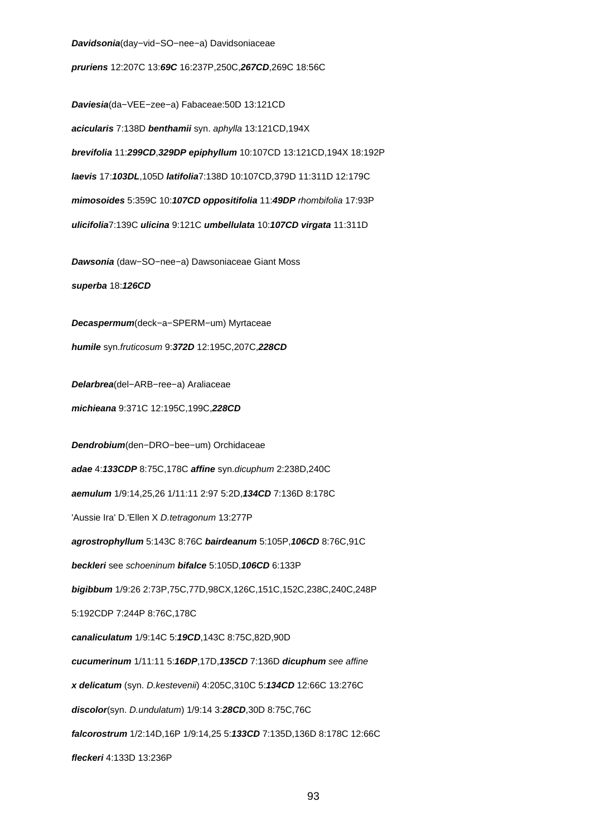#### **Davidsonia**(day−vid−SO−nee−a) Davidsoniaceae

**pruriens** 12:207C 13:**69C** 16:237P,250C,**267CD**,269C 18:56C

**Daviesia**(da−VEE−zee−a) Fabaceae:50D 13:121CD **acicularis** 7:138D **benthamii** syn. aphylla 13:121CD,194X **brevifolia** 11:**299CD**,**329DP epiphyllum** 10:107CD 13:121CD,194X 18:192P **laevis** 17:**103DL**,105D **latifolia**7:138D 10:107CD,379D 11:311D 12:179C **mimosoides** 5:359C 10:**107CD oppositifolia** 11:**49DP** rhombifolia 17:93P **ulicifolia**7:139C **ulicina** 9:121C **umbellulata** 10:**107CD virgata** 11:311D

**Dawsonia** (daw−SO−nee−a) Dawsoniaceae Giant Moss

**superba** 18:**126CD**

**Decaspermum**(deck−a−SPERM−um) Myrtaceae **humile** syn.fruticosum 9:**372D** 12:195C,207C,**228CD**

**Delarbrea**(del−ARB−ree−a) Araliaceae

**michieana** 9:371C 12:195C,199C,**228CD**

**Dendrobium**(den−DRO−bee−um) Orchidaceae

**adae** 4:**133CDP** 8:75C,178C **affine** syn.dicuphum 2:238D,240C

**aemulum** 1/9:14,25,26 1/11:11 2:97 5:2D,**134CD** 7:136D 8:178C

'Aussie Ira' D.'Ellen X D.tetragonum 13:277P

**agrostrophyllum** 5:143C 8:76C **bairdeanum** 5:105P,**106CD** 8:76C,91C

**beckleri** see schoeninum **bifalce** 5:105D,**106CD** 6:133P

**bigibbum** 1/9:26 2:73P,75C,77D,98CX,126C,151C,152C,238C,240C,248P

5:192CDP 7:244P 8:76C,178C

**canaliculatum** 1/9:14C 5:**19CD**,143C 8:75C,82D,90D

**cucumerinum** 1/11:11 5:**16DP**,17D,**135CD** 7:136D **dicuphum** see affine

**x delicatum** (syn. D.kestevenii) 4:205C,310C 5:**134CD** 12:66C 13:276C

**discolor**(syn. D.undulatum) 1/9:14 3:**28CD**,30D 8:75C,76C

**falcorostrum** 1/2:14D,16P 1/9:14,25 5:**133CD** 7:135D,136D 8:178C 12:66C

**fleckeri** 4:133D 13:236P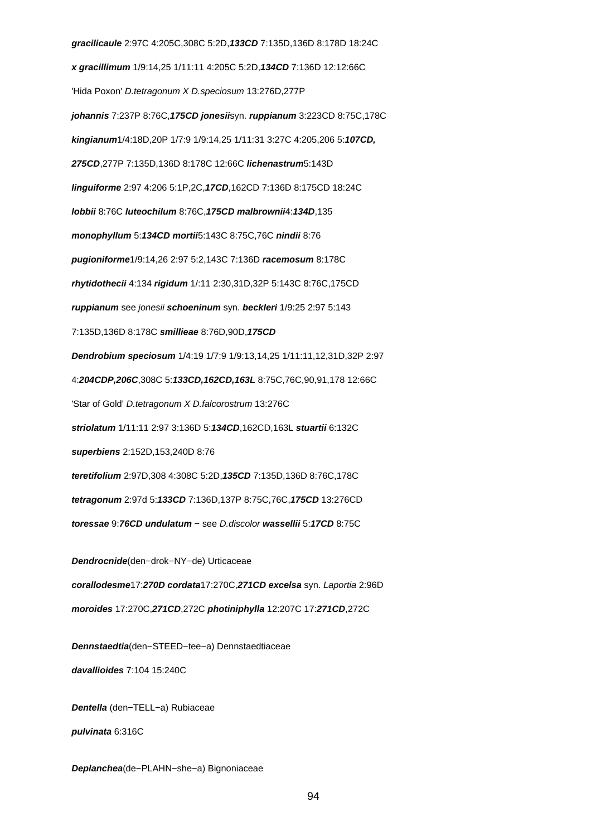**gracilicaule** 2:97C 4:205C,308C 5:2D,**133CD** 7:135D,136D 8:178D 18:24C **x gracillimum** 1/9:14,25 1/11:11 4:205C 5:2D,**134CD** 7:136D 12:12:66C 'Hida Poxon' D.tetragonum X D.speciosum 13:276D,277P **johannis** 7:237P 8:76C,**175CD jonesii**syn. **ruppianum** 3:223CD 8:75C,178C **kingianum**1/4:18D,20P 1/7:9 1/9:14,25 1/11:31 3:27C 4:205,206 5:**107CD, 275CD**,277P 7:135D,136D 8:178C 12:66C **lichenastrum**5:143D **linguiforme** 2:97 4:206 5:1P,2C,**17CD**,162CD 7:136D 8:175CD 18:24C **lobbii** 8:76C **luteochilum** 8:76C,**175CD malbrownii**4:**134D**,135 **monophyllum** 5:**134CD mortii**5:143C 8:75C,76C **nindii** 8:76 **pugioniforme**1/9:14,26 2:97 5:2,143C 7:136D **racemosum** 8:178C **rhytidothecii** 4:134 **rigidum** 1/:11 2:30,31D,32P 5:143C 8:76C,175CD **ruppianum** see jonesii **schoeninum** syn. **beckleri** 1/9:25 2:97 5:143 7:135D,136D 8:178C **smillieae** 8:76D,90D,**175CD Dendrobium speciosum** 1/4:19 1/7:9 1/9:13,14,25 1/11:11,12,31D,32P 2:97 4:**204CDP,206C**,308C 5:**133CD,162CD,163L** 8:75C,76C,90,91,178 12:66C 'Star of Gold' D.tetragonum X D.falcorostrum 13:276C **striolatum** 1/11:11 2:97 3:136D 5:**134CD**,162CD,163L **stuartii** 6:132C **superbiens** 2:152D,153,240D 8:76 **teretifolium** 2:97D,308 4:308C 5:2D,**135CD** 7:135D,136D 8:76C,178C **tetragonum** 2:97d 5:**133CD** 7:136D,137P 8:75C,76C,**175CD** 13:276CD **toressae** 9:**76CD undulatum** − see D.discolor **wassellii** 5:**17CD** 8:75C

**Dendrocnide**(den−drok−NY−de) Urticaceae **corallodesme**17:**270D cordata**17:270C,**271CD excelsa** syn. Laportia 2:96D **moroides** 17:270C,**271CD**,272C **photiniphylla** 12:207C 17:**271CD**,272C

**Dennstaedtia**(den−STEED−tee−a) Dennstaedtiaceae **davallioides** 7:104 15:240C

**Dentella** (den−TELL−a) Rubiaceae **pulvinata** 6:316C

**Deplanchea**(de−PLAHN−she−a) Bignoniaceae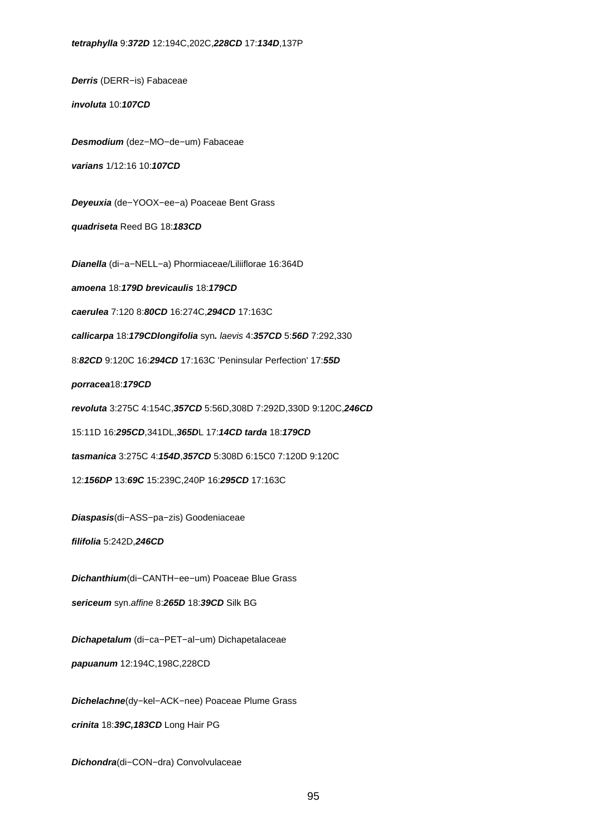**Derris** (DERR−is) Fabaceae

**involuta** 10:**107CD**

**Desmodium** (dez−MO−de−um) Fabaceae

**varians** 1/12:16 10:**107CD**

**Deyeuxia** (de−YOOX−ee−a) Poaceae Bent Grass

**quadriseta** Reed BG 18:**183CD**

**Dianella** (di−a−NELL−a) Phormiaceae/Liliiflorae 16:364D

**amoena** 18:**179D brevicaulis** 18:**179CD**

**caerulea** 7:120 8:**80CD** 16:274C,**294CD** 17:163C

**callicarpa** 18:**179CDlongifolia** syn**.** laevis 4:**357CD** 5:**56D** 7:292,330

8:**82CD** 9:120C 16:**294CD** 17:163C 'Peninsular Perfection' 17:**55D**

**porracea**18:**179CD**

**revoluta** 3:275C 4:154C,**357CD** 5:56D,308D 7:292D,330D 9:120C,**246CD**

15:11D 16:**295CD**,341DL,**365D**L 17:**14CD tarda** 18:**179CD**

**tasmanica** 3:275C 4:**154D**,**357CD** 5:308D 6:15C0 7:120D 9:120C

12:**156DP** 13:**69C** 15:239C,240P 16:**295CD** 17:163C

**Diaspasis**(di−ASS−pa−zis) Goodeniaceae

**filifolia** 5:242D,**246CD**

**Dichanthium**(di−CANTH−ee−um) Poaceae Blue Grass

**sericeum** syn.affine 8:**265D** 18:**39CD** Silk BG

**Dichapetalum** (di−ca−PET−al−um) Dichapetalaceae

**papuanum** 12:194C,198C,228CD

**Dichelachne**(dy−kel−ACK−nee) Poaceae Plume Grass

**crinita** 18:**39C,183CD** Long Hair PG

**Dichondra**(di−CON−dra) Convolvulaceae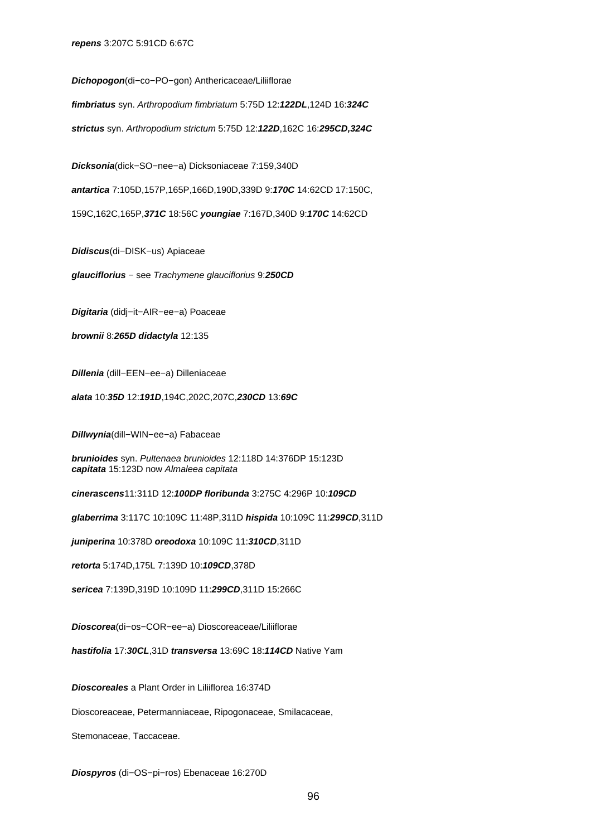**Dichopogon**(di−co−PO−gon) Anthericaceae/Liliiflorae

**fimbriatus** syn. Arthropodium fimbriatum 5:75D 12:**122DL**,124D 16:**324C**

**strictus** syn. Arthropodium strictum 5:75D 12:**122D**,162C 16:**295CD,324C**

**Dicksonia**(dick−SO−nee−a) Dicksoniaceae 7:159,340D

**antartica** 7:105D,157P,165P,166D,190D,339D 9:**170C** 14:62CD 17:150C,

159C,162C,165P,**371C** 18:56C **youngiae** 7:167D,340D 9:**170C** 14:62CD

**Didiscus**(di−DISK−us) Apiaceae

**glauciflorius** − see Trachymene glauciflorius 9:**250CD**

**Digitaria** (didj−it−AIR−ee−a) Poaceae

**brownii** 8:**265D didactyla** 12:135

**Dillenia** (dill−EEN−ee−a) Dilleniaceae

**alata** 10:**35D** 12:**191D**,194C,202C,207C,**230CD** 13:**69C**

**Dillwynia**(dill−WIN−ee−a) Fabaceae

**brunioides** syn. Pultenaea brunioides 12:118D 14:376DP 15:123D **capitata** 15:123D now Almaleea capitata

**cinerascens**11:311D 12:**100DP floribunda** 3:275C 4:296P 10:**109CD**

**glaberrima** 3:117C 10:109C 11:48P,311D **hispida** 10:109C 11:**299CD**,311D

**juniperina** 10:378D **oreodoxa** 10:109C 11:**310CD**,311D

**retorta** 5:174D,175L 7:139D 10:**109CD**,378D

**sericea** 7:139D,319D 10:109D 11:**299CD**,311D 15:266C

**Dioscorea**(di−os−COR−ee−a) Dioscoreaceae/Liliiflorae

**hastifolia** 17:**30CL**,31D **transversa** 13:69C 18:**114CD** Native Yam

**Dioscoreales** a Plant Order in Liliiflorea 16:374D

Dioscoreaceae, Petermanniaceae, Ripogonaceae, Smilacaceae,

Stemonaceae, Taccaceae.

**Diospyros** (di−OS−pi−ros) Ebenaceae 16:270D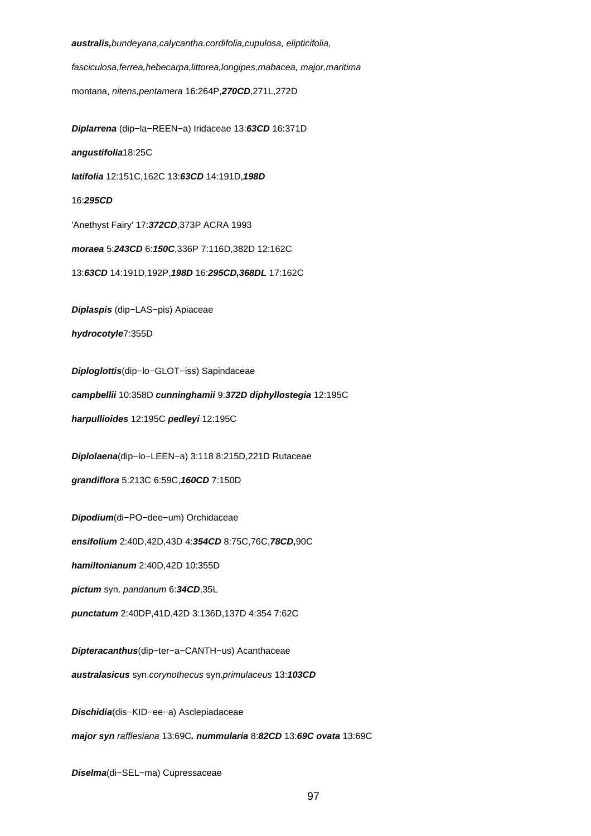**australis,**bundeyana,calycantha.cordifolia,cupulosa, elipticifolia,

fasciculosa,ferrea,hebecarpa,littorea,longipes,mabacea, major,maritima

montana, nitens,pentamera 16:264P,**270CD**,271L,272D

**Diplarrena** (dip−la−REEN−a) Iridaceae 13:**63CD** 16:371D **angustifolia**18:25C **latifolia** 12:151C,162C 13:**63CD** 14:191D,**198D** 16:**295CD** 'Anethyst Fairy' 17:**372CD**,373P ACRA 1993 **moraea** 5:**243CD** 6:**150C**,336P 7:116D,382D 12:162C 13:**63CD** 14:191D,192P,**198D** 16:**295CD,368DL** 17:162C **Diplaspis** (dip−LAS−pis) Apiaceae **hydrocotyle**7:355D **Diploglottis**(dip−lo−GLOT−iss) Sapindaceae **campbellii** 10:358D **cunninghamii** 9:**372D diphyllostegia** 12:195C **harpullioides** 12:195C **pedleyi** 12:195C **Diplolaena**(dip−lo−LEEN−a) 3:118 8:215D,221D Rutaceae **grandiflora** 5:213C 6:59C,**160CD** 7:150D **Dipodium**(di−PO−dee−um) Orchidaceae **ensifolium** 2:40D,42D,43D 4:**354CD** 8:75C,76C,**78CD,**90C **hamiltonianum** 2:40D,42D 10:355D **pictum** syn. pandanum 6:**34CD**,35L **punctatum** 2:40DP,41D,42D 3:136D,137D 4:354 7:62C **Dipteracanthus**(dip−ter−a−CANTH−us) Acanthaceae **australasicus** syn.corynothecus syn.primulaceus 13:**103CD Dischidia**(dis−KID−ee−a) Asclepiadaceae **major syn** rafflesiana 13:69C**. nummularia** 8:**82CD** 13:**69C ovata** 13:69C

**Diselma**(di−SEL−ma) Cupressaceae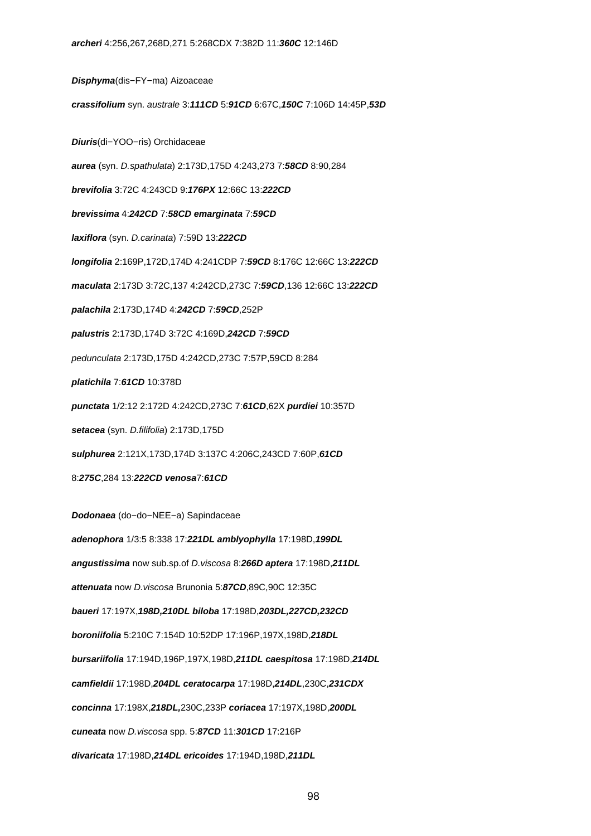**Disphyma**(dis−FY−ma) Aizoaceae

**crassifolium** syn. australe 3:**111CD** 5:**91CD** 6:67C,**150C** 7:106D 14:45P,**53D**

**Diuris**(di−YOO−ris) Orchidaceae

**aurea** (syn. D.spathulata) 2:173D,175D 4:243,273 7:**58CD** 8:90,284

**brevifolia** 3:72C 4:243CD 9:**176PX** 12:66C 13:**222CD**

**brevissima** 4:**242CD** 7:**58CD emarginata** 7:**59CD**

**laxiflora** (syn. D.carinata) 7:59D 13:**222CD**

**longifolia** 2:169P,172D,174D 4:241CDP 7:**59CD** 8:176C 12:66C 13:**222CD**

**maculata** 2:173D 3:72C,137 4:242CD,273C 7:**59CD**,136 12:66C 13:**222CD**

**palachila** 2:173D,174D 4:**242CD** 7:**59CD**,252P

**palustris** 2:173D,174D 3:72C 4:169D,**242CD** 7:**59CD**

pedunculata 2:173D,175D 4:242CD,273C 7:57P,59CD 8:284

**platichila** 7:**61CD** 10:378D

**punctata** 1/2:12 2:172D 4:242CD,273C 7:**61CD**,62X **purdiei** 10:357D

**setacea** (syn. D.filifolia) 2:173D,175D

**sulphurea** 2:121X,173D,174D 3:137C 4:206C,243CD 7:60P,**61CD**

8:**275C**,284 13:**222CD venosa**7:**61CD**

**Dodonaea** (do−do−NEE−a) Sapindaceae

**adenophora** 1/3:5 8:338 17:**221DL amblyophylla** 17:198D,**199DL angustissima** now sub.sp.of D.viscosa 8:**266D aptera** 17:198D,**211DL attenuata** now D.viscosa Brunonia 5:**87CD**,89C,90C 12:35C **baueri** 17:197X,**198D,210DL biloba** 17:198D,**203DL,227CD,232CD boroniifolia** 5:210C 7:154D 10:52DP 17:196P,197X,198D,**218DL bursariifolia** 17:194D,196P,197X,198D,**211DL caespitosa** 17:198D,**214DL camfieldii** 17:198D,**204DL ceratocarpa** 17:198D,**214DL**,230C,**231CDX concinna** 17:198X,**218DL,**230C,233P **coriacea** 17:197X,198D,**200DL cuneata** now D.viscosa spp. 5:**87CD** 11:**301CD** 17:216P **divaricata** 17:198D,**214DL ericoides** 17:194D,198D,**211DL**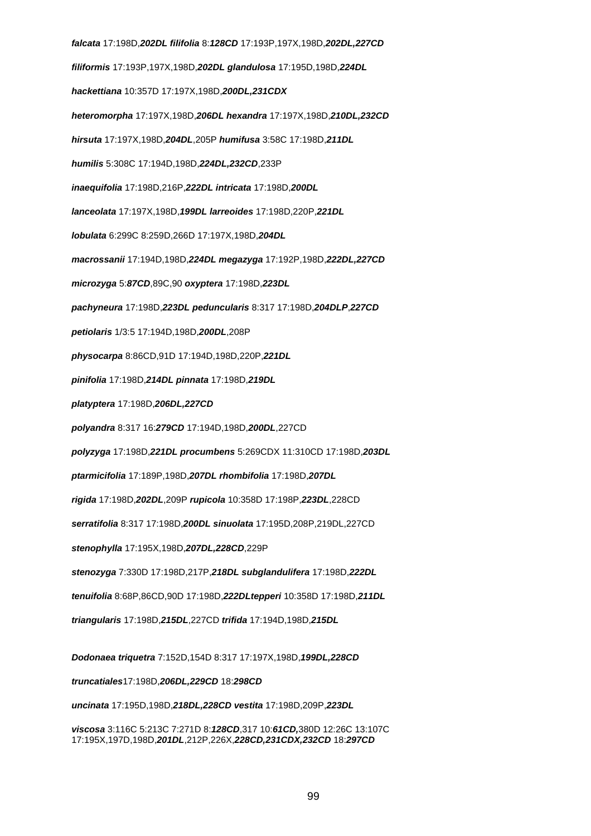**falcata** 17:198D,**202DL filifolia** 8:**128CD** 17:193P,197X,198D,**202DL,227CD filiformis** 17:193P,197X,198D,**202DL glandulosa** 17:195D,198D,**224DL hackettiana** 10:357D 17:197X,198D,**200DL,231CDX heteromorpha** 17:197X,198D,**206DL hexandra** 17:197X,198D,**210DL,232CD hirsuta** 17:197X,198D,**204DL**,205P **humifusa** 3:58C 17:198D,**211DL humilis** 5:308C 17:194D,198D,**224DL,232CD**,233P **inaequifolia** 17:198D,216P,**222DL intricata** 17:198D,**200DL lanceolata** 17:197X,198D,**199DL larreoides** 17:198D,220P,**221DL lobulata** 6:299C 8:259D,266D 17:197X,198D,**204DL macrossanii** 17:194D,198D,**224DL megazyga** 17:192P,198D,**222DL,227CD microzyga** 5:**87CD**,89C,90 **oxyptera** 17:198D,**223DL pachyneura** 17:198D,**223DL peduncularis** 8:317 17:198D,**204DLP**,**227CD petiolaris** 1/3:5 17:194D,198D,**200DL**,208P **physocarpa** 8:86CD,91D 17:194D,198D,220P,**221DL pinifolia** 17:198D,**214DL pinnata** 17:198D,**219DL platyptera** 17:198D,**206DL,227CD polyandra** 8:317 16:**279CD** 17:194D,198D,**200DL**,227CD **polyzyga** 17:198D,**221DL procumbens** 5:269CDX 11:310CD 17:198D,**203DL ptarmicifolia** 17:189P,198D,**207DL rhombifolia** 17:198D,**207DL rigida** 17:198D,**202DL**,209P **rupicola** 10:358D 17:198P,**223DL**,228CD **serratifolia** 8:317 17:198D,**200DL sinuolata** 17:195D,208P,219DL,227CD **stenophylla** 17:195X,198D,**207DL,228CD**,229P **stenozyga** 7:330D 17:198D,217P,**218DL subglandulifera** 17:198D,**222DL tenuifolia** 8:68P,86CD,90D 17:198D,**222DLtepperi** 10:358D 17:198D,**211DL triangularis** 17:198D,**215DL**,227CD **trifida** 17:194D,198D,**215DL Dodonaea triquetra** 7:152D,154D 8:317 17:197X,198D,**199DL,228CD**

**truncatiales**17:198D,**206DL,229CD** 18:**298CD**

**uncinata** 17:195D,198D,**218DL,228CD vestita** 17:198D,209P,**223DL**

**viscosa** 3:116C 5:213C 7:271D 8:**128CD**,317 10:**61CD,**380D 12:26C 13:107C 17:195X,197D,198D,**201DL**,212P,226X,**228CD,231CDX,232CD** 18:**297CD**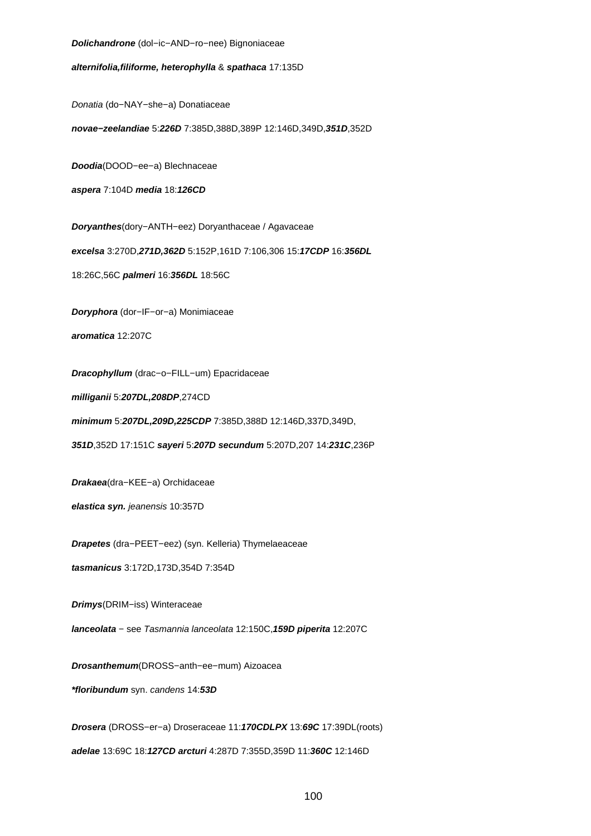**Dolichandrone** (dol−ic−AND−ro−nee) Bignoniaceae

**alternifolia,filiforme, heterophylla** & **spathaca** 17:135D

Donatia (do−NAY−she−a) Donatiaceae

**novae−zeelandiae** 5:**226D** 7:385D,388D,389P 12:146D,349D,**351D**,352D

**Doodia**(DOOD−ee−a) Blechnaceae

**aspera** 7:104D **media** 18:**126CD**

**Doryanthes**(dory−ANTH−eez) Doryanthaceae / Agavaceae

**excelsa** 3:270D,**271D,362D** 5:152P,161D 7:106,306 15:**17CDP** 16:**356DL**

18:26C,56C **palmeri** 16:**356DL** 18:56C

**Doryphora** (dor−IF−or−a) Monimiaceae

**aromatica** 12:207C

**Dracophyllum** (drac−o−FILL−um) Epacridaceae

**milliganii** 5:**207DL,208DP**,274CD

**minimum** 5:**207DL,209D,225CDP** 7:385D,388D 12:146D,337D,349D,

**351D**,352D 17:151C **sayeri** 5:**207D secundum** 5:207D,207 14:**231C**,236P

**Drakaea**(dra−KEE−a) Orchidaceae

**elastica syn.** jeanensis 10:357D

**Drapetes** (dra−PEET−eez) (syn. Kelleria) Thymelaeaceae

**tasmanicus** 3:172D,173D,354D 7:354D

**Drimys**(DRIM−iss) Winteraceae

**lanceolata** − see Tasmannia lanceolata 12:150C,**159D piperita** 12:207C

**Drosanthemum**(DROSS−anth−ee−mum) Aizoacea

**\*floribundum** syn. candens 14:**53D**

**Drosera** (DROSS−er−a) Droseraceae 11:**170CDLPX** 13:**69C** 17:39DL(roots) **adelae** 13:69C 18:**127CD arcturi** 4:287D 7:355D,359D 11:**360C** 12:146D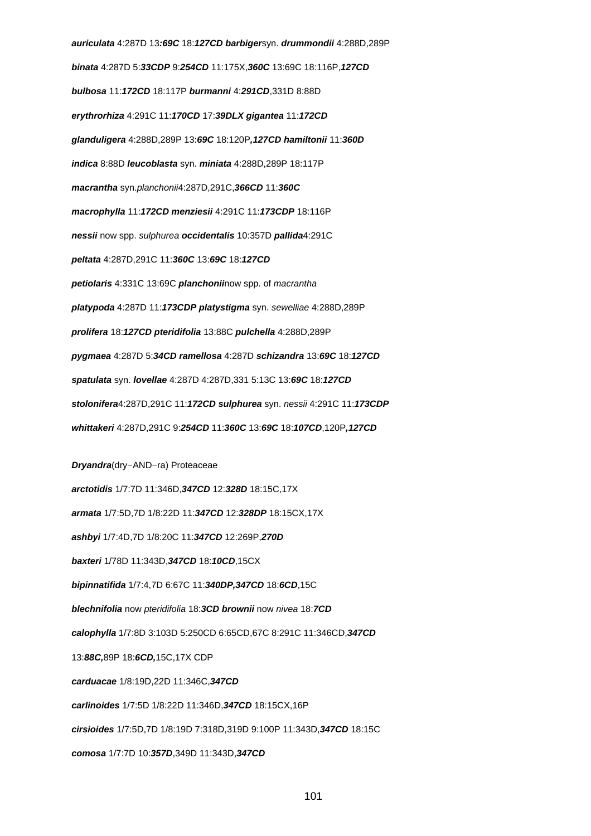**auriculata** 4:287D 13**:69C** 18:**127CD barbiger**syn. **drummondii** 4:288D,289P **binata** 4:287D 5:**33CDP** 9:**254CD** 11:175X,**360C** 13:69C 18:116P,**127CD bulbosa** 11:**172CD** 18:117P **burmanni** 4:**291CD**,331D 8:88D **erythrorhiza** 4:291C 11:**170CD** 17:**39DLX gigantea** 11:**172CD glanduligera** 4:288D,289P 13:**69C** 18:120P**,127CD hamiltonii** 11:**360D indica** 8:88D **leucoblasta** syn. **miniata** 4:288D,289P 18:117P **macrantha** syn.planchonii4:287D,291C,**366CD** 11:**360C macrophylla** 11:**172CD menziesii** 4:291C 11:**173CDP** 18:116P **nessii** now spp. sulphurea **occidentalis** 10:357D **pallida**4:291C **peltata** 4:287D,291C 11:**360C** 13:**69C** 18:**127CD petiolaris** 4:331C 13:69C **planchonii**now spp. of macrantha **platypoda** 4:287D 11:**173CDP platystigma** syn. sewelliae 4:288D,289P **prolifera** 18:**127CD pteridifolia** 13:88C **pulchella** 4:288D,289P **pygmaea** 4:287D 5:**34CD ramellosa** 4:287D **schizandra** 13:**69C** 18:**127CD spatulata** syn. **lovellae** 4:287D 4:287D,331 5:13C 13:**69C** 18:**127CD stolonifera**4:287D,291C 11:**172CD sulphurea** syn. nessii 4:291C 11:**173CDP whittakeri** 4:287D,291C 9:**254CD** 11:**360C** 13:**69C** 18:**107CD**,120P**,127CD Dryandra**(dry−AND−ra) Proteaceae **arctotidis** 1/7:7D 11:346D,**347CD** 12:**328D** 18:15C,17X **armata** 1/7:5D,7D 1/8:22D 11:**347CD** 12:**328DP** 18:15CX,17X **ashbyi** 1/7:4D,7D 1/8:20C 11:**347CD** 12:269P,**270D baxteri** 1/78D 11:343D,**347CD** 18:**10CD**,15CX **bipinnatifida** 1/7:4,7D 6:67C 11:**340DP,347CD** 18:**6CD**,15C **blechnifolia** now pteridifolia 18:**3CD brownii** now nivea 18:**7CD calophylla** 1/7:8D 3:103D 5:250CD 6:65CD,67C 8:291C 11:346CD,**347CD** 13:**88C,**89P 18:**6CD,**15C,17X CDP **carduacae** 1/8:19D,22D 11:346C,**347CD carlinoides** 1/7:5D 1/8:22D 11:346D,**347CD** 18:15CX,16P

**cirsioides** 1/7:5D,7D 1/8:19D 7:318D,319D 9:100P 11:343D,**347CD** 18:15C

**comosa** 1/7:7D 10:**357D**,349D 11:343D,**347CD**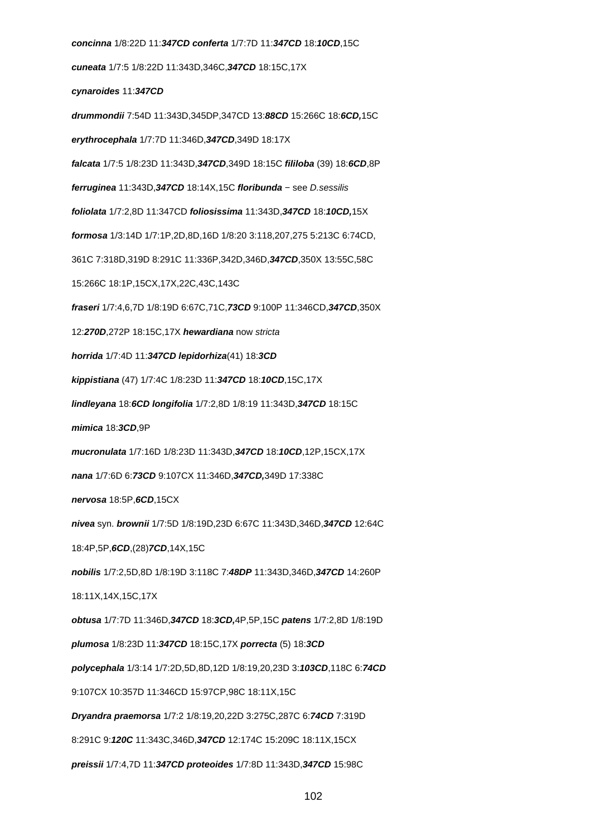**concinna** 1/8:22D 11:**347CD conferta** 1/7:7D 11:**347CD** 18:**10CD**,15C **cuneata** 1/7:5 1/8:22D 11:343D,346C,**347CD** 18:15C,17X **cynaroides** 11:**347CD drummondii** 7:54D 11:343D,345DP,347CD 13:**88CD** 15:266C 18:**6CD,**15C **erythrocephala** 1/7:7D 11:346D,**347CD**,349D 18:17X **falcata** 1/7:5 1/8:23D 11:343D,**347CD**,349D 18:15C **fililoba** (39) 18:**6CD**,8P **ferruginea** 11:343D,**347CD** 18:14X,15C **floribunda** − see D.sessilis **foliolata** 1/7:2,8D 11:347CD **foliosissima** 11:343D,**347CD** 18:**10CD,**15X **formosa** 1/3:14D 1/7:1P,2D,8D,16D 1/8:20 3:118,207,275 5:213C 6:74CD, 361C 7:318D,319D 8:291C 11:336P,342D,346D,**347CD**,350X 13:55C,58C 15:266C 18:1P,15CX,17X,22C,43C,143C **fraseri** 1/7:4,6,7D 1/8:19D 6:67C,71C,**73CD** 9:100P 11:346CD,**347CD**,350X 12:**270D**,272P 18:15C,17X **hewardiana** now stricta **horrida** 1/7:4D 11:**347CD lepidorhiza**(41) 18:**3CD kippistiana** (47) 1/7:4C 1/8:23D 11:**347CD** 18:**10CD**,15C,17X **lindleyana** 18:**6CD longifolia** 1/7:2,8D 1/8:19 11:343D,**347CD** 18:15C **mimica** 18:**3CD**,9P **mucronulata** 1/7:16D 1/8:23D 11:343D,**347CD** 18:**10CD**,12P,15CX,17X **nana** 1/7:6D 6:**73CD** 9:107CX 11:346D,**347CD,**349D 17:338C **nervosa** 18:5P,**6CD**,15CX **nivea** syn. **brownii** 1/7:5D 1/8:19D,23D 6:67C 11:343D,346D,**347CD** 12:64C 18:4P,5P,**6CD**,(28)**7CD**,14X,15C **nobilis** 1/7:2,5D,8D 1/8:19D 3:118C 7:**48DP** 11:343D,346D,**347CD** 14:260P 18:11X,14X,15C,17X **obtusa** 1/7:7D 11:346D,**347CD** 18:**3CD,**4P,5P,15C **patens** 1/7:2,8D 1/8:19D **plumosa** 1/8:23D 11:**347CD** 18:15C,17X **porrecta** (5) 18:**3CD polycephala** 1/3:14 1/7:2D,5D,8D,12D 1/8:19,20,23D 3:**103CD**,118C 6:**74CD** 9:107CX 10:357D 11:346CD 15:97CP,98C 18:11X,15C **Dryandra praemorsa** 1/7:2 1/8:19,20,22D 3:275C,287C 6:**74CD** 7:319D 8:291C 9:**120C** 11:343C,346D,**347CD** 12:174C 15:209C 18:11X,15CX **preissii** 1/7:4,7D 11:**347CD proteoides** 1/7:8D 11:343D,**347CD** 15:98C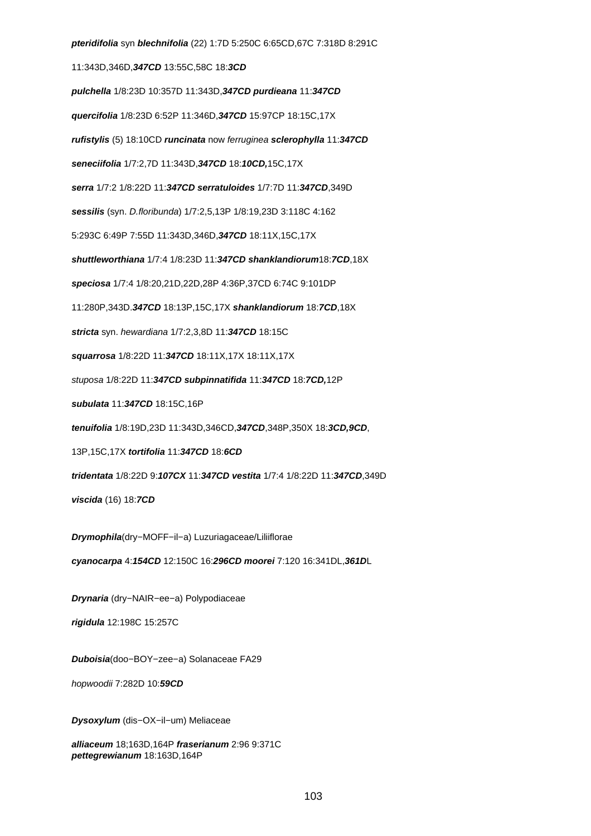**pteridifolia** syn **blechnifolia** (22) 1:7D 5:250C 6:65CD,67C 7:318D 8:291C 11:343D,346D,**347CD** 13:55C,58C 18:**3CD pulchella** 1/8:23D 10:357D 11:343D,**347CD purdieana** 11:**347CD quercifolia** 1/8:23D 6:52P 11:346D,**347CD** 15:97CP 18:15C,17X **rufistylis** (5) 18:10CD **runcinata** now ferruginea **sclerophylla** 11:**347CD seneciifolia** 1/7:2,7D 11:343D,**347CD** 18:**10CD,**15C,17X **serra** 1/7:2 1/8:22D 11:**347CD serratuloides** 1/7:7D 11:**347CD**,349D **sessilis** (syn. D.floribunda) 1/7:2,5,13P 1/8:19,23D 3:118C 4:162 5:293C 6:49P 7:55D 11:343D,346D,**347CD** 18:11X,15C,17X **shuttleworthiana** 1/7:4 1/8:23D 11:**347CD shanklandiorum**18:**7CD**,18X **speciosa** 1/7:4 1/8:20,21D,22D,28P 4:36P,37CD 6:74C 9:101DP 11:280P,343D.**347CD** 18:13P,15C,17X **shanklandiorum** 18:**7CD**,18X **stricta** syn. hewardiana 1/7:2,3,8D 11:**347CD** 18:15C **squarrosa** 1/8:22D 11:**347CD** 18:11X,17X 18:11X,17X stuposa 1/8:22D 11:**347CD subpinnatifida** 11:**347CD** 18:**7CD,**12P **subulata** 11:**347CD** 18:15C,16P **tenuifolia** 1/8:19D,23D 11:343D,346CD,**347CD**,348P,350X 18:**3CD,9CD**, 13P,15C,17X **tortifolia** 11:**347CD** 18:**6CD tridentata** 1/8:22D 9:**107CX** 11:**347CD vestita** 1/7:4 1/8:22D 11:**347CD**,349D **viscida** (16) 18:**7CD Drymophila**(dry−MOFF−il−a) Luzuriagaceae/Liliiflorae **cyanocarpa** 4:**154CD** 12:150C 16:**296CD moorei** 7:120 16:341DL,**361D**L

**Drynaria** (dry−NAIR−ee−a) Polypodiaceae

**rigidula** 12:198C 15:257C

**Duboisia**(doo−BOY−zee−a) Solanaceae FA29

hopwoodii 7:282D 10:**59CD**

**Dysoxylum** (dis−OX−il−um) Meliaceae

**alliaceum** 18;163D,164P **fraserianum** 2:96 9:371C **pettegrewianum** 18:163D,164P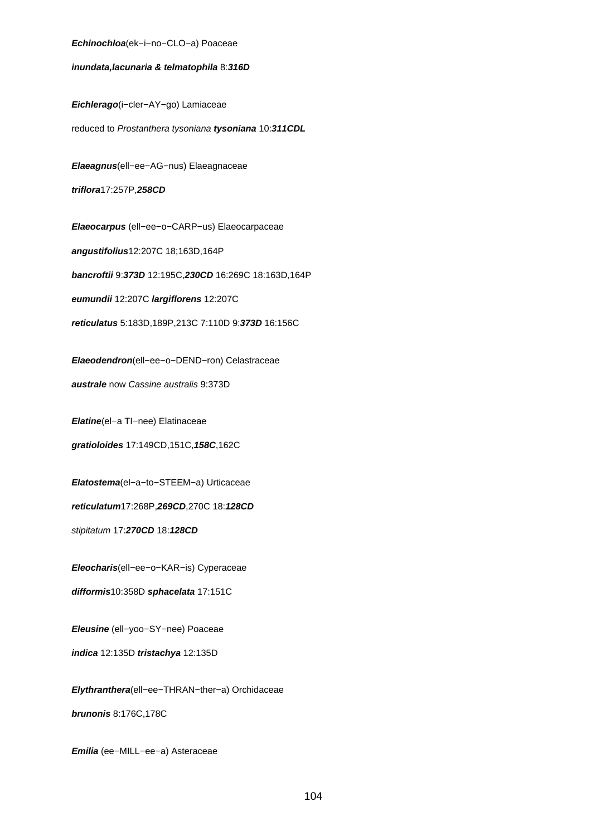#### **Echinochloa**(ek−i−no−CLO−a) Poaceae

## **inundata,lacunaria & telmatophila** 8:**316D**

**Eichlerago**(i−cler−AY−go) Lamiaceae

reduced to Prostanthera tysoniana **tysoniana** 10:**311CDL**

**Elaeagnus**(ell−ee−AG−nus) Elaeagnaceae **triflora**17:257P,**258CD**

**Elaeocarpus** (ell−ee−o−CARP−us) Elaeocarpaceae **angustifolius**12:207C 18;163D,164P **bancroftii** 9:**373D** 12:195C,**230CD** 16:269C 18:163D,164P **eumundii** 12:207C **largiflorens** 12:207C **reticulatus** 5:183D,189P,213C 7:110D 9:**373D** 16:156C

**Elaeodendron**(ell−ee−o−DEND−ron) Celastraceae **australe** now Cassine australis 9:373D

**Elatine**(el−a TI−nee) Elatinaceae

**gratioloides** 17:149CD,151C,**158C**,162C

**Elatostema**(el−a−to−STEEM−a) Urticaceae

**reticulatum**17:268P,**269CD**,270C 18:**128CD**

stipitatum 17:**270CD** 18:**128CD**

**Eleocharis**(ell−ee−o−KAR−is) Cyperaceae **difformis**10:358D **sphacelata** 17:151C

**Eleusine** (ell−yoo−SY−nee) Poaceae

**indica** 12:135D **tristachya** 12:135D

**Elythranthera**(ell−ee−THRAN−ther−a) Orchidaceae **brunonis** 8:176C,178C

**Emilia** (ee−MILL−ee−a) Asteraceae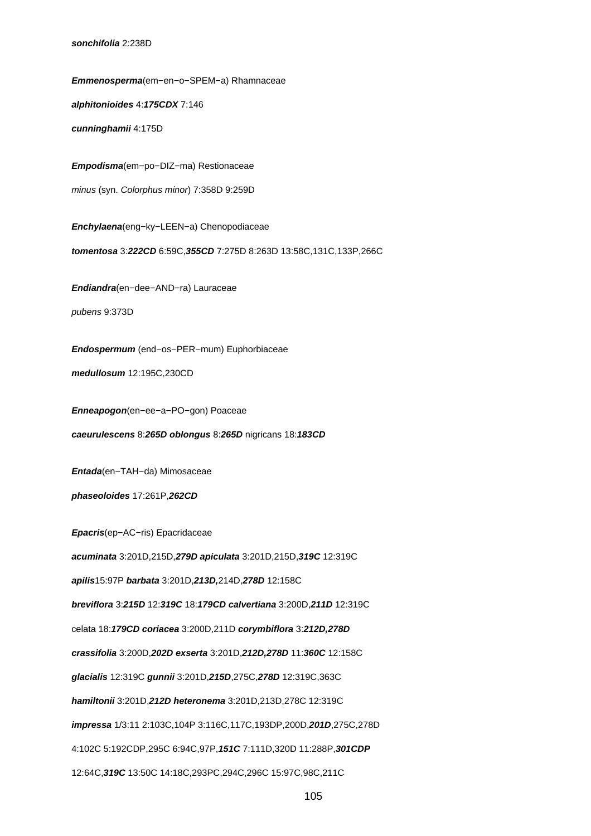**Emmenosperma**(em−en−o−SPEM−a) Rhamnaceae **alphitonioides** 4:**175CDX** 7:146 **cunninghamii** 4:175D **Empodisma**(em−po−DIZ−ma) Restionaceae minus (syn. Colorphus minor) 7:358D 9:259D **Enchylaena**(eng−ky−LEEN−a) Chenopodiaceae **tomentosa** 3:**222CD** 6:59C,**355CD** 7:275D 8:263D 13:58C,131C,133P,266C **Endiandra**(en−dee−AND−ra) Lauraceae pubens 9:373D **Endospermum** (end−os−PER−mum) Euphorbiaceae **medullosum** 12:195C,230CD **Enneapogon**(en−ee−a−PO−gon) Poaceae **caeurulescens** 8:**265D oblongus** 8:**265D** nigricans 18:**183CD Entada**(en−TAH−da) Mimosaceae **phaseoloides** 17:261P,**262CD Epacris**(ep−AC−ris) Epacridaceae **acuminata** 3:201D,215D,**279D apiculata** 3:201D,215D,**319C** 12:319C **apilis**15:97P **barbata** 3:201D,**213D,**214D,**278D** 12:158C **breviflora** 3:**215D** 12:**319C** 18:**179CD calvertiana** 3:200D,**211D** 12:319C celata 18:**179CD coriacea** 3:200D,211D **corymbiflora** 3:**212D,278D crassifolia** 3:200D,**202D exserta** 3:201D,**212D,278D** 11:**360C** 12:158C **glacialis** 12:319C **gunnii** 3:201D,**215D**,275C,**278D** 12:319C,363C **hamiltonii** 3:201D,**212D heteronema** 3:201D,213D,278C 12:319C **impressa** 1/3:11 2:103C,104P 3:116C,117C,193DP,200D,**201D**,275C,278D 4:102C 5:192CDP,295C 6:94C,97P,**151C** 7:111D,320D 11:288P,**301CDP** 12:64C,**319C** 13:50C 14:18C,293PC,294C,296C 15:97C,98C,211C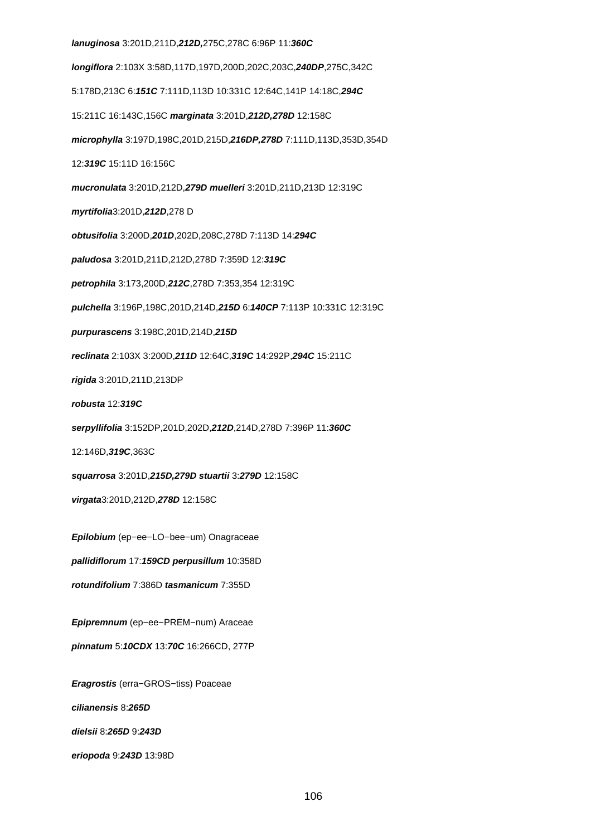#### **lanuginosa** 3:201D,211D,**212D,**275C,278C 6:96P 11:**360C**

**longiflora** 2:103X 3:58D,117D,197D,200D,202C,203C,**240DP**,275C,342C

5:178D,213C 6:**151C** 7:111D,113D 10:331C 12:64C,141P 14:18C,**294C**

15:211C 16:143C,156C **marginata** 3:201D,**212D,278D** 12:158C

**microphylla** 3:197D,198C,201D,215D,**216DP,278D** 7:111D,113D,353D,354D

12:**319C** 15:11D 16:156C

**mucronulata** 3:201D,212D,**279D muelleri** 3:201D,211D,213D 12:319C

**myrtifolia**3:201D,**212D**,278 D

**obtusifolia** 3:200D,**201D**,202D,208C,278D 7:113D 14:**294C**

**paludosa** 3:201D,211D,212D,278D 7:359D 12:**319C**

**petrophila** 3:173,200D,**212C**,278D 7:353,354 12:319C

**pulchella** 3:196P,198C,201D,214D,**215D** 6:**140CP** 7:113P 10:331C 12:319C

**purpurascens** 3:198C,201D,214D,**215D**

**reclinata** 2:103X 3:200D,**211D** 12:64C,**319C** 14:292P,**294C** 15:211C

**rigida** 3:201D,211D,213DP

**robusta** 12:**319C**

**serpyllifolia** 3:152DP,201D,202D,**212D**,214D,278D 7:396P 11:**360C**

12:146D,**319C**,363C

**squarrosa** 3:201D,**215D,279D stuartii** 3:**279D** 12:158C

**virgata**3:201D,212D,**278D** 12:158C

**Epilobium** (ep−ee−LO−bee−um) Onagraceae

**pallidiflorum** 17:**159CD perpusillum** 10:358D

**rotundifolium** 7:386D **tasmanicum** 7:355D

**Epipremnum** (ep−ee−PREM−num) Araceae

**pinnatum** 5:**10CDX** 13:**70C** 16:266CD, 277P

**Eragrostis** (erra−GROS−tiss) Poaceae

**cilianensis** 8:**265D**

**dielsii** 8:**265D** 9:**243D**

**eriopoda** 9:**243D** 13:98D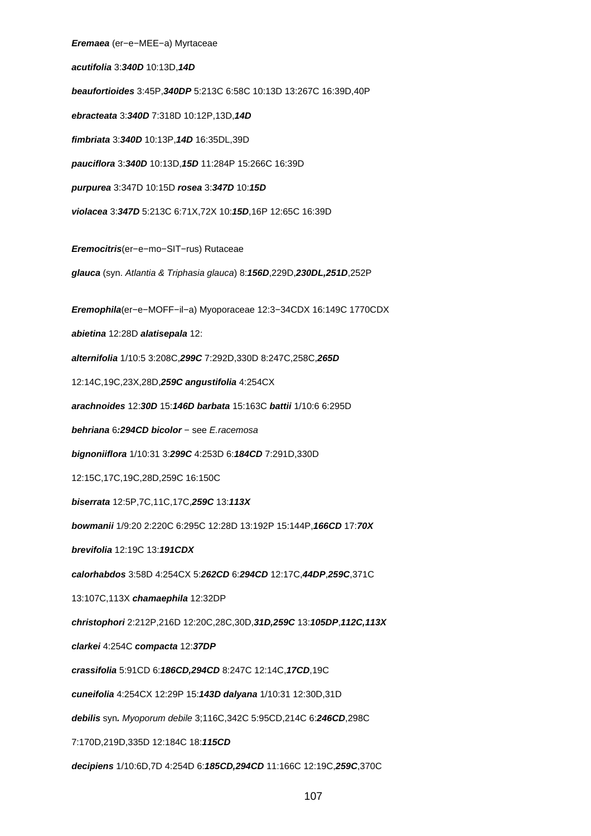**Eremaea** (er−e−MEE−a) Myrtaceae **acutifolia** 3:**340D** 10:13D,**14D beaufortioides** 3:45P,**340DP** 5:213C 6:58C 10:13D 13:267C 16:39D,40P **ebracteata** 3:**340D** 7:318D 10:12P,13D,**14D fimbriata** 3:**340D** 10:13P,**14D** 16:35DL,39D **pauciflora** 3:**340D** 10:13D,**15D** 11:284P 15:266C 16:39D **purpurea** 3:347D 10:15D **rosea** 3:**347D** 10:**15D violacea** 3:**347D** 5:213C 6:71X,72X 10:**15D**,16P 12:65C 16:39D **Eremocitris**(er−e−mo−SIT−rus) Rutaceae **glauca** (syn. Atlantia & Triphasia glauca) 8:**156D**,229D,**230DL,251D**,252P **Eremophila**(er−e−MOFF−il−a) Myoporaceae 12:3−34CDX 16:149C 1770CDX **abietina** 12:28D **alatisepala** 12: **alternifolia** 1/10:5 3:208C,**299C** 7:292D,330D 8:247C,258C,**265D** 12:14C,19C,23X,28D,**259C angustifolia** 4:254CX **arachnoides** 12:**30D** 15:**146D barbata** 15:163C **battii** 1/10:6 6:295D **behriana** 6**:294CD bicolor** − see E.racemosa **bignoniiflora** 1/10:31 3:**299C** 4:253D 6:**184CD** 7:291D,330D 12:15C,17C,19C,28D,259C 16:150C **biserrata** 12:5P,7C,11C,17C,**259C** 13:**113X bowmanii** 1/9:20 2:220C 6:295C 12:28D 13:192P 15:144P,**166CD** 17:**70X brevifolia** 12:19C 13:**191CDX calorhabdos** 3:58D 4:254CX 5:**262CD** 6:**294CD** 12:17C,**44DP**,**259C**,371C 13:107C,113X **chamaephila** 12:32DP **christophori** 2:212P,216D 12:20C,28C,30D,**31D,259C** 13:**105DP**,**112C,113X clarkei** 4:254C **compacta** 12:**37DP crassifolia** 5:91CD 6:**186CD,294CD** 8:247C 12:14C,**17CD**,19C **cuneifolia** 4:254CX 12:29P 15:**143D dalyana** 1/10:31 12:30D,31D **debilis** syn**.** Myoporum debile 3;116C,342C 5:95CD,214C 6:**246CD**,298C 7:170D,219D,335D 12:184C 18:**115CD decipiens** 1/10:6D,7D 4:254D 6:**185CD,294CD** 11:166C 12:19C,**259C**,370C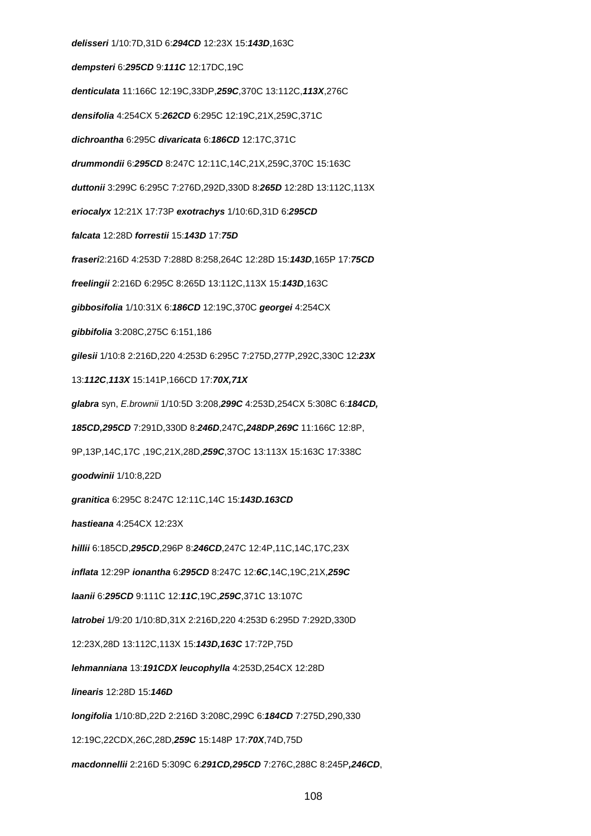**delisseri** 1/10:7D,31D 6:**294CD** 12:23X 15:**143D**,163C **dempsteri** 6:**295CD** 9:**111C** 12:17DC,19C **denticulata** 11:166C 12:19C,33DP,**259C**,370C 13:112C,**113X**,276C **densifolia** 4:254CX 5:**262CD** 6:295C 12:19C,21X,259C,371C **dichroantha** 6:295C **divaricata** 6:**186CD** 12:17C,371C **drummondii** 6:**295CD** 8:247C 12:11C,14C,21X,259C,370C 15:163C **duttonii** 3:299C 6:295C 7:276D,292D,330D 8:**265D** 12:28D 13:112C,113X **eriocalyx** 12:21X 17:73P **exotrachys** 1/10:6D,31D 6:**295CD falcata** 12:28D **forrestii** 15:**143D** 17:**75D fraseri**2:216D 4:253D 7:288D 8:258,264C 12:28D 15:**143D**,165P 17:**75CD freelingii** 2:216D 6:295C 8:265D 13:112C,113X 15:**143D**,163C **gibbosifolia** 1/10:31X 6:**186CD** 12:19C,370C **georgei** 4:254CX **gibbifolia** 3:208C,275C 6:151,186 **gilesii** 1/10:8 2:216D,220 4:253D 6:295C 7:275D,277P,292C,330C 12:**23X** 13:**112C**,**113X** 15:141P,166CD 17:**70X,71X glabra** syn, E.brownii 1/10:5D 3:208,**299C** 4:253D,254CX 5:308C 6:**184CD, 185CD,295CD** 7:291D,330D 8:**246D**,247C**,248DP**,**269C** 11:166C 12:8P, 9P,13P,14C,17C ,19C,21X,28D,**259C**,37OC 13:113X 15:163C 17:338C **goodwinii** 1/10:8,22D **granitica** 6:295C 8:247C 12:11C,14C 15:**143D.163CD hastieana** 4:254CX 12:23X **hillii** 6:185CD,**295CD**,296P 8:**246CD**,247C 12:4P,11C,14C,17C,23X **inflata** 12:29P **ionantha** 6:**295CD** 8:247C 12:**6C**,14C,19C,21X,**259C laanii** 6:**295CD** 9:111C 12:**11C**,19C,**259C**,371C 13:107C **latrobei** 1/9:20 1/10:8D,31X 2:216D,220 4:253D 6:295D 7:292D,330D 12:23X,28D 13:112C,113X 15:**143D,163C** 17:72P,75D **lehmanniana** 13:**191CDX leucophylla** 4:253D,254CX 12:28D **linearis** 12:28D 15:**146D longifolia** 1/10:8D,22D 2:216D 3:208C,299C 6:**184CD** 7:275D,290,330 12:19C,22CDX,26C,28D,**259C** 15:148P 17:**70X**,74D,75D **macdonnellii** 2:216D 5:309C 6:**291CD,295CD** 7:276C,288C 8:245P**,246CD**,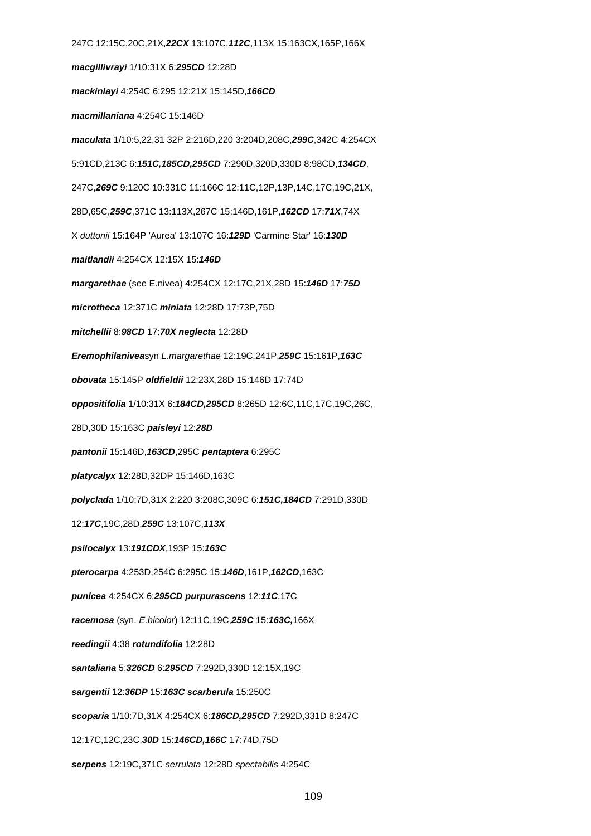247C 12:15C,20C,21X,**22CX** 13:107C,**112C**,113X 15:163CX,165P,166X **macgillivrayi** 1/10:31X 6:**295CD** 12:28D **mackinlayi** 4:254C 6:295 12:21X 15:145D,**166CD macmillaniana** 4:254C 15:146D **maculata** 1/10:5,22,31 32P 2:216D,220 3:204D,208C,**299C**,342C 4:254CX 5:91CD,213C 6:**151C,185CD,295CD** 7:290D,320D,330D 8:98CD,**134CD**, 247C,**269C** 9:120C 10:331C 11:166C 12:11C,12P,13P,14C,17C,19C,21X, 28D,65C,**259C**,371C 13:113X,267C 15:146D,161P,**162CD** 17:**71X**,74X X duttonii 15:164P 'Aurea' 13:107C 16:**129D** 'Carmine Star' 16:**130D maitlandii** 4:254CX 12:15X 15:**146D margarethae** (see E.nivea) 4:254CX 12:17C,21X,28D 15:**146D** 17:**75D microtheca** 12:371C **miniata** 12:28D 17:73P,75D **mitchellii** 8:**98CD** 17:**70X neglecta** 12:28D **Eremophilanivea**syn L.margarethae 12:19C,241P,**259C** 15:161P,**163C obovata** 15:145P **oldfieldii** 12:23X,28D 15:146D 17:74D **oppositifolia** 1/10:31X 6:**184CD,295CD** 8:265D 12:6C,11C,17C,19C,26C, 28D,30D 15:163C **paisleyi** 12:**28D pantonii** 15:146D,**163CD**,295C **pentaptera** 6:295C **platycalyx** 12:28D,32DP 15:146D,163C **polyclada** 1/10:7D,31X 2:220 3:208C,309C 6:**151C,184CD** 7:291D,330D 12:**17C**,19C,28D,**259C** 13:107C,**113X psilocalyx** 13:**191CDX**,193P 15:**163C pterocarpa** 4:253D,254C 6:295C 15:**146D**,161P,**162CD**,163C **punicea** 4:254CX 6:**295CD purpurascens** 12:**11C**,17C **racemosa** (syn. E.bicolor) 12:11C,19C,**259C** 15:**163C,**166X **reedingii** 4:38 **rotundifolia** 12:28D **santaliana** 5:**326CD** 6:**295CD** 7:292D,330D 12:15X,19C **sargentii** 12:**36DP** 15:**163C scarberula** 15:250C **scoparia** 1/10:7D,31X 4:254CX 6:**186CD,295CD** 7:292D,331D 8:247C 12:17C,12C,23C,**30D** 15:**146CD,166C** 17:74D,75D **serpens** 12:19C,371C serrulata 12:28D spectabilis 4:254C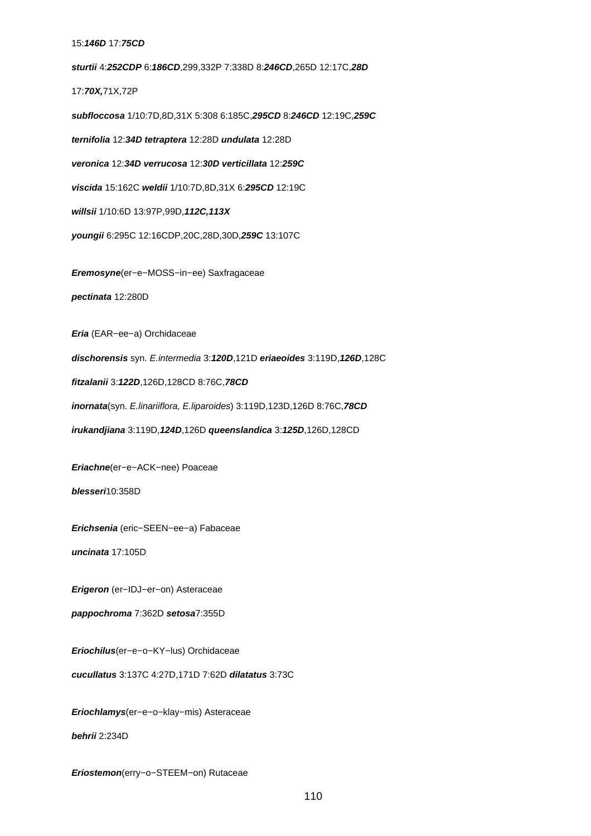#### 15:**146D** 17:**75CD**

**sturtii** 4:**252CDP** 6:**186CD**,299,332P 7:338D 8:**246CD**,265D 12:17C,**28D** 17:**70X,**71X,72P **subfloccosa** 1/10:7D,8D,31X 5:308 6:185C,**295CD** 8:**246CD** 12:19C,**259C ternifolia** 12:**34D tetraptera** 12:28D **undulata** 12:28D **veronica** 12:**34D verrucosa** 12:**30D verticillata** 12:**259C viscida** 15:162C **weldii** 1/10:7D,8D,31X 6:**295CD** 12:19C **willsii** 1/10:6D 13:97P,99D,**112C,113X youngii** 6:295C 12:16CDP,20C,28D,30D,**259C** 13:107C

**Eremosyne**(er−e−MOSS−in−ee) Saxfragaceae

**pectinata** 12:280D

**Eria** (EAR−ee−a) Orchidaceae

**dischorensis** syn. E.intermedia 3:**120D**,121D **eriaeoides** 3:119D,**126D**,128C

**fitzalanii** 3:**122D**,126D,128CD 8:76C,**78CD**

**inornata**(syn. E.linariiflora, E.liparoides) 3:119D,123D,126D 8:76C,**78CD**

**irukandjiana** 3:119D,**124D**,126D **queenslandica** 3:**125D**,126D,128CD

**Eriachne**(er−e−ACK−nee) Poaceae

**blesseri**10:358D

**Erichsenia** (eric−SEEN−ee−a) Fabaceae

**uncinata** 17:105D

**Erigeron** (er−IDJ−er−on) Asteraceae

**pappochroma** 7:362D **setosa**7:355D

**Eriochilus**(er−e−o−KY−lus) Orchidaceae

**cucullatus** 3:137C 4:27D,171D 7:62D **dilatatus** 3:73C

**Eriochlamys**(er−e−o−klay−mis) Asteraceae

**behrii** 2:234D

**Eriostemon**(erry−o−STEEM−on) Rutaceae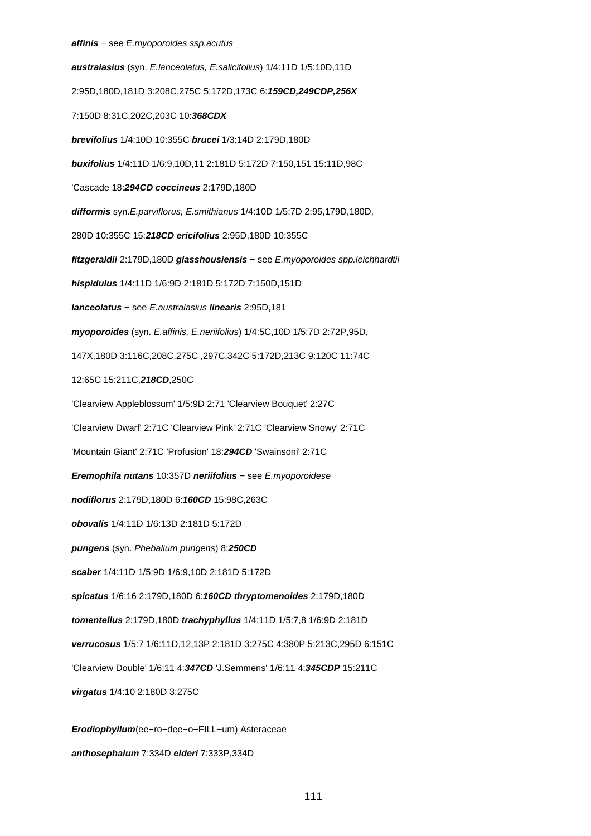# **affinis** − see E.myoporoides ssp.acutus

**australasius** (syn. E.lanceolatus, E.salicifolius) 1/4:11D 1/5:10D,11D 2:95D,180D,181D 3:208C,275C 5:172D,173C 6:**159CD,249CDP,256X** 7:150D 8:31C,202C,203C 10:**368CDX brevifolius** 1/4:10D 10:355C **brucei** 1/3:14D 2:179D,180D **buxifolius** 1/4:11D 1/6:9,10D,11 2:181D 5:172D 7:150,151 15:11D,98C 'Cascade 18:**294CD coccineus** 2:179D,180D **difformis** syn.E.parviflorus, E.smithianus 1/4:10D 1/5:7D 2:95,179D,180D, 280D 10:355C 15:**218CD ericifolius** 2:95D,180D 10:355C **fitzgeraldii** 2:179D,180D **glasshousiensis** − see E.myoporoides spp.leichhardtii **hispidulus** 1/4:11D 1/6:9D 2:181D 5:172D 7:150D,151D **lanceolatus** − see E.australasius **linearis** 2:95D,181 **myoporoides** (syn. E.affinis, E.neriifolius) 1/4:5C,10D 1/5:7D 2:72P,95D, 147X,180D 3:116C,208C,275C ,297C,342C 5:172D,213C 9:120C 11:74C 12:65C 15:211C,**218CD**,250C 'Clearview Appleblossum' 1/5:9D 2:71 'Clearview Bouquet' 2:27C 'Clearview Dwarf' 2:71C 'Clearview Pink' 2:71C 'Clearview Snowy' 2:71C 'Mountain Giant' 2:71C 'Profusion' 18:**294CD** 'Swainsoni' 2:71C **Eremophila nutans** 10:357D **neriifolius** − see E.myoporoidese **nodiflorus** 2:179D,180D 6:**160CD** 15:98C,263C **obovalis** 1/4:11D 1/6:13D 2:181D 5:172D **pungens** (syn. Phebalium pungens) 8:**250CD scaber** 1/4:11D 1/5:9D 1/6:9,10D 2:181D 5:172D **spicatus** 1/6:16 2:179D,180D 6:**160CD thryptomenoides** 2:179D,180D **tomentellus** 2;179D,180D **trachyphyllus** 1/4:11D 1/5:7,8 1/6:9D 2:181D **verrucosus** 1/5:7 1/6:11D,12,13P 2:181D 3:275C 4:380P 5:213C,295D 6:151C 'Clearview Double' 1/6:11 4:**347CD** 'J.Semmens' 1/6:11 4:**345CDP** 15:211C **virgatus** 1/4:10 2:180D 3:275C **Erodiophyllum**(ee−ro−dee−o−FILL−um) Asteraceae

# **anthosephalum** 7:334D **elderi** 7:333P,334D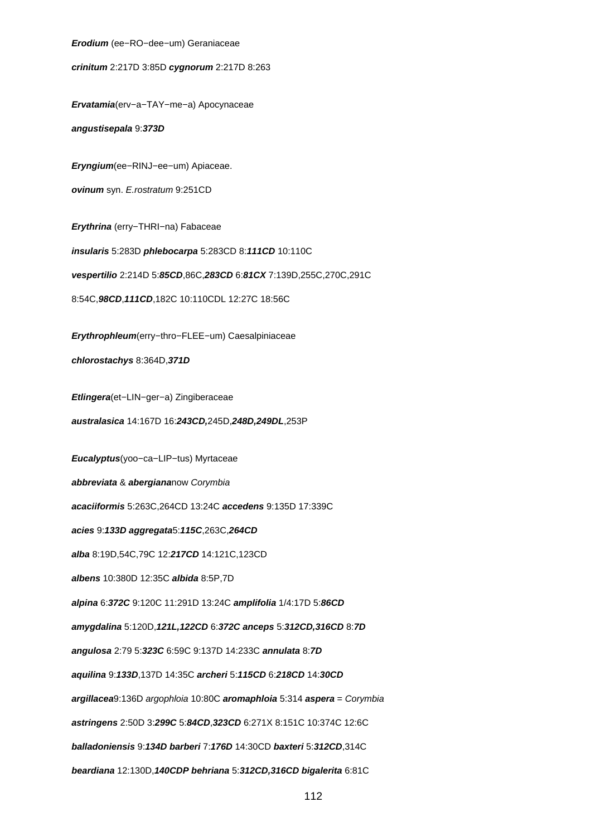**Erodium** (ee−RO−dee−um) Geraniaceae

**crinitum** 2:217D 3:85D **cygnorum** 2:217D 8:263

**Ervatamia**(erv−a−TAY−me−a) Apocynaceae

**angustisepala** 9:**373D**

**Eryngium**(ee−RINJ−ee−um) Apiaceae. **ovinum** syn. E.rostratum 9:251CD

**Erythrina** (erry−THRI−na) Fabaceae **insularis** 5:283D **phlebocarpa** 5:283CD 8:**111CD** 10:110C **vespertilio** 2:214D 5:**85CD**,86C,**283CD** 6:**81CX** 7:139D,255C,270C,291C

8:54C,**98CD**,**111CD**,182C 10:110CDL 12:27C 18:56C

**Erythrophleum**(erry−thro−FLEE−um) Caesalpiniaceae

**chlorostachys** 8:364D,**371D**

**Etlingera**(et−LIN−ger−a) Zingiberaceae

**australasica** 14:167D 16:**243CD,**245D,**248D,249DL**,253P

**Eucalyptus**(yoo−ca−LIP−tus) Myrtaceae **abbreviata** & **abergiana**now Corymbia **acaciiformis** 5:263C,264CD 13:24C **accedens** 9:135D 17:339C **acies** 9:**133D aggregata**5:**115C**,263C,**264CD alba** 8:19D,54C,79C 12:**217CD** 14:121C,123CD **albens** 10:380D 12:35C **albida** 8:5P,7D **alpina** 6:**372C** 9:120C 11:291D 13:24C **amplifolia** 1/4:17D 5:**86CD amygdalina** 5:120D,**121L,122CD** 6:**372C anceps** 5:**312CD,316CD** 8:**7D angulosa** 2:79 5:**323C** 6:59C 9:137D 14:233C **annulata** 8:**7D aquilina** 9:**133D**,137D 14:35C **archeri** 5:**115CD** 6:**218CD** 14:**30CD argillacea**9:136D argophloia 10:80C **aromaphloia** 5:314 **aspera** = Corymbia **astringens** 2:50D 3:**299C** 5:**84CD**,**323CD** 6:271X 8:151C 10:374C 12:6C **balladoniensis** 9:**134D barberi** 7:**176D** 14:30CD **baxteri** 5:**312CD**,314C **beardiana** 12:130D,**140CDP behriana** 5:**312CD,316CD bigalerita** 6:81C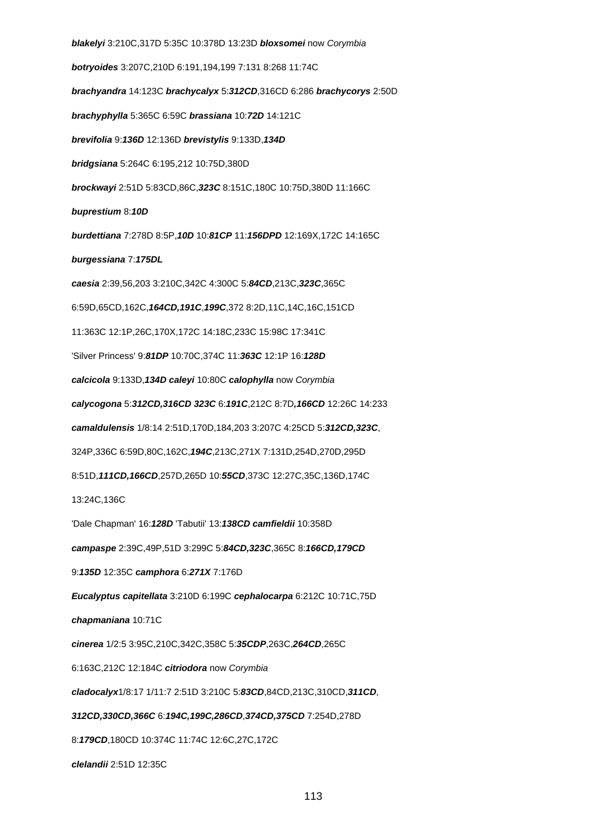**blakelyi** 3:210C,317D 5:35C 10:378D 13:23D **bloxsomei** now Corymbia **botryoides** 3:207C,210D 6:191,194,199 7:131 8:268 11:74C **brachyandra** 14:123C **brachycalyx** 5:**312CD**,316CD 6:286 **brachycorys** 2:50D **brachyphylla** 5:365C 6:59C **brassiana** 10:**72D** 14:121C **brevifolia** 9:**136D** 12:136D **brevistylis** 9:133D,**134D bridgsiana** 5:264C 6:195,212 10:75D,380D **brockwayi** 2:51D 5:83CD,86C,**323C** 8:151C,180C 10:75D,380D 11:166C **buprestium** 8:**10D burdettiana** 7:278D 8:5P,**10D** 10:**81CP** 11:**156DPD** 12:169X,172C 14:165C **burgessiana** 7:**175DL caesia** 2:39,56,203 3:210C,342C 4:300C 5:**84CD**,213C,**323C**,365C 6:59D,65CD,162C,**164CD,191C**,**199C**,372 8:2D,11C,14C,16C,151CD 11:363C 12:1P,26C,170X,172C 14:18C,233C 15:98C 17:341C 'Silver Princess' 9:**81DP** 10:70C,374C 11:**363C** 12:1P 16:**128D calcicola** 9:133D,**134D caleyi** 10:80C **calophylla** now Corymbia **calycogona** 5:**312CD,316CD 323C** 6:**191C**,212C 8:7D**,166CD** 12:26C 14:233 **camaldulensis** 1/8:14 2:51D,170D,184,203 3:207C 4:25CD 5:**312CD,323C**, 324P,336C 6:59D,80C,162C,**194C**,213C,271X 7:131D,254D,270D,295D 8:51D,**111CD,166CD**,257D,265D 10:**55CD**,373C 12:27C,35C,136D,174C 13:24C,136C 'Dale Chapman' 16:**128D** 'Tabutii' 13:**138CD camfieldii** 10:358D **campaspe** 2:39C,49P,51D 3:299C 5:**84CD,323C**,365C 8:**166CD,179CD** 9:**135D** 12:35C **camphora** 6:**271X** 7:176D **Eucalyptus capitellata** 3:210D 6:199C **cephalocarpa** 6:212C 10:71C,75D **chapmaniana** 10:71C **cinerea** 1/2:5 3:95C,210C,342C,358C 5:**35CDP**,263C,**264CD**,265C 6:163C,212C 12:184C **citriodora** now Corymbia **cladocalyx**1/8:17 1/11:7 2:51D 3:210C 5:**83CD**,84CD,213C,310CD,**311CD**, **312CD,330CD,366C** 6:**194C,199C,286CD**,**374CD,375CD** 7:254D,278D 8:**179CD**,180CD 10:374C 11:74C 12:6C,27C,172C **clelandii** 2:51D 12:35C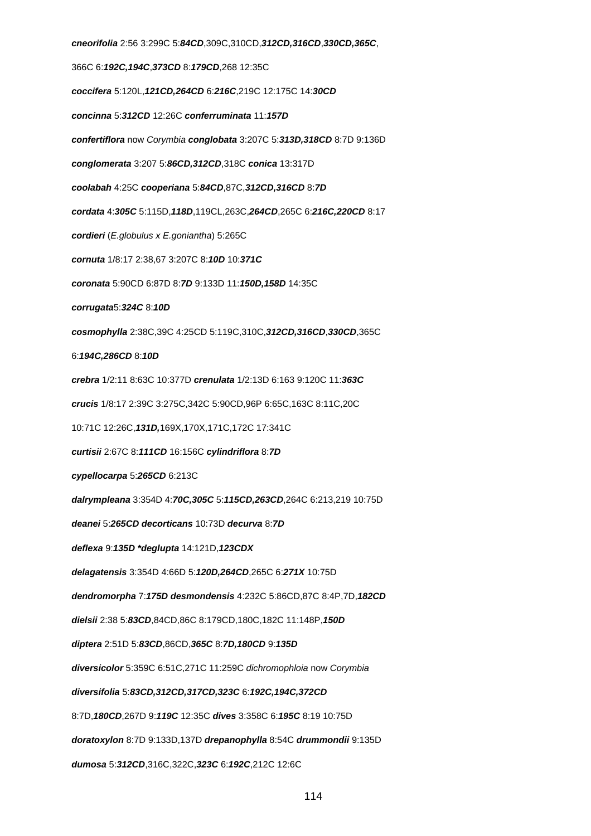**cneorifolia** 2:56 3:299C 5:**84CD**,309C,310CD,**312CD,316CD**,**330CD,365C**, 366C 6:**192C,194C**,**373CD** 8:**179CD**,268 12:35C **coccifera** 5:120L,**121CD,264CD** 6:**216C**,219C 12:175C 14:**30CD concinna** 5:**312CD** 12:26C **conferruminata** 11:**157D confertiflora** now Corymbia **conglobata** 3:207C 5:**313D,318CD** 8:7D 9:136D **conglomerata** 3:207 5:**86CD,312CD**,318C **conica** 13:317D **coolabah** 4:25C **cooperiana** 5:**84CD**,87C,**312CD,316CD** 8:**7D cordata** 4:**305C** 5:115D,**118D**,119CL,263C,**264CD**,265C 6:**216C,220CD** 8:17 **cordieri** (E.globulus x E.goniantha) 5:265C **cornuta** 1/8:17 2:38,67 3:207C 8:**10D** 10:**371C coronata** 5:90CD 6:87D 8:**7D** 9:133D 11:**150D,158D** 14:35C **corrugata**5:**324C** 8:**10D cosmophylla** 2:38C,39C 4:25CD 5:119C,310C,**312CD,316CD**,**330CD**,365C 6:**194C,286CD** 8:**10D crebra** 1/2:11 8:63C 10:377D **crenulata** 1/2:13D 6:163 9:120C 11:**363C crucis** 1/8:17 2:39C 3:275C,342C 5:90CD,96P 6:65C,163C 8:11C,20C 10:71C 12:26C,**131D,**169X,170X,171C,172C 17:341C **curtisii** 2:67C 8:**111CD** 16:156C **cylindriflora** 8:**7D cypellocarpa** 5:**265CD** 6:213C **dalrympleana** 3:354D 4:**70C,305C** 5:**115CD,263CD**,264C 6:213,219 10:75D **deanei** 5:**265CD decorticans** 10:73D **decurva** 8:**7D deflexa** 9:**135D \*deglupta** 14:121D,**123CDX delagatensis** 3:354D 4:66D 5:**120D,264CD**,265C 6:**271X** 10:75D **dendromorpha** 7:**175D desmondensis** 4:232C 5:86CD,87C 8:4P,7D,**182CD dielsii** 2:38 5:**83CD**,84CD,86C 8:179CD,180C,182C 11:148P,**150D diptera** 2:51D 5:**83CD**,86CD,**365C** 8:**7D,180CD** 9:**135D diversicolor** 5:359C 6:51C,271C 11:259C dichromophloia now Corymbia **diversifolia** 5:**83CD,312CD,317CD,323C** 6:**192C,194C,372CD** 8:7D,**180CD**,267D 9:**119C** 12:35C **dives** 3:358C 6:**195C** 8:19 10:75D **doratoxylon** 8:7D 9:133D,137D **drepanophylla** 8:54C **drummondii** 9:135D **dumosa** 5:**312CD**,316C,322C,**323C** 6:**192C**,212C 12:6C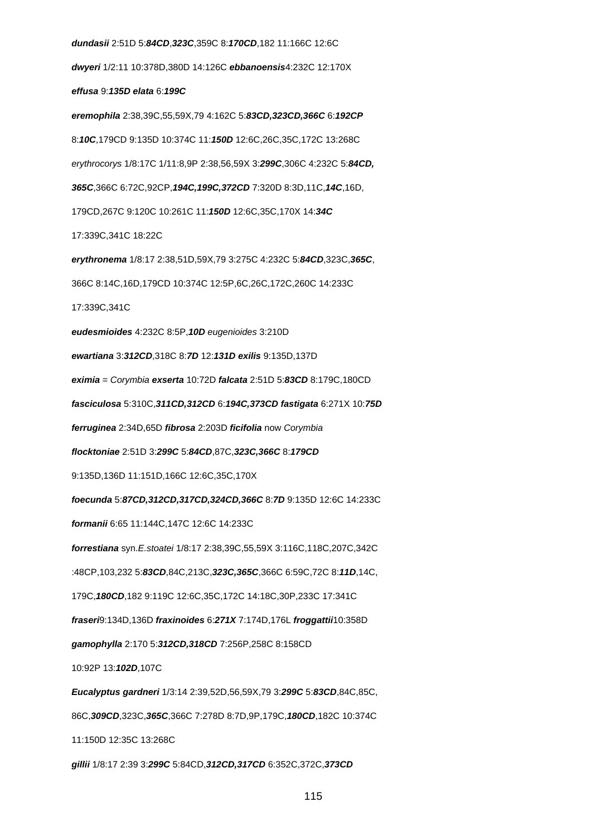**dundasii** 2:51D 5:**84CD**,**323C**,359C 8:**170CD**,182 11:166C 12:6C **dwyeri** 1/2:11 10:378D,380D 14:126C **ebbanoensis**4:232C 12:170X **effusa** 9:**135D elata** 6:**199C eremophila** 2:38,39C,55,59X,79 4:162C 5:**83CD,323CD,366C** 6:**192CP** 8:**10C**,179CD 9:135D 10:374C 11:**150D** 12:6C,26C,35C,172C 13:268C erythrocorys 1/8:17C 1/11:8,9P 2:38,56,59X 3:**299C**,306C 4:232C 5:**84CD, 365C**,366C 6:72C,92CP,**194C,199C,372CD** 7:320D 8:3D,11C,**14C**,16D, 179CD,267C 9:120C 10:261C 11:**150D** 12:6C,35C,170X 14:**34C** 17:339C,341C 18:22C **erythronema** 1/8:17 2:38,51D,59X,79 3:275C 4:232C 5:**84CD**,323C,**365C**, 366C 8:14C,16D,179CD 10:374C 12:5P,6C,26C,172C,260C 14:233C 17:339C,341C **eudesmioides** 4:232C 8:5P,**10D** eugenioides 3:210D **ewartiana** 3:**312CD**,318C 8:**7D** 12:**131D exilis** 9:135D,137D **eximia** = Corymbia **exserta** 10:72D **falcata** 2:51D 5:**83CD** 8:179C,180CD **fasciculosa** 5:310C,**311CD,312CD** 6:**194C,373CD fastigata** 6:271X 10:**75D ferruginea** 2:34D,65D **fibrosa** 2:203D **ficifolia** now Corymbia **flocktoniae** 2:51D 3:**299C** 5:**84CD**,87C,**323C,366C** 8:**179CD** 9:135D,136D 11:151D,166C 12:6C,35C,170X **foecunda** 5:**87CD,312CD,317CD,324CD,366C** 8:**7D** 9:135D 12:6C 14:233C **formanii** 6:65 11:144C,147C 12:6C 14:233C **forrestiana** syn.E.stoatei 1/8:17 2:38,39C,55,59X 3:116C,118C,207C,342C :48CP,103,232 5:**83CD**,84C,213C,**323C,365C**,366C 6:59C,72C 8:**11D**,14C, 179C,**180CD**,182 9:119C 12:6C,35C,172C 14:18C,30P,233C 17:341C **fraseri**9:134D,136D **fraxinoides** 6:**271X** 7:174D,176L **froggattii**10:358D **gamophylla** 2:170 5:**312CD,318CD** 7:256P,258C 8:158CD 10:92P 13:**102D**,107C **Eucalyptus gardneri** 1/3:14 2:39,52D,56,59X,79 3:**299C** 5:**83CD**,84C,85C, 86C,**309CD**,323C,**365C**,366C 7:278D 8:7D,9P,179C,**180CD**,182C 10:374C 11:150D 12:35C 13:268C **gillii** 1/8:17 2:39 3:**299C** 5:84CD,**312CD,317CD** 6:352C,372C,**373CD**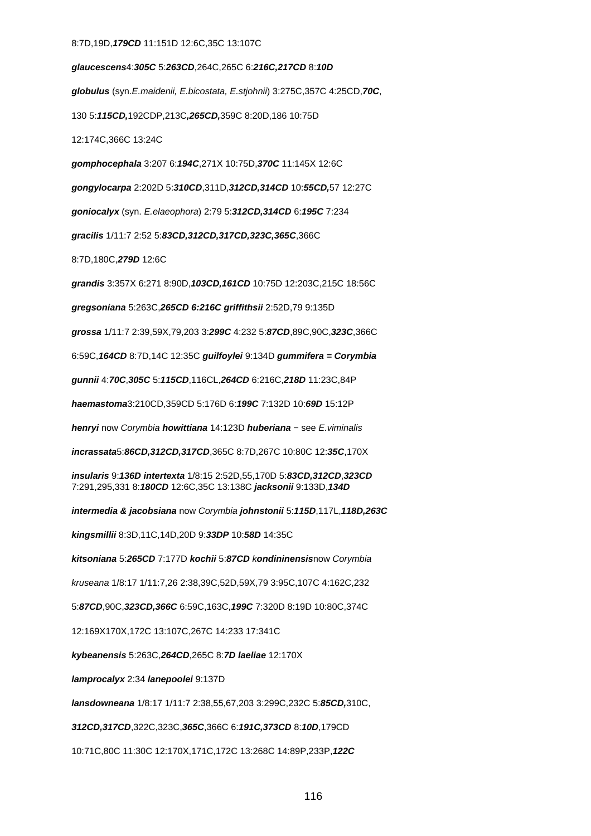#### 8:7D,19D,**179CD** 11:151D 12:6C,35C 13:107C

**glaucescens**4:**305C** 5:**263CD**,264C,265C 6:**216C,217CD** 8:**10D globulus** (syn.E.maidenii, E.bicostata, E.stjohnii) 3:275C,357C 4:25CD,**70C**, 130 5:**115CD,**192CDP,213C**,265CD,**359C 8:20D,186 10:75D

12:174C,366C 13:24C

**gomphocephala** 3:207 6:**194C**,271X 10:75D,**370C** 11:145X 12:6C

**gongylocarpa** 2:202D 5:**310CD**,311D,**312CD,314CD** 10:**55CD,**57 12:27C

**goniocalyx** (syn. E.elaeophora) 2:79 5:**312CD,314CD** 6:**195C** 7:234

**gracilis** 1/11:7 2:52 5:**83CD,312CD,317CD,323C,365C**,366C

8:7D,180C,**279D** 12:6C

**grandis** 3:357X 6:271 8:90D,**103CD,161CD** 10:75D 12:203C,215C 18:56C

**gregsoniana** 5:263C,**265CD 6:216C griffithsii** 2:52D,79 9:135D

**grossa** 1/11:7 2:39,59X,79,203 3:**299C** 4:232 5:**87CD**,89C,90C,**323C**,366C

6:59C,**164CD** 8:7D,14C 12:35C **guilfoylei** 9:134D **gummifera = Corymbia**

**gunnii** 4:**70C**,**305C** 5:**115CD**,116CL,**264CD** 6:216C,**218D** 11:23C,84P

**haemastoma**3:210CD,359CD 5:176D 6:**199C** 7:132D 10:**69D** 15:12P

**henryi** now Corymbia **howittiana** 14:123D **huberiana** − see E.viminalis

**incrassata**5:**86CD,312CD,317CD**,365C 8:7D,267C 10:80C 12:**35C**,170X

**insularis** 9:**136D intertexta** 1/8:15 2:52D,55,170D 5:**83CD,312CD**,**323CD** 7:291,295,331 8:**180CD** 12:6C,35C 13:138C **jacksonii** 9:133D,**134D**

**intermedia & jacobsiana** now Corymbia **johnstonii** 5:**115D**,117L,**118D,263C**

**kingsmillii** 8:3D,11C,14D,20D 9:**33DP** 10:**58D** 14:35C

**kitsoniana** 5:**265CD** 7:177D **kochii** 5:**87CD** k**ondininensis**now Corymbia

kruseana 1/8:17 1/11:7,26 2:38,39C,52D,59X,79 3:95C,107C 4:162C,232

5:**87CD**,90C,**323CD,366C** 6:59C,163C,**199C** 7:320D 8:19D 10:80C,374C

12:169X170X,172C 13:107C,267C 14:233 17:341C

**kybeanensis** 5:263C,**264CD**,265C 8:**7D laeliae** 12:170X

**lamprocalyx** 2:34 **lanepoolei** 9:137D

**lansdowneana** 1/8:17 1/11:7 2:38,55,67,203 3:299C,232C 5:**85CD,**310C,

**312CD,317CD**,322C,323C,**365C**,366C 6:**191C,373CD** 8:**10D**,179CD

10:71C,80C 11:30C 12:170X,171C,172C 13:268C 14:89P,233P,**122C**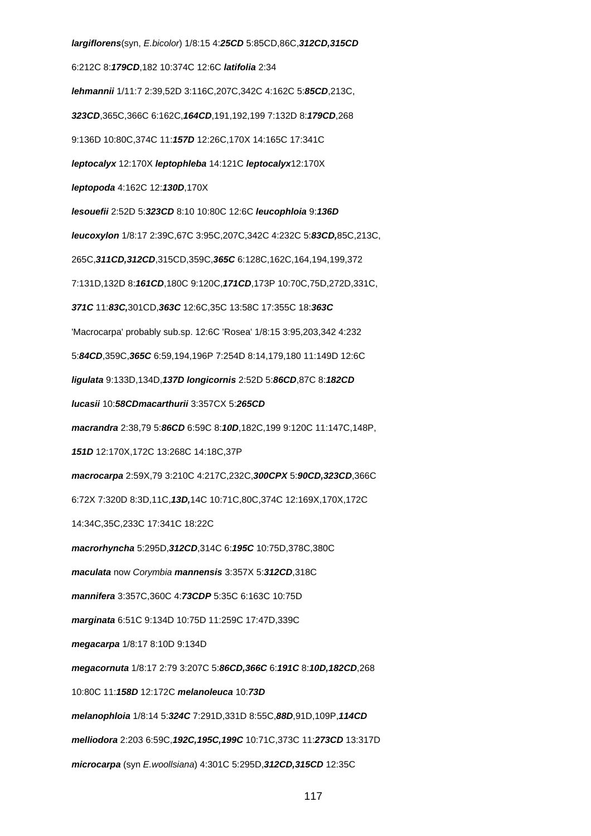**largiflorens**(syn, E.bicolor) 1/8:15 4:**25CD** 5:85CD,86C,**312CD,315CD** 6:212C 8:**179CD**,182 10:374C 12:6C **latifolia** 2:34 **lehmannii** 1/11:7 2:39,52D 3:116C,207C,342C 4:162C 5:**85CD**,213C, **323CD**,365C,366C 6:162C,**164CD**,191,192,199 7:132D 8:**179CD**,268 9:136D 10:80C,374C 11:**157D** 12:26C,170X 14:165C 17:341C **leptocalyx** 12:170X **leptophleba** 14:121C **leptocalyx**12:170X **leptopoda** 4:162C 12:**130D**,170X **lesouefii** 2:52D 5:**323CD** 8:10 10:80C 12:6C **leucophloia** 9:**136D leucoxylon** 1/8:17 2:39C,67C 3:95C,207C,342C 4:232C 5:**83CD,**85C,213C, 265C,**311CD,312CD**,315CD,359C,**365C** 6:128C,162C,164,194,199,372 7:131D,132D 8:**161CD**,180C 9:120C,**171CD**,173P 10:70C,75D,272D,331C, **371C** 11:**83C,**301CD,**363C** 12:6C,35C 13:58C 17:355C 18:**363C** 'Macrocarpa' probably sub.sp. 12:6C 'Rosea' 1/8:15 3:95,203,342 4:232 5:**84CD**,359C,**365C** 6:59,194,196P 7:254D 8:14,179,180 11:149D 12:6C **ligulata** 9:133D,134D,**137D longicornis** 2:52D 5:**86CD**,87C 8:**182CD lucasii** 10:**58CDmacarthurii** 3:357CX 5:**265CD macrandra** 2:38,79 5:**86CD** 6:59C 8:**10D**,182C,199 9:120C 11:147C,148P, **151D** 12:170X,172C 13:268C 14:18C,37P **macrocarpa** 2:59X,79 3:210C 4:217C,232C,**300CPX** 5:**90CD,323CD**,366C 6:72X 7:320D 8:3D,11C,**13D,**14C 10:71C,80C,374C 12:169X,170X,172C 14:34C,35C,233C 17:341C 18:22C **macrorhyncha** 5:295D,**312CD**,314C 6:**195C** 10:75D,378C,380C **maculata** now Corymbia **mannensis** 3:357X 5:**312CD**,318C **mannifera** 3:357C,360C 4:**73CDP** 5:35C 6:163C 10:75D **marginata** 6:51C 9:134D 10:75D 11:259C 17:47D,339C **megacarpa** 1/8:17 8:10D 9:134D **megacornuta** 1/8:17 2:79 3:207C 5:**86CD,366C** 6:**191C** 8:**10D,182CD**,268 10:80C 11:**158D** 12:172C **melanoleuca** 10:**73D melanophloia** 1/8:14 5:**324C** 7:291D,331D 8:55C,**88D**,91D,109P,**114CD melliodora** 2:203 6:59C,**192C,195C,199C** 10:71C,373C 11:**273CD** 13:317D **microcarpa** (syn E.woollsiana) 4:301C 5:295D,**312CD,315CD** 12:35C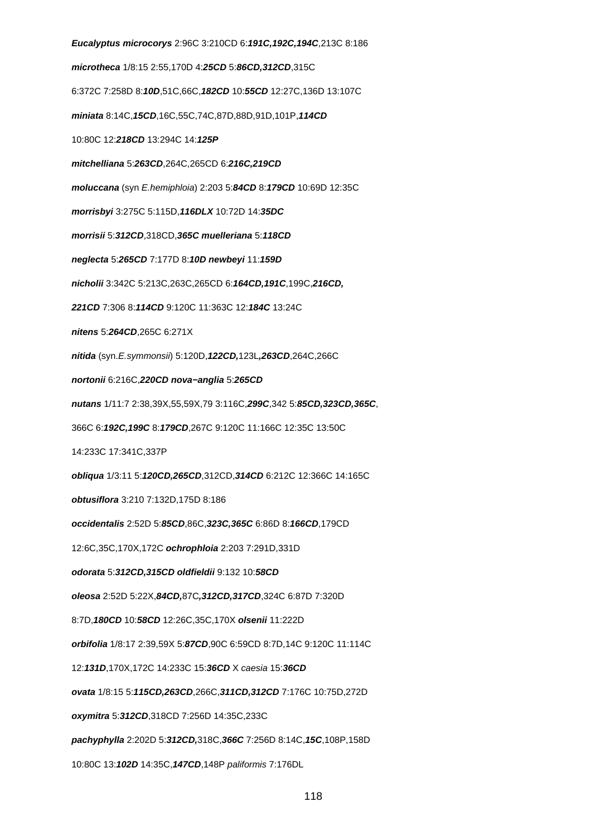**Eucalyptus microcorys** 2:96C 3:210CD 6:**191C,192C,194C**,213C 8:186 **microtheca** 1/8:15 2:55,170D 4:**25CD** 5:**86CD,312CD**,315C 6:372C 7:258D 8:**10D**,51C,66C,**182CD** 10:**55CD** 12:27C,136D 13:107C **miniata** 8:14C,**15CD**,16C,55C,74C,87D,88D,91D,101P,**114CD** 10:80C 12:**218CD** 13:294C 14:**125P mitchelliana** 5:**263CD**,264C,265CD 6:**216C,219CD moluccana** (syn E.hemiphloia) 2:203 5:**84CD** 8:**179CD** 10:69D 12:35C **morrisbyi** 3:275C 5:115D,**116DLX** 10:72D 14:**35DC morrisii** 5:**312CD**,318CD,**365C muelleriana** 5:**118CD neglecta** 5:**265CD** 7:177D 8:**10D newbeyi** 11:**159D nicholii** 3:342C 5:213C,263C,265CD 6:**164CD,191C**,199C,**216CD, 221CD** 7:306 8:**114CD** 9:120C 11:363C 12:**184C** 13:24C **nitens** 5:**264CD**,265C 6:271X **nitida** (syn.E.symmonsii) 5:120D,**122CD,**123L**,263CD**,264C,266C **nortonii** 6:216C,**220CD nova−anglia** 5:**265CD nutans** 1/11:7 2:38,39X,55,59X,79 3:116C,**299C**,342 5:**85CD,323CD,365C**, 366C 6:**192C,199C** 8:**179CD**,267C 9:120C 11:166C 12:35C 13:50C 14:233C 17:341C,337P **obliqua** 1/3:11 5:**120CD,265CD**,312CD,**314CD** 6:212C 12:366C 14:165C **obtusiflora** 3:210 7:132D,175D 8:186 **occidentalis** 2:52D 5:**85CD**,86C,**323C,365C** 6:86D 8:**166CD**,179CD 12:6C,35C,170X,172C **ochrophloia** 2:203 7:291D,331D **odorata** 5:**312CD,315CD oldfieldii** 9:132 10:**58CD oleosa** 2:52D 5:22X,**84CD,**87C**,312CD,317CD**,324C 6:87D 7:320D 8:7D,**180CD** 10:**58CD** 12:26C,35C,170X **olsenii** 11:222D **orbifolia** 1/8:17 2:39,59X 5:**87CD**,90C 6:59CD 8:7D,14C 9:120C 11:114C 12:**131D**,170X,172C 14:233C 15:**36CD** X caesia 15:**36CD ovata** 1/8:15 5:**115CD,263CD**,266C,**311CD,312CD** 7:176C 10:75D,272D **oxymitra** 5:**312CD**,318CD 7:256D 14:35C,233C **pachyphylla** 2:202D 5:**312CD,**318C,**366C** 7:256D 8:14C,**15C**,108P,158D 10:80C 13:**102D** 14:35C,**147CD**,148P paliformis 7:176DL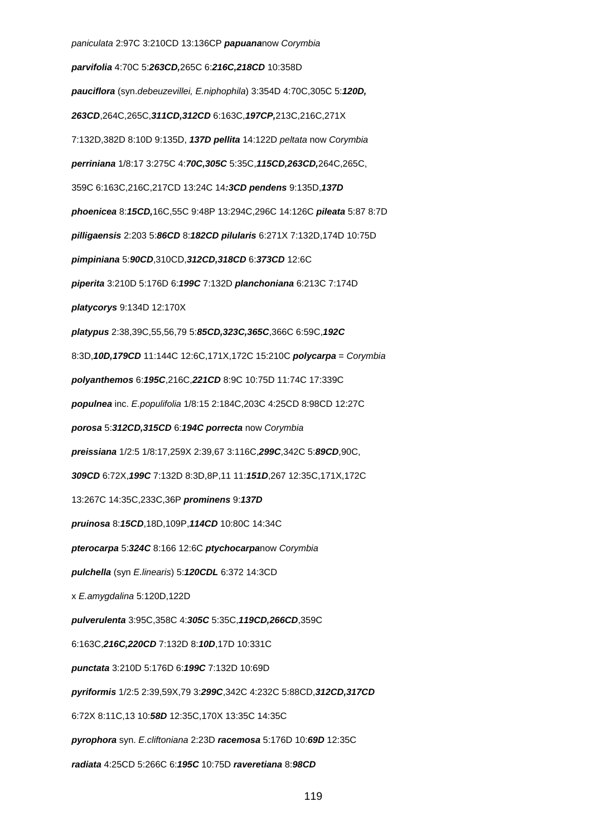paniculata 2:97C 3:210CD 13:136CP **papuana**now Corymbia **parvifolia** 4:70C 5:**263CD,**265C 6:**216C,218CD** 10:358D **pauciflora** (syn.debeuzevillei, E.niphophila) 3:354D 4:70C,305C 5:**120D, 263CD**,264C,265C,**311CD,312CD** 6:163C,**197CP,**213C,216C,271X 7:132D,382D 8:10D 9:135D, **137D pellita** 14:122D peltata now Corymbia **perriniana** 1/8:17 3:275C 4:**70C,305C** 5:35C,**115CD,263CD,**264C,265C, 359C 6:163C,216C,217CD 13:24C 14**:3CD pendens** 9:135D,**137D phoenicea** 8:**15CD,**16C,55C 9:48P 13:294C,296C 14:126C **pileata** 5:87 8:7D **pilligaensis** 2:203 5:**86CD** 8:**182CD pilularis** 6:271X 7:132D,174D 10:75D **pimpiniana** 5:**90CD**,310CD,**312CD,318CD** 6:**373CD** 12:6C **piperita** 3:210D 5:176D 6:**199C** 7:132D **planchoniana** 6:213C 7:174D **platycorys** 9:134D 12:170X **platypus** 2:38,39C,55,56,79 5:**85CD,323C,365C**,366C 6:59C,**192C** 8:3D,**10D,179CD** 11:144C 12:6C,171X,172C 15:210C **polycarpa** = Corymbia **polyanthemos** 6:**195C**,216C,**221CD** 8:9C 10:75D 11:74C 17:339C **populnea** inc. E.populifolia 1/8:15 2:184C,203C 4:25CD 8:98CD 12:27C **porosa** 5:**312CD,315CD** 6:**194C porrecta** now Corymbia **preissiana** 1/2:5 1/8:17,259X 2:39,67 3:116C,**299C**,342C 5:**89CD**,90C, **309CD** 6:72X,**199C** 7:132D 8:3D,8P,11 11:**151D**,267 12:35C,171X,172C 13:267C 14:35C,233C,36P **prominens** 9:**137D pruinosa** 8:**15CD**,18D,109P,**114CD** 10:80C 14:34C **pterocarpa** 5:**324C** 8:166 12:6C **ptychocarpa**now Corymbia **pulchella** (syn E.linearis) 5:**120CDL** 6:372 14:3CD x E.amygdalina 5:120D,122D **pulverulenta** 3:95C,358C 4:**305C** 5:35C,**119CD,266CD**,359C 6:163C,**216C,220CD** 7:132D 8:**10D**,17D 10:331C **punctata** 3:210D 5:176D 6:**199C** 7:132D 10:69D **pyriformis** 1/2:5 2:39,59X,79 3:**299C**,342C 4:232C 5:88CD,**312CD,317CD** 6:72X 8:11C,13 10:**58D** 12:35C,170X 13:35C 14:35C **pyrophora** syn. E.cliftoniana 2:23D **racemosa** 5:176D 10:**69D** 12:35C **radiata** 4:25CD 5:266C 6:**195C** 10:75D **raveretiana** 8:**98CD**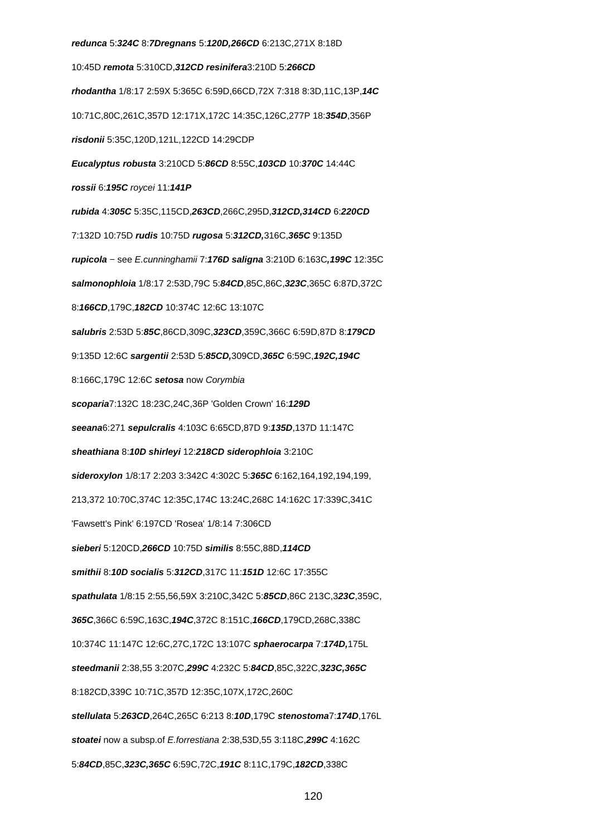**redunca** 5:**324C** 8:**7Dregnans** 5:**120D,266CD** 6:213C,271X 8:18D 10:45D **remota** 5:310CD,**312CD resinifera**3:210D 5:**266CD rhodantha** 1/8:17 2:59X 5:365C 6:59D,66CD,72X 7:318 8:3D,11C,13P,**14C** 10:71C,80C,261C,357D 12:171X,172C 14:35C,126C,277P 18:**354D**,356P **risdonii** 5:35C,120D,121L,122CD 14:29CDP **Eucalyptus robusta** 3:210CD 5:**86CD** 8:55C,**103CD** 10:**370C** 14:44C **rossii** 6:**195C** roycei 11:**141P rubida** 4:**305C** 5:35C,115CD,**263CD**,266C,295D,**312CD,314CD** 6:**220CD** 7:132D 10:75D **rudis** 10:75D **rugosa** 5:**312CD,**316C,**365C** 9:135D **rupicola** − see E.cunninghamii 7:**176D saligna** 3:210D 6:163C**,199C** 12:35C **salmonophloia** 1/8:17 2:53D,79C 5:**84CD**,85C,86C,**323C**,365C 6:87D,372C 8:**166CD**,179C,**182CD** 10:374C 12:6C 13:107C **salubris** 2:53D 5:**85C**,86CD,309C,**323CD**,359C,366C 6:59D,87D 8:**179CD** 9:135D 12:6C **sargentii** 2:53D 5:**85CD,**309CD,**365C** 6:59C,**192C,194C** 8:166C,179C 12:6C **setosa** now Corymbia **scoparia**7:132C 18:23C,24C,36P 'Golden Crown' 16:**129D seeana**6:271 **sepulcralis** 4:103C 6:65CD,87D 9:**135D**,137D 11:147C **sheathiana** 8:**10D shirleyi** 12:**218CD siderophloia** 3:210C **sideroxylon** 1/8:17 2:203 3:342C 4:302C 5:**365C** 6:162,164,192,194,199, 213,372 10:70C,374C 12:35C,174C 13:24C,268C 14:162C 17:339C,341C 'Fawsett's Pink' 6:197CD 'Rosea' 1/8:14 7:306CD **sieberi** 5:120CD,**266CD** 10:75D **similis** 8:55C,88D,**114CD smithii** 8:**10D socialis** 5:**312CD**,317C 11:**151D** 12:6C 17:355C **spathulata** 1/8:15 2:55,56,59X 3:210C,342C 5:**85CD**,86C 213C,3**23C**,359C, **365C**,366C 6:59C,163C,**194C**,372C 8:151C,**166CD**,179CD,268C,338C 10:374C 11:147C 12:6C,27C,172C 13:107C **sphaerocarpa** 7:**174D,**175L **steedmanii** 2:38,55 3:207C,**299C** 4:232C 5:**84CD**,85C,322C,**323C,365C** 8:182CD,339C 10:71C,357D 12:35C,107X,172C,260C **stellulata** 5:**263CD**,264C,265C 6:213 8:**10D**,179C **stenostoma**7:**174D**,176L **stoatei** now a subsp.of E.forrestiana 2:38,53D,55 3:118C,**299C** 4:162C 5:**84CD**,85C,**323C,365C** 6:59C,72C,**191C** 8:11C,179C,**182CD**,338C

120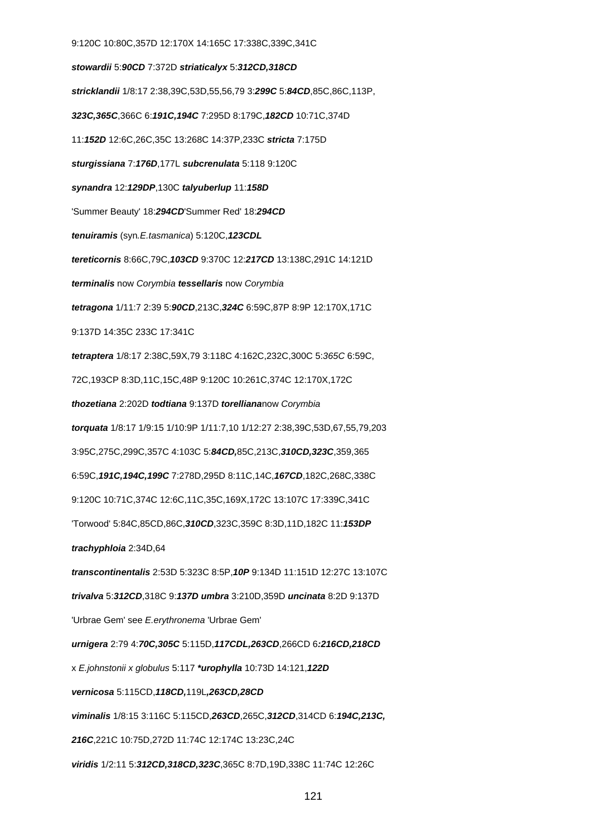9:120C 10:80C,357D 12:170X 14:165C 17:338C,339C,341C **stowardii** 5:**90CD** 7:372D **striaticalyx** 5:**312CD,318CD stricklandii** 1/8:17 2:38,39C,53D,55,56,79 3:**299C** 5:**84CD**,85C,86C,113P, **323C,365C**,366C 6:**191C,194C** 7:295D 8:179C,**182CD** 10:71C,374D 11:**152D** 12:6C,26C,35C 13:268C 14:37P,233C **stricta** 7:175D **sturgissiana** 7:**176D**,177L **subcrenulata** 5:118 9:120C **synandra** 12:**129DP**,130C **talyuberlup** 11:**158D** 'Summer Beauty' 18:**294CD**'Summer Red' 18:**294CD tenuiramis** (syn.E.tasmanica) 5:120C,**123CDL tereticornis** 8:66C,79C,**103CD** 9:370C 12:**217CD** 13:138C,291C 14:121D **terminalis** now Corymbia **tessellaris** now Corymbia **tetragona** 1/11:7 2:39 5:**90CD**,213C,**324C** 6:59C,87P 8:9P 12:170X,171C 9:137D 14:35C 233C 17:341C **tetraptera** 1/8:17 2:38C,59X,79 3:118C 4:162C,232C,300C 5:365C 6:59C, 72C,193CP 8:3D,11C,15C,48P 9:120C 10:261C,374C 12:170X,172C **thozetiana** 2:202D **todtiana** 9:137D **torelliana**now Corymbia **torquata** 1/8:17 1/9:15 1/10:9P 1/11:7,10 1/12:27 2:38,39C,53D,67,55,79,203 3:95C,275C,299C,357C 4:103C 5:**84CD,**85C,213C,**310CD,323C**,359,365 6:59C,**191C,194C,199C** 7:278D,295D 8:11C,14C,**167CD**,182C,268C,338C 9:120C 10:71C,374C 12:6C,11C,35C,169X,172C 13:107C 17:339C,341C 'Torwood' 5:84C,85CD,86C,**310CD**,323C,359C 8:3D,11D,182C 11:**153DP trachyphloia** 2:34D,64 **transcontinentalis** 2:53D 5:323C 8:5P,**10P** 9:134D 11:151D 12:27C 13:107C **trivalva** 5:**312CD**,318C 9:**137D umbra** 3:210D,359D **uncinata** 8:2D 9:137D 'Urbrae Gem' see E.erythronema 'Urbrae Gem' **urnigera** 2:79 4:**70C,305C** 5:115D,**117CDL,263CD**,266CD 6**:216CD,218CD** x E.johnstonii x globulus 5:117 **\*urophylla** 10:73D 14:121,**122D vernicosa** 5:115CD,**118CD,**119L**,263CD,28CD viminalis** 1/8:15 3:116C 5:115CD,**263CD**,265C,**312CD**,314CD 6:**194C,213C, 216C**,221C 10:75D,272D 11:74C 12:174C 13:23C,24C **viridis** 1/2:11 5:**312CD,318CD,323C**,365C 8:7D,19D,338C 11:74C 12:26C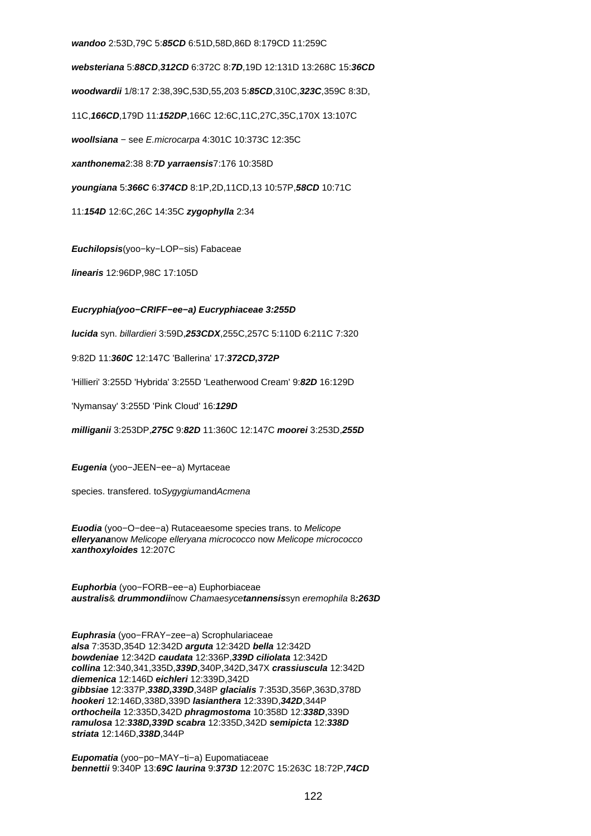# **wandoo** 2:53D,79C 5:**85CD** 6:51D,58D,86D 8:179CD 11:259C

**websteriana** 5:**88CD**,**312CD** 6:372C 8:**7D**,19D 12:131D 13:268C 15:**36CD woodwardii** 1/8:17 2:38,39C,53D,55,203 5:**85CD**,310C,**323C**,359C 8:3D, 11C,**166CD**,179D 11:**152DP**,166C 12:6C,11C,27C,35C,170X 13:107C **woollsiana** − see E.microcarpa 4:301C 10:373C 12:35C **xanthonema**2:38 8:**7D yarraensis**7:176 10:358D **youngiana** 5:**366C** 6:**374CD** 8:1P,2D,11CD,13 10:57P,**58CD** 10:71C 11:**154D** 12:6C,26C 14:35C **zygophylla** 2:34

**Euchilopsis**(yoo−ky−LOP−sis) Fabaceae

**linearis** 12:96DP,98C 17:105D

# **Eucryphia(yoo−CRIFF−ee−a) Eucryphiaceae 3:255D**

**lucida** syn. billardieri 3:59D,**253CDX**,255C,257C 5:110D 6:211C 7:320

9:82D 11:**360C** 12:147C 'Ballerina' 17:**372CD,372P**

'Hillieri' 3:255D 'Hybrida' 3:255D 'Leatherwood Cream' 9:**82D** 16:129D

'Nymansay' 3:255D 'Pink Cloud' 16:**129D**

**milliganii** 3:253DP,**275C** 9:**82D** 11:360C 12:147C **moorei** 3:253D,**255D**

**Eugenia** (yoo−JEEN−ee−a) Myrtaceae

species. transfered. to Sygygiumand Acmena

**Euodia** (yoo−O−dee−a) Rutaceaesome species trans. to Melicope **elleryana**now Melicope elleryana micrococco now Melicope micrococco **xanthoxyloides** 12:207C

**Euphorbia** (yoo−FORB−ee−a) Euphorbiaceae **australis**& **drummondii**now Chamaesyce**tannensis**syn eremophila 8**:263D**

**Euphrasia** (yoo−FRAY−zee−a) Scrophulariaceae **alsa** 7:353D,354D 12:342D **arguta** 12:342D **bella** 12:342D **bowdeniae** 12:342D **caudata** 12:336P,**339D ciliolata** 12:342D **collina** 12:340,341,335D,**339D**,340P,342D,347X **crassiuscula** 12:342D **diemenica** 12:146D **eichleri** 12:339D,342D **gibbsiae** 12:337P,**338D,339D**,348P **glacialis** 7:353D,356P,363D,378D **hookeri** 12:146D,338D,339D **lasianthera** 12:339D,**342D**,344P **orthocheila** 12:335D,342D **phragmostoma** 10:358D 12:**338D**,339D **ramulosa** 12:**338D,339D scabra** 12:335D,342D **semipicta** 12:**338D striata** 12:146D,**338D**,344P

**Eupomatia** (yoo−po−MAY−ti−a) Eupomatiaceae **bennettii** 9:340P 13:**69C laurina** 9:**373D** 12:207C 15:263C 18:72P,**74CD**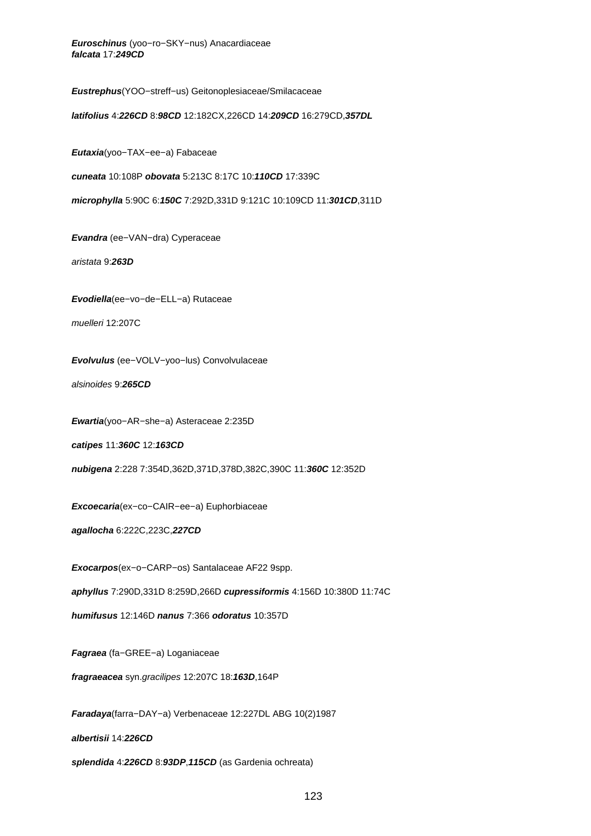**Euroschinus** (yoo−ro−SKY−nus) Anacardiaceae **falcata** 17:**249CD**

**Eustrephus**(YOO−streff−us) Geitonoplesiaceae/Smilacaceae

**latifolius** 4:**226CD** 8:**98CD** 12:182CX,226CD 14:**209CD** 16:279CD,**357DL**

**Eutaxia**(yoo−TAX−ee−a) Fabaceae

**cuneata** 10:108P **obovata** 5:213C 8:17C 10:**110CD** 17:339C

**microphylla** 5:90C 6:**150C** 7:292D,331D 9:121C 10:109CD 11:**301CD**,311D

**Evandra** (ee−VAN−dra) Cyperaceae

aristata 9:**263D**

**Evodiella**(ee−vo−de−ELL−a) Rutaceae

muelleri 12:207C

**Evolvulus** (ee−VOLV−yoo−lus) Convolvulaceae

alsinoides 9:**265CD**

**Ewartia**(yoo−AR−she−a) Asteraceae 2:235D

**catipes** 11:**360C** 12:**163CD**

**nubigena** 2:228 7:354D,362D,371D,378D,382C,390C 11:**360C** 12:352D

**Excoecaria**(ex−co−CAIR−ee−a) Euphorbiaceae

**agallocha** 6:222C,223C,**227CD**

**Exocarpos**(ex−o−CARP−os) Santalaceae AF22 9spp.

**aphyllus** 7:290D,331D 8:259D,266D **cupressiformis** 4:156D 10:380D 11:74C

**humifusus** 12:146D **nanus** 7:366 **odoratus** 10:357D

**Fagraea** (fa−GREE−a) Loganiaceae

**fragraeacea** syn.gracilipes 12:207C 18:**163D**,164P

**Faradaya**(farra−DAY−a) Verbenaceae 12:227DL ABG 10(2)1987

**albertisii** 14:**226CD**

**splendida** 4:**226CD** 8:**93DP**,**115CD** (as Gardenia ochreata)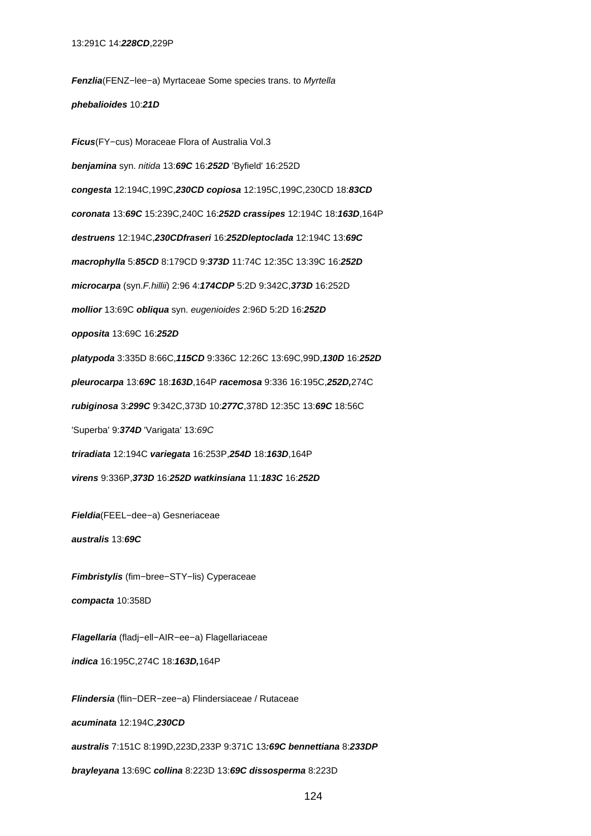**Fenzlia**(FENZ−lee−a) Myrtaceae Some species trans. to Myrtella **phebalioides** 10:**21D**

**Ficus**(FY−cus) Moraceae Flora of Australia Vol.3 **benjamina** syn. nitida 13:**69C** 16:**252D** 'Byfield' 16:252D **congesta** 12:194C,199C,**230CD copiosa** 12:195C,199C,230CD 18:**83CD coronata** 13:**69C** 15:239C,240C 16:**252D crassipes** 12:194C 18:**163D**,164P **destruens** 12:194C,**230CDfraseri** 16:**252Dleptoclada** 12:194C 13:**69C macrophylla** 5:**85CD** 8:179CD 9:**373D** 11:74C 12:35C 13:39C 16:**252D microcarpa** (syn.F.hillii) 2:96 4:**174CDP** 5:2D 9:342C,**373D** 16:252D **mollior** 13:69C **obliqua** syn. eugenioides 2:96D 5:2D 16:**252D opposita** 13:69C 16:**252D platypoda** 3:335D 8:66C,**115CD** 9:336C 12:26C 13:69C,99D,**130D** 16:**252D pleurocarpa** 13:**69C** 18:**163D**,164P **racemosa** 9:336 16:195C,**252D,**274C **rubiginosa** 3:**299C** 9:342C,373D 10:**277C**,378D 12:35C 13:**69C** 18:56C 'Superba' 9:**374D** 'Varigata' 13:69C **triradiata** 12:194C **variegata** 16:253P,**254D** 18:**163D**,164P **virens** 9:336P,**373D** 16:**252D watkinsiana** 11:**183C** 16:**252D**

**Fieldia**(FEEL−dee−a) Gesneriaceae

**australis** 13:**69C**

**Fimbristylis** (fim−bree−STY−lis) Cyperaceae **compacta** 10:358D

**Flagellaria** (fladj−ell−AIR−ee−a) Flagellariaceae **indica** 16:195C,274C 18:**163D,**164P

**Flindersia** (flin−DER−zee−a) Flindersiaceae / Rutaceae

**acuminata** 12:194C,**230CD**

**australis** 7:151C 8:199D,223D,233P 9:371C 13**:69C bennettiana** 8:**233DP**

**brayleyana** 13:69C **collina** 8:223D 13:**69C dissosperma** 8:223D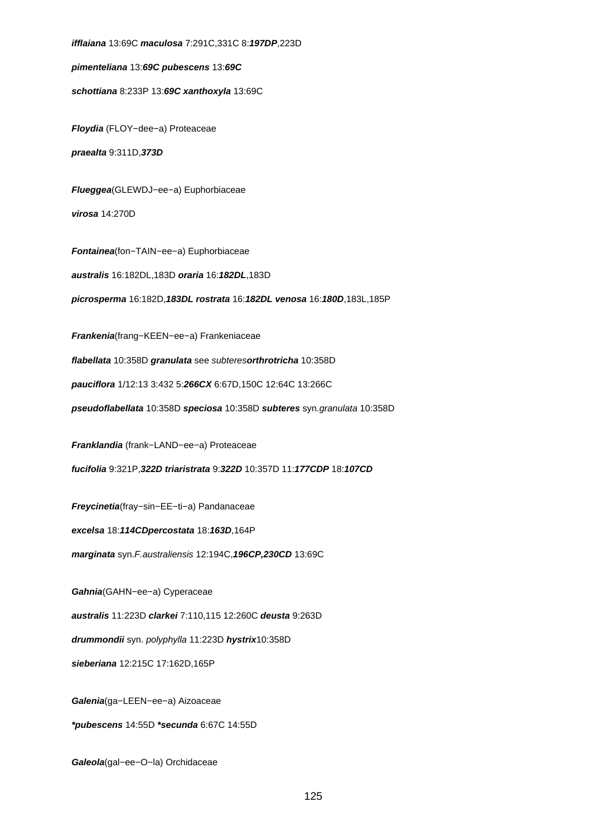**ifflaiana** 13:69C **maculosa** 7:291C,331C 8:**197DP**,223D

**pimenteliana** 13:**69C pubescens** 13:**69C**

**schottiana** 8:233P 13:**69C xanthoxyla** 13:69C

**Floydia** (FLOY−dee−a) Proteaceae

**praealta** 9:311D,**373D**

**Flueggea**(GLEWDJ−ee−a) Euphorbiaceae

**virosa** 14:270D

**Fontainea**(fon−TAIN−ee−a) Euphorbiaceae

**australis** 16:182DL,183D **oraria** 16:**182DL**,183D

**picrosperma** 16:182D,**183DL rostrata** 16:**182DL venosa** 16:**180D**,183L,185P

**Frankenia**(frang−KEEN−ee−a) Frankeniaceae

**flabellata** 10:358D **granulata** see subteres**orthrotricha** 10:358D

**pauciflora** 1/12:13 3:432 5:**266CX** 6:67D,150C 12:64C 13:266C

**pseudoflabellata** 10:358D **speciosa** 10:358D **subteres** syn.granulata 10:358D

**Franklandia** (frank−LAND−ee−a) Proteaceae

**fucifolia** 9:321P,**322D triaristrata** 9:**322D** 10:357D 11:**177CDP** 18:**107CD**

**Freycinetia**(fray−sin−EE−ti−a) Pandanaceae

**excelsa** 18:**114CDpercostata** 18:**163D**,164P

**marginata** syn.F.australiensis 12:194C,**196CP,230CD** 13:69C

**Gahnia**(GAHN−ee−a) Cyperaceae

**australis** 11:223D **clarkei** 7:110,115 12:260C **deusta** 9:263D

**drummondii** syn. polyphylla 11:223D **hystrix**10:358D

**sieberiana** 12:215C 17:162D,165P

**Galenia**(ga−LEEN−ee−a) Aizoaceae

**\*pubescens** 14:55D **\*secunda** 6:67C 14:55D

**Galeola**(gal−ee−O−la) Orchidaceae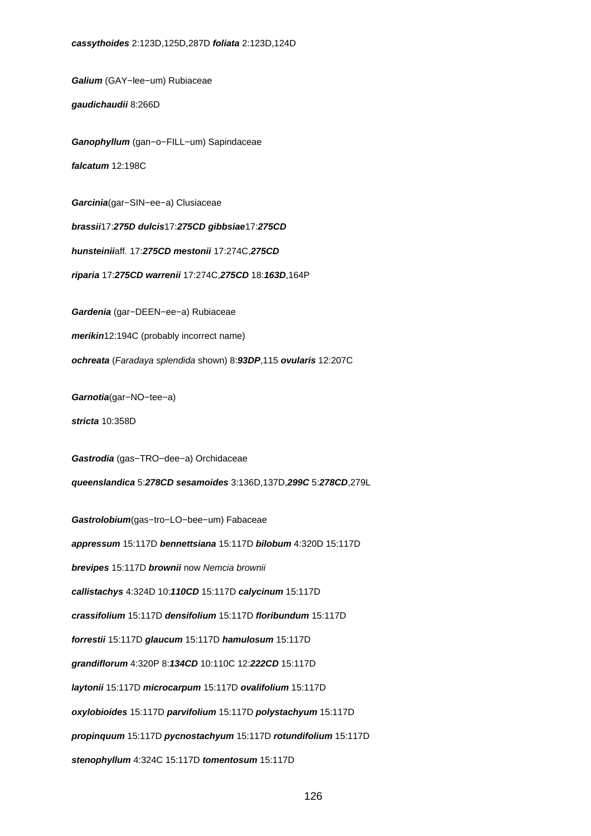**Galium** (GAY−lee−um) Rubiaceae

**gaudichaudii** 8:266D

**Ganophyllum** (gan−o−FILL−um) Sapindaceae **falcatum** 12:198C

**Garcinia**(gar−SIN−ee−a) Clusiaceae

**brassii**17:**275D dulcis**17:**275CD gibbsiae**17:**275CD**

**hunsteinii**aff. 17:**275CD mestonii** 17:274C,**275CD**

**riparia** 17:**275CD warrenii** 17:274C,**275CD** 18:**163D**,164P

**Gardenia** (gar−DEEN−ee−a) Rubiaceae

**merikin**12:194C (probably incorrect name)

**ochreata** (Faradaya splendida shown) 8:**93DP**,115 **ovularis** 12:207C

**Garnotia**(gar−NO−tee−a)

**stricta** 10:358D

**Gastrodia** (gas−TRO−dee−a) Orchidaceae **queenslandica** 5:**278CD sesamoides** 3:136D,137D,**299C** 5:**278CD**,279L

**Gastrolobium**(gas−tro−LO−bee−um) Fabaceae

**appressum** 15:117D **bennettsiana** 15:117D **bilobum** 4:320D 15:117D

**brevipes** 15:117D **brownii** now Nemcia brownii

**callistachys** 4:324D 10:**110CD** 15:117D **calycinum** 15:117D

**crassifolium** 15:117D **densifolium** 15:117D **floribundum** 15:117D

**forrestii** 15:117D **glaucum** 15:117D **hamulosum** 15:117D

**grandiflorum** 4:320P 8:**134CD** 10:110C 12:**222CD** 15:117D

**laytonii** 15:117D **microcarpum** 15:117D **ovalifolium** 15:117D

**oxylobioides** 15:117D **parvifolium** 15:117D **polystachyum** 15:117D

**propinquum** 15:117D **pycnostachyum** 15:117D **rotundifolium** 15:117D

**stenophyllum** 4:324C 15:117D **tomentosum** 15:117D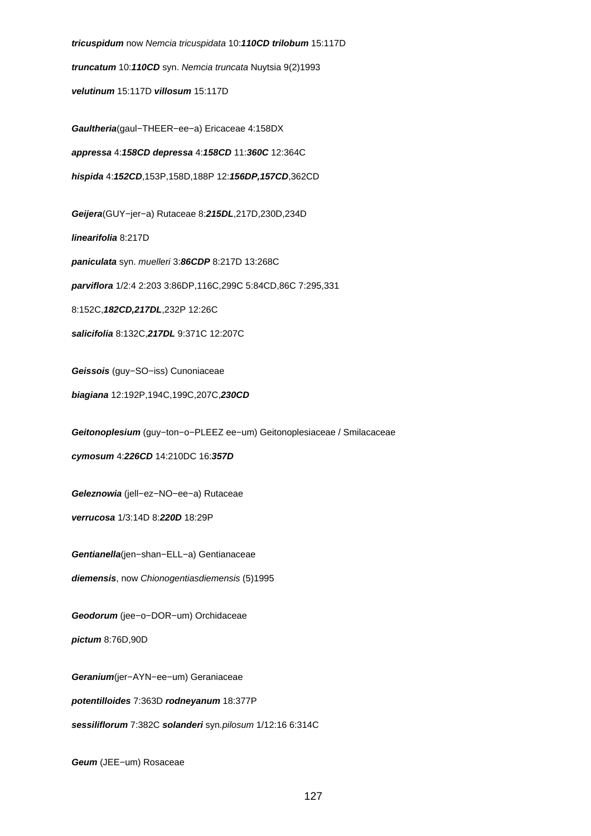**tricuspidum** now Nemcia tricuspidata 10:**110CD trilobum** 15:117D **truncatum** 10:**110CD** syn. Nemcia truncata Nuytsia 9(2)1993 **velutinum** 15:117D **villosum** 15:117D **Gaultheria**(gaul−THEER−ee−a) Ericaceae 4:158DX **appressa** 4:**158CD depressa** 4:**158CD** 11:**360C** 12:364C **hispida** 4:**152CD**,153P,158D,188P 12:**156DP,157CD**,362CD **Geijera**(GUY−jer−a) Rutaceae 8:**215DL**,217D,230D,234D **linearifolia** 8:217D **paniculata** syn. muelleri 3:**86CDP** 8:217D 13:268C **parviflora** 1/2:4 2:203 3:86DP,116C,299C 5:84CD,86C 7:295,331 8:152C,**182CD,217DL**,232P 12:26C **salicifolia** 8:132C,**217DL** 9:371C 12:207C **Geissois** (guy−SO−iss) Cunoniaceae **biagiana** 12:192P,194C,199C,207C,**230CD Geitonoplesium** (guy−ton−o−PLEEZ ee−um) Geitonoplesiaceae / Smilacaceae **cymosum** 4:**226CD** 14:210DC 16:**357D Geleznowia** (jell−ez−NO−ee−a) Rutaceae **verrucosa** 1/3:14D 8:**220D** 18:29P **Gentianella**(jen−shan−ELL−a) Gentianaceae **diemensis**, now Chionogentiasdiemensis (5)1995 **Geodorum** (jee−o−DOR−um) Orchidaceae **pictum** 8:76D,90D **Geranium**(jer−AYN−ee−um) Geraniaceae **potentilloides** 7:363D **rodneyanum** 18:377P **sessiliflorum** 7:382C **solanderi** syn.pilosum 1/12:16 6:314C

**Geum** (JEE−um) Rosaceae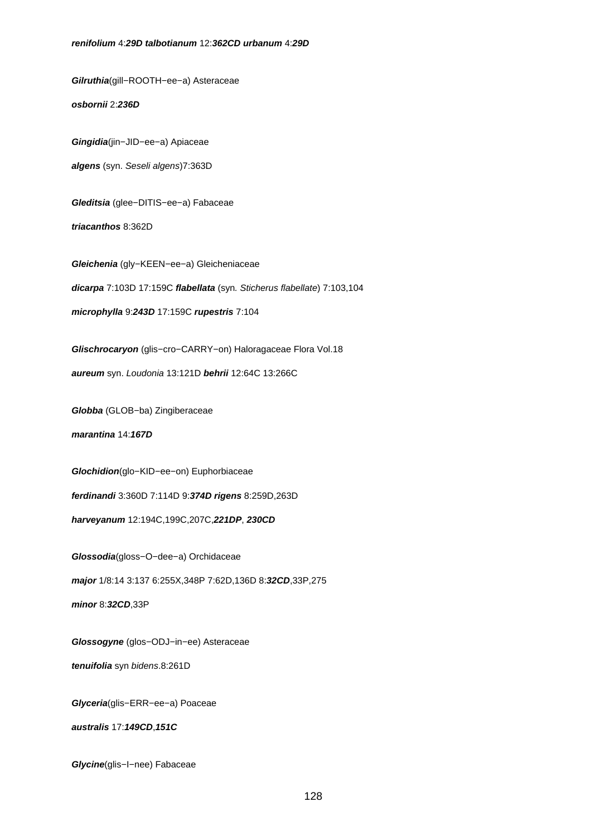**Gilruthia**(gill−ROOTH−ee−a) Asteraceae

**osbornii** 2:**236D**

**Gingidia**(jin−JID−ee−a) Apiaceae

**algens** (syn. Seseli algens)7:363D

**Gleditsia** (glee−DITIS−ee−a) Fabaceae

**triacanthos** 8:362D

**Gleichenia** (gly−KEEN−ee−a) Gleicheniaceae **dicarpa** 7:103D 17:159C **flabellata** (syn. Sticherus flabellate) 7:103,104

**microphylla** 9:**243D** 17:159C **rupestris** 7:104

**Glischrocaryon** (glis−cro−CARRY−on) Haloragaceae Flora Vol.18

**aureum** syn. Loudonia 13:121D **behrii** 12:64C 13:266C

**Globba** (GLOB−ba) Zingiberaceae

**marantina** 14:**167D**

**Glochidion**(glo−KID−ee−on) Euphorbiaceae

**ferdinandi** 3:360D 7:114D 9:**374D rigens** 8:259D,263D

**harveyanum** 12:194C,199C,207C,**221DP**, **230CD**

**Glossodia**(gloss−O−dee−a) Orchidaceae **major** 1/8:14 3:137 6:255X,348P 7:62D,136D 8:**32CD**,33P,275 **minor** 8:**32CD**,33P

**Glossogyne** (glos−ODJ−in−ee) Asteraceae

**tenuifolia** syn bidens.8:261D

**Glyceria**(glis−ERR−ee−a) Poaceae

**australis** 17:**149CD**,**151C**

**Glycine**(glis−I−nee) Fabaceae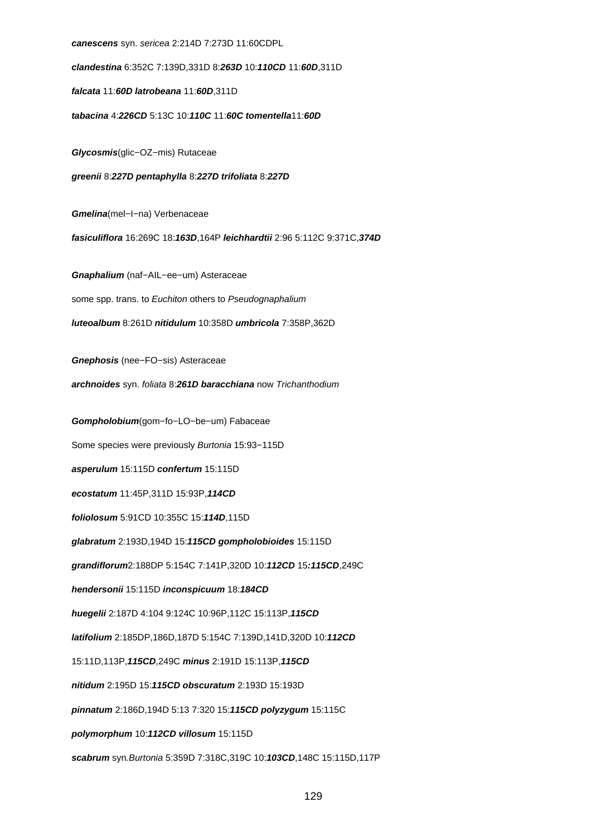**canescens** syn. sericea 2:214D 7:273D 11:60CDPL **clandestina** 6:352C 7:139D,331D 8:**263D** 10:**110CD** 11:**60D**,311D **falcata** 11:**60D latrobeana** 11:**60D**,311D **tabacina** 4:**226CD** 5:13C 10:**110C** 11:**60C tomentella**11:**60D Glycosmis**(glic−OZ−mis) Rutaceae **greenii** 8:**227D pentaphylla** 8:**227D trifoliata** 8:**227D Gmelina**(mel−I−na) Verbenaceae **fasiculiflora** 16:269C 18:**163D**,164P **leichhardtii** 2:96 5:112C 9:371C,**374D Gnaphalium** (naf−AIL−ee−um) Asteraceae some spp. trans. to Euchiton others to Pseudognaphalium **luteoalbum** 8:261D **nitidulum** 10:358D **umbricola** 7:358P,362D **Gnephosis** (nee−FO−sis) Asteraceae **archnoides** syn. foliata 8:**261D baracchiana** now Trichanthodium **Gompholobium**(gom−fo−LO−be−um) Fabaceae Some species were previously Burtonia 15:93−115D **asperulum** 15:115D **confertum** 15:115D **ecostatum** 11:45P,311D 15:93P,**114CD foliolosum** 5:91CD 10:355C 15:**114D**,115D **glabratum** 2:193D,194D 15:**115CD gompholobioides** 15:115D **grandiflorum**2:188DP 5:154C 7:141P,320D 10:**112CD** 15**:115CD**,249C **hendersonii** 15:115D **inconspicuum** 18:**184CD huegelii** 2:187D 4:104 9:124C 10:96P,112C 15:113P,**115CD latifolium** 2:185DP,186D,187D 5:154C 7:139D,141D,320D 10:**112CD** 15:11D,113P,**115CD**,249C **minus** 2:191D 15:113P,**115CD nitidum** 2:195D 15:**115CD obscuratum** 2:193D 15:193D **pinnatum** 2:186D,194D 5:13 7:320 15:**115CD polyzygum** 15:115C **polymorphum** 10:**112CD villosum** 15:115D **scabrum** syn.Burtonia 5:359D 7:318C,319C 10:**103CD**,148C 15:115D,117P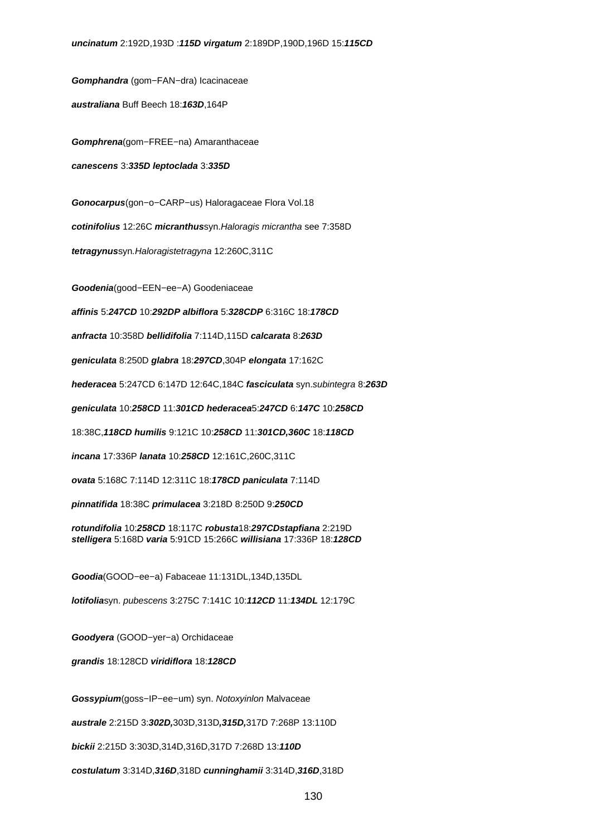**Gomphandra** (gom−FAN−dra) Icacinaceae

**australiana** Buff Beech 18:**163D**,164P

**Gomphrena**(gom−FREE−na) Amaranthaceae

**canescens** 3:**335D leptoclada** 3:**335D**

**Gonocarpus**(gon−o−CARP−us) Haloragaceae Flora Vol.18

**cotinifolius** 12:26C **micranthus**syn.Haloragis micrantha see 7:358D

**tetragynus**syn.Haloragistetragyna 12:260C,311C

**Goodenia**(good−EEN−ee−A) Goodeniaceae

**affinis** 5:**247CD** 10:**292DP albiflora** 5:**328CDP** 6:316C 18:**178CD**

**anfracta** 10:358D **bellidifolia** 7:114D,115D **calcarata** 8:**263D**

**geniculata** 8:250D **glabra** 18:**297CD**,304P **elongata** 17:162C

**hederacea** 5:247CD 6:147D 12:64C,184C **fasciculata** syn.subintegra 8:**263D**

**geniculata** 10:**258CD** 11:**301CD hederacea**5:**247CD** 6:**147C** 10:**258CD**

18:38C,**118CD humilis** 9:121C 10:**258CD** 11:**301CD,360C** 18:**118CD**

**incana** 17:336P **lanata** 10:**258CD** 12:161C,260C,311C

**ovata** 5:168C 7:114D 12:311C 18:**178CD paniculata** 7:114D

**pinnatifida** 18:38C **primulacea** 3:218D 8:250D 9:**250CD**

**rotundifolia** 10:**258CD** 18:117C **robusta**18:**297CDstapfiana** 2:219D **stelligera** 5:168D **varia** 5:91CD 15:266C **willisiana** 17:336P 18:**128CD**

**Goodia**(GOOD−ee−a) Fabaceae 11:131DL,134D,135DL

**lotifolia**syn. pubescens 3:275C 7:141C 10:**112CD** 11:**134DL** 12:179C

**Goodyera** (GOOD−yer−a) Orchidaceae

**grandis** 18:128CD **viridiflora** 18:**128CD**

**Gossypium**(goss−IP−ee−um) syn. Notoxyinlon Malvaceae

**australe** 2:215D 3:**302D,**303D,313D**,315D,**317D 7:268P 13:110D

**bickii** 2:215D 3:303D,314D,316D,317D 7:268D 13:**110D**

**costulatum** 3:314D,**316D**,318D **cunninghamii** 3:314D,**316D**,318D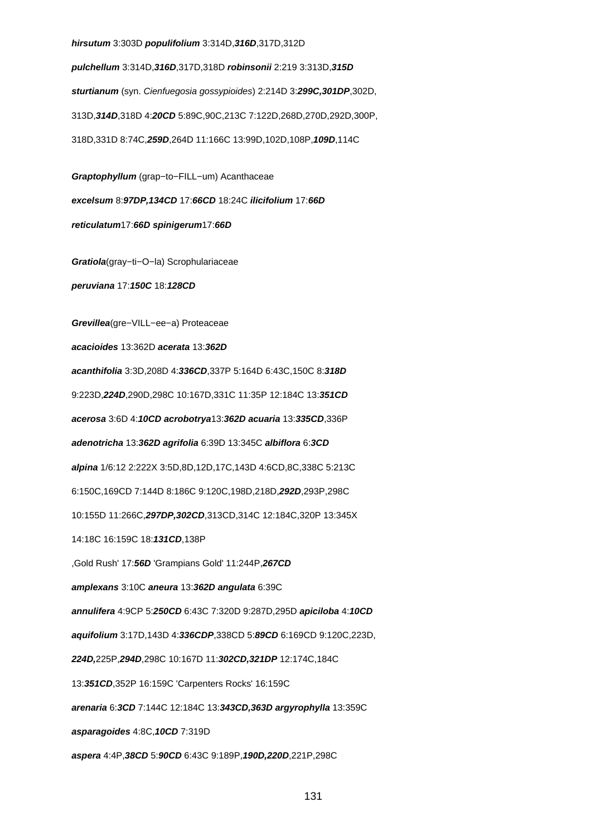#### **hirsutum** 3:303D **populifolium** 3:314D,**316D**,317D,312D

**pulchellum** 3:314D,**316D**,317D,318D **robinsonii** 2:219 3:313D,**315D sturtianum** (syn. Cienfuegosia gossypioides) 2:214D 3:**299C,301DP**,302D, 313D,**314D**,318D 4:**20CD** 5:89C,90C,213C 7:122D,268D,270D,292D,300P, 318D,331D 8:74C,**259D**,264D 11:166C 13:99D,102D,108P,**109D**,114C

**Graptophyllum** (grap−to−FILL−um) Acanthaceae **excelsum** 8:**97DP,134CD** 17:**66CD** 18:24C **ilicifolium** 17:**66D reticulatum**17:**66D spinigerum**17:**66D**

**Gratiola**(gray−ti−O−la) Scrophulariaceae

**peruviana** 17:**150C** 18:**128CD**

**Grevillea**(gre−VILL−ee−a) Proteaceae **acacioides** 13:362D **acerata** 13:**362D acanthifolia** 3:3D,208D 4:**336CD**,337P 5:164D 6:43C,150C 8:**318D** 9:223D,**224D**,290D,298C 10:167D,331C 11:35P 12:184C 13:**351CD acerosa** 3:6D 4:**10CD acrobotrya**13:**362D acuaria** 13:**335CD**,336P **adenotricha** 13:**362D agrifolia** 6:39D 13:345C **albiflora** 6:**3CD alpina** 1/6:12 2:222X 3:5D,8D,12D,17C,143D 4:6CD,8C,338C 5:213C 6:150C,169CD 7:144D 8:186C 9:120C,198D,218D,**292D**,293P,298C 10:155D 11:266C,**297DP,302CD**,313CD,314C 12:184C,320P 13:345X 14:18C 16:159C 18:**131CD**,138P ,Gold Rush' 17:**56D** 'Grampians Gold' 11:244P,**267CD amplexans** 3:10C **aneura** 13:**362D angulata** 6:39C **annulifera** 4:9CP 5:**250CD** 6:43C 7:320D 9:287D,295D **apiciloba** 4:**10CD aquifolium** 3:17D,143D 4:**336CDP**,338CD 5:**89CD** 6:169CD 9:120C,223D, **224D,**225P,**294D**,298C 10:167D 11:**302CD,321DP** 12:174C,184C 13:**351CD**,352P 16:159C 'Carpenters Rocks' 16:159C **arenaria** 6:**3CD** 7:144C 12:184C 13:**343CD,363D argyrophylla** 13:359C **asparagoides** 4:8C,**10CD** 7:319D **aspera** 4:4P,**38CD** 5:**90CD** 6:43C 9:189P,**190D,220D**,221P,298C

131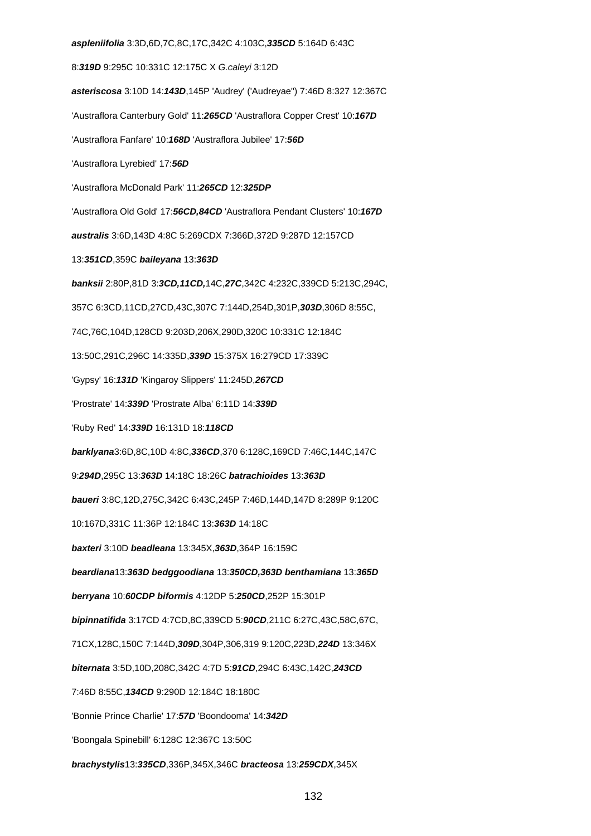**aspleniifolia** 3:3D,6D,7C,8C,17C,342C 4:103C,**335CD** 5:164D 6:43C 8:**319D** 9:295C 10:331C 12:175C X G.caleyi 3:12D **asteriscosa** 3:10D 14:**143D**,145P 'Audrey' ('Audreyae") 7:46D 8:327 12:367C 'Austraflora Canterbury Gold' 11:**265CD** 'Austraflora Copper Crest' 10:**167D** 'Austraflora Fanfare' 10:**168D** 'Austraflora Jubilee' 17:**56D** 'Austraflora Lyrebied' 17:**56D** 'Austraflora McDonald Park' 11:**265CD** 12:**325DP** 'Austraflora Old Gold' 17:**56CD,84CD** 'Austraflora Pendant Clusters' 10:**167D australis** 3:6D,143D 4:8C 5:269CDX 7:366D,372D 9:287D 12:157CD 13:**351CD**,359C **baileyana** 13:**363D banksii** 2:80P,81D 3:**3CD,11CD,**14C,**27C**,342C 4:232C,339CD 5:213C,294C, 357C 6:3CD,11CD,27CD,43C,307C 7:144D,254D,301P,**303D**,306D 8:55C, 74C,76C,104D,128CD 9:203D,206X,290D,320C 10:331C 12:184C 13:50C,291C,296C 14:335D,**339D** 15:375X 16:279CD 17:339C 'Gypsy' 16:**131D** 'Kingaroy Slippers' 11:245D,**267CD** 'Prostrate' 14:**339D** 'Prostrate Alba' 6:11D 14:**339D** 'Ruby Red' 14:**339D** 16:131D 18:**118CD barklyana**3:6D,8C,10D 4:8C,**336CD**,370 6:128C,169CD 7:46C,144C,147C 9:**294D**,295C 13:**363D** 14:18C 18:26C **batrachioides** 13:**363D baueri** 3:8C,12D,275C,342C 6:43C,245P 7:46D,144D,147D 8:289P 9:120C 10:167D,331C 11:36P 12:184C 13:**363D** 14:18C **baxteri** 3:10D **beadleana** 13:345X,**363D**,364P 16:159C **beardiana**13:**363D bedggoodiana** 13:**350CD,363D benthamiana** 13:**365D berryana** 10:**60CDP biformis** 4:12DP 5:**250CD**,252P 15:301P **bipinnatifida** 3:17CD 4:7CD,8C,339CD 5:**90CD**,211C 6:27C,43C,58C,67C, 71CX,128C,150C 7:144D,**309D**,304P,306,319 9:120C,223D,**224D** 13:346X **biternata** 3:5D,10D,208C,342C 4:7D 5:**91CD**,294C 6:43C,142C,**243CD** 7:46D 8:55C,**134CD** 9:290D 12:184C 18:180C 'Bonnie Prince Charlie' 17:**57D** 'Boondooma' 14:**342D** 'Boongala Spinebill' 6:128C 12:367C 13:50C **brachystylis**13:**335CD**,336P,345X,346C **bracteosa** 13:**259CDX**,345X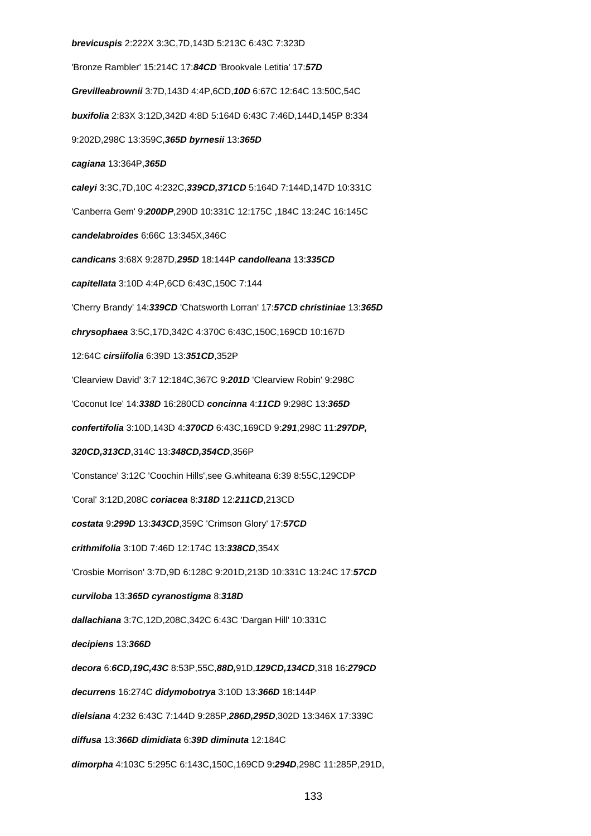**brevicuspis** 2:222X 3:3C,7D,143D 5:213C 6:43C 7:323D 'Bronze Rambler' 15:214C 17:**84CD** 'Brookvale Letitia' 17:**57D Grevilleabrownii** 3:7D,143D 4:4P,6CD,**10D** 6:67C 12:64C 13:50C,54C **buxifolia** 2:83X 3:12D,342D 4:8D 5:164D 6:43C 7:46D,144D,145P 8:334 9:202D,298C 13:359C,**365D byrnesii** 13:**365D cagiana** 13:364P,**365D caleyi** 3:3C,7D,10C 4:232C,**339CD,371CD** 5:164D 7:144D,147D 10:331C 'Canberra Gem' 9:**200DP**,290D 10:331C 12:175C ,184C 13:24C 16:145C **candelabroides** 6:66C 13:345X,346C **candicans** 3:68X 9:287D,**295D** 18:144P **candolleana** 13:**335CD capitellata** 3:10D 4:4P,6CD 6:43C,150C 7:144 'Cherry Brandy' 14:**339CD** 'Chatsworth Lorran' 17:**57CD christiniae** 13:**365D chrysophaea** 3:5C,17D,342C 4:370C 6:43C,150C,169CD 10:167D 12:64C **cirsiifolia** 6:39D 13:**351CD**,352P 'Clearview David' 3:7 12:184C,367C 9:**201D** 'Clearview Robin' 9:298C 'Coconut Ice' 14:**338D** 16:280CD **concinna** 4:**11CD** 9:298C 13:**365D confertifolia** 3:10D,143D 4:**370CD** 6:43C,169CD 9:**291**,298C 11:**297DP, 320CD,313CD**,314C 13:**348CD,354CD**,356P 'Constance' 3:12C 'Coochin Hills',see G.whiteana 6:39 8:55C,129CDP 'Coral' 3:12D,208C **coriacea** 8:**318D** 12:**211CD**,213CD **costata** 9:**299D** 13:**343CD**,359C 'Crimson Glory' 17:**57CD crithmifolia** 3:10D 7:46D 12:174C 13:**338CD**,354X 'Crosbie Morrison' 3:7D,9D 6:128C 9:201D,213D 10:331C 13:24C 17:**57CD curviloba** 13:**365D cyranostigma** 8:**318D dallachiana** 3:7C,12D,208C,342C 6:43C 'Dargan Hill' 10:331C **decipiens** 13:**366D decora** 6:**6CD,19C,43C** 8:53P,55C,**88D,**91D,**129CD,134CD**,318 16:**279CD decurrens** 16:274C **didymobotrya** 3:10D 13:**366D** 18:144P **dielsiana** 4:232 6:43C 7:144D 9:285P,**286D,295D**,302D 13:346X 17:339C **diffusa** 13:**366D dimidiata** 6:**39D diminuta** 12:184C **dimorpha** 4:103C 5:295C 6:143C,150C,169CD 9:**294D**,298C 11:285P,291D,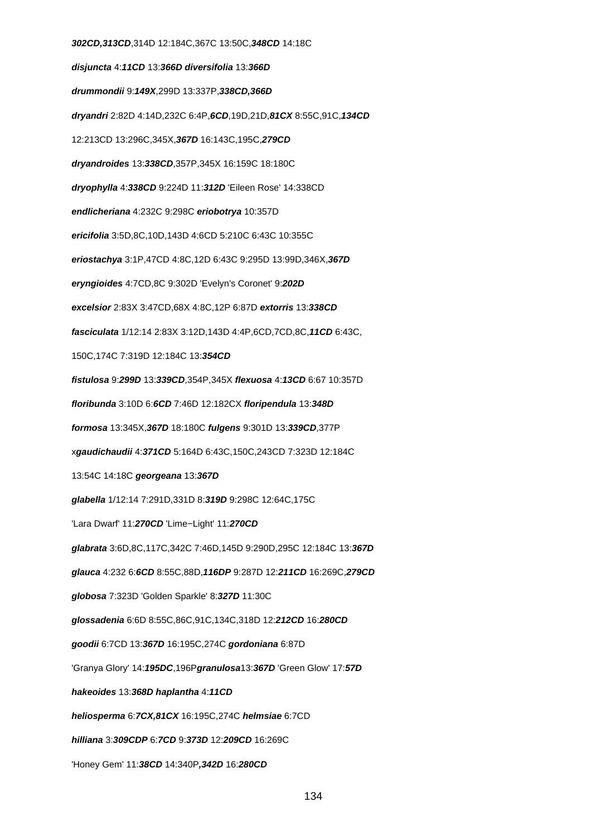**302CD,313CD**,314D 12:184C,367C 13:50C,**348CD** 14:18C **disjuncta** 4:**11CD** 13:**366D diversifolia** 13:**366D drummondii** 9:**149X**,299D 13:337P,**338CD,366D dryandri** 2:82D 4:14D,232C 6:4P,**6CD**,19D,21D,**81CX** 8:55C,91C,**134CD** 12:213CD 13:296C,345X,**367D** 16:143C,195C,**279CD dryandroides** 13:**338CD**,357P,345X 16:159C 18:180C **dryophylla** 4:**338CD** 9:224D 11:**312D** 'Eileen Rose' 14:338CD **endlicheriana** 4:232C 9:298C **eriobotrya** 10:357D **ericifolia** 3:5D,8C,10D,143D 4:6CD 5:210C 6:43C 10:355C **eriostachya** 3:1P,47CD 4:8C,12D 6:43C 9:295D 13:99D,346X,**367D eryngioides** 4:7CD,8C 9:302D 'Evelyn's Coronet' 9:**202D excelsior** 2:83X 3:47CD,68X 4:8C,12P 6:87D **extorris** 13:**338CD fasciculata** 1/12:14 2:83X 3:12D,143D 4:4P,6CD,7CD,8C,**11CD** 6:43C, 150C,174C 7:319D 12:184C 13:**354CD fistulosa** 9:**299D** 13:**339CD**,354P,345X **flexuosa** 4:**13CD** 6:67 10:357D **floribunda** 3:10D 6:**6CD** 7:46D 12:182CX **floripendula** 13:**348D formosa** 13:345X,**367D** 18:180C **fulgens** 9:301D 13:**339CD**,377P x**gaudichaudii** 4:**371CD** 5:164D 6:43C,150C,243CD 7:323D 12:184C 13:54C 14:18C **georgeana** 13:**367D glabella** 1/12:14 7:291D,331D 8:**319D** 9:298C 12:64C,175C 'Lara Dwarf' 11:**270CD** 'Lime−Light' 11:**270CD glabrata** 3:6D,8C,117C,342C 7:46D,145D 9:290D,295C 12:184C 13:**367D glauca** 4:232 6:**6CD** 8:55C,88D,**116DP** 9:287D 12:**211CD** 16:269C,**279CD globosa** 7:323D 'Golden Sparkle' 8:**327D** 11:30C **glossadenia** 6:6D 8:55C,86C,91C,134C,318D 12:**212CD** 16:**280CD goodii** 6:7CD 13:**367D** 16:195C,274C **gordoniana** 6:87D 'Granya Glory' 14:**195DC**,196P**granulosa**13:**367D** 'Green Glow' 17:**57D hakeoides** 13:**368D haplantha** 4:**11CD heliosperma** 6:**7CX,81CX** 16:195C,274C **helmsiae** 6:7CD **hilliana** 3:**309CDP** 6:**7CD** 9:**373D** 12:**209CD** 16:269C 'Honey Gem' 11:**38CD** 14:340P**,342D** 16:**280CD**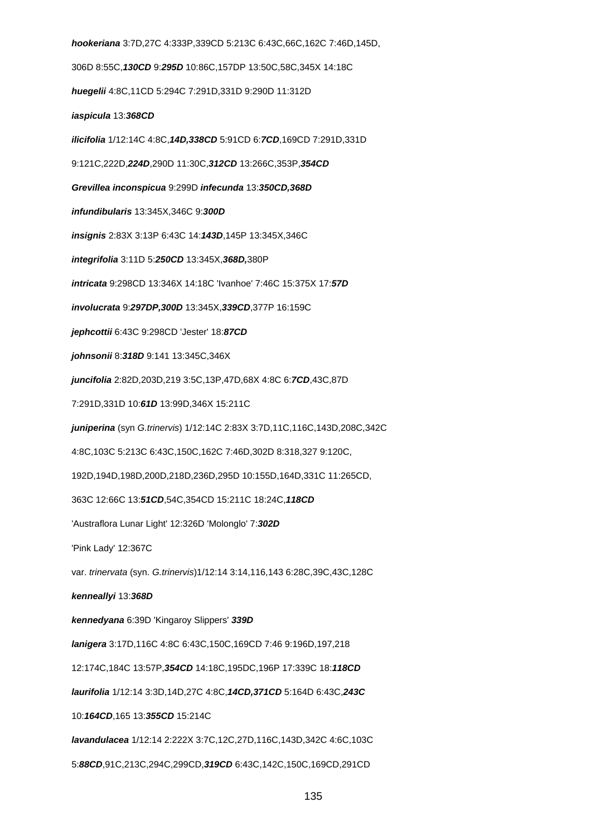**hookeriana** 3:7D,27C 4:333P,339CD 5:213C 6:43C,66C,162C 7:46D,145D, 306D 8:55C,**130CD** 9:**295D** 10:86C,157DP 13:50C,58C,345X 14:18C **huegelii** 4:8C,11CD 5:294C 7:291D,331D 9:290D 11:312D **iaspicula** 13:**368CD ilicifolia** 1/12:14C 4:8C,**14D,338CD** 5:91CD 6:**7CD**,169CD 7:291D,331D 9:121C,222D,**224D**,290D 11:30C,**312CD** 13:266C,353P,**354CD Grevillea inconspicua** 9:299D **infecunda** 13:**350CD,368D infundibularis** 13:345X,346C 9:**300D insignis** 2:83X 3:13P 6:43C 14:**143D**,145P 13:345X,346C **integrifolia** 3:11D 5:**250CD** 13:345X,**368D,**380P **intricata** 9:298CD 13:346X 14:18C 'Ivanhoe' 7:46C 15:375X 17:**57D involucrata** 9:**297DP,300D** 13:345X,**339CD**,377P 16:159C **jephcottii** 6:43C 9:298CD 'Jester' 18:**87CD johnsonii** 8:**318D** 9:141 13:345C,346X **juncifolia** 2:82D,203D,219 3:5C,13P,47D,68X 4:8C 6:**7CD**,43C,87D 7:291D,331D 10:**61D** 13:99D,346X 15:211C **juniperina** (syn G.trinervis) 1/12:14C 2:83X 3:7D,11C,116C,143D,208C,342C 4:8C,103C 5:213C 6:43C,150C,162C 7:46D,302D 8:318,327 9:120C, 192D,194D,198D,200D,218D,236D,295D 10:155D,164D,331C 11:265CD, 363C 12:66C 13:**51CD**,54C,354CD 15:211C 18:24C,**118CD** 'Austraflora Lunar Light' 12:326D 'Molonglo' 7:**302D** 'Pink Lady' 12:367C var. trinervata (syn. G.trinervis)1/12:14 3:14,116,143 6:28C,39C,43C,128C **kenneallyi** 13:**368D kennedyana** 6:39D 'Kingaroy Slippers' **339D lanigera** 3:17D,116C 4:8C 6:43C,150C,169CD 7:46 9:196D,197,218 12:174C,184C 13:57P,**354CD** 14:18C,195DC,196P 17:339C 18:**118CD laurifolia** 1/12:14 3:3D,14D,27C 4:8C,**14CD,371CD** 5:164D 6:43C,**243C** 10:**164CD**,165 13:**355CD** 15:214C **lavandulacea** 1/12:14 2:222X 3:7C,12C,27D,116C,143D,342C 4:6C,103C 5:**88CD**,91C,213C,294C,299CD,**319CD** 6:43C,142C,150C,169CD,291CD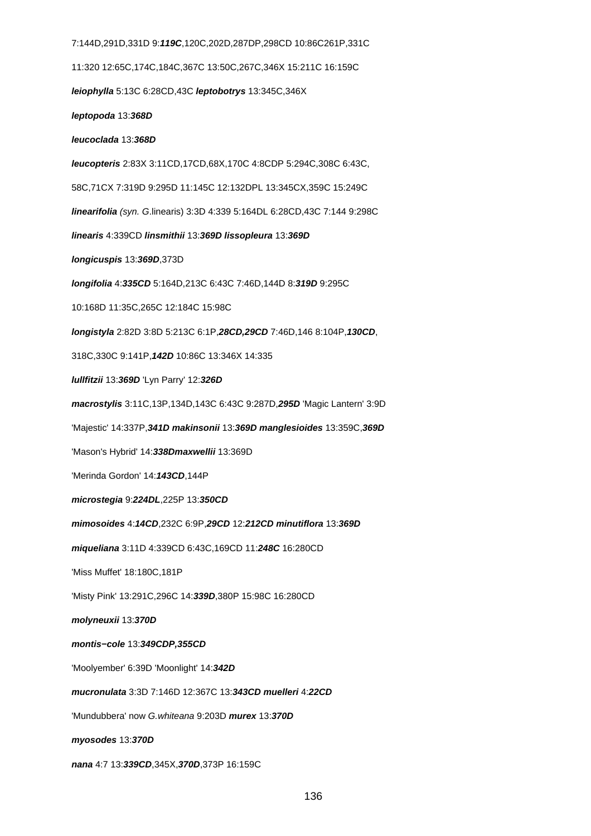7:144D,291D,331D 9:**119C**,120C,202D,287DP,298CD 10:86C261P,331C 11:320 12:65C,174C,184C,367C 13:50C,267C,346X 15:211C 16:159C **leiophylla** 5:13C 6:28CD,43C **leptobotrys** 13:345C,346X **leptopoda** 13:**368D leucoclada** 13:**368D leucopteris** 2:83X 3:11CD,17CD,68X,170C 4:8CDP 5:294C,308C 6:43C, 58C,71CX 7:319D 9:295D 11:145C 12:132DPL 13:345CX,359C 15:249C **linearifolia** (syn. G.linearis) 3:3D 4:339 5:164DL 6:28CD,43C 7:144 9:298C **linearis** 4:339CD **linsmithii** 13:**369D lissopleura** 13:**369D longicuspis** 13:**369D**,373D **longifolia** 4:**335CD** 5:164D,213C 6:43C 7:46D,144D 8:**319D** 9:295C 10:168D 11:35C,265C 12:184C 15:98C **longistyla** 2:82D 3:8D 5:213C 6:1P,**28CD,29CD** 7:46D,146 8:104P,**130CD**, 318C,330C 9:141P,**142D** 10:86C 13:346X 14:335 **lullfitzii** 13:**369D** 'Lyn Parry' 12:**326D macrostylis** 3:11C,13P,134D,143C 6:43C 9:287D,**295D** 'Magic Lantern' 3:9D 'Majestic' 14:337P,**341D makinsonii** 13:**369D manglesioides** 13:359C,**369D** 'Mason's Hybrid' 14:**338Dmaxwellii** 13:369D 'Merinda Gordon' 14:**143CD**,144P **microstegia** 9:**224DL**,225P 13:**350CD mimosoides** 4:**14CD**,232C 6:9P,**29CD** 12:**212CD minutiflora** 13:**369D miqueliana** 3:11D 4:339CD 6:43C,169CD 11:**248C** 16:280CD 'Miss Muffet' 18:180C,181P 'Misty Pink' 13:291C,296C 14:**339D**,380P 15:98C 16:280CD **molyneuxii** 13:**370D montis−cole** 13:**349CDP,355CD** 'Moolyember' 6:39D 'Moonlight' 14:**342D mucronulata** 3:3D 7:146D 12:367C 13:**343CD muelleri** 4:**22CD** 'Mundubbera' now G.whiteana 9:203D **murex** 13:**370D myosodes** 13:**370D nana** 4:7 13:**339CD**,345X,**370D**,373P 16:159C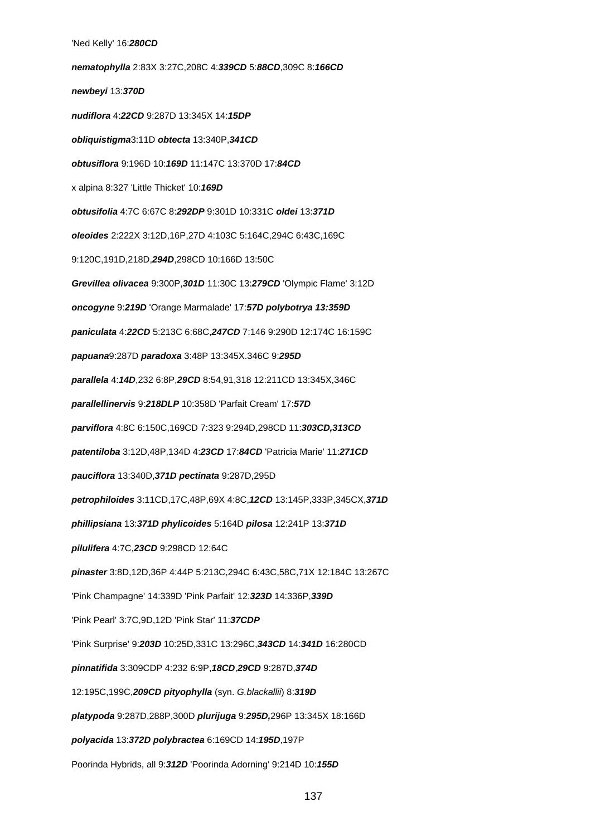'Ned Kelly' 16:**280CD nematophylla** 2:83X 3:27C,208C 4:**339CD** 5:**88CD**,309C 8:**166CD newbeyi** 13:**370D nudiflora** 4:**22CD** 9:287D 13:345X 14:**15DP obliquistigma**3:11D **obtecta** 13:340P,**341CD obtusiflora** 9:196D 10:**169D** 11:147C 13:370D 17:**84CD** x alpina 8:327 'Little Thicket' 10:**169D obtusifolia** 4:7C 6:67C 8:**292DP** 9:301D 10:331C **oldei** 13:**371D oleoides** 2:222X 3:12D,16P,27D 4:103C 5:164C,294C 6:43C,169C 9:120C,191D,218D,**294D**,298CD 10:166D 13:50C **Grevillea olivacea** 9:300P,**301D** 11:30C 13:**279CD** 'Olympic Flame' 3:12D **oncogyne** 9:**219D** 'Orange Marmalade' 17:**57D polybotrya 13:359D paniculata** 4:**22CD** 5:213C 6:68C,**247CD** 7:146 9:290D 12:174C 16:159C **papuana**9:287D **paradoxa** 3:48P 13:345X.346C 9:**295D parallela** 4:**14D**,232 6:8P,**29CD** 8:54,91,318 12:211CD 13:345X,346C **parallellinervis** 9:**218DLP** 10:358D 'Parfait Cream' 17:**57D parviflora** 4:8C 6:150C,169CD 7:323 9:294D,298CD 11:**303CD,313CD patentiloba** 3:12D,48P,134D 4:**23CD** 17:**84CD** 'Patricia Marie' 11:**271CD pauciflora** 13:340D,**371D pectinata** 9:287D,295D **petrophiloides** 3:11CD,17C,48P,69X 4:8C,**12CD** 13:145P,333P,345CX,**371D phillipsiana** 13:**371D phylicoides** 5:164D **pilosa** 12:241P 13:**371D pilulifera** 4:7C,**23CD** 9:298CD 12:64C **pinaster** 3:8D,12D,36P 4:44P 5:213C,294C 6:43C,58C,71X 12:184C 13:267C 'Pink Champagne' 14:339D 'Pink Parfait' 12:**323D** 14:336P,**339D** 'Pink Pearl' 3:7C,9D,12D 'Pink Star' 11:**37CDP** 'Pink Surprise' 9:**203D** 10:25D,331C 13:296C,**343CD** 14:**341D** 16:280CD **pinnatifida** 3:309CDP 4:232 6:9P,**18CD**,**29CD** 9:287D,**374D** 12:195C,199C,**209CD pityophylla** (syn. G.blackallii) 8:**319D platypoda** 9:287D,288P,300D **plurijuga** 9:**295D,**296P 13:345X 18:166D **polyacida** 13:**372D polybractea** 6:169CD 14:**195D**,197P Poorinda Hybrids, all 9:**312D** 'Poorinda Adorning' 9:214D 10:**155D**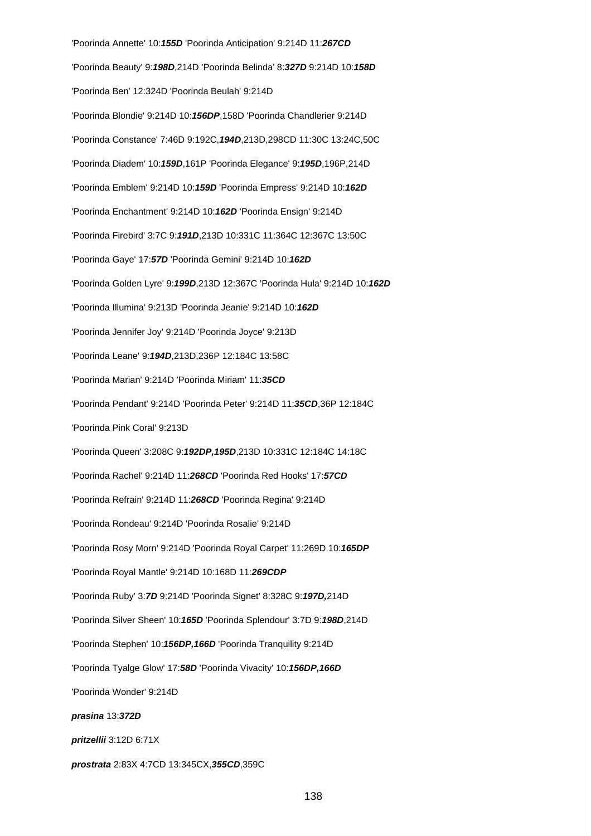'Poorinda Annette' 10:**155D** 'Poorinda Anticipation' 9:214D 11:**267CD** 'Poorinda Beauty' 9:**198D**,214D 'Poorinda Belinda' 8:**327D** 9:214D 10:**158D** 'Poorinda Ben' 12:324D 'Poorinda Beulah' 9:214D 'Poorinda Blondie' 9:214D 10:**156DP**,158D 'Poorinda Chandlerier 9:214D 'Poorinda Constance' 7:46D 9:192C,**194D**,213D,298CD 11:30C 13:24C,50C 'Poorinda Diadem' 10:**159D**,161P 'Poorinda Elegance' 9:**195D**,196P,214D 'Poorinda Emblem' 9:214D 10:**159D** 'Poorinda Empress' 9:214D 10:**162D** 'Poorinda Enchantment' 9:214D 10:**162D** 'Poorinda Ensign' 9:214D 'Poorinda Firebird' 3:7C 9:**191D**,213D 10:331C 11:364C 12:367C 13:50C 'Poorinda Gaye' 17:**57D** 'Poorinda Gemini' 9:214D 10:**162D** 'Poorinda Golden Lyre' 9:**199D**,213D 12:367C 'Poorinda Hula' 9:214D 10:**162D** 'Poorinda Illumina' 9:213D 'Poorinda Jeanie' 9:214D 10:**162D** 'Poorinda Jennifer Joy' 9:214D 'Poorinda Joyce' 9:213D 'Poorinda Leane' 9:**194D**,213D,236P 12:184C 13:58C 'Poorinda Marian' 9:214D 'Poorinda Miriam' 11:**35CD** 'Poorinda Pendant' 9:214D 'Poorinda Peter' 9:214D 11:**35CD**,36P 12:184C 'Poorinda Pink Coral' 9:213D 'Poorinda Queen' 3:208C 9:**192DP,195D**,213D 10:331C 12:184C 14:18C 'Poorinda Rachel' 9:214D 11:**268CD** 'Poorinda Red Hooks' 17:**57CD** 'Poorinda Refrain' 9:214D 11:**268CD** 'Poorinda Regina' 9:214D 'Poorinda Rondeau' 9:214D 'Poorinda Rosalie' 9:214D 'Poorinda Rosy Morn' 9:214D 'Poorinda Royal Carpet' 11:269D 10:**165DP** 'Poorinda Royal Mantle' 9:214D 10:168D 11:**269CDP** 'Poorinda Ruby' 3:**7D** 9:214D 'Poorinda Signet' 8:328C 9:**197D,**214D 'Poorinda Silver Sheen' 10:**165D** 'Poorinda Splendour' 3:7D 9:**198D**,214D 'Poorinda Stephen' 10:**156DP,166D** 'Poorinda Tranquility 9:214D 'Poorinda Tyalge Glow' 17:**58D** 'Poorinda Vivacity' 10:**156DP,166D** 'Poorinda Wonder' 9:214D **prasina** 13:**372D pritzellii** 3:12D 6:71X **prostrata** 2:83X 4:7CD 13:345CX,**355CD**,359C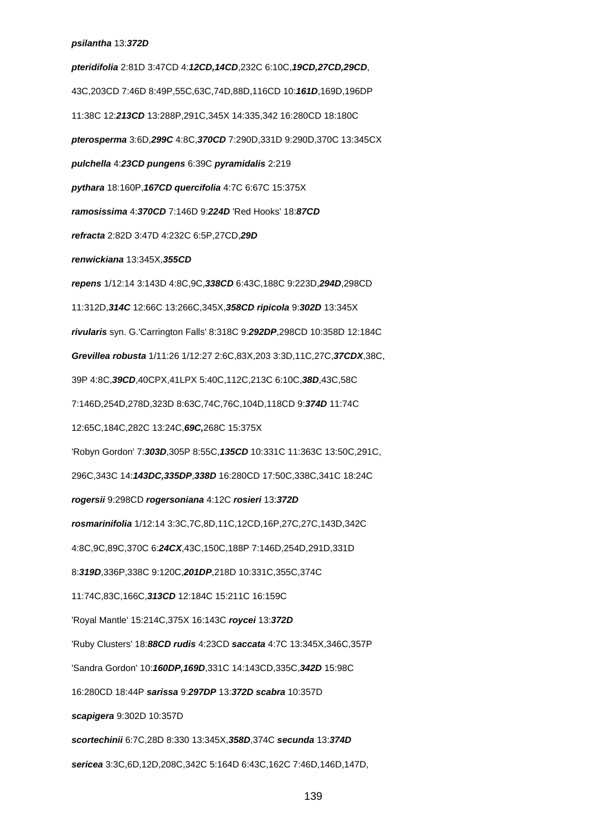# **psilantha** 13:**372D**

**pteridifolia** 2:81D 3:47CD 4:**12CD,14CD**,232C 6:10C,**19CD,27CD,29CD**, 43C,203CD 7:46D 8:49P,55C,63C,74D,88D,116CD 10:**161D**,169D,196DP 11:38C 12:**213CD** 13:288P,291C,345X 14:335,342 16:280CD 18:180C **pterosperma** 3:6D,**299C** 4:8C,**370CD** 7:290D,331D 9:290D,370C 13:345CX **pulchella** 4:**23CD pungens** 6:39C **pyramidalis** 2:219 **pythara** 18:160P,**167CD quercifolia** 4:7C 6:67C 15:375X **ramosissima** 4:**370CD** 7:146D 9:**224D** 'Red Hooks' 18:**87CD refracta** 2:82D 3:47D 4:232C 6:5P,27CD,**29D renwickiana** 13:345X,**355CD repens** 1/12:14 3:143D 4:8C,9C,**338CD** 6:43C,188C 9:223D,**294D**,298CD 11:312D,**314C** 12:66C 13:266C,345X,**358CD ripicola** 9:**302D** 13:345X **rivularis** syn. G.'Carrington Falls' 8:318C 9:**292DP**,298CD 10:358D 12:184C **Grevillea robusta** 1/11:26 1/12:27 2:6C,83X,203 3:3D,11C,27C,**37CDX**,38C, 39P 4:8C,**39CD**,40CPX,41LPX 5:40C,112C,213C 6:10C,**38D**,43C,58C 7:146D,254D,278D,323D 8:63C,74C,76C,104D,118CD 9:**374D** 11:74C 12:65C,184C,282C 13:24C,**69C,**268C 15:375X 'Robyn Gordon' 7:**303D**,305P 8:55C,**135CD** 10:331C 11:363C 13:50C,291C, 296C,343C 14:**143DC,335DP**,**338D** 16:280CD 17:50C,338C,341C 18:24C **rogersii** 9:298CD **rogersoniana** 4:12C **rosieri** 13:**372D rosmarinifolia** 1/12:14 3:3C,7C,8D,11C,12CD,16P,27C,27C,143D,342C 4:8C,9C,89C,370C 6:**24CX**,43C,150C,188P 7:146D,254D,291D,331D 8:**319D**,336P,338C 9:120C,**201DP**,218D 10:331C,355C,374C 11:74C,83C,166C,**313CD** 12:184C 15:211C 16:159C 'Royal Mantle' 15:214C,375X 16:143C **roycei** 13:**372D** 'Ruby Clusters' 18:**88CD rudis** 4:23CD **saccata** 4:7C 13:345X,346C,357P 'Sandra Gordon' 10:**160DP,169D**,331C 14:143CD,335C,**342D** 15:98C 16:280CD 18:44P **sarissa** 9:**297DP** 13:**372D scabra** 10:357D **scapigera** 9:302D 10:357D **scortechinii** 6:7C,28D 8:330 13:345X,**358D**,374C **secunda** 13:**374D sericea** 3:3C,6D,12D,208C,342C 5:164D 6:43C,162C 7:46D,146D,147D,

139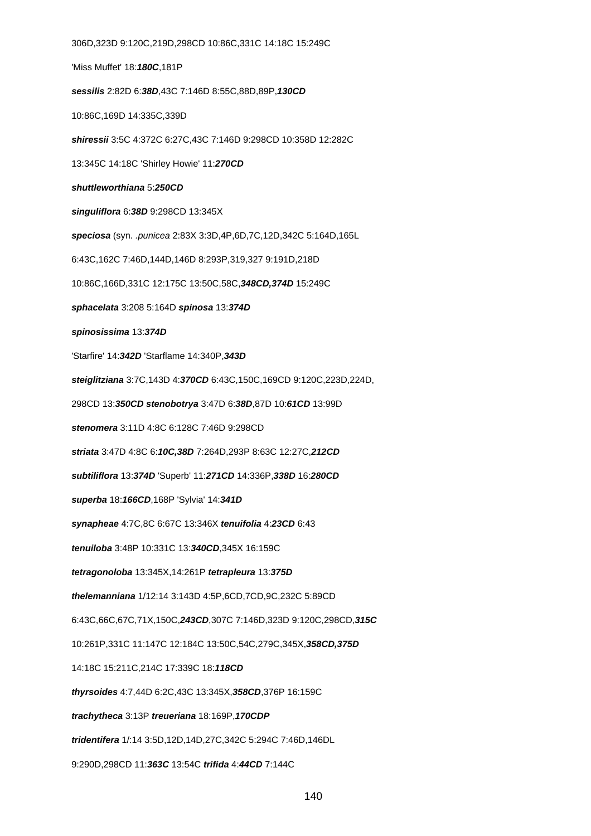306D,323D 9:120C,219D,298CD 10:86C,331C 14:18C 15:249C 'Miss Muffet' 18:**180C**,181P **sessilis** 2:82D 6:**38D**,43C 7:146D 8:55C,88D,89P,**130CD** 10:86C,169D 14:335C,339D **shiressii** 3:5C 4:372C 6:27C,43C 7:146D 9:298CD 10:358D 12:282C 13:345C 14:18C 'Shirley Howie' 11:**270CD shuttleworthiana** 5:**250CD singuliflora** 6:**38D** 9:298CD 13:345X **speciosa** (syn. .punicea 2:83X 3:3D,4P,6D,7C,12D,342C 5:164D,165L 6:43C,162C 7:46D,144D,146D 8:293P,319,327 9:191D,218D 10:86C,166D,331C 12:175C 13:50C,58C,**348CD,374D** 15:249C **sphacelata** 3:208 5:164D **spinosa** 13:**374D spinosissima** 13:**374D** 'Starfire' 14:**342D** 'Starflame 14:340P,**343D steiglitziana** 3:7C,143D 4:**370CD** 6:43C,150C,169CD 9:120C,223D,224D, 298CD 13:**350CD stenobotrya** 3:47D 6:**38D**,87D 10:**61CD** 13:99D **stenomera** 3:11D 4:8C 6:128C 7:46D 9:298CD **striata** 3:47D 4:8C 6:**10C,38D** 7:264D,293P 8:63C 12:27C,**212CD subtiliflora** 13:**374D** 'Superb' 11:**271CD** 14:336P,**338D** 16:**280CD superba** 18:**166CD**,168P 'Sylvia' 14:**341D synapheae** 4:7C,8C 6:67C 13:346X **tenuifolia** 4:**23CD** 6:43 **tenuiloba** 3:48P 10:331C 13:**340CD**,345X 16:159C **tetragonoloba** 13:345X,14:261P **tetrapleura** 13:**375D thelemanniana** 1/12:14 3:143D 4:5P,6CD,7CD,9C,232C 5:89CD 6:43C,66C,67C,71X,150C,**243CD**,307C 7:146D,323D 9:120C,298CD,**315C** 10:261P,331C 11:147C 12:184C 13:50C,54C,279C,345X,**358CD,375D** 14:18C 15:211C,214C 17:339C 18:**118CD thyrsoides** 4:7,44D 6:2C,43C 13:345X,**358CD**,376P 16:159C **trachytheca** 3:13P **treueriana** 18:169P,**170CDP tridentifera** 1/:14 3:5D,12D,14D,27C,342C 5:294C 7:46D,146DL 9:290D,298CD 11:**363C** 13:54C **trifida** 4:**44CD** 7:144C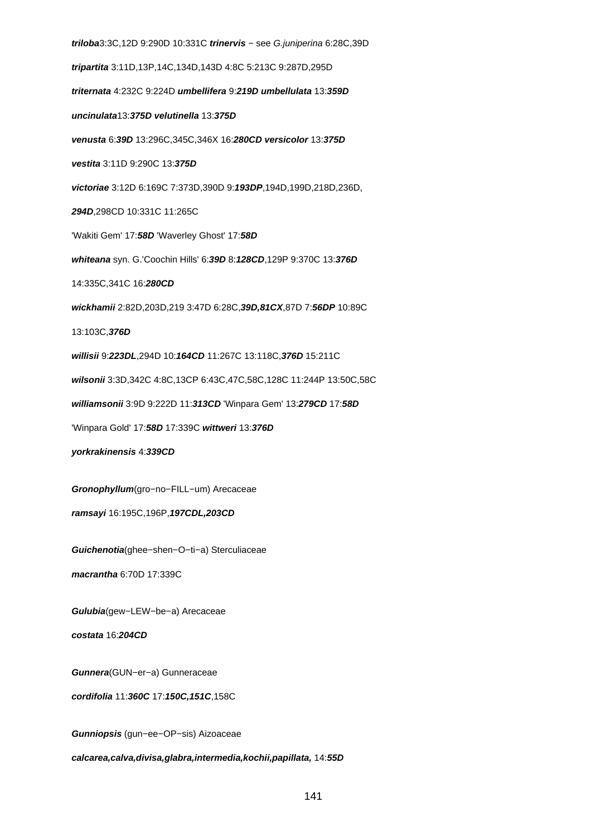**triloba**3:3C,12D 9:290D 10:331C **trinervis** − see G.juniperina 6:28C,39D **tripartita** 3:11D,13P,14C,134D,143D 4:8C 5:213C 9:287D,295D **triternata** 4:232C 9:224D **umbellifera** 9:**219D umbellulata** 13:**359D uncinulata**13:**375D velutinella** 13:**375D venusta** 6:**39D** 13:296C,345C,346X 16:**280CD versicolor** 13:**375D vestita** 3:11D 9:290C 13:**375D victoriae** 3:12D 6:169C 7:373D,390D 9:**193DP**,194D,199D,218D,236D, **294D**,298CD 10:331C 11:265C 'Wakiti Gem' 17:**58D** 'Waverley Ghost' 17:**58D whiteana** syn. G.'Coochin Hills' 6:**39D** 8:**128CD**,129P 9:370C 13:**376D** 14:335C,341C 16:**280CD wickhamii** 2:82D,203D,219 3:47D 6:28C,**39D,81CX**,87D 7:**56DP** 10:89C 13:103C,**376D willisii** 9:**223DL**,294D 10:**164CD** 11:267C 13:118C,**376D** 15:211C **wilsonii** 3:3D,342C 4:8C,13CP 6:43C,47C,58C,128C 11:244P 13:50C,58C **williamsonii** 3:9D 9:222D 11:**313CD** 'Winpara Gem' 13:**279CD** 17:**58D** 'Winpara Gold' 17:**58D** 17:339C **wittweri** 13:**376D yorkrakinensis** 4:**339CD Gronophyllum**(gro−no−FILL−um) Arecaceae **ramsayi** 16:195C,196P,**197CDL,203CD Guichenotia**(ghee−shen−O−ti−a) Sterculiaceae **macrantha** 6:70D 17:339C **Gulubia**(gew−LEW−be−a) Arecaceae **costata** 16:**204CD Gunnera**(GUN−er−a) Gunneraceae **cordifolia** 11:**360C** 17:**150C,151C**,158C **Gunniopsis** (gun−ee−OP−sis) Aizoaceae

**calcarea,calva,divisa,glabra,intermedia,kochii,papillata,** 14:**55D**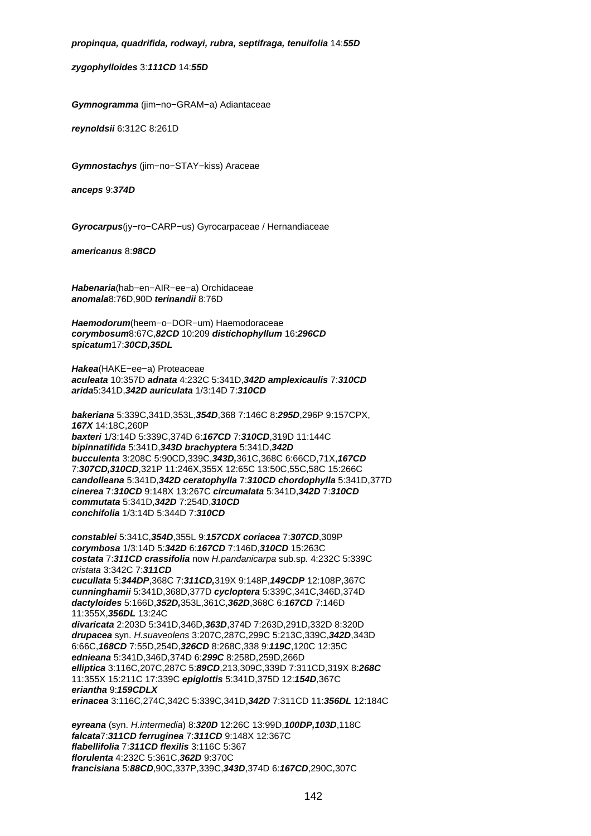# **propinqua, quadrifida, rodwayi, rubra, septifraga, tenuifolia** 14:**55D**

**zygophylloides** 3:**111CD** 14:**55D**

**Gymnogramma** (jim−no−GRAM−a) Adiantaceae

**reynoldsii** 6:312C 8:261D

**Gymnostachys** (jim−no−STAY−kiss) Araceae

**anceps** 9:**374D**

**Gyrocarpus**(jy−ro−CARP−us) Gyrocarpaceae / Hernandiaceae

**americanus** 8:**98CD**

**Habenaria**(hab−en−AIR−ee−a) Orchidaceae **anomala**8:76D,90D **terinandii** 8:76D

**Haemodorum**(heem−o−DOR−um) Haemodoraceae **corymbosum**8:67C,**82CD** 10:209 **distichophyllum** 16:**296CD spicatum**17:**30CD,35DL**

**Hakea**(HAKE−ee−a) Proteaceae **aculeata** 10:357D **adnata** 4:232C 5:341D,**342D amplexicaulis** 7:**310CD arida**5:341D,**342D auriculata** 1/3:14D 7:**310CD**

**bakeriana** 5:339C,341D,353L,**354D**,368 7:146C 8:**295D**,296P 9:157CPX, **167X** 14:18C,260P **baxteri** 1/3:14D 5:339C,374D 6:**167CD** 7:**310CD**,319D 11:144C **bipinnatifida** 5:341D,**343D brachyptera** 5:341D,**342D bucculenta** 3:208C 5:90CD,339C,**343D,**361C,368C 6:66CD,71X,**167CD**  7:**307CD,310CD**,321P 11:246X,355X 12:65C 13:50C,55C,58C 15:266C **candolleana** 5:341D,**342D ceratophylla** 7:**310CD chordophylla** 5:341D,377D **cinerea** 7:**310CD** 9:148X 13:267C **circumalata** 5:341D,**342D** 7:**310CD commutata** 5:341D,**342D** 7:254D,**310CD conchifolia** 1/3:14D 5:344D 7:**310CD**

**constablei** 5:341C,**354D**,355L 9:**157CDX coriacea** 7:**307CD**,309P **corymbosa** 1/3:14D 5:**342D** 6:**167CD** 7:146D,**310CD** 15:263C **costata** 7:**311CD crassifolia** now H.pandanicarpa sub.sp. 4:232C 5:339C cristata 3:342C 7:**311CD cucullata** 5:**344DP**,368C 7:**311CD,**319X 9:148P,**149CDP** 12:108P,367C **cunninghamii** 5:341D,368D,377D **cycloptera** 5:339C,341C,346D,374D **dactyloides** 5:166D,**352D,**353L,361C,**362D**,368C 6:**167CD** 7:146D 11:355X,**356DL** 13:24C **divaricata** 2:203D 5:341D,346D,**363D**,374D 7:263D,291D,332D 8:320D **drupacea** syn. H.suaveolens 3:207C,287C,299C 5:213C,339C,**342D**,343D 6:66C,**168CD** 7:55D,254D,**326CD** 8:268C,338 9:**119C**,120C 12:35C **ednieana** 5:341D,346D,374D 6:**299C** 8:258D,259D,266D **elliptica** 3:116C,207C,287C 5:**89CD**,213,309C,339D 7:311CD,319X 8:**268C**  11:355X 15:211C 17:339C **epiglottis** 5:341D,375D 12:**154D**,367C **eriantha** 9:**159CDLX erinacea** 3:116C,274C,342C 5:339C,341D,**342D** 7:311CD 11:**356DL** 12:184C

**eyreana** (syn. H.intermedia) 8:**320D** 12:26C 13:99D,**100DP,103D**,118C **falcata**7:**311CD ferruginea** 7:**311CD** 9:148X 12:367C **flabellifolia** 7:**311CD flexilis** 3:116C 5:367 **florulenta** 4:232C 5:361C,**362D** 9:370C **francisiana** 5:**88CD**,90C,337P,339C,**343D**,374D 6:**167CD**,290C,307C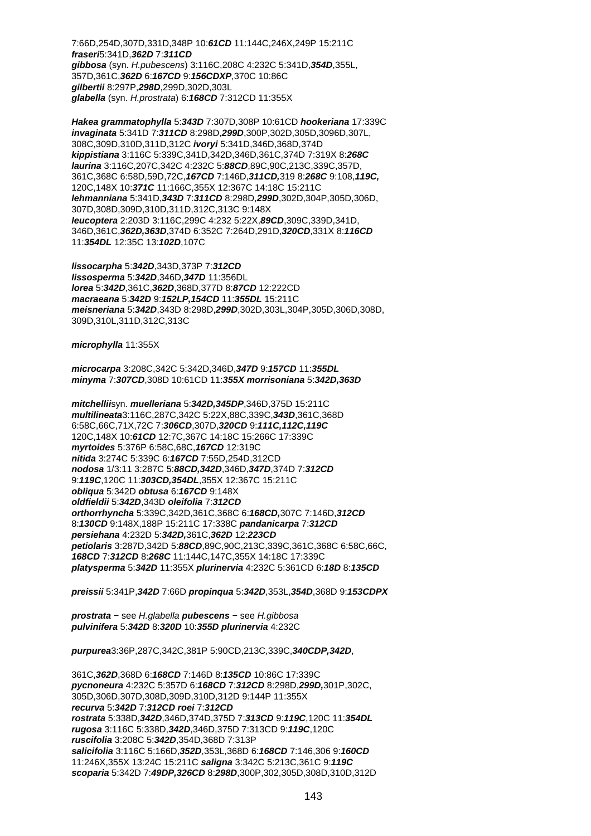7:66D,254D,307D,331D,348P 10:**61CD** 11:144C,246X,249P 15:211C **fraseri**5:341D,**362D** 7:**311CD gibbosa** (syn. H.pubescens) 3:116C,208C 4:232C 5:341D,**354D**,355L, 357D,361C,**362D** 6:**167CD** 9:**156CDXP**,370C 10:86C **gilbertii** 8:297P,**298D**,299D,302D,303L **glabella** (syn. H.prostrata) 6:**168CD** 7:312CD 11:355X

**Hakea grammatophylla** 5:**343D** 7:307D,308P 10:61CD **hookeriana** 17:339C **invaginata** 5:341D 7:**311CD** 8:298D,**299D**,300P,302D,305D,3096D,307L, 308C,309D,310D,311D,312C **ivoryi** 5:341D,346D,368D,374D **kippistiana** 3:116C 5:339C,341D,342D,346D,361C,374D 7:319X 8:**268C laurina** 3:116C,207C,342C 4:232C 5:**88CD**,89C,90C,213C,339C,357D, 361C,368C 6:58D,59D,72C,**167CD** 7:146D,**311CD,**319 8:**268C** 9:108,**119C,**  120C,148X 10:**371C** 11:166C,355X 12:367C 14:18C 15:211C **lehmanniana** 5:341D,**343D** 7:**311CD** 8:298D,**299D**,302D,304P,305D,306D, 307D,308D,309D,310D,311D,312C,313C 9:148X **leucoptera** 2:203D 3:116C,299C 4:232 5:22X,**89CD**,309C,339D,341D, 346D,361C,**362D,363D**,374D 6:352C 7:264D,291D,**320CD**,331X 8:**116CD**  11:**354DL** 12:35C 13:**102D**,107C

**lissocarpha** 5:**342D**,343D,373P 7:**312CD lissosperma** 5:**342D**,346D,**347D** 11:356DL **lorea** 5:**342D**,361C,**362D**,368D,377D 8:**87CD** 12:222CD **macraeana** 5:**342D** 9:**152LP,154CD** 11:**355DL** 15:211C **meisneriana** 5:**342D**,343D 8:298D,**299D**,302D,303L,304P,305D,306D,308D, 309D,310L,311D,312C,313C

**microphylla** 11:355X

**microcarpa** 3:208C,342C 5:342D,346D,**347D** 9:**157CD** 11:**355DL minyma** 7:**307CD**,308D 10:61CD 11:**355X morrisoniana** 5:**342D,363D**

**mitchellii**syn. **muelleriana** 5:**342D,345DP**,346D,375D 15:211C **multilineata**3:116C,287C,342C 5:22X,88C,339C,**343D**,361C,368D 6:58C,66C,71X,72C 7:**306CD**,307D,**320CD** 9:**111C,112C,119C** 120C,148X 10:**61CD** 12:7C,367C 14:18C 15:266C 17:339C **myrtoides** 5:376P 6:58C,68C,**167CD** 12:319C **nitida** 3:274C 5:339C 6:**167CD** 7:55D,254D,312CD **nodosa** 1/3:11 3:287C 5:**88CD,342D**,346D,**347D**,374D 7:**312CD** 9:**119C**,120C 11:**303CD,354DL**,355X 12:367C 15:211C **obliqua** 5:342D **obtusa** 6:**167CD** 9:148X **oldfieldii** 5:**342D**,343D **oleifolia** 7:**312CD orthorrhyncha** 5:339C,342D,361C,368C 6:**168CD,**307C 7:146D,**312CD**  8:**130CD** 9:148X,188P 15:211C 17:338C **pandanicarpa** 7:**312CD persiehana** 4:232D 5:**342D,**361C,**362D** 12:**223CD petiolaris** 3:287D,342D 5:**88CD**,89C,90C,213C,339C,361C,368C 6:58C,66C, **168CD** 7:**312CD** 8:**268C** 11:144C,147C,355X 14:18C 17:339C **platysperma** 5:**342D** 11:355X **plurinervia** 4:232C 5:361CD 6:**18D** 8:**135CD**

**preissii** 5:341P,**342D** 7:66D **propinqua** 5:**342D**,353L,**354D**,368D 9:**153CDPX**

**prostrata** − see H.glabella **pubescens** − see H.gibbosa **pulvinifera** 5:**342D** 8:**320D** 10:**355D plurinervia** 4:232C

**purpurea**3:36P,287C,342C,381P 5:90CD,213C,339C,**340CDP,342D**,

361C,**362D**,368D 6:**168CD** 7:146D 8:**135CD** 10:86C 17:339C **pycnoneura** 4:232C 5:357D 6:**168CD** 7:**312CD** 8:298D,**299D,**301P,302C, 305D,306D,307D,308D,309D,310D,312D 9:144P 11:355X **recurva** 5:**342D** 7:**312CD roei** 7:**312CD rostrata** 5:338D,**342D**,346D,374D,375D 7:**313CD** 9:**119C**,120C 11:**354DL rugosa** 3:116C 5:338D,**342D**,346D,375D 7:313CD 9:**119C**,120C **ruscifolia** 3:208C 5:**342D**,354D,368D 7:313P **salicifolia** 3:116C 5:166D,**352D**,353L,368D 6:**168CD** 7:146,306 9:**160CD** 11:246X,355X 13:24C 15:211C **saligna** 3:342C 5:213C,361C 9:**119C scoparia** 5:342D 7:**49DP,326CD** 8:**298D**,300P,302,305D,308D,310D,312D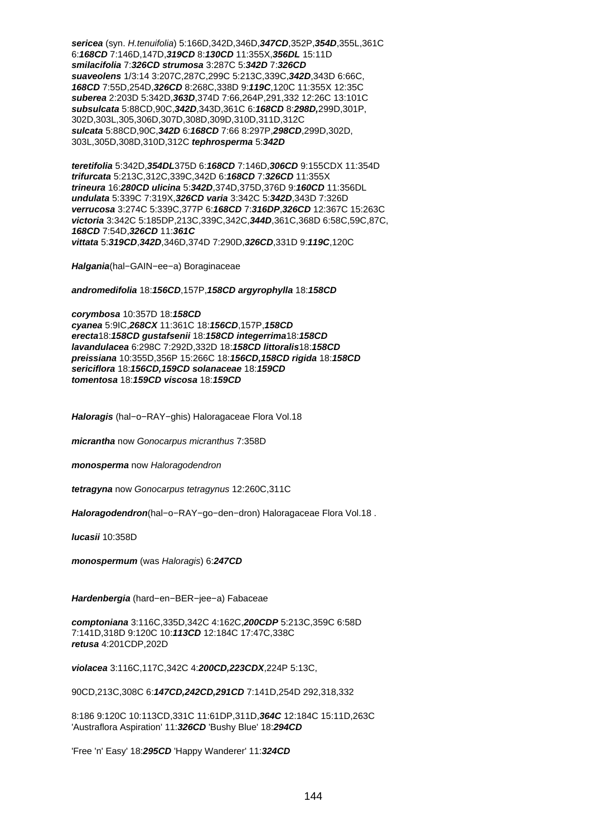**sericea** (syn. H.tenuifolia) 5:166D,342D,346D,**347CD**,352P,**354D**,355L,361C 6:**168CD** 7:146D,147D,**319CD** 8:**130CD** 11:355X,**356DL** 15:11D **smilacifolia** 7:**326CD strumosa** 3:287C 5:**342D** 7:**326CD suaveolens** 1/3:14 3:207C,287C,299C 5:213C,339C,**342D**,343D 6:66C, **168CD** 7:55D,254D,**326CD** 8:268C,338D 9:**119C**,120C 11:355X 12:35C **suberea** 2:203D 5:342D,**363D**,374D 7:66,264P,291,332 12:26C 13:101C **subsulcata** 5:88CD,90C,**342D**,343D,361C 6:**168CD** 8:**298D,**299D,301P, 302D,303L,305,306D,307D,308D,309D,310D,311D,312C **sulcata** 5:88CD,90C,**342D** 6:**168CD** 7:66 8:297P,**298CD**,299D,302D, 303L,305D,308D,310D,312C **tephrosperma** 5:**342D**

**teretifolia** 5:342D,**354DL**375D 6:**168CD** 7:146D,**306CD** 9:155CDX 11:354D **trifurcata** 5:213C,312C,339C,342D 6:**168CD** 7:**326CD** 11:355X **trineura** 16:**280CD ulicina** 5:**342D**,374D,375D,376D 9:**160CD** 11:356DL **undulata** 5:339C 7:319X,**326CD varia** 3:342C 5:**342D**,343D 7:326D **verrucosa** 3:274C 5:339C,377P 6:**168CD** 7:**316DP**,**326CD** 12:367C 15:263C **victoria** 3:342C 5:185DP,213C,339C,342C,**344D**,361C,368D 6:58C,59C,87C, **168CD** 7:54D,**326CD** 11:**361C vittata** 5:**319CD**,**342D**,346D,374D 7:290D,**326CD**,331D 9:**119C**,120C

**Halgania**(hal−GAIN−ee−a) Boraginaceae

**andromedifolia** 18:**156CD**,157P,**158CD argyrophylla** 18:**158CD**

**corymbosa** 10:357D 18:**158CD cyanea** 5:9IC,**268CX** 11:361C 18:**156CD**,157P,**158CD erecta**18:**158CD gustafsenii** 18:**158CD integerrima**18:**158CD lavandulacea** 6:298C 7:292D,332D 18:**158CD littoralis**18:**158CD preissiana** 10:355D,356P 15:266C 18:**156CD,158CD rigida** 18:**158CD sericiflora** 18:**156CD,159CD solanaceae** 18:**159CD tomentosa** 18:**159CD viscosa** 18:**159CD**

**Haloragis** (hal−o−RAY−ghis) Haloragaceae Flora Vol.18

**micrantha** now Gonocarpus micranthus 7:358D

**monosperma** now Haloragodendron

**tetragyna** now Gonocarpus tetragynus 12:260C,311C

**Haloragodendron**(hal−o−RAY−go−den−dron) Haloragaceae Flora Vol.18 .

**lucasii** 10:358D

**monospermum** (was Haloragis) 6:**247CD**

**Hardenbergia** (hard−en−BER−jee−a) Fabaceae

**comptoniana** 3:116C,335D,342C 4:162C,**200CDP** 5:213C,359C 6:58D 7:141D,318D 9:120C 10:**113CD** 12:184C 17:47C,338C **retusa** 4:201CDP,202D

**violacea** 3:116C,117C,342C 4:**200CD,223CDX**,224P 5:13C,

90CD,213C,308C 6:**147CD,242CD,291CD** 7:141D,254D 292,318,332

8:186 9:120C 10:113CD,331C 11:61DP,311D,**364C** 12:184C 15:11D,263C 'Austraflora Aspiration' 11:**326CD** 'Bushy Blue' 18:**294CD**

'Free 'n' Easy' 18:**295CD** 'Happy Wanderer' 11:**324CD**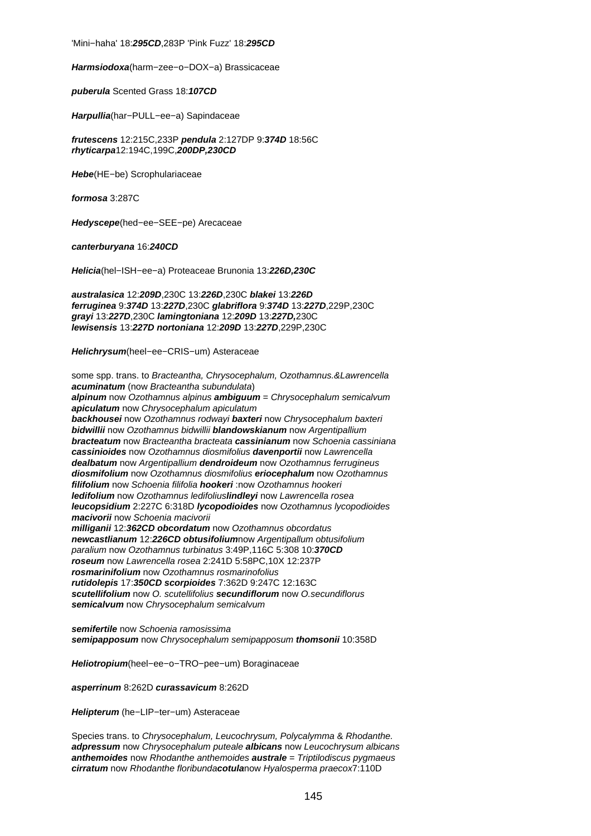'Mini−haha' 18:**295CD**,283P 'Pink Fuzz' 18:**295CD**

**Harmsiodoxa**(harm−zee−o−DOX−a) Brassicaceae

**puberula** Scented Grass 18:**107CD**

**Harpullia**(har−PULL−ee−a) Sapindaceae

**frutescens** 12:215C,233P **pendula** 2:127DP 9:**374D** 18:56C **rhyticarpa**12:194C,199C,**200DP,230CD**

**Hebe**(HE−be) Scrophulariaceae

**formosa** 3:287C

**Hedyscepe**(hed−ee−SEE−pe) Arecaceae

**canterburyana** 16:**240CD**

**Helicia**(hel−ISH−ee−a) Proteaceae Brunonia 13:**226D,230C**

**australasica** 12:**209D**,230C 13:**226D**,230C **blakei** 13:**226D ferruginea** 9:**374D** 13:**227D**,230C **glabriflora** 9:**374D** 13:**227D**,229P,230C **grayi** 13:**227D**,230C **lamingtoniana** 12:**209D** 13:**227D,**230C **lewisensis** 13:**227D nortoniana** 12:**209D** 13:**227D**,229P,230C

**Helichrysum**(heel−ee−CRIS−um) Asteraceae

some spp. trans. to Bracteantha, Chrysocephalum, Ozothamnus.&Lawrencella **acuminatum** (now Bracteantha subundulata) **alpinum** now Ozothamnus alpinus **ambiguum** = Chrysocephalum semicalvum **apiculatum** now Chrysocephalum apiculatum **backhousei** now Ozothamnus rodwayi **baxteri** now Chrysocephalum baxteri **bidwillii** now Ozothamnus bidwillii **blandowskianum** now Argentipallium **bracteatum** now Bracteantha bracteata **cassinianum** now Schoenia cassiniana **cassinioides** now Ozothamnus diosmifolius **davenportii** now Lawrencella **dealbatum** now Argentipallium **dendroideum** now Ozothamnus ferrugineus **diosmifolium** now Ozothamnus diosmifolius **eriocephalum** now Ozothamnus **filifolium** now Schoenia filifolia **hookeri** :now Ozothamnus hookeri **ledifolium** now Ozothamnus ledifolius**lindleyi** now Lawrencella rosea **leucopsidium** 2:227C 6:318D **lycopodioides** now Ozothamnus lycopodioides **macivorii** now Schoenia macivorii **milliganii** 12:**362CD obcordatum** now Ozothamnus obcordatus **newcastlianum** 12:**226CD obtusifolium**now Argentipallum obtusifolium paralium now Ozothamnus turbinatus 3:49P,116C 5:308 10:**370CD roseum** now Lawrencella rosea 2:241D 5:58PC,10X 12:237P **rosmarinifolium** now Ozothamnus rosmarinofolius **rutidolepis** 17:**350CD scorpioides** 7:362D 9:247C 12:163C **scutellifolium** now O. scutellifolius **secundiflorum** now O.secundiflorus **semicalvum** now Chrysocephalum semicalvum

**semifertile** now Schoenia ramosissima **semipapposum** now Chrysocephalum semipapposum **thomsonii** 10:358D

**Heliotropium**(heel−ee−o−TRO−pee−um) Boraginaceae

**asperrinum** 8:262D **curassavicum** 8:262D

**Helipterum** (he−LIP−ter−um) Asteraceae

Species trans. to Chrysocephalum, Leucochrysum, Polycalymma & Rhodanthe. **adpressum** now Chrysocephalum puteale **albicans** now Leucochrysum albicans **anthemoides** now Rhodanthe anthemoides **australe** = Triptilodiscus pygmaeus **cirratum** now Rhodanthe floribunda**cotula**now Hyalosperma praecox7:110D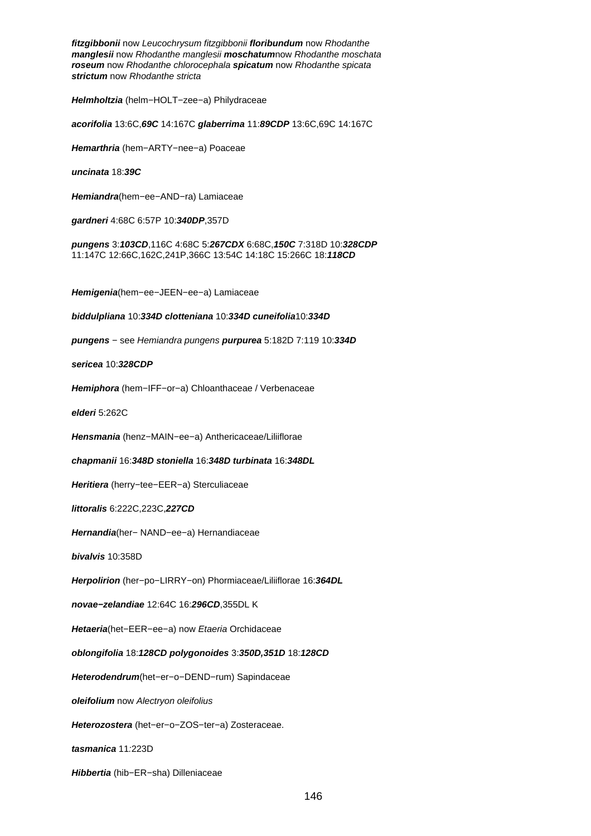**fitzgibbonii** now Leucochrysum fitzgibbonii **floribundum** now Rhodanthe **manglesii** now Rhodanthe manglesii **moschatum**now Rhodanthe moschata **roseum** now Rhodanthe chlorocephala **spicatum** now Rhodanthe spicata **strictum** now Rhodanthe stricta

**Helmholtzia** (helm−HOLT−zee−a) Philydraceae

**acorifolia** 13:6C,**69C** 14:167C **glaberrima** 11:**89CDP** 13:6C,69C 14:167C

**Hemarthria** (hem−ARTY−nee−a) Poaceae

**uncinata** 18:**39C**

**Hemiandra**(hem−ee−AND−ra) Lamiaceae

**gardneri** 4:68C 6:57P 10:**340DP**,357D

**pungens** 3:**103CD**,116C 4:68C 5:**267CDX** 6:68C,**150C** 7:318D 10:**328CDP** 11:147C 12:66C,162C,241P,366C 13:54C 14:18C 15:266C 18:**118CD**

**Hemigenia**(hem−ee−JEEN−ee−a) Lamiaceae

**biddulpliana** 10:**334D clotteniana** 10:**334D cuneifolia**10:**334D**

**pungens** − see Hemiandra pungens **purpurea** 5:182D 7:119 10:**334D**

**sericea** 10:**328CDP**

**Hemiphora** (hem−IFF−or−a) Chloanthaceae / Verbenaceae

**elderi** 5:262C

**Hensmania** (henz−MAIN−ee−a) Anthericaceae/Liliiflorae

**chapmanii** 16:**348D stoniella** 16:**348D turbinata** 16:**348DL**

**Heritiera** (herry−tee−EER−a) Sterculiaceae

**littoralis** 6:222C,223C,**227CD**

**Hernandia**(her− NAND−ee−a) Hernandiaceae

**bivalvis** 10:358D

**Herpolirion** (her−po−LIRRY−on) Phormiaceae/Liliiflorae 16:**364DL**

**novae−zelandiae** 12:64C 16:**296CD**,355DL K

**Hetaeria**(het−EER−ee−a) now Etaeria Orchidaceae

**oblongifolia** 18:**128CD polygonoides** 3:**350D,351D** 18:**128CD**

**Heterodendrum**(het−er−o−DEND−rum) Sapindaceae

**oleifolium** now Alectryon oleifolius

**Heterozostera** (het−er−o−ZOS−ter−a) Zosteraceae.

**tasmanica** 11:223D

**Hibbertia** (hib−ER−sha) Dilleniaceae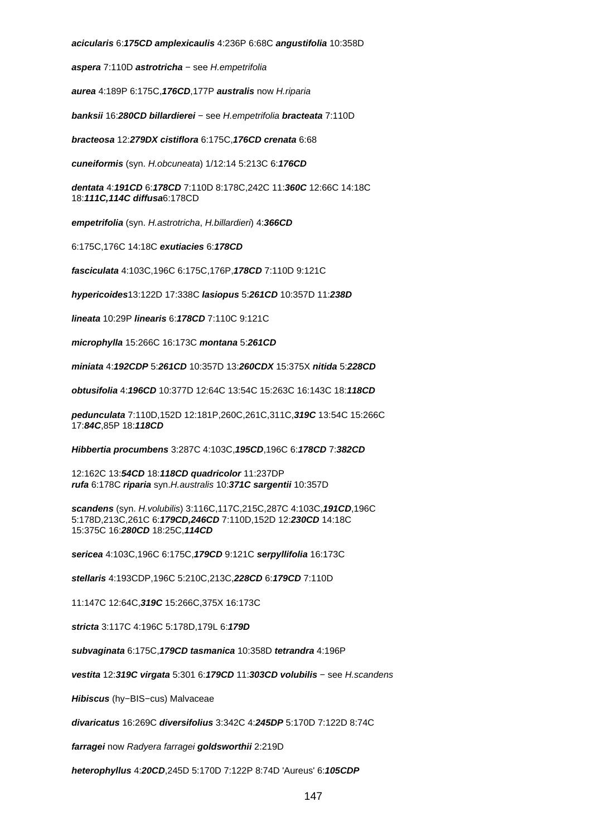**acicularis** 6:**175CD amplexicaulis** 4:236P 6:68C **angustifolia** 10:358D

**aspera** 7:110D **astrotricha** − see H.empetrifolia

**aurea** 4:189P 6:175C,**176CD**,177P **australis** now H.riparia

**banksii** 16:**280CD billardierei** − see H.empetrifolia **bracteata** 7:110D

**bracteosa** 12:**279DX cistiflora** 6:175C,**176CD crenata** 6:68

**cuneiformis** (syn. H.obcuneata) 1/12:14 5:213C 6:**176CD**

**dentata** 4:**191CD** 6:**178CD** 7:110D 8:178C,242C 11:**360C** 12:66C 14:18C 18:**111C,114C diffusa**6:178CD

**empetrifolia** (syn. H.astrotricha, H.billardieri) 4:**366CD**

6:175C,176C 14:18C **exutiacies** 6:**178CD**

**fasciculata** 4:103C,196C 6:175C,176P,**178CD** 7:110D 9:121C

**hypericoides**13:122D 17:338C **lasiopus** 5:**261CD** 10:357D 11:**238D**

**lineata** 10:29P **linearis** 6:**178CD** 7:110C 9:121C

**microphylla** 15:266C 16:173C **montana** 5:**261CD**

**miniata** 4:**192CDP** 5:**261CD** 10:357D 13:**260CDX** 15:375X **nitida** 5:**228CD**

**obtusifolia** 4:**196CD** 10:377D 12:64C 13:54C 15:263C 16:143C 18:**118CD**

**pedunculata** 7:110D,152D 12:181P,260C,261C,311C,**319C** 13:54C 15:266C 17:**84C**,85P 18:**118CD**

**Hibbertia procumbens** 3:287C 4:103C,**195CD**,196C 6:**178CD** 7:**382CD**

12:162C 13:**54CD** 18:**118CD quadricolor** 11:237DP **rufa** 6:178C **riparia** syn.H.australis 10:**371C sargentii** 10:357D

**scandens** (syn. H.volubilis) 3:116C,117C,215C,287C 4:103C,**191CD**,196C 5:178D,213C,261C 6:**179CD,246CD** 7:110D,152D 12:**230CD** 14:18C 15:375C 16:**280CD** 18:25C,**114CD**

**sericea** 4:103C,196C 6:175C,**179CD** 9:121C **serpyllifolia** 16:173C

**stellaris** 4:193CDP,196C 5:210C,213C,**228CD** 6:**179CD** 7:110D

11:147C 12:64C,**319C** 15:266C,375X 16:173C

**stricta** 3:117C 4:196C 5:178D,179L 6:**179D**

**subvaginata** 6:175C,**179CD tasmanica** 10:358D **tetrandra** 4:196P

**vestita** 12:**319C virgata** 5:301 6:**179CD** 11:**303CD volubilis** − see H.scandens

**Hibiscus** (hy−BIS−cus) Malvaceae

**divaricatus** 16:269C **diversifolius** 3:342C 4:**245DP** 5:170D 7:122D 8:74C

**farragei** now Radyera farragei **goldsworthii** 2:219D

**heterophyllus** 4:**20CD**,245D 5:170D 7:122P 8:74D 'Aureus' 6:**105CDP**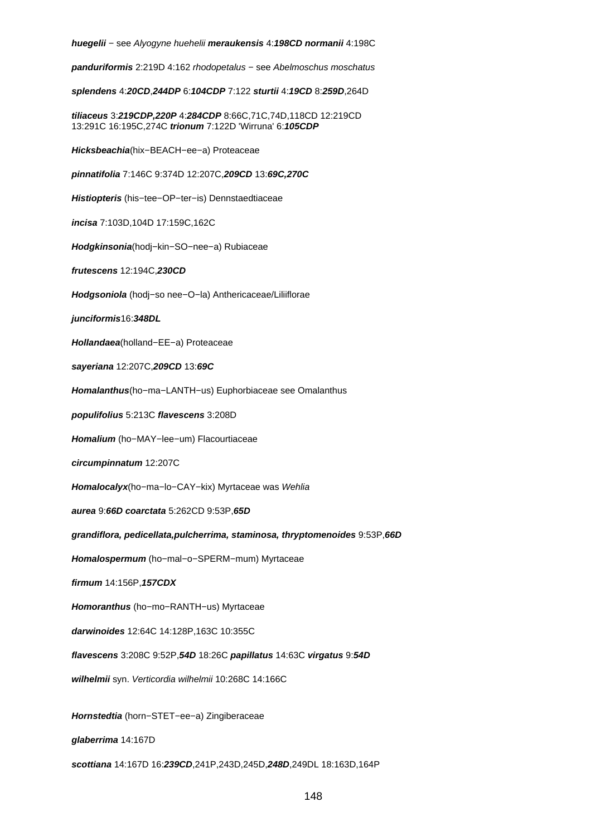**huegelii** − see Alyogyne huehelii **meraukensis** 4:**198CD normanii** 4:198C

**panduriformis** 2:219D 4:162 rhodopetalus − see Abelmoschus moschatus

**splendens** 4:**20CD**,**244DP** 6:**104CDP** 7:122 **sturtii** 4:**19CD** 8:**259D**,264D

**tiliaceus** 3:**219CDP,220P** 4:**284CDP** 8:66C,71C,74D,118CD 12:219CD 13:291C 16:195C,274C **trionum** 7:122D 'Wirruna' 6:**105CDP**

**Hicksbeachia**(hix−BEACH−ee−a) Proteaceae

**pinnatifolia** 7:146C 9:374D 12:207C,**209CD** 13:**69C,270C**

**Histiopteris** (his−tee−OP−ter−is) Dennstaedtiaceae

**incisa** 7:103D,104D 17:159C,162C

**Hodgkinsonia**(hodj−kin−SO−nee−a) Rubiaceae

**frutescens** 12:194C,**230CD**

**Hodgsoniola** (hodj−so nee−O−la) Anthericaceae/Liliiflorae

**junciformis**16:**348DL**

**Hollandaea**(holland−EE−a) Proteaceae

**sayeriana** 12:207C,**209CD** 13:**69C**

**Homalanthus**(ho−ma−LANTH−us) Euphorbiaceae see Omalanthus

**populifolius** 5:213C **flavescens** 3:208D

**Homalium** (ho−MAY−lee−um) Flacourtiaceae

**circumpinnatum** 12:207C

**Homalocalyx**(ho−ma−lo−CAY−kix) Myrtaceae was Wehlia

**aurea** 9:**66D coarctata** 5:262CD 9:53P,**65D**

**grandiflora, pedicellata,pulcherrima, staminosa, thryptomenoides** 9:53P,**66D**

**Homalospermum** (ho−mal−o−SPERM−mum) Myrtaceae

**firmum** 14:156P,**157CDX**

**Homoranthus** (ho−mo−RANTH−us) Myrtaceae

**darwinoides** 12:64C 14:128P,163C 10:355C

**flavescens** 3:208C 9:52P,**54D** 18:26C **papillatus** 14:63C **virgatus** 9:**54D**

**wilhelmii** syn. Verticordia wilhelmii 10:268C 14:166C

**Hornstedtia** (horn−STET−ee−a) Zingiberaceae

**glaberrima** 14:167D

**scottiana** 14:167D 16:**239CD**,241P,243D,245D,**248D**,249DL 18:163D,164P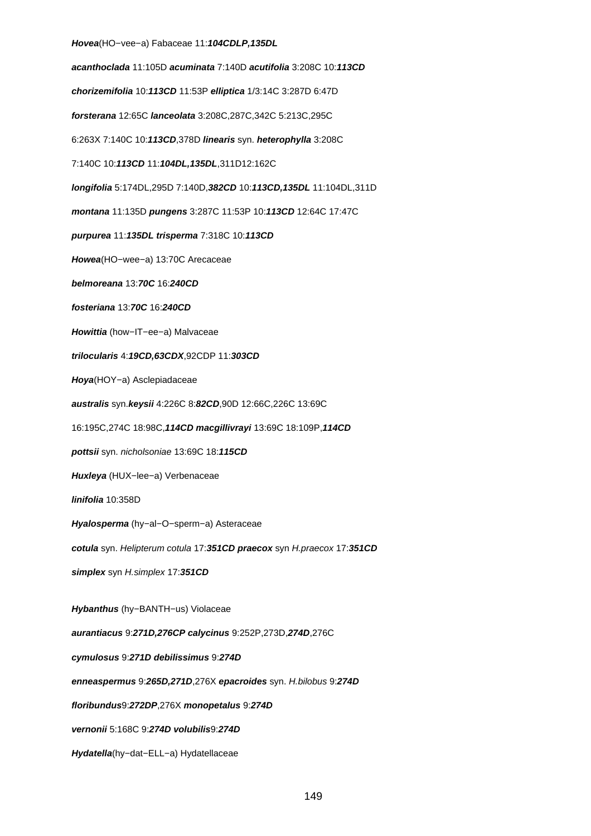**Hovea**(HO−vee−a) Fabaceae 11:**104CDLP,135DL acanthoclada** 11:105D **acuminata** 7:140D **acutifolia** 3:208C 10:**113CD chorizemifolia** 10:**113CD** 11:53P **elliptica** 1/3:14C 3:287D 6:47D **forsterana** 12:65C **lanceolata** 3:208C,287C,342C 5:213C,295C 6:263X 7:140C 10:**113CD**,378D **linearis** syn. **heterophylla** 3:208C 7:140C 10:**113CD** 11:**104DL,135DL**,311D12:162C **longifolia** 5:174DL,295D 7:140D,**382CD** 10:**113CD,135DL** 11:104DL,311D **montana** 11:135D **pungens** 3:287C 11:53P 10:**113CD** 12:64C 17:47C **purpurea** 11:**135DL trisperma** 7:318C 10:**113CD Howea**(HO−wee−a) 13:70C Arecaceae **belmoreana** 13:**70C** 16:**240CD fosteriana** 13:**70C** 16:**240CD Howittia** (how−IT−ee−a) Malvaceae **trilocularis** 4:**19CD,63CDX**,92CDP 11:**303CD Hoya**(HOY−a) Asclepiadaceae **australis** syn.**keysii** 4:226C 8:**82CD**,90D 12:66C,226C 13:69C 16:195C,274C 18:98C,**114CD macgillivrayi** 13:69C 18:109P,**114CD pottsii** syn. nicholsoniae 13:69C 18:**115CD Huxleya** (HUX−lee−a) Verbenaceae **linifolia** 10:358D **Hyalosperma** (hy−al−O−sperm−a) Asteraceae **cotula** syn. Helipterum cotula 17:**351CD praecox** syn H.praecox 17:**351CD simplex** syn H.simplex 17:**351CD Hybanthus** (hy−BANTH−us) Violaceae **aurantiacus** 9:**271D,276CP calycinus** 9:252P,273D,**274D**,276C **cymulosus** 9:**271D debilissimus** 9:**274D enneaspermus** 9:**265D,271D**,276X **epacroides** syn. H.bilobus 9:**274D floribundus**9:**272DP**,276X **monopetalus** 9:**274D vernonii** 5:168C 9:**274D volubilis**9:**274D**

**Hydatella**(hy−dat−ELL−a) Hydatellaceae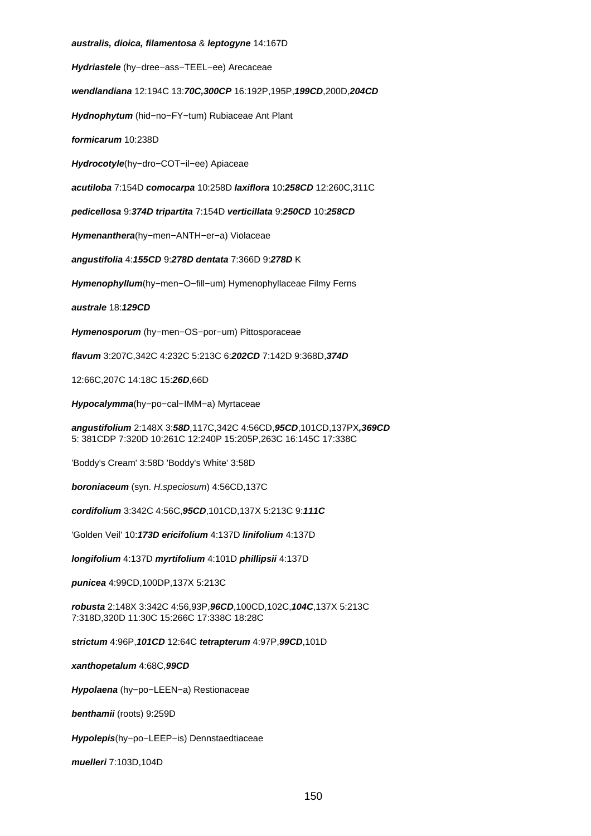#### **australis, dioica, filamentosa** & **leptogyne** 14:167D

**Hydriastele** (hy−dree−ass−TEEL−ee) Arecaceae

**wendlandiana** 12:194C 13:**70C,300CP** 16:192P,195P,**199CD**,200D,**204CD**

**Hydnophytum** (hid−no−FY−tum) Rubiaceae Ant Plant

**formicarum** 10:238D

**Hydrocotyle**(hy−dro−COT−il−ee) Apiaceae

**acutiloba** 7:154D **comocarpa** 10:258D **laxiflora** 10:**258CD** 12:260C,311C

**pedicellosa** 9:**374D tripartita** 7:154D **verticillata** 9:**250CD** 10:**258CD**

**Hymenanthera**(hy−men−ANTH−er−a) Violaceae

**angustifolia** 4:**155CD** 9:**278D dentata** 7:366D 9:**278D** K

**Hymenophyllum**(hy−men−O−fill−um) Hymenophyllaceae Filmy Ferns

**australe** 18:**129CD**

**Hymenosporum** (hy−men−OS−por−um) Pittosporaceae

**flavum** 3:207C,342C 4:232C 5:213C 6:**202CD** 7:142D 9:368D,**374D**

12:66C,207C 14:18C 15:**26D**,66D

**Hypocalymma**(hy−po−cal−IMM−a) Myrtaceae

**angustifolium** 2:148X 3:**58D**,117C,342C 4:56CD,**95CD**,101CD,137PX**,369CD** 5: 381CDP 7:320D 10:261C 12:240P 15:205P,263C 16:145C 17:338C

'Boddy's Cream' 3:58D 'Boddy's White' 3:58D

**boroniaceum** (syn. H.speciosum) 4:56CD,137C

**cordifolium** 3:342C 4:56C,**95CD**,101CD,137X 5:213C 9:**111C**

'Golden Veil' 10:**173D ericifolium** 4:137D **linifolium** 4:137D

**longifolium** 4:137D **myrtifolium** 4:101D **phillipsii** 4:137D

**punicea** 4:99CD,100DP,137X 5:213C

**robusta** 2:148X 3:342C 4:56,93P,**96CD**,100CD,102C,**104C**,137X 5:213C 7:318D,320D 11:30C 15:266C 17:338C 18:28C

**strictum** 4:96P,**101CD** 12:64C **tetrapterum** 4:97P,**99CD**,101D

**xanthopetalum** 4:68C,**99CD**

**Hypolaena** (hy−po−LEEN−a) Restionaceae

**benthamii** (roots) 9:259D

**Hypolepis**(hy−po−LEEP−is) Dennstaedtiaceae

**muelleri** 7:103D,104D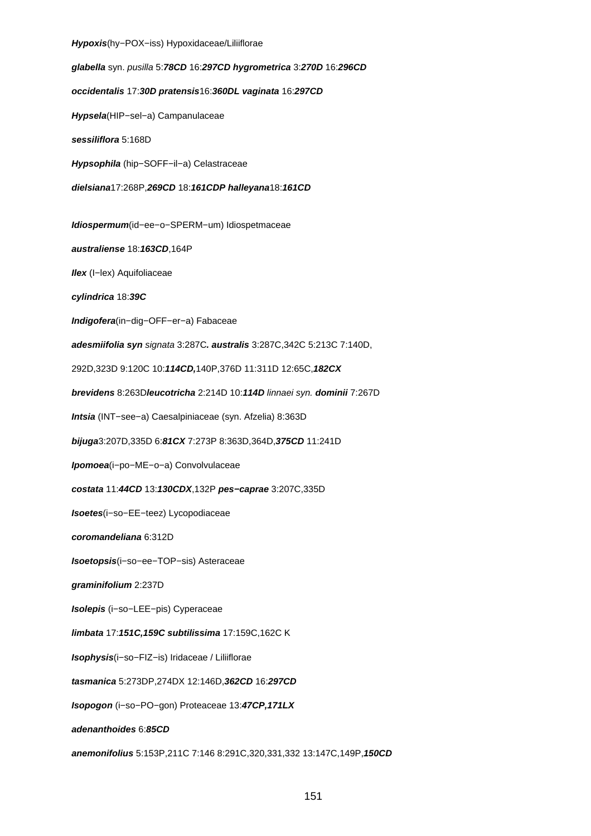#### **Hypoxis**(hy−POX−iss) Hypoxidaceae/Liliiflorae

**glabella** syn. pusilla 5:**78CD** 16:**297CD hygrometrica** 3:**270D** 16:**296CD occidentalis** 17:**30D pratensis**16:**360DL vaginata** 16:**297CD Hypsela**(HIP−sel−a) Campanulaceae **sessiliflora** 5:168D **Hypsophila** (hip−SOFF−il−a) Celastraceae **dielsiana**17:268P,**269CD** 18:**161CDP halleyana**18:**161CD Idiospermum**(id−ee−o−SPERM−um) Idiospetmaceae **australiense** 18:**163CD**,164P **Ilex** (I−lex) Aquifoliaceae **cylindrica** 18:**39C Indigofera**(in−dig−OFF−er−a) Fabaceae **adesmiifolia syn** signata 3:287C**. australis** 3:287C,342C 5:213C 7:140D, 292D,323D 9:120C 10:**114CD,**140P,376D 11:311D 12:65C,**182CX brevidens** 8:263D**leucotricha** 2:214D 10:**114D** linnaei syn. **dominii** 7:267D **Intsia** (INT−see−a) Caesalpiniaceae (syn. Afzelia) 8:363D **bijuga**3:207D,335D 6:**81CX** 7:273P 8:363D,364D,**375CD** 11:241D **Ipomoea**(i−po−ME−o−a) Convolvulaceae **costata** 11:**44CD** 13:**130CDX**,132P **pes−caprae** 3:207C,335D **Isoetes**(i−so−EE−teez) Lycopodiaceae **coromandeliana** 6:312D **Isoetopsis**(i−so−ee−TOP−sis) Asteraceae **graminifolium** 2:237D **Isolepis** (i−so−LEE−pis) Cyperaceae **limbata** 17:**151C,159C subtilissima** 17:159C,162C K **Isophysis**(i−so−FIZ−is) Iridaceae / Liliiflorae **tasmanica** 5:273DP,274DX 12:146D,**362CD** 16:**297CD Isopogon** (i−so−PO−gon) Proteaceae 13:**47CP,171LX adenanthoides** 6:**85CD anemonifolius** 5:153P,211C 7:146 8:291C,320,331,332 13:147C,149P,**150CD**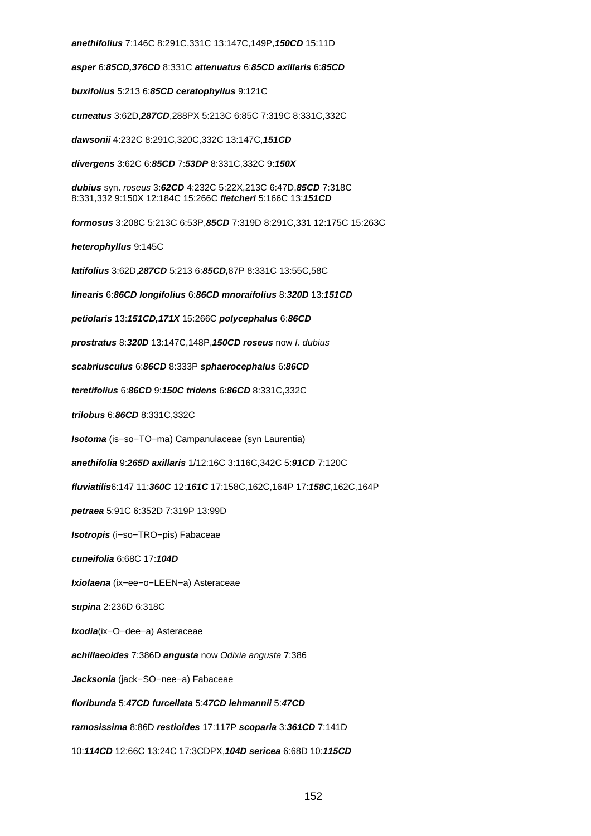**anethifolius** 7:146C 8:291C,331C 13:147C,149P,**150CD** 15:11D

**asper** 6:**85CD,376CD** 8:331C **attenuatus** 6:**85CD axillaris** 6:**85CD**

**buxifolius** 5:213 6:**85CD ceratophyllus** 9:121C

**cuneatus** 3:62D,**287CD**,288PX 5:213C 6:85C 7:319C 8:331C,332C

**dawsonii** 4:232C 8:291C,320C,332C 13:147C,**151CD**

**divergens** 3:62C 6:**85CD** 7:**53DP** 8:331C,332C 9:**150X**

**dubius** syn. roseus 3:**62CD** 4:232C 5:22X,213C 6:47D,**85CD** 7:318C 8:331,332 9:150X 12:184C 15:266C **fletcheri** 5:166C 13:**151CD**

**formosus** 3:208C 5:213C 6:53P,**85CD** 7:319D 8:291C,331 12:175C 15:263C

**heterophyllus** 9:145C

**latifolius** 3:62D,**287CD** 5:213 6:**85CD,**87P 8:331C 13:55C,58C

**linearis** 6:**86CD longifolius** 6:**86CD mnoraifolius** 8:**320D** 13:**151CD**

**petiolaris** 13:**151CD,171X** 15:266C **polycephalus** 6:**86CD**

**prostratus** 8:**320D** 13:147C,148P,**150CD roseus** now I. dubius

**scabriusculus** 6:**86CD** 8:333P **sphaerocephalus** 6:**86CD**

**teretifolius** 6:**86CD** 9:**150C tridens** 6:**86CD** 8:331C,332C

**trilobus** 6:**86CD** 8:331C,332C

**Isotoma** (is−so−TO−ma) Campanulaceae (syn Laurentia)

**anethifolia** 9:**265D axillaris** 1/12:16C 3:116C,342C 5:**91CD** 7:120C

**fluviatilis**6:147 11:**360C** 12:**161C** 17:158C,162C,164P 17:**158C**,162C,164P

**petraea** 5:91C 6:352D 7:319P 13:99D

**Isotropis** (i−so−TRO−pis) Fabaceae

**cuneifolia** 6:68C 17:**104D**

**Ixiolaena** (ix−ee−o−LEEN−a) Asteraceae

**supina** 2:236D 6:318C

**Ixodia**(ix−O−dee−a) Asteraceae

**achillaeoides** 7:386D **angusta** now Odixia angusta 7:386

**Jacksonia** (jack−SO−nee−a) Fabaceae

**floribunda** 5:**47CD furcellata** 5:**47CD lehmannii** 5:**47CD**

**ramosissima** 8:86D **restioides** 17:117P **scoparia** 3:**361CD** 7:141D

10:**114CD** 12:66C 13:24C 17:3CDPX,**104D sericea** 6:68D 10:**115CD**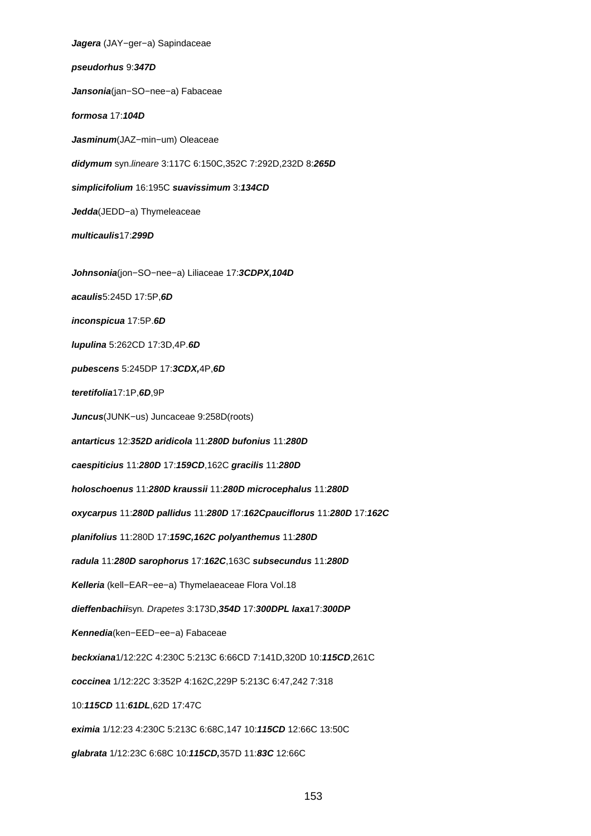**Jagera** (JAY−ger−a) Sapindaceae **pseudorhus** 9:**347D Jansonia**(jan−SO−nee−a) Fabaceae **formosa** 17:**104D Jasminum**(JAZ−min−um) Oleaceae **didymum** syn.lineare 3:117C 6:150C,352C 7:292D,232D 8:**265D simplicifolium** 16:195C **suavissimum** 3:**134CD Jedda**(JEDD−a) Thymeleaceae **multicaulis**17:**299D Johnsonia**(jon−SO−nee−a) Liliaceae 17:**3CDPX,104D acaulis**5:245D 17:5P,**6D inconspicua** 17:5P.**6D lupulina** 5:262CD 17:3D,4P.**6D pubescens** 5:245DP 17:**3CDX,**4P,**6D teretifolia**17:1P,**6D**,9P **Juncus**(JUNK−us) Juncaceae 9:258D(roots) **antarticus** 12:**352D aridicola** 11:**280D bufonius** 11:**280D caespiticius** 11:**280D** 17:**159CD**,162C **gracilis** 11:**280D holoschoenus** 11:**280D kraussii** 11:**280D microcephalus** 11:**280D oxycarpus** 11:**280D pallidus** 11:**280D** 17:**162Cpauciflorus** 11:**280D** 17:**162C planifolius** 11:280D 17:**159C,162C polyanthemus** 11:**280D radula** 11:**280D sarophorus** 17:**162C**,163C **subsecundus** 11:**280D Kelleria** (kell−EAR−ee−a) Thymelaeaceae Flora Vol.18 **dieffenbachii**syn. Drapetes 3:173D,**354D** 17:**300DPL laxa**17:**300DP Kennedia**(ken−EED−ee−a) Fabaceae **beckxiana**1/12:22C 4:230C 5:213C 6:66CD 7:141D,320D 10:**115CD**,261C **coccinea** 1/12:22C 3:352P 4:162C,229P 5:213C 6:47,242 7:318 10:**115CD** 11:**61DL**,62D 17:47C **eximia** 1/12:23 4:230C 5:213C 6:68C,147 10:**115CD** 12:66C 13:50C **glabrata** 1/12:23C 6:68C 10:**115CD,**357D 11:**83C** 12:66C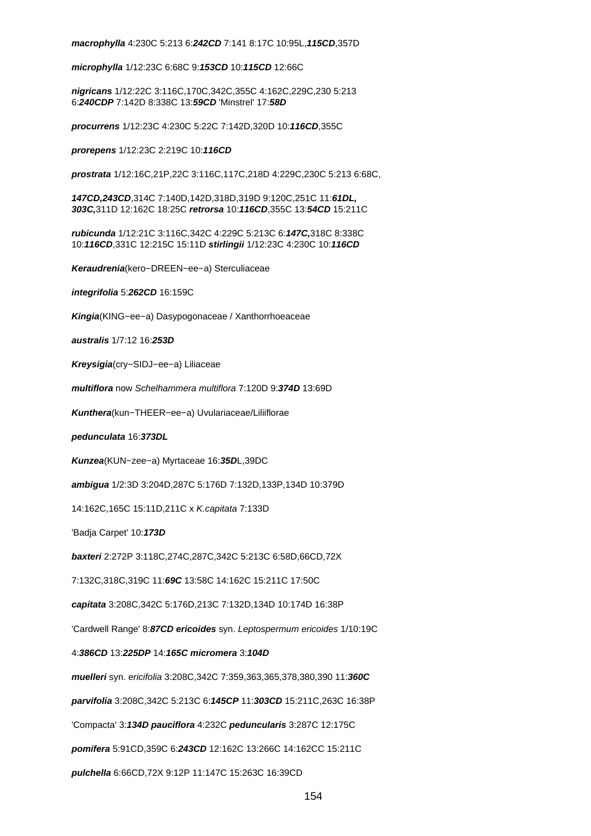**macrophylla** 4:230C 5:213 6:**242CD** 7:141 8:17C 10:95L,**115CD**,357D

**microphylla** 1/12:23C 6:68C 9:**153CD** 10:**115CD** 12:66C

**nigricans** 1/12:22C 3:116C,170C,342C,355C 4:162C,229C,230 5:213 6:**240CDP** 7:142D 8:338C 13:**59CD** 'Minstrel' 17:**58D**

**procurrens** 1/12:23C 4:230C 5:22C 7:142D,320D 10:**116CD**,355C

**prorepens** 1/12:23C 2:219C 10:**116CD**

**prostrata** 1/12:16C,21P,22C 3:116C,117C,218D 4:229C,230C 5:213 6:68C,

**147CD,243CD**,314C 7:140D,142D,318D,319D 9:120C,251C 11:**61DL, 303C,**311D 12:162C 18:25C **retrorsa** 10:**116CD**,355C 13:**54CD** 15:211C

**rubicunda** 1/12:21C 3:116C,342C 4:229C 5:213C 6:**147C,**318C 8:338C 10:**116CD**,331C 12:215C 15:11D **stirlingii** 1/12:23C 4:230C 10:**116CD**

**Keraudrenia**(kero−DREEN−ee−a) Sterculiaceae

**integrifolia** 5:**262CD** 16:159C

**Kingia**(KING−ee−a) Dasypogonaceae / Xanthorrhoeaceae

**australis** 1/7:12 16:**253D**

**Kreysigia**(cry−SIDJ−ee−a) Liliaceae

**multiflora** now Schelhammera multiflora 7:120D 9:**374D** 13:69D

**Kunthera**(kun−THEER−ee−a) Uvulariaceae/Liliiflorae

**pedunculata** 16:**373DL**

**Kunzea**(KUN−zee−a) Myrtaceae 16:**35D**L,39DC

**ambigua** 1/2:3D 3:204D,287C 5:176D 7:132D,133P,134D 10:379D

14:162C,165C 15:11D,211C x K.capitata 7:133D

'Badja Carpet' 10:**173D**

**baxteri** 2:272P 3:118C,274C,287C,342C 5:213C 6:58D,66CD,72X

7:132C,318C,319C 11:**69C** 13:58C 14:162C 15:211C 17:50C

**capitata** 3:208C,342C 5:176D,213C 7:132D,134D 10:174D 16:38P

'Cardwell Range' 8:**87CD ericoides** syn. Leptospermum ericoides 1/10:19C

4:**386CD** 13:**225DP** 14:**165C micromera** 3:**104D**

**muelleri** syn. ericifolia 3:208C,342C 7:359,363,365,378,380,390 11:**360C**

**parvifolia** 3:208C,342C 5:213C 6:**145CP** 11:**303CD** 15:211C,263C 16:38P

'Compacta' 3:**134D pauciflora** 4:232C **peduncularis** 3:287C 12:175C

**pomifera** 5:91CD,359C 6:**243CD** 12:162C 13:266C 14:162CC 15:211C

**pulchella** 6:66CD,72X 9:12P 11:147C 15:263C 16:39CD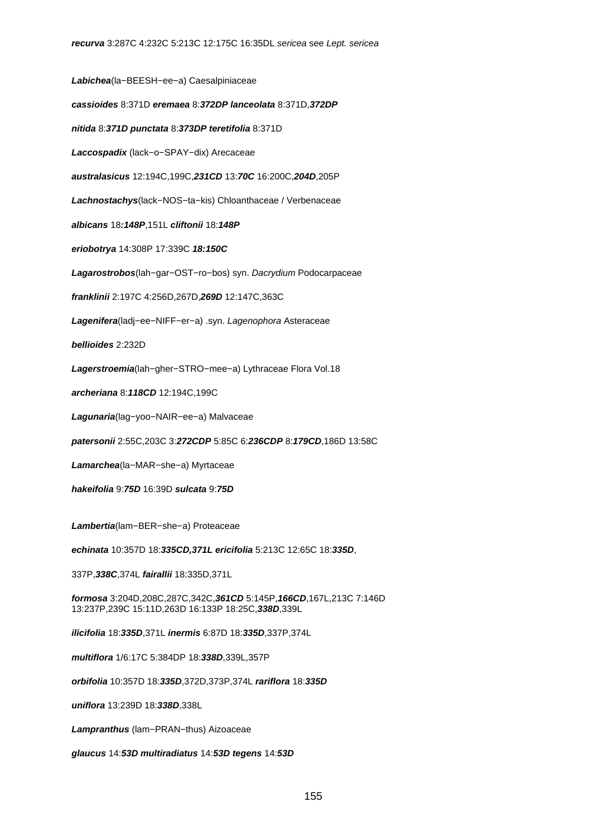**Labichea**(la−BEESH−ee−a) Caesalpiniaceae **cassioides** 8:371D **eremaea** 8:**372DP lanceolata** 8:371D,**372DP nitida** 8:**371D punctata** 8:**373DP teretifolia** 8:371D **Laccospadix** (lack−o−SPAY−dix) Arecaceae **australasicus** 12:194C,199C,**231CD** 13:**70C** 16:200C,**204D**,205P **Lachnostachys**(lack−NOS−ta−kis) Chloanthaceae / Verbenaceae **albicans** 18**:148P**,151L **cliftonii** 18:**148P eriobotrya** 14:308P 17:339C **18:150C Lagarostrobos**(lah−gar−OST−ro−bos) syn. Dacrydium Podocarpaceae **franklinii** 2:197C 4:256D,267D,**269D** 12:147C,363C **Lagenifera**(ladj−ee−NIFF−er−a) .syn. Lagenophora Asteraceae **bellioides** 2:232D **Lagerstroemia**(lah−gher−STRO−mee−a) Lythraceae Flora Vol.18 **archeriana** 8:**118CD** 12:194C,199C **Lagunaria**(lag−yoo−NAIR−ee−a) Malvaceae **patersonii** 2:55C,203C 3:**272CDP** 5:85C 6:**236CDP** 8:**179CD**,186D 13:58C **Lamarchea**(la−MAR−she−a) Myrtaceae **hakeifolia** 9:**75D** 16:39D **sulcata** 9:**75D Lambertia**(lam−BER−she−a) Proteaceae **echinata** 10:357D 18:**335CD,371L ericifolia** 5:213C 12:65C 18:**335D**, 337P,**338C**,374L **fairallii** 18:335D,371L **formosa** 3:204D,208C,287C,342C,**361CD** 5:145P,**166CD**,167L,213C 7:146D 13:237P,239C 15:11D,263D 16:133P 18:25C,**338D**,339L **ilicifolia** 18:**335D**,371L **inermis** 6:87D 18:**335D**,337P,374L **multiflora** 1/6:17C 5:384DP 18:**338D**,339L,357P **orbifolia** 10:357D 18:**335D**,372D,373P,374L **rariflora** 18:**335D uniflora** 13:239D 18:**338D**,338L **Lampranthus** (lam−PRAN−thus) Aizoaceae

**glaucus** 14:**53D multiradiatus** 14:**53D tegens** 14:**53D**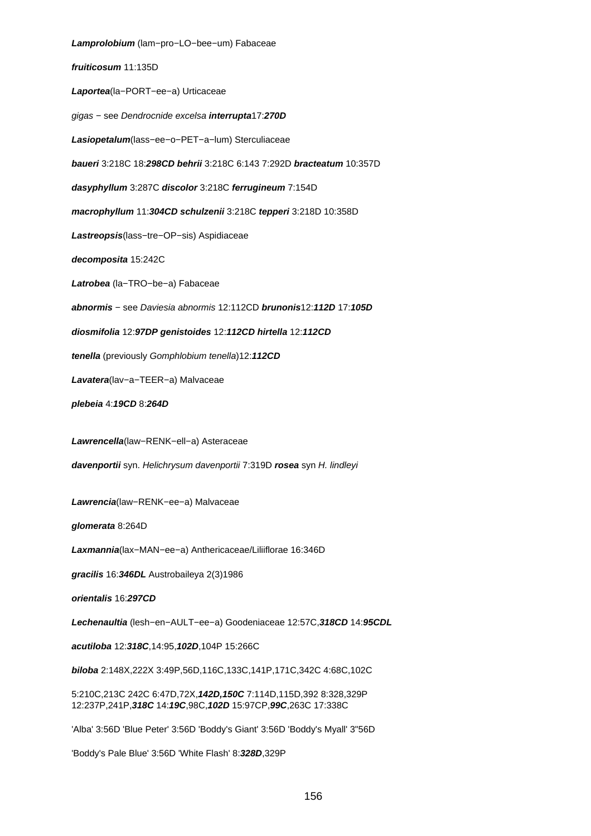**Lamprolobium** (lam−pro−LO−bee−um) Fabaceae **fruiticosum** 11:135D **Laportea**(la−PORT−ee−a) Urticaceae gigas − see Dendrocnide excelsa **interrupta**17:**270D Lasiopetalum**(lass−ee−o−PET−a−lum) Sterculiaceae **baueri** 3:218C 18:**298CD behrii** 3:218C 6:143 7:292D **bracteatum** 10:357D **dasyphyllum** 3:287C **discolor** 3:218C **ferrugineum** 7:154D **macrophyllum** 11:**304CD schulzenii** 3:218C **tepperi** 3:218D 10:358D **Lastreopsis**(lass−tre−OP−sis) Aspidiaceae **decomposita** 15:242C **Latrobea** (la−TRO−be−a) Fabaceae **abnormis** − see Daviesia abnormis 12:112CD **brunonis**12:**112D** 17:**105D diosmifolia** 12:**97DP genistoides** 12:**112CD hirtella** 12:**112CD tenella** (previously Gomphlobium tenella)12:**112CD Lavatera**(lav−a−TEER−a) Malvaceae **plebeia** 4:**19CD** 8:**264D Lawrencella**(law−RENK−ell−a) Asteraceae **davenportii** syn. Helichrysum davenportii 7:319D **rosea** syn H. lindleyi **Lawrencia**(law−RENK−ee−a) Malvaceae **glomerata** 8:264D **Laxmannia**(lax−MAN−ee−a) Anthericaceae/Liliiflorae 16:346D **gracilis** 16:**346DL** Austrobaileya 2(3)1986 **orientalis** 16:**297CD Lechenaultia** (lesh−en−AULT−ee−a) Goodeniaceae 12:57C,**318CD** 14:**95CDL acutiloba** 12:**318C**,14:95,**102D**,104P 15:266C **biloba** 2:148X,222X 3:49P,56D,116C,133C,141P,171C,342C 4:68C,102C 5:210C,213C 242C 6:47D,72X,**142D,150C** 7:114D,115D,392 8:328,329P 12:237P,241P,**318C** 14:**19C**,98C,**102D** 15:97CP,**99C**,263C 17:338C 'Alba' 3:56D 'Blue Peter' 3:56D 'Boddy's Giant' 3:56D 'Boddy's Myall' 3"56D 'Boddy's Pale Blue' 3:56D 'White Flash' 8:**328D**,329P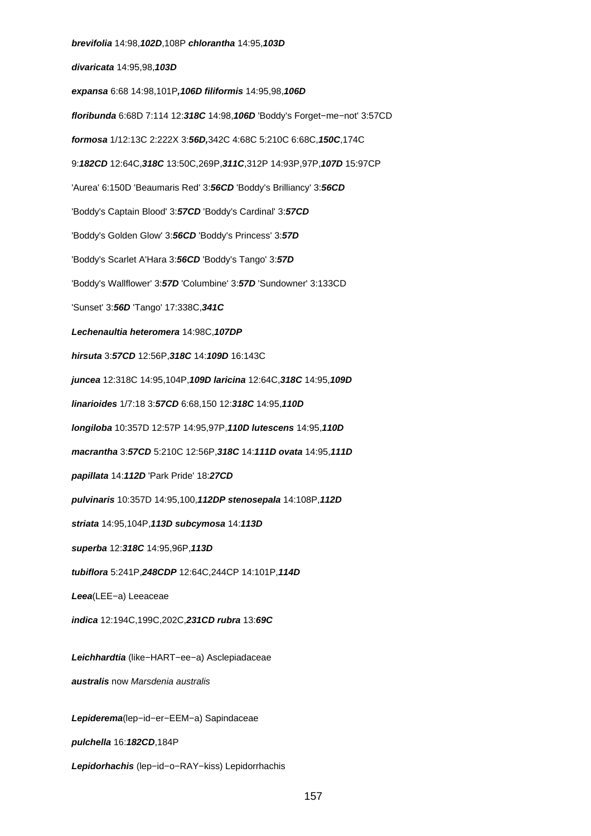**brevifolia** 14:98,**102D**,108P **chlorantha** 14:95,**103D divaricata** 14:95,98,**103D expansa** 6:68 14:98,101P**,106D filiformis** 14:95,98,**106D floribunda** 6:68D 7:114 12:**318C** 14:98,**106D** 'Boddy's Forget−me−not' 3:57CD **formosa** 1/12:13C 2:222X 3:**56D,**342C 4:68C 5:210C 6:68C,**150C**,174C 9:**182CD** 12:64C,**318C** 13:50C,269P,**311C**,312P 14:93P,97P,**107D** 15:97CP 'Aurea' 6:150D 'Beaumaris Red' 3:**56CD** 'Boddy's Brilliancy' 3:**56CD** 'Boddy's Captain Blood' 3:**57CD** 'Boddy's Cardinal' 3:**57CD** 'Boddy's Golden Glow' 3:**56CD** 'Boddy's Princess' 3:**57D** 'Boddy's Scarlet A'Hara 3:**56CD** 'Boddy's Tango' 3:**57D** 'Boddy's Wallflower' 3:**57D** 'Columbine' 3:**57D** 'Sundowner' 3:133CD 'Sunset' 3:**56D** 'Tango' 17:338C,**341C Lechenaultia heteromera** 14:98C,**107DP hirsuta** 3:**57CD** 12:56P,**318C** 14:**109D** 16:143C **juncea** 12:318C 14:95,104P,**109D laricina** 12:64C,**318C** 14:95,**109D linarioides** 1/7:18 3:**57CD** 6:68,150 12:**318C** 14:95,**110D longiloba** 10:357D 12:57P 14:95,97P,**110D lutescens** 14:95,**110D macrantha** 3:**57CD** 5:210C 12:56P,**318C** 14:**111D ovata** 14:95,**111D papillata** 14:**112D** 'Park Pride' 18:**27CD pulvinaris** 10:357D 14:95,100,**112DP stenosepala** 14:108P,**112D striata** 14:95,104P,**113D subcymosa** 14:**113D superba** 12:**318C** 14:95,96P,**113D tubiflora** 5:241P,**248CDP** 12:64C,244CP 14:101P,**114D Leea**(LEE−a) Leeaceae **indica** 12:194C,199C,202C,**231CD rubra** 13:**69C Leichhardtia** (like−HART−ee−a) Asclepiadaceae **australis** now Marsdenia australis **Lepiderema**(lep−id−er−EEM−a) Sapindaceae **pulchella** 16:**182CD**,184P **Lepidorhachis** (lep−id−o−RAY−kiss) Lepidorrhachis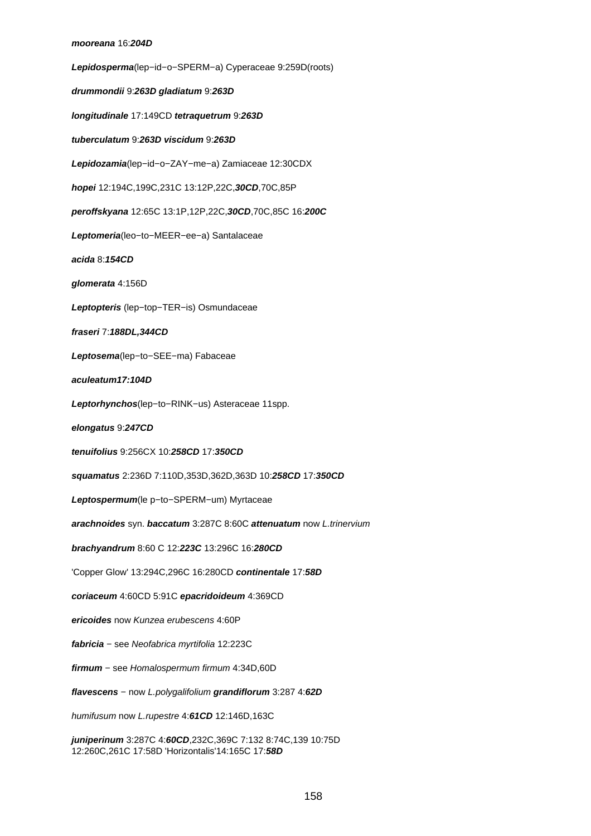**Lepidosperma**(lep−id−o−SPERM−a) Cyperaceae 9:259D(roots) **drummondii** 9:**263D gladiatum** 9:**263D longitudinale** 17:149CD **tetraquetrum** 9:**263D tuberculatum** 9:**263D viscidum** 9:**263D Lepidozamia**(lep−id−o−ZAY−me−a) Zamiaceae 12:30CDX **hopei** 12:194C,199C,231C 13:12P,22C,**30CD**,70C,85P **peroffskyana** 12:65C 13:1P,12P,22C,**30CD**,70C,85C 16:**200C Leptomeria**(leo−to−MEER−ee−a) Santalaceae **acida** 8:**154CD glomerata** 4:156D **Leptopteris** (lep−top−TER−is) Osmundaceae **fraseri** 7:**188DL,344CD Leptosema**(lep−to−SEE−ma) Fabaceae **aculeatum17:104D Leptorhynchos**(lep−to−RINK−us) Asteraceae 11spp. **elongatus** 9:**247CD tenuifolius** 9:256CX 10:**258CD** 17:**350CD squamatus** 2:236D 7:110D,353D,362D,363D 10:**258CD** 17:**350CD Leptospermum**(le p−to−SPERM−um) Myrtaceae **arachnoides** syn. **baccatum** 3:287C 8:60C **attenuatum** now L.trinervium **brachyandrum** 8:60 C 12:**223C** 13:296C 16:**280CD** 'Copper Glow' 13:294C,296C 16:280CD **continentale** 17:**58D coriaceum** 4:60CD 5:91C **epacridoideum** 4:369CD **ericoides** now Kunzea erubescens 4:60P **fabricia** − see Neofabrica myrtifolia 12:223C **firmum** − see Homalospermum firmum 4:34D,60D **flavescens** − now L.polygalifolium **grandiflorum** 3:287 4:**62D** humifusum now L.rupestre 4:**61CD** 12:146D,163C

**juniperinum** 3:287C 4:**60CD**,232C,369C 7:132 8:74C,139 10:75D 12:260C,261C 17:58D 'Horizontalis'14:165C 17:**58D**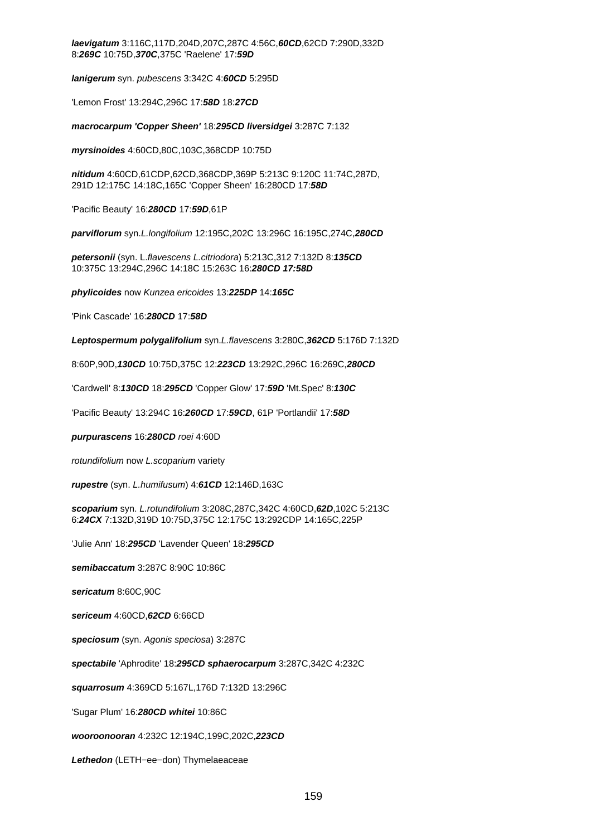**laevigatum** 3:116C,117D,204D,207C,287C 4:56C,**60CD**,62CD 7:290D,332D 8:**269C** 10:75D,**370C**,375C 'Raelene' 17:**59D**

**lanigerum** syn. pubescens 3:342C 4:**60CD** 5:295D

'Lemon Frost' 13:294C,296C 17:**58D** 18:**27CD**

**macrocarpum 'Copper Sheen'** 18:**295CD liversidgei** 3:287C 7:132

**myrsinoides** 4:60CD,80C,103C,368CDP 10:75D

**nitidum** 4:60CD,61CDP,62CD,368CDP,369P 5:213C 9:120C 11:74C,287D, 291D 12:175C 14:18C,165C 'Copper Sheen' 16:280CD 17:**58D**

'Pacific Beauty' 16:**280CD** 17:**59D**,61P

**parviflorum** syn.L.longifolium 12:195C,202C 13:296C 16:195C,274C,**280CD**

**petersonii** (syn. L.flavescens L.citriodora) 5:213C,312 7:132D 8:**135CD** 10:375C 13:294C,296C 14:18C 15:263C 16:**280CD 17:58D**

**phylicoides** now Kunzea ericoides 13:**225DP** 14:**165C**

'Pink Cascade' 16:**280CD** 17:**58D**

**Leptospermum polygalifolium** syn.L.flavescens 3:280C,**362CD** 5:176D 7:132D

8:60P,90D,**130CD** 10:75D,375C 12:**223CD** 13:292C,296C 16:269C,**280CD**

'Cardwell' 8:**130CD** 18:**295CD** 'Copper Glow' 17:**59D** 'Mt.Spec' 8:**130C**

'Pacific Beauty' 13:294C 16:**260CD** 17:**59CD**, 61P 'Portlandii' 17:**58D**

**purpurascens** 16:**280CD** roei 4:60D

rotundifolium now L.scoparium variety

**rupestre** (syn. L.humifusum) 4:**61CD** 12:146D,163C

**scoparium** syn. L.rotundifolium 3:208C,287C,342C 4:60CD,**62D**,102C 5:213C 6:**24CX** 7:132D,319D 10:75D,375C 12:175C 13:292CDP 14:165C,225P

'Julie Ann' 18:**295CD** 'Lavender Queen' 18:**295CD**

**semibaccatum** 3:287C 8:90C 10:86C

**sericatum** 8:60C,90C

**sericeum** 4:60CD,**62CD** 6:66CD

**speciosum** (syn. Agonis speciosa) 3:287C

**spectabile** 'Aphrodite' 18:**295CD sphaerocarpum** 3:287C,342C 4:232C

**squarrosum** 4:369CD 5:167L,176D 7:132D 13:296C

'Sugar Plum' 16:**280CD whitei** 10:86C

**wooroonooran** 4:232C 12:194C,199C,202C,**223CD**

**Lethedon** (LETH−ee−don) Thymelaeaceae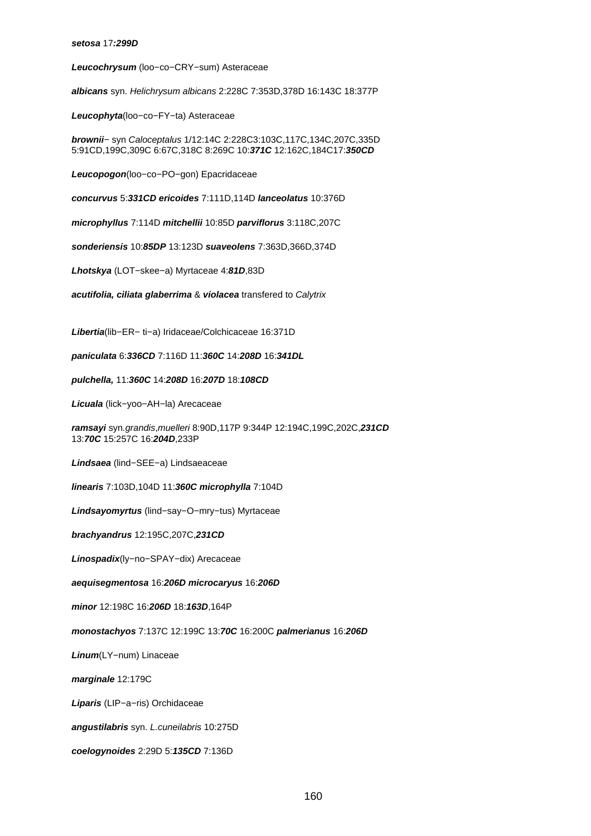#### **setosa** 17**:299D**

**Leucochrysum** (loo−co−CRY−sum) Asteraceae

**albicans** syn. Helichrysum albicans 2:228C 7:353D,378D 16:143C 18:377P

**Leucophyta**(loo−co−FY−ta) Asteraceae

**brownii**− syn Caloceptalus 1/12:14C 2:228C3:103C,117C,134C,207C,335D 5:91CD,199C,309C 6:67C,318C 8:269C 10:**371C** 12:162C,184C17:**350CD**

**Leucopogon**(loo−co−PO−gon) Epacridaceae

**concurvus** 5:**331CD ericoides** 7:111D,114D **lanceolatus** 10:376D

**microphyllus** 7:114D **mitchellii** 10:85D **parviflorus** 3:118C,207C

**sonderiensis** 10:**85DP** 13:123D **suaveolens** 7:363D,366D,374D

**Lhotskya** (LOT−skee−a) Myrtaceae 4:**81D**,83D

**acutifolia, ciliata glaberrima** & **violacea** transfered to Calytrix

**Libertia**(lib−ER− ti−a) Iridaceae/Colchicaceae 16:371D

**paniculata** 6:**336CD** 7:116D 11:**360C** 14:**208D** 16:**341DL**

**pulchella,** 11:**360C** 14:**208D** 16:**207D** 18:**108CD**

**Licuala** (lick−yoo−AH−la) Arecaceae

**ramsayi** syn.grandis,muelleri 8:90D,117P 9:344P 12:194C,199C,202C,**231CD** 13:**70C** 15:257C 16:**204D**,233P

**Lindsaea** (lind−SEE−a) Lindsaeaceae

**linearis** 7:103D,104D 11:**360C microphylla** 7:104D

**Lindsayomyrtus** (lind−say−O−mry−tus) Myrtaceae

**brachyandrus** 12:195C,207C,**231CD**

**Linospadix**(ly−no−SPAY−dix) Arecaceae

**aequisegmentosa** 16:**206D microcaryus** 16:**206D**

**minor** 12:198C 16:**206D** 18:**163D**,164P

**monostachyos** 7:137C 12:199C 13:**70C** 16:200C **palmerianus** 16:**206D**

**Linum**(LY−num) Linaceae

**marginale** 12:179C

**Liparis** (LIP−a−ris) Orchidaceae

**angustilabris** syn. L.cuneilabris 10:275D

**coelogynoides** 2:29D 5:**135CD** 7:136D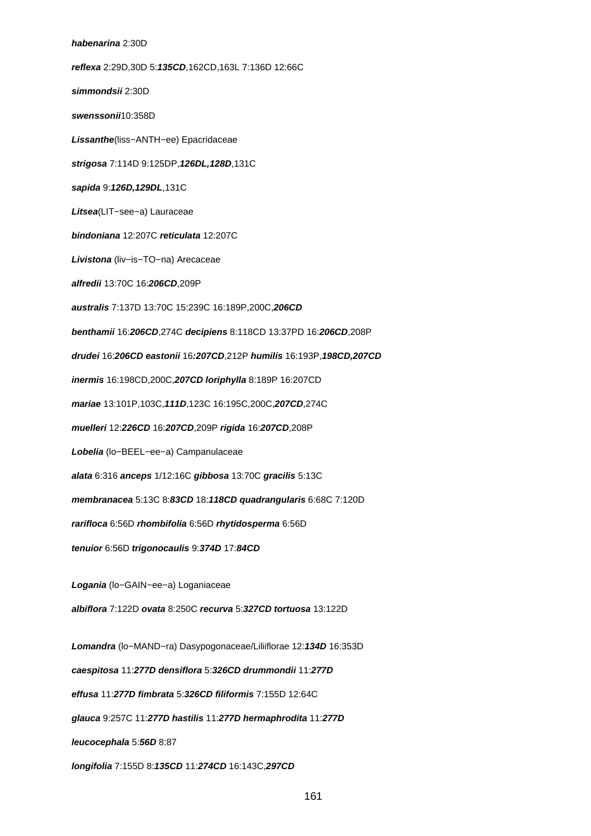# **habenarina** 2:30D **reflexa** 2:29D,30D 5:**135CD**,162CD,163L 7:136D 12:66C **simmondsii** 2:30D **swenssonii**10:358D **Lissanthe**(liss−ANTH−ee) Epacridaceae **strigosa** 7:114D 9:125DP,**126DL,128D**,131C **sapida** 9:**126D,129DL**,131C **Litsea**(LIT−see−a) Lauraceae **bindoniana** 12:207C **reticulata** 12:207C **Livistona** (liv−is−TO−na) Arecaceae **alfredii** 13:70C 16:**206CD**,209P **australis** 7:137D 13:70C 15:239C 16:189P,200C,**206CD benthamii** 16:**206CD**,274C **decipiens** 8:118CD 13:37PD 16:**206CD**,208P **drudei** 16:**206CD eastonii** 16**:207CD**,212P **humilis** 16:193P,**198CD,207CD inermis** 16:198CD,200C,**207CD loriphylla** 8:189P 16:207CD **mariae** 13:101P,103C,**111D**,123C 16:195C,200C,**207CD**,274C **muelleri** 12:**226CD** 16:**207CD**,209P **rigida** 16:**207CD**,208P **Lobelia** (lo−BEEL−ee−a) Campanulaceae **alata** 6:316 **anceps** 1/12:16C **gibbosa** 13:70C **gracilis** 5:13C **membranacea** 5:13C 8:**83CD** 18:**118CD quadrangularis** 6:68C 7:120D **rarifloca** 6:56D **rhombifolia** 6:56D **rhytidosperma** 6:56D **tenuior** 6:56D **trigonocaulis** 9:**374D** 17:**84CD Logania** (lo−GAIN−ee−a) Loganiaceae **albiflora** 7:122D **ovata** 8:250C **recurva** 5:**327CD tortuosa** 13:122D **Lomandra** (lo−MAND−ra) Dasypogonaceae/Liliiflorae 12:**134D** 16:353D **caespitosa** 11:**277D densiflora** 5:**326CD drummondii** 11:**277D effusa** 11:**277D fimbrata** 5:**326CD filiformis** 7:155D 12:64C **glauca** 9:257C 11:**277D hastilis** 11:**277D hermaphrodita** 11:**277D leucocephala** 5:**56D** 8:87 **longifolia** 7:155D 8:**135CD** 11:**274CD** 16:143C,**297CD**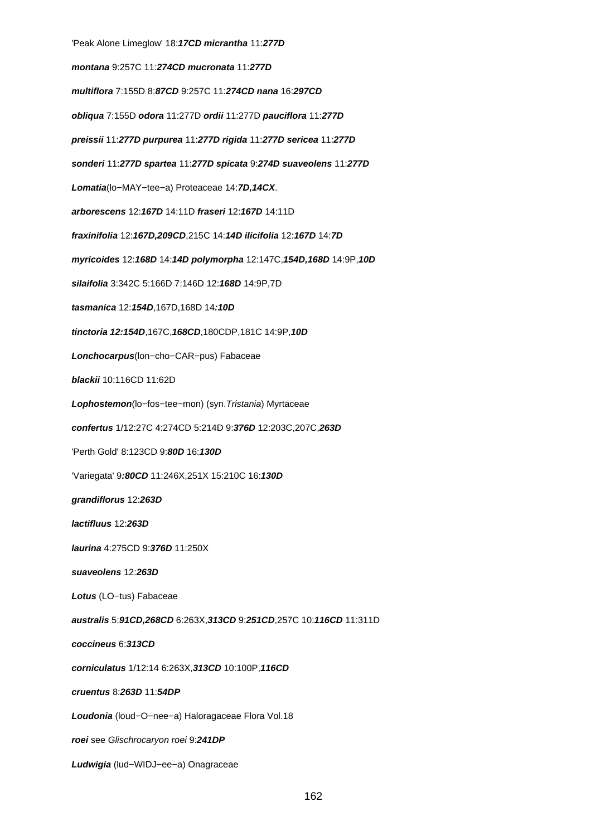'Peak Alone Limeglow' 18:**17CD micrantha** 11:**277D montana** 9:257C 11:**274CD mucronata** 11:**277D multiflora** 7:155D 8:**87CD** 9:257C 11:**274CD nana** 16:**297CD obliqua** 7:155D **odora** 11:277D **ordii** 11:277D **pauciflora** 11:**277D preissii** 11:**277D purpurea** 11:**277D rigida** 11:**277D sericea** 11:**277D sonderi** 11:**277D spartea** 11:**277D spicata** 9:**274D suaveolens** 11:**277D Lomatia**(lo−MAY−tee−a) Proteaceae 14:**7D,14CX**. **arborescens** 12:**167D** 14:11D **fraseri** 12:**167D** 14:11D **fraxinifolia** 12:**167D,209CD**,215C 14:**14D ilicifolia** 12:**167D** 14:**7D myricoides** 12:**168D** 14:**14D polymorpha** 12:147C,**154D,168D** 14:9P,**10D silaifolia** 3:342C 5:166D 7:146D 12:**168D** 14:9P,7D **tasmanica** 12:**154D**,167D,168D 14**:10D tinctoria 12:154D**,167C,**168CD**,180CDP,181C 14:9P,**10D Lonchocarpus**(lon−cho−CAR−pus) Fabaceae **blackii** 10:116CD 11:62D **Lophostemon**(lo−fos−tee−mon) (syn.Tristania) Myrtaceae **confertus** 1/12:27C 4:274CD 5:214D 9:**376D** 12:203C,207C,**263D** 'Perth Gold' 8:123CD 9:**80D** 16:**130D** 'Variegata' 9**:80CD** 11:246X,251X 15:210C 16:**130D grandiflorus** 12:**263D lactifluus** 12:**263D laurina** 4:275CD 9:**376D** 11:250X **suaveolens** 12:**263D Lotus** (LO−tus) Fabaceae **australis** 5:**91CD,268CD** 6:263X,**313CD** 9:**251CD**,257C 10:**116CD** 11:311D **coccineus** 6:**313CD corniculatus** 1/12:14 6:263X,**313CD** 10:100P,**116CD cruentus** 8:**263D** 11:**54DP Loudonia** (loud−O−nee−a) Haloragaceae Flora Vol.18 **roei** see Glischrocaryon roei 9:**241DP Ludwigia** (lud−WIDJ−ee−a) Onagraceae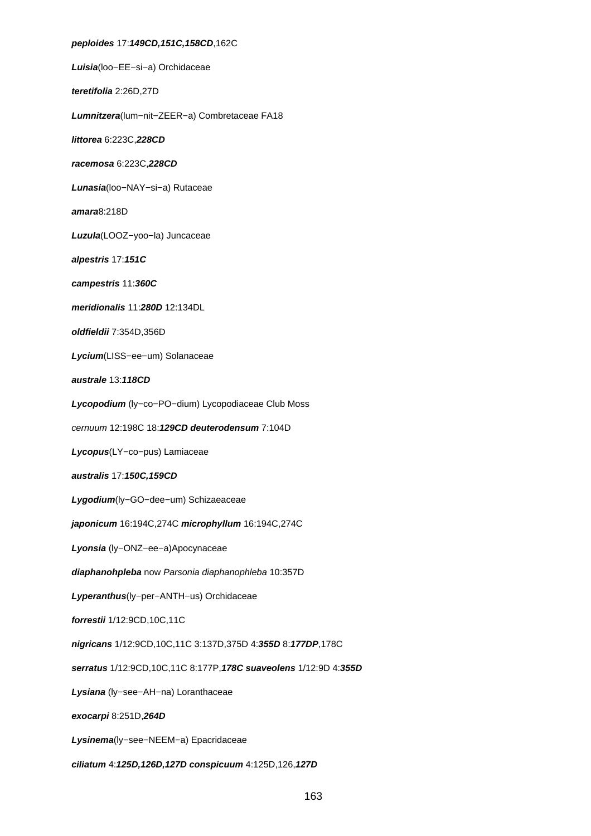**peploides** 17:**149CD,151C,158CD**,162C **Luisia**(loo−EE−si−a) Orchidaceae **teretifolia** 2:26D,27D **Lumnitzera**(lum−nit−ZEER−a) Combretaceae FA18 **littorea** 6:223C,**228CD racemosa** 6:223C,**228CD Lunasia**(loo−NAY−si−a) Rutaceae **amara**8:218D **Luzula**(LOOZ−yoo−la) Juncaceae **alpestris** 17:**151C campestris** 11:**360C meridionalis** 11:**280D** 12:134DL **oldfieldii** 7:354D,356D **Lycium**(LISS−ee−um) Solanaceae **australe** 13:**118CD Lycopodium** (ly−co−PO−dium) Lycopodiaceae Club Moss cernuum 12:198C 18:**129CD deuterodensum** 7:104D **Lycopus**(LY−co−pus) Lamiaceae **australis** 17:**150C,159CD Lygodium**(ly−GO−dee−um) Schizaeaceae **japonicum** 16:194C,274C **microphyllum** 16:194C,274C **Lyonsia** (ly−ONZ−ee−a)Apocynaceae **diaphanohpleba** now Parsonia diaphanophleba 10:357D **Lyperanthus**(ly−per−ANTH−us) Orchidaceae **forrestii** 1/12:9CD,10C,11C **nigricans** 1/12:9CD,10C,11C 3:137D,375D 4:**355D** 8:**177DP**,178C **serratus** 1/12:9CD,10C,11C 8:177P,**178C suaveolens** 1/12:9D 4:**355D Lysiana** (ly−see−AH−na) Loranthaceae **exocarpi** 8:251D,**264D Lysinema**(ly−see−NEEM−a) Epacridaceae **ciliatum** 4:**125D,126D,127D conspicuum** 4:125D,126,**127D**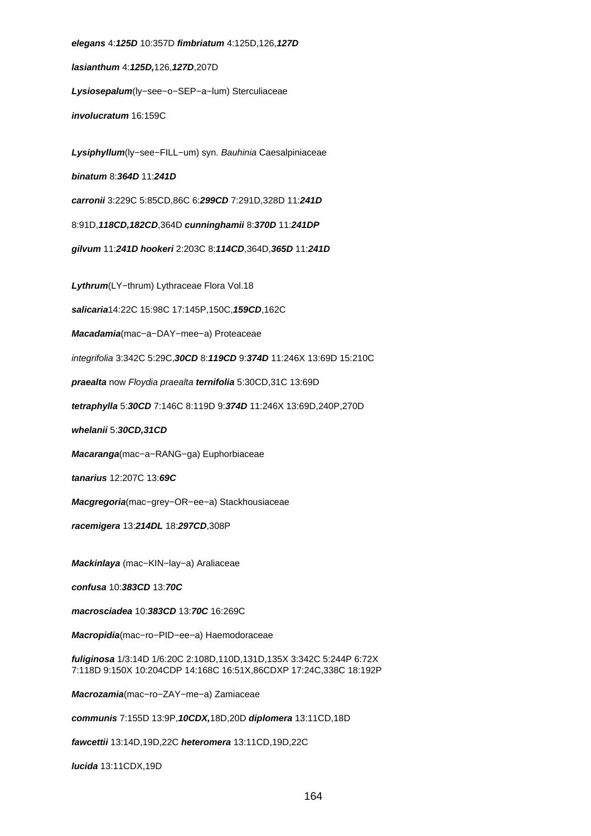**elegans** 4:**125D** 10:357D **fimbriatum** 4:125D,126,**127D lasianthum** 4:**125D,**126,**127D**,207D **Lysiosepalum**(ly−see−o−SEP−a−lum) Sterculiaceae **involucratum** 16:159C **Lysiphyllum**(ly−see−FILL−um) syn. Bauhinia Caesalpiniaceae **binatum** 8:**364D** 11:**241D carronii** 3:229C 5:85CD,86C 6:**299CD** 7:291D,328D 11:**241D** 8:91D,**118CD,182CD**,364D **cunninghamii** 8:**370D** 11:**241DP gilvum** 11:**241D hookeri** 2:203C 8:**114CD**,364D,**365D** 11:**241D Lythrum**(LY−thrum) Lythraceae Flora Vol.18 **salicaria**14:22C 15:98C 17:145P,150C,**159CD**,162C **Macadamia**(mac−a−DAY−mee−a) Proteaceae integrifolia 3:342C 5:29C,**30CD** 8:**119CD** 9:**374D** 11:246X 13:69D 15:210C **praealta** now Floydia praealta **ternifolia** 5:30CD,31C 13:69D **tetraphylla** 5:**30CD** 7:146C 8:119D 9:**374D** 11:246X 13:69D,240P,270D **whelanii** 5:**30CD,31CD Macaranga**(mac−a−RANG−ga) Euphorbiaceae **tanarius** 12:207C 13:**69C Macgregoria**(mac−grey−OR−ee−a) Stackhousiaceae **racemigera** 13:**214DL** 18:**297CD**,308P **Mackinlaya** (mac−KIN−lay−a) Araliaceae **confusa** 10:**383CD** 13:**70C macrosciadea** 10:**383CD** 13:**70C** 16:269C **Macropidia**(mac−ro−PID−ee−a) Haemodoraceae **fuliginosa** 1/3:14D 1/6:20C 2:108D,110D,131D,135X 3:342C 5:244P 6:72X 7:118D 9:150X 10:204CDP 14:168C 16:51X,86CDXP 17:24C,338C 18:192P **Macrozamia**(mac−ro−ZAY−me−a) Zamiaceae **communis** 7:155D 13:9P,**10CDX,**18D,20D **diplomera** 13:11CD,18D **fawcettii** 13:14D,19D,22C **heteromera** 13:11CD,19D,22C

**lucida** 13:11CDX,19D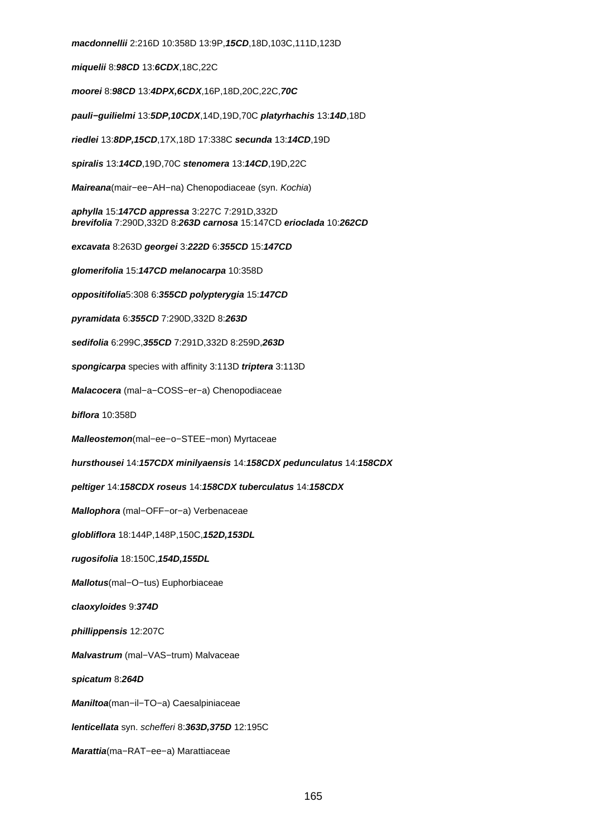**macdonnellii** 2:216D 10:358D 13:9P,**15CD**,18D,103C,111D,123D **miquelii** 8:**98CD** 13:**6CDX**,18C,22C **moorei** 8:**98CD** 13:**4DPX,6CDX**,16P,18D,20C,22C,**70C pauli−guilielmi** 13:**5DP,10CDX**,14D,19D,70C **platyrhachis** 13:**14D**,18D **riedlei** 13:**8DP,15CD**,17X,18D 17:338C **secunda** 13:**14CD**,19D **spiralis** 13:**14CD**,19D,70C **stenomera** 13:**14CD**,19D,22C **Maireana**(mair−ee−AH−na) Chenopodiaceae (syn. Kochia) **aphylla** 15:**147CD appressa** 3:227C 7:291D,332D **brevifolia** 7:290D,332D 8:**263D carnosa** 15:147CD **erioclada** 10:**262CD excavata** 8:263D **georgei** 3:**222D** 6:**355CD** 15:**147CD glomerifolia** 15:**147CD melanocarpa** 10:358D **oppositifolia**5:308 6:**355CD polypterygia** 15:**147CD pyramidata** 6:**355CD** 7:290D,332D 8:**263D sedifolia** 6:299C,**355CD** 7:291D,332D 8:259D,**263D spongicarpa** species with affinity 3:113D **triptera** 3:113D **Malacocera** (mal−a−COSS−er−a) Chenopodiaceae **biflora** 10:358D **Malleostemon**(mal−ee−o−STEE−mon) Myrtaceae **hursthousei** 14:**157CDX minilyaensis** 14:**158CDX pedunculatus** 14:**158CDX peltiger** 14:**158CDX roseus** 14:**158CDX tuberculatus** 14:**158CDX Mallophora** (mal−OFF−or−a) Verbenaceae **globliflora** 18:144P,148P,150C,**152D,153DL rugosifolia** 18:150C,**154D,155DL Mallotus**(mal−O−tus) Euphorbiaceae **claoxyloides** 9:**374D phillippensis** 12:207C **Malvastrum** (mal−VAS−trum) Malvaceae **spicatum** 8:**264D Maniltoa**(man−il−TO−a) Caesalpiniaceae **lenticellata** syn. schefferi 8:**363D,375D** 12:195C **Marattia**(ma−RAT−ee−a) Marattiaceae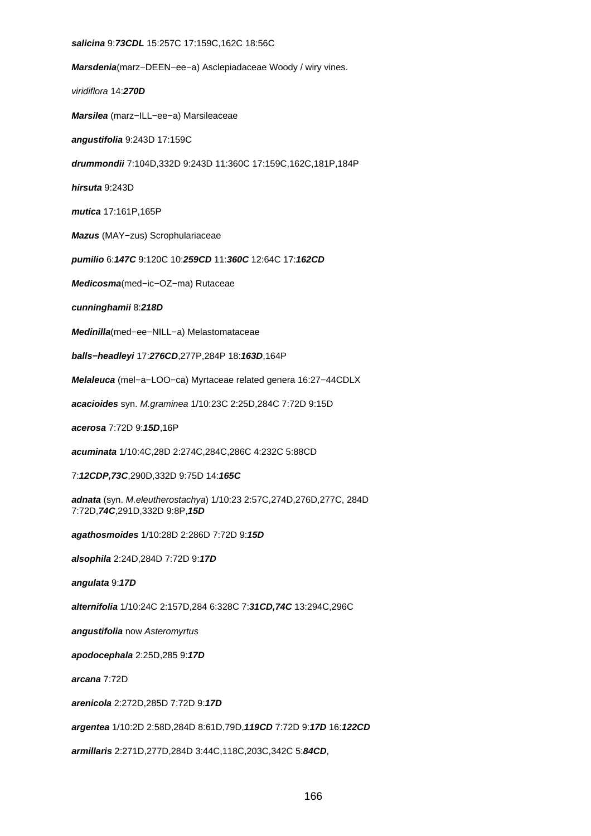#### **salicina** 9:**73CDL** 15:257C 17:159C,162C 18:56C

**Marsdenia**(marz−DEEN−ee−a) Asclepiadaceae Woody / wiry vines.

viridiflora 14:**270D**

**Marsilea** (marz−ILL−ee−a) Marsileaceae

**angustifolia** 9:243D 17:159C

**drummondii** 7:104D,332D 9:243D 11:360C 17:159C,162C,181P,184P

**hirsuta** 9:243D

**mutica** 17:161P,165P

**Mazus** (MAY−zus) Scrophulariaceae

**pumilio** 6:**147C** 9:120C 10:**259CD** 11:**360C** 12:64C 17:**162CD**

**Medicosma**(med−ic−OZ−ma) Rutaceae

**cunninghamii** 8:**218D**

**Medinilla**(med−ee−NILL−a) Melastomataceae

**balls−headleyi** 17:**276CD**,277P,284P 18:**163D**,164P

**Melaleuca** (mel−a−LOO−ca) Myrtaceae related genera 16:27−44CDLX

**acacioides** syn. M.graminea 1/10:23C 2:25D,284C 7:72D 9:15D

**acerosa** 7:72D 9:**15D**,16P

**acuminata** 1/10:4C,28D 2:274C,284C,286C 4:232C 5:88CD

7:**12CDP,73C**,290D,332D 9:75D 14:**165C**

**adnata** (syn. M.eleutherostachya) 1/10:23 2:57C,274D,276D,277C, 284D 7:72D,**74C**,291D,332D 9:8P,**15D**

**agathosmoides** 1/10:28D 2:286D 7:72D 9:**15D**

**alsophila** 2:24D,284D 7:72D 9:**17D**

**angulata** 9:**17D**

**alternifolia** 1/10:24C 2:157D,284 6:328C 7:**31CD,74C** 13:294C,296C

**angustifolia** now Asteromyrtus

**apodocephala** 2:25D,285 9:**17D**

**arcana** 7:72D

**arenicola** 2:272D,285D 7:72D 9:**17D**

**argentea** 1/10:2D 2:58D,284D 8:61D,79D,**119CD** 7:72D 9:**17D** 16:**122CD**

**armillaris** 2:271D,277D,284D 3:44C,118C,203C,342C 5:**84CD**,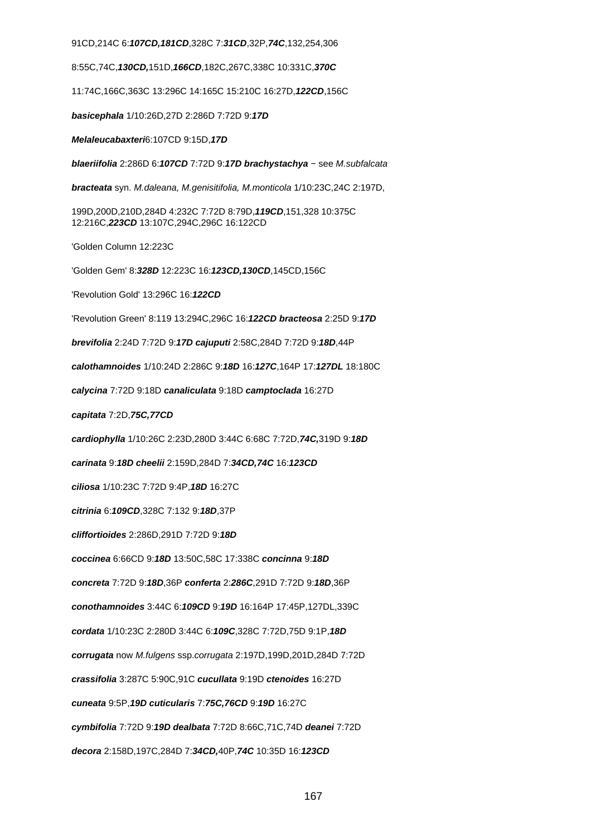91CD,214C 6:**107CD,181CD**,328C 7:**31CD**,32P,**74C**,132,254,306

8:55C,74C,**130CD,**151D,**166CD**,182C,267C,338C 10:331C,**370C**

11:74C,166C,363C 13:296C 14:165C 15:210C 16:27D,**122CD**,156C

**basicephala** 1/10:26D,27D 2:286D 7:72D 9:**17D**

**Melaleucabaxteri**6:107CD 9:15D,**17D**

**blaeriifolia** 2:286D 6:**107CD** 7:72D 9:**17D brachystachya** − see M.subfalcata

**bracteata** syn. M.daleana, M.genisitifolia, M.monticola 1/10:23C,24C 2:197D,

199D,200D,210D,284D 4:232C 7:72D 8:79D,**119CD**,151,328 10:375C 12:216C,**223CD** 13:107C,294C,296C 16:122CD

'Golden Column 12:223C

'Golden Gem' 8:**328D** 12:223C 16:**123CD,130CD**,145CD,156C

'Revolution Gold' 13:296C 16:**122CD**

'Revolution Green' 8:119 13:294C,296C 16:**122CD bracteosa** 2:25D 9:**17D**

**brevifolia** 2:24D 7:72D 9:**17D cajuputi** 2:58C,284D 7:72D 9:**18D**,44P

**calothamnoides** 1/10:24D 2:286C 9:**18D** 16:**127C**,164P 17:**127DL** 18:180C

**calycina** 7:72D 9:18D **canaliculata** 9:18D **camptoclada** 16:27D

**capitata** 7:2D,**75C,77CD**

**cardiophylla** 1/10:26C 2:23D,280D 3:44C 6:68C 7:72D,**74C,**319D 9:**18D**

**carinata** 9:**18D cheelii** 2:159D,284D 7:**34CD,74C** 16:**123CD**

**ciliosa** 1/10:23C 7:72D 9:4P,**18D** 16:27C

**citrinia** 6:**109CD**,328C 7:132 9:**18D**,37P

**cliffortioides** 2:286D,291D 7:72D 9:**18D**

**coccinea** 6:66CD 9:**18D** 13:50C,58C 17:338C **concinna** 9:**18D**

**concreta** 7:72D 9:**18D**,36P **conferta** 2:**286C**,291D 7:72D 9:**18D**,36P

**conothamnoides** 3:44C 6:**109CD** 9:**19D** 16:164P 17:45P,127DL,339C

**cordata** 1/10:23C 2:280D 3:44C 6:**109C**,328C 7:72D,75D 9:1P,**18D**

**corrugata** now M.fulgens ssp.corrugata 2:197D,199D,201D,284D 7:72D

**crassifolia** 3:287C 5:90C,91C **cucullata** 9:19D **ctenoides** 16:27D

**cuneata** 9:5P,**19D cuticularis** 7:**75C,76CD** 9:**19D** 16:27C

**cymbifolia** 7:72D 9:**19D dealbata** 7:72D 8:66C,71C,74D **deanei** 7:72D

**decora** 2:158D,197C,284D 7:**34CD,**40P,**74C** 10:35D 16:**123CD**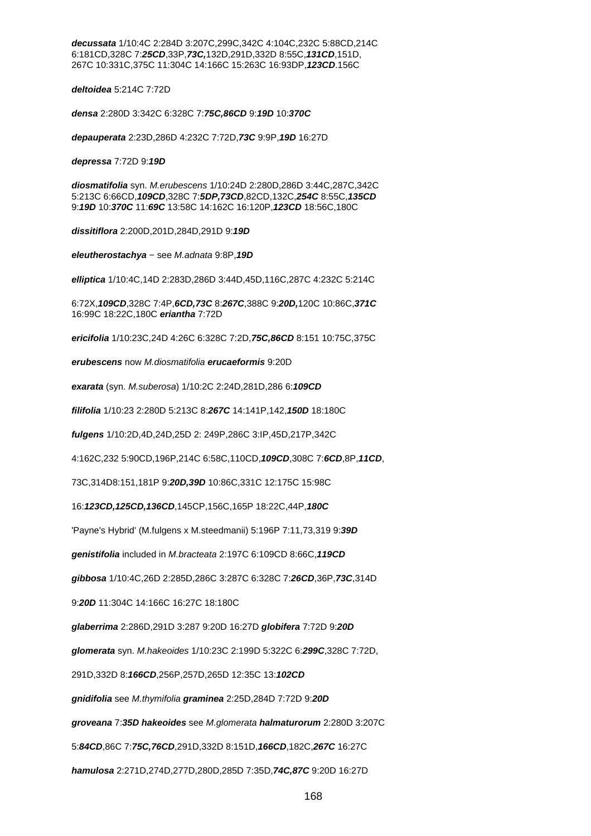**decussata** 1/10:4C 2:284D 3:207C,299C,342C 4:104C,232C 5:88CD,214C 6:181CD,328C 7:**25CD**,33P,**73C,**132D,291D,332D 8:55C,**131CD**,151D, 267C 10:331C,375C 11:304C 14:166C 15:263C 16:93DP,**123CD**.156C

**deltoidea** 5:214C 7:72D

**densa** 2:280D 3:342C 6:328C 7:**75C,86CD** 9:**19D** 10:**370C**

**depauperata** 2:23D,286D 4:232C 7:72D,**73C** 9:9P,**19D** 16:27D

**depressa** 7:72D 9:**19D**

**diosmatifolia** syn. M.erubescens 1/10:24D 2:280D,286D 3:44C,287C,342C 5:213C 6:66CD,**109CD**,328C 7:**5DP,73CD**,82CD,132C,**254C** 8:55C,**135CD** 9:**19D** 10:**370C** 11:**69C** 13:58C 14:162C 16:120P,**123CD** 18:56C,180C

**dissitiflora** 2:200D,201D,284D,291D 9:**19D**

**eleutherostachya** − see M.adnata 9:8P,**19D**

**elliptica** 1/10:4C,14D 2:283D,286D 3:44D,45D,116C,287C 4:232C 5:214C

6:72X,**109CD**,328C 7:4P,**6CD,73C** 8:**267C**,388C 9:**20D,**120C 10:86C,**371C** 16:99C 18:22C,180C **eriantha** 7:72D

**ericifolia** 1/10:23C,24D 4:26C 6:328C 7:2D,**75C,86CD** 8:151 10:75C,375C

**erubescens** now M.diosmatifolia **erucaeformis** 9:20D

**exarata** (syn. M.suberosa) 1/10:2C 2:24D,281D,286 6:**109CD**

**filifolia** 1/10:23 2:280D 5:213C 8:**267C** 14:141P,142,**150D** 18:180C

**fulgens** 1/10:2D,4D,24D,25D 2: 249P,286C 3:IP,45D,217P,342C

4:162C,232 5:90CD,196P,214C 6:58C,110CD,**109CD**,308C 7:**6CD**,8P,**11CD**,

73C,314D8:151,181P 9:**20D,39D** 10:86C,331C 12:175C 15:98C

16:**123CD,125CD,136CD**,145CP,156C,165P 18:22C,44P,**180C**

'Payne's Hybrid' (M.fulgens x M.steedmanii) 5:196P 7:11,73,319 9:**39D**

**genistifolia** included in M.bracteata 2:197C 6:109CD 8:66C,**119CD**

**gibbosa** 1/10:4C,26D 2:285D,286C 3:287C 6:328C 7:**26CD**,36P,**73C**,314D

9:**20D** 11:304C 14:166C 16:27C 18:180C

**glaberrima** 2:286D,291D 3:287 9:20D 16:27D **globifera** 7:72D 9:**20D**

**glomerata** syn. M.hakeoides 1/10:23C 2:199D 5:322C 6:**299C**,328C 7:72D,

291D,332D 8:**166CD**,256P,257D,265D 12:35C 13:**102CD**

**gnidifolia** see M.thymifolia **graminea** 2:25D,284D 7:72D 9:**20D**

**groveana** 7:**35D hakeoides** see M.glomerata **halmaturorum** 2:280D 3:207C

5:**84CD**,86C 7:**75C,76CD**,291D,332D 8:151D,**166CD**,182C,**267C** 16:27C

**hamulosa** 2:271D,274D,277D,280D,285D 7:35D,**74C,87C** 9:20D 16:27D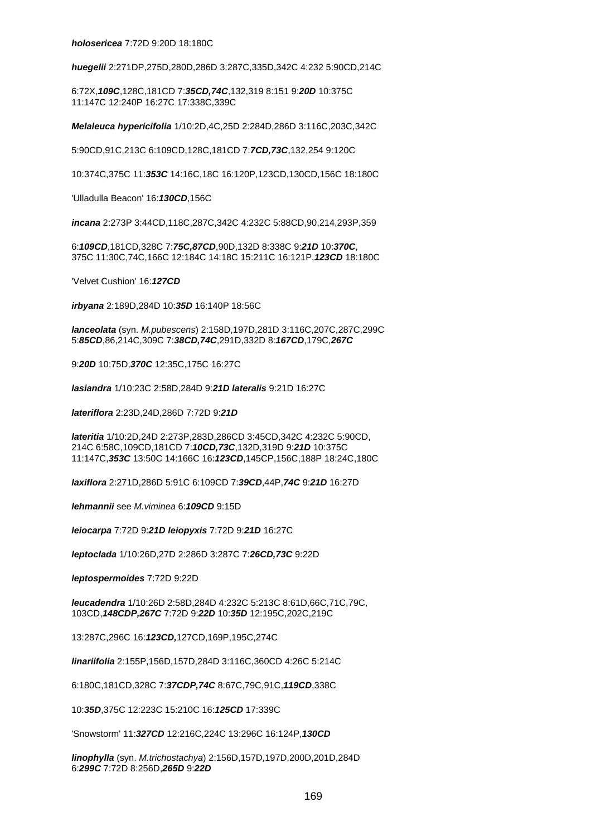**huegelii** 2:271DP,275D,280D,286D 3:287C,335D,342C 4:232 5:90CD,214C

6:72X,**109C**,128C,181CD 7:**35CD,74C**,132,319 8:151 9:**20D** 10:375C 11:147C 12:240P 16:27C 17:338C,339C

**Melaleuca hypericifolia** 1/10:2D,4C,25D 2:284D,286D 3:116C,203C,342C

5:90CD,91C,213C 6:109CD,128C,181CD 7:**7CD,73C**,132,254 9:120C

10:374C,375C 11:**353C** 14:16C,18C 16:120P,123CD,130CD,156C 18:180C

'Ulladulla Beacon' 16:**130CD**,156C

**incana** 2:273P 3:44CD,118C,287C,342C 4:232C 5:88CD,90,214,293P,359

6:**109CD**,181CD,328C 7:**75C,87CD**,90D,132D 8:338C 9:**21D** 10:**370C**, 375C 11:30C,74C,166C 12:184C 14:18C 15:211C 16:121P,**123CD** 18:180C

'Velvet Cushion' 16:**127CD**

**irbyana** 2:189D,284D 10:**35D** 16:140P 18:56C

**lanceolata** (syn. M.pubescens) 2:158D,197D,281D 3:116C,207C,287C,299C 5:**85CD**,86,214C,309C 7:**38CD,74C**,291D,332D 8:**167CD**,179C,**267C**

9:**20D** 10:75D,**370C** 12:35C,175C 16:27C

**lasiandra** 1/10:23C 2:58D,284D 9:**21D lateralis** 9:21D 16:27C

**lateriflora** 2:23D,24D,286D 7:72D 9:**21D**

**lateritia** 1/10:2D,24D 2:273P,283D,286CD 3:45CD,342C 4:232C 5:90CD, 214C 6:58C,109CD,181CD 7:**10CD,73C**,132D,319D 9:**21D** 10:375C 11:147C,**353C** 13:50C 14:166C 16:**123CD**,145CP,156C,188P 18:24C,180C

**laxiflora** 2:271D,286D 5:91C 6:109CD 7:**39CD**,44P,**74C** 9:**21D** 16:27D

**lehmannii** see M.viminea 6:**109CD** 9:15D

**leiocarpa** 7:72D 9:**21D leiopyxis** 7:72D 9:**21D** 16:27C

**leptoclada** 1/10:26D,27D 2:286D 3:287C 7:**26CD,73C** 9:22D

**leptospermoides** 7:72D 9:22D

**leucadendra** 1/10:26D 2:58D,284D 4:232C 5:213C 8:61D,66C,71C,79C, 103CD,**148CDP,267C** 7:72D 9:**22D** 10:**35D** 12:195C,202C,219C

13:287C,296C 16:**123CD,**127CD,169P,195C,274C

**linariifolia** 2:155P,156D,157D,284D 3:116C,360CD 4:26C 5:214C

6:180C,181CD,328C 7:**37CDP,74C** 8:67C,79C,91C,**119CD**,338C

10:**35D**,375C 12:223C 15:210C 16:**125CD** 17:339C

'Snowstorm' 11:**327CD** 12:216C,224C 13:296C 16:124P,**130CD**

**linophylla** (syn. M.trichostachya) 2:156D,157D,197D,200D,201D,284D 6:**299C** 7:72D 8:256D,**265D** 9:**22D**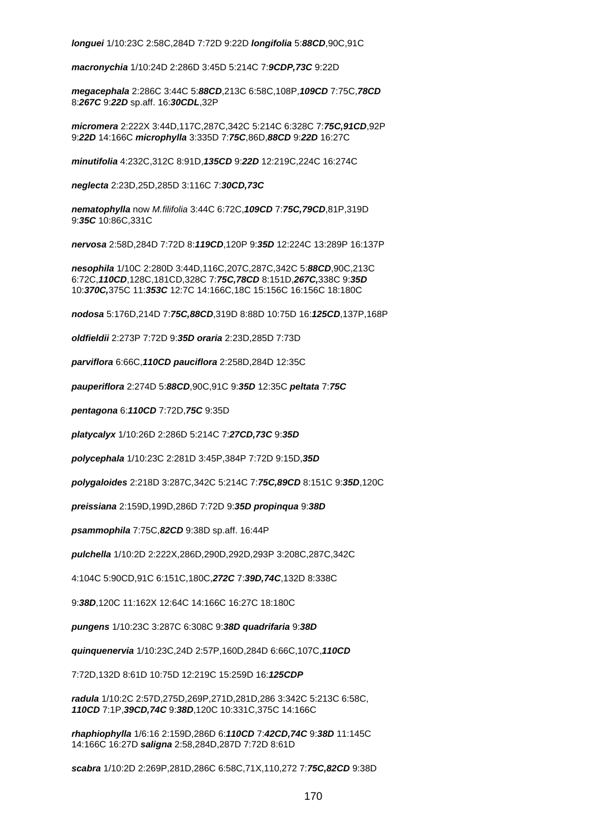**longuei** 1/10:23C 2:58C,284D 7:72D 9:22D **longifolia** 5:**88CD**,90C,91C

**macronychia** 1/10:24D 2:286D 3:45D 5:214C 7:**9CDP,73C** 9:22D

**megacephala** 2:286C 3:44C 5:**88CD**,213C 6:58C,108P,**109CD** 7:75C,**78CD** 8:**267C** 9:**22D** sp.aff. 16:**30CDL**,32P

**micromera** 2:222X 3:44D,117C,287C,342C 5:214C 6:328C 7:**75C,91CD**,92P 9:**22D** 14:166C **microphylla** 3:335D 7:**75C**,86D,**88CD** 9:**22D** 16:27C

**minutifolia** 4:232C,312C 8:91D,**135CD** 9:**22D** 12:219C,224C 16:274C

**neglecta** 2:23D,25D,285D 3:116C 7:**30CD,73C**

**nematophylla** now M.filifolia 3:44C 6:72C,**109CD** 7:**75C,79CD**,81P,319D 9:**35C** 10:86C,331C

**nervosa** 2:58D,284D 7:72D 8:**119CD**,120P 9:**35D** 12:224C 13:289P 16:137P

**nesophila** 1/10C 2:280D 3:44D,116C,207C,287C,342C 5:**88CD**,90C,213C 6:72C,**110CD**,128C,181CD,328C 7:**75C,78CD** 8:151D,**267C,**338C 9:**35D** 10:**370C,**375C 11:**353C** 12:7C 14:166C,18C 15:156C 16:156C 18:180C

**nodosa** 5:176D,214D 7:**75C,88CD**,319D 8:88D 10:75D 16:**125CD**,137P,168P

**oldfieldii** 2:273P 7:72D 9:**35D oraria** 2:23D,285D 7:73D

**parviflora** 6:66C,**110CD pauciflora** 2:258D,284D 12:35C

**pauperiflora** 2:274D 5:**88CD**,90C,91C 9:**35D** 12:35C **peltata** 7:**75C**

**pentagona** 6:**110CD** 7:72D,**75C** 9:35D

**platycalyx** 1/10:26D 2:286D 5:214C 7:**27CD,73C** 9:**35D**

**polycephala** 1/10:23C 2:281D 3:45P,384P 7:72D 9:15D,**35D**

**polygaloides** 2:218D 3:287C,342C 5:214C 7:**75C,89CD** 8:151C 9:**35D**,120C

**preissiana** 2:159D,199D,286D 7:72D 9:**35D propinqua** 9:**38D**

**psammophila** 7:75C,**82CD** 9:38D sp.aff. 16:44P

**pulchella** 1/10:2D 2:222X,286D,290D,292D,293P 3:208C,287C,342C

4:104C 5:90CD,91C 6:151C,180C,**272C** 7:**39D,74C**,132D 8:338C

9:**38D**,120C 11:162X 12:64C 14:166C 16:27C 18:180C

**pungens** 1/10:23C 3:287C 6:308C 9:**38D quadrifaria** 9:**38D**

**quinquenervia** 1/10:23C,24D 2:57P,160D,284D 6:66C,107C,**110CD**

7:72D,132D 8:61D 10:75D 12:219C 15:259D 16:**125CDP**

**radula** 1/10:2C 2:57D,275D,269P,271D,281D,286 3:342C 5:213C 6:58C, **110CD** 7:1P,**39CD,74C** 9:**38D**,120C 10:331C,375C 14:166C

**rhaphiophylla** 1/6:16 2:159D,286D 6:**110CD** 7:**42CD,74C** 9:**38D** 11:145C 14:166C 16:27D **saligna** 2:58,284D,287D 7:72D 8:61D

**scabra** 1/10:2D 2:269P,281D,286C 6:58C,71X,110,272 7:**75C,82CD** 9:38D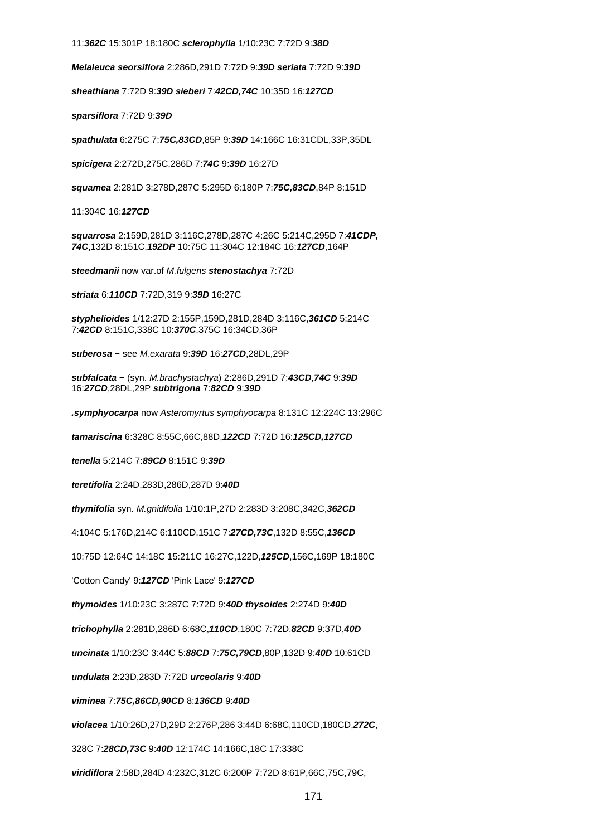11:**362C** 15:301P 18:180C **sclerophylla** 1/10:23C 7:72D 9:**38D**

**Melaleuca seorsiflora** 2:286D,291D 7:72D 9:**39D seriata** 7:72D 9:**39D**

**sheathiana** 7:72D 9:**39D sieberi** 7:**42CD,74C** 10:35D 16:**127CD**

**sparsiflora** 7:72D 9:**39D**

**spathulata** 6:275C 7:**75C,83CD**,85P 9:**39D** 14:166C 16:31CDL,33P,35DL

**spicigera** 2:272D,275C,286D 7:**74C** 9:**39D** 16:27D

**squamea** 2:281D 3:278D,287C 5:295D 6:180P 7:**75C,83CD**,84P 8:151D

11:304C 16:**127CD**

**squarrosa** 2:159D,281D 3:116C,278D,287C 4:26C 5:214C,295D 7:**41CDP, 74C**,132D 8:151C,**192DP** 10:75C 11:304C 12:184C 16:**127CD**,164P

**steedmanii** now var.of M.fulgens **stenostachya** 7:72D

**striata** 6:**110CD** 7:72D,319 9:**39D** 16:27C

**styphelioides** 1/12:27D 2:155P,159D,281D,284D 3:116C,**361CD** 5:214C 7:**42CD** 8:151C,338C 10:**370C**,375C 16:34CD,36P

**suberosa** − see M.exarata 9:**39D** 16:**27CD**,28DL,29P

**subfalcata** − (syn. M.brachystachya) 2:286D,291D 7:**43CD**,**74C** 9:**39D** 16:**27CD**,28DL,29P **subtrigona** 7:**82CD** 9:**39D**

**.symphyocarpa** now Asteromyrtus symphyocarpa 8:131C 12:224C 13:296C

**tamariscina** 6:328C 8:55C,66C,88D,**122CD** 7:72D 16:**125CD,127CD**

**tenella** 5:214C 7:**89CD** 8:151C 9:**39D**

**teretifolia** 2:24D,283D,286D,287D 9:**40D**

**thymifolia** syn. M.gnidifolia 1/10:1P,27D 2:283D 3:208C,342C,**362CD**

4:104C 5:176D,214C 6:110CD,151C 7:**27CD,73C**,132D 8:55C,**136CD**

10:75D 12:64C 14:18C 15:211C 16:27C,122D,**125CD**,156C,169P 18:180C

'Cotton Candy' 9:**127CD** 'Pink Lace' 9:**127CD**

**thymoides** 1/10:23C 3:287C 7:72D 9:**40D thysoides** 2:274D 9:**40D**

**trichophylla** 2:281D,286D 6:68C,**110CD**,180C 7:72D,**82CD** 9:37D,**40D**

**uncinata** 1/10:23C 3:44C 5:**88CD** 7:**75C,79CD**,80P,132D 9:**40D** 10:61CD

**undulata** 2:23D,283D 7:72D **urceolaris** 9:**40D**

**viminea** 7:**75C,86CD,90CD** 8:**136CD** 9:**40D**

**violacea** 1/10:26D,27D,29D 2:276P,286 3:44D 6:68C,110CD,180CD,**272C**,

328C 7:**28CD,73C** 9:**40D** 12:174C 14:166C,18C 17:338C

**viridiflora** 2:58D,284D 4:232C,312C 6:200P 7:72D 8:61P,66C,75C,79C,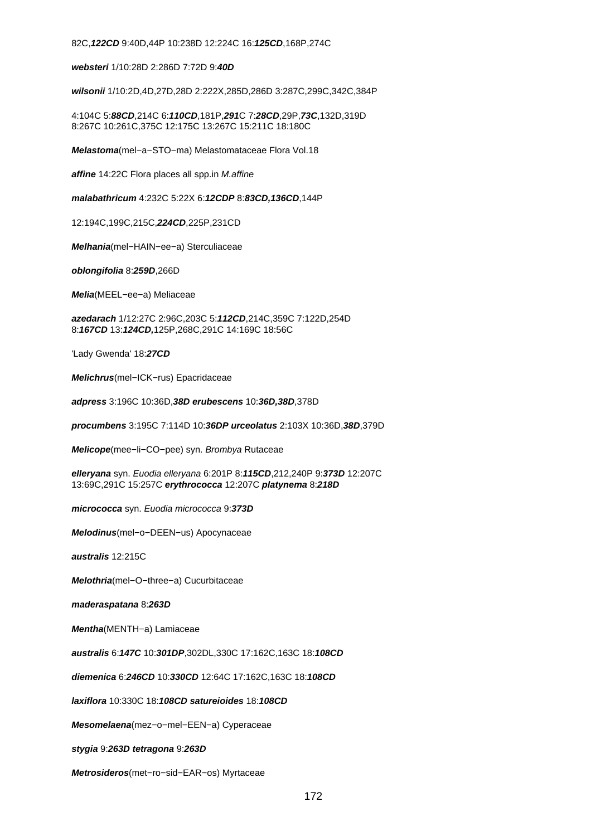82C,**122CD** 9:40D,44P 10:238D 12:224C 16:**125CD**,168P,274C

**websteri** 1/10:28D 2:286D 7:72D 9:**40D**

**wilsonii** 1/10:2D,4D,27D,28D 2:222X,285D,286D 3:287C,299C,342C,384P

4:104C 5:**88CD**,214C 6:**110CD**,181P,**291**C 7:**28CD**,29P,**73C**,132D,319D 8:267C 10:261C,375C 12:175C 13:267C 15:211C 18:180C

**Melastoma**(mel−a−STO−ma) Melastomataceae Flora Vol.18

**affine** 14:22C Flora places all spp.in M.affine

**malabathricum** 4:232C 5:22X 6:**12CDP** 8:**83CD,136CD**,144P

12:194C,199C,215C,**224CD**,225P,231CD

**Melhania**(mel−HAIN−ee−a) Sterculiaceae

**oblongifolia** 8:**259D**,266D

**Melia**(MEEL−ee−a) Meliaceae

**azedarach** 1/12:27C 2:96C,203C 5:**112CD**,214C,359C 7:122D,254D 8:**167CD** 13:**124CD,**125P,268C,291C 14:169C 18:56C

'Lady Gwenda' 18:**27CD**

**Melichrus**(mel−ICK−rus) Epacridaceae

**adpress** 3:196C 10:36D,**38D erubescens** 10:**36D,38D**,378D

**procumbens** 3:195C 7:114D 10:**36DP urceolatus** 2:103X 10:36D,**38D**,379D

**Melicope**(mee−li−CO−pee) syn. Brombya Rutaceae

**elleryana** syn. Euodia elleryana 6:201P 8:**115CD**,212,240P 9:**373D** 12:207C 13:69C,291C 15:257C **erythrococca** 12:207C **platynema** 8:**218D**

**micrococca** syn. Euodia micrococca 9:**373D**

**Melodinus**(mel−o−DEEN−us) Apocynaceae

**australis** 12:215C

**Melothria**(mel−O−three−a) Cucurbitaceae

**maderaspatana** 8:**263D**

**Mentha**(MENTH−a) Lamiaceae

**australis** 6:**147C** 10:**301DP**,302DL,330C 17:162C,163C 18:**108CD**

**diemenica** 6:**246CD** 10:**330CD** 12:64C 17:162C,163C 18:**108CD**

**laxiflora** 10:330C 18:**108CD satureioides** 18:**108CD**

**Mesomelaena**(mez−o−mel−EEN−a) Cyperaceae

**stygia** 9:**263D tetragona** 9:**263D**

**Metrosideros**(met−ro−sid−EAR−os) Myrtaceae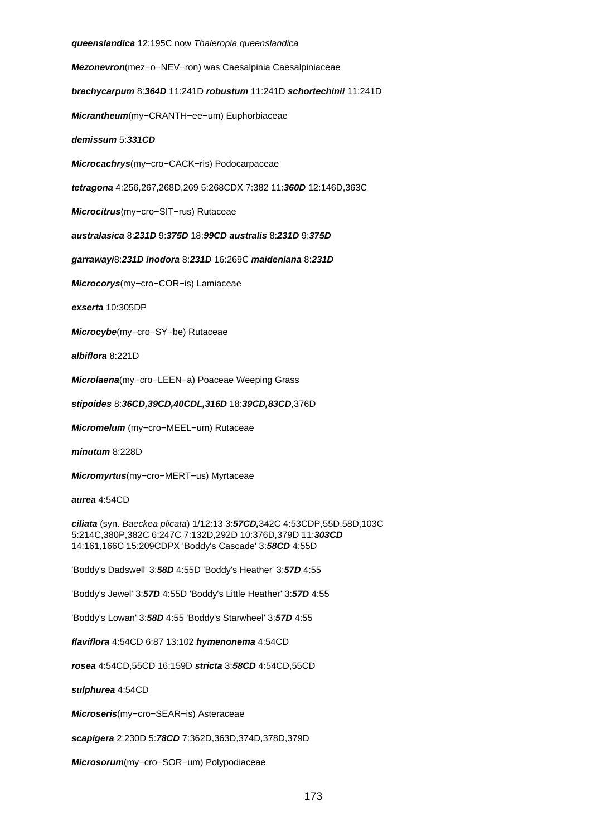**queenslandica** 12:195C now Thaleropia queenslandica **Mezonevron**(mez−o−NEV−ron) was Caesalpinia Caesalpiniaceae **brachycarpum** 8:**364D** 11:241D **robustum** 11:241D **schortechinii** 11:241D **Micrantheum**(my−CRANTH−ee−um) Euphorbiaceae **demissum** 5:**331CD Microcachrys**(my−cro−CACK−ris) Podocarpaceae **tetragona** 4:256,267,268D,269 5:268CDX 7:382 11:**360D** 12:146D,363C **Microcitrus**(my−cro−SIT−rus) Rutaceae **australasica** 8:**231D** 9:**375D** 18:**99CD australis** 8:**231D** 9:**375D garrawayi**8:**231D inodora** 8:**231D** 16:269C **maideniana** 8:**231D Microcorys**(my−cro−COR−is) Lamiaceae **exserta** 10:305DP **Microcybe**(my−cro−SY−be) Rutaceae **albiflora** 8:221D **Microlaena**(my−cro−LEEN−a) Poaceae Weeping Grass **stipoides** 8:**36CD,39CD,40CDL,316D** 18:**39CD,83CD**,376D **Micromelum** (my−cro−MEEL−um) Rutaceae **minutum** 8:228D **Micromyrtus**(my−cro−MERT−us) Myrtaceae **aurea** 4:54CD **ciliata** (syn. Baeckea plicata) 1/12:13 3:**57CD,**342C 4:53CDP,55D,58D,103C 5:214C,380P,382C 6:247C 7:132D,292D 10:376D,379D 11:**303CD** 14:161,166C 15:209CDPX 'Boddy's Cascade' 3:**58CD** 4:55D 'Boddy's Dadswell' 3:**58D** 4:55D 'Boddy's Heather' 3:**57D** 4:55 'Boddy's Jewel' 3:**57D** 4:55D 'Boddy's Little Heather' 3:**57D** 4:55 'Boddy's Lowan' 3:**58D** 4:55 'Boddy's Starwheel' 3:**57D** 4:55 **flaviflora** 4:54CD 6:87 13:102 **hymenonema** 4:54CD **rosea** 4:54CD,55CD 16:159D **stricta** 3:**58CD** 4:54CD,55CD **sulphurea** 4:54CD **Microseris**(my−cro−SEAR−is) Asteraceae **scapigera** 2:230D 5:**78CD** 7:362D,363D,374D,378D,379D **Microsorum**(my−cro−SOR−um) Polypodiaceae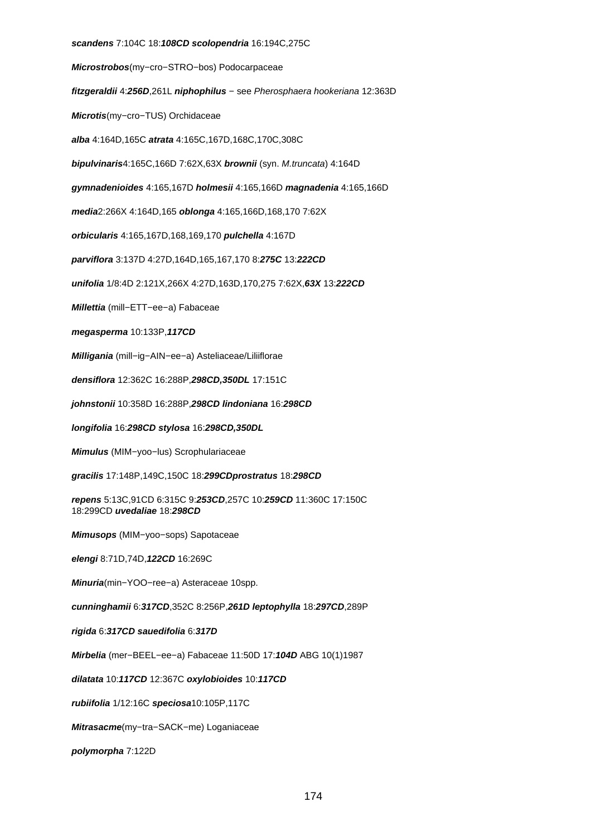## **scandens** 7:104C 18:**108CD scolopendria** 16:194C,275C **Microstrobos**(my−cro−STRO−bos) Podocarpaceae **fitzgeraldii** 4:**256D**,261L **niphophilus** − see Pherosphaera hookeriana 12:363D **Microtis**(my−cro−TUS) Orchidaceae **alba** 4:164D,165C **atrata** 4:165C,167D,168C,170C,308C **bipulvinaris**4:165C,166D 7:62X,63X **brownii** (syn. M.truncata) 4:164D **gymnadenioides** 4:165,167D **holmesii** 4:165,166D **magnadenia** 4:165,166D **media**2:266X 4:164D,165 **oblonga** 4:165,166D,168,170 7:62X **orbicularis** 4:165,167D,168,169,170 **pulchella** 4:167D **parviflora** 3:137D 4:27D,164D,165,167,170 8:**275C** 13:**222CD unifolia** 1/8:4D 2:121X,266X 4:27D,163D,170,275 7:62X,**63X** 13:**222CD Millettia** (mill−ETT−ee−a) Fabaceae **megasperma** 10:133P,**117CD Milligania** (mill−ig−AIN−ee−a) Asteliaceae/Liliiflorae **densiflora** 12:362C 16:288P,**298CD,350DL** 17:151C **johnstonii** 10:358D 16:288P,**298CD lindoniana** 16:**298CD longifolia** 16:**298CD stylosa** 16:**298CD,350DL Mimulus** (MIM−yoo−lus) Scrophulariaceae **gracilis** 17:148P,149C,150C 18:**299CDprostratus** 18:**298CD repens** 5:13C,91CD 6:315C 9:**253CD**,257C 10:**259CD** 11:360C 17:150C 18:299CD **uvedaliae** 18:**298CD Mimusops** (MIM−yoo−sops) Sapotaceae **elengi** 8:71D,74D,**122CD** 16:269C **Minuria**(min−YOO−ree−a) Asteraceae 10spp. **cunninghamii** 6:**317CD**,352C 8:256P,**261D leptophylla** 18:**297CD**,289P **rigida** 6:**317CD sauedifolia** 6:**317D Mirbelia** (mer−BEEL−ee−a) Fabaceae 11:50D 17:**104D** ABG 10(1)1987 **dilatata** 10:**117CD** 12:367C **oxylobioides** 10:**117CD rubiifolia** 1/12:16C **speciosa**10:105P,117C **Mitrasacme**(my−tra−SACK−me) Loganiaceae **polymorpha** 7:122D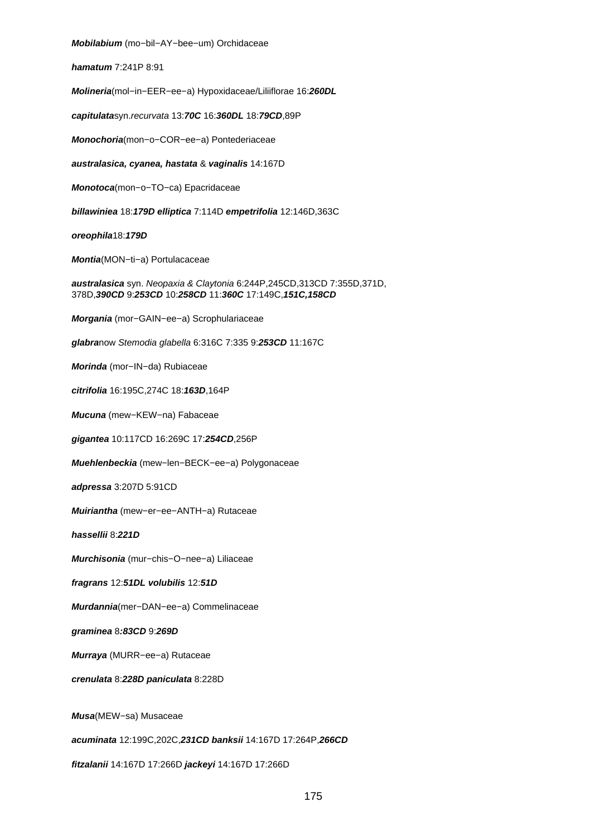**Mobilabium** (mo−bil−AY−bee−um) Orchidaceae

**hamatum** 7:241P 8:91

**Molineria**(mol−in−EER−ee−a) Hypoxidaceae/Liliiflorae 16:**260DL**

**capitulata**syn.recurvata 13:**70C** 16:**360DL** 18:**79CD**,89P

**Monochoria**(mon−o−COR−ee−a) Pontederiaceae

**australasica, cyanea, hastata** & **vaginalis** 14:167D

**Monotoca**(mon−o−TO−ca) Epacridaceae

**billawiniea** 18:**179D elliptica** 7:114D **empetrifolia** 12:146D,363C

**oreophila**18:**179D**

**Montia**(MON−ti−a) Portulacaceae

**australasica** syn. Neopaxia & Claytonia 6:244P,245CD,313CD 7:355D,371D, 378D,**390CD** 9:**253CD** 10:**258CD** 11:**360C** 17:149C,**151C,158CD**

**Morgania** (mor−GAIN−ee−a) Scrophulariaceae

**glabra**now Stemodia glabella 6:316C 7:335 9:**253CD** 11:167C

**Morinda** (mor−IN−da) Rubiaceae

**citrifolia** 16:195C,274C 18:**163D**,164P

**Mucuna** (mew−KEW−na) Fabaceae

**gigantea** 10:117CD 16:269C 17:**254CD**,256P

**Muehlenbeckia** (mew−len−BECK−ee−a) Polygonaceae

**adpressa** 3:207D 5:91CD

**Muiriantha** (mew−er−ee−ANTH−a) Rutaceae

**hassellii** 8:**221D**

**Murchisonia** (mur−chis−O−nee−a) Liliaceae

**fragrans** 12:**51DL volubilis** 12:**51D**

**Murdannia**(mer−DAN−ee−a) Commelinaceae

**graminea** 8**:83CD** 9:**269D**

**Murraya** (MURR−ee−a) Rutaceae

**crenulata** 8:**228D paniculata** 8:228D

**Musa**(MEW−sa) Musaceae

**acuminata** 12:199C,202C,**231CD banksii** 14:167D 17:264P,**266CD**

**fitzalanii** 14:167D 17:266D **jackeyi** 14:167D 17:266D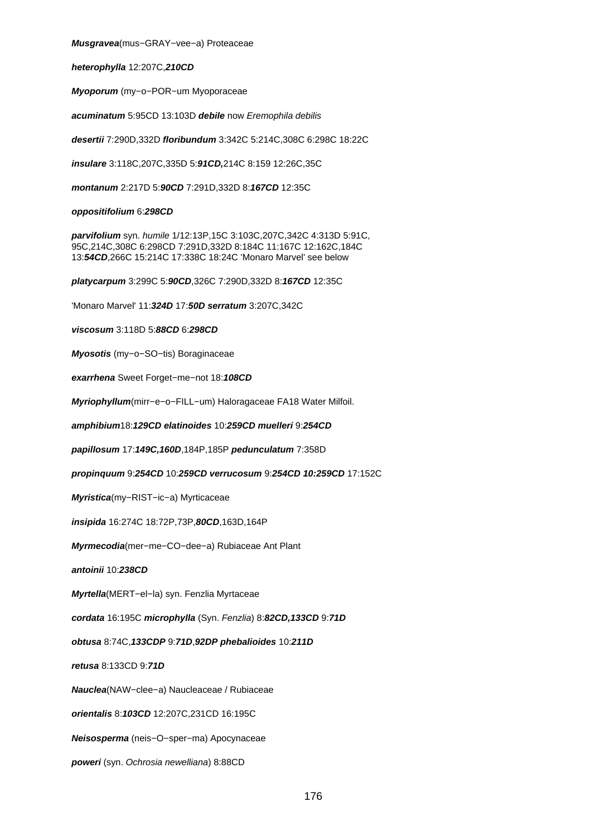**Musgravea**(mus−GRAY−vee−a) Proteaceae

**heterophylla** 12:207C,**210CD**

**Myoporum** (my−o−POR−um Myoporaceae

**acuminatum** 5:95CD 13:103D **debile** now Eremophila debilis

**desertii** 7:290D,332D **floribundum** 3:342C 5:214C,308C 6:298C 18:22C

**insulare** 3:118C,207C,335D 5:**91CD,**214C 8:159 12:26C,35C

**montanum** 2:217D 5:**90CD** 7:291D,332D 8:**167CD** 12:35C

### **oppositifolium** 6:**298CD**

**parvifolium** syn. humile 1/12:13P,15C 3:103C,207C,342C 4:313D 5:91C, 95C,214C,308C 6:298CD 7:291D,332D 8:184C 11:167C 12:162C,184C 13:**54CD**,266C 15:214C 17:338C 18:24C 'Monaro Marvel' see below

**platycarpum** 3:299C 5:**90CD**,326C 7:290D,332D 8:**167CD** 12:35C

'Monaro Marvel' 11:**324D** 17:**50D serratum** 3:207C,342C

**viscosum** 3:118D 5:**88CD** 6:**298CD**

**Myosotis** (my−o−SO−tis) Boraginaceae

**exarrhena** Sweet Forget−me−not 18:**108CD**

**Myriophyllum**(mirr−e−o−FILL−um) Haloragaceae FA18 Water Milfoil.

**amphibium**18:**129CD elatinoides** 10:**259CD muelleri** 9:**254CD**

**papillosum** 17:**149C,160D**,184P,185P **pedunculatum** 7:358D

**propinquum** 9:**254CD** 10:**259CD verrucosum** 9:**254CD 10:259CD** 17:152C

**Myristica**(my−RIST−ic−a) Myrticaceae

**insipida** 16:274C 18:72P,73P,**80CD**,163D,164P

**Myrmecodia**(mer−me−CO−dee−a) Rubiaceae Ant Plant

**antoinii** 10:**238CD**

**Myrtella**(MERT−el−la) syn. Fenzlia Myrtaceae

**cordata** 16:195C **microphylla** (Syn. Fenzlia) 8:**82CD,133CD** 9:**71D**

**obtusa** 8:74C,**133CDP** 9:**71D**,**92DP phebalioides** 10:**211D**

**retusa** 8:133CD 9:**71D**

**Nauclea**(NAW−clee−a) Naucleaceae / Rubiaceae

**orientalis** 8:**103CD** 12:207C,231CD 16:195C

**Neisosperma** (neis−O−sper−ma) Apocynaceae

**poweri** (syn. Ochrosia newelliana) 8:88CD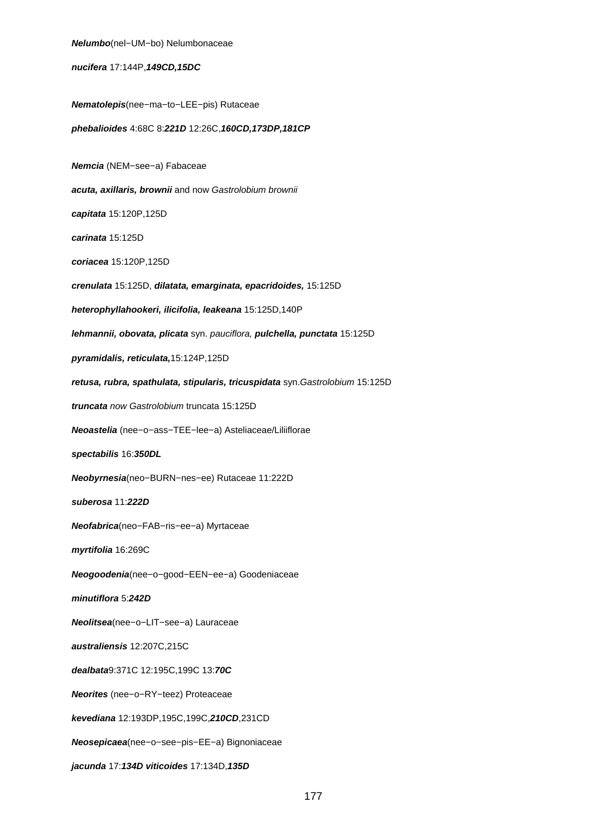**Nelumbo**(nel−UM−bo) Nelumbonaceae **nucifera** 17:144P,**149CD,15DC Nematolepis**(nee−ma−to−LEE−pis) Rutaceae **phebalioides** 4:68C 8:**221D** 12:26C,**160CD,173DP,181CP Nemcia** (NEM−see−a) Fabaceae **acuta, axillaris, brownii** and now Gastrolobium brownii **capitata** 15:120P,125D **carinata** 15:125D **coriacea** 15:120P,125D **crenulata** 15:125D, **dilatata, emarginata, epacridoides,** 15:125D **heterophyllahookeri, ilicifolia, leakeana** 15:125D,140P **lehmannii, obovata, plicata** syn. pauciflora, **pulchella, punctata** 15:125D **pyramidalis, reticulata,**15:124P,125D **retusa, rubra, spathulata, stipularis, tricuspidata** syn.Gastrolobium 15:125D **truncata** now Gastrolobium truncata 15:125D **Neoastelia** (nee−o−ass−TEE−lee−a) Asteliaceae/Liliiflorae **spectabilis** 16:**350DL Neobyrnesia**(neo−BURN−nes−ee) Rutaceae 11:222D **suberosa** 11:**222D Neofabrica**(neo−FAB−ris−ee−a) Myrtaceae **myrtifolia** 16:269C **Neogoodenia**(nee−o−good−EEN−ee−a) Goodeniaceae **minutiflora** 5:**242D Neolitsea**(nee−o−LIT−see−a) Lauraceae **australiensis** 12:207C,215C **dealbata**9:371C 12:195C,199C 13:**70C Neorites** (nee−o−RY−teez) Proteaceae **kevediana** 12:193DP,195C,199C,**210CD**,231CD **Neosepicaea**(nee−o−see−pis−EE−a) Bignoniaceae **jacunda** 17:**134D viticoides** 17:134D,**135D**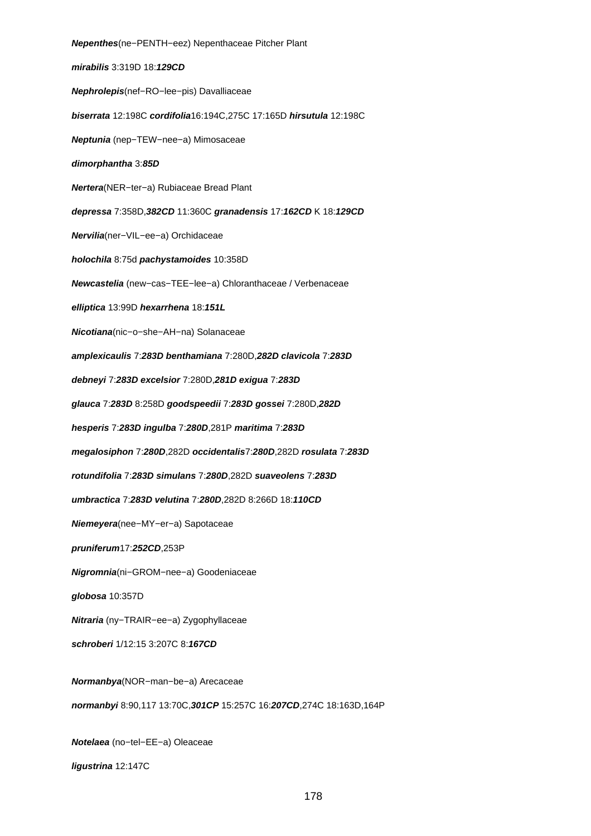**Nepenthes**(ne−PENTH−eez) Nepenthaceae Pitcher Plant **mirabilis** 3:319D 18:**129CD Nephrolepis**(nef−RO−lee−pis) Davalliaceae **biserrata** 12:198C **cordifolia**16:194C,275C 17:165D **hirsutula** 12:198C **Neptunia** (nep−TEW−nee−a) Mimosaceae **dimorphantha** 3:**85D Nertera**(NER−ter−a) Rubiaceae Bread Plant **depressa** 7:358D,**382CD** 11:360C **granadensis** 17:**162CD** K 18:**129CD Nervilia**(ner−VIL−ee−a) Orchidaceae **holochila** 8:75d **pachystamoides** 10:358D **Newcastelia** (new−cas−TEE−lee−a) Chloranthaceae / Verbenaceae **elliptica** 13:99D **hexarrhena** 18:**151L Nicotiana**(nic−o−she−AH−na) Solanaceae **amplexicaulis** 7:**283D benthamiana** 7:280D,**282D clavicola** 7:**283D debneyi** 7:**283D excelsior** 7:280D,**281D exigua** 7:**283D glauca** 7:**283D** 8:258D **goodspeedii** 7:**283D gossei** 7:280D,**282D hesperis** 7:**283D ingulba** 7:**280D**,281P **maritima** 7:**283D megalosiphon** 7:**280D**,282D **occidentalis**7:**280D**,282D **rosulata** 7:**283D rotundifolia** 7:**283D simulans** 7:**280D**,282D **suaveolens** 7:**283D umbractica** 7:**283D velutina** 7:**280D**,282D 8:266D 18:**110CD Niemeyera**(nee−MY−er−a) Sapotaceae **pruniferum**17:**252CD**,253P **Nigromnia**(ni−GROM−nee−a) Goodeniaceae **globosa** 10:357D **Nitraria** (ny−TRAIR−ee−a) Zygophyllaceae **schroberi** 1/12:15 3:207C 8:**167CD Normanbya**(NOR−man−be−a) Arecaceae **normanbyi** 8:90,117 13:70C,**301CP** 15:257C 16:**207CD**,274C 18:163D,164P **Notelaea** (no−tel−EE−a) Oleaceae

**ligustrina** 12:147C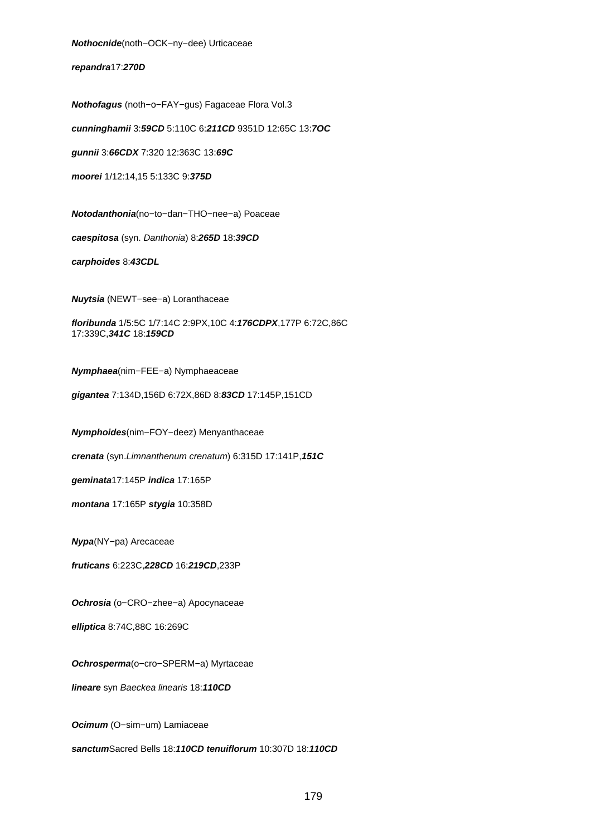**Nothocnide**(noth−OCK−ny−dee) Urticaceae

**repandra**17:**270D**

**Nothofagus** (noth−o−FAY−gus) Fagaceae Flora Vol.3

**cunninghamii** 3:**59CD** 5:110C 6:**211CD** 9351D 12:65C 13:**7OC**

**gunnii** 3:**66CDX** 7:320 12:363C 13:**69C**

**moorei** 1/12:14,15 5:133C 9:**375D**

**Notodanthonia**(no−to−dan−THO−nee−a) Poaceae **caespitosa** (syn. Danthonia) 8:**265D** 18:**39CD carphoides** 8:**43CDL**

**Nuytsia** (NEWT−see−a) Loranthaceae

**floribunda** 1/5:5C 1/7:14C 2:9PX,10C 4:**176CDPX**,177P 6:72C,86C 17:339C,**341C** 18:**159CD**

**Nymphaea**(nim−FEE−a) Nymphaeaceae

**gigantea** 7:134D,156D 6:72X,86D 8:**83CD** 17:145P,151CD

**Nymphoides**(nim−FOY−deez) Menyanthaceae

**crenata** (syn.Limnanthenum crenatum) 6:315D 17:141P,**151C**

**geminata**17:145P **indica** 17:165P

**montana** 17:165P **stygia** 10:358D

**Nypa**(NY−pa) Arecaceae

**fruticans** 6:223C,**228CD** 16:**219CD**,233P

**Ochrosia** (o−CRO−zhee−a) Apocynaceae

**elliptica** 8:74C,88C 16:269C

**Ochrosperma**(o−cro−SPERM−a) Myrtaceae

**lineare** syn Baeckea linearis 18:**110CD**

**Ocimum** (O−sim−um) Lamiaceae

**sanctum**Sacred Bells 18:**110CD tenuiflorum** 10:307D 18:**110CD**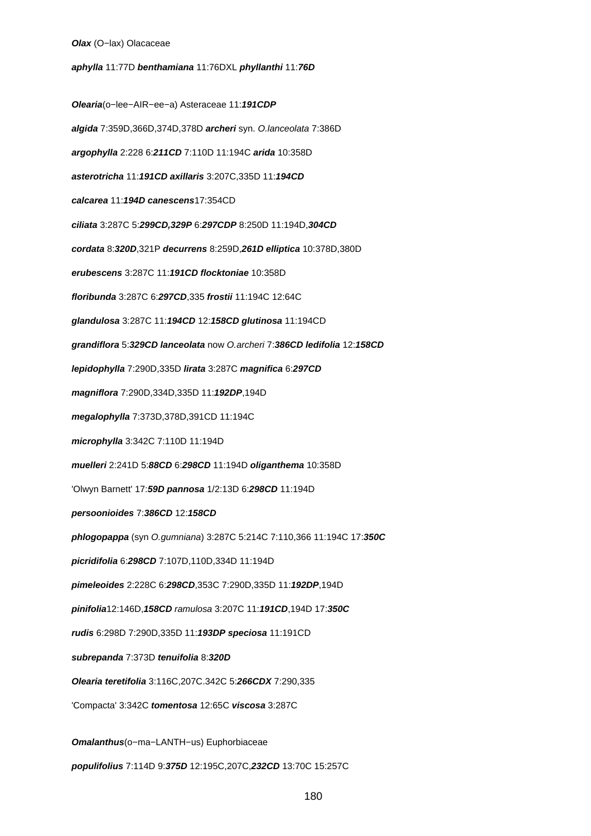#### **Olax** (O−lax) Olacaceae

**aphylla** 11:77D **benthamiana** 11:76DXL **phyllanthi** 11:**76D**

**Olearia**(o−lee−AIR−ee−a) Asteraceae 11:**191CDP algida** 7:359D,366D,374D,378D **archeri** syn. O.lanceolata 7:386D **argophylla** 2:228 6:**211CD** 7:110D 11:194C **arida** 10:358D **asterotricha** 11:**191CD axillaris** 3:207C,335D 11:**194CD calcarea** 11:**194D canescens**17:354CD **ciliata** 3:287C 5:**299CD,329P** 6:**297CDP** 8:250D 11:194D,**304CD cordata** 8:**320D**,321P **decurrens** 8:259D,**261D elliptica** 10:378D,380D **erubescens** 3:287C 11:**191CD flocktoniae** 10:358D **floribunda** 3:287C 6:**297CD**,335 **frostii** 11:194C 12:64C **glandulosa** 3:287C 11:**194CD** 12:**158CD glutinosa** 11:194CD **grandiflora** 5:**329CD lanceolata** now O.archeri 7:**386CD ledifolia** 12:**158CD lepidophylla** 7:290D,335D **lirata** 3:287C **magnifica** 6:**297CD magniflora** 7:290D,334D,335D 11:**192DP**,194D **megalophylla** 7:373D,378D,391CD 11:194C **microphylla** 3:342C 7:110D 11:194D **muelleri** 2:241D 5:**88CD** 6:**298CD** 11:194D **oliganthema** 10:358D 'Olwyn Barnett' 17:**59D pannosa** 1/2:13D 6:**298CD** 11:194D **persoonioides** 7:**386CD** 12:**158CD phlogopappa** (syn O.gumniana) 3:287C 5:214C 7:110,366 11:194C 17:**350C picridifolia** 6:**298CD** 7:107D,110D,334D 11:194D **pimeleoides** 2:228C 6:**298CD**,353C 7:290D,335D 11:**192DP**,194D **pinifolia**12:146D,**158CD** ramulosa 3:207C 11:**191CD**,194D 17:**350C rudis** 6:298D 7:290D,335D 11:**193DP speciosa** 11:191CD **subrepanda** 7:373D **tenuifolia** 8:**320D Olearia teretifolia** 3:116C,207C.342C 5:**266CDX** 7:290,335 'Compacta' 3:342C **tomentosa** 12:65C **viscosa** 3:287C **Omalanthus**(o−ma−LANTH−us) Euphorbiaceae **populifolius** 7:114D 9:**375D** 12:195C,207C,**232CD** 13:70C 15:257C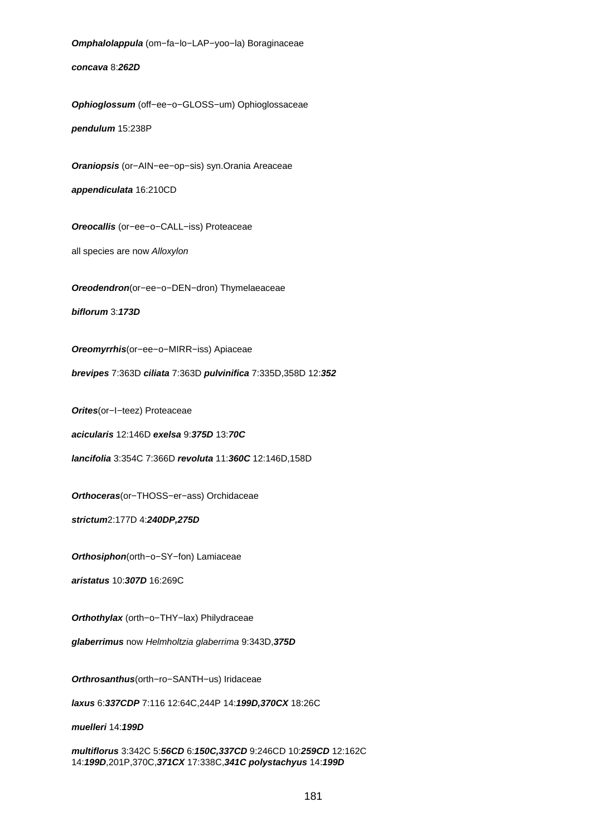**Omphalolappula** (om−fa−lo−LAP−yoo−la) Boraginaceae **concava** 8:**262D Ophioglossum** (off−ee−o−GLOSS−um) Ophioglossaceae **pendulum** 15:238P **Oraniopsis** (or−AIN−ee−op−sis) syn.Orania Areaceae **appendiculata** 16:210CD **Oreocallis** (or−ee−o−CALL−iss) Proteaceae all species are now Alloxylon **Oreodendron**(or−ee−o−DEN−dron) Thymelaeaceae **biflorum** 3:**173D Oreomyrrhis**(or−ee−o−MIRR−iss) Apiaceae **brevipes** 7:363D **ciliata** 7:363D **pulvinifica** 7:335D,358D 12:**352 Orites**(or−I−teez) Proteaceae **acicularis** 12:146D **exelsa** 9:**375D** 13:**70C lancifolia** 3:354C 7:366D **revoluta** 11:**360C** 12:146D,158D **Orthoceras**(or−THOSS−er−ass) Orchidaceae **strictum**2:177D 4:**240DP,275D Orthosiphon**(orth−o−SY−fon) Lamiaceae **aristatus** 10:**307D** 16:269C **Orthothylax** (orth−o−THY−lax) Philydraceae **glaberrimus** now Helmholtzia glaberrima 9:343D,**375D Orthrosanthus**(orth−ro−SANTH−us) Iridaceae **laxus** 6:**337CDP** 7:116 12:64C,244P 14:**199D,370CX** 18:26C **muelleri** 14:**199D**

**multiflorus** 3:342C 5:**56CD** 6:**150C,337CD** 9:246CD 10:**259CD** 12:162C 14:**199D**,201P,370C,**371CX** 17:338C,**341C polystachyus** 14:**199D**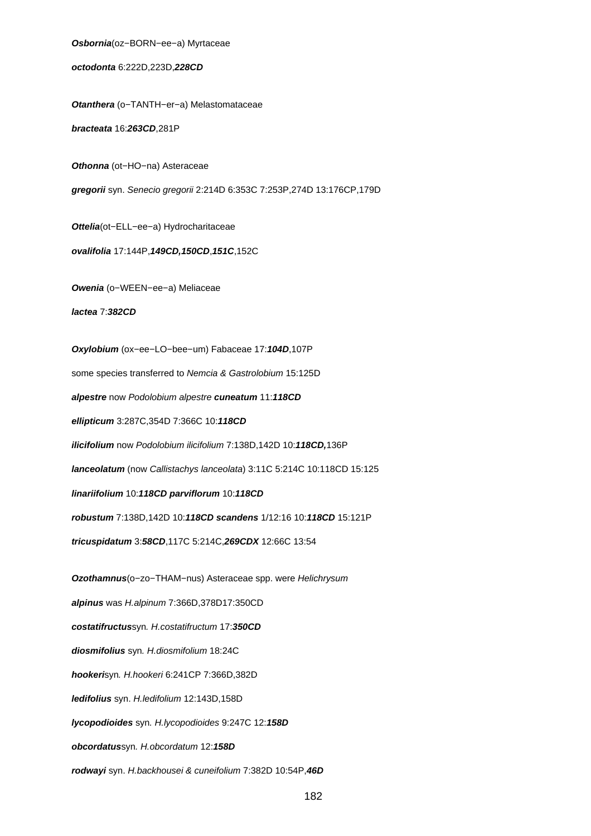**Osbornia**(oz−BORN−ee−a) Myrtaceae **octodonta** 6:222D,223D,**228CD Otanthera** (o−TANTH−er−a) Melastomataceae **bracteata** 16:**263CD**,281P **Othonna** (ot−HO−na) Asteraceae **gregorii** syn. Senecio gregorii 2:214D 6:353C 7:253P,274D 13:176CP,179D **Ottelia**(ot−ELL−ee−a) Hydrocharitaceae **ovalifolia** 17:144P,**149CD,150CD**,**151C**,152C **Owenia** (o−WEEN−ee−a) Meliaceae **lactea** 7:**382CD Oxylobium** (ox−ee−LO−bee−um) Fabaceae 17:**104D**,107P some species transferred to Nemcia & Gastrolobium 15:125D **alpestre** now Podolobium alpestre **cuneatum** 11:**118CD ellipticum** 3:287C,354D 7:366C 10:**118CD ilicifolium** now Podolobium ilicifolium 7:138D,142D 10:**118CD,**136P **lanceolatum** (now Callistachys lanceolata) 3:11C 5:214C 10:118CD 15:125 **linariifolium** 10:**118CD parviflorum** 10:**118CD robustum** 7:138D,142D 10:**118CD scandens** 1/12:16 10:**118CD** 15:121P **tricuspidatum** 3:**58CD**,117C 5:214C,**269CDX** 12:66C 13:54 **Ozothamnus**(o−zo−THAM−nus) Asteraceae spp. were Helichrysum **alpinus** was H.alpinum 7:366D,378D17:350CD **costatifructus**syn. H.costatifructum 17:**350CD diosmifolius** syn. H.diosmifolium 18:24C **hookeri**syn. H.hookeri 6:241CP 7:366D,382D **ledifolius** syn. H.ledifolium 12:143D,158D **lycopodioides** syn. H.lycopodioides 9:247C 12:**158D obcordatus**syn. H.obcordatum 12:**158D**

**rodwayi** syn. H.backhousei & cuneifolium 7:382D 10:54P,**46D**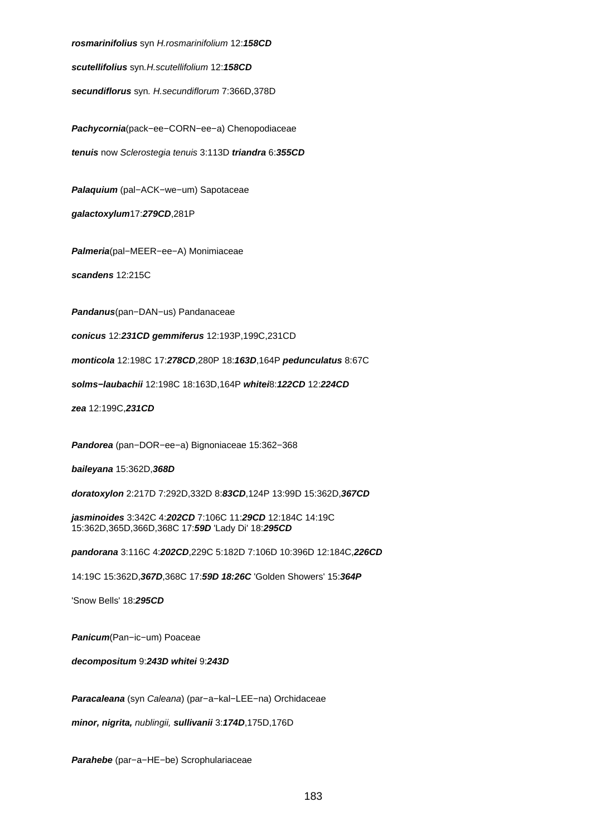**rosmarinifolius** syn H.rosmarinifolium 12:**158CD**

**scutellifolius** syn.H.scutellifolium 12:**158CD**

**secundiflorus** syn. H.secundiflorum 7:366D,378D

**Pachycornia**(pack−ee−CORN−ee−a) Chenopodiaceae **tenuis** now Sclerostegia tenuis 3:113D **triandra** 6:**355CD**

**Palaquium** (pal−ACK−we−um) Sapotaceae

**galactoxylum**17:**279CD**,281P

**Palmeria**(pal−MEER−ee−A) Monimiaceae

**scandens** 12:215C

**Pandanus**(pan−DAN−us) Pandanaceae

**conicus** 12:**231CD gemmiferus** 12:193P,199C,231CD

**monticola** 12:198C 17:**278CD**,280P 18:**163D**,164P **pedunculatus** 8:67C

**solms−laubachii** 12:198C 18:163D,164P **whitei**8:**122CD** 12:**224CD**

**zea** 12:199C,**231CD**

**Pandorea** (pan−DOR−ee−a) Bignoniaceae 15:362−368

**baileyana** 15:362D,**368D**

**doratoxylon** 2:217D 7:292D,332D 8:**83CD**,124P 13:99D 15:362D,**367CD**

**jasminoides** 3:342C 4:**202CD** 7:106C 11:**29CD** 12:184C 14:19C 15:362D,365D,366D,368C 17:**59D** 'Lady Di' 18:**295CD**

**pandorana** 3:116C 4:**202CD**,229C 5:182D 7:106D 10:396D 12:184C,**226CD**

14:19C 15:362D,**367D**,368C 17:**59D 18:26C** 'Golden Showers' 15:**364P**

'Snow Bells' 18:**295CD**

**Panicum**(Pan−ic−um) Poaceae

**decompositum** 9:**243D whitei** 9:**243D**

**Paracaleana** (syn Caleana) (par−a−kal−LEE−na) Orchidaceae

**minor, nigrita,** nublingii, **sullivanii** 3:**174D**,175D,176D

**Parahebe** (par−a−HE−be) Scrophulariaceae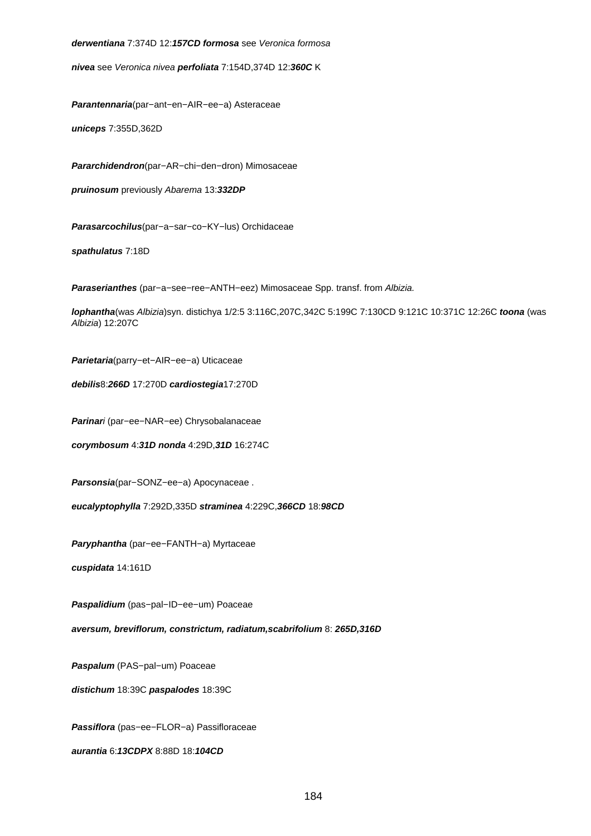**derwentiana** 7:374D 12:**157CD formosa** see Veronica formosa

**nivea** see Veronica nivea **perfoliata** 7:154D,374D 12:**360C** K

**Parantennaria**(par−ant−en−AIR−ee−a) Asteraceae

**uniceps** 7:355D,362D

**Pararchidendron**(par−AR−chi−den−dron) Mimosaceae

**pruinosum** previously Abarema 13:**332DP**

**Parasarcochilus**(par−a−sar−co−KY−lus) Orchidaceae

**spathulatus** 7:18D

**Paraserianthes** (par−a−see−ree−ANTH−eez) Mimosaceae Spp. transf. from Albizia.

**lophantha**(was Albizia)syn. distichya 1/2:5 3:116C,207C,342C 5:199C 7:130CD 9:121C 10:371C 12:26C **toona** (was Albizia) 12:207C

**Parietaria**(parry−et−AIR−ee−a) Uticaceae

**debilis**8:**266D** 17:270D **cardiostegia**17:270D

**Parinar**i (par−ee−NAR−ee) Chrysobalanaceae

**corymbosum** 4:**31D nonda** 4:29D,**31D** 16:274C

**Parsonsia**(par−SONZ−ee−a) Apocynaceae .

**eucalyptophylla** 7:292D,335D **straminea** 4:229C,**366CD** 18:**98CD**

**Paryphantha** (par−ee−FANTH−a) Myrtaceae

**cuspidata** 14:161D

**Paspalidium** (pas−pal−ID−ee−um) Poaceae

**aversum, breviflorum, constrictum, radiatum,scabrifolium** 8: **265D,316D**

**Paspalum** (PAS−pal−um) Poaceae

**distichum** 18:39C **paspalodes** 18:39C

**Passiflora** (pas−ee−FLOR−a) Passifloraceae

**aurantia** 6:**13CDPX** 8:88D 18:**104CD**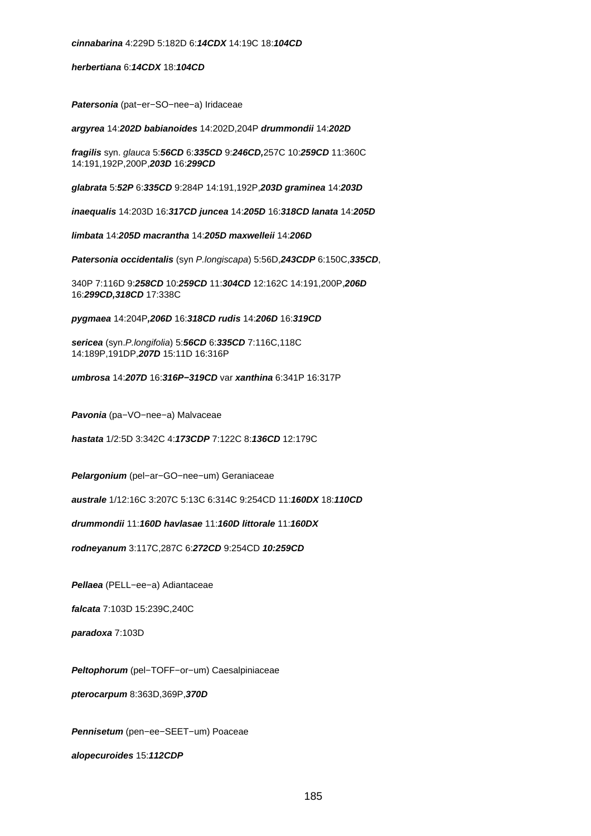**herbertiana** 6:**14CDX** 18:**104CD**

**Patersonia** (pat−er−SO−nee−a) Iridaceae

**argyrea** 14:**202D babianoides** 14:202D,204P **drummondii** 14:**202D**

**fragilis** syn. glauca 5:**56CD** 6:**335CD** 9:**246CD,**257C 10:**259CD** 11:360C 14:191,192P,200P,**203D** 16:**299CD**

**glabrata** 5:**52P** 6:**335CD** 9:284P 14:191,192P,**203D graminea** 14:**203D**

**inaequalis** 14:203D 16:**317CD juncea** 14:**205D** 16:**318CD lanata** 14:**205D**

**limbata** 14:**205D macrantha** 14:**205D maxwelleii** 14:**206D**

**Patersonia occidentalis** (syn P.longiscapa) 5:56D,**243CDP** 6:150C,**335CD**,

340P 7:116D 9:**258CD** 10:**259CD** 11:**304CD** 12:162C 14:191,200P,**206D** 16:**299CD,318CD** 17:338C

**pygmaea** 14:204P**,206D** 16:**318CD rudis** 14:**206D** 16:**319CD**

**sericea** (syn.P.longifolia) 5:**56CD** 6:**335CD** 7:116C,118C 14:189P,191DP,**207D** 15:11D 16:316P

**umbrosa** 14:**207D** 16:**316P−319CD** var **xanthina** 6:341P 16:317P

**Pavonia** (pa−VO−nee−a) Malvaceae

**hastata** 1/2:5D 3:342C 4:**173CDP** 7:122C 8:**136CD** 12:179C

**Pelargonium** (pel−ar−GO−nee−um) Geraniaceae

**australe** 1/12:16C 3:207C 5:13C 6:314C 9:254CD 11:**160DX** 18:**110CD**

**drummondii** 11:**160D havlasae** 11:**160D littorale** 11:**160DX**

**rodneyanum** 3:117C,287C 6:**272CD** 9:254CD **10:259CD**

**Pellaea** (PELL−ee−a) Adiantaceae

**falcata** 7:103D 15:239C,240C

**paradoxa** 7:103D

**Peltophorum** (pel−TOFF−or−um) Caesalpiniaceae

**pterocarpum** 8:363D,369P,**370D**

**Pennisetum** (pen−ee−SEET−um) Poaceae

**alopecuroides** 15:**112CDP**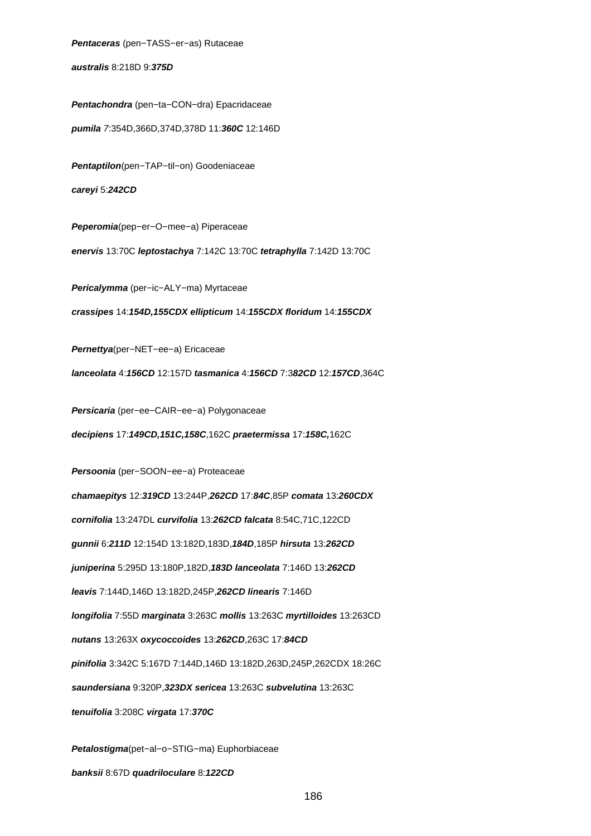**Pentaceras** (pen−TASS−er−as) Rutaceae

**australis** 8:218D 9:**375D**

**Pentachondra** (pen−ta−CON−dra) Epacridaceae **pumila** 7:354D,366D,374D,378D 11:**360C** 12:146D **Pentaptilon**(pen−TAP−til−on) Goodeniaceae **careyi** 5:**242CD Peperomia**(pep−er−O−mee−a) Piperaceae **enervis** 13:70C **leptostachya** 7:142C 13:70C **tetraphylla** 7:142D 13:70C **Pericalymma** (per−ic−ALY−ma) Myrtaceae **crassipes** 14:**154D,155CDX ellipticum** 14:**155CDX floridum** 14:**155CDX Pernettya**(per−NET−ee−a) Ericaceae **lanceolata** 4:**156CD** 12:157D **tasmanica** 4:**156CD** 7:3**82CD** 12:**157CD**,364C **Persicaria** (per−ee−CAIR−ee−a) Polygonaceae **decipiens** 17:**149CD,151C,158C**,162C **praetermissa** 17:**158C,**162C **Persoonia** (per−SOON−ee−a) Proteaceae **chamaepitys** 12:**319CD** 13:244P,**262CD** 17:**84C**,85P **comata** 13:**260CDX cornifolia** 13:247DL **curvifolia** 13:**262CD falcata** 8:54C,71C,122CD **gunnii** 6:**211D** 12:154D 13:182D,183D,**184D**,185P **hirsuta** 13:**262CD juniperina** 5:295D 13:180P,182D,**183D lanceolata** 7:146D 13:**262CD leavis** 7:144D,146D 13:182D,245P,**262CD linearis** 7:146D **longifolia** 7:55D **marginata** 3:263C **mollis** 13:263C **myrtilloides** 13:263CD **nutans** 13:263X **oxycoccoides** 13:**262CD**,263C 17:**84CD pinifolia** 3:342C 5:167D 7:144D,146D 13:182D,263D,245P,262CDX 18:26C **saundersiana** 9:320P,**323DX sericea** 13:263C **subvelutina** 13:263C **tenuifolia** 3:208C **virgata** 17:**370C Petalostigma**(pet−al−o−STIG−ma) Euphorbiaceae

**banksii** 8:67D **quadriloculare** 8:**122CD**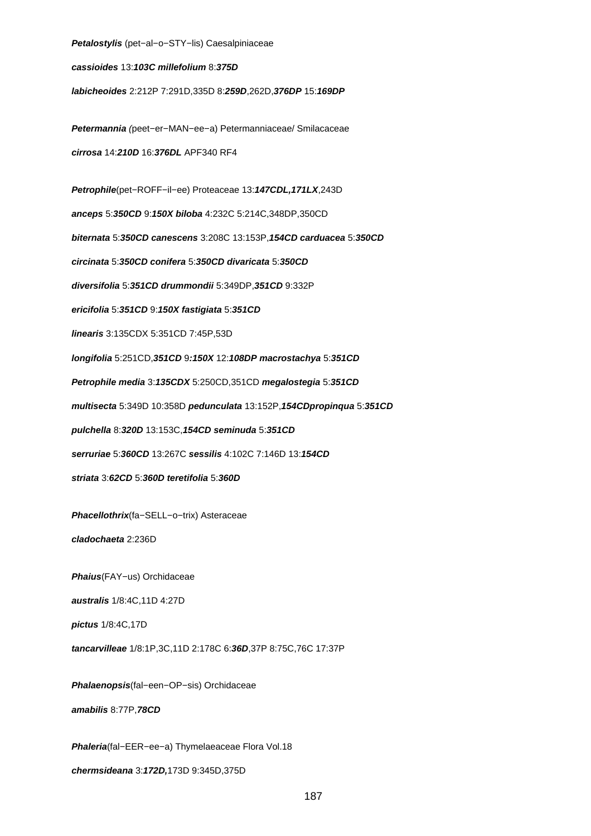**Petalostylis** (pet−al−o−STY−lis) Caesalpiniaceae **cassioides** 13:**103C millefolium** 8:**375D labicheoides** 2:212P 7:291D,335D 8:**259D**,262D,**376DP** 15:**169DP Petermannia** (peet−er−MAN−ee−a) Petermanniaceae/ Smilacaceae **cirrosa** 14:**210D** 16:**376DL** APF340 RF4 **Petrophile**(pet−ROFF−il−ee) Proteaceae 13:**147CDL,171LX**,243D **anceps** 5:**350CD** 9:**150X biloba** 4:232C 5:214C,348DP,350CD **biternata** 5:**350CD canescens** 3:208C 13:153P,**154CD carduacea** 5:**350CD circinata** 5:**350CD conifera** 5:**350CD divaricata** 5:**350CD diversifolia** 5:**351CD drummondii** 5:349DP,**351CD** 9:332P **ericifolia** 5:**351CD** 9:**150X fastigiata** 5:**351CD linearis** 3:135CDX 5:351CD 7:45P,53D **longifolia** 5:251CD,**351CD** 9**:150X** 12:**108DP macrostachya** 5:**351CD Petrophile media** 3:**135CDX** 5:250CD,351CD **megalostegia** 5:**351CD multisecta** 5:349D 10:358D **pedunculata** 13:152P,**154CDpropinqua** 5:**351CD pulchella** 8:**320D** 13:153C,**154CD seminuda** 5:**351CD serruriae** 5:**360CD** 13:267C **sessilis** 4:102C 7:146D 13:**154CD striata** 3:**62CD** 5:**360D teretifolia** 5:**360D Phacellothrix**(fa−SELL−o−trix) Asteraceae **cladochaeta** 2:236D **Phaius**(FAY−us) Orchidaceae **australis** 1/8:4C,11D 4:27D **pictus** 1/8:4C,17D **tancarvilleae** 1/8:1P,3C,11D 2:178C 6:**36D**,37P 8:75C,76C 17:37P **Phalaenopsis**(fal−een−OP−sis) Orchidaceae **amabilis** 8:77P,**78CD Phaleria**(fal−EER−ee−a) Thymelaeaceae Flora Vol.18

**chermsideana** 3:**172D,**173D 9:345D,375D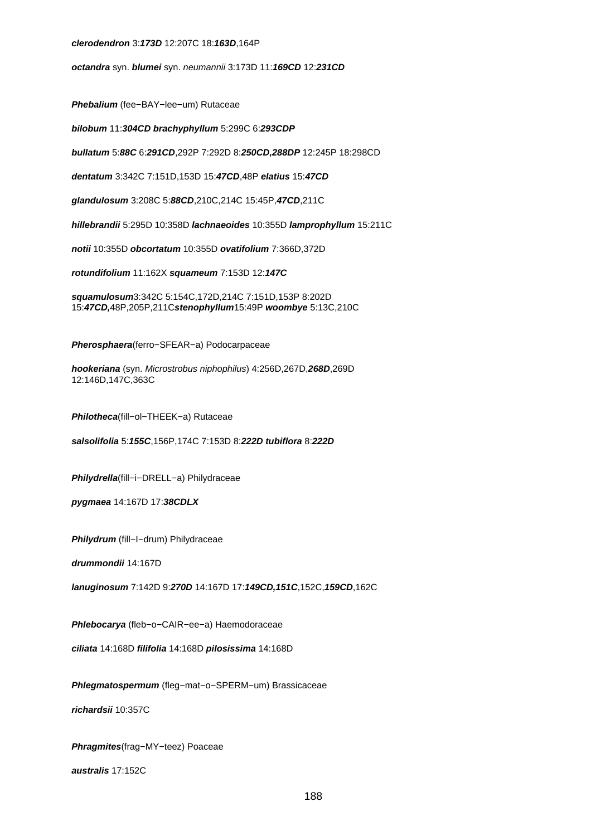#### **clerodendron** 3:**173D** 12:207C 18:**163D**,164P

**octandra** syn. **blumei** syn. neumannii 3:173D 11:**169CD** 12:**231CD**

**Phebalium** (fee−BAY−lee−um) Rutaceae

**bilobum** 11:**304CD brachyphyllum** 5:299C 6:**293CDP**

**bullatum** 5:**88C** 6:**291CD**,292P 7:292D 8:**250CD,288DP** 12:245P 18:298CD

**dentatum** 3:342C 7:151D,153D 15:**47CD**,48P **elatius** 15:**47CD**

**glandulosum** 3:208C 5:**88CD**,210C,214C 15:45P,**47CD**,211C

**hillebrandii** 5:295D 10:358D **lachnaeoides** 10:355D **lamprophyllum** 15:211C

**notii** 10:355D **obcortatum** 10:355D **ovatifolium** 7:366D,372D

**rotundifolium** 11:162X **squameum** 7:153D 12:**147C**

**squamulosum**3:342C 5:154C,172D,214C 7:151D,153P 8:202D 15:**47CD,**48P,205P,211C**stenophyllum**15:49P **woombye** 5:13C,210C

**Pherosphaera**(ferro−SFEAR−a) Podocarpaceae

**hookeriana** (syn. Microstrobus niphophilus) 4:256D,267D,**268D**,269D 12:146D,147C,363C

**Philotheca**(fill−ol−THEEK−a) Rutaceae

**salsolifolia** 5:**155C**,156P,174C 7:153D 8:**222D tubiflora** 8:**222D**

**Philydrella**(fill−i−DRELL−a) Philydraceae

**pygmaea** 14:167D 17:**38CDLX**

**Philydrum** (fill−I−drum) Philydraceae

**drummondii** 14:167D

**lanuginosum** 7:142D 9:**270D** 14:167D 17:**149CD,151C**,152C,**159CD**,162C

**Phlebocarya** (fleb−o−CAIR−ee−a) Haemodoraceae

**ciliata** 14:168D **filifolia** 14:168D **pilosissima** 14:168D

**Phlegmatospermum** (fleg−mat−o−SPERM−um) Brassicaceae

**richardsii** 10:357C

**Phragmites**(frag−MY−teez) Poaceae

**australis** 17:152C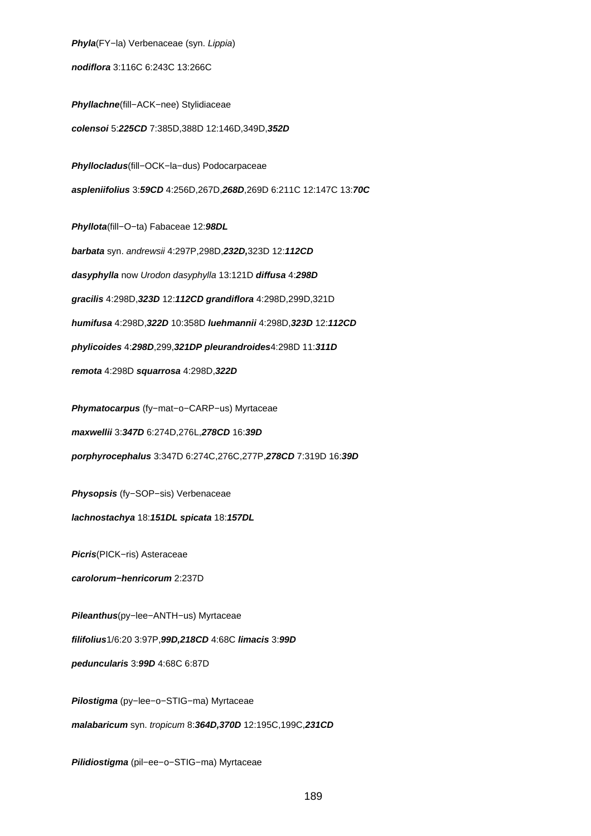**Phyla**(FY−la) Verbenaceae (syn. Lippia)

**nodiflora** 3:116C 6:243C 13:266C

**Phyllachne**(fill−ACK−nee) Stylidiaceae **colensoi** 5:**225CD** 7:385D,388D 12:146D,349D,**352D**

**Phyllocladus**(fill−OCK−la−dus) Podocarpaceae **aspleniifolius** 3:**59CD** 4:256D,267D,**268D**,269D 6:211C 12:147C 13:**70C**

**Phyllota**(fill−O−ta) Fabaceae 12:**98DL barbata** syn. andrewsii 4:297P,298D,**232D,**323D 12:**112CD dasyphylla** now Urodon dasyphylla 13:121D **diffusa** 4:**298D gracilis** 4:298D,**323D** 12:**112CD grandiflora** 4:298D,299D,321D **humifusa** 4:298D,**322D** 10:358D **luehmannii** 4:298D,**323D** 12:**112CD phylicoides** 4:**298D**,299,**321DP pleurandroides**4:298D 11:**311D remota** 4:298D **squarrosa** 4:298D,**322D**

**Phymatocarpus** (fy−mat−o−CARP−us) Myrtaceae

**maxwellii** 3:**347D** 6:274D,276L,**278CD** 16:**39D**

**porphyrocephalus** 3:347D 6:274C,276C,277P,**278CD** 7:319D 16:**39D**

**Physopsis** (fy−SOP−sis) Verbenaceae

**lachnostachya** 18:**151DL spicata** 18:**157DL**

**Picris**(PICK−ris) Asteraceae

**carolorum−henricorum** 2:237D

**Pileanthus**(py−lee−ANTH−us) Myrtaceae

**filifolius**1/6:20 3:97P,**99D,218CD** 4:68C **limacis** 3:**99D**

**peduncularis** 3:**99D** 4:68C 6:87D

**Pilostigma** (py−lee−o−STIG−ma) Myrtaceae

**malabaricum** syn. tropicum 8:**364D,370D** 12:195C,199C,**231CD**

**Pilidiostigma** (pil−ee−o−STIG−ma) Myrtaceae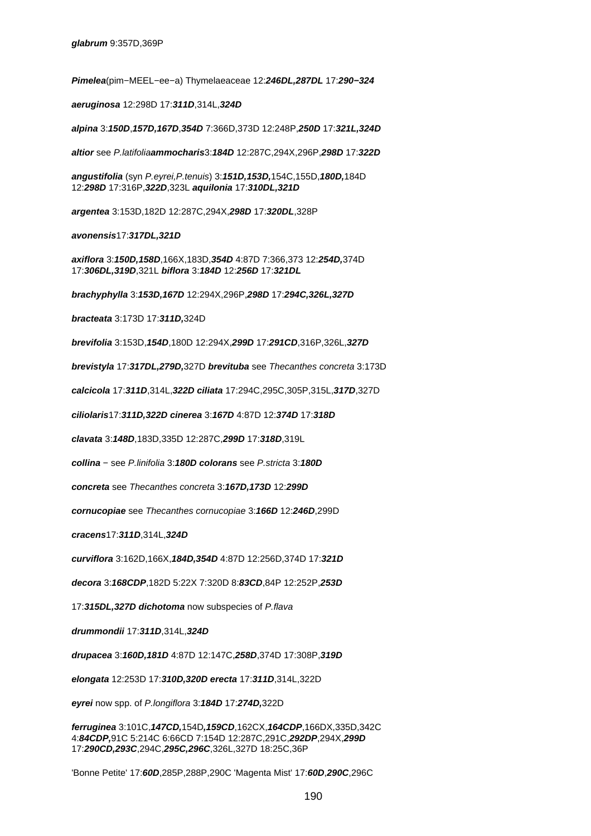**Pimelea**(pim−MEEL−ee−a) Thymelaeaceae 12:**246DL,287DL** 17:**290−324**

**aeruginosa** 12:298D 17:**311D**,314L,**324D**

**alpina** 3:**150D**,**157D,167D**,**354D** 7:366D,373D 12:248P,**250D** 17:**321L,324D**

**altior** see P.latifolia**ammocharis**3:**184D** 12:287C,294X,296P,**298D** 17:**322D**

**angustifolia** (syn P.eyrei,P.tenuis) 3:**151D,153D,**154C,155D,**180D,**184D 12:**298D** 17:316P,**322D**,323L **aquilonia** 17:**310DL,321D**

**argentea** 3:153D,182D 12:287C,294X,**298D** 17:**320DL**,328P

**avonensis**17:**317DL,321D**

**axiflora** 3:**150D,158D**,166X,183D,**354D** 4:87D 7:366,373 12:**254D,**374D 17:**306DL,319D**,321L **biflora** 3:**184D** 12:**256D** 17:**321DL**

**brachyphylla** 3:**153D,167D** 12:294X,296P,**298D** 17:**294C,326L,327D**

**bracteata** 3:173D 17:**311D,**324D

**brevifolia** 3:153D,**154D**,180D 12:294X,**299D** 17:**291CD**,316P,326L,**327D**

**brevistyla** 17:**317DL,279D,**327D **brevituba** see Thecanthes concreta 3:173D

**calcicola** 17:**311D**,314L,**322D ciliata** 17:294C,295C,305P,315L,**317D**,327D

**ciliolaris**17:**311D,322D cinerea** 3:**167D** 4:87D 12:**374D** 17:**318D**

**clavata** 3:**148D**,183D,335D 12:287C,**299D** 17:**318D**,319L

**collina** − see P.linifolia 3:**180D colorans** see P.stricta 3:**180D**

**concreta** see Thecanthes concreta 3:**167D,173D** 12:**299D**

**cornucopiae** see Thecanthes cornucopiae 3:**166D** 12:**246D**,299D

**cracens**17:**311D**,314L,**324D**

**curviflora** 3:162D,166X,**184D,354D** 4:87D 12:256D,374D 17:**321D**

**decora** 3:**168CDP**,182D 5:22X 7:320D 8:**83CD**,84P 12:252P,**253D**

17:**315DL,327D dichotoma** now subspecies of P.flava

**drummondii** 17:**311D**,314L,**324D**

**drupacea** 3:**160D,181D** 4:87D 12:147C,**258D**,374D 17:308P,**319D**

**elongata** 12:253D 17:**310D,320D erecta** 17:**311D**,314L,322D

**eyrei** now spp. of P.longiflora 3:**184D** 17:**274D,**322D

**ferruginea** 3:101C,**147CD,**154D**,159CD**,162CX,**164CDP**,166DX,335D,342C 4:**84CDP,**91C 5:214C 6:66CD 7:154D 12:287C,291C,**292DP**,294X,**299D** 17:**290CD,293C**,294C,**295C,296C**,326L,327D 18:25C,36P

'Bonne Petite' 17:**60D**,285P,288P,290C 'Magenta Mist' 17:**60D**,**290C**,296C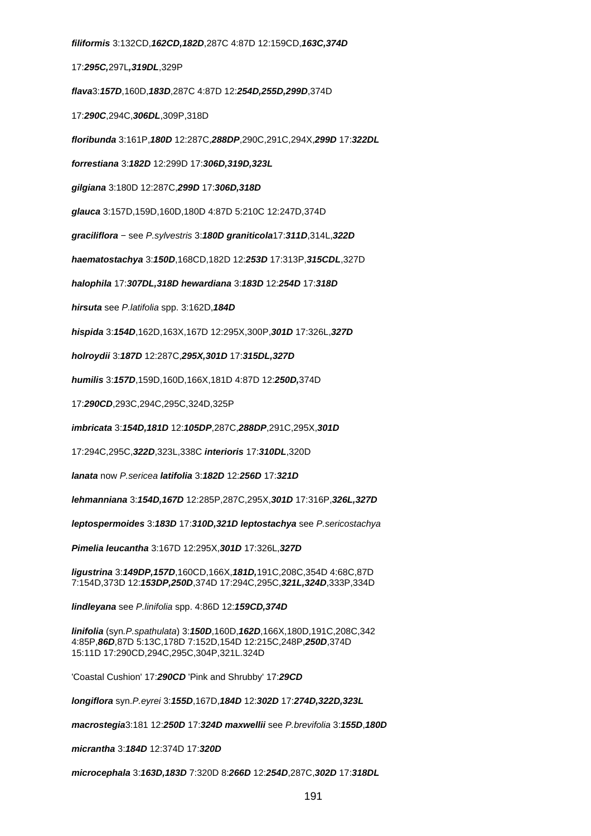**filiformis** 3:132CD,**162CD,182D**,287C 4:87D 12:159CD,**163C,374D**

17:**295C,**297L**,319DL**,329P

**flava**3:**157D**,160D,**183D**,287C 4:87D 12:**254D,255D,299D**,374D

17:**290C**,294C,**306DL**,309P,318D

**floribunda** 3:161P,**180D** 12:287C,**288DP**,290C,291C,294X,**299D** 17:**322DL**

**forrestiana** 3:**182D** 12:299D 17:**306D,319D,323L**

**gilgiana** 3:180D 12:287C,**299D** 17:**306D,318D**

**glauca** 3:157D,159D,160D,180D 4:87D 5:210C 12:247D,374D

**graciliflora** − see P.sylvestris 3:**180D graniticola**17:**311D**,314L,**322D**

**haematostachya** 3:**150D**,168CD,182D 12:**253D** 17:313P,**315CDL**,327D

**halophila** 17:**307DL,318D hewardiana** 3:**183D** 12:**254D** 17:**318D**

**hirsuta** see P.latifolia spp. 3:162D,**184D**

**hispida** 3:**154D**,162D,163X,167D 12:295X,300P,**301D** 17:326L,**327D**

**holroydii** 3:**187D** 12:287C,**295X,301D** 17:**315DL,327D**

**humilis** 3:**157D**,159D,160D,166X,181D 4:87D 12:**250D,**374D

17:**290CD**,293C,294C,295C,324D,325P

**imbricata** 3:**154D,181D** 12:**105DP**,287C,**288DP**,291C,295X,**301D**

17:294C,295C,**322D**,323L,338C **interioris** 17:**310DL**,320D

**lanata** now P.sericea **latifolia** 3:**182D** 12:**256D** 17:**321D**

**lehmanniana** 3:**154D,167D** 12:285P,287C,295X,**301D** 17:316P,**326L,327D**

**leptospermoides** 3:**183D** 17:**310D,321D leptostachya** see P.sericostachya

**Pimelia leucantha** 3:167D 12:295X,**301D** 17:326L,**327D**

**ligustrina** 3:**149DP,157D**,160CD,166X,**181D,**191C,208C,354D 4:68C,87D 7:154D,373D 12:**153DP,250D**,374D 17:294C,295C,**321L,324D**,333P,334D

**lindleyana** see P.linifolia spp. 4:86D 12:**159CD,374D**

**linifolia** (syn.P.spathulata) 3:**150D**,160D,**162D**,166X,180D,191C,208C,342 4:85P,**86D**,87D 5:13C,178D 7:152D,154D 12:215C,248P,**250D**,374D 15:11D 17:290CD,294C,295C,304P,321L.324D

'Coastal Cushion' 17:**290CD** 'Pink and Shrubby' 17:**29CD**

**longiflora** syn.P.eyrei 3:**155D**,167D,**184D** 12:**302D** 17:**274D,322D,323L**

**macrostegia**3:181 12:**250D** 17:**324D maxwellii** see P.brevifolia 3:**155D**,**180D**

**micrantha** 3:**184D** 12:374D 17:**320D**

**microcephala** 3:**163D,183D** 7:320D 8:**266D** 12:**254D**,287C,**302D** 17:**318DL**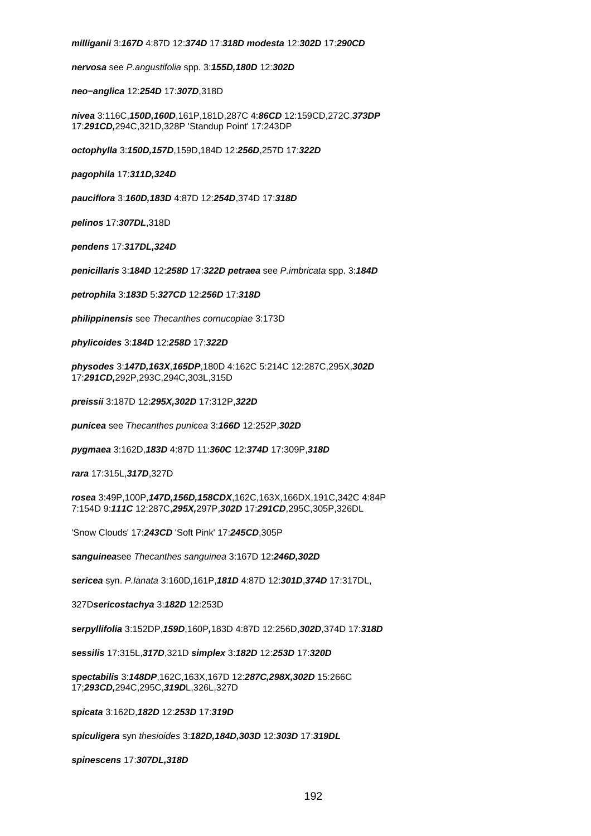# **milliganii** 3:**167D** 4:87D 12:**374D** 17:**318D modesta** 12:**302D** 17:**290CD**

**nervosa** see P.angustifolia spp. 3:**155D,180D** 12:**302D**

**neo−anglica** 12:**254D** 17:**307D**,318D

**nivea** 3:116C,**150D,160D**,161P,181D,287C 4:**86CD** 12:159CD,272C,**373DP** 17:**291CD,**294C,321D,328P 'Standup Point' 17:243DP

**octophylla** 3:**150D,157D**,159D,184D 12:**256D**,257D 17:**322D**

**pagophila** 17:**311D,324D**

**pauciflora** 3:**160D,183D** 4:87D 12:**254D**,374D 17:**318D**

**pelinos** 17:**307DL**,318D

**pendens** 17:**317DL,324D**

**penicillaris** 3:**184D** 12:**258D** 17:**322D petraea** see P.imbricata spp. 3:**184D**

**petrophila** 3:**183D** 5:**327CD** 12:**256D** 17:**318D**

**philippinensis** see Thecanthes cornucopiae 3:173D

**phylicoides** 3:**184D** 12:**258D** 17:**322D**

**physodes** 3:**147D,163X**,**165DP**,180D 4:162C 5:214C 12:287C,295X,**302D** 17:**291CD,**292P,293C,294C,303L,315D

**preissii** 3:187D 12:**295X,302D** 17:312P,**322D**

**punicea** see Thecanthes punicea 3:**166D** 12:252P,**302D**

**pygmaea** 3:162D,**183D** 4:87D 11:**360C** 12:**374D** 17:309P,**318D**

**rara** 17:315L,**317D**,327D

**rosea** 3:49P,100P,**147D,156D,158CDX**,162C,163X,166DX,191C,342C 4:84P 7:154D 9:**111C** 12:287C,**295X,**297P,**302D** 17:**291CD**,295C,305P,326DL

'Snow Clouds' 17:**243CD** 'Soft Pink' 17:**245CD**,305P

**sanguinea**see Thecanthes sanguinea 3:167D 12:**246D,302D**

**sericea** syn. P.lanata 3:160D,161P,**181D** 4:87D 12:**301D**,**374D** 17:317DL,

327D**sericostachya** 3:**182D** 12:253D

**serpyllifolia** 3:152DP,**159D**,160P**,**183D 4:87D 12:256D,**302D**,374D 17:**318D**

**sessilis** 17:315L,**317D**,321D **simplex** 3:**182D** 12:**253D** 17:**320D**

**spectabilis** 3:**148DP**,162C,163X,167D 12:**287C,298X,302D** 15:266C 17;**293CD,**294C,295C,**319D**L,326L,327D

**spicata** 3:162D,**182D** 12:**253D** 17:**319D**

**spiculigera** syn thesioides 3:**182D,184D,303D** 12:**303D** 17:**319DL**

**spinescens** 17:**307DL,318D**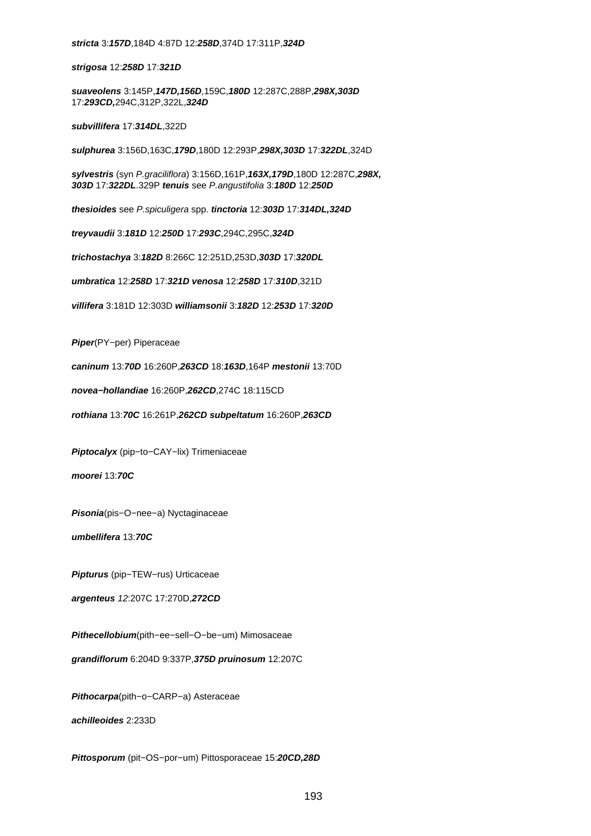**strigosa** 12:**258D** 17:**321D**

**suaveolens** 3:145P,**147D,156D**,159C,**180D** 12:287C,288P,**298X,303D** 17:**293CD,**294C,312P,322L,**324D**

**subvillifera** 17:**314DL**,322D

**sulphurea** 3:156D,163C,**179D**,180D 12:293P,**298X,303D** 17:**322DL**,324D

**sylvestris** (syn P.graciliflora) 3:156D,161P,**163X,179D**,180D 12:287C,**298X, 303D** 17:**322DL**.329P **tenuis** see P.angustifolia 3:**180D** 12:**250D**

**thesioides** see P.spiculigera spp. **tinctoria** 12:**303D** 17:**314DL,324D**

**treyvaudii** 3:**181D** 12:**250D** 17:**293C**,294C,295C,**324D**

**trichostachya** 3:**182D** 8:266C 12:251D,253D,**303D** 17:**320DL**

**umbratica** 12:**258D** 17:**321D venosa** 12:**258D** 17:**310D**,321D

**villifera** 3:181D 12:303D **williamsonii** 3:**182D** 12:**253D** 17:**320D**

**Piper**(PY−per) Piperaceae

**caninum** 13:**70D** 16:260P,**263CD** 18:**163D**,164P **mestonii** 13:70D

**novea−hollandiae** 16:260P,**262CD**,274C 18:115CD

**rothiana** 13:**70C** 16:261P,**262CD subpeltatum** 16:260P,**263CD**

**Piptocalyx** (pip−to−CAY−lix) Trimeniaceae

**moorei** 13:**70C**

**Pisonia**(pis−O−nee−a) Nyctaginaceae

**umbellifera** 13:**70C**

**Pipturus** (pip−TEW−rus) Urticaceae

**argenteus** 12:207C 17:270D,**272CD**

**Pithecellobium**(pith−ee−sell−O−be−um) Mimosaceae

**grandiflorum** 6:204D 9:337P,**375D pruinosum** 12:207C

**Pithocarpa**(pith−o−CARP−a) Asteraceae

**achilleoides** 2:233D

**Pittosporum** (pit−OS−por−um) Pittosporaceae 15:**20CD,28D**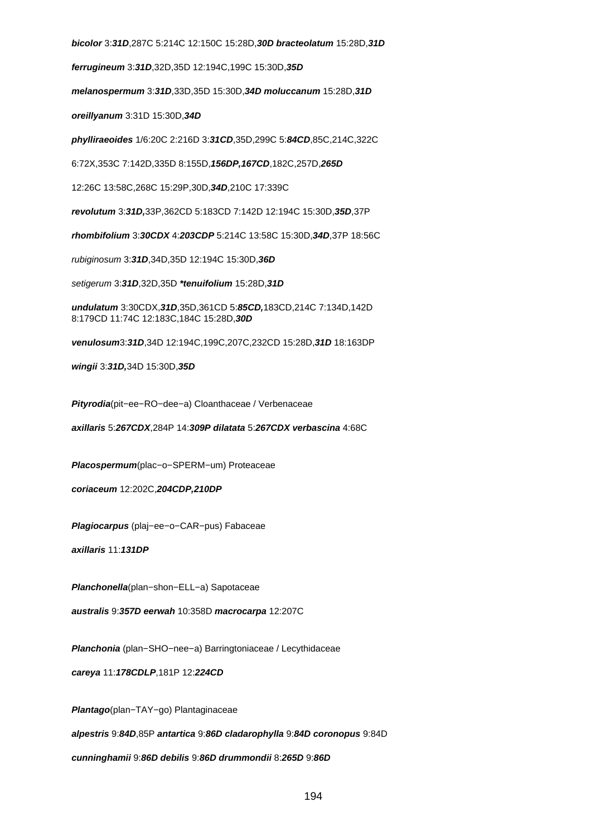**bicolor** 3:**31D**,287C 5:214C 12:150C 15:28D,**30D bracteolatum** 15:28D,**31D ferrugineum** 3:**31D**,32D,35D 12:194C,199C 15:30D,**35D melanospermum** 3:**31D**,33D,35D 15:30D,**34D moluccanum** 15:28D,**31D oreillyanum** 3:31D 15:30D,**34D phylliraeoides** 1/6:20C 2:216D 3:**31CD**,35D,299C 5:**84CD**,85C,214C,322C 6:72X,353C 7:142D,335D 8:155D,**156DP,167CD**,182C,257D,**265D** 12:26C 13:58C,268C 15:29P,30D,**34D**,210C 17:339C **revolutum** 3:**31D,**33P,362CD 5:183CD 7:142D 12:194C 15:30D,**35D**,37P **rhombifolium** 3:**30CDX** 4:**203CDP** 5:214C 13:58C 15:30D,**34D**,37P 18:56C rubiginosum 3:**31D**,34D,35D 12:194C 15:30D,**36D** setigerum 3:**31D**,32D,35D **\*tenuifolium** 15:28D,**31D undulatum** 3:30CDX,**31D**,35D,361CD 5:**85CD,**183CD,214C 7:134D,142D 8:179CD 11:74C 12:183C,184C 15:28D,**30D venulosum**3:**31D**,34D 12:194C,199C,207C,232CD 15:28D,**31D** 18:163DP **wingii** 3:**31D,**34D 15:30D,**35D Pityrodia**(pit−ee−RO−dee−a) Cloanthaceae / Verbenaceae **axillaris** 5:**267CDX**,284P 14:**309P dilatata** 5:**267CDX verbascina** 4:68C **Placospermum**(plac−o−SPERM−um) Proteaceae **coriaceum** 12:202C,**204CDP,210DP Plagiocarpus** (plaj−ee−o−CAR−pus) Fabaceae **axillaris** 11:**131DP**

**Planchonella**(plan−shon−ELL−a) Sapotaceae

**australis** 9:**357D eerwah** 10:358D **macrocarpa** 12:207C

**Planchonia** (plan−SHO−nee−a) Barringtoniaceae / Lecythidaceae

**careya** 11:**178CDLP**,181P 12:**224CD**

**Plantago**(plan−TAY−go) Plantaginaceae

**alpestris** 9:**84D**,85P **antartica** 9:**86D cladarophylla** 9:**84D coronopus** 9:84D

**cunninghamii** 9:**86D debilis** 9:**86D drummondii** 8:**265D** 9:**86D**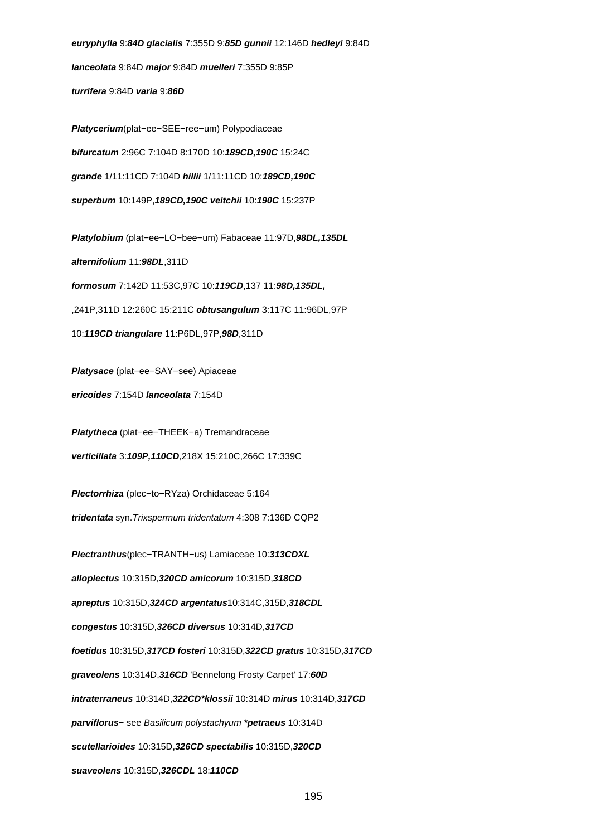**euryphylla** 9:**84D glacialis** 7:355D 9:**85D gunnii** 12:146D **hedleyi** 9:84D **lanceolata** 9:84D **major** 9:84D **muelleri** 7:355D 9:85P **turrifera** 9:84D **varia** 9:**86D**

**Platycerium**(plat−ee−SEE−ree−um) Polypodiaceae **bifurcatum** 2:96C 7:104D 8:170D 10:**189CD,190C** 15:24C **grande** 1/11:11CD 7:104D **hillii** 1/11:11CD 10:**189CD,190C superbum** 10:149P,**189CD,190C veitchii** 10:**190C** 15:237P

**Platylobium** (plat−ee−LO−bee−um) Fabaceae 11:97D,**98DL,135DL alternifolium** 11:**98DL**,311D **formosum** 7:142D 11:53C,97C 10:**119CD**,137 11:**98D,135DL,** ,241P,311D 12:260C 15:211C **obtusangulum** 3:117C 11:96DL,97P

10:**119CD triangulare** 11:P6DL,97P,**98D**,311D

**Platysace** (plat−ee−SAY−see) Apiaceae

**ericoides** 7:154D **lanceolata** 7:154D

**Platytheca** (plat−ee−THEEK−a) Tremandraceae

**verticillata** 3:**109P,110CD**,218X 15:210C,266C 17:339C

**Plectorrhiza** (plec−to−RYza) Orchidaceae 5:164

**tridentata** syn.Trixspermum tridentatum 4:308 7:136D CQP2

**Plectranthus**(plec−TRANTH−us) Lamiaceae 10:**313CDXL alloplectus** 10:315D,**320CD amicorum** 10:315D,**318CD apreptus** 10:315D,**324CD argentatus**10:314C,315D,**318CDL congestus** 10:315D,**326CD diversus** 10:314D,**317CD foetidus** 10:315D,**317CD fosteri** 10:315D,**322CD gratus** 10:315D,**317CD graveolens** 10:314D,**316CD** 'Bennelong Frosty Carpet' 17:**60D intraterraneus** 10:314D,**322CD\*klossii** 10:314D **mirus** 10:314D,**317CD parviflorus**− see Basilicum polystachyum **\*petraeus** 10:314D **scutellarioides** 10:315D,**326CD spectabilis** 10:315D,**320CD suaveolens** 10:315D,**326CDL** 18:**110CD**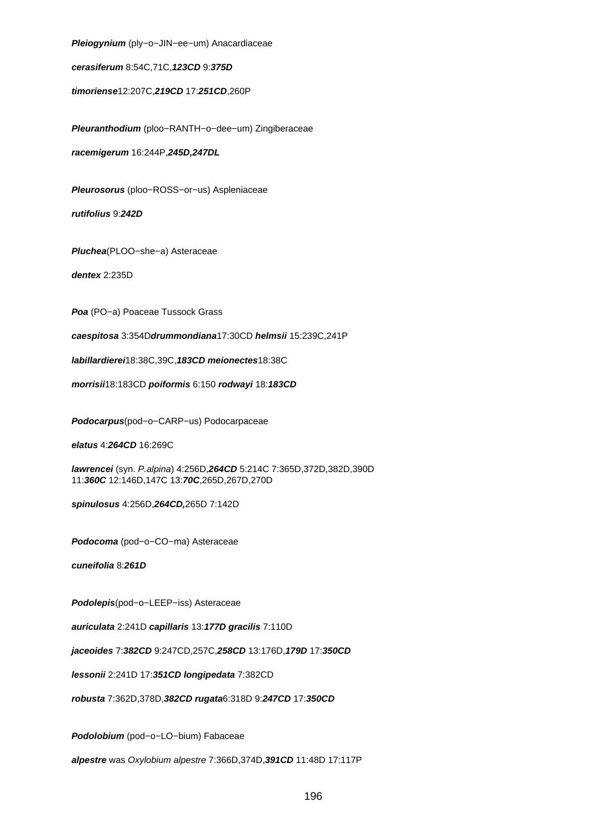**Pleiogynium** (ply−o−JIN−ee−um) Anacardiaceae

**cerasiferum** 8:54C,71C,**123CD** 9:**375D**

**timoriense**12:207C,**219CD** 17:**251CD**,260P

**Pleuranthodium** (ploo−RANTH−o−dee−um) Zingiberaceae

**racemigerum** 16:244P,**245D,247DL**

**Pleurosorus** (ploo−ROSS−or−us) Aspleniaceae

**rutifolius** 9:**242D**

**Pluchea**(PLOO−she−a) Asteraceae

**dentex** 2:235D

**Poa** (PO−a) Poaceae Tussock Grass

**caespitosa** 3:354D**drummondiana**17:30CD **helmsii** 15:239C,241P

**labillardierei**18:38C,39C,**183CD meionectes**18:38C

**morrisii**18:183CD **poiformis** 6:150 **rodwayi** 18:**183CD**

**Podocarpus**(pod−o−CARP−us) Podocarpaceae

**elatus** 4:**264CD** 16:269C

**lawrencei** (syn. P.alpina) 4:256D,**264CD** 5:214C 7:365D,372D,382D,390D 11:**360C** 12:146D,147C 13:**70C**,265D,267D,270D

**spinulosus** 4:256D,**264CD,**265D 7:142D

**Podocoma** (pod−o−CO−ma) Asteraceae

**cuneifolia** 8:**261D**

**Podolepis**(pod−o−LEEP−iss) Asteraceae

**auriculata** 2:241D **capillaris** 13:**177D gracilis** 7:110D

**jaceoides** 7:**382CD** 9:247CD,257C,**258CD** 13:176D,**179D** 17:**350CD**

**lessonii** 2:241D 17:**351CD longipedata** 7:382CD

**robusta** 7:362D,378D,**382CD rugata**6:318D 9:**247CD** 17:**350CD**

**Podolobium** (pod−o−LO−bium) Fabaceae

**alpestre** was Oxylobium alpestre 7:366D,374D,**391CD** 11:48D 17:117P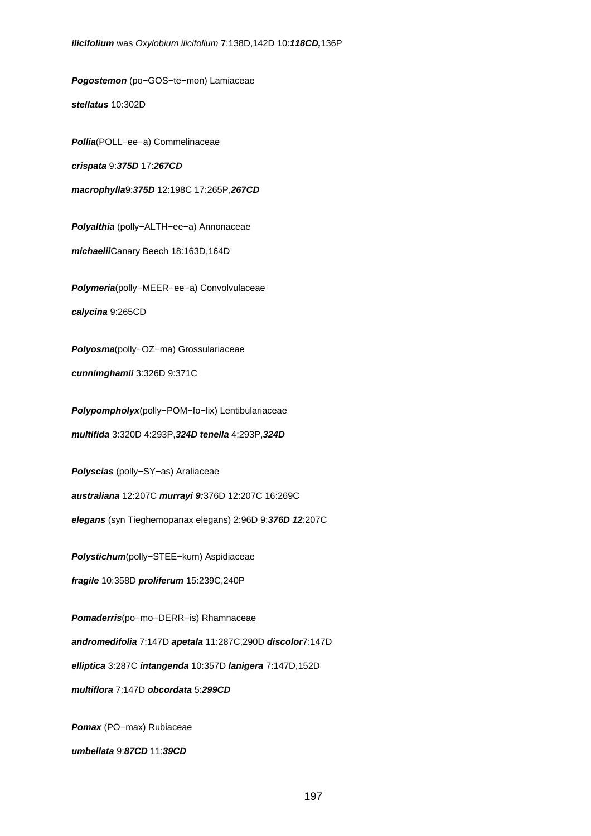**Pogostemon** (po−GOS−te−mon) Lamiaceae **stellatus** 10:302D **Pollia**(POLL−ee−a) Commelinaceae **crispata** 9:**375D** 17:**267CD macrophylla**9:**375D** 12:198C 17:265P,**267CD Polyalthia** (polly−ALTH−ee−a) Annonaceae **michaelii**Canary Beech 18:163D,164D **Polymeria**(polly−MEER−ee−a) Convolvulaceae **calycina** 9:265CD **Polyosma**(polly−OZ−ma) Grossulariaceae **cunnimghamii** 3:326D 9:371C **Polypompholyx**(polly−POM−fo−lix) Lentibulariaceae **multifida** 3:320D 4:293P,**324D tenella** 4:293P,**324D Polyscias** (polly−SY−as) Araliaceae **australiana** 12:207C **murrayi 9:**376D 12:207C 16:269C **elegans** (syn Tieghemopanax elegans) 2:96D 9:**376D 12**:207C **Polystichum**(polly−STEE−kum) Aspidiaceae **fragile** 10:358D **proliferum** 15:239C,240P **Pomaderris**(po−mo−DERR−is) Rhamnaceae **andromedifolia** 7:147D **apetala** 11:287C,290D **discolor**7:147D

**elliptica** 3:287C **intangenda** 10:357D **lanigera** 7:147D,152D

**multiflora** 7:147D **obcordata** 5:**299CD**

**Pomax** (PO−max) Rubiaceae

**umbellata** 9:**87CD** 11:**39CD**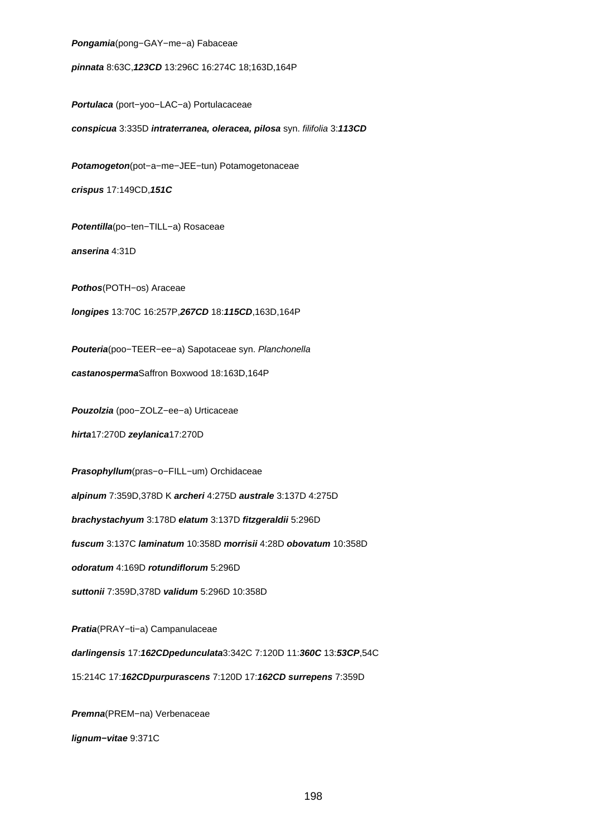**Pongamia**(pong−GAY−me−a) Fabaceae

**pinnata** 8:63C,**123CD** 13:296C 16:274C 18;163D,164P

**Portulaca** (port−yoo−LAC−a) Portulacaceae

**conspicua** 3:335D **intraterranea, oleracea, pilosa** syn. filifolia 3:**113CD**

**Potamogeton**(pot−a−me−JEE−tun) Potamogetonaceae

**crispus** 17:149CD,**151C**

**Potentilla**(po−ten−TILL−a) Rosaceae

**anserina** 4:31D

**Pothos**(POTH−os) Araceae

**longipes** 13:70C 16:257P,**267CD** 18:**115CD**,163D,164P

**Pouteria**(poo−TEER−ee−a) Sapotaceae syn. Planchonella

**castanosperma**Saffron Boxwood 18:163D,164P

**Pouzolzia** (poo−ZOLZ−ee−a) Urticaceae

**hirta**17:270D **zeylanica**17:270D

**Prasophyllum**(pras−o−FILL−um) Orchidaceae

**alpinum** 7:359D,378D K **archeri** 4:275D **australe** 3:137D 4:275D

**brachystachyum** 3:178D **elatum** 3:137D **fitzgeraldii** 5:296D

**fuscum** 3:137C **laminatum** 10:358D **morrisii** 4:28D **obovatum** 10:358D

**odoratum** 4:169D **rotundiflorum** 5:296D

**suttonii** 7:359D,378D **validum** 5:296D 10:358D

**Pratia**(PRAY−ti−a) Campanulaceae **darlingensis** 17:**162CDpedunculata**3:342C 7:120D 11:**360C** 13:**53CP**,54C 15:214C 17:**162CDpurpurascens** 7:120D 17:**162CD surrepens** 7:359D

**Premna**(PREM−na) Verbenaceae

**lignum−vitae** 9:371C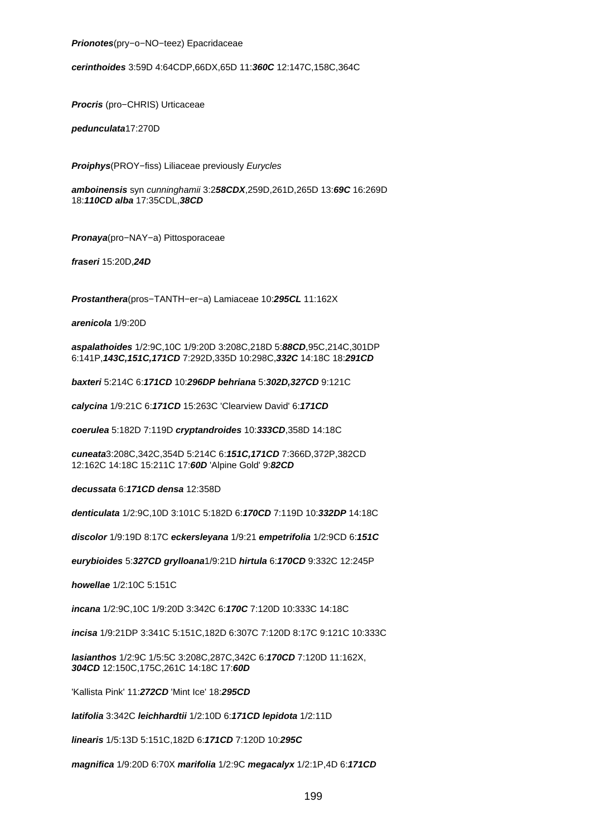**Prionotes**(pry−o−NO−teez) Epacridaceae

**cerinthoides** 3:59D 4:64CDP,66DX,65D 11:**360C** 12:147C,158C,364C

**Procris** (pro−CHRIS) Urticaceae

**pedunculata**17:270D

**Proiphys**(PROY−fiss) Liliaceae previously Eurycles

**amboinensis** syn cunninghamii 3:2**58CDX**,259D,261D,265D 13:**69C** 16:269D 18:**110CD alba** 17:35CDL,**38CD**

**Pronaya**(pro−NAY−a) Pittosporaceae

**fraseri** 15:20D,**24D**

**Prostanthera**(pros−TANTH−er−a) Lamiaceae 10:**295CL** 11:162X

**arenicola** 1/9:20D

**aspalathoides** 1/2:9C,10C 1/9:20D 3:208C,218D 5:**88CD**,95C,214C,301DP 6:141P,**143C,151C,171CD** 7:292D,335D 10:298C,**332C** 14:18C 18:**291CD**

**baxteri** 5:214C 6:**171CD** 10:**296DP behriana** 5:**302D,327CD** 9:121C

**calycina** 1/9:21C 6:**171CD** 15:263C 'Clearview David' 6:**171CD**

**coerulea** 5:182D 7:119D **cryptandroides** 10:**333CD**,358D 14:18C

**cuneata**3:208C,342C,354D 5:214C 6:**151C,171CD** 7:366D,372P,382CD 12:162C 14:18C 15:211C 17:**60D** 'Alpine Gold' 9:**82CD**

**decussata** 6:**171CD densa** 12:358D

**denticulata** 1/2:9C,10D 3:101C 5:182D 6:**170CD** 7:119D 10:**332DP** 14:18C

**discolor** 1/9:19D 8:17C **eckersleyana** 1/9:21 **empetrifolia** 1/2:9CD 6:**151C**

**eurybioides** 5:**327CD grylloana**1/9:21D **hirtula** 6:**170CD** 9:332C 12:245P

**howellae** 1/2:10C 5:151C

**incana** 1/2:9C,10C 1/9:20D 3:342C 6:**170C** 7:120D 10:333C 14:18C

**incisa** 1/9:21DP 3:341C 5:151C,182D 6:307C 7:120D 8:17C 9:121C 10:333C

**lasianthos** 1/2:9C 1/5:5C 3:208C,287C,342C 6:**170CD** 7:120D 11:162X, **304CD** 12:150C,175C,261C 14:18C 17:**60D**

'Kallista Pink' 11:**272CD** 'Mint Ice' 18:**295CD**

**latifolia** 3:342C **leichhardtii** 1/2:10D 6:**171CD lepidota** 1/2:11D

**linearis** 1/5:13D 5:151C,182D 6:**171CD** 7:120D 10:**295C**

**magnifica** 1/9:20D 6:70X **marifolia** 1/2:9C **megacalyx** 1/2:1P,4D 6:**171CD**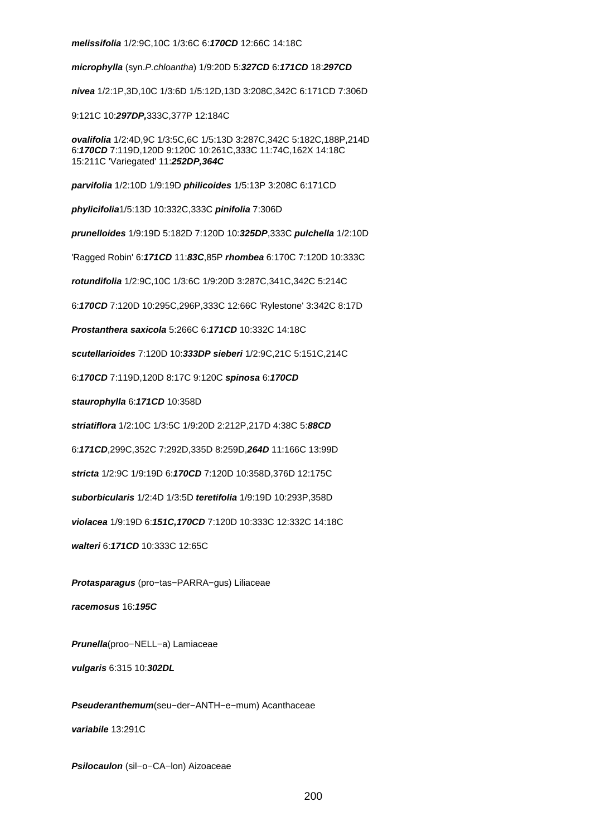#### **melissifolia** 1/2:9C,10C 1/3:6C 6:**170CD** 12:66C 14:18C

**microphylla** (syn.P.chloantha) 1/9:20D 5:**327CD** 6:**171CD** 18:**297CD**

**nivea** 1/2:1P,3D,10C 1/3:6D 1/5:12D,13D 3:208C,342C 6:171CD 7:306D

9:121C 10:**297DP,**333C,377P 12:184C

**ovalifolia** 1/2:4D,9C 1/3:5C,6C 1/5:13D 3:287C,342C 5:182C,188P,214D 6:**170CD** 7:119D,120D 9:120C 10:261C,333C 11:74C,162X 14:18C 15:211C 'Variegated' 11:**252DP,364C**

**parvifolia** 1/2:10D 1/9:19D **philicoides** 1/5:13P 3:208C 6:171CD

**phylicifolia**1/5:13D 10:332C,333C **pinifolia** 7:306D

**prunelloides** 1/9:19D 5:182D 7:120D 10:**325DP**,333C **pulchella** 1/2:10D

'Ragged Robin' 6:**171CD** 11:**83C**,85P **rhombea** 6:170C 7:120D 10:333C

**rotundifolia** 1/2:9C,10C 1/3:6C 1/9:20D 3:287C,341C,342C 5:214C

6:**170CD** 7:120D 10:295C,296P,333C 12:66C 'Rylestone' 3:342C 8:17D

**Prostanthera saxicola** 5:266C 6:**171CD** 10:332C 14:18C

**scutellarioides** 7:120D 10:**333DP sieberi** 1/2:9C,21C 5:151C,214C

6:**170CD** 7:119D,120D 8:17C 9:120C **spinosa** 6:**170CD**

**staurophylla** 6:**171CD** 10:358D

**striatiflora** 1/2:10C 1/3:5C 1/9:20D 2:212P,217D 4:38C 5:**88CD**

6:**171CD**,299C,352C 7:292D,335D 8:259D,**264D** 11:166C 13:99D

**stricta** 1/2:9C 1/9:19D 6:**170CD** 7:120D 10:358D,376D 12:175C

**suborbicularis** 1/2:4D 1/3:5D **teretifolia** 1/9:19D 10:293P,358D

**violacea** 1/9:19D 6:**151C,170CD** 7:120D 10:333C 12:332C 14:18C

**walteri** 6:**171CD** 10:333C 12:65C

**Protasparagus** (pro−tas−PARRA−gus) Liliaceae

**racemosus** 16:**195C**

**Prunella**(proo−NELL−a) Lamiaceae

**vulgaris** 6:315 10:**302DL**

**Pseuderanthemum**(seu−der−ANTH−e−mum) Acanthaceae **variabile** 13:291C

**Psilocaulon** (sil−o−CA−lon) Aizoaceae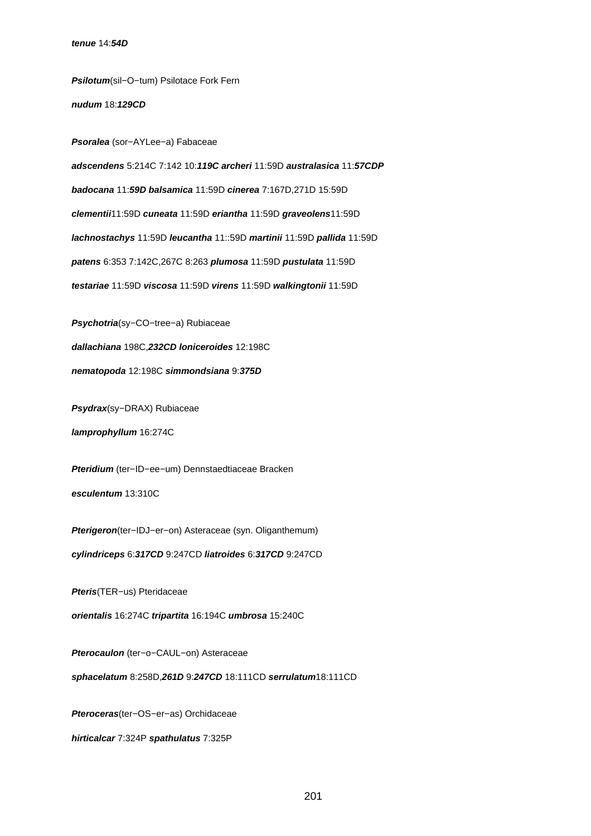**Psilotum**(sil−O−tum) Psilotace Fork Fern

**nudum** 18:**129CD**

**Psoralea** (sor−AYLee−a) Fabaceae **adscendens** 5:214C 7:142 10:**119C archeri** 11:59D **australasica** 11:**57CDP badocana** 11:**59D balsamica** 11:59D **cinerea** 7:167D,271D 15:59D **clementii**11:59D **cuneata** 11:59D **eriantha** 11:59D **graveolens**11:59D **lachnostachys** 11:59D **leucantha** 11::59D **martinii** 11:59D **pallida** 11:59D **patens** 6:353 7:142C,267C 8:263 **plumosa** 11:59D **pustulata** 11:59D **testariae** 11:59D **viscosa** 11:59D **virens** 11:59D **walkingtonii** 11:59D

**Psychotria**(sy−CO−tree−a) Rubiaceae **dallachiana** 198C,**232CD loniceroides** 12:198C **nematopoda** 12:198C **simmondsiana** 9:**375D**

**Psydrax**(sy−DRAX) Rubiaceae

**lamprophyllum** 16:274C

**Pteridium** (ter−ID−ee−um) Dennstaedtiaceae Bracken

**esculentum** 13:310C

**Pterigeron**(ter−IDJ−er−on) Asteraceae (syn. Oliganthemum)

**cylindriceps** 6:**317CD** 9:247CD **liatroides** 6:**317CD** 9:247CD

**Pteris**(TER−us) Pteridaceae

**orientalis** 16:274C **tripartita** 16:194C **umbrosa** 15:240C

**Pterocaulon** (ter−o−CAUL−on) Asteraceae

**sphacelatum** 8:258D,**261D** 9:**247CD** 18:111CD **serrulatum**18:111CD

**Pteroceras**(ter−OS−er−as) Orchidaceae

**hirticalcar** 7:324P **spathulatus** 7:325P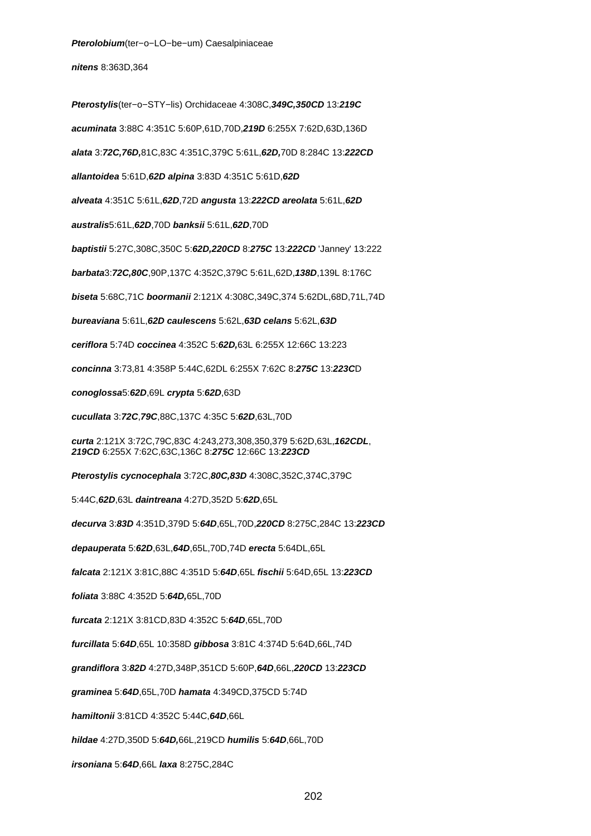**Pterolobium**(ter−o−LO−be−um) Caesalpiniaceae

**nitens** 8:363D,364

**Pterostylis**(ter−o−STY−lis) Orchidaceae 4:308C,**349C,350CD** 13:**219C acuminata** 3:88C 4:351C 5:60P,61D,70D,**219D** 6:255X 7:62D,63D,136D **alata** 3:**72C,76D,**81C,83C 4:351C,379C 5:61L,**62D,**70D 8:284C 13:**222CD allantoidea** 5:61D,**62D alpina** 3:83D 4:351C 5:61D,**62D alveata** 4:351C 5:61L,**62D**,72D **angusta** 13:**222CD areolata** 5:61L,**62D australis**5:61L,**62D**,70D **banksii** 5:61L,**62D**,70D **baptistii** 5:27C,308C,350C 5:**62D,220CD** 8:**275C** 13:**222CD** 'Janney' 13:222 **barbata**3:**72C,80C**,90P,137C 4:352C,379C 5:61L,62D,**138D**,139L 8:176C **biseta** 5:68C,71C **boormanii** 2:121X 4:308C,349C,374 5:62DL,68D,71L,74D **bureaviana** 5:61L,**62D caulescens** 5:62L,**63D celans** 5:62L,**63D ceriflora** 5:74D **coccinea** 4:352C 5:**62D,**63L 6:255X 12:66C 13:223 **concinna** 3:73,81 4:358P 5:44C,62DL 6:255X 7:62C 8:**275C** 13:**223C**D **conoglossa**5:**62D**,69L **crypta** 5:**62D**,63D **cucullata** 3:**72C**,**79C**,88C,137C 4:35C 5:**62D**,63L,70D **curta** 2:121X 3:72C,79C,83C 4:243,273,308,350,379 5:62D,63L,**162CDL**, **219CD** 6:255X 7:62C,63C,136C 8:**275C** 12:66C 13:**223CD Pterostylis cycnocephala** 3:72C,**80C,83D** 4:308C,352C,374C,379C 5:44C,**62D**,63L **daintreana** 4:27D,352D 5:**62D**,65L **decurva** 3:**83D** 4:351D,379D 5:**64D**,65L,70D,**220CD** 8:275C,284C 13:**223CD depauperata** 5:**62D**,63L,**64D**,65L,70D,74D **erecta** 5:64DL,65L **falcata** 2:121X 3:81C,88C 4:351D 5:**64D**,65L **fischii** 5:64D,65L 13:**223CD foliata** 3:88C 4:352D 5:**64D,**65L,70D **furcata** 2:121X 3:81CD,83D 4:352C 5:**64D**,65L,70D **furcillata** 5:**64D**,65L 10:358D **gibbosa** 3:81C 4:374D 5:64D,66L,74D **grandiflora** 3:**82D** 4:27D,348P,351CD 5:60P,**64D**,66L,**220CD** 13:**223CD graminea** 5:**64D**,65L,70D **hamata** 4:349CD,375CD 5:74D **hamiltonii** 3:81CD 4:352C 5:44C,**64D**,66L **hildae** 4:27D,350D 5:**64D,**66L,219CD **humilis** 5:**64D**,66L,70D **irsoniana** 5:**64D**,66L **laxa** 8:275C,284C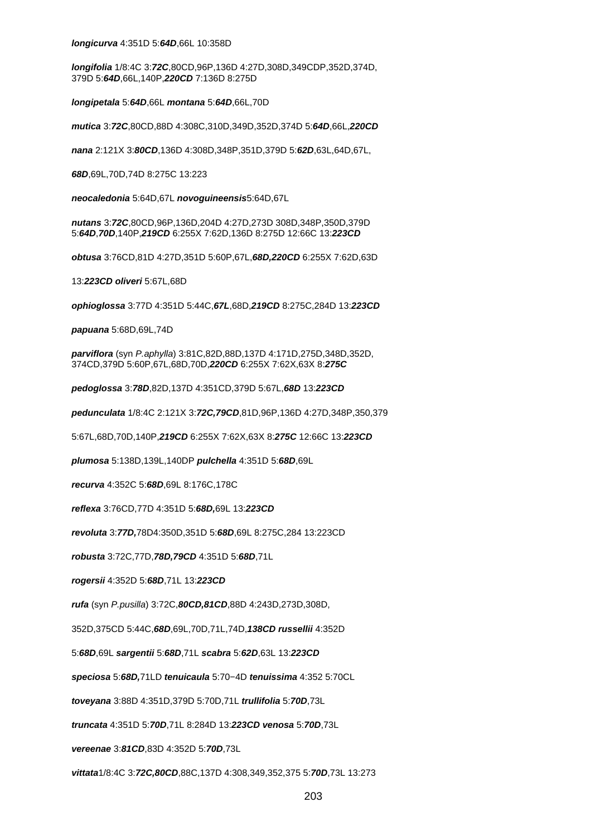#### **longicurva** 4:351D 5:**64D**,66L 10:358D

**longifolia** 1/8:4C 3:**72C**,80CD,96P,136D 4:27D,308D,349CDP,352D,374D, 379D 5:**64D**,66L,140P,**220CD** 7:136D 8:275D

**longipetala** 5:**64D**,66L **montana** 5:**64D**,66L,70D

**mutica** 3:**72C**,80CD,88D 4:308C,310D,349D,352D,374D 5:**64D**,66L,**220CD**

**nana** 2:121X 3:**80CD**,136D 4:308D,348P,351D,379D 5:**62D**,63L,64D,67L,

**68D**,69L,70D,74D 8:275C 13:223

**neocaledonia** 5:64D,67L **novoguineensis**5:64D,67L

**nutans** 3:**72C**,80CD,96P,136D,204D 4:27D,273D 308D,348P,350D,379D 5:**64D**,**70D**,140P,**219CD** 6:255X 7:62D,136D 8:275D 12:66C 13:**223CD**

**obtusa** 3:76CD,81D 4:27D,351D 5:60P,67L,**68D,220CD** 6:255X 7:62D,63D

13:**223CD oliveri** 5:67L,68D

**ophioglossa** 3:77D 4:351D 5:44C,**67L**,68D,**219CD** 8:275C,284D 13:**223CD**

**papuana** 5:68D,69L,74D

**parviflora** (syn P.aphylla) 3:81C,82D,88D,137D 4:171D,275D,348D,352D, 374CD,379D 5:60P,67L,68D,70D,**220CD** 6:255X 7:62X,63X 8:**275C**

**pedoglossa** 3:**78D**,82D,137D 4:351CD,379D 5:67L,**68D** 13:**223CD**

**pedunculata** 1/8:4C 2:121X 3:**72C,79CD**,81D,96P,136D 4:27D,348P,350,379

5:67L,68D,70D,140P,**219CD** 6:255X 7:62X,63X 8:**275C** 12:66C 13:**223CD**

**plumosa** 5:138D,139L,140DP **pulchella** 4:351D 5:**68D**,69L

**recurva** 4:352C 5:**68D**,69L 8:176C,178C

**reflexa** 3:76CD,77D 4:351D 5:**68D,**69L 13:**223CD**

**revoluta** 3:**77D,**78D4:350D,351D 5:**68D**,69L 8:275C,284 13:223CD

**robusta** 3:72C,77D,**78D,79CD** 4:351D 5:**68D**,71L

**rogersii** 4:352D 5:**68D**,71L 13:**223CD**

**rufa** (syn P.pusilla) 3:72C,**80CD,81CD**,88D 4:243D,273D,308D,

352D,375CD 5:44C,**68D**,69L,70D,71L,74D,**138CD russellii** 4:352D

5:**68D**,69L **sargentii** 5:**68D**,71L **scabra** 5:**62D**,63L 13:**223CD**

**speciosa** 5:**68D,**71LD **tenuicaula** 5:70−4D **tenuissima** 4:352 5:70CL

**toveyana** 3:88D 4:351D,379D 5:70D,71L **trullifolia** 5:**70D**,73L

**truncata** 4:351D 5:**70D**,71L 8:284D 13:**223CD venosa** 5:**70D**,73L

**vereenae** 3:**81CD**,83D 4:352D 5:**70D**,73L

**vittata**1/8:4C 3:**72C,80CD**,88C,137D 4:308,349,352,375 5:**70D**,73L 13:273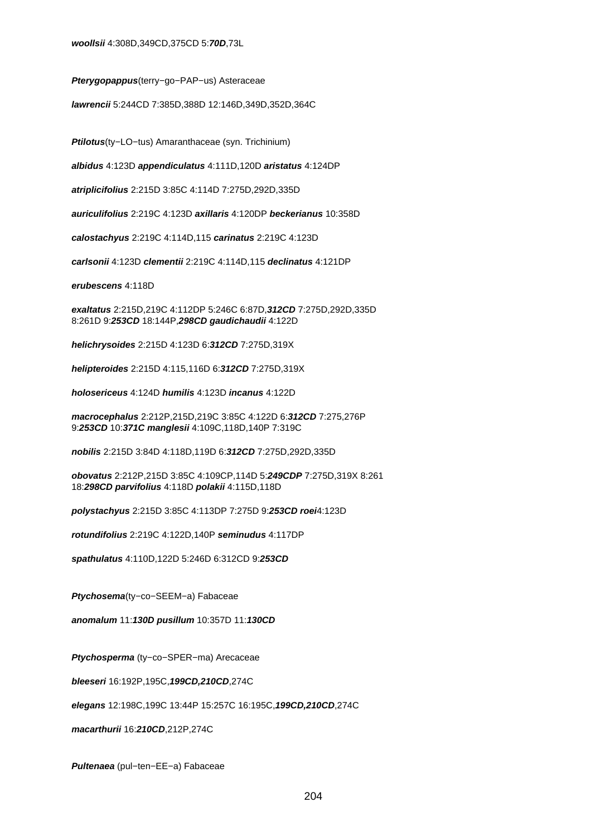**Pterygopappus**(terry−go−PAP−us) Asteraceae

**lawrencii** 5:244CD 7:385D,388D 12:146D,349D,352D,364C

**Ptilotus**(ty−LO−tus) Amaranthaceae (syn. Trichinium)

**albidus** 4:123D **appendiculatus** 4:111D,120D **aristatus** 4:124DP

**atriplicifolius** 2:215D 3:85C 4:114D 7:275D,292D,335D

**auriculifolius** 2:219C 4:123D **axillaris** 4:120DP **beckerianus** 10:358D

**calostachyus** 2:219C 4:114D,115 **carinatus** 2:219C 4:123D

**carlsonii** 4:123D **clementii** 2:219C 4:114D,115 **declinatus** 4:121DP

**erubescens** 4:118D

**exaltatus** 2:215D,219C 4:112DP 5:246C 6:87D,**312CD** 7:275D,292D,335D 8:261D 9:**253CD** 18:144P,**298CD gaudichaudii** 4:122D

**helichrysoides** 2:215D 4:123D 6:**312CD** 7:275D,319X

**helipteroides** 2:215D 4:115,116D 6:**312CD** 7:275D,319X

**holosericeus** 4:124D **humilis** 4:123D **incanus** 4:122D

**macrocephalus** 2:212P,215D,219C 3:85C 4:122D 6:**312CD** 7:275,276P 9:**253CD** 10:**371C manglesii** 4:109C,118D,140P 7:319C

**nobilis** 2:215D 3:84D 4:118D,119D 6:**312CD** 7:275D,292D,335D

**obovatus** 2:212P,215D 3:85C 4:109CP,114D 5:**249CDP** 7:275D,319X 8:261 18:**298CD parvifolius** 4:118D **polakii** 4:115D,118D

**polystachyus** 2:215D 3:85C 4:113DP 7:275D 9:**253CD roei**4:123D

**rotundifolius** 2:219C 4:122D,140P **seminudus** 4:117DP

**spathulatus** 4:110D,122D 5:246D 6:312CD 9:**253CD**

**Ptychosema**(ty−co−SEEM−a) Fabaceae

**anomalum** 11:**130D pusillum** 10:357D 11:**130CD**

**Ptychosperma** (ty−co−SPER−ma) Arecaceae

**bleeseri** 16:192P,195C,**199CD,210CD**,274C

**elegans** 12:198C,199C 13:44P 15:257C 16:195C,**199CD,210CD**,274C

**macarthurii** 16:**210CD**,212P,274C

**Pultenaea** (pul−ten−EE−a) Fabaceae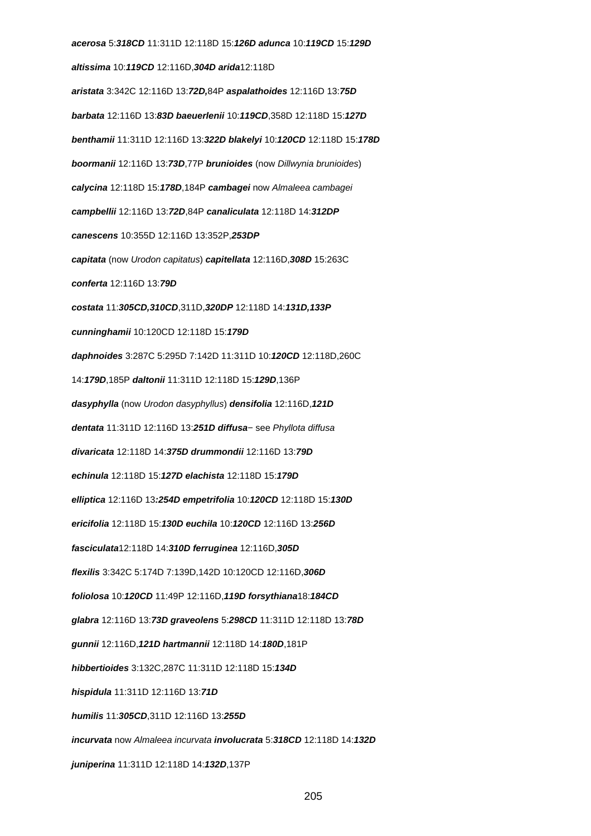**acerosa** 5:**318CD** 11:311D 12:118D 15:**126D adunca** 10:**119CD** 15:**129D altissima** 10:**119CD** 12:116D,**304D arida**12:118D **aristata** 3:342C 12:116D 13:**72D,**84P **aspalathoides** 12:116D 13:**75D barbata** 12:116D 13:**83D baeuerlenii** 10:**119CD**,358D 12:118D 15:**127D benthamii** 11:311D 12:116D 13:**322D blakelyi** 10:**120CD** 12:118D 15:**178D boormanii** 12:116D 13:**73D**,77P **brunioides** (now Dillwynia brunioides) **calycina** 12:118D 15:**178D**,184P **cambagei** now Almaleea cambagei **campbellii** 12:116D 13:**72D**,84P **canaliculata** 12:118D 14:**312DP canescens** 10:355D 12:116D 13:352P,**253DP capitata** (now Urodon capitatus) **capitellata** 12:116D,**308D** 15:263C **conferta** 12:116D 13:**79D costata** 11:**305CD,310CD**,311D,**320DP** 12:118D 14:**131D,133P cunninghamii** 10:120CD 12:118D 15:**179D daphnoides** 3:287C 5:295D 7:142D 11:311D 10:**120CD** 12:118D,260C 14:**179D**,185P **daltonii** 11:311D 12:118D 15:**129D**,136P **dasyphylla** (now Urodon dasyphyllus) **densifolia** 12:116D,**121D dentata** 11:311D 12:116D 13:**251D diffusa**− see Phyllota diffusa **divaricata** 12:118D 14:**375D drummondii** 12:116D 13:**79D echinula** 12:118D 15:**127D elachista** 12:118D 15:**179D elliptica** 12:116D 13**:254D empetrifolia** 10:**120CD** 12:118D 15:**130D ericifolia** 12:118D 15:**130D euchila** 10:**120CD** 12:116D 13:**256D fasciculata**12:118D 14:**310D ferruginea** 12:116D,**305D flexilis** 3:342C 5:174D 7:139D,142D 10:120CD 12:116D,**306D foliolosa** 10:**120CD** 11:49P 12:116D,**119D forsythiana**18:**184CD glabra** 12:116D 13:**73D graveolens** 5:**298CD** 11:311D 12:118D 13:**78D gunnii** 12:116D,**121D hartmannii** 12:118D 14:**180D**,181P **hibbertioides** 3:132C,287C 11:311D 12:118D 15:**134D hispidula** 11:311D 12:116D 13:**71D humilis** 11:**305CD**,311D 12:116D 13:**255D incurvata** now Almaleea incurvata **involucrata** 5:**318CD** 12:118D 14:**132D juniperina** 11:311D 12:118D 14:**132D**,137P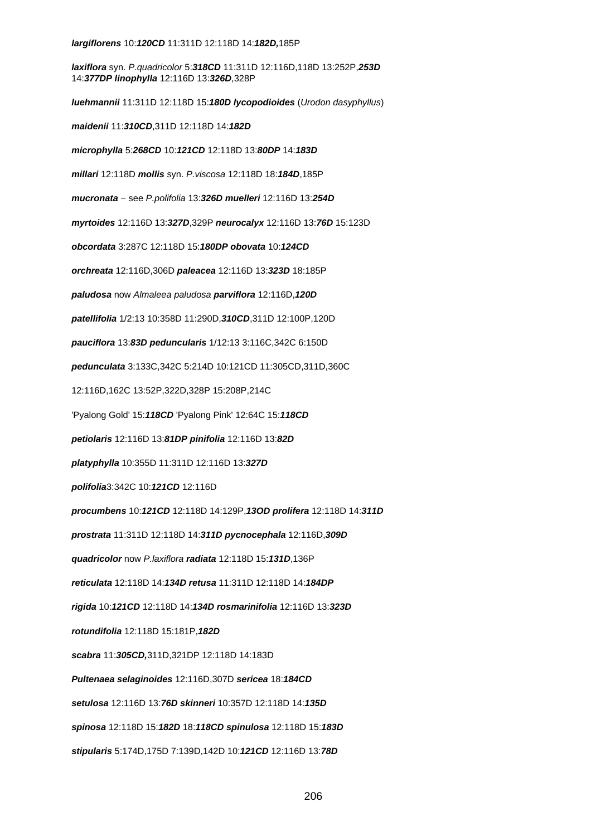### **largiflorens** 10:**120CD** 11:311D 12:118D 14:**182D,**185P

**laxiflora** syn. P.quadricolor 5:**318CD** 11:311D 12:116D,118D 13:252P,**253D** 14:**377DP linophylla** 12:116D 13:**326D**,328P **luehmannii** 11:311D 12:118D 15:**180D lycopodioides** (Urodon dasyphyllus) **maidenii** 11:**310CD**,311D 12:118D 14:**182D microphylla** 5:**268CD** 10:**121CD** 12:118D 13:**80DP** 14:**183D millari** 12:118D **mollis** syn. P.viscosa 12:118D 18:**184D**,185P **mucronata** − see P.polifolia 13:**326D muelleri** 12:116D 13:**254D myrtoides** 12:116D 13:**327D**,329P **neurocalyx** 12:116D 13:**76D** 15:123D **obcordata** 3:287C 12:118D 15:**180DP obovata** 10:**124CD orchreata** 12:116D,306D **paleacea** 12:116D 13:**323D** 18:185P **paludosa** now Almaleea paludosa **parviflora** 12:116D,**120D patellifolia** 1/2:13 10:358D 11:290D,**310CD**,311D 12:100P,120D **pauciflora** 13:**83D peduncularis** 1/12:13 3:116C,342C 6:150D **pedunculata** 3:133C,342C 5:214D 10:121CD 11:305CD,311D,360C 12:116D,162C 13:52P,322D,328P 15:208P,214C 'Pyalong Gold' 15:**118CD** 'Pyalong Pink' 12:64C 15:**118CD petiolaris** 12:116D 13:**81DP pinifolia** 12:116D 13:**82D platyphylla** 10:355D 11:311D 12:116D 13:**327D polifolia**3:342C 10:**121CD** 12:116D **procumbens** 10:**121CD** 12:118D 14:129P,**13OD prolifera** 12:118D 14:**311D prostrata** 11:311D 12:118D 14:**311D pycnocephala** 12:116D,**309D quadricolor** now P.laxiflora **radiata** 12:118D 15:**131D**,136P **reticulata** 12:118D 14:**134D retusa** 11:311D 12:118D 14:**184DP rigida** 10:**121CD** 12:118D 14:**134D rosmarinifolia** 12:116D 13:**323D rotundifolia** 12:118D 15:181P,**182D scabra** 11:**305CD,**311D,321DP 12:118D 14:183D **Pultenaea selaginoides** 12:116D,307D **sericea** 18:**184CD setulosa** 12:116D 13:**76D skinneri** 10:357D 12:118D 14:**135D spinosa** 12:118D 15:**182D** 18:**118CD spinulosa** 12:118D 15:**183D stipularis** 5:174D,175D 7:139D,142D 10:**121CD** 12:116D 13:**78D**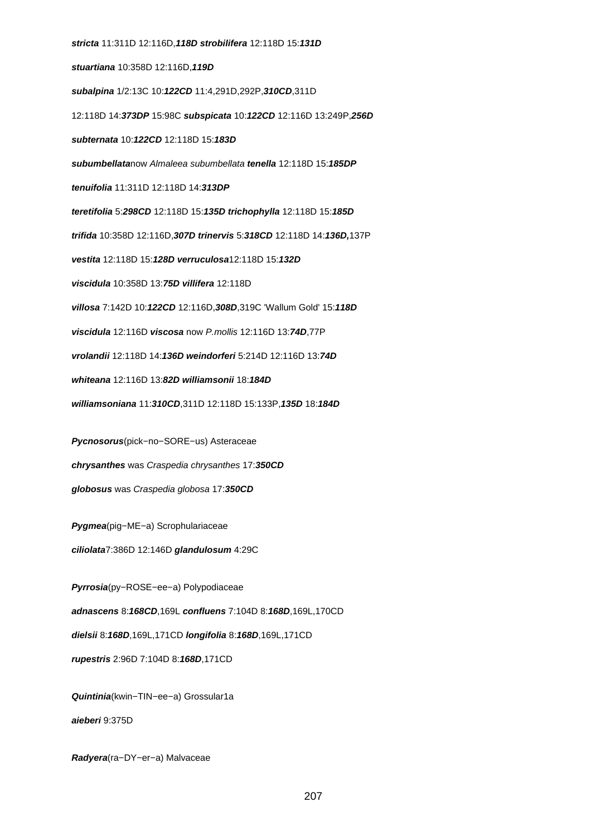**stricta** 11:311D 12:116D,**118D strobilifera** 12:118D 15:**131D stuartiana** 10:358D 12:116D,**119D subalpina** 1/2:13C 10:**122CD** 11:4,291D,292P,**310CD**,311D 12:118D 14:**373DP** 15:98C **subspicata** 10:**122CD** 12:116D 13:249P,**256D subternata** 10:**122CD** 12:118D 15:**183D subumbellata**now Almaleea subumbellata **tenella** 12:118D 15:**185DP tenuifolia** 11:311D 12:118D 14:**313DP teretifolia** 5:**298CD** 12:118D 15:**135D trichophylla** 12:118D 15:**185D trifida** 10:358D 12:116D,**307D trinervis** 5:**318CD** 12:118D 14:**136D,**137P **vestita** 12:118D 15:**128D verruculosa**12:118D 15:**132D viscidula** 10:358D 13:**75D villifera** 12:118D **villosa** 7:142D 10:**122CD** 12:116D,**308D**,319C 'Wallum Gold' 15:**118D viscidula** 12:116D **viscosa** now P.mollis 12:116D 13:**74D**,77P **vrolandii** 12:118D 14:**136D weindorferi** 5:214D 12:116D 13:**74D whiteana** 12:116D 13:**82D williamsonii** 18:**184D williamsoniana** 11:**310CD**,311D 12:118D 15:133P,**135D** 18:**184D Pycnosorus**(pick−no−SORE−us) Asteraceae

**chrysanthes** was Craspedia chrysanthes 17:**350CD globosus** was Craspedia globosa 17:**350CD**

**Pygmea**(pig−ME−a) Scrophulariaceae

**ciliolata**7:386D 12:146D **glandulosum** 4:29C

**Pyrrosia**(py−ROSE−ee−a) Polypodiaceae

**adnascens** 8:**168CD**,169L **confluens** 7:104D 8:**168D**,169L,170CD

**dielsii** 8:**168D**,169L,171CD **longifolia** 8:**168D**,169L,171CD

**rupestris** 2:96D 7:104D 8:**168D**,171CD

**Quintinia**(kwin−TIN−ee−a) Grossular1a **aieberi** 9:375D

**Radyera**(ra−DY−er−a) Malvaceae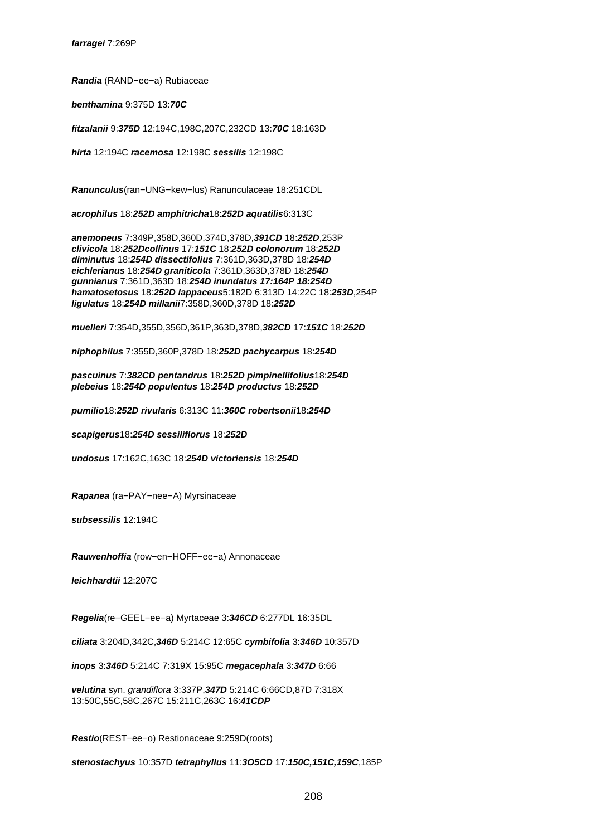**Randia** (RAND−ee−a) Rubiaceae

**benthamina** 9:375D 13:**70C**

**fitzalanii** 9:**375D** 12:194C,198C,207C,232CD 13:**70C** 18:163D

**hirta** 12:194C **racemosa** 12:198C **sessilis** 12:198C

**Ranunculus**(ran−UNG−kew−lus) Ranunculaceae 18:251CDL

**acrophilus** 18:**252D amphitricha**18:**252D aquatilis**6:313C

**anemoneus** 7:349P,358D,360D,374D,378D,**391CD** 18:**252D**,253P **clivicola** 18:**252Dcollinus** 17:**151C** 18:**252D colonorum** 18:**252D diminutus** 18:**254D dissectifolius** 7:361D,363D,378D 18:**254D eichlerianus** 18:**254D graniticola** 7:361D,363D,378D 18:**254D gunnianus** 7:361D,363D 18:**254D inundatus 17:164P 18:254D hamatosetosus** 18:**252D lappaceus**5:182D 6:313D 14:22C 18:**253D**,254P **ligulatus** 18:**254D millanii**7:358D,360D,378D 18:**252D**

**muelleri** 7:354D,355D,356D,361P,363D,378D,**382CD** 17:**151C** 18:**252D**

**niphophilus** 7:355D,360P,378D 18:**252D pachycarpus** 18:**254D**

**pascuinus** 7:**382CD pentandrus** 18:**252D pimpinellifolius**18:**254D plebeius** 18:**254D populentus** 18:**254D productus** 18:**252D**

**pumilio**18:**252D rivularis** 6:313C 11:**360C robertsonii**18:**254D**

**scapigerus**18:**254D sessiliflorus** 18:**252D**

**undosus** 17:162C,163C 18:**254D victoriensis** 18:**254D**

**Rapanea** (ra−PAY−nee−A) Myrsinaceae

**subsessilis** 12:194C

**Rauwenhoffia** (row−en−HOFF−ee−a) Annonaceae

**leichhardtii** 12:207C

**Regelia**(re−GEEL−ee−a) Myrtaceae 3:**346CD** 6:277DL 16:35DL

**ciliata** 3:204D,342C,**346D** 5:214C 12:65C **cymbifolia** 3:**346D** 10:357D

**inops** 3:**346D** 5:214C 7:319X 15:95C **megacephala** 3:**347D** 6:66

**velutina** syn. grandiflora 3:337P,**347D** 5:214C 6:66CD,87D 7:318X 13:50C,55C,58C,267C 15:211C,263C 16:**41CDP**

**Restio**(REST−ee−o) Restionaceae 9:259D(roots)

**stenostachyus** 10:357D **tetraphyllus** 11:**3O5CD** 17:**150C,151C,159C**,185P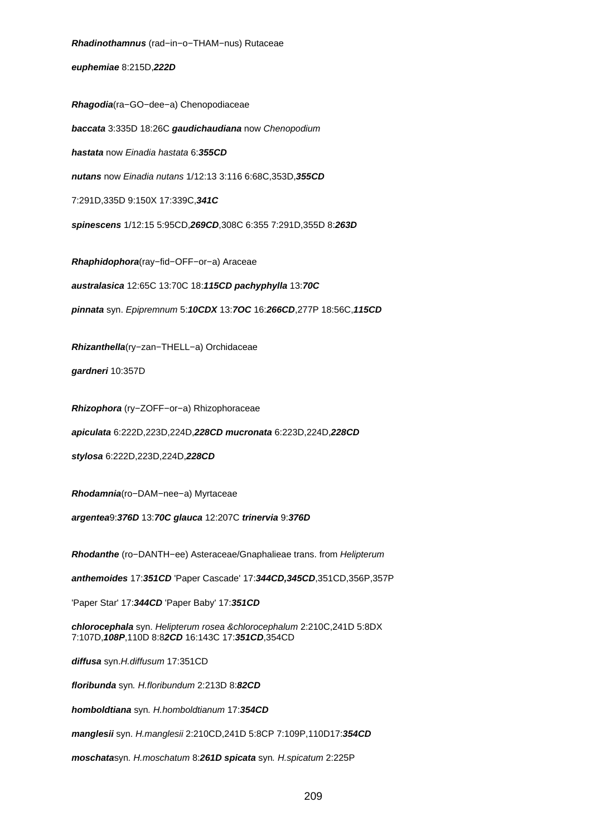**Rhadinothamnus** (rad−in−o−THAM−nus) Rutaceae **euphemiae** 8:215D,**222D Rhagodia**(ra−GO−dee−a) Chenopodiaceae **baccata** 3:335D 18:26C **gaudichaudiana** now Chenopodium **hastata** now Einadia hastata 6:**355CD nutans** now Einadia nutans 1/12:13 3:116 6:68C,353D,**355CD** 7:291D,335D 9:150X 17:339C,**341C spinescens** 1/12:15 5:95CD,**269CD**,308C 6:355 7:291D,355D 8:**263D Rhaphidophora**(ray−fid−OFF−or−a) Araceae **australasica** 12:65C 13:70C 18:**115CD pachyphylla** 13:**70C pinnata** syn. Epipremnum 5:**10CDX** 13:**7OC** 16:**266CD**,277P 18:56C,**115CD Rhizanthella**(ry−zan−THELL−a) Orchidaceae **gardneri** 10:357D **Rhizophora** (ry−ZOFF−or−a) Rhizophoraceae **apiculata** 6:222D,223D,224D,**228CD mucronata** 6:223D,224D,**228CD stylosa** 6:222D,223D,224D,**228CD Rhodamnia**(ro−DAM−nee−a) Myrtaceae **argentea**9:**376D** 13:**70C glauca** 12:207C **trinervia** 9:**376D Rhodanthe** (ro−DANTH−ee) Asteraceae/Gnaphalieae trans. from Helipterum **anthemoides** 17:**351CD** 'Paper Cascade' 17:**344CD,345CD**,351CD,356P,357P 'Paper Star' 17:**344CD** 'Paper Baby' 17:**351CD chlorocephala** syn. Helipterum rosea &chlorocephalum 2:210C,241D 5:8DX 7:107D,**108P**,110D 8:8**2CD** 16:143C 17:**351CD**,354CD **diffusa** syn.H.diffusum 17:351CD **floribunda** syn. H.floribundum 2:213D 8:**82CD homboldtiana** syn. H.homboldtianum 17:**354CD**

**manglesii** syn. H.manglesii 2:210CD,241D 5:8CP 7:109P,110D17:**354CD**

**moschata**syn. H.moschatum 8:**261D spicata** syn. H.spicatum 2:225P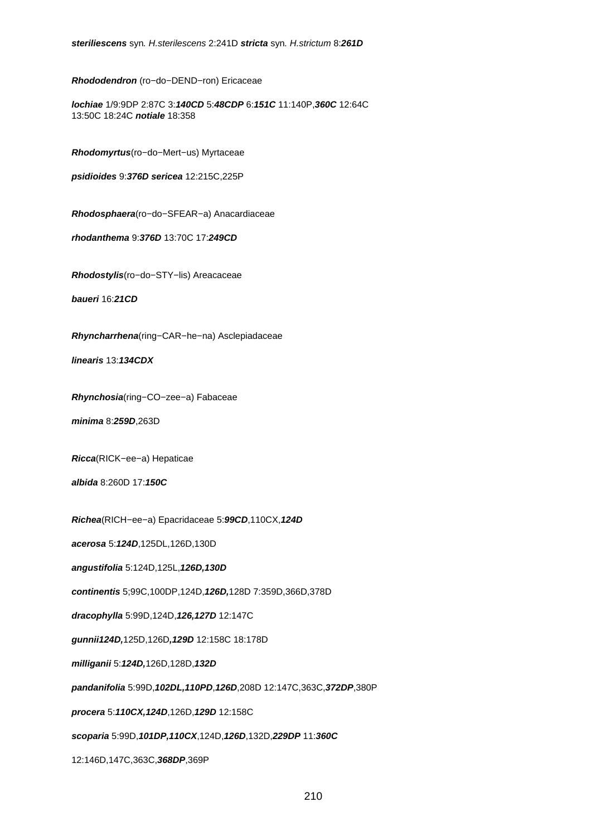**Rhododendron** (ro−do−DEND−ron) Ericaceae

**lochiae** 1/9:9DP 2:87C 3:**140CD** 5:**48CDP** 6:**151C** 11:140P,**360C** 12:64C 13:50C 18:24C **notiale** 18:358

**Rhodomyrtus**(ro−do−Mert−us) Myrtaceae

**psidioides** 9:**376D sericea** 12:215C,225P

**Rhodosphaera**(ro−do−SFEAR−a) Anacardiaceae

**rhodanthema** 9:**376D** 13:70C 17:**249CD**

**Rhodostylis**(ro−do−STY−lis) Areacaceae

**baueri** 16:**21CD**

**Rhyncharrhena**(ring−CAR−he−na) Asclepiadaceae

**linearis** 13:**134CDX**

**Rhynchosia**(ring−CO−zee−a) Fabaceae

**minima** 8:**259D**,263D

**Ricca**(RICK−ee−a) Hepaticae

**albida** 8:260D 17:**150C**

**Richea**(RICH−ee−a) Epacridaceae 5:**99CD**,110CX,**124D**

**acerosa** 5:**124D**,125DL,126D,130D

**angustifolia** 5:124D,125L,**126D,130D**

**continentis** 5;99C,100DP,124D,**126D,**128D 7:359D,366D,378D

**dracophylla** 5:99D,124D,**126,127D** 12:147C

**gunnii124D,**125D,126D**,129D** 12:158C 18:178D

**milliganii** 5:**124D,**126D,128D,**132D**

**pandanifolia** 5:99D,**102DL,110PD**,**126D**,208D 12:147C,363C,**372DP**,380P

**procera** 5:**110CX,124D**,126D,**129D** 12:158C

**scoparia** 5:99D,**101DP,110CX**,124D,**126D**,132D,**229DP** 11:**360C**

12:146D,147C,363C,**368DP**,369P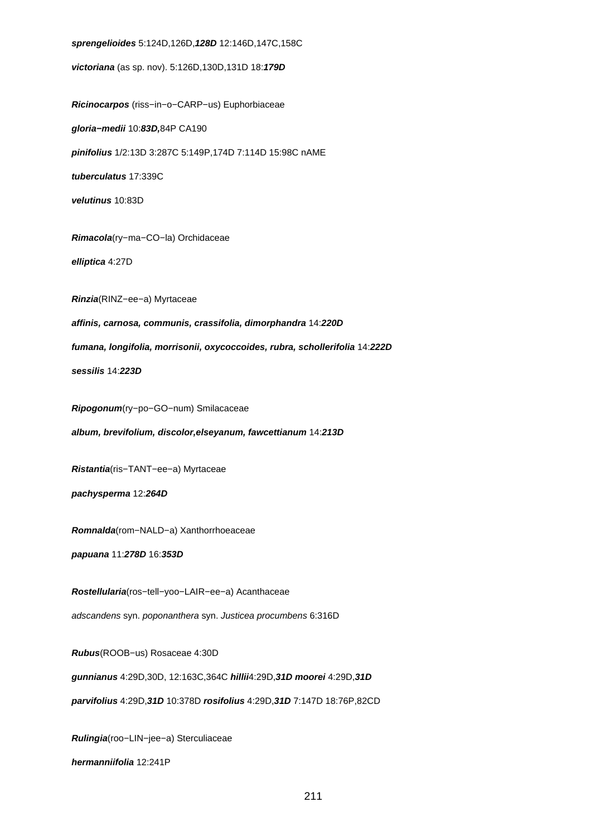**sprengelioides** 5:124D,126D,**128D** 12:146D,147C,158C **victoriana** (as sp. nov). 5:126D,130D,131D 18:**179D Ricinocarpos** (riss−in−o−CARP−us) Euphorbiaceae **gloria−medii** 10:**83D,**84P CA190 **pinifolius** 1/2:13D 3:287C 5:149P,174D 7:114D 15:98C nAME **tuberculatus** 17:339C **velutinus** 10:83D **Rimacola**(ry−ma−CO−la) Orchidaceae **elliptica** 4:27D **Rinzia**(RINZ−ee−a) Myrtaceae **affinis, carnosa, communis, crassifolia, dimorphandra** 14:**220D fumana, longifolia, morrisonii, oxycoccoides, rubra, schollerifolia** 14:**222D sessilis** 14:**223D Ripogonum**(ry−po−GO−num) Smilacaceae **album, brevifolium, discolor,elseyanum, fawcettianum** 14:**213D Ristantia**(ris−TANT−ee−a) Myrtaceae **pachysperma** 12:**264D Romnalda**(rom−NALD−a) Xanthorrhoeaceae **papuana** 11:**278D** 16:**353D Rostellularia**(ros−tell−yoo−LAIR−ee−a) Acanthaceae adscandens syn. poponanthera syn. Justicea procumbens 6:316D **Rubus**(ROOB−us) Rosaceae 4:30D **gunnianus** 4:29D,30D, 12:163C,364C **hillii**4:29D,**31D moorei** 4:29D,**31D parvifolius** 4:29D,**31D** 10:378D **rosifolius** 4:29D,**31D** 7:147D 18:76P,82CD **Rulingia**(roo−LIN−jee−a) Sterculiaceae **hermanniifolia** 12:241P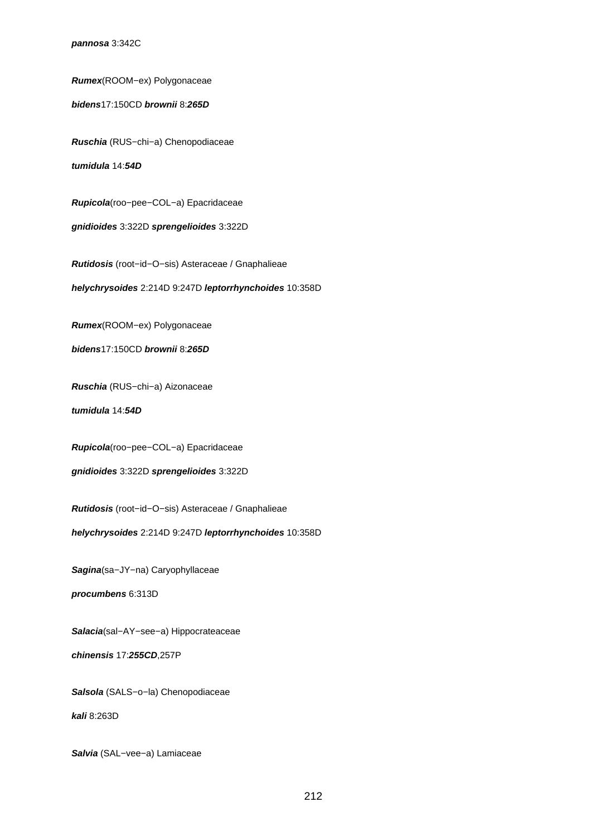### **pannosa** 3:342C

**Rumex**(ROOM−ex) Polygonaceae

**bidens**17:150CD **brownii** 8:**265D**

**Ruschia** (RUS−chi−a) Chenopodiaceae

**tumidula** 14:**54D**

**Rupicola**(roo−pee−COL−a) Epacridaceae

**gnidioides** 3:322D **sprengelioides** 3:322D

**Rutidosis** (root−id−O−sis) Asteraceae / Gnaphalieae

**helychrysoides** 2:214D 9:247D **leptorrhynchoides** 10:358D

**Rumex**(ROOM−ex) Polygonaceae

**bidens**17:150CD **brownii** 8:**265D**

**Ruschia** (RUS−chi−a) Aizonaceae

**tumidula** 14:**54D**

**Rupicola**(roo−pee−COL−a) Epacridaceae

**gnidioides** 3:322D **sprengelioides** 3:322D

**Rutidosis** (root−id−O−sis) Asteraceae / Gnaphalieae

**helychrysoides** 2:214D 9:247D **leptorrhynchoides** 10:358D

**Sagina**(sa−JY−na) Caryophyllaceae

**procumbens** 6:313D

**Salacia**(sal−AY−see−a) Hippocrateaceae

**chinensis** 17:**255CD**,257P

**Salsola** (SALS−o−la) Chenopodiaceae

**kali** 8:263D

**Salvia** (SAL−vee−a) Lamiaceae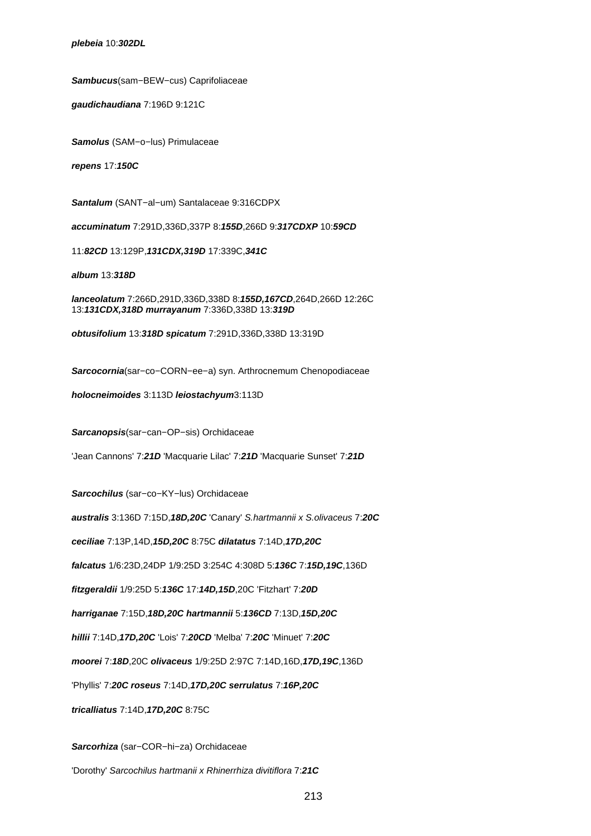**plebeia** 10:**302DL**

**Sambucus**(sam−BEW−cus) Caprifoliaceae

**gaudichaudiana** 7:196D 9:121C

**Samolus** (SAM−o−lus) Primulaceae

**repens** 17:**150C**

**Santalum** (SANT−al−um) Santalaceae 9:316CDPX

**accuminatum** 7:291D,336D,337P 8:**155D**,266D 9:**317CDXP** 10:**59CD**

11:**82CD** 13:129P,**131CDX,319D** 17:339C,**341C**

**album** 13:**318D**

**lanceolatum** 7:266D,291D,336D,338D 8:**155D,167CD**,264D,266D 12:26C 13:**131CDX,318D murrayanum** 7:336D,338D 13:**319D**

**obtusifolium** 13:**318D spicatum** 7:291D,336D,338D 13:319D

**Sarcocornia**(sar−co−CORN−ee−a) syn. Arthrocnemum Chenopodiaceae

**holocneimoides** 3:113D **leiostachyum**3:113D

**Sarcanopsis**(sar−can−OP−sis) Orchidaceae

'Jean Cannons' 7:**21D** 'Macquarie Lilac' 7:**21D** 'Macquarie Sunset' 7:**21D**

**Sarcochilus** (sar−co−KY−lus) Orchidaceae

**australis** 3:136D 7:15D,**18D,20C** 'Canary' S.hartmannii x S.olivaceus 7:**20C**

**ceciliae** 7:13P,14D,**15D,20C** 8:75C **dilatatus** 7:14D,**17D,20C**

**falcatus** 1/6:23D,24DP 1/9:25D 3:254C 4:308D 5:**136C** 7:**15D,19C**,136D

**fitzgeraldii** 1/9:25D 5:**136C** 17:**14D,15D**,20C 'Fitzhart' 7:**20D**

**harriganae** 7:15D,**18D,20C hartmannii** 5:**136CD** 7:13D,**15D,20C**

**hillii** 7:14D,**17D,20C** 'Lois' 7:**20CD** 'Melba' 7:**20C** 'Minuet' 7:**20C**

**moorei** 7:**18D**,20C **olivaceus** 1/9:25D 2:97C 7:14D,16D,**17D,19C**,136D

'Phyllis' 7:**20C roseus** 7:14D,**17D,20C serrulatus** 7:**16P,20C**

**tricalliatus** 7:14D,**17D,20C** 8:75C

**Sarcorhiza** (sar−COR−hi−za) Orchidaceae

'Dorothy' Sarcochilus hartmanii x Rhinerrhiza divitiflora 7:**21C**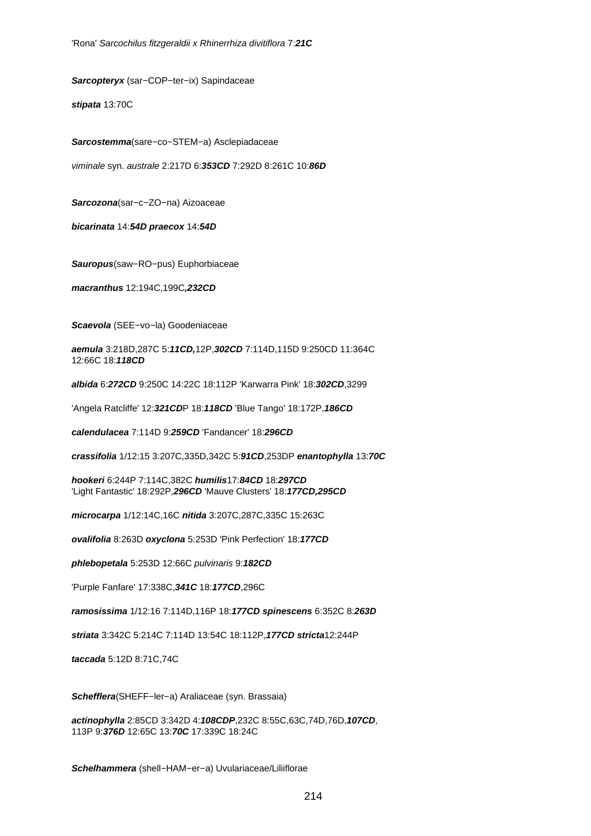**Sarcopteryx** (sar−COP−ter−ix) Sapindaceae

**stipata** 13:70C

**Sarcostemma**(sare−co−STEM−a) Asclepiadaceae

viminale syn. australe 2:217D 6:**353CD** 7:292D 8:261C 10:**86D**

**Sarcozona**(sar−c−ZO−na) Aizoaceae

**bicarinata** 14:**54D praecox** 14:**54D**

**Sauropus**(saw−RO−pus) Euphorbiaceae

**macranthus** 12:194C,199C**,232CD**

**Scaevola** (SEE−vo−la) Goodeniaceae

**aemula** 3:218D,287C 5:**11CD,**12P,**302CD** 7:114D,115D 9:250CD 11:364C 12:66C 18:**118CD**

**albida** 6:**272CD** 9:250C 14:22C 18:112P 'Karwarra Pink' 18:**302CD**,3299

'Angela Ratcliffe' 12:**321CD**P 18:**118CD** 'Blue Tango' 18:172P,**186CD**

**calendulacea** 7:114D 9:**259CD** 'Fandancer' 18:**296CD**

**crassifolia** 1/12:15 3:207C,335D,342C 5:**91CD**,253DP **enantophylla** 13:**70C**

**hookeri** 6:244P 7:114C,382C **humilis**17:**84CD** 18:**297CD** 'Light Fantastic' 18:292P,**296CD** 'Mauve Clusters' 18:**177CD,295CD**

**microcarpa** 1/12:14C,16C **nitida** 3:207C,287C,335C 15:263C

**ovalifolia** 8:263D **oxyclona** 5:253D 'Pink Perfection' 18:**177CD**

**phlebopetala** 5:253D 12:66C pulvinaris 9:**182CD**

'Purple Fanfare' 17:338C,**341C** 18:**177CD**,296C

**ramosissima** 1/12:16 7:114D,116P 18:**177CD spinescens** 6:352C 8:**263D**

**striata** 3:342C 5:214C 7:114D 13:54C 18:112P,**177CD stricta**12:244P

**taccada** 5:12D 8:71C,74C

**Schefflera**(SHEFF−ler−a) Araliaceae (syn. Brassaia)

**actinophylla** 2:85CD 3:342D 4:**108CDP**,232C 8:55C,63C,74D,76D,**107CD**, 113P 9:**376D** 12:65C 13:**70C** 17:339C 18:24C

**Schelhammera** (shell−HAM−er−a) Uvulariaceae/Liliiflorae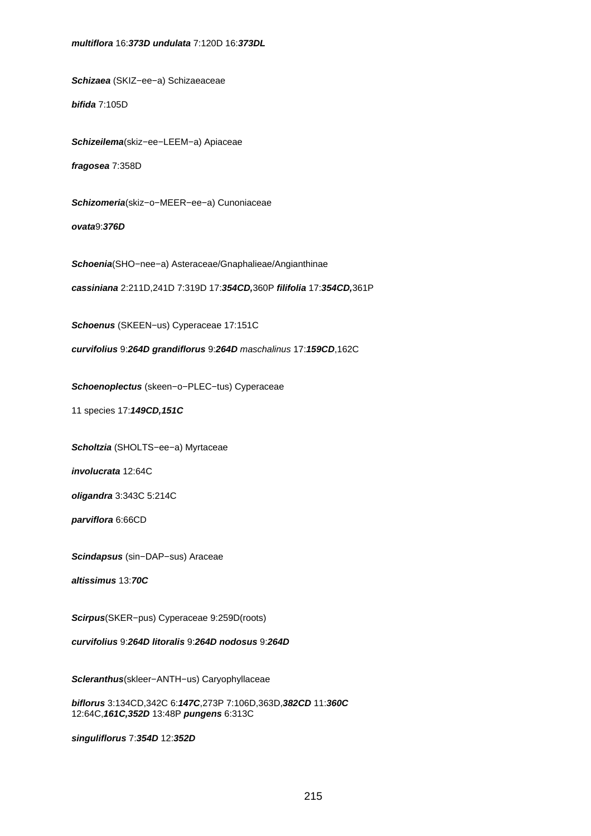# **multiflora** 16:**373D undulata** 7:120D 16:**373DL**

**Schizaea** (SKIZ−ee−a) Schizaeaceae

**bifida** 7:105D

**Schizeilema**(skiz−ee−LEEM−a) Apiaceae

**fragosea** 7:358D

**Schizomeria**(skiz−o−MEER−ee−a) Cunoniaceae

**ovata**9:**376D**

**Schoenia**(SHO−nee−a) Asteraceae/Gnaphalieae/Angianthinae

**cassiniana** 2:211D,241D 7:319D 17:**354CD,**360P **filifolia** 17:**354CD,**361P

**Schoenus** (SKEEN−us) Cyperaceae 17:151C

**curvifolius** 9:**264D grandiflorus** 9:**264D** maschalinus 17:**159CD**,162C

**Schoenoplectus** (skeen−o−PLEC−tus) Cyperaceae

11 species 17:**149CD,151C**

**Scholtzia** (SHOLTS−ee−a) Myrtaceae

**involucrata** 12:64C

**oligandra** 3:343C 5:214C

**parviflora** 6:66CD

**Scindapsus** (sin−DAP−sus) Araceae

**altissimus** 13:**70C**

**Scirpus**(SKER−pus) Cyperaceae 9:259D(roots)

**curvifolius** 9:**264D litoralis** 9:**264D nodosus** 9:**264D**

**Scleranthus**(skleer−ANTH−us) Caryophyllaceae

**biflorus** 3:134CD,342C 6:**147C**,273P 7:106D,363D,**382CD** 11:**360C** 12:64C,**161C,352D** 13:48P **pungens** 6:313C

**singuliflorus** 7:**354D** 12:**352D**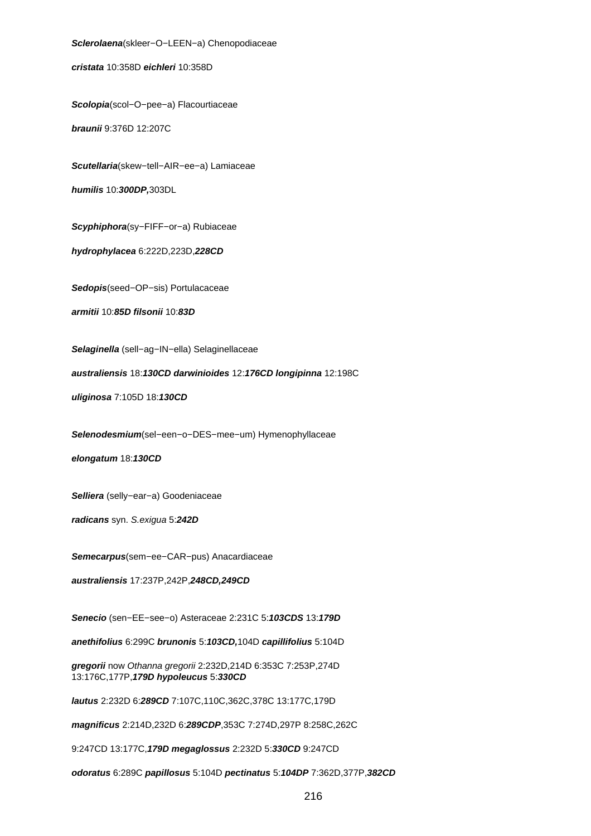**Sclerolaena**(skleer−O−LEEN−a) Chenopodiaceae **cristata** 10:358D **eichleri** 10:358D **Scolopia**(scol−O−pee−a) Flacourtiaceae

**braunii** 9:376D 12:207C

**Scutellaria**(skew−tell−AIR−ee−a) Lamiaceae **humilis** 10:**300DP,**303DL

**Scyphiphora**(sy−FIFF−or−a) Rubiaceae

**hydrophylacea** 6:222D,223D,**228CD**

**Sedopis**(seed−OP−sis) Portulacaceae

**armitii** 10:**85D filsonii** 10:**83D**

**Selaginella** (sell−ag−IN−ella) Selaginellaceae

**australiensis** 18:**130CD darwinioides** 12:**176CD longipinna** 12:198C

**uliginosa** 7:105D 18:**130CD**

**Selenodesmium**(sel−een−o−DES−mee−um) Hymenophyllaceae

**elongatum** 18:**130CD**

**Selliera** (selly−ear−a) Goodeniaceae

**radicans** syn. S.exigua 5:**242D**

**Semecarpus**(sem−ee−CAR−pus) Anacardiaceae

**australiensis** 17:237P,242P,**248CD,249CD**

**Senecio** (sen−EE−see−o) Asteraceae 2:231C 5:**103CDS** 13:**179D**

**anethifolius** 6:299C **brunonis** 5:**103CD,**104D **capillifolius** 5:104D

**gregorii** now Othanna gregorii 2:232D,214D 6:353C 7:253P,274D 13:176C,177P,**179D hypoleucus** 5:**330CD**

**lautus** 2:232D 6:**289CD** 7:107C,110C,362C,378C 13:177C,179D

**magnificus** 2:214D,232D 6:**289CDP**,353C 7:274D,297P 8:258C,262C

9:247CD 13:177C,**179D megaglossus** 2:232D 5:**330CD** 9:247CD

**odoratus** 6:289C **papillosus** 5:104D **pectinatus** 5:**104DP** 7:362D,377P,**382CD**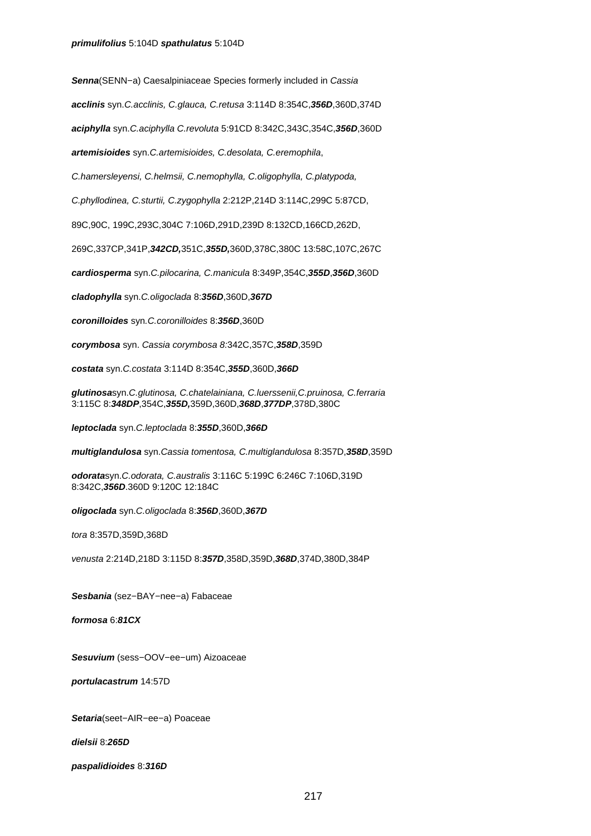**Senna**(SENN−a) Caesalpiniaceae Species formerly included in Cassia

**acclinis** syn.C.acclinis, C.glauca, C.retusa 3:114D 8:354C,**356D**,360D,374D

**aciphylla** syn.C.aciphylla C.revoluta 5:91CD 8:342C,343C,354C,**356D**,360D

**artemisioides** syn.C.artemisioides, C.desolata, C.eremophila,

C.hamersleyensi, C.helmsii, C.nemophylla, C.oligophylla, C.platypoda,

C.phyllodinea, C.sturtii, C.zygophylla 2:212P,214D 3:114C,299C 5:87CD,

89C,90C, 199C,293C,304C 7:106D,291D,239D 8:132CD,166CD,262D,

269C,337CP,341P,**342CD,**351C,**355D,**360D,378C,380C 13:58C,107C,267C

**cardiosperma** syn.C.pilocarina, C.manicula 8:349P,354C,**355D**,**356D**,360D

**cladophylla** syn.C.oligoclada 8:**356D**,360D,**367D**

**coronilloides** syn.C.coronilloides 8:**356D**,360D

**corymbosa** syn. Cassia corymbosa 8:342C,357C,**358D**,359D

**costata** syn.C.costata 3:114D 8:354C,**355D**,360D,**366D**

**glutinosa**syn.C.glutinosa, C.chatelainiana, C.luerssenii,C.pruinosa, C.ferraria 3:115C 8:**348DP**,354C,**355D,**359D,360D,**368D**,**377DP**,378D,380C

**leptoclada** syn.C.leptoclada 8:**355D**,360D,**366D**

**multiglandulosa** syn.Cassia tomentosa, C.multiglandulosa 8:357D,**358D**,359D

**odorata**syn.C.odorata, C.australis 3:116C 5:199C 6:246C 7:106D,319D 8:342C,**356D**.360D 9:120C 12:184C

**oligoclada** syn.C.oligoclada 8:**356D**,360D,**367D**

tora 8:357D,359D,368D

venusta 2:214D,218D 3:115D 8:**357D**,358D,359D,**368D**,374D,380D,384P

**Sesbania** (sez−BAY−nee−a) Fabaceae

**formosa** 6:**81CX**

**Sesuvium** (sess−OOV−ee−um) Aizoaceae

**portulacastrum** 14:57D

**Setaria**(seet−AIR−ee−a) Poaceae

**dielsii** 8:**265D**

**paspalidioides** 8:**316D**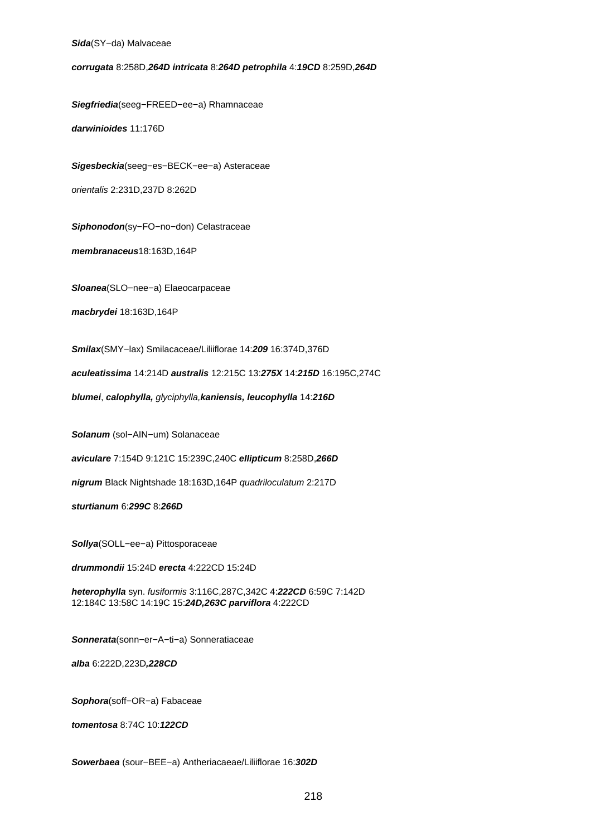## **Sida**(SY−da) Malvaceae

**corrugata** 8:258D,**264D intricata** 8:**264D petrophila** 4:**19CD** 8:259D,**264D**

**Siegfriedia**(seeg−FREED−ee−a) Rhamnaceae

**darwinioides** 11:176D

**Sigesbeckia**(seeg−es−BECK−ee−a) Asteraceae

orientalis 2:231D,237D 8:262D

**Siphonodon**(sy−FO−no−don) Celastraceae

**membranaceus**18:163D,164P

**Sloanea**(SLO−nee−a) Elaeocarpaceae

**macbrydei** 18:163D,164P

**Smilax**(SMY−lax) Smilacaceae/Liliiflorae 14:**209** 16:374D,376D

**aculeatissima** 14:214D **australis** 12:215C 13:**275X** 14:**215D** 16:195C,274C

**blumei**, **calophylla,** glyciphylla,**kaniensis, leucophylla** 14:**216D**

**Solanum** (sol−AIN−um) Solanaceae

**aviculare** 7:154D 9:121C 15:239C,240C **ellipticum** 8:258D,**266D**

**nigrum** Black Nightshade 18:163D,164P quadriloculatum 2:217D

**sturtianum** 6:**299C** 8:**266D**

**Sollya**(SOLL−ee−a) Pittosporaceae

**drummondii** 15:24D **erecta** 4:222CD 15:24D

**heterophylla** syn. fusiformis 3:116C,287C,342C 4:**222CD** 6:59C 7:142D 12:184C 13:58C 14:19C 15:**24D,263C parviflora** 4:222CD

**Sonnerata**(sonn−er−A−ti−a) Sonneratiaceae

**alba** 6:222D,223D**,228CD**

**Sophora**(soff−OR−a) Fabaceae

**tomentosa** 8:74C 10:**122CD**

**Sowerbaea** (sour−BEE−a) Antheriacaeae/Liliiflorae 16:**302D**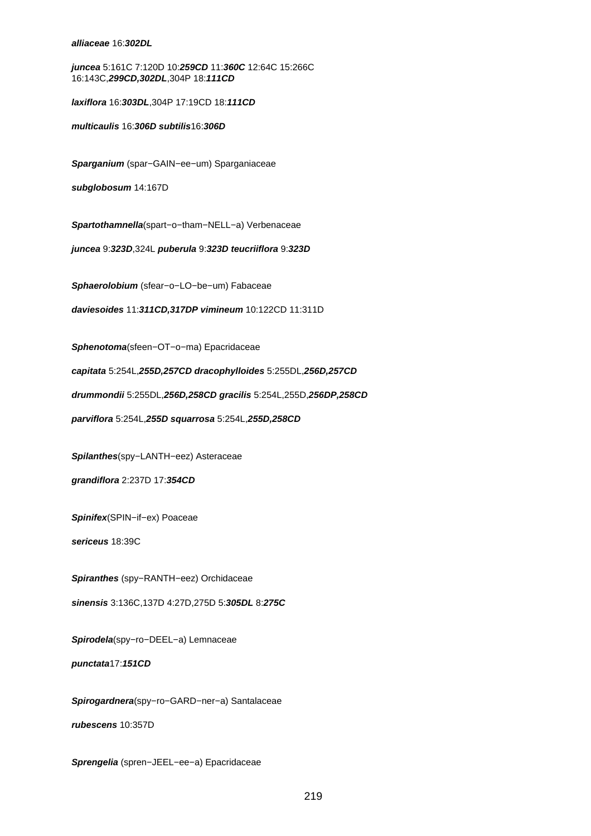**alliaceae** 16:**302DL**

**juncea** 5:161C 7:120D 10:**259CD** 11:**360C** 12:64C 15:266C 16:143C,**299CD,302DL**,304P 18:**111CD**

**laxiflora** 16:**303DL**,304P 17:19CD 18:**111CD**

**multicaulis** 16:**306D subtilis**16:**306D**

**Sparganium** (spar−GAIN−ee−um) Sparganiaceae

**subglobosum** 14:167D

**Spartothamnella**(spart−o−tham−NELL−a) Verbenaceae

**juncea** 9:**323D**,324L **puberula** 9:**323D teucriiflora** 9:**323D**

**Sphaerolobium** (sfear−o−LO−be−um) Fabaceae

**daviesoides** 11:**311CD,317DP vimineum** 10:122CD 11:311D

**Sphenotoma**(sfeen−OT−o−ma) Epacridaceae

**capitata** 5:254L,**255D,257CD dracophylloides** 5:255DL,**256D,257CD**

**drummondii** 5:255DL,**256D,258CD gracilis** 5:254L,255D,**256DP,258CD**

**parviflora** 5:254L,**255D squarrosa** 5:254L,**255D,258CD**

**Spilanthes**(spy−LANTH−eez) Asteraceae

**grandiflora** 2:237D 17:**354CD**

**Spinifex**(SPIN−if−ex) Poaceae

**sericeus** 18:39C

**Spiranthes** (spy−RANTH−eez) Orchidaceae

**sinensis** 3:136C,137D 4:27D,275D 5:**305DL** 8:**275C**

**Spirodela**(spy−ro−DEEL−a) Lemnaceae

**punctata**17:**151CD**

**Spirogardnera**(spy−ro−GARD−ner−a) Santalaceae

**rubescens** 10:357D

**Sprengelia** (spren−JEEL−ee−a) Epacridaceae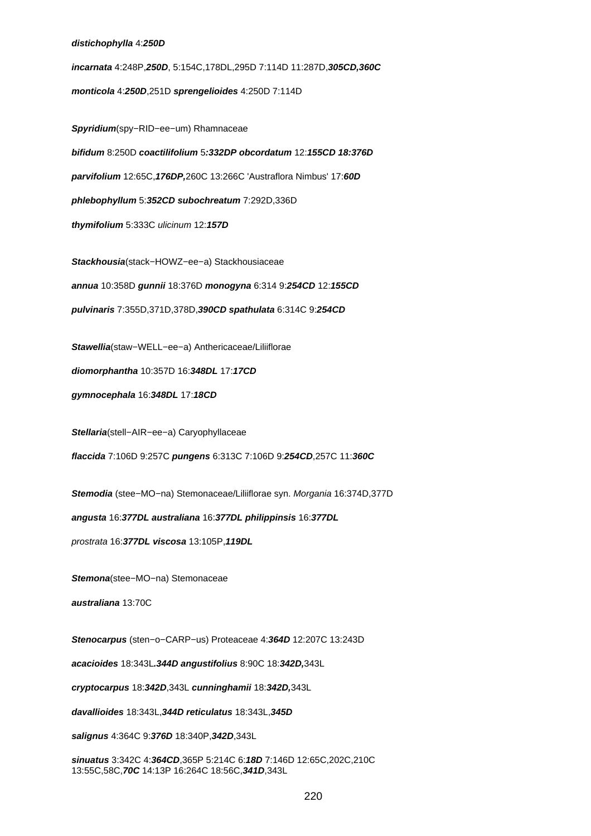## **distichophylla** 4:**250D**

**incarnata** 4:248P,**250D**, 5:154C,178DL,295D 7:114D 11:287D,**305CD,360C monticola** 4:**250D**,251D **sprengelioides** 4:250D 7:114D

**Spyridium**(spy−RID−ee−um) Rhamnaceae **bifidum** 8:250D **coactilifolium** 5**:332DP obcordatum** 12:**155CD 18:376D parvifolium** 12:65C,**176DP,**260C 13:266C 'Austraflora Nimbus' 17:**60D phlebophyllum** 5:**352CD subochreatum** 7:292D,336D **thymifolium** 5:333C ulicinum 12:**157D**

**Stackhousia**(stack−HOWZ−ee−a) Stackhousiaceae

**annua** 10:358D **gunnii** 18:376D **monogyna** 6:314 9:**254CD** 12:**155CD**

**pulvinaris** 7:355D,371D,378D,**390CD spathulata** 6:314C 9:**254CD**

**Stawellia**(staw−WELL−ee−a) Anthericaceae/Liliiflorae

**diomorphantha** 10:357D 16:**348DL** 17:**17CD**

**gymnocephala** 16:**348DL** 17:**18CD**

**Stellaria**(stell−AIR−ee−a) Caryophyllaceae

**flaccida** 7:106D 9:257C **pungens** 6:313C 7:106D 9:**254CD**,257C 11:**360C**

**Stemodia** (stee−MO−na) Stemonaceae/Liliiflorae syn. Morgania 16:374D,377D

**angusta** 16:**377DL australiana** 16:**377DL philippinsis** 16:**377DL**

prostrata 16:**377DL viscosa** 13:105P,**119DL**

**Stemona**(stee−MO−na) Stemonaceae

**australiana** 13:70C

**Stenocarpus** (sten−o−CARP−us) Proteaceae 4:**364D** 12:207C 13:243D

**acacioides** 18:343L**.344D angustifolius** 8:90C 18:**342D,**343L

**cryptocarpus** 18:**342D**,343L **cunninghamii** 18:**342D,**343L

**davallioides** 18:343L,**344D reticulatus** 18:343L,**345D**

**salignus** 4:364C 9:**376D** 18:340P,**342D**,343L

**sinuatus** 3:342C 4:**364CD**,365P 5:214C 6:**18D** 7:146D 12:65C,202C,210C 13:55C,58C,**70C** 14:13P 16:264C 18:56C,**341D**,343L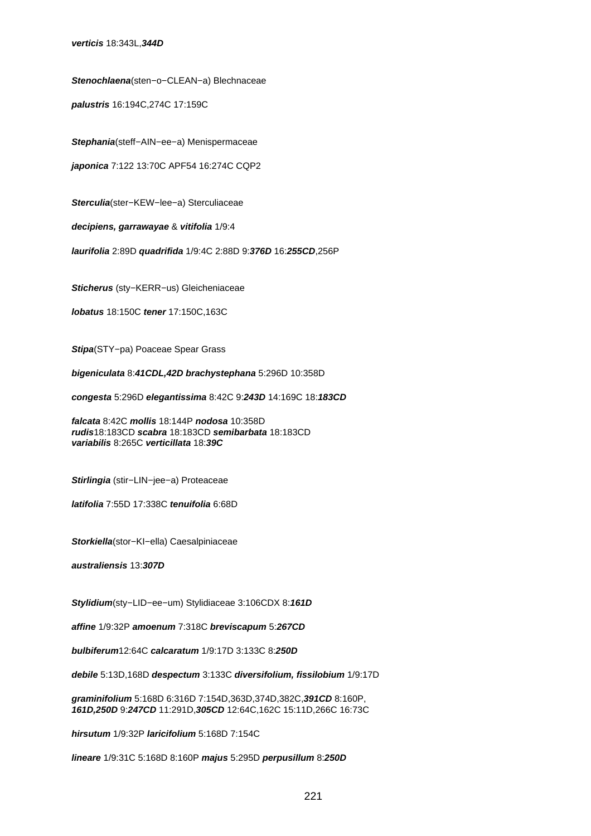**Stenochlaena**(sten−o−CLEAN−a) Blechnaceae

**palustris** 16:194C,274C 17:159C

**Stephania**(steff−AIN−ee−a) Menispermaceae

**japonica** 7:122 13:70C APF54 16:274C CQP2

**Sterculia**(ster−KEW−lee−a) Sterculiaceae

**decipiens, garrawayae** & **vitifolia** 1/9:4

**laurifolia** 2:89D **quadrifida** 1/9:4C 2:88D 9:**376D** 16:**255CD**,256P

**Sticherus** (sty−KERR−us) Gleicheniaceae

**lobatus** 18:150C **tener** 17:150C,163C

**Stipa**(STY−pa) Poaceae Spear Grass

**bigeniculata** 8:**41CDL,42D brachystephana** 5:296D 10:358D

**congesta** 5:296D **elegantissima** 8:42C 9:**243D** 14:169C 18:**183CD**

**falcata** 8:42C **mollis** 18:144P **nodosa** 10:358D **rudis**18:183CD **scabra** 18:183CD **semibarbata** 18:183CD **variabilis** 8:265C **verticillata** 18:**39C**

**Stirlingia** (stir−LIN−jee−a) Proteaceae

**latifolia** 7:55D 17:338C **tenuifolia** 6:68D

**Storkiella**(stor−KI−ella) Caesalpiniaceae

**australiensis** 13:**307D**

**Stylidium**(sty−LID−ee−um) Stylidiaceae 3:106CDX 8:**161D**

**affine** 1/9:32P **amoenum** 7:318C **breviscapum** 5:**267CD**

**bulbiferum**12:64C **calcaratum** 1/9:17D 3:133C 8:**250D**

**debile** 5:13D,168D **despectum** 3:133C **diversifolium, fissilobium** 1/9:17D

**graminifolium** 5:168D 6:316D 7:154D,363D,374D,382C,**391CD** 8:160P, **161D,250D** 9:**247CD** 11:291D,**305CD** 12:64C,162C 15:11D,266C 16:73C

**hirsutum** 1/9:32P **laricifolium** 5:168D 7:154C

**lineare** 1/9:31C 5:168D 8:160P **majus** 5:295D **perpusillum** 8:**250D**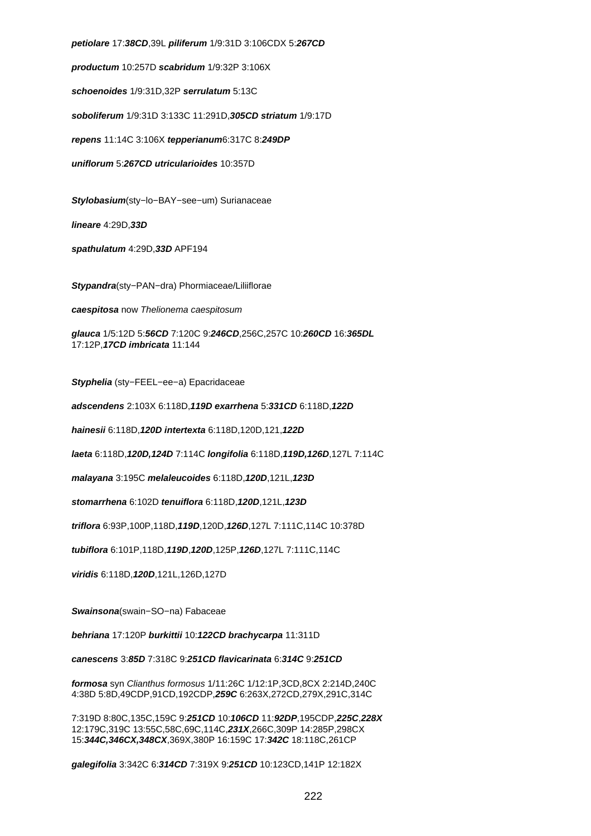**petiolare** 17:**38CD**,39L **piliferum** 1/9:31D 3:106CDX 5:**267CD productum** 10:257D **scabridum** 1/9:32P 3:106X **schoenoides** 1/9:31D,32P **serrulatum** 5:13C **soboliferum** 1/9:31D 3:133C 11:291D,**305CD striatum** 1/9:17D **repens** 11:14C 3:106X **tepperianum**6:317C 8:**249DP uniflorum** 5:**267CD utricularioides** 10:357D **Stylobasium**(sty−lo−BAY−see−um) Surianaceae **lineare** 4:29D,**33D spathulatum** 4:29D,**33D** APF194 **Stypandra**(sty−PAN−dra) Phormiaceae/Liliiflorae **caespitosa** now Thelionema caespitosum **glauca** 1/5:12D 5:**56CD** 7:120C 9:**246CD**,256C,257C 10:**260CD** 16:**365DL** 17:12P,**17CD imbricata** 11:144 **Styphelia** (sty−FEEL−ee−a) Epacridaceae

**adscendens** 2:103X 6:118D,**119D exarrhena** 5:**331CD** 6:118D,**122D**

**hainesii** 6:118D,**120D intertexta** 6:118D,120D,121,**122D**

**laeta** 6:118D,**120D,124D** 7:114C **longifolia** 6:118D,**119D,126D**,127L 7:114C

**malayana** 3:195C **melaleucoides** 6:118D,**120D**,121L,**123D**

**stomarrhena** 6:102D **tenuiflora** 6:118D,**120D**,121L,**123D**

**triflora** 6:93P,100P,118D,**119D**,120D,**126D**,127L 7:111C,114C 10:378D

**tubiflora** 6:101P,118D,**119D**,**120D**,125P,**126D**,127L 7:111C,114C

**viridis** 6:118D,**120D**,121L,126D,127D

**Swainsona**(swain−SO−na) Fabaceae

**behriana** 17:120P **burkittii** 10:**122CD brachycarpa** 11:311D

**canescens** 3:**85D** 7:318C 9:**251CD flavicarinata** 6:**314C** 9:**251CD**

**formosa** syn Clianthus formosus 1/11:26C 1/12:1P,3CD,8CX 2:214D,240C 4:38D 5:8D,49CDP,91CD,192CDP,**259C** 6:263X,272CD,279X,291C,314C

7:319D 8:80C,135C,159C 9:**251CD** 10:**106CD** 11:**92DP**,195CDP,**225C**,**228X** 12:179C,319C 13:55C,58C,69C,114C,**231X**,266C,309P 14:285P,298CX 15:**344C,346CX,348CX**,369X,380P 16:159C 17:**342C** 18:118C,261CP

**galegifolia** 3:342C 6:**314CD** 7:319X 9:**251CD** 10:123CD,141P 12:182X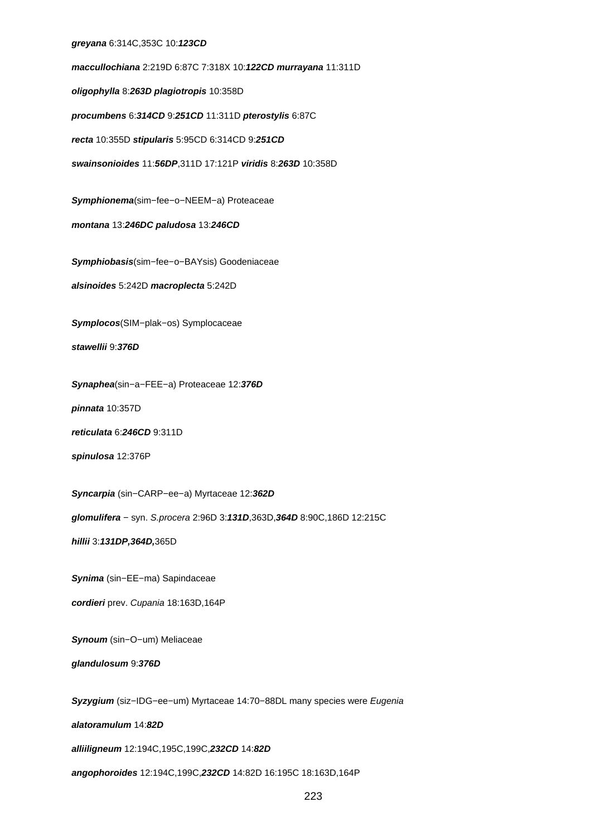## **greyana** 6:314C,353C 10:**123CD**

**maccullochiana** 2:219D 6:87C 7:318X 10:**122CD murrayana** 11:311D **oligophylla** 8:**263D plagiotropis** 10:358D **procumbens** 6:**314CD** 9:**251CD** 11:311D **pterostylis** 6:87C **recta** 10:355D **stipularis** 5:95CD 6:314CD 9:**251CD swainsonioides** 11:**56DP**,311D 17:121P **viridis** 8:**263D** 10:358D

**Symphionema**(sim−fee−o−NEEM−a) Proteaceae

**montana** 13:**246DC paludosa** 13:**246CD**

**Symphiobasis**(sim−fee−o−BAYsis) Goodeniaceae

**alsinoides** 5:242D **macroplecta** 5:242D

**Symplocos**(SIM−plak−os) Symplocaceae

**stawellii** 9:**376D**

**Synaphea**(sin−a−FEE−a) Proteaceae 12:**376D**

**pinnata** 10:357D

**reticulata** 6:**246CD** 9:311D

**spinulosa** 12:376P

**Syncarpia** (sin−CARP−ee−a) Myrtaceae 12:**362D**

**glomulifera** − syn. S.procera 2:96D 3:**131D**,363D,**364D** 8:90C,186D 12:215C

**hillii** 3:**131DP,364D,**365D

**Synima** (sin−EE−ma) Sapindaceae

**cordieri** prev. Cupania 18:163D,164P

**Synoum** (sin−O−um) Meliaceae

**glandulosum** 9:**376D**

**Syzygium** (siz−IDG−ee−um) Myrtaceae 14:70−88DL many species were Eugenia

**alatoramulum** 14:**82D**

**alliiligneum** 12:194C,195C,199C,**232CD** 14:**82D**

**angophoroides** 12:194C,199C,**232CD** 14:82D 16:195C 18:163D,164P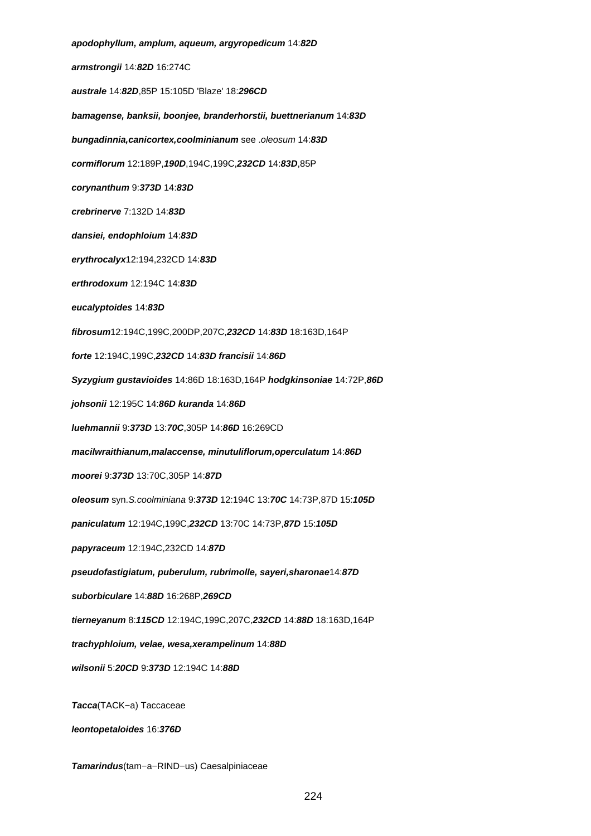**apodophyllum, amplum, aqueum, argyropedicum** 14:**82D armstrongii** 14:**82D** 16:274C **australe** 14:**82D**,85P 15:105D 'Blaze' 18:**296CD bamagense, banksii, boonjee, branderhorstii, buettnerianum** 14:**83D bungadinnia,canicortex,coolminianum** see .oleosum 14:**83D cormiflorum** 12:189P,**190D**,194C,199C,**232CD** 14:**83D**,85P **corynanthum** 9:**373D** 14:**83D crebrinerve** 7:132D 14:**83D dansiei, endophloium** 14:**83D erythrocalyx**12:194,232CD 14:**83D erthrodoxum** 12:194C 14:**83D eucalyptoides** 14:**83D fibrosum**12:194C,199C,200DP,207C,**232CD** 14:**83D** 18:163D,164P **forte** 12:194C,199C,**232CD** 14:**83D francisii** 14:**86D Syzygium gustavioides** 14:86D 18:163D,164P **hodgkinsoniae** 14:72P,**86D johsonii** 12:195C 14:**86D kuranda** 14:**86D luehmannii** 9:**373D** 13:**70C**,305P 14:**86D** 16:269CD **macilwraithianum,malaccense, minutuliflorum,operculatum** 14:**86D moorei** 9:**373D** 13:70C,305P 14:**87D oleosum** syn.S.coolminiana 9:**373D** 12:194C 13:**70C** 14:73P,87D 15:**105D paniculatum** 12:194C,199C,**232CD** 13:70C 14:73P,**87D** 15:**105D papyraceum** 12:194C,232CD 14:**87D pseudofastigiatum, puberulum, rubrimolle, sayeri,sharonae**14:**87D suborbiculare** 14:**88D** 16:268P,**269CD tierneyanum** 8:**115CD** 12:194C,199C,207C,**232CD** 14:**88D** 18:163D,164P **trachyphloium, velae, wesa,xerampelinum** 14:**88D wilsonii** 5:**20CD** 9:**373D** 12:194C 14:**88D Tacca**(TACK−a) Taccaceae **leontopetaloides** 16:**376D**

**Tamarindus**(tam−a−RIND−us) Caesalpiniaceae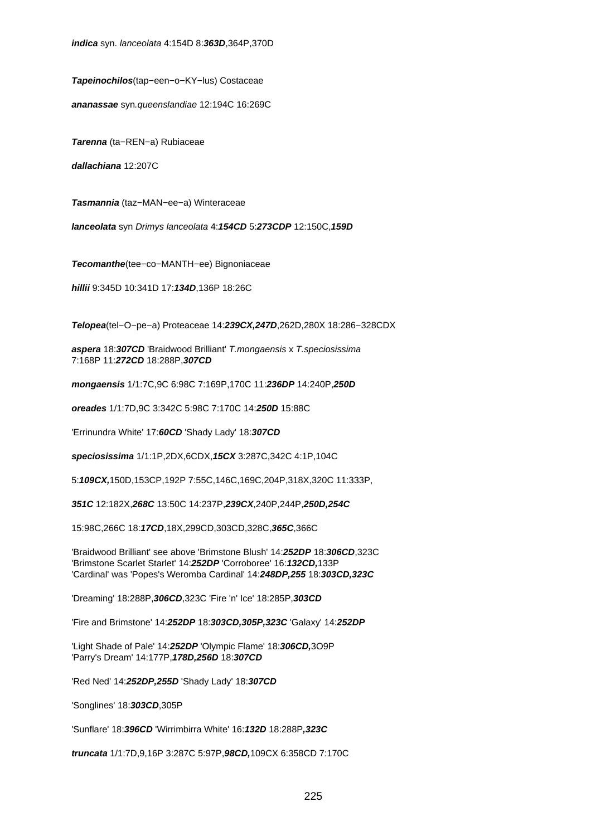**indica** syn. lanceolata 4:154D 8:**363D**,364P,370D

**Tapeinochilos**(tap−een−o−KY−lus) Costaceae

**ananassae** syn.queenslandiae 12:194C 16:269C

**Tarenna** (ta−REN−a) Rubiaceae

**dallachiana** 12:207C

**Tasmannia** (taz−MAN−ee−a) Winteraceae

**lanceolata** syn Drimys lanceolata 4:**154CD** 5:**273CDP** 12:150C,**159D**

**Tecomanthe**(tee−co−MANTH−ee) Bignoniaceae

**hillii** 9:345D 10:341D 17:**134D**,136P 18:26C

**Telopea**(tel−O−pe−a) Proteaceae 14:**239CX,247D**,262D,280X 18:286−328CDX

**aspera** 18:**307CD** 'Braidwood Brilliant' T.mongaensis x T.speciosissima 7:168P 11:**272CD** 18:288P,**307CD**

**mongaensis** 1/1:7C,9C 6:98C 7:169P,170C 11:**236DP** 14:240P,**250D**

**oreades** 1/1:7D,9C 3:342C 5:98C 7:170C 14:**250D** 15:88C

'Errinundra White' 17:**60CD** 'Shady Lady' 18:**307CD**

**speciosissima** 1/1:1P,2DX,6CDX,**15CX** 3:287C,342C 4:1P,104C

5:**109CX,**150D,153CP,192P 7:55C,146C,169C,204P,318X,320C 11:333P,

**351C** 12:182X,**268C** 13:50C 14:237P,**239CX**,240P,244P,**250D,254C**

15:98C,266C 18:**17CD**,18X,299CD,303CD,328C,**365C**,366C

'Braidwood Brilliant' see above 'Brimstone Blush' 14:**252DP** 18:**306CD**,323C 'Brimstone Scarlet Starlet' 14:**252DP** 'Corroboree' 16:**132CD,**133P 'Cardinal' was 'Popes's Weromba Cardinal' 14:**248DP,255** 18:**303CD,323C**

'Dreaming' 18:288P,**306CD**,323C 'Fire 'n' Ice' 18:285P,**303CD**

'Fire and Brimstone' 14:**252DP** 18:**303CD,305P,323C** 'Galaxy' 14:**252DP**

'Light Shade of Pale' 14:**252DP** 'Olympic Flame' 18:**306CD,**3O9P 'Parry's Dream' 14:177P,**178D,256D** 18:**307CD**

'Red Ned' 14:**252DP,255D** 'Shady Lady' 18:**307CD**

'Songlines' 18:**303CD**,305P

'Sunflare' 18:**396CD** 'Wirrimbirra White' 16:**132D** 18:288P**,323C**

**truncata** 1/1:7D,9,16P 3:287C 5:97P,**98CD,**109CX 6:358CD 7:170C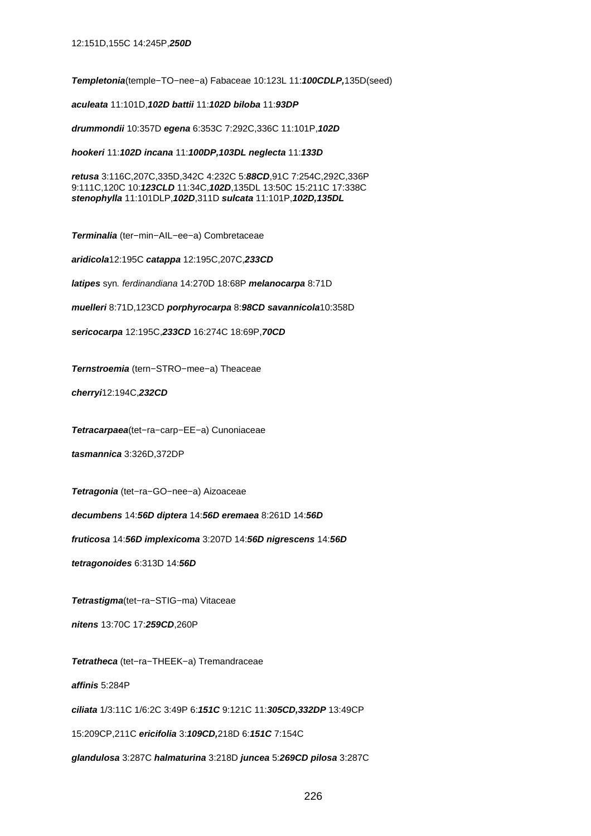**Templetonia**(temple−TO−nee−a) Fabaceae 10:123L 11:**100CDLP,**135D(seed)

**aculeata** 11:101D,**102D battii** 11:**102D biloba** 11:**93DP**

**drummondii** 10:357D **egena** 6:353C 7:292C,336C 11:101P,**102D**

**hookeri** 11:**102D incana** 11:**100DP,103DL neglecta** 11:**133D**

**retusa** 3:116C,207C,335D,342C 4:232C 5:**88CD**,91C 7:254C,292C,336P 9:111C,120C 10:**123CLD** 11:34C,**102D**,135DL 13:50C 15:211C 17:338C **stenophylla** 11:101DLP,**102D**,311D **sulcata** 11:101P,**102D,135DL**

**Terminalia** (ter−min−AIL−ee−a) Combretaceae

**aridicola**12:195C **catappa** 12:195C,207C,**233CD**

**latipes** syn. ferdinandiana 14:270D 18:68P **melanocarpa** 8:71D

**muelleri** 8:71D,123CD **porphyrocarpa** 8:**98CD savannicola**10:358D

**sericocarpa** 12:195C,**233CD** 16:274C 18:69P,**70CD**

**Ternstroemia** (tern−STRO−mee−a) Theaceae

**cherryi**12:194C,**232CD**

**Tetracarpaea**(tet−ra−carp−EE−a) Cunoniaceae

**tasmannica** 3:326D,372DP

**Tetragonia** (tet−ra−GO−nee−a) Aizoaceae

**decumbens** 14:**56D diptera** 14:**56D eremaea** 8:261D 14:**56D**

**fruticosa** 14:**56D implexicoma** 3:207D 14:**56D nigrescens** 14:**56D**

**tetragonoides** 6:313D 14:**56D**

**Tetrastigma**(tet−ra−STIG−ma) Vitaceae

**nitens** 13:70C 17:**259CD**,260P

**Tetratheca** (tet−ra−THEEK−a) Tremandraceae

**affinis** 5:284P

**ciliata** 1/3:11C 1/6:2C 3:49P 6:**151C** 9:121C 11:**305CD,332DP** 13:49CP

15:209CP,211C **ericifolia** 3:**109CD,**218D 6:**151C** 7:154C

**glandulosa** 3:287C **halmaturina** 3:218D **juncea** 5:**269CD pilosa** 3:287C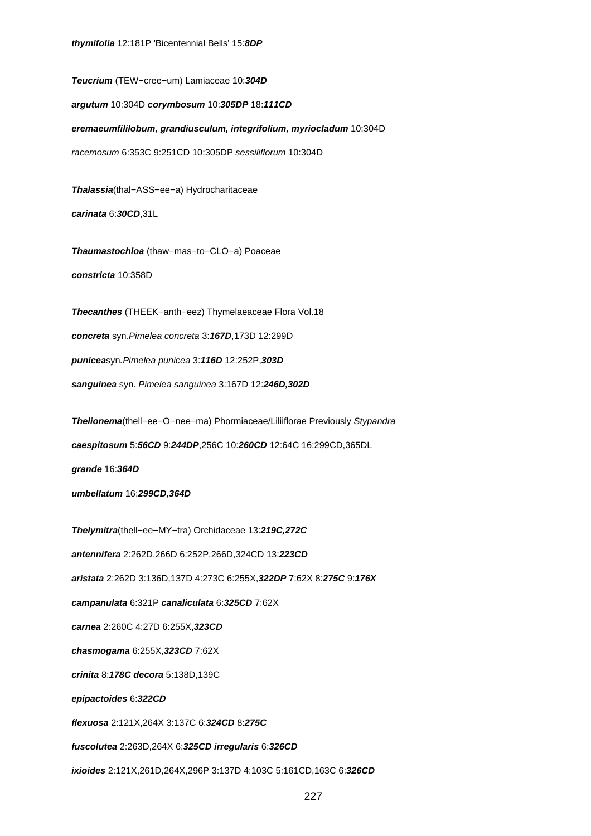**Teucrium** (TEW−cree−um) Lamiaceae 10:**304D argutum** 10:304D **corymbosum** 10:**305DP** 18:**111CD eremaeumfililobum, grandiusculum, integrifolium, myriocladum** 10:304D racemosum 6:353C 9:251CD 10:305DP sessiliflorum 10:304D

**Thalassia**(thal−ASS−ee−a) Hydrocharitaceae **carinata** 6:**30CD**,31L

**Thaumastochloa** (thaw−mas−to−CLO−a) Poaceae **constricta** 10:358D

**Thecanthes** (THEEK−anth−eez) Thymelaeaceae Flora Vol.18

**concreta** syn.Pimelea concreta 3:**167D**,173D 12:299D

**punicea**syn.Pimelea punicea 3:**116D** 12:252P,**303D**

**sanguinea** syn. Pimelea sanguinea 3:167D 12:**246D,302D**

**Thelionema**(thell−ee−O−nee−ma) Phormiaceae/Liliiflorae Previously Stypandra

**caespitosum** 5:**56CD** 9:**244DP**,256C 10:**260CD** 12:64C 16:299CD,365DL

**grande** 16:**364D**

**umbellatum** 16:**299CD,364D**

**Thelymitra**(thell−ee−MY−tra) Orchidaceae 13:**219C,272C**

**antennifera** 2:262D,266D 6:252P,266D,324CD 13:**223CD**

**aristata** 2:262D 3:136D,137D 4:273C 6:255X,**322DP** 7:62X 8:**275C** 9:**176X**

**campanulata** 6:321P **canaliculata** 6:**325CD** 7:62X

**carnea** 2:260C 4:27D 6:255X,**323CD**

**chasmogama** 6:255X,**323CD** 7:62X

**crinita** 8:**178C decora** 5:138D,139C

**epipactoides** 6:**322CD**

**flexuosa** 2:121X,264X 3:137C 6:**324CD** 8:**275C**

**fuscolutea** 2:263D,264X 6:**325CD irregularis** 6:**326CD**

**ixioides** 2:121X,261D,264X,296P 3:137D 4:103C 5:161CD,163C 6:**326CD**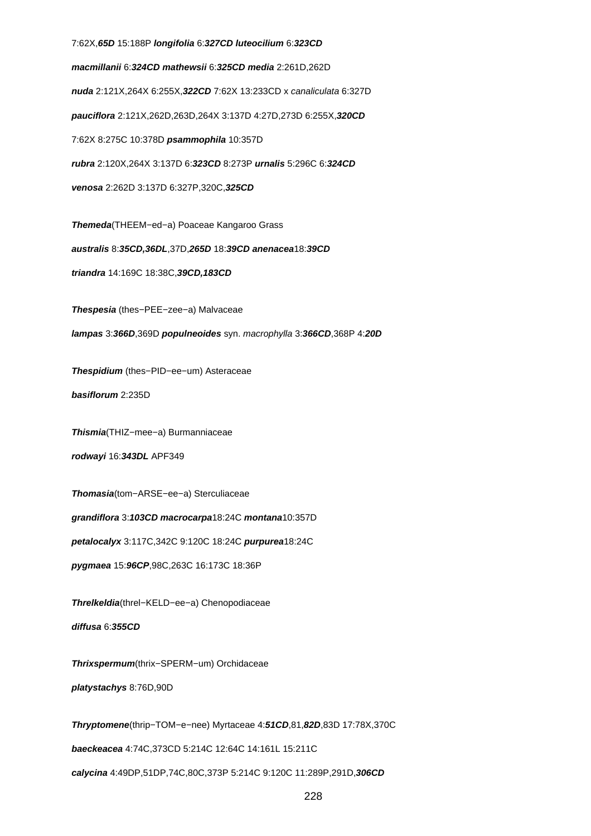7:62X,**65D** 15:188P **longifolia** 6:**327CD luteocilium** 6:**323CD macmillanii** 6:**324CD mathewsii** 6:**325CD media** 2:261D,262D **nuda** 2:121X,264X 6:255X,**322CD** 7:62X 13:233CD x canaliculata 6:327D **pauciflora** 2:121X,262D,263D,264X 3:137D 4:27D,273D 6:255X,**320CD** 7:62X 8:275C 10:378D **psammophila** 10:357D **rubra** 2:120X,264X 3:137D 6:**323CD** 8:273P **urnalis** 5:296C 6:**324CD venosa** 2:262D 3:137D 6:327P,320C,**325CD Themeda**(THEEM−ed−a) Poaceae Kangaroo Grass **australis** 8:**35CD,36DL**,37D,**265D** 18:**39CD anenacea**18:**39CD triandra** 14:169C 18:38C,**39CD,183CD Thespesia** (thes−PEE−zee−a) Malvaceae **lampas** 3:**366D**,369D **populneoides** syn. macrophylla 3:**366CD**,368P 4:**20D Thespidium** (thes−PID−ee−um) Asteraceae **basiflorum** 2:235D **Thismia**(THIZ−mee−a) Burmanniaceae **rodwayi** 16:**343DL** APF349 **Thomasia**(tom−ARSE−ee−a) Sterculiaceae **grandiflora** 3:**103CD macrocarpa**18:24C **montana**10:357D **petalocalyx** 3:117C,342C 9:120C 18:24C **purpurea**18:24C **pygmaea** 15:**96CP**,98C,263C 16:173C 18:36P **Threlkeldia**(threl−KELD−ee−a) Chenopodiaceae **diffusa** 6:**355CD Thrixspermum**(thrix−SPERM−um) Orchidaceae **platystachys** 8:76D,90D **Thryptomene**(thrip−TOM−e−nee) Myrtaceae 4:**51CD**,81,**82D**,83D 17:78X,370C **baeckeacea** 4:74C,373CD 5:214C 12:64C 14:161L 15:211C **calycina** 4:49DP,51DP,74C,80C,373P 5:214C 9:120C 11:289P,291D,**306CD**

228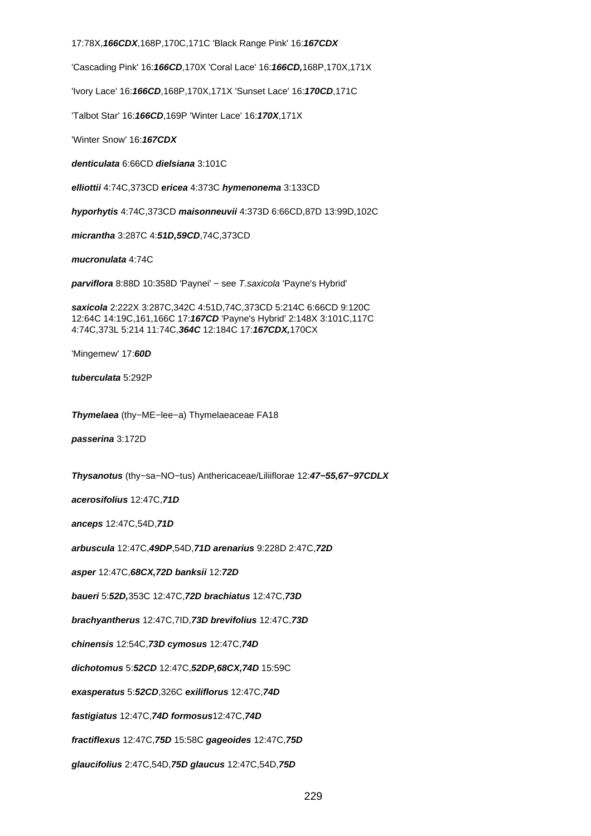17:78X,**166CDX**,168P,170C,171C 'Black Range Pink' 16:**167CDX**

'Cascading Pink' 16:**166CD**,170X 'Coral Lace' 16:**166CD,**168P,170X,171X

'Ivory Lace' 16:**166CD**,168P,170X,171X 'Sunset Lace' 16:**170CD**,171C

'Talbot Star' 16:**166CD**,169P 'Winter Lace' 16:**170X**,171X

'Winter Snow' 16:**167CDX**

**denticulata** 6:66CD **dielsiana** 3:101C

**elliottii** 4:74C,373CD **ericea** 4:373C **hymenonema** 3:133CD

**hyporhytis** 4:74C,373CD **maisonneuvii** 4:373D 6:66CD,87D 13:99D,102C

**micrantha** 3:287C 4:**51D,59CD**,74C,373CD

**mucronulata** 4:74C

**parviflora** 8:88D 10:358D 'Paynei' – see T.saxicola 'Payne's Hybrid'

**saxicola** 2:222X 3:287C,342C 4:51D,74C,373CD 5:214C 6:66CD 9:120C 12:64C 14:19C,161,166C 17:**167CD** 'Payne's Hybrid' 2:148X 3:101C,117C 4:74C,373L 5:214 11:74C,**364C** 12:184C 17:**167CDX,**170CX

'Mingemew' 17:**60D**

**tuberculata** 5:292P

**Thymelaea** (thy−ME−lee−a) Thymelaeaceae FA18

**passerina** 3:172D

**Thysanotus** (thy−sa−NO−tus) Anthericaceae/Liliiflorae 12:**47−55,67−97CDLX**

**acerosifolius** 12:47C,**71D**

**anceps** 12:47C,54D,**71D**

**arbuscula** 12:47C,**49DP**,54D,**71D arenarius** 9:228D 2:47C,**72D**

**asper** 12:47C,**68CX,72D banksii** 12:**72D**

**baueri** 5:**52D,**353C 12:47C,**72D brachiatus** 12:47C,**73D**

**brachyantherus** 12:47C,7ID,**73D brevifolius** 12:47C,**73D**

**chinensis** 12:54C,**73D cymosus** 12:47C,**74D**

**dichotomus** 5:**52CD** 12:47C,**52DP,68CX,74D** 15:59C

**exasperatus** 5:**52CD**,326C **exiliflorus** 12:47C,**74D**

**fastigiatus** 12:47C,**74D formosus**12:47C,**74D**

**fractiflexus** 12:47C,**75D** 15:58C **gageoides** 12:47C,**75D**

**glaucifolius** 2:47C,54D,**75D glaucus** 12:47C,54D,**75D**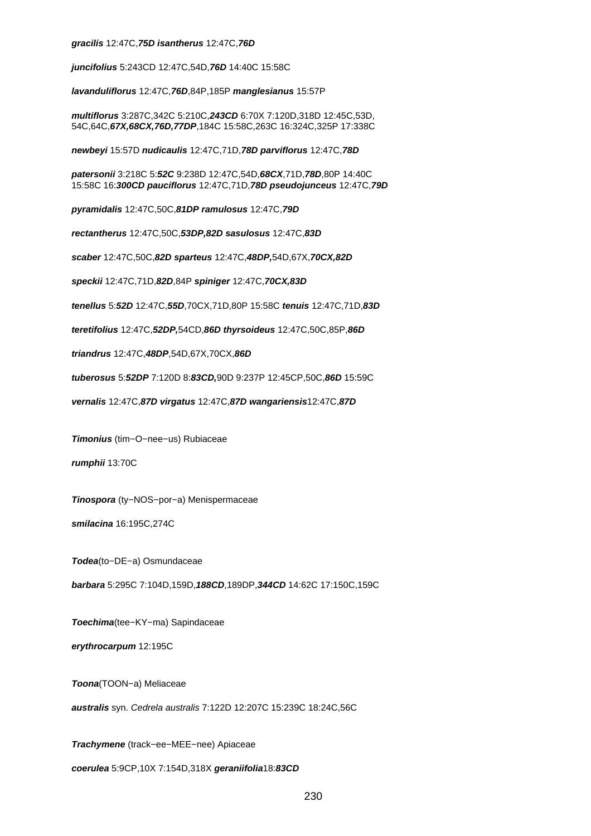## **gracilis** 12:47C,**75D isantherus** 12:47C,**76D**

**juncifolius** 5:243CD 12:47C,54D,**76D** 14:40C 15:58C

**lavanduliflorus** 12:47C,**76D**,84P,185P **manglesianus** 15:57P

**multiflorus** 3:287C,342C 5:210C,**243CD** 6:70X 7:120D,318D 12:45C,53D, 54C,64C,**67X,68CX,76D,77DP**,184C 15:58C,263C 16:324C,325P 17:338C

**newbeyi** 15:57D **nudicaulis** 12:47C,71D,**78D parviflorus** 12:47C,**78D**

**patersonii** 3:218C 5:**52C** 9:238D 12:47C,54D,**68CX**,71D,**78D**,80P 14:40C 15:58C 16:**300CD pauciflorus** 12:47C,71D,**78D pseudojunceus** 12:47C,**79D**

**pyramidalis** 12:47C,50C,**81DP ramulosus** 12:47C,**79D**

**rectantherus** 12:47C,50C,**53DP,82D sasulosus** 12:47C,**83D**

**scaber** 12:47C,50C,**82D sparteus** 12:47C,**48DP,**54D,67X,**70CX,82D**

**speckii** 12:47C,71D,**82D**,84P **spiniger** 12:47C,**70CX,83D**

**tenellus** 5:**52D** 12:47C,**55D**,70CX,71D,80P 15:58C **tenuis** 12:47C,71D,**83D**

**teretifolius** 12:47C,**52DP,**54CD,**86D thyrsoideus** 12:47C,50C,85P,**86D**

**triandrus** 12:47C,**48DP**,54D,67X,70CX,**86D**

**tuberosus** 5:**52DP** 7:120D 8:**83CD,**90D 9:237P 12:45CP,50C,**86D** 15:59C

**vernalis** 12:47C,**87D virgatus** 12:47C,**87D wangariensis**12:47C,**87D**

**Timonius** (tim−O−nee−us) Rubiaceae

**rumphii** 13:70C

**Tinospora** (ty−NOS−por−a) Menispermaceae

**smilacina** 16:195C,274C

**Todea**(to−DE−a) Osmundaceae

**barbara** 5:295C 7:104D,159D,**188CD**,189DP,**344CD** 14:62C 17:150C,159C

**Toechima**(tee−KY−ma) Sapindaceae

**erythrocarpum** 12:195C

**Toona**(TOON−a) Meliaceae

**australis** syn. Cedrela australis 7:122D 12:207C 15:239C 18:24C,56C

**Trachymene** (track−ee−MEE−nee) Apiaceae

**coerulea** 5:9CP,10X 7:154D,318X **geraniifolia**18:**83CD**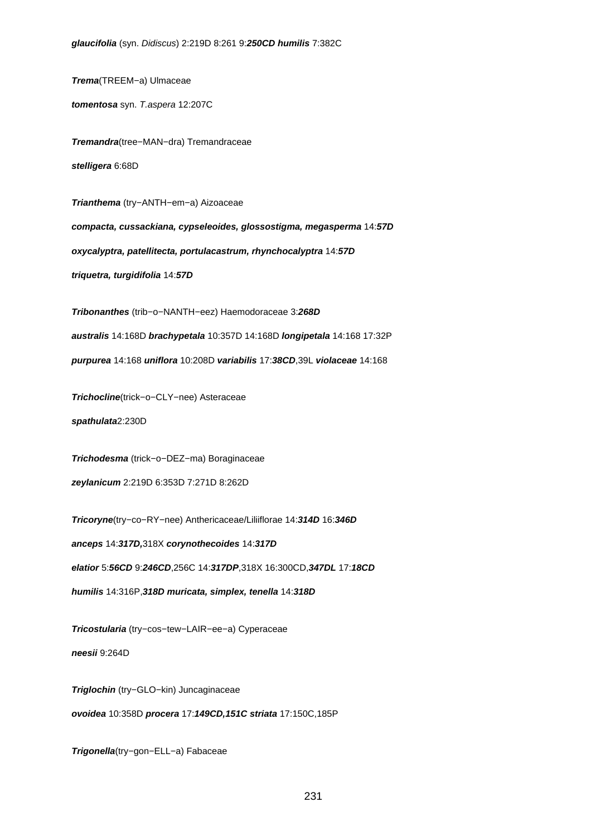**Trema**(TREEM−a) Ulmaceae

**tomentosa** syn. T.aspera 12:207C

**Tremandra**(tree−MAN−dra) Tremandraceae **stelligera** 6:68D

**Trianthema** (try−ANTH−em−a) Aizoaceae

**compacta, cussackiana, cypseleoides, glossostigma, megasperma** 14:**57D oxycalyptra, patellitecta, portulacastrum, rhynchocalyptra** 14:**57D triquetra, turgidifolia** 14:**57D**

**Tribonanthes** (trib−o−NANTH−eez) Haemodoraceae 3:**268D australis** 14:168D **brachypetala** 10:357D 14:168D **longipetala** 14:168 17:32P **purpurea** 14:168 **uniflora** 10:208D **variabilis** 17:**38CD**,39L **violaceae** 14:168

**Trichocline**(trick−o−CLY−nee) Asteraceae

**spathulata**2:230D

**Trichodesma** (trick−o−DEZ−ma) Boraginaceae **zeylanicum** 2:219D 6:353D 7:271D 8:262D

**Tricoryne**(try−co−RY−nee) Anthericaceae/Liliiflorae 14:**314D** 16:**346D anceps** 14:**317D,**318X **corynothecoides** 14:**317D elatior** 5:**56CD** 9:**246CD**,256C 14:**317DP**,318X 16:300CD,**347DL** 17:**18CD humilis** 14:316P,**318D muricata, simplex, tenella** 14:**318D**

**Tricostularia** (try−cos−tew−LAIR−ee−a) Cyperaceae **neesii** 9:264D

**Triglochin** (try−GLO−kin) Juncaginaceae **ovoidea** 10:358D **procera** 17:**149CD,151C striata** 17:150C,185P

**Trigonella**(try−gon−ELL−a) Fabaceae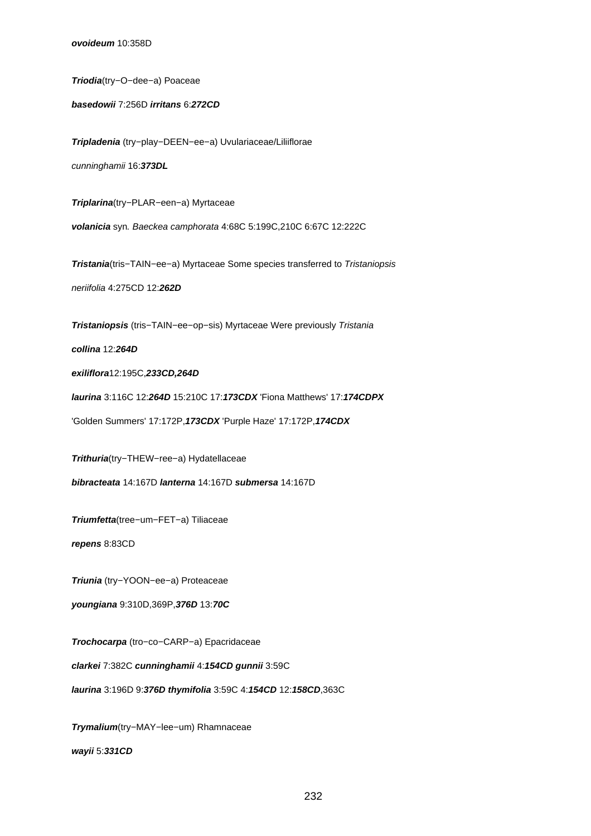**Triodia**(try−O−dee−a) Poaceae

**basedowii** 7:256D **irritans** 6:**272CD**

**Tripladenia** (try−play−DEEN−ee−a) Uvulariaceae/Liliiflorae cunninghamii 16:**373DL**

**Triplarina**(try−PLAR−een−a) Myrtaceae

**volanicia** syn. Baeckea camphorata 4:68C 5:199C,210C 6:67C 12:222C

**Tristania**(tris−TAIN−ee−a) Myrtaceae Some species transferred to Tristaniopsis neriifolia 4:275CD 12:**262D**

**Tristaniopsis** (tris−TAIN−ee−op−sis) Myrtaceae Were previously Tristania

**collina** 12:**264D**

**exiliflora**12:195C,**233CD,264D**

**laurina** 3:116C 12:**264D** 15:210C 17:**173CDX** 'Fiona Matthews' 17:**174CDPX**

'Golden Summers' 17:172P,**173CDX** 'Purple Haze' 17:172P,**174CDX**

**Trithuria**(try−THEW−ree−a) Hydatellaceae

**bibracteata** 14:167D **lanterna** 14:167D **submersa** 14:167D

**Triumfetta**(tree−um−FET−a) Tiliaceae

**repens** 8:83CD

**Triunia** (try−YOON−ee−a) Proteaceae

**youngiana** 9:310D,369P,**376D** 13:**70C**

**Trochocarpa** (tro−co−CARP−a) Epacridaceae

**clarkei** 7:382C **cunninghamii** 4:**154CD gunnii** 3:59C

**laurina** 3:196D 9:**376D thymifolia** 3:59C 4:**154CD** 12:**158CD**,363C

**Trymalium**(try−MAY−lee−um) Rhamnaceae **wayii** 5:**331CD**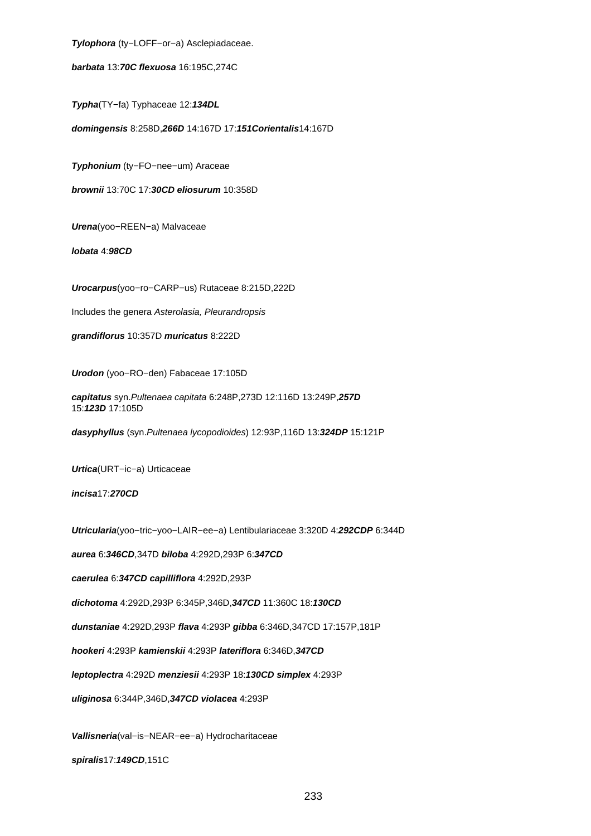**Tylophora** (ty−LOFF−or−a) Asclepiadaceae.

**barbata** 13:**70C flexuosa** 16:195C,274C

**Typha**(TY−fa) Typhaceae 12:**134DL**

**domingensis** 8:258D,**266D** 14:167D 17:**151Corientalis**14:167D

**Typhonium** (ty−FO−nee−um) Araceae

**brownii** 13:70C 17:**30CD eliosurum** 10:358D

**Urena**(yoo−REEN−a) Malvaceae

**lobata** 4:**98CD**

**Urocarpus**(yoo−ro−CARP−us) Rutaceae 8:215D,222D

Includes the genera Asterolasia, Pleurandropsis

**grandiflorus** 10:357D **muricatus** 8:222D

**Urodon** (yoo−RO−den) Fabaceae 17:105D

**capitatus** syn.Pultenaea capitata 6:248P,273D 12:116D 13:249P,**257D** 15:**123D** 17:105D

**dasyphyllus** (syn.Pultenaea lycopodioides) 12:93P,116D 13:**324DP** 15:121P

**Urtica**(URT−ic−a) Urticaceae

**incisa**17:**270CD**

**Utricularia**(yoo−tric−yoo−LAIR−ee−a) Lentibulariaceae 3:320D 4:**292CDP** 6:344D

**aurea** 6:**346CD**,347D **biloba** 4:292D,293P 6:**347CD**

**caerulea** 6:**347CD capilliflora** 4:292D,293P

**dichotoma** 4:292D,293P 6:345P,346D,**347CD** 11:360C 18:**130CD**

**dunstaniae** 4:292D,293P **flava** 4:293P **gibba** 6:346D,347CD 17:157P,181P

**hookeri** 4:293P **kamienskii** 4:293P **lateriflora** 6:346D,**347CD**

**leptoplectra** 4:292D **menziesii** 4:293P 18:**130CD simplex** 4:293P

**uliginosa** 6:344P,346D,**347CD violacea** 4:293P

**Vallisneria**(val−is−NEAR−ee−a) Hydrocharitaceae

**spiralis**17:**149CD**,151C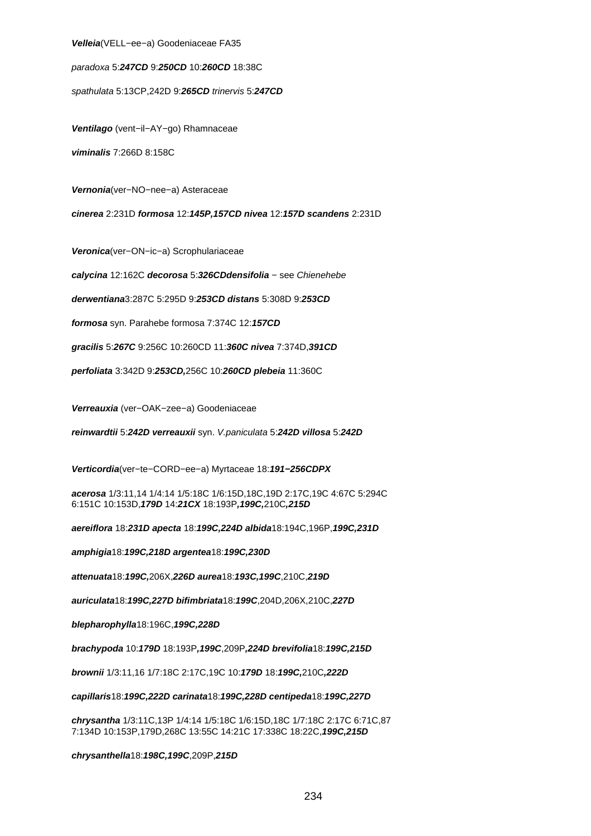#### **Velleia**(VELL−ee−a) Goodeniaceae FA35

paradoxa 5:**247CD** 9:**250CD** 10:**260CD** 18:38C

spathulata 5:13CP,242D 9:**265CD** trinervis 5:**247CD**

**Ventilago** (vent−il−AY−go) Rhamnaceae

**viminalis** 7:266D 8:158C

**Vernonia**(ver−NO−nee−a) Asteraceae

**cinerea** 2:231D **formosa** 12:**145P,157CD nivea** 12:**157D scandens** 2:231D

**Veronica**(ver−ON−ic−a) Scrophulariaceae

**calycina** 12:162C **decorosa** 5:**326CDdensifolia** − see Chienehebe

**derwentiana**3:287C 5:295D 9:**253CD distans** 5:308D 9:**253CD**

**formosa** syn. Parahebe formosa 7:374C 12:**157CD**

**gracilis** 5:**267C** 9:256C 10:260CD 11:**360C nivea** 7:374D,**391CD**

**perfoliata** 3:342D 9:**253CD,**256C 10:**260CD plebeia** 11:360C

**Verreauxia** (ver−OAK−zee−a) Goodeniaceae

**reinwardtii** 5:**242D verreauxii** syn. V.paniculata 5:**242D villosa** 5:**242D**

**Verticordia**(ver−te−CORD−ee−a) Myrtaceae 18:**191−256CDPX**

**acerosa** 1/3:11,14 1/4:14 1/5:18C 1/6:15D,18C,19D 2:17C,19C 4:67C 5:294C 6:151C 10:153D,**179D** 14:**21CX** 18:193P**,199C,**210C**,215D**

**aereiflora** 18:**231D apecta** 18:**199C,224D albida**18:194C,196P,**199C,231D**

**amphigia**18:**199C,218D argentea**18:**199C,230D**

**attenuata**18:**199C,**206X,**226D aurea**18:**193C,199C**,210C,**219D**

**auriculata**18:**199C,227D bifimbriata**18:**199C**,204D,206X,210C,**227D**

**blepharophylla**18:196C,**199C,228D**

**brachypoda** 10:**179D** 18:193P**,199C**,209P**,224D brevifolia**18:**199C,215D**

**brownii** 1/3:11,16 1/7:18C 2:17C,19C 10:**179D** 18:**199C,**210C**,222D**

**capillaris**18:**199C,222D carinata**18:**199C,228D centipeda**18:**199C,227D**

**chrysantha** 1/3:11C,13P 1/4:14 1/5:18C 1/6:15D,18C 1/7:18C 2:17C 6:71C,87 7:134D 10:153P,179D,268C 13:55C 14:21C 17:338C 18:22C,**199C,215D**

**chrysanthella**18:**198C,199C**,209P,**215D**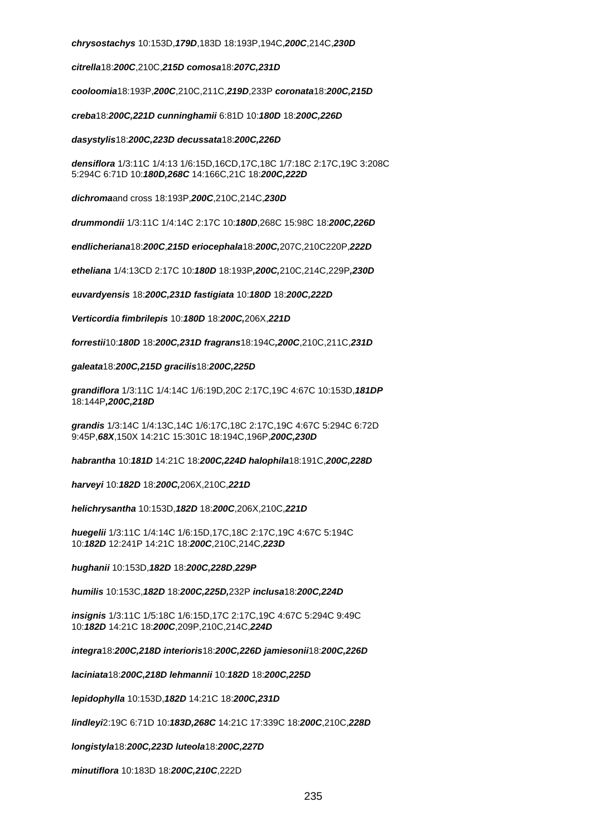**chrysostachys** 10:153D,**179D**,183D 18:193P,194C,**200C**,214C,**230D**

**citrella**18:**200C**,210C,**215D comosa**18:**207C,231D**

**cooloomia**18:193P,**200C**,210C,211C,**219D**,233P **coronata**18:**200C,215D**

**creba**18:**200C,221D cunninghamii** 6:81D 10:**180D** 18:**200C,226D**

**dasystylis**18:**200C,223D decussata**18:**200C,226D**

**densiflora** 1/3:11C 1/4:13 1/6:15D,16CD,17C,18C 1/7:18C 2:17C,19C 3:208C 5:294C 6:71D 10:**180D,268C** 14:166C,21C 18:**200C,222D**

**dichroma**and cross 18:193P,**200C**,210C,214C,**230D**

**drummondii** 1/3:11C 1/4:14C 2:17C 10:**180D**,268C 15:98C 18:**200C,226D**

**endlicheriana**18:**200C**,**215D eriocephala**18:**200C,**207C,210C220P,**222D**

**etheliana** 1/4:13CD 2:17C 10:**180D** 18:193P**,200C,**210C,214C,229P**,230D**

**euvardyensis** 18:**200C,231D fastigiata** 10:**180D** 18:**200C,222D**

**Verticordia fimbrilepis** 10:**180D** 18:**200C,**206X,**221D**

**forrestii**10:**180D** 18:**200C,231D fragrans**18:194C**,200C**,210C,211C,**231D**

**galeata**18:**200C,215D gracilis**18:**200C,225D**

**grandiflora** 1/3:11C 1/4:14C 1/6:19D,20C 2:17C,19C 4:67C 10:153D,**181DP** 18:144P**,200C,218D**

**grandis** 1/3:14C 1/4:13C,14C 1/6:17C,18C 2:17C,19C 4:67C 5:294C 6:72D 9:45P,**68X**,150X 14:21C 15:301C 18:194C,196P,**200C,230D**

**habrantha** 10:**181D** 14:21C 18:**200C,224D halophila**18:191C,**200C,228D**

**harveyi** 10:**182D** 18:**200C,**206X,210C,**221D**

**helichrysantha** 10:153D,**182D** 18:**200C**,206X,210C,**221D**

**huegelii** 1/3:11C 1/4:14C 1/6:15D,17C,18C 2:17C,19C 4:67C 5:194C 10:**182D** 12:241P 14:21C 18:**200C**,210C,214C,**223D**

**hughanii** 10:153D,**182D** 18:**200C,228D**,**229P**

**humilis** 10:153C,**182D** 18:**200C,225D,**232P **inclusa**18:**200C,224D**

**insignis** 1/3:11C 1/5:18C 1/6:15D,17C 2:17C,19C 4:67C 5:294C 9:49C 10:**182D** 14:21C 18:**200C**,209P,210C,214C,**224D**

**integra**18:**200C,218D interioris**18:**200C,226D jamiesonii**18:**200C,226D**

**laciniata**18:**200C,218D lehmannii** 10:**182D** 18:**200C,225D**

**lepidophylla** 10:153D,**182D** 14:21C 18:**200C,231D**

**lindleyi**2:19C 6:71D 10:**183D,268C** 14:21C 17:339C 18:**200C**,210C,**228D**

**longistyla**18:**200C,223D luteola**18:**200C,227D**

**minutiflora** 10:183D 18:**200C,210C**,222D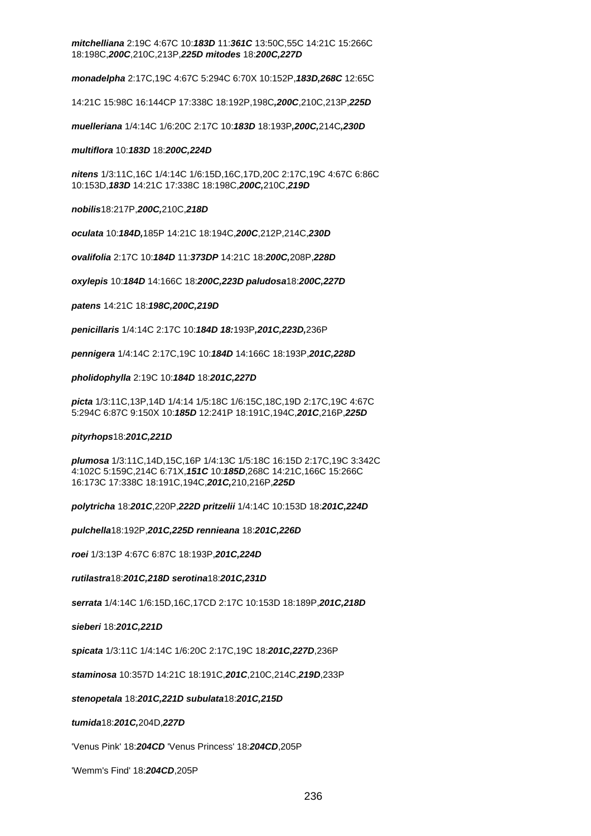**mitchelliana** 2:19C 4:67C 10:**183D** 11:**361C** 13:50C,55C 14:21C 15:266C 18:198C,**200C**,210C,213P,**225D mitodes** 18:**200C,227D**

**monadelpha** 2:17C,19C 4:67C 5:294C 6:70X 10:152P,**183D,268C** 12:65C

14:21C 15:98C 16:144CP 17:338C 18:192P,198C**,200C**,210C,213P,**225D**

**muelleriana** 1/4:14C 1/6:20C 2:17C 10:**183D** 18:193P**,200C,**214C**,230D**

# **multiflora** 10:**183D** 18:**200C,224D**

**nitens** 1/3:11C,16C 1/4:14C 1/6:15D,16C,17D,20C 2:17C,19C 4:67C 6:86C 10:153D,**183D** 14:21C 17:338C 18:198C,**200C,**210C,**219D**

**nobilis**18:217P,**200C,**210C,**218D**

**oculata** 10:**184D,**185P 14:21C 18:194C,**200C**,212P,214C,**230D**

**ovalifolia** 2:17C 10:**184D** 11:**373DP** 14:21C 18:**200C,**208P,**228D**

**oxylepis** 10:**184D** 14:166C 18:**200C,223D paludosa**18:**200C,227D**

**patens** 14:21C 18:**198C,200C,219D**

**penicillaris** 1/4:14C 2:17C 10:**184D 18:**193P**,201C,223D,**236P

**pennigera** 1/4:14C 2:17C,19C 10:**184D** 14:166C 18:193P,**201C,228D**

**pholidophylla** 2:19C 10:**184D** 18:**201C,227D**

**picta** 1/3:11C,13P,14D 1/4:14 1/5:18C 1/6:15C,18C,19D 2:17C,19C 4:67C 5:294C 6:87C 9:150X 10:**185D** 12:241P 18:191C,194C,**201C**,216P,**225D**

## **pityrhops**18:**201C,221D**

**plumosa** 1/3:11C,14D,15C,16P 1/4:13C 1/5:18C 16:15D 2:17C,19C 3:342C 4:102C 5:159C,214C 6:71X,**151C** 10:**185D**,268C 14:21C,166C 15:266C 16:173C 17:338C 18:191C,194C,**201C,**210,216P,**225D**

**polytricha** 18:**201C**,220P,**222D pritzelii** 1/4:14C 10:153D 18:**201C,224D**

**pulchella**18:192P,**201C,225D rennieana** 18:**201C,226D**

**roei** 1/3:13P 4:67C 6:87C 18:193P,**201C,224D**

**rutilastra**18:**201C,218D serotina**18:**201C,231D**

**serrata** 1/4:14C 1/6:15D,16C,17CD 2:17C 10:153D 18:189P,**201C,218D**

**sieberi** 18:**201C,221D**

**spicata** 1/3:11C 1/4:14C 1/6:20C 2:17C,19C 18:**201C,227D**,236P

**staminosa** 10:357D 14:21C 18:191C,**201C**,210C,214C,**219D**,233P

# **stenopetala** 18:**201C,221D subulata**18:**201C,215D**

**tumida**18:**201C,**204D,**227D**

'Venus Pink' 18:**204CD** 'Venus Princess' 18:**204CD**,205P

'Wemm's Find' 18:**204CD**,205P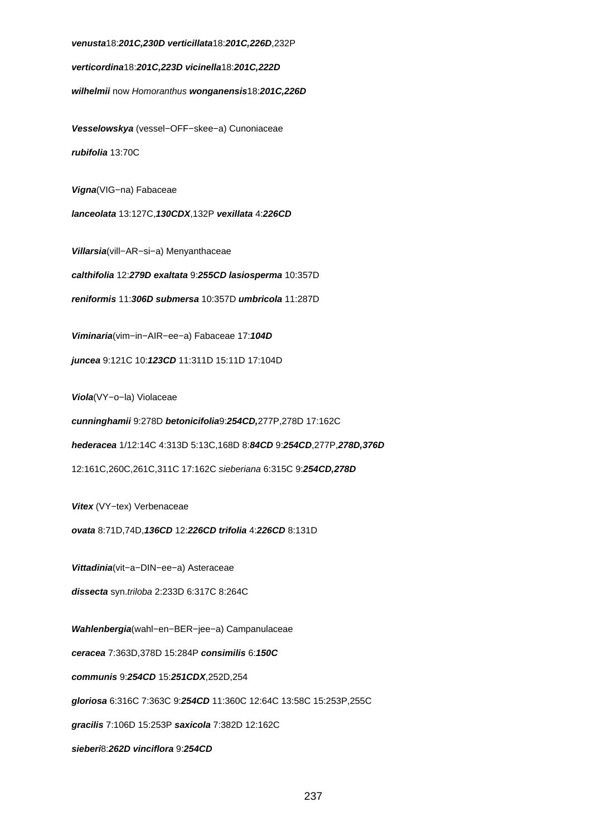## **venusta**18:**201C,230D verticillata**18:**201C,226D**,232P

**verticordina**18:**201C,223D vicinella**18:**201C,222D**

**wilhelmii** now Homoranthus **wonganensis**18:**201C,226D**

**Vesselowskya** (vessel−OFF−skee−a) Cunoniaceae **rubifolia** 13:70C

**Vigna**(VIG−na) Fabaceae

**lanceolata** 13:127C,**130CDX**,132P **vexillata** 4:**226CD**

**Villarsia**(vill−AR−si−a) Menyanthaceae

**calthifolia** 12:**279D exaltata** 9:**255CD lasiosperma** 10:357D

**reniformis** 11:**306D submersa** 10:357D **umbricola** 11:287D

**Viminaria**(vim−in−AIR−ee−a) Fabaceae 17:**104D**

**juncea** 9:121C 10:**123CD** 11:311D 15:11D 17:104D

**Viola**(VY−o−la) Violaceae

**cunninghamii** 9:278D **betonicifolia**9:**254CD,**277P,278D 17:162C

**hederacea** 1/12:14C 4:313D 5:13C,168D 8:**84CD** 9:**254CD**,277P,**278D,376D**

12:161C,260C,261C,311C 17:162C sieberiana 6:315C 9:**254CD,278D**

**Vitex** (VY−tex) Verbenaceae

**ovata** 8:71D,74D,**136CD** 12:**226CD trifolia** 4:**226CD** 8:131D

**Vittadinia**(vit−a−DIN−ee−a) Asteraceae

**dissecta** syn.triloba 2:233D 6:317C 8:264C

**Wahlenbergia**(wahl−en−BER−jee−a) Campanulaceae **ceracea** 7:363D,378D 15:284P **consimilis** 6:**150C communis** 9:**254CD** 15:**251CDX**,252D,254 **gloriosa** 6:316C 7:363C 9:**254CD** 11:360C 12:64C 13:58C 15:253P,255C **gracilis** 7:106D 15:253P **saxicola** 7:382D 12:162C **sieberi**8:**262D vinciflora** 9:**254CD**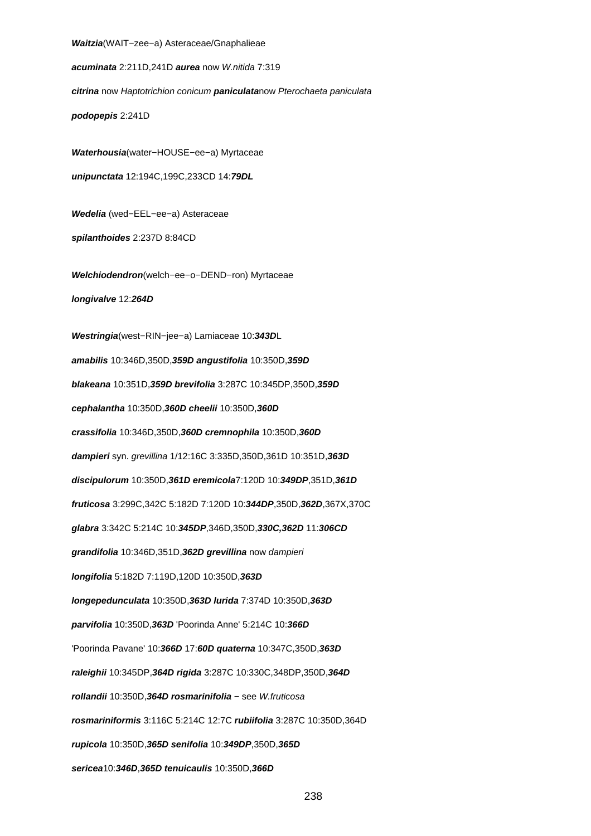**Waitzia**(WAIT−zee−a) Asteraceae/Gnaphalieae

**acuminata** 2:211D,241D **aurea** now W.nitida 7:319

**citrina** now Haptotrichion conicum **paniculata**now Pterochaeta paniculata

**podopepis** 2:241D

**Waterhousia**(water−HOUSE−ee−a) Myrtaceae **unipunctata** 12:194C,199C,233CD 14:**79DL**

**Wedelia** (wed−EEL−ee−a) Asteraceae

**spilanthoides** 2:237D 8:84CD

**Welchiodendron**(welch−ee−o−DEND−ron) Myrtaceae **longivalve** 12:**264D**

**Westringia**(west−RIN−jee−a) Lamiaceae 10:**343D**L **amabilis** 10:346D,350D,**359D angustifolia** 10:350D,**359D blakeana** 10:351D,**359D brevifolia** 3:287C 10:345DP,350D,**359D cephalantha** 10:350D,**360D cheelii** 10:350D,**360D crassifolia** 10:346D,350D,**360D cremnophila** 10:350D,**360D dampieri** syn. grevillina 1/12:16C 3:335D,350D,361D 10:351D,**363D discipulorum** 10:350D,**361D eremicola**7:120D 10:**349DP**,351D,**361D fruticosa** 3:299C,342C 5:182D 7:120D 10:**344DP**,350D,**362D**,367X,370C **glabra** 3:342C 5:214C 10:**345DP**,346D,350D,**330C,362D** 11:**306CD grandifolia** 10:346D,351D,**362D grevillina** now dampieri **longifolia** 5:182D 7:119D,120D 10:350D,**363D longepedunculata** 10:350D,**363D lurida** 7:374D 10:350D,**363D parvifolia** 10:350D,**363D** 'Poorinda Anne' 5:214C 10:**366D** 'Poorinda Pavane' 10:**366D** 17:**60D quaterna** 10:347C,350D,**363D raleighii** 10:345DP,**364D rigida** 3:287C 10:330C,348DP,350D,**364D rollandii** 10:350D,**364D rosmarinifolia** − see W.fruticosa **rosmariniformis** 3:116C 5:214C 12:7C **rubiifolia** 3:287C 10:350D,364D **rupicola** 10:350D,**365D senifolia** 10:**349DP**,350D,**365D sericea**10:**346D**,**365D tenuicaulis** 10:350D,**366D**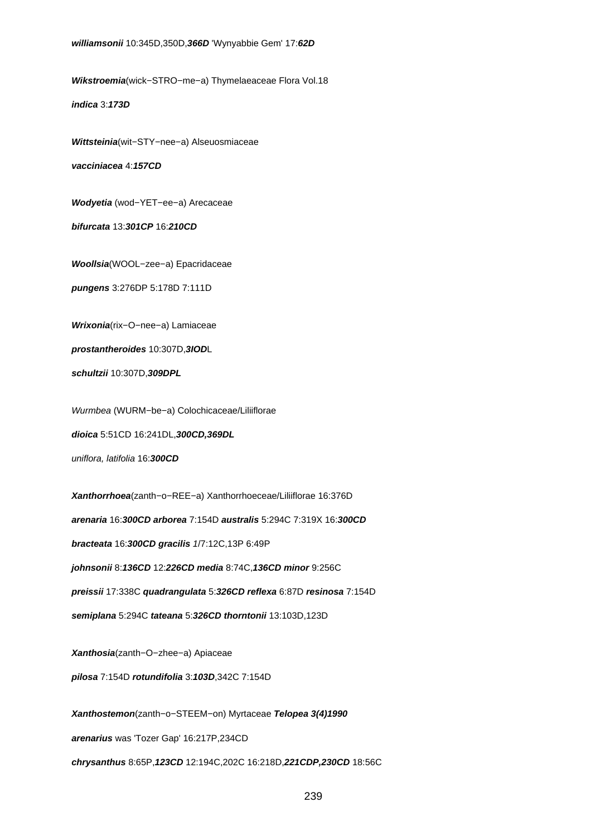**Wikstroemia**(wick−STRO−me−a) Thymelaeaceae Flora Vol.18

**indica** 3:**173D**

**Wittsteinia**(wit−STY−nee−a) Alseuosmiaceae

**vacciniacea** 4:**157CD**

**Wodyetia** (wod−YET−ee−a) Arecaceae

**bifurcata** 13:**301CP** 16:**210CD**

**Woollsia**(WOOL−zee−a) Epacridaceae

**pungens** 3:276DP 5:178D 7:111D

**Wrixonia**(rix−O−nee−a) Lamiaceae

**prostantheroides** 10:307D,**3IOD**L

**schultzii** 10:307D,**309DPL**

Wurmbea (WURM−be−a) Colochicaceae/Liliiflorae

**dioica** 5:51CD 16:241DL,**300CD,369DL**

uniflora, latifolia 16:**300CD**

**Xanthorrhoea**(zanth−o−REE−a) Xanthorrhoeceae/Liliiflorae 16:376D **arenaria** 16:**300CD arborea** 7:154D **australis** 5:294C 7:319X 16:**300CD bracteata** 16:**300CD gracilis** 1/7:12C,13P 6:49P **johnsonii** 8:**136CD** 12:**226CD media** 8:74C,**136CD minor** 9:256C **preissii** 17:338C **quadrangulata** 5:**326CD reflexa** 6:87D **resinosa** 7:154D **semiplana** 5:294C **tateana** 5:**326CD thorntonii** 13:103D,123D **Xanthosia**(zanth−O−zhee−a) Apiaceae

**pilosa** 7:154D **rotundifolia** 3:**103D**,342C 7:154D

**Xanthostemon**(zanth−o−STEEM−on) Myrtaceae **Telopea 3(4)1990 arenarius** was 'Tozer Gap' 16:217P,234CD **chrysanthus** 8:65P,**123CD** 12:194C,202C 16:218D,**221CDP,230CD** 18:56C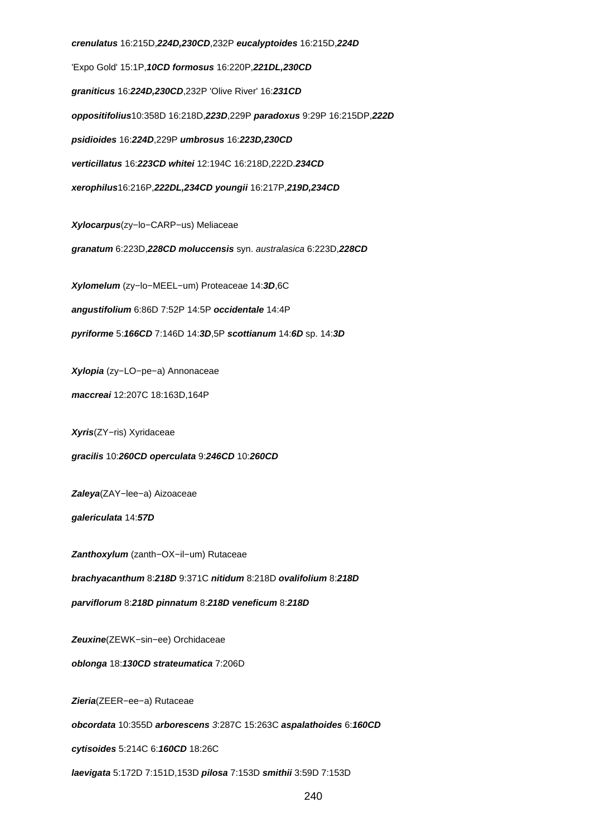**crenulatus** 16:215D,**224D,230CD**,232P **eucalyptoides** 16:215D,**224D** 'Expo Gold' 15:1P,**10CD formosus** 16:220P,**221DL,230CD graniticus** 16:**224D,230CD**,232P 'Olive River' 16:**231CD oppositifolius**10:358D 16:218D,**223D**,229P **paradoxus** 9:29P 16:215DP,**222D psidioides** 16:**224D**,229P **umbrosus** 16:**223D,230CD verticillatus** 16:**223CD whitei** 12:194C 16:218D,222D.**234CD xerophilus**16:216P,**222DL,234CD youngii** 16:217P,**219D,234CD Xylocarpus**(zy−lo−CARP−us) Meliaceae **granatum** 6:223D,**228CD moluccensis** syn. australasica 6:223D,**228CD Xylomelum** (zy−lo−MEEL−um) Proteaceae 14:**3D**,6C **angustifolium** 6:86D 7:52P 14:5P **occidentale** 14:4P **pyriforme** 5:**166CD** 7:146D 14:**3D**,5P **scottianum** 14:**6D** sp. 14:**3D Xylopia** (zy−LO−pe−a) Annonaceae **maccreai** 12:207C 18:163D,164P **Xyris**(ZY−ris) Xyridaceae **gracilis** 10:**260CD operculata** 9:**246CD** 10:**260CD Zaleya**(ZAY−lee−a) Aizoaceae **galericulata** 14:**57D Zanthoxylum** (zanth−OX−il−um) Rutaceae **brachyacanthum** 8:**218D** 9:371C **nitidum** 8:218D **ovalifolium** 8:**218D parviflorum** 8:**218D pinnatum** 8:**218D veneficum** 8:**218D**

**Zeuxine**(ZEWK−sin−ee) Orchidaceae

**oblonga** 18:**130CD strateumatica** 7:206D

**Zieria**(ZEER−ee−a) Rutaceae

**obcordata** 10:355D **arborescens** 3:287C 15:263C **aspalathoides** 6:**160CD**

**cytisoides** 5:214C 6:**160CD** 18:26C

**laevigata** 5:172D 7:151D,153D **pilosa** 7:153D **smithii** 3:59D 7:153D